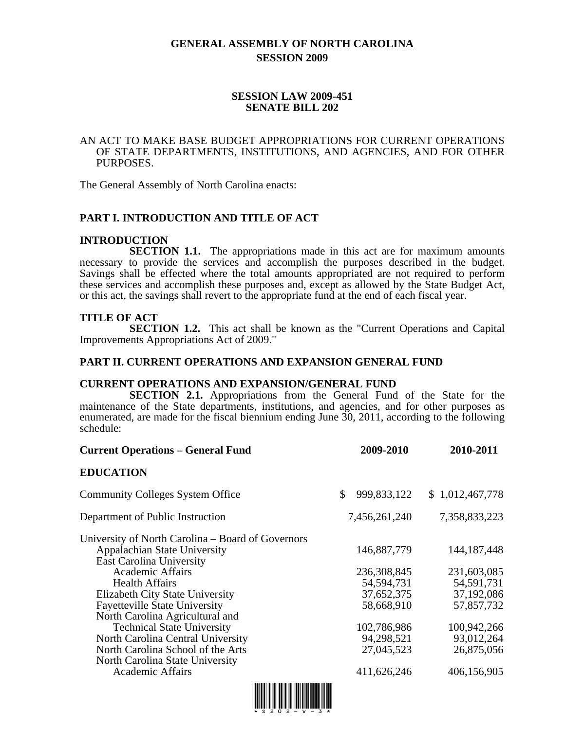# **GENERAL ASSEMBLY OF NORTH CAROLINA SESSION 2009**

#### **SESSION LAW 2009-451 SENATE BILL 202**

#### AN ACT TO MAKE BASE BUDGET APPROPRIATIONS FOR CURRENT OPERATIONS OF STATE DEPARTMENTS, INSTITUTIONS, AND AGENCIES, AND FOR OTHER PURPOSES.

The General Assembly of North Carolina enacts:

#### **PART I. INTRODUCTION AND TITLE OF ACT**

#### **INTRODUCTION**

**SECTION 1.1.** The appropriations made in this act are for maximum amounts necessary to provide the services and accomplish the purposes described in the budget. Savings shall be effected where the total amounts appropriated are not required to perform these services and accomplish these purposes and, except as allowed by the State Budget Act, or this act, the savings shall revert to the appropriate fund at the end of each fiscal year.

#### **TITLE OF ACT**

**SECTION 1.2.** This act shall be known as the "Current Operations and Capital Improvements Appropriations Act of 2009."

#### **PART II. CURRENT OPERATIONS AND EXPANSION GENERAL FUND**

#### **CURRENT OPERATIONS AND EXPANSION/GENERAL FUND**

**SECTION 2.1.** Appropriations from the General Fund of the State for the maintenance of the State departments, institutions, and agencies, and for other purposes as enumerated, are made for the fiscal biennium ending June 30, 2011, according to the following schedule:

| <b>Current Operations - General Fund</b>                                          | 2009-2010         | 2010-2011       |
|-----------------------------------------------------------------------------------|-------------------|-----------------|
| <b>EDUCATION</b>                                                                  |                   |                 |
| <b>Community Colleges System Office</b>                                           | \$<br>999,833,122 | \$1,012,467,778 |
| Department of Public Instruction                                                  | 7,456,261,240     | 7,358,833,223   |
| University of North Carolina – Board of Governors<br>Appalachian State University | 146,887,779       | 144, 187, 448   |
| <b>East Carolina University</b>                                                   |                   |                 |
| <b>Academic Affairs</b>                                                           | 236,308,845       | 231,603,085     |
| <b>Health Affairs</b>                                                             | 54,594,731        | 54,591,731      |
| Elizabeth City State University                                                   | 37,652,375        | 37,192,086      |
| <b>Fayetteville State University</b>                                              | 58,668,910        | 57,857,732      |
| North Carolina Agricultural and                                                   |                   |                 |
| <b>Technical State University</b>                                                 | 102,786,986       | 100,942,266     |
| North Carolina Central University                                                 | 94,298,521        | 93,012,264      |
| North Carolina School of the Arts                                                 | 27,045,523        | 26,875,056      |
| North Carolina State University                                                   |                   |                 |
| <b>Academic Affairs</b>                                                           | 411,626,246       | 406,156,905     |
|                                                                                   |                   |                 |

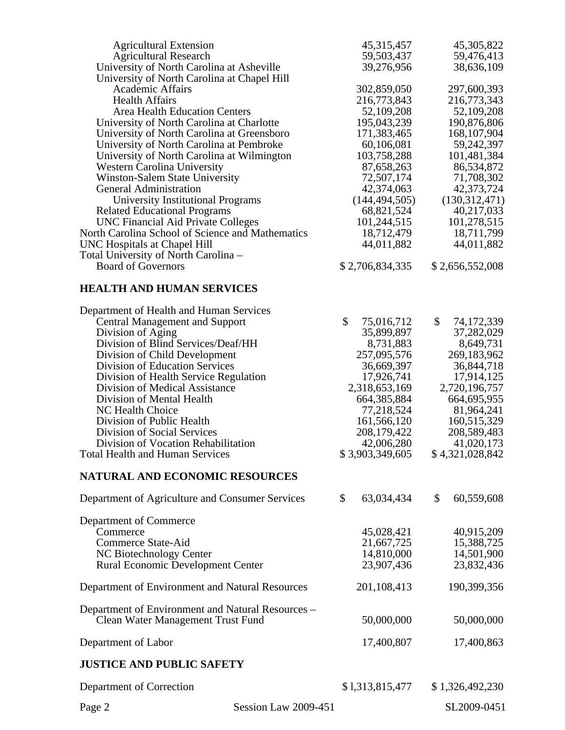| <b>Agricultural Extension</b>                                                          |                      | 45, 315, 457              | 45,305,822                |
|----------------------------------------------------------------------------------------|----------------------|---------------------------|---------------------------|
| <b>Agricultural Research</b>                                                           |                      | 59,503,437                | 59,476,413                |
| University of North Carolina at Asheville                                              |                      | 39,276,956                | 38,636,109                |
| University of North Carolina at Chapel Hill                                            |                      |                           |                           |
| <b>Academic Affairs</b>                                                                |                      | 302,859,050               | 297,600,393               |
| <b>Health Affairs</b>                                                                  |                      | 216,773,843               | 216,773,343               |
| <b>Area Health Education Centers</b>                                                   |                      | 52,109,208                | 52,109,208                |
| University of North Carolina at Charlotte                                              |                      | 195,043,239               | 190,876,806               |
| University of North Carolina at Greensboro                                             |                      | 171,383,465               | 168, 107, 904             |
| University of North Carolina at Pembroke                                               |                      | 60,106,081                | 59,242,397                |
| University of North Carolina at Wilmington                                             |                      | 103,758,288               | 101,481,384               |
| <b>Western Carolina University</b>                                                     |                      | 87,658,263                | 86,534,872<br>71,708,302  |
| Winston-Salem State University<br><b>General Administration</b>                        |                      | 72,507,174<br>42,374,063  | 42,373,724                |
| <b>University Institutional Programs</b>                                               |                      | (144, 494, 505)           | (130,312,471)             |
| <b>Related Educational Programs</b>                                                    |                      | 68,821,524                | 40,217,033                |
| <b>UNC Financial Aid Private Colleges</b>                                              |                      | 101,244,515               | 101,278,515               |
| North Carolina School of Science and Mathematics                                       |                      | 18,712,479                | 18,711,799                |
| UNC Hospitals at Chapel Hill                                                           |                      | 44,011,882                | 44,011,882                |
| Total University of North Carolina –                                                   |                      |                           |                           |
| <b>Board of Governors</b>                                                              |                      | \$2,706,834,335           | \$2,656,552,008           |
|                                                                                        |                      |                           |                           |
| <b>HEALTH AND HUMAN SERVICES</b>                                                       |                      |                           |                           |
| Department of Health and Human Services                                                |                      |                           |                           |
| <b>Central Management and Support</b>                                                  |                      | \$<br>75,016,712          | \$<br>74,172,339          |
| Division of Aging                                                                      |                      | 35,899,897                | 37,282,029                |
| Division of Blind Services/Deaf/HH                                                     |                      | 8,731,883                 | 8,649,731                 |
| Division of Child Development                                                          |                      | 257,095,576               | 269, 183, 962             |
| Division of Education Services                                                         |                      | 36,669,397                | 36,844,718                |
| Division of Health Service Regulation                                                  |                      | 17,926,741                | 17,914,125                |
| Division of Medical Assistance                                                         |                      | 2,318,653,169             | 2,720,196,757             |
| Division of Mental Health<br>NC Health Choice                                          |                      | 664, 385, 884             | 664,695,955               |
| Division of Public Health                                                              |                      | 77,218,524<br>161,566,120 | 81,964,241<br>160,515,329 |
| Division of Social Services                                                            |                      | 208,179,422               | 208,589,483               |
| Division of Vocation Rehabilitation                                                    |                      | 42,006,280                | 41,020,173                |
| <b>Total Health and Human Services</b>                                                 |                      | \$3,903,349,605           | \$4,321,028,842           |
|                                                                                        |                      |                           |                           |
| <b>NATURAL AND ECONOMIC RESOURCES</b>                                                  |                      |                           |                           |
| Department of Agriculture and Consumer Services                                        |                      | \$<br>63,034,434          | \$<br>60,559,608          |
| Department of Commerce                                                                 |                      |                           |                           |
| Commerce                                                                               |                      | 45,028,421                | 40,915,209                |
| <b>Commerce State-Aid</b>                                                              |                      | 21,667,725                | 15,388,725                |
| NC Biotechnology Center                                                                |                      | 14,810,000                | 14,501,900                |
| <b>Rural Economic Development Center</b>                                               |                      | 23,907,436                | 23,832,436                |
| Department of Environment and Natural Resources                                        |                      | 201,108,413               | 190,399,356               |
| Department of Environment and Natural Resources -<br>Clean Water Management Trust Fund |                      | 50,000,000                | 50,000,000                |
|                                                                                        |                      |                           |                           |
| Department of Labor                                                                    |                      | 17,400,807                | 17,400,863                |
| <b>JUSTICE AND PUBLIC SAFETY</b>                                                       |                      |                           |                           |
| Department of Correction                                                               |                      | \$1,313,815,477           | \$1,326,492,230           |
| Page 2                                                                                 | Session Law 2009-451 |                           | SL2009-0451               |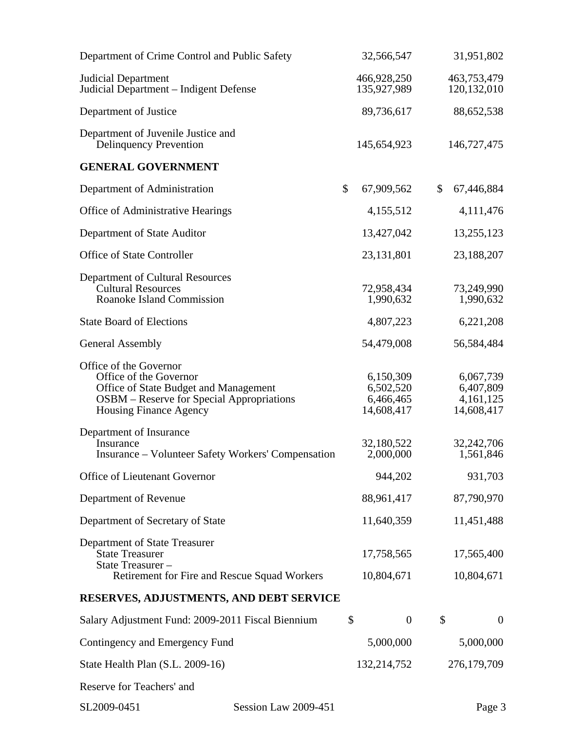| Department of Crime Control and Public Safety                                                                                                                                  | 32,566,547                                        | 31,951,802                                        |
|--------------------------------------------------------------------------------------------------------------------------------------------------------------------------------|---------------------------------------------------|---------------------------------------------------|
| Judicial Department<br>Judicial Department - Indigent Defense                                                                                                                  | 466,928,250<br>135,927,989                        | 463,753,479<br>120,132,010                        |
| Department of Justice                                                                                                                                                          | 89,736,617                                        | 88,652,538                                        |
| Department of Juvenile Justice and<br>Delinquency Prevention                                                                                                                   | 145,654,923                                       | 146,727,475                                       |
| <b>GENERAL GOVERNMENT</b>                                                                                                                                                      |                                                   |                                                   |
| Department of Administration                                                                                                                                                   | \$<br>67,909,562                                  | \$<br>67,446,884                                  |
| Office of Administrative Hearings                                                                                                                                              | 4,155,512                                         | 4,111,476                                         |
| Department of State Auditor                                                                                                                                                    | 13,427,042                                        | 13,255,123                                        |
| Office of State Controller                                                                                                                                                     | 23,131,801                                        | 23,188,207                                        |
| Department of Cultural Resources<br><b>Cultural Resources</b><br>Roanoke Island Commission                                                                                     | 72,958,434<br>1,990,632                           | 73,249,990<br>1,990,632                           |
| <b>State Board of Elections</b>                                                                                                                                                | 4,807,223                                         | 6,221,208                                         |
| <b>General Assembly</b>                                                                                                                                                        | 54,479,008                                        | 56,584,484                                        |
| Office of the Governor<br>Office of the Governor<br>Office of State Budget and Management<br><b>OSBM</b> – Reserve for Special Appropriations<br><b>Housing Finance Agency</b> | 6,150,309<br>6,502,520<br>6,466,465<br>14,608,417 | 6,067,739<br>6,407,809<br>4,161,125<br>14,608,417 |
| Department of Insurance<br>Insurance<br><b>Insurance – Volunteer Safety Workers' Compensation</b>                                                                              | 32,180,522<br>2,000,000                           | 32, 242, 706<br>1,561,846                         |
| Office of Lieutenant Governor                                                                                                                                                  | 944,202                                           | 931,703                                           |
| Department of Revenue                                                                                                                                                          | 88,961,417                                        | 87,790,970                                        |
| Department of Secretary of State                                                                                                                                               | 11,640,359                                        | 11,451,488                                        |
| Department of State Treasurer<br><b>State Treasurer</b><br>State Treasurer-<br>Retirement for Fire and Rescue Squad Workers                                                    | 17,758,565<br>10,804,671                          | 17,565,400<br>10,804,671                          |
| RESERVES, ADJUSTMENTS, AND DEBT SERVICE                                                                                                                                        |                                                   |                                                   |
| Salary Adjustment Fund: 2009-2011 Fiscal Biennium                                                                                                                              | \$<br>$\theta$                                    | \$<br>$\theta$                                    |
| Contingency and Emergency Fund                                                                                                                                                 | 5,000,000                                         | 5,000,000                                         |
| State Health Plan (S.L. 2009-16)                                                                                                                                               | 132,214,752                                       | 276, 179, 709                                     |
| Reserve for Teachers' and                                                                                                                                                      |                                                   |                                                   |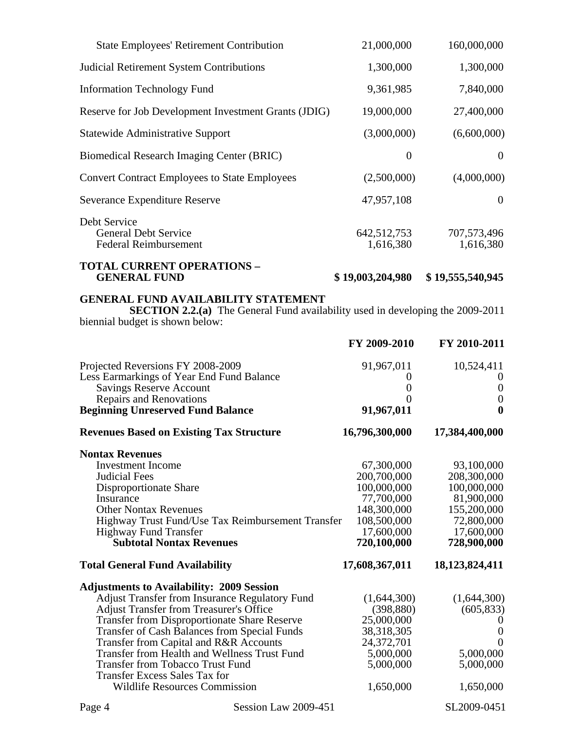| <b>TOTAL CURRENT OPERATIONS -</b><br><b>GENERAL FUND</b>                    | \$19,003,204,980           | \$19,555,540,945         |
|-----------------------------------------------------------------------------|----------------------------|--------------------------|
| Debt Service<br><b>General Debt Service</b><br><b>Federal Reimbursement</b> | 642, 512, 753<br>1,616,380 | 707,573,496<br>1,616,380 |
| <b>Severance Expenditure Reserve</b>                                        | 47,957,108                 | $\Omega$                 |
| <b>Convert Contract Employees to State Employees</b>                        | (2,500,000)                | (4,000,000)              |
| <b>Biomedical Research Imaging Center (BRIC)</b>                            | $\Omega$                   | $\Omega$                 |
| <b>Statewide Administrative Support</b>                                     | (3,000,000)                | (6,600,000)              |
| Reserve for Job Development Investment Grants (JDIG)                        | 19,000,000                 | 27,400,000               |
| <b>Information Technology Fund</b>                                          | 9,361,985                  | 7,840,000                |
| <b>Judicial Retirement System Contributions</b>                             | 1,300,000                  | 1,300,000                |
| <b>State Employees' Retirement Contribution</b>                             | 21,000,000                 | 160,000,000              |

#### **GENERAL FUND AVAILABILITY STATEMENT**

**SECTION 2.2.(a)** The General Fund availability used in developing the 2009-2011 biennial budget is shown below:

|                                                   | FY 2009-2010   | FY 2010-2011     |
|---------------------------------------------------|----------------|------------------|
| Projected Reversions FY 2008-2009                 | 91,967,011     | 10,524,411       |
| Less Earmarkings of Year End Fund Balance         |                | $\mathbf 0$      |
| <b>Savings Reserve Account</b>                    | 0              | $\boldsymbol{0}$ |
| <b>Repairs and Renovations</b>                    |                | $\boldsymbol{0}$ |
| <b>Beginning Unreserved Fund Balance</b>          | 91,967,011     | $\boldsymbol{0}$ |
| <b>Revenues Based on Existing Tax Structure</b>   | 16,796,300,000 | 17,384,400,000   |
| <b>Nontax Revenues</b>                            |                |                  |
| <b>Investment Income</b>                          | 67,300,000     | 93,100,000       |
| <b>Judicial Fees</b>                              | 200,700,000    | 208,300,000      |
| Disproportionate Share                            | 100,000,000    | 100,000,000      |
| Insurance                                         | 77,700,000     | 81,900,000       |
| <b>Other Nontax Revenues</b>                      | 148,300,000    | 155,200,000      |
| Highway Trust Fund/Use Tax Reimbursement Transfer | 108,500,000    | 72,800,000       |
| Highway Fund Transfer                             | 17,600,000     | 17,600,000       |
| <b>Subtotal Nontax Revenues</b>                   | 720,100,000    | 728,900,000      |
| <b>Total General Fund Availability</b>            | 17,608,367,011 | 18,123,824,411   |
| <b>Adjustments to Availability: 2009 Session</b>  |                |                  |
| Adjust Transfer from Insurance Regulatory Fund    | (1,644,300)    | (1,644,300)      |
| <b>Adjust Transfer from Treasurer's Office</b>    | (398, 880)     | (605, 833)       |
| Transfer from Disproportionate Share Reserve      | 25,000,000     | $\theta$         |
| Transfer of Cash Balances from Special Funds      | 38,318,305     | $\overline{0}$   |
| Transfer from Capital and R&R Accounts            | 24,372,701     | $\theta$         |
| Transfer from Health and Wellness Trust Fund      | 5,000,000      | 5,000,000        |
| <b>Transfer from Tobacco Trust Fund</b>           | 5,000,000      | 5,000,000        |
| <b>Transfer Excess Sales Tax for</b>              |                |                  |
| <b>Wildlife Resources Commission</b>              | 1,650,000      | 1,650,000        |
| Session Law 2009-451<br>Page 4                    |                | SL2009-0451      |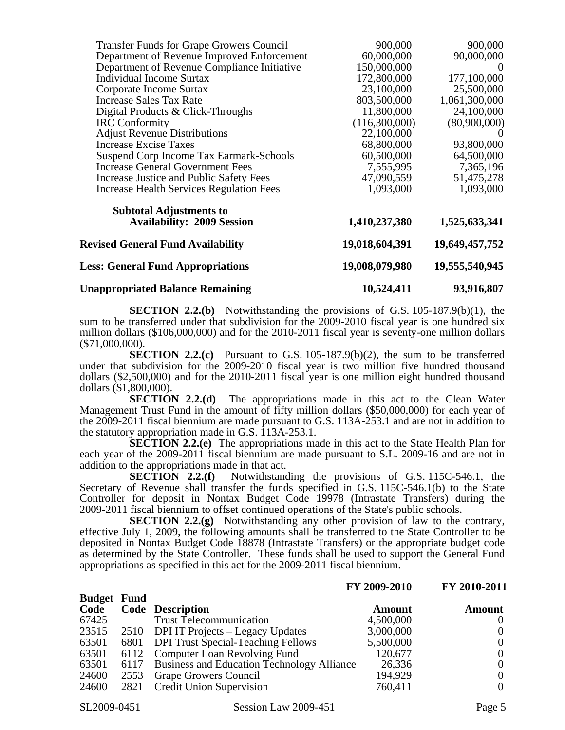| <b>Transfer Funds for Grape Growers Council</b> | 900,000        | 900,000        |
|-------------------------------------------------|----------------|----------------|
| Department of Revenue Improved Enforcement      | 60,000,000     | 90,000,000     |
| Department of Revenue Compliance Initiative     | 150,000,000    | $\theta$       |
| <b>Individual Income Surtax</b>                 | 172,800,000    | 177,100,000    |
| Corporate Income Surtax                         | 23,100,000     | 25,500,000     |
| <b>Increase Sales Tax Rate</b>                  | 803,500,000    | 1,061,300,000  |
| Digital Products & Click-Throughs               | 11,800,000     | 24,100,000     |
| <b>IRC</b> Conformity                           | (116,300,000)  | (80,900,000)   |
| <b>Adjust Revenue Distributions</b>             | 22,100,000     |                |
| <b>Increase Excise Taxes</b>                    | 68,800,000     | 93,800,000     |
| Suspend Corp Income Tax Earmark-Schools         | 60,500,000     | 64,500,000     |
| <b>Increase General Government Fees</b>         | 7,555,995      | 7,365,196      |
| <b>Increase Justice and Public Safety Fees</b>  | 47,090,559     | 51,475,278     |
| <b>Increase Health Services Regulation Fees</b> | 1,093,000      | 1,093,000      |
| <b>Subtotal Adjustments to</b>                  |                |                |
| <b>Availability: 2009 Session</b>               | 1,410,237,380  | 1,525,633,341  |
| <b>Revised General Fund Availability</b>        | 19,018,604,391 | 19,649,457,752 |
| <b>Less: General Fund Appropriations</b>        | 19,008,079,980 | 19,555,540,945 |
| <b>Unappropriated Balance Remaining</b>         | 10,524,411     | 93,916,807     |

**SECTION 2.2.(b)** Notwithstanding the provisions of G.S. 105-187.9(b)(1), the sum to be transferred under that subdivision for the 2009-2010 fiscal year is one hundred six million dollars (\$106,000,000) and for the 2010-2011 fiscal year is seventy-one million dollars (\$71,000,000).

**SECTION 2.2.(c)** Pursuant to G.S. 105-187.9(b)(2), the sum to be transferred under that subdivision for the 2009-2010 fiscal year is two million five hundred thousand dollars (\$2,500,000) and for the 2010-2011 fiscal year is one million eight hundred thousand dollars (\$1,800,000).

**SECTION 2.2.(d)** The appropriations made in this act to the Clean Water Management Trust Fund in the amount of fifty million dollars (\$50,000,000) for each year of the 2009-2011 fiscal biennium are made pursuant to G.S. 113A-253.1 and are not in addition to the statutory appropriation made in G.S.  $113A-253.1$ .

**SECTION 2.2.(e)** The appropriations made in this act to the State Health Plan for each year of the 2009-2011 fiscal biennium are made pursuant to S.L. 2009-16 and are not in addition to the appropriations made in that act.

**SECTION 2.2.(f)** Notwithstanding the provisions of G.S. 115C-546.1, the Secretary of Revenue shall transfer the funds specified in G.S. 115C-546.1(b) to the State Controller for deposit in Nontax Budget Code 19978 (Intrastate Transfers) during the 2009-2011 fiscal biennium to offset continued operations of the State's public schools.

**SECTION 2.2.(g)** Notwithstanding any other provision of law to the contrary, effective July 1, 2009, the following amounts shall be transferred to the State Controller to be deposited in Nontax Budget Code 18878 (Intrastate Transfers) or the appropriate budget code as determined by the State Controller. These funds shall be used to support the General Fund appropriations as specified in this act for the 2009-2011 fiscal biennium.

|                    |                                                 | FY 2009-2010 | FY 2010-2011 |
|--------------------|-------------------------------------------------|--------------|--------------|
| <b>Budget Fund</b> |                                                 |              |              |
| Code               | <b>Code Description</b>                         | Amount       | Amount       |
| 67425              | <b>Trust Telecommunication</b>                  | 4,500,000    |              |
| 23515              | 2510 DPI IT Projects – Legacy Updates           | 3,000,000    |              |
| 63501              | 6801 DPI Trust Special-Teaching Fellows         | 5,500,000    |              |
| 63501              | 6112 Computer Loan Revolving Fund               | 120,677      |              |
| 63501              | 6117 Business and Education Technology Alliance | 26,336       |              |
| 24600              | 2553 Grape Growers Council                      | 194,929      |              |
| 24600              | 2821 Credit Union Supervision                   | 760,411      |              |

SL2009-0451 Session Law 2009-451 Page 5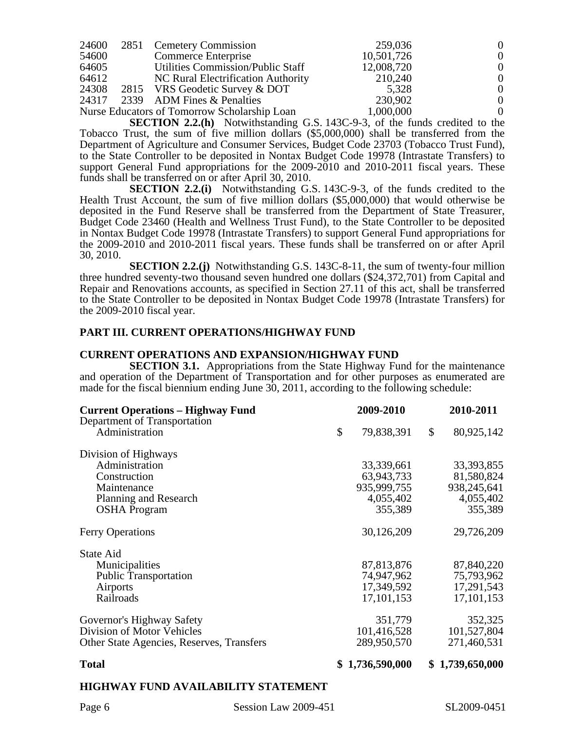|       | 24600 2851 Cemetery Commission               | 259,036    | $\theta$       |
|-------|----------------------------------------------|------------|----------------|
| 54600 | <b>Commerce Enterprise</b>                   | 10,501,726 | $\overline{0}$ |
| 64605 | <b>Utilities Commission/Public Staff</b>     | 12,008,720 | $\Omega$       |
| 64612 | NC Rural Electrification Authority           | 210,240    | $\Omega$       |
|       | 24308 2815 VRS Geodetic Survey & DOT         | 5,328      | $\theta$       |
|       | 24317 2339 ADM Fines & Penalties             | 230,902    | $\Omega$       |
|       | Nurse Educators of Tomorrow Scholarship Loan | 1,000,000  | $\Omega$       |

**SECTION 2.2.(h)** Notwithstanding G.S. 143C-9-3, of the funds credited to the Tobacco Trust, the sum of five million dollars (\$5,000,000) shall be transferred from the Department of Agriculture and Consumer Services, Budget Code 23703 (Tobacco Trust Fund), to the State Controller to be deposited in Nontax Budget Code 19978 (Intrastate Transfers) to support General Fund appropriations for the 2009-2010 and 2010-2011 fiscal years. These funds shall be transferred on or after April 30, 2010.

**SECTION 2.2.(i)** Notwithstanding G.S. 143C-9-3, of the funds credited to the Health Trust Account, the sum of five million dollars (\$5,000,000) that would otherwise be deposited in the Fund Reserve shall be transferred from the Department of State Treasurer, Budget Code 23460 (Health and Wellness Trust Fund), to the State Controller to be deposited in Nontax Budget Code 19978 (Intrastate Transfers) to support General Fund appropriations for the 2009-2010 and 2010-2011 fiscal years. These funds shall be transferred on or after April 30, 2010.

**SECTION 2.2.(j)** Notwithstanding G.S. 143C-8-11, the sum of twenty-four million three hundred seventy-two thousand seven hundred one dollars (\$24,372,701) from Capital and Repair and Renovations accounts, as specified in Section 27.11 of this act, shall be transferred to the State Controller to be deposited in Nontax Budget Code 19978 (Intrastate Transfers) for the 2009-2010 fiscal year.

#### **PART III. CURRENT OPERATIONS/HIGHWAY FUND**

#### **CURRENT OPERATIONS AND EXPANSION/HIGHWAY FUND**

**SECTION 3.1.** Appropriations from the State Highway Fund for the maintenance and operation of the Department of Transportation and for other purposes as enumerated are made for the fiscal biennium ending June 30, 2011, according to the following schedule:

| <b>Current Operations - Highway Fund</b>  | 2009-2010        | 2010-2011        |
|-------------------------------------------|------------------|------------------|
| Department of Transportation              |                  |                  |
| Administration                            | \$<br>79,838,391 | \$<br>80,925,142 |
| Division of Highways                      |                  |                  |
| Administration                            | 33,339,661       | 33, 393, 855     |
| Construction                              | 63,943,733       | 81,580,824       |
| Maintenance                               | 935,999,755      | 938,245,641      |
| Planning and Research                     | 4,055,402        | 4,055,402        |
| <b>OSHA</b> Program                       | 355,389          | 355,389          |
| <b>Ferry Operations</b>                   | 30,126,209       | 29,726,209       |
| State Aid                                 |                  |                  |
| Municipalities                            | 87,813,876       | 87,840,220       |
| <b>Public Transportation</b>              | 74,947,962       | 75,793,962       |
| Airports                                  | 17,349,592       | 17,291,543       |
| Railroads                                 | 17, 101, 153     | 17, 101, 153     |
| Governor's Highway Safety                 | 351,779          | 352,325          |
| Division of Motor Vehicles                | 101,416,528      | 101,527,804      |
| Other State Agencies, Reserves, Transfers | 289,950,570      | 271,460,531      |
|                                           |                  |                  |

**Total \$ 1,736,590,000 \$ 1,739,650,000** 

# **HIGHWAY FUND AVAILABILITY STATEMENT**

Page 6 Session Law 2009-451 SL2009-0451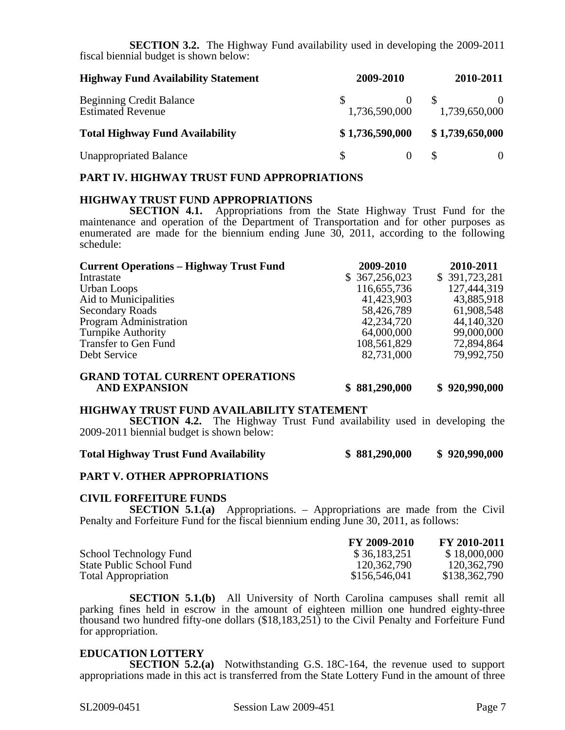**SECTION 3.2.** The Highway Fund availability used in developing the 2009-2011 fiscal biennial budget is shown below:

| <b>Highway Fund Availability Statement</b>                  | 2009-2010       |  | 2010-2011 |                 |
|-------------------------------------------------------------|-----------------|--|-----------|-----------------|
| <b>Beginning Credit Balance</b><br><b>Estimated Revenue</b> | 1,736,590,000   |  |           | 1,739,650,000   |
| <b>Total Highway Fund Availability</b>                      | \$1,736,590,000 |  |           | \$1,739,650,000 |
| <b>Unappropriated Balance</b>                               | S               |  | S         |                 |

#### **PART IV. HIGHWAY TRUST FUND APPROPRIATIONS**

#### **HIGHWAY TRUST FUND APPROPRIATIONS**

**SECTION 4.1.** Appropriations from the State Highway Trust Fund for the maintenance and operation of the Department of Transportation and for other purposes as enumerated are made for the biennium ending June 30, 2011, according to the following schedule:

| <b>Current Operations – Highway Trust Fund</b> | 2009-2010     | 2010-2011     |
|------------------------------------------------|---------------|---------------|
| Intrastate                                     | \$367,256,023 | \$391,723,281 |
| Urban Loops                                    | 116,655,736   | 127,444,319   |
| Aid to Municipalities                          | 41,423,903    | 43,885,918    |
| <b>Secondary Roads</b>                         | 58,426,789    | 61,908,548    |
| Program Administration                         | 42,234,720    | 44,140,320    |
| Turnpike Authority                             | 64,000,000    | 99,000,000    |
| <b>Transfer to Gen Fund</b>                    | 108,561,829   | 72,894,864    |
| Debt Service                                   | 82,731,000    | 79,992,750    |

# **GRAND TOTAL CURRENT OPERATIONS AND EXPANSION \$ 881,290,000 \$ 920,990,000**

#### **HIGHWAY TRUST FUND AVAILABILITY STATEMENT**

**SECTION 4.2.** The Highway Trust Fund availability used in developing the 2009-2011 biennial budget is shown below:

**Total Highway Trust Fund Availability \$ 881,290,000 \$ 920,990,000** 

#### **PART V. OTHER APPROPRIATIONS**

#### **CIVIL FORFEITURE FUNDS**

**SECTION 5.1.(a)** Appropriations. – Appropriations are made from the Civil Penalty and Forfeiture Fund for the fiscal biennium ending June 30, 2011, as follows:

|                                 | FY 2009-2010  | FY 2010-2011  |
|---------------------------------|---------------|---------------|
| School Technology Fund          | \$36,183,251  | \$18,000,000  |
| <b>State Public School Fund</b> | 120,362,790   | 120,362,790   |
| <b>Total Appropriation</b>      | \$156,546,041 | \$138,362,790 |

**SECTION 5.1.(b)** All University of North Carolina campuses shall remit all parking fines held in escrow in the amount of eighteen million one hundred eighty-three thousand two hundred fifty-one dollars (\$18,183,251) to the Civil Penalty and Forfeiture Fund for appropriation.

#### **EDUCATION LOTTERY**

**SECTION 5.2.(a)** Notwithstanding G.S. 18C-164, the revenue used to support appropriations made in this act is transferred from the State Lottery Fund in the amount of three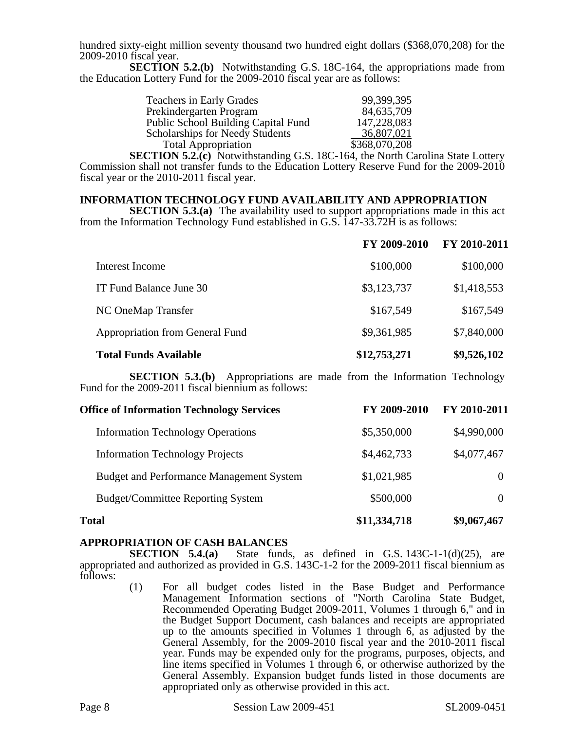hundred sixty-eight million seventy thousand two hundred eight dollars (\$368,070,208) for the 2009-2010 fiscal year.

**SECTION 5.2.(b)** Notwithstanding G.S. 18C-164, the appropriations made from the Education Lottery Fund for the 2009-2010 fiscal year are as follows:

| Teachers in Early Grades                   | 99,399,395    |
|--------------------------------------------|---------------|
| Prekindergarten Program                    | 84,635,709    |
| <b>Public School Building Capital Fund</b> | 147,228,083   |
| <b>Scholarships for Needy Students</b>     | 36,807,021    |
| <b>Total Appropriation</b>                 | \$368,070,208 |

**SECTION 5.2.(c)** Notwithstanding G.S. 18C-164, the North Carolina State Lottery Commission shall not transfer funds to the Education Lottery Reserve Fund for the 2009-2010 fiscal year or the 2010-2011 fiscal year.

#### **INFORMATION TECHNOLOGY FUND AVAILABILITY AND APPROPRIATION**

**SECTION 5.3.(a)** The availability used to support appropriations made in this act from the Information Technology Fund established in G.S. 147-33.72H is as follows:

|                                 | FY 2009-2010 | FY 2010-2011 |
|---------------------------------|--------------|--------------|
| <b>Interest Income</b>          | \$100,000    | \$100,000    |
| IT Fund Balance June 30         | \$3,123,737  | \$1,418,553  |
| NC OneMap Transfer              | \$167,549    | \$167,549    |
| Appropriation from General Fund | \$9,361,985  | \$7,840,000  |
| <b>Total Funds Available</b>    | \$12,753,271 | \$9,526,102  |

**SECTION 5.3.(b)** Appropriations are made from the Information Technology Fund for the 2009-2011 fiscal biennium as follows:

| <b>Office of Information Technology Services</b> | FY 2009-2010 | FY 2010-2011 |
|--------------------------------------------------|--------------|--------------|
| <b>Information Technology Operations</b>         | \$5,350,000  | \$4,990,000  |
| <b>Information Technology Projects</b>           | \$4,462,733  | \$4,077,467  |
| <b>Budget and Performance Management System</b>  | \$1,021,985  |              |
| <b>Budget/Committee Reporting System</b>         | \$500,000    | $\theta$     |
| Total                                            | \$11,334,718 | \$9,067,467  |

#### **APPROPRIATION OF CASH BALANCES**

**SECTION 5.4.(a)** State funds, as defined in G.S.  $143C-1-1(d)(25)$ , are appropriated and authorized as provided in G.S. 143C-1-2 for the 2009-2011 fiscal biennium as follows:

> (1) For all budget codes listed in the Base Budget and Performance Management Information sections of "North Carolina State Budget, Recommended Operating Budget 2009-2011, Volumes 1 through 6," and in the Budget Support Document, cash balances and receipts are appropriated up to the amounts specified in Volumes 1 through 6, as adjusted by the General Assembly, for the 2009-2010 fiscal year and the 2010-2011 fiscal year. Funds may be expended only for the programs, purposes, objects, and line items specified in Volumes 1 through 6, or otherwise authorized by the General Assembly. Expansion budget funds listed in those documents are appropriated only as otherwise provided in this act.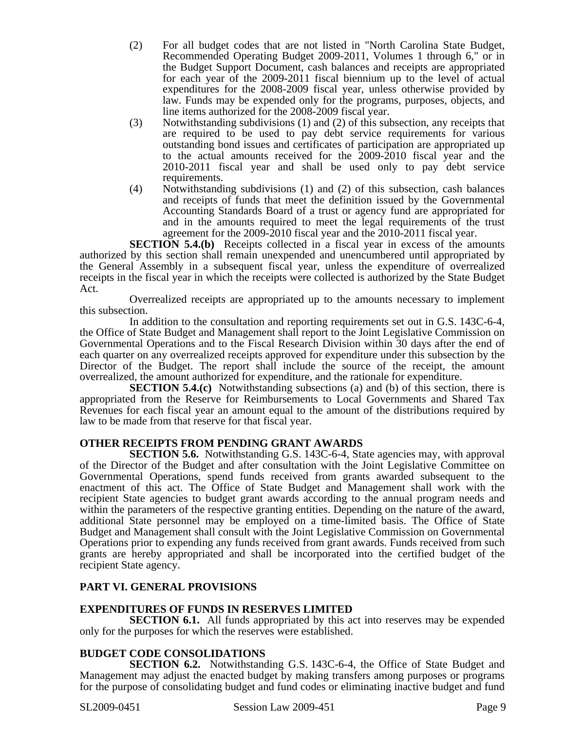- (2) For all budget codes that are not listed in "North Carolina State Budget, Recommended Operating Budget 2009-2011, Volumes 1 through 6," or in the Budget Support Document, cash balances and receipts are appropriated for each year of the 2009-2011 fiscal biennium up to the level of actual expenditures for the 2008-2009 fiscal year, unless otherwise provided by law. Funds may be expended only for the programs, purposes, objects, and line items authorized for the 2008-2009 fiscal year.
- (3) Notwithstanding subdivisions (1) and (2) of this subsection, any receipts that are required to be used to pay debt service requirements for various outstanding bond issues and certificates of participation are appropriated up to the actual amounts received for the 2009-2010 fiscal year and the 2010-2011 fiscal year and shall be used only to pay debt service requirements.
- (4) Notwithstanding subdivisions (1) and (2) of this subsection, cash balances and receipts of funds that meet the definition issued by the Governmental Accounting Standards Board of a trust or agency fund are appropriated for and in the amounts required to meet the legal requirements of the trust agreement for the 2009-2010 fiscal year and the 2010-2011 fiscal year.

**SECTION 5.4.(b)** Receipts collected in a fiscal year in excess of the amounts authorized by this section shall remain unexpended and unencumbered until appropriated by the General Assembly in a subsequent fiscal year, unless the expenditure of overrealized receipts in the fiscal year in which the receipts were collected is authorized by the State Budget Act.

Overrealized receipts are appropriated up to the amounts necessary to implement this subsection.

In addition to the consultation and reporting requirements set out in G.S. 143C-6-4, the Office of State Budget and Management shall report to the Joint Legislative Commission on Governmental Operations and to the Fiscal Research Division within 30 days after the end of each quarter on any overrealized receipts approved for expenditure under this subsection by the Director of the Budget. The report shall include the source of the receipt, the amount overrealized, the amount authorized for expenditure, and the rationale for expenditure.

**SECTION 5.4.(c)** Notwithstanding subsections (a) and (b) of this section, there is appropriated from the Reserve for Reimbursements to Local Governments and Shared Tax Revenues for each fiscal year an amount equal to the amount of the distributions required by law to be made from that reserve for that fiscal year.

# **OTHER RECEIPTS FROM PENDING GRANT AWARDS**

**SECTION 5.6.** Notwithstanding G.S. 143C-6-4, State agencies may, with approval of the Director of the Budget and after consultation with the Joint Legislative Committee on Governmental Operations, spend funds received from grants awarded subsequent to the enactment of this act. The Office of State Budget and Management shall work with the recipient State agencies to budget grant awards according to the annual program needs and within the parameters of the respective granting entities. Depending on the nature of the award, additional State personnel may be employed on a time-limited basis. The Office of State Budget and Management shall consult with the Joint Legislative Commission on Governmental Operations prior to expending any funds received from grant awards. Funds received from such grants are hereby appropriated and shall be incorporated into the certified budget of the recipient State agency.

# **PART VI. GENERAL PROVISIONS**

# **EXPENDITURES OF FUNDS IN RESERVES LIMITED**

**SECTION 6.1.** All funds appropriated by this act into reserves may be expended only for the purposes for which the reserves were established.

# **BUDGET CODE CONSOLIDATIONS**

**SECTION 6.2.** Notwithstanding G.S. 143C-6-4, the Office of State Budget and Management may adjust the enacted budget by making transfers among purposes or programs for the purpose of consolidating budget and fund codes or eliminating inactive budget and fund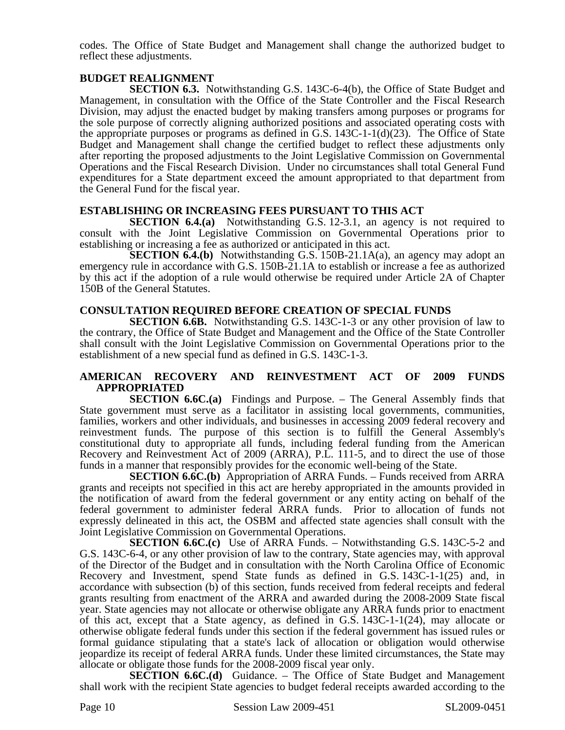codes. The Office of State Budget and Management shall change the authorized budget to reflect these adjustments.

# **BUDGET REALIGNMENT**

**SECTION 6.3.** Notwithstanding G.S. 143C-6-4(b), the Office of State Budget and Management, in consultation with the Office of the State Controller and the Fiscal Research Division, may adjust the enacted budget by making transfers among purposes or programs for the sole purpose of correctly aligning authorized positions and associated operating costs with the appropriate purposes or programs as defined in G.S.  $143C^{-1}$ - $1(d)(23)$ . The Office of State Budget and Management shall change the certified budget to reflect these adjustments only after reporting the proposed adjustments to the Joint Legislative Commission on Governmental Operations and the Fiscal Research Division. Under no circumstances shall total General Fund expenditures for a State department exceed the amount appropriated to that department from the General Fund for the fiscal year.

# **ESTABLISHING OR INCREASING FEES PURSUANT TO THIS ACT**

**SECTION 6.4.(a)** Notwithstanding G.S. 12-3.1, an agency is not required to consult with the Joint Legislative Commission on Governmental Operations prior to establishing or increasing a fee as authorized or anticipated in this act.

**SECTION 6.4.(b)** Notwithstanding G.S. 150B-21.1A(a), an agency may adopt an emergency rule in accordance with G.S. 150B-21.1A to establish or increase a fee as authorized by this act if the adoption of a rule would otherwise be required under Article 2A of Chapter 150B of the General Statutes.

# **CONSULTATION REQUIRED BEFORE CREATION OF SPECIAL FUNDS**

**SECTION 6.6B.** Notwithstanding G.S. 143C-1-3 or any other provision of law to the contrary, the Office of State Budget and Management and the Office of the State Controller shall consult with the Joint Legislative Commission on Governmental Operations prior to the establishment of a new special fund as defined in G.S. 143C-1-3.

#### **AMERICAN RECOVERY AND REINVESTMENT ACT OF 2009 FUNDS APPROPRIATED**

**SECTION 6.6C.(a)** Findings and Purpose. – The General Assembly finds that State government must serve as a facilitator in assisting local governments, communities, families, workers and other individuals, and businesses in accessing 2009 federal recovery and reinvestment funds. The purpose of this section is to fulfill the General Assembly's constitutional duty to appropriate all funds, including federal funding from the American Recovery and Reinvestment Act of 2009 (ARRA), P.L. 111-5, and to direct the use of those funds in a manner that responsibly provides for the economic well-being of the State.

**SECTION 6.6C.(b)** Appropriation of ARRA Funds. – Funds received from ARRA grants and receipts not specified in this act are hereby appropriated in the amounts provided in the notification of award from the federal government or any entity acting on behalf of the federal government to administer federal ARRA funds. Prior to allocation of funds not expressly delineated in this act, the OSBM and affected state agencies shall consult with the Joint Legislative Commission on Governmental Operations.

**SECTION 6.6C.(c)** Use of ARRA Funds. – Notwithstanding G.S. 143C-5-2 and G.S. 143C-6-4, or any other provision of law to the contrary, State agencies may, with approval of the Director of the Budget and in consultation with the North Carolina Office of Economic Recovery and Investment, spend State funds as defined in G.S. 143C-1-1(25) and, in accordance with subsection (b) of this section, funds received from federal receipts and federal grants resulting from enactment of the ARRA and awarded during the 2008-2009 State fiscal year. State agencies may not allocate or otherwise obligate any ARRA funds prior to enactment of this act, except that a State agency, as defined in G.S. 143C-1-1(24), may allocate or otherwise obligate federal funds under this section if the federal government has issued rules or formal guidance stipulating that a state's lack of allocation or obligation would otherwise jeopardize its receipt of federal ARRA funds. Under these limited circumstances, the State may allocate or obligate those funds for the 2008-2009 fiscal year only.

**SECTION 6.6C.(d)** Guidance. – The Office of State Budget and Management shall work with the recipient State agencies to budget federal receipts awarded according to the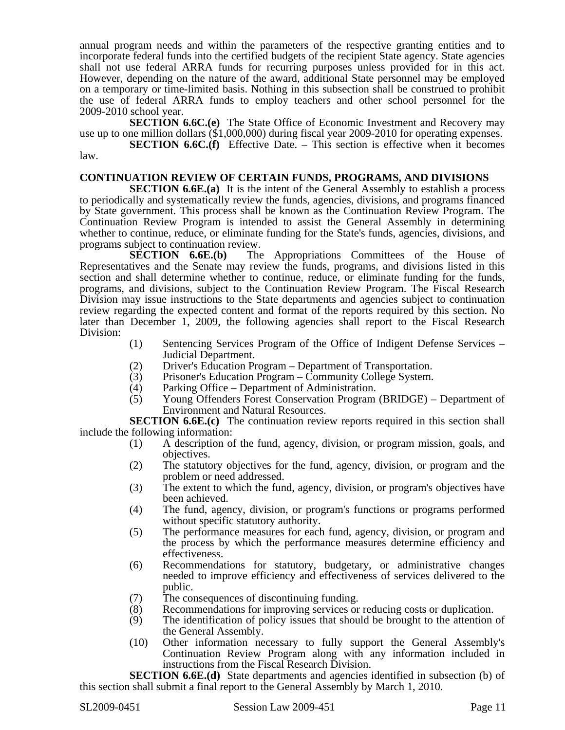annual program needs and within the parameters of the respective granting entities and to incorporate federal funds into the certified budgets of the recipient State agency. State agencies shall not use federal ARRA funds for recurring purposes unless provided for in this act. However, depending on the nature of the award, additional State personnel may be employed on a temporary or time-limited basis. Nothing in this subsection shall be construed to prohibit the use of federal ARRA funds to employ teachers and other school personnel for the 2009-2010 school year.

**SECTION 6.6C.(e)** The State Office of Economic Investment and Recovery may use up to one million dollars (\$1,000,000) during fiscal year 2009-2010 for operating expenses.

**SECTION 6.6C.(f)** Effective Date. – This section is effective when it becomes law.

# **CONTINUATION REVIEW OF CERTAIN FUNDS, PROGRAMS, AND DIVISIONS**

**SECTION 6.6E.**(a) It is the intent of the General Assembly to establish a process to periodically and systematically review the funds, agencies, divisions, and programs financed by State government. This process shall be known as the Continuation Review Program. The Continuation Review Program is intended to assist the General Assembly in determining whether to continue, reduce, or eliminate funding for the State's funds, agencies, divisions, and programs subject to continuation review.

**SECTION 6.6E.(b)** The Appropriations Committees of the House of Representatives and the Senate may review the funds, programs, and divisions listed in this section and shall determine whether to continue, reduce, or eliminate funding for the funds, programs, and divisions, subject to the Continuation Review Program. The Fiscal Research Division may issue instructions to the State departments and agencies subject to continuation review regarding the expected content and format of the reports required by this section. No later than December 1, 2009, the following agencies shall report to the Fiscal Research Division:

- (1) Sentencing Services Program of the Office of Indigent Defense Services Judicial Department.
- (2) Driver's Education Program Department of Transportation.
- (3) Prisoner's Education Program Community College System.<br>
(4) Parking Office Department of Administration.
- Parking Office Department of Administration.
- (5) Young Offenders Forest Conservation Program (BRIDGE) Department of Environment and Natural Resources.

**SECTION 6.6E.(c)** The continuation review reports required in this section shall include the following information:

- (1) A description of the fund, agency, division, or program mission, goals, and objectives.
- (2) The statutory objectives for the fund, agency, division, or program and the problem or need addressed.
- (3) The extent to which the fund, agency, division, or program's objectives have been achieved.
- (4) The fund, agency, division, or program's functions or programs performed without specific statutory authority.
- (5) The performance measures for each fund, agency, division, or program and the process by which the performance measures determine efficiency and effectiveness.
- (6) Recommendations for statutory, budgetary, or administrative changes needed to improve efficiency and effectiveness of services delivered to the public.
- (7) The consequences of discontinuing funding.<br>(8) Recommendations for improving services or
- (8) Recommendations for improving services or reducing costs or duplication.<br>(9) The identification of policy issues that should be brought to the attention
- The identification of policy issues that should be brought to the attention of the General Assembly.
- (10) Other information necessary to fully support the General Assembly's Continuation Review Program along with any information included in instructions from the Fiscal Research Division.

**SECTION 6.6E.(d)** State departments and agencies identified in subsection (b) of this section shall submit a final report to the General Assembly by March 1, 2010.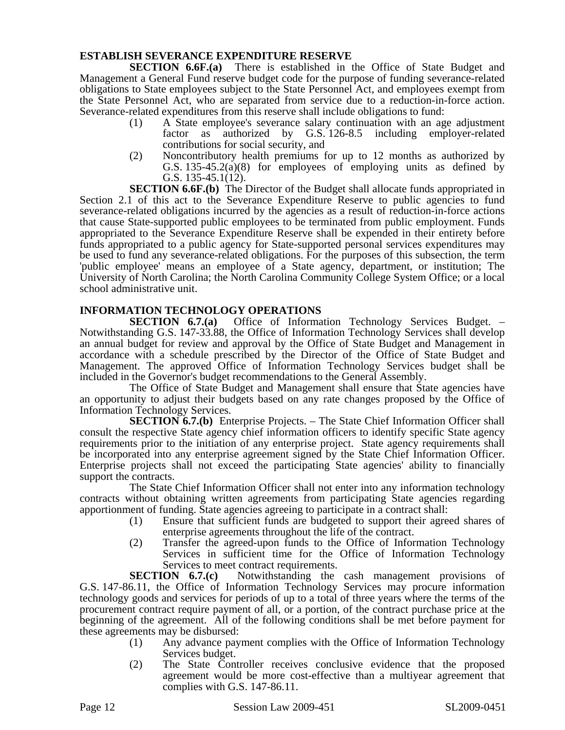# **ESTABLISH SEVERANCE EXPENDITURE RESERVE**

**SECTION 6.6F.(a)** There is established in the Office of State Budget and Management a General Fund reserve budget code for the purpose of funding severance-related obligations to State employees subject to the State Personnel Act, and employees exempt from the State Personnel Act, who are separated from service due to a reduction-in-force action. Severance-related expenditures from this reserve shall include obligations to fund:

- (1) A State employee's severance salary continuation with an age adjustment factor as authorized by G.S. 126-8.5 including employer-related contributions for social security, and
- (2) Noncontributory health premiums for up to 12 months as authorized by G.S.  $135-45.2(a)(8)$  for employees of employing units as defined by G.S. 135-45.1(12).

**SECTION 6.6F.(b)** The Director of the Budget shall allocate funds appropriated in Section 2.1 of this act to the Severance Expenditure Reserve to public agencies to fund severance-related obligations incurred by the agencies as a result of reduction-in-force actions that cause State-supported public employees to be terminated from public employment. Funds appropriated to the Severance Expenditure Reserve shall be expended in their entirety before funds appropriated to a public agency for State-supported personal services expenditures may be used to fund any severance-related obligations. For the purposes of this subsection, the term 'public employee' means an employee of a State agency, department, or institution; The University of North Carolina; the North Carolina Community College System Office; or a local school administrative unit.

# **INFORMATION TECHNOLOGY OPERATIONS<br>SECTION 6.7.(a)** Office of Informa

Office of Information Technology Services Budget. – Notwithstanding G.S. 147-33.88, the Office of Information Technology Services shall develop an annual budget for review and approval by the Office of State Budget and Management in accordance with a schedule prescribed by the Director of the Office of State Budget and Management. The approved Office of Information Technology Services budget shall be included in the Governor's budget recommendations to the General Assembly.

The Office of State Budget and Management shall ensure that State agencies have an opportunity to adjust their budgets based on any rate changes proposed by the Office of Information Technology Services.

**SECTION 6.7.(b)** Enterprise Projects. – The State Chief Information Officer shall consult the respective State agency chief information officers to identify specific State agency requirements prior to the initiation of any enterprise project. State agency requirements shall be incorporated into any enterprise agreement signed by the State Chief Information Officer. Enterprise projects shall not exceed the participating State agencies' ability to financially support the contracts.

The State Chief Information Officer shall not enter into any information technology contracts without obtaining written agreements from participating State agencies regarding apportionment of funding. State agencies agreeing to participate in a contract shall:

- (1) Ensure that sufficient funds are budgeted to support their agreed shares of enterprise agreements throughout the life of the contract.
- (2) Transfer the agreed-upon funds to the Office of Information Technology Services in sufficient time for the Office of Information Technology Services to meet contract requirements.

**SECTION 6.7.(c)** Notwithstanding the cash management provisions of G.S. 147-86.11, the Office of Information Technology Services may procure information technology goods and services for periods of up to a total of three years where the terms of the procurement contract require payment of all, or a portion, of the contract purchase price at the beginning of the agreement. All of the following conditions shall be met before payment for these agreements may be disbursed:

- (1) Any advance payment complies with the Office of Information Technology Services budget.
- (2) The State Controller receives conclusive evidence that the proposed agreement would be more cost-effective than a multiyear agreement that complies with G.S. 147-86.11.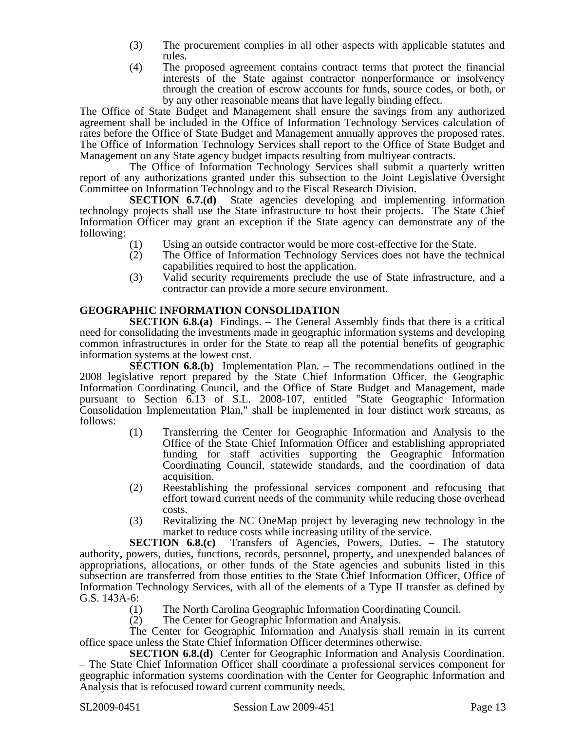- (3) The procurement complies in all other aspects with applicable statutes and rules.
- (4) The proposed agreement contains contract terms that protect the financial interests of the State against contractor nonperformance or insolvency through the creation of escrow accounts for funds, source codes, or both, or by any other reasonable means that have legally binding effect.

The Office of State Budget and Management shall ensure the savings from any authorized agreement shall be included in the Office of Information Technology Services calculation of rates before the Office of State Budget and Management annually approves the proposed rates. The Office of Information Technology Services shall report to the Office of State Budget and Management on any State agency budget impacts resulting from multiyear contracts.

The Office of Information Technology Services shall submit a quarterly written report of any authorizations granted under this subsection to the Joint Legislative Oversight Committee on Information Technology and to the Fiscal Research Division.

**SECTION 6.7.(d)** State agencies developing and implementing information technology projects shall use the State infrastructure to host their projects. The State Chief Information Officer may grant an exception if the State agency can demonstrate any of the following:

- (1) Using an outside contractor would be more cost-effective for the State.
- (2) The Office of Information Technology Services does not have the technical capabilities required to host the application.
- (3) Valid security requirements preclude the use of State infrastructure, and a contractor can provide a more secure environment.

# **GEOGRAPHIC INFORMATION CONSOLIDATION**

**SECTION 6.8.(a)** Findings. – The General Assembly finds that there is a critical need for consolidating the investments made in geographic information systems and developing common infrastructures in order for the State to reap all the potential benefits of geographic information systems at the lowest cost.

**SECTION 6.8.(b)** Implementation Plan. – The recommendations outlined in the 2008 legislative report prepared by the State Chief Information Officer, the Geographic Information Coordinating Council, and the Office of State Budget and Management, made pursuant to Section 6.13 of S.L. 2008-107, entitled "State Geographic Information Consolidation Implementation Plan," shall be implemented in four distinct work streams, as follows:

- (1) Transferring the Center for Geographic Information and Analysis to the Office of the State Chief Information Officer and establishing appropriated funding for staff activities supporting the Geographic Information Coordinating Council, statewide standards, and the coordination of data acquisition.
- (2) Reestablishing the professional services component and refocusing that effort toward current needs of the community while reducing those overhead costs.
- (3) Revitalizing the NC OneMap project by leveraging new technology in the market to reduce costs while increasing utility of the service.

**SECTION 6.8.(c)** Transfers of Agencies, Powers, Duties. – The statutory authority, powers, duties, functions, records, personnel, property, and unexpended balances of appropriations, allocations, or other funds of the State agencies and subunits listed in this subsection are transferred from those entities to the State Chief Information Officer, Office of Information Technology Services, with all of the elements of a Type II transfer as defined by G.S. 143A-6:

- (1) The North Carolina Geographic Information Coordinating Council.
- (2) The Center for Geographic Information and Analysis.

The Center for Geographic Information and Analysis shall remain in its current office space unless the State Chief Information Officer determines otherwise.

**SECTION 6.8.(d)** Center for Geographic Information and Analysis Coordination. – The State Chief Information Officer shall coordinate a professional services component for geographic information systems coordination with the Center for Geographic Information and Analysis that is refocused toward current community needs.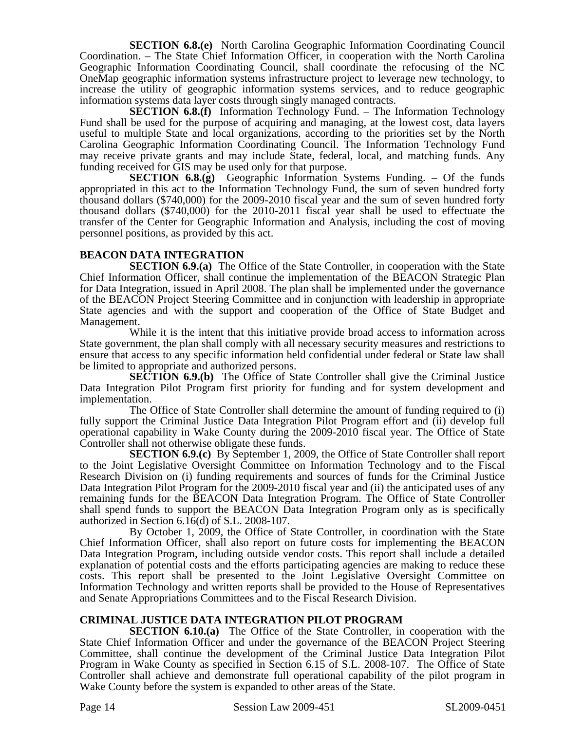**SECTION 6.8.(e)** North Carolina Geographic Information Coordinating Council Coordination. – The State Chief Information Officer, in cooperation with the North Carolina Geographic Information Coordinating Council, shall coordinate the refocusing of the NC OneMap geographic information systems infrastructure project to leverage new technology, to increase the utility of geographic information systems services, and to reduce geographic information systems data layer costs through singly managed contracts.

**SECTION 6.8.(f)** Information Technology Fund. – The Information Technology Fund shall be used for the purpose of acquiring and managing, at the lowest cost, data layers useful to multiple State and local organizations, according to the priorities set by the North Carolina Geographic Information Coordinating Council. The Information Technology Fund may receive private grants and may include State, federal, local, and matching funds. Any funding received for GIS may be used only for that purpose.

**SECTION 6.8.(g)** Geographic Information Systems Funding. – Of the funds appropriated in this act to the Information Technology Fund, the sum of seven hundred forty thousand dollars (\$740,000) for the 2009-2010 fiscal year and the sum of seven hundred forty thousand dollars (\$740,000) for the 2010-2011 fiscal year shall be used to effectuate the transfer of the Center for Geographic Information and Analysis, including the cost of moving personnel positions, as provided by this act.

# **BEACON DATA INTEGRATION**

**SECTION 6.9.(a)** The Office of the State Controller, in cooperation with the State Chief Information Officer, shall continue the implementation of the BEACON Strategic Plan for Data Integration, issued in April 2008. The plan shall be implemented under the governance of the BEACON Project Steering Committee and in conjunction with leadership in appropriate State agencies and with the support and cooperation of the Office of State Budget and Management.

While it is the intent that this initiative provide broad access to information across State government, the plan shall comply with all necessary security measures and restrictions to ensure that access to any specific information held confidential under federal or State law shall be limited to appropriate and authorized persons.

**SECTION 6.9.(b)** The Office of State Controller shall give the Criminal Justice Data Integration Pilot Program first priority for funding and for system development and implementation.

The Office of State Controller shall determine the amount of funding required to (i) fully support the Criminal Justice Data Integration Pilot Program effort and (ii) develop full operational capability in Wake County during the 2009-2010 fiscal year. The Office of State Controller shall not otherwise obligate these funds.

**SECTION 6.9.(c)** By September 1, 2009, the Office of State Controller shall report to the Joint Legislative Oversight Committee on Information Technology and to the Fiscal Research Division on (i) funding requirements and sources of funds for the Criminal Justice Data Integration Pilot Program for the 2009-2010 fiscal year and (ii) the anticipated uses of any remaining funds for the BEACON Data Integration Program. The Office of State Controller shall spend funds to support the BEACON Data Integration Program only as is specifically authorized in Section  $6.\overline{16}$ (d) of S.L. 2008-107.

By October 1, 2009, the Office of State Controller, in coordination with the State Chief Information Officer, shall also report on future costs for implementing the BEACON Data Integration Program, including outside vendor costs. This report shall include a detailed explanation of potential costs and the efforts participating agencies are making to reduce these costs. This report shall be presented to the Joint Legislative Oversight Committee on Information Technology and written reports shall be provided to the House of Representatives and Senate Appropriations Committees and to the Fiscal Research Division.

# **CRIMINAL JUSTICE DATA INTEGRATION PILOT PROGRAM**

**SECTION 6.10.(a)** The Office of the State Controller, in cooperation with the State Chief Information Officer and under the governance of the BEACON Project Steering Committee, shall continue the development of the Criminal Justice Data Integration Pilot Program in Wake County as specified in Section 6.15 of S.L. 2008-107. The Office of State Controller shall achieve and demonstrate full operational capability of the pilot program in Wake County before the system is expanded to other areas of the State.

Page 14 Session Law 2009-451 SL2009-0451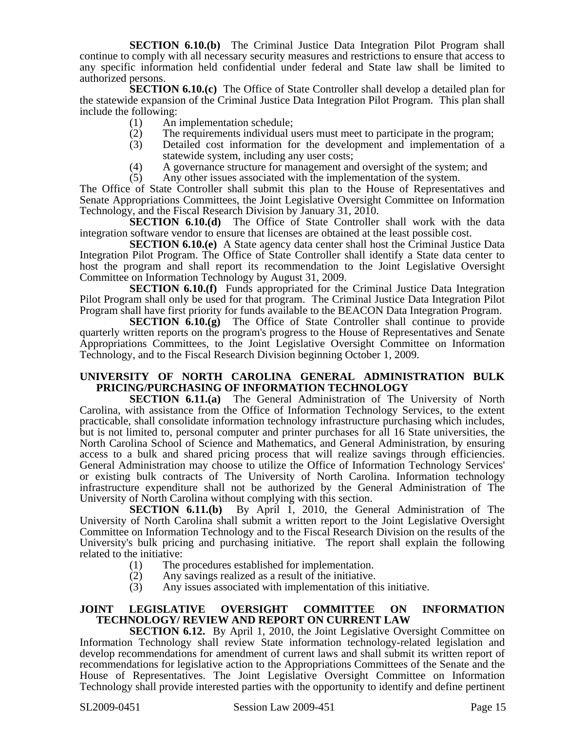**SECTION 6.10.(b)** The Criminal Justice Data Integration Pilot Program shall continue to comply with all necessary security measures and restrictions to ensure that access to any specific information held confidential under federal and State law shall be limited to authorized persons.

**SECTION 6.10.(c)** The Office of State Controller shall develop a detailed plan for the statewide expansion of the Criminal Justice Data Integration Pilot Program. This plan shall include the following:

- (1) An implementation schedule;<br>(2) The requirements individual u
- The requirements individual users must meet to participate in the program;
- (3) Detailed cost information for the development and implementation of a statewide system, including any user costs;
- (4) A governance structure for management and oversight of the system; and
- (5) Any other issues associated with the implementation of the system.

The Office of State Controller shall submit this plan to the House of Representatives and Senate Appropriations Committees, the Joint Legislative Oversight Committee on Information Technology, and the Fiscal Research Division by January 31, 2010.

**SECTION 6.10.(d)** The Office of State Controller shall work with the data integration software vendor to ensure that licenses are obtained at the least possible cost.

**SECTION 6.10.(e)** A State agency data center shall host the Criminal Justice Data Integration Pilot Program. The Office of State Controller shall identify a State data center to host the program and shall report its recommendation to the Joint Legislative Oversight Committee on Information Technology by August 31, 2009.

**SECTION 6.10.(f)** Funds appropriated for the Criminal Justice Data Integration Pilot Program shall only be used for that program. The Criminal Justice Data Integration Pilot Program shall have first priority for funds available to the BEACON Data Integration Program.

**SECTION 6.10.(g)** The Office of State Controller shall continue to provide quarterly written reports on the program's progress to the House of Representatives and Senate Appropriations Committees, to the Joint Legislative Oversight Committee on Information Technology, and to the Fiscal Research Division beginning October 1, 2009.

#### **UNIVERSITY OF NORTH CAROLINA GENERAL ADMINISTRATION BULK PRICING/PURCHASING OF INFORMATION TECHNOLOGY**

**SECTION 6.11.(a)** The General Administration of The University of North Carolina, with assistance from the Office of Information Technology Services, to the extent practicable, shall consolidate information technology infrastructure purchasing which includes, but is not limited to, personal computer and printer purchases for all 16 State universities, the North Carolina School of Science and Mathematics, and General Administration, by ensuring access to a bulk and shared pricing process that will realize savings through efficiencies. General Administration may choose to utilize the Office of Information Technology Services' or existing bulk contracts of The University of North Carolina. Information technology infrastructure expenditure shall not be authorized by the General Administration of The University of North Carolina without complying with this section.

**SECTION 6.11.(b)** By April 1, 2010, the General Administration of The University of North Carolina shall submit a written report to the Joint Legislative Oversight Committee on Information Technology and to the Fiscal Research Division on the results of the University's bulk pricing and purchasing initiative. The report shall explain the following related to the initiative:

- (1) The procedures established for implementation.
- (2) Any savings realized as a result of the initiative.
- (3) Any issues associated with implementation of this initiative.

#### **JOINT LEGISLATIVE OVERSIGHT COMMITTEE ON INFORMATION TECHNOLOGY/ REVIEW AND REPORT ON CURRENT LAW**

**SECTION 6.12.** By April 1, 2010, the Joint Legislative Oversight Committee on Information Technology shall review State information technology-related legislation and develop recommendations for amendment of current laws and shall submit its written report of recommendations for legislative action to the Appropriations Committees of the Senate and the House of Representatives. The Joint Legislative Oversight Committee on Information Technology shall provide interested parties with the opportunity to identify and define pertinent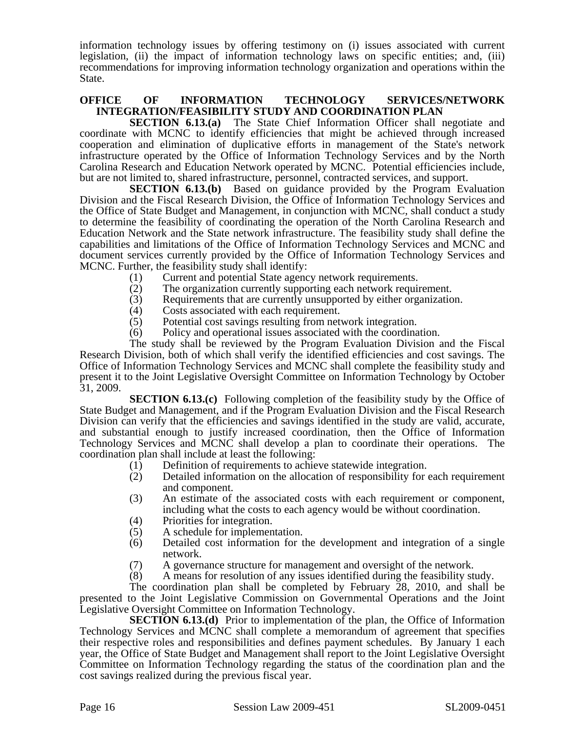information technology issues by offering testimony on (i) issues associated with current legislation, (ii) the impact of information technology laws on specific entities; and, (iii) recommendations for improving information technology organization and operations within the State.

# **OFFICE OF INFORMATION TECHNOLOGY SERVICES/NETWORK INTEGRATION/FEASIBILITY STUDY AND COORDINATION PLAN**

**SECTION 6.13.(a)** The State Chief Information Officer shall negotiate and coordinate with MCNC to identify efficiencies that might be achieved through increased cooperation and elimination of duplicative efforts in management of the State's network infrastructure operated by the Office of Information Technology Services and by the North Carolina Research and Education Network operated by MCNC. Potential efficiencies include, but are not limited to, shared infrastructure, personnel, contracted services, and support.

**SECTION 6.13.(b)** Based on guidance provided by the Program Evaluation Division and the Fiscal Research Division, the Office of Information Technology Services and the Office of State Budget and Management, in conjunction with MCNC, shall conduct a study to determine the feasibility of coordinating the operation of the North Carolina Research and Education Network and the State network infrastructure. The feasibility study shall define the capabilities and limitations of the Office of Information Technology Services and MCNC and document services currently provided by the Office of Information Technology Services and MCNC. Further, the feasibility study shall identify:

- 
- (1) Current and potential State agency network requirements.<br>(2) The organization currently supporting each network require The organization currently supporting each network requirement.
- (3) Requirements that are currently unsupported by either organization.<br>
(4) Costs associated with each requirement.
- Costs associated with each requirement.
- 
- (5) Potential cost savings resulting from network integration.<br>
(6) Policy and operational issues associated with the coordina Policy and operational issues associated with the coordination.

The study shall be reviewed by the Program Evaluation Division and the Fiscal Research Division, both of which shall verify the identified efficiencies and cost savings. The Office of Information Technology Services and MCNC shall complete the feasibility study and present it to the Joint Legislative Oversight Committee on Information Technology by October 31, 2009.

**SECTION 6.13.(c)** Following completion of the feasibility study by the Office of State Budget and Management, and if the Program Evaluation Division and the Fiscal Research Division can verify that the efficiencies and savings identified in the study are valid, accurate, and substantial enough to justify increased coordination, then the Office of Information Technology Services and MCNC shall develop a plan to coordinate their operations. The coordination plan shall include at least the following:

- (1) Definition of requirements to achieve statewide integration.
- (2) Detailed information on the allocation of responsibility for each requirement and component.
- (3) An estimate of the associated costs with each requirement or component, including what the costs to each agency would be without coordination.
- (4) Priorities for integration.<br>(5) A schedule for implement
- A schedule for implementation.
- (6) Detailed cost information for the development and integration of a single network.
- (7) A governance structure for management and oversight of the network.
- (8) A means for resolution of any issues identified during the feasibility study.

The coordination plan shall be completed by February 28, 2010, and shall be presented to the Joint Legislative Commission on Governmental Operations and the Joint Legislative Oversight Committee on Information Technology.

**SECTION 6.13.(d)** Prior to implementation of the plan, the Office of Information Technology Services and MCNC shall complete a memorandum of agreement that specifies their respective roles and responsibilities and defines payment schedules. By January 1 each year, the Office of State Budget and Management shall report to the Joint Legislative Oversight Committee on Information Technology regarding the status of the coordination plan and the cost savings realized during the previous fiscal year.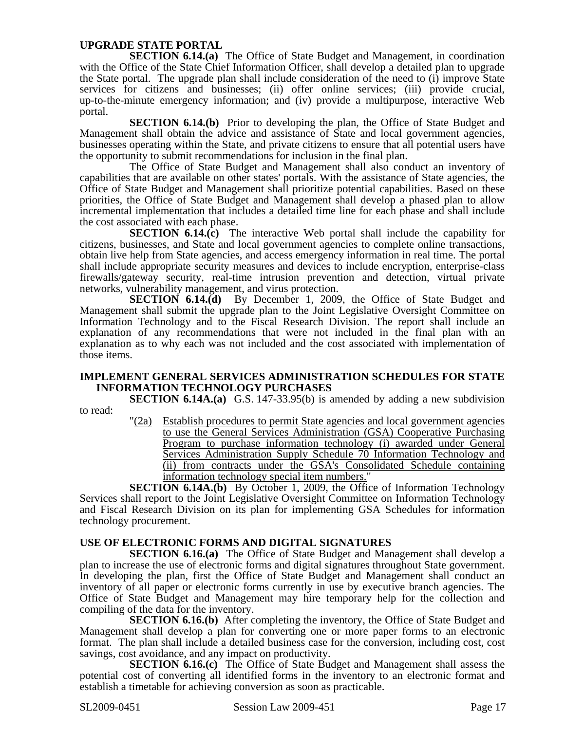#### **UPGRADE STATE PORTAL**

**SECTION 6.14.(a)** The Office of State Budget and Management, in coordination with the Office of the State Chief Information Officer, shall develop a detailed plan to upgrade the State portal. The upgrade plan shall include consideration of the need to (i) improve State services for citizens and businesses; (ii) offer online services; (iii) provide crucial, up-to-the-minute emergency information; and (iv) provide a multipurpose, interactive Web portal.

**SECTION 6.14.(b)** Prior to developing the plan, the Office of State Budget and Management shall obtain the advice and assistance of State and local government agencies, businesses operating within the State, and private citizens to ensure that all potential users have the opportunity to submit recommendations for inclusion in the final plan.

The Office of State Budget and Management shall also conduct an inventory of capabilities that are available on other states' portals. With the assistance of State agencies, the Office of State Budget and Management shall prioritize potential capabilities. Based on these priorities, the Office of State Budget and Management shall develop a phased plan to allow incremental implementation that includes a detailed time line for each phase and shall include the cost associated with each phase.

**SECTION 6.14.(c)** The interactive Web portal shall include the capability for citizens, businesses, and State and local government agencies to complete online transactions, obtain live help from State agencies, and access emergency information in real time. The portal shall include appropriate security measures and devices to include encryption, enterprise-class firewalls/gateway security, real-time intrusion prevention and detection, virtual private networks, vulnerability management, and virus protection.

**SECTION 6.14.(d)** By December 1, 2009, the Office of State Budget and Management shall submit the upgrade plan to the Joint Legislative Oversight Committee on Information Technology and to the Fiscal Research Division. The report shall include an explanation of any recommendations that were not included in the final plan with an explanation as to why each was not included and the cost associated with implementation of those items.

#### **IMPLEMENT GENERAL SERVICES ADMINISTRATION SCHEDULES FOR STATE INFORMATION TECHNOLOGY PURCHASES**

**SECTION 6.14A.(a)** G.S. 147-33.95(b) is amended by adding a new subdivision

to read:

"(2a) Establish procedures to permit State agencies and local government agencies to use the General Services Administration (GSA) Cooperative Purchasing Program to purchase information technology (i) awarded under General Services Administration Supply Schedule 70 Information Technology and (ii) from contracts under the GSA's Consolidated Schedule containing information technology special item numbers."

**SECTION 6.14A.(b)** By October 1, 2009, the Office of Information Technology Services shall report to the Joint Legislative Oversight Committee on Information Technology and Fiscal Research Division on its plan for implementing GSA Schedules for information technology procurement.

# **USE OF ELECTRONIC FORMS AND DIGITAL SIGNATURES**

**SECTION 6.16.(a)** The Office of State Budget and Management shall develop a plan to increase the use of electronic forms and digital signatures throughout State government. In developing the plan, first the Office of State Budget and Management shall conduct an inventory of all paper or electronic forms currently in use by executive branch agencies. The Office of State Budget and Management may hire temporary help for the collection and compiling of the data for the inventory.

**SECTION 6.16.(b)** After completing the inventory, the Office of State Budget and Management shall develop a plan for converting one or more paper forms to an electronic format. The plan shall include a detailed business case for the conversion, including cost, cost savings, cost avoidance, and any impact on productivity.

**SECTION 6.16.(c)** The Office of State Budget and Management shall assess the potential cost of converting all identified forms in the inventory to an electronic format and establish a timetable for achieving conversion as soon as practicable.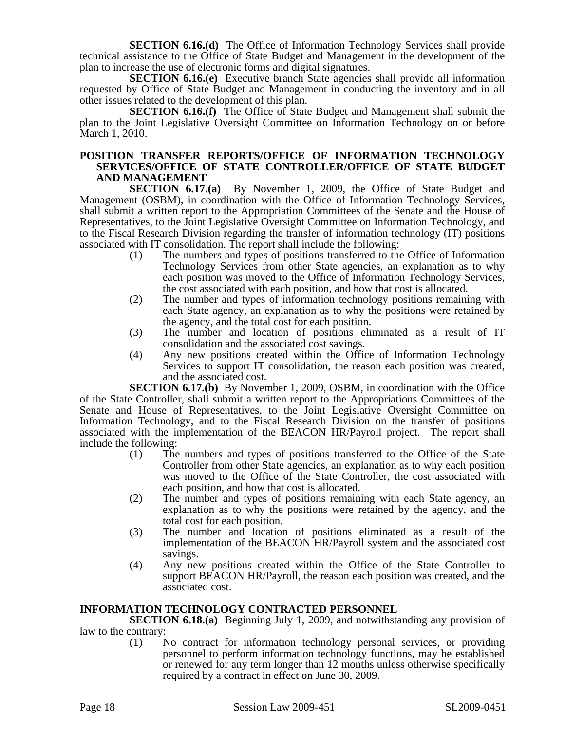**SECTION 6.16.(d)** The Office of Information Technology Services shall provide technical assistance to the Office of State Budget and Management in the development of the plan to increase the use of electronic forms and digital signatures.

**SECTION 6.16.(e)** Executive branch State agencies shall provide all information requested by Office of State Budget and Management in conducting the inventory and in all other issues related to the development of this plan.

**SECTION 6.16.(f)** The Office of State Budget and Management shall submit the plan to the Joint Legislative Oversight Committee on Information Technology on or before March 1, 2010.

#### **POSITION TRANSFER REPORTS/OFFICE OF INFORMATION TECHNOLOGY SERVICES/OFFICE OF STATE CONTROLLER/OFFICE OF STATE BUDGET AND MANAGEMENT**

**SECTION 6.17.(a)** By November 1, 2009, the Office of State Budget and Management (OSBM), in coordination with the Office of Information Technology Services, shall submit a written report to the Appropriation Committees of the Senate and the House of Representatives, to the Joint Legislative Oversight Committee on Information Technology, and to the Fiscal Research Division regarding the transfer of information technology (IT) positions associated with IT consolidation. The report shall include the following:

- (1) The numbers and types of positions transferred to the Office of Information Technology Services from other State agencies, an explanation as to why each position was moved to the Office of Information Technology Services, the cost associated with each position, and how that cost is allocated.
- (2) The number and types of information technology positions remaining with each State agency, an explanation as to why the positions were retained by the agency, and the total cost for each position.
- (3) The number and location of positions eliminated as a result of IT consolidation and the associated cost savings.
- (4) Any new positions created within the Office of Information Technology Services to support IT consolidation, the reason each position was created, and the associated cost.

**SECTION 6.17.(b)** By November 1, 2009, OSBM, in coordination with the Office of the State Controller, shall submit a written report to the Appropriations Committees of the Senate and House of Representatives, to the Joint Legislative Oversight Committee on Information Technology, and to the Fiscal Research Division on the transfer of positions associated with the implementation of the BEACON HR/Payroll project. The report shall include the following:

- (1) The numbers and types of positions transferred to the Office of the State Controller from other State agencies, an explanation as to why each position was moved to the Office of the State Controller, the cost associated with each position, and how that cost is allocated.
- (2) The number and types of positions remaining with each State agency, an explanation as to why the positions were retained by the agency, and the total cost for each position.
- (3) The number and location of positions eliminated as a result of the implementation of the BEACON HR/Payroll system and the associated cost savings.
- (4) Any new positions created within the Office of the State Controller to support BEACON HR/Payroll, the reason each position was created, and the associated cost.

# **INFORMATION TECHNOLOGY CONTRACTED PERSONNEL**

**SECTION 6.18.(a)** Beginning July 1, 2009, and notwithstanding any provision of law to the contrary:

(1) No contract for information technology personal services, or providing personnel to perform information technology functions, may be established or renewed for any term longer than 12 months unless otherwise specifically required by a contract in effect on June 30, 2009.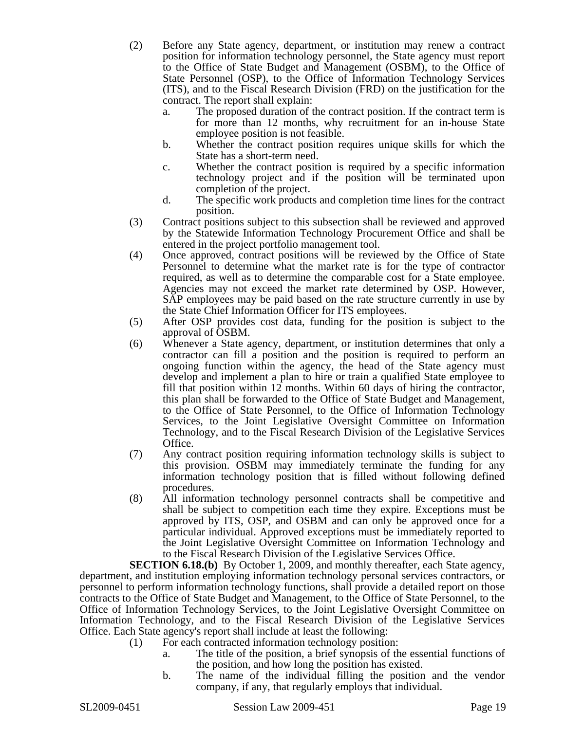(2) Before any State agency, department, or institution may renew a contract position for information technology personnel, the State agency must report to the Office of State Budget and Management (OSBM), to the Office of State Personnel (OSP), to the Office of Information Technology Services (ITS), and to the Fiscal Research Division (FRD) on the justification for the contract. The report shall explain:

- a. The proposed duration of the contract position. If the contract term is for more than 12 months, why recruitment for an in-house State employee position is not feasible.
- b. Whether the contract position requires unique skills for which the State has a short-term need.
- c. Whether the contract position is required by a specific information technology project and if the position will be terminated upon completion of the project.
- d. The specific work products and completion time lines for the contract position.
- (3) Contract positions subject to this subsection shall be reviewed and approved by the Statewide Information Technology Procurement Office and shall be entered in the project portfolio management tool.
- (4) Once approved, contract positions will be reviewed by the Office of State Personnel to determine what the market rate is for the type of contractor required, as well as to determine the comparable cost for a State employee. Agencies may not exceed the market rate determined by OSP. However, SAP employees may be paid based on the rate structure currently in use by the State Chief Information Officer for ITS employees.
- (5) After OSP provides cost data, funding for the position is subject to the approval of OSBM.
- (6) Whenever a State agency, department, or institution determines that only a contractor can fill a position and the position is required to perform an ongoing function within the agency, the head of the State agency must develop and implement a plan to hire or train a qualified State employee to fill that position within 12 months. Within 60 days of hiring the contractor, this plan shall be forwarded to the Office of State Budget and Management, to the Office of State Personnel, to the Office of Information Technology Services, to the Joint Legislative Oversight Committee on Information Technology, and to the Fiscal Research Division of the Legislative Services Office.
- (7) Any contract position requiring information technology skills is subject to this provision. OSBM may immediately terminate the funding for any information technology position that is filled without following defined procedures.
- (8) All information technology personnel contracts shall be competitive and shall be subject to competition each time they expire. Exceptions must be approved by ITS, OSP, and OSBM and can only be approved once for a particular individual. Approved exceptions must be immediately reported to the Joint Legislative Oversight Committee on Information Technology and to the Fiscal Research Division of the Legislative Services Office.

**SECTION 6.18.(b)** By October 1, 2009, and monthly thereafter, each State agency, department, and institution employing information technology personal services contractors, or personnel to perform information technology functions, shall provide a detailed report on those contracts to the Office of State Budget and Management, to the Office of State Personnel, to the Office of Information Technology Services, to the Joint Legislative Oversight Committee on Information Technology, and to the Fiscal Research Division of the Legislative Services Office. Each State agency's report shall include at least the following:

- (1) For each contracted information technology position:
	- a. The title of the position, a brief synopsis of the essential functions of the position, and how long the position has existed.
	- b. The name of the individual filling the position and the vendor company, if any, that regularly employs that individual.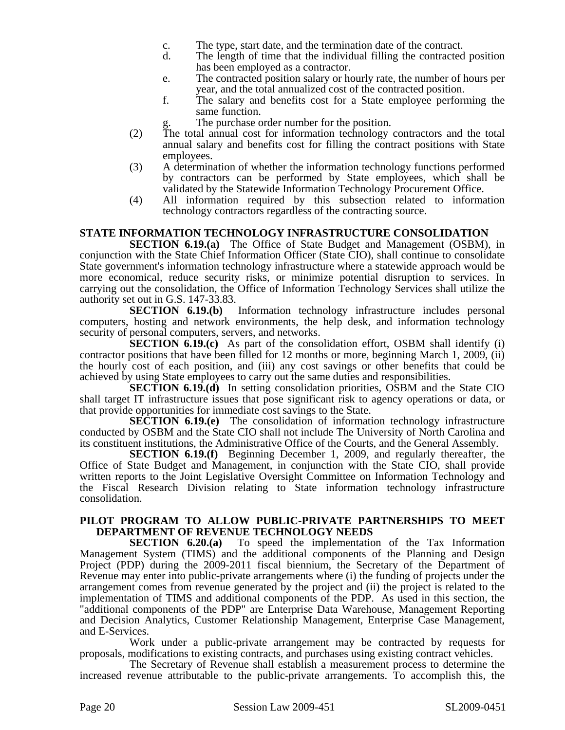- c. The type, start date, and the termination date of the contract.
- d. The length of time that the individual filling the contracted position has been employed as a contractor.
- e. The contracted position salary or hourly rate, the number of hours per year, and the total annualized cost of the contracted position.
- f. The salary and benefits cost for a State employee performing the same function.
	- The purchase order number for the position.
- (2) The total annual cost for information technology contractors and the total annual salary and benefits cost for filling the contract positions with State employees.
- (3) A determination of whether the information technology functions performed by contractors can be performed by State employees, which shall be validated by the Statewide Information Technology Procurement Office.
- (4) All information required by this subsection related to information technology contractors regardless of the contracting source.

#### **STATE INFORMATION TECHNOLOGY INFRASTRUCTURE CONSOLIDATION**

**SECTION 6.19.(a)** The Office of State Budget and Management (OSBM), in conjunction with the State Chief Information Officer (State CIO), shall continue to consolidate State government's information technology infrastructure where a statewide approach would be more economical, reduce security risks, or minimize potential disruption to services. In carrying out the consolidation, the Office of Information Technology Services shall utilize the authority set out in G.S. 147-33.83.

**SECTION 6.19.(b)** Information technology infrastructure includes personal computers, hosting and network environments, the help desk, and information technology security of personal computers, servers, and networks.

**SECTION 6.19.(c)** As part of the consolidation effort, OSBM shall identify (i) contractor positions that have been filled for 12 months or more, beginning March 1, 2009, (ii) the hourly cost of each position, and (iii) any cost savings or other benefits that could be achieved by using State employees to carry out the same duties and responsibilities.

**SECTION 6.19.(d)** In setting consolidation priorities, OSBM and the State CIO shall target IT infrastructure issues that pose significant risk to agency operations or data, or that provide opportunities for immediate cost savings to the State.

**SECTION 6.19.(e)** The consolidation of information technology infrastructure conducted by OSBM and the State CIO shall not include The University of North Carolina and its constituent institutions, the Administrative Office of the Courts, and the General Assembly.

**SECTION 6.19.(f)** Beginning December 1, 2009, and regularly thereafter, the Office of State Budget and Management, in conjunction with the State CIO, shall provide written reports to the Joint Legislative Oversight Committee on Information Technology and the Fiscal Research Division relating to State information technology infrastructure consolidation.

#### **PILOT PROGRAM TO ALLOW PUBLIC-PRIVATE PARTNERSHIPS TO MEET DEPARTMENT OF REVENUE TECHNOLOGY NEEDS**

**SECTION 6.20.(a)** To speed the implementation of the Tax Information Management System (TIMS) and the additional components of the Planning and Design Project (PDP) during the 2009-2011 fiscal biennium, the Secretary of the Department of Revenue may enter into public-private arrangements where (i) the funding of projects under the arrangement comes from revenue generated by the project and (ii) the project is related to the implementation of TIMS and additional components of the PDP. As used in this section, the "additional components of the PDP" are Enterprise Data Warehouse, Management Reporting and Decision Analytics, Customer Relationship Management, Enterprise Case Management, and E-Services.

Work under a public-private arrangement may be contracted by requests for proposals, modifications to existing contracts, and purchases using existing contract vehicles.

The Secretary of Revenue shall establish a measurement process to determine the increased revenue attributable to the public-private arrangements. To accomplish this, the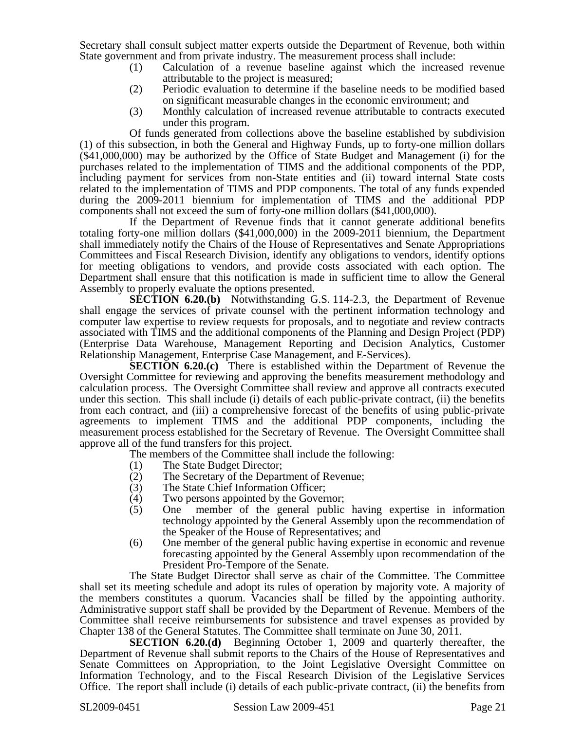Secretary shall consult subject matter experts outside the Department of Revenue, both within State government and from private industry. The measurement process shall include:

- (1) Calculation of a revenue baseline against which the increased revenue attributable to the project is measured;
- (2) Periodic evaluation to determine if the baseline needs to be modified based on significant measurable changes in the economic environment; and
- (3) Monthly calculation of increased revenue attributable to contracts executed under this program.

Of funds generated from collections above the baseline established by subdivision (1) of this subsection, in both the General and Highway Funds, up to forty-one million dollars (\$41,000,000) may be authorized by the Office of State Budget and Management (i) for the purchases related to the implementation of TIMS and the additional components of the PDP, including payment for services from non-State entities and (ii) toward internal State costs related to the implementation of TIMS and PDP components. The total of any funds expended during the 2009-2011 biennium for implementation of TIMS and the additional PDP components shall not exceed the sum of forty-one million dollars (\$41,000,000).

If the Department of Revenue finds that it cannot generate additional benefits totaling forty-one million dollars (\$41,000,000) in the 2009-2011 biennium, the Department shall immediately notify the Chairs of the House of Representatives and Senate Appropriations Committees and Fiscal Research Division, identify any obligations to vendors, identify options for meeting obligations to vendors, and provide costs associated with each option. The Department shall ensure that this notification is made in sufficient time to allow the General Assembly to properly evaluate the options presented.

**SECTION 6.20.(b)** Notwithstanding G.S. 114-2.3, the Department of Revenue shall engage the services of private counsel with the pertinent information technology and computer law expertise to review requests for proposals, and to negotiate and review contracts associated with TIMS and the additional components of the Planning and Design Project (PDP) (Enterprise Data Warehouse, Management Reporting and Decision Analytics, Customer Relationship Management, Enterprise Case Management, and E-Services).

**SECTION 6.20.(c)** There is established within the Department of Revenue the Oversight Committee for reviewing and approving the benefits measurement methodology and calculation process. The Oversight Committee shall review and approve all contracts executed under this section. This shall include (i) details of each public-private contract, (ii) the benefits from each contract, and (iii) a comprehensive forecast of the benefits of using public-private agreements to implement TIMS and the additional PDP components, including the measurement process established for the Secretary of Revenue. The Oversight Committee shall approve all of the fund transfers for this project.

The members of the Committee shall include the following:

- 
- (1) The State Budget Director;<br>(2) The Secretary of the Depart (2) The Secretary of the Department of Revenue;<br>(3) The State Chief Information Officer;
- The State Chief Information Officer;
- (4) Two persons appointed by the Governor;<br>(5) One member of the general public
- One member of the general public having expertise in information technology appointed by the General Assembly upon the recommendation of the Speaker of the House of Representatives; and
- (6) One member of the general public having expertise in economic and revenue forecasting appointed by the General Assembly upon recommendation of the President Pro-Tempore of the Senate.

The State Budget Director shall serve as chair of the Committee. The Committee shall set its meeting schedule and adopt its rules of operation by majority vote. A majority of the members constitutes a quorum. Vacancies shall be filled by the appointing authority. Administrative support staff shall be provided by the Department of Revenue. Members of the Committee shall receive reimbursements for subsistence and travel expenses as provided by Chapter 138 of the General Statutes. The Committee shall terminate on June 30, 2011.

**SECTION 6.20.(d)** Beginning October 1, 2009 and quarterly thereafter, the Department of Revenue shall submit reports to the Chairs of the House of Representatives and Senate Committees on Appropriation, to the Joint Legislative Oversight Committee on Information Technology, and to the Fiscal Research Division of the Legislative Services Office. The report shall include (i) details of each public-private contract, (ii) the benefits from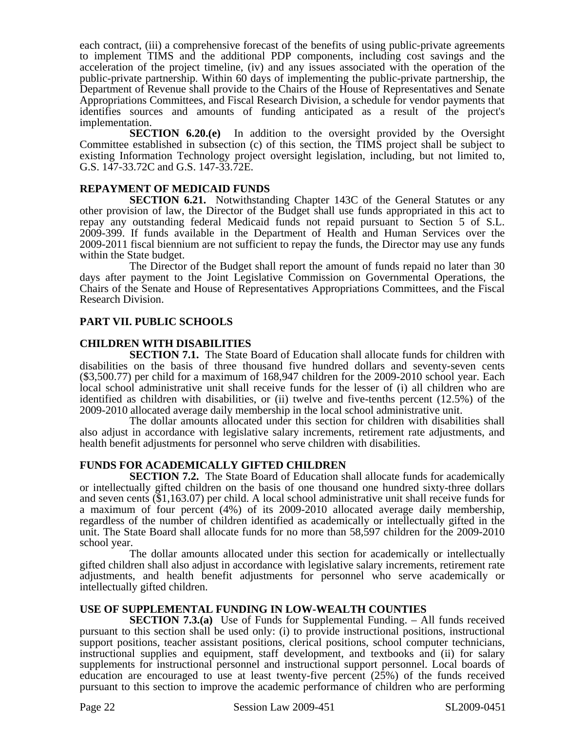each contract, (iii) a comprehensive forecast of the benefits of using public-private agreements to implement TIMS and the additional PDP components, including cost savings and the acceleration of the project timeline, (iv) and any issues associated with the operation of the public-private partnership. Within 60 days of implementing the public-private partnership, the Department of Revenue shall provide to the Chairs of the House of Representatives and Senate Appropriations Committees, and Fiscal Research Division, a schedule for vendor payments that identifies sources and amounts of funding anticipated as a result of the project's implementation.

**SECTION 6.20.(e)** In addition to the oversight provided by the Oversight Committee established in subsection (c) of this section, the TIMS project shall be subject to existing Information Technology project oversight legislation, including, but not limited to, G.S. 147-33.72C and G.S. 147-33.72E.

#### **REPAYMENT OF MEDICAID FUNDS**

**SECTION 6.21.** Notwithstanding Chapter 143C of the General Statutes or any other provision of law, the Director of the Budget shall use funds appropriated in this act to repay any outstanding federal Medicaid funds not repaid pursuant to Section 5 of S.L. 2009-399. If funds available in the Department of Health and Human Services over the 2009-2011 fiscal biennium are not sufficient to repay the funds, the Director may use any funds within the State budget.

The Director of the Budget shall report the amount of funds repaid no later than 30 days after payment to the Joint Legislative Commission on Governmental Operations, the Chairs of the Senate and House of Representatives Appropriations Committees, and the Fiscal Research Division.

# **PART VII. PUBLIC SCHOOLS**

# **CHILDREN WITH DISABILITIES**

**SECTION 7.1.** The State Board of Education shall allocate funds for children with disabilities on the basis of three thousand five hundred dollars and seventy-seven cents (\$3,500.77) per child for a maximum of 168,947 children for the 2009-2010 school year. Each local school administrative unit shall receive funds for the lesser of (i) all children who are identified as children with disabilities, or (ii) twelve and five-tenths percent (12.5%) of the 2009-2010 allocated average daily membership in the local school administrative unit.

The dollar amounts allocated under this section for children with disabilities shall also adjust in accordance with legislative salary increments, retirement rate adjustments, and health benefit adjustments for personnel who serve children with disabilities.

# **FUNDS FOR ACADEMICALLY GIFTED CHILDREN**

**SECTION 7.2.** The State Board of Education shall allocate funds for academically or intellectually gifted children on the basis of one thousand one hundred sixty-three dollars and seven cents (\$1,163.07) per child. A local school administrative unit shall receive funds for a maximum of four percent (4%) of its 2009-2010 allocated average daily membership, regardless of the number of children identified as academically or intellectually gifted in the unit. The State Board shall allocate funds for no more than 58,597 children for the 2009-2010 school year.

The dollar amounts allocated under this section for academically or intellectually gifted children shall also adjust in accordance with legislative salary increments, retirement rate adjustments, and health benefit adjustments for personnel who serve academically or intellectually gifted children.

# **USE OF SUPPLEMENTAL FUNDING IN LOW-WEALTH COUNTIES**

**SECTION 7.3.(a)** Use of Funds for Supplemental Funding. – All funds received pursuant to this section shall be used only: (i) to provide instructional positions, instructional support positions, teacher assistant positions, clerical positions, school computer technicians, instructional supplies and equipment, staff development, and textbooks and (ii) for salary supplements for instructional personnel and instructional support personnel. Local boards of education are encouraged to use at least twenty-five percent (25%) of the funds received pursuant to this section to improve the academic performance of children who are performing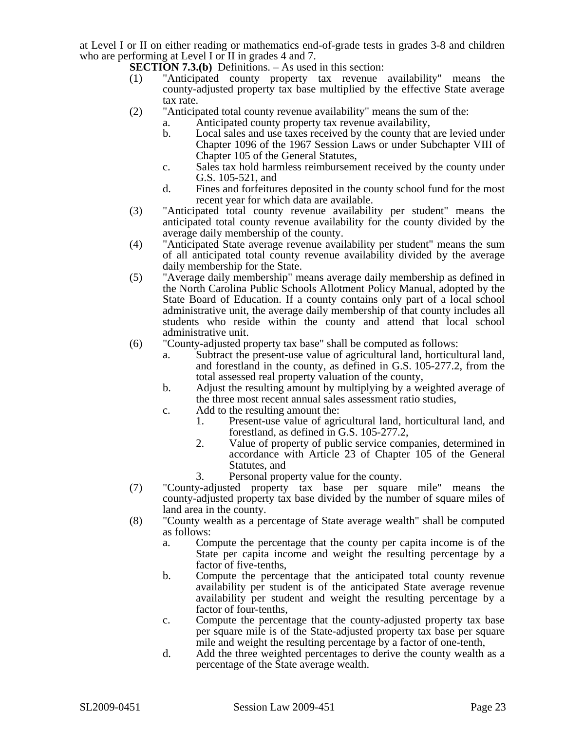at Level I or II on either reading or mathematics end-of-grade tests in grades 3-8 and children who are performing at Level I or II in grades 4 and 7.

**SECTION 7.3.(b)** Definitions. – As used in this section:

- (1) "Anticipated county property tax revenue availability" means the county-adjusted property tax base multiplied by the effective State average tax rate.
- (2) "Anticipated total county revenue availability" means the sum of the:
	- a. Anticipated county property tax revenue availability,
	- b. Local sales and use taxes received by the county that are levied under Chapter 1096 of the 1967 Session Laws or under Subchapter VIII of Chapter 105 of the General Statutes,
	- c. Sales tax hold harmless reimbursement received by the county under G.S. 105-521, and
	- d. Fines and forfeitures deposited in the county school fund for the most recent year for which data are available.
- (3) "Anticipated total county revenue availability per student" means the anticipated total county revenue availability for the county divided by the average daily membership of the county.
- (4) "Anticipated State average revenue availability per student" means the sum of all anticipated total county revenue availability divided by the average daily membership for the State.
- (5) "Average daily membership" means average daily membership as defined in the North Carolina Public Schools Allotment Policy Manual, adopted by the State Board of Education. If a county contains only part of a local school administrative unit, the average daily membership of that county includes all students who reside within the county and attend that local school administrative unit.
- (6) "County-adjusted property tax base" shall be computed as follows:
	- a. Subtract the present-use value of agricultural land, horticultural land, and forestland in the county, as defined in G.S. 105-277.2, from the total assessed real property valuation of the county,
	- b. Adjust the resulting amount by multiplying by a weighted average of the three most recent annual sales assessment ratio studies,
	- c. Add to the resulting amount the:
		- 1. Present-use value of agricultural land, horticultural land, and forestland, as defined in G.S. 105-277.2,
		- 2. Value of property of public service companies, determined in accordance with Article 23 of Chapter 105 of the General Statutes, and
		- 3. Personal property value for the county.
- (7) "County-adjusted property tax base per square mile" means the county-adjusted property tax base divided by the number of square miles of land area in the county.
- (8) "County wealth as a percentage of State average wealth" shall be computed as follows:
	- a. Compute the percentage that the county per capita income is of the State per capita income and weight the resulting percentage by a factor of five-tenths,
	- b. Compute the percentage that the anticipated total county revenue availability per student is of the anticipated State average revenue availability per student and weight the resulting percentage by a factor of four-tenths,
	- c. Compute the percentage that the county-adjusted property tax base per square mile is of the State-adjusted property tax base per square mile and weight the resulting percentage by a factor of one-tenth,
	- d. Add the three weighted percentages to derive the county wealth as a percentage of the State average wealth.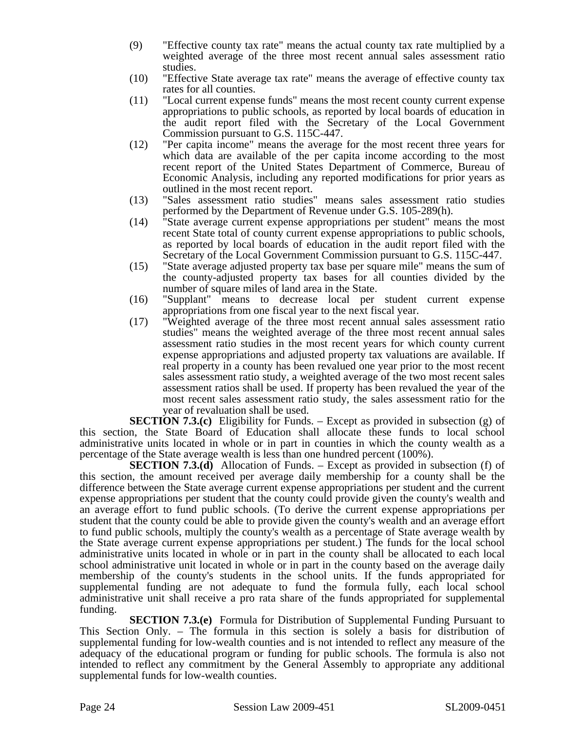- (9) "Effective county tax rate" means the actual county tax rate multiplied by a weighted average of the three most recent annual sales assessment ratio studies.
- (10) "Effective State average tax rate" means the average of effective county tax rates for all counties.
- (11) "Local current expense funds" means the most recent county current expense appropriations to public schools, as reported by local boards of education in the audit report filed with the Secretary of the Local Government Commission pursuant to G.S. 115C-447.
- (12) "Per capita income" means the average for the most recent three years for which data are available of the per capita income according to the most recent report of the United States Department of Commerce, Bureau of Economic Analysis, including any reported modifications for prior years as outlined in the most recent report.
- (13) "Sales assessment ratio studies" means sales assessment ratio studies performed by the Department of Revenue under G.S. 105-289(h).
- (14) "State average current expense appropriations per student" means the most recent State total of county current expense appropriations to public schools, as reported by local boards of education in the audit report filed with the Secretary of the Local Government Commission pursuant to G.S. 115C-447.
- (15) "State average adjusted property tax base per square mile" means the sum of the county-adjusted property tax bases for all counties divided by the number of square miles of land area in the State.
- (16) "Supplant" means to decrease local per student current expense appropriations from one fiscal year to the next fiscal year.
- (17) "Weighted average of the three most recent annual sales assessment ratio studies" means the weighted average of the three most recent annual sales assessment ratio studies in the most recent years for which county current expense appropriations and adjusted property tax valuations are available. If real property in a county has been revalued one year prior to the most recent sales assessment ratio study, a weighted average of the two most recent sales assessment ratios shall be used. If property has been revalued the year of the most recent sales assessment ratio study, the sales assessment ratio for the year of revaluation shall be used.

**SECTION 7.3.(c)** Eligibility for Funds. – Except as provided in subsection (g) of this section, the State Board of Education shall allocate these funds to local school administrative units located in whole or in part in counties in which the county wealth as a percentage of the State average wealth is less than one hundred percent (100%).

**SECTION 7.3.(d)** Allocation of Funds. – Except as provided in subsection (f) of this section, the amount received per average daily membership for a county shall be the difference between the State average current expense appropriations per student and the current expense appropriations per student that the county could provide given the county's wealth and an average effort to fund public schools. (To derive the current expense appropriations per student that the county could be able to provide given the county's wealth and an average effort to fund public schools, multiply the county's wealth as a percentage of State average wealth by the State average current expense appropriations per student.) The funds for the local school administrative units located in whole or in part in the county shall be allocated to each local school administrative unit located in whole or in part in the county based on the average daily membership of the county's students in the school units. If the funds appropriated for supplemental funding are not adequate to fund the formula fully, each local school administrative unit shall receive a pro rata share of the funds appropriated for supplemental funding.

**SECTION 7.3.(e)** Formula for Distribution of Supplemental Funding Pursuant to This Section Only. – The formula in this section is solely a basis for distribution of supplemental funding for low-wealth counties and is not intended to reflect any measure of the adequacy of the educational program or funding for public schools. The formula is also not intended to reflect any commitment by the General Assembly to appropriate any additional supplemental funds for low-wealth counties.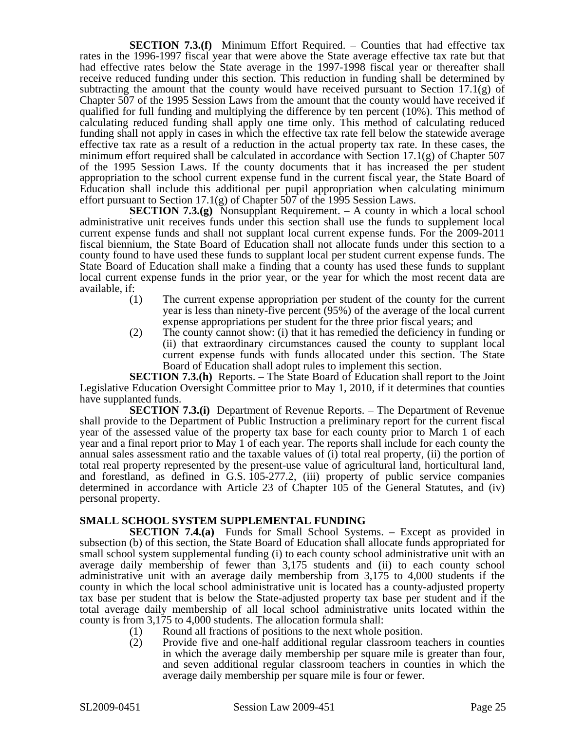**SECTION 7.3.(f)** Minimum Effort Required. – Counties that had effective tax rates in the 1996-1997 fiscal year that were above the State average effective tax rate but that had effective rates below the State average in the 1997-1998 fiscal year or thereafter shall receive reduced funding under this section. This reduction in funding shall be determined by subtracting the amount that the county would have received pursuant to Section 17.1(g) of Chapter 507 of the 1995 Session Laws from the amount that the county would have received if qualified for full funding and multiplying the difference by ten percent (10%). This method of calculating reduced funding shall apply one time only. This method of calculating reduced funding shall not apply in cases in which the effective tax rate fell below the statewide average effective tax rate as a result of a reduction in the actual property tax rate. In these cases, the minimum effort required shall be calculated in accordance with Section  $17.1(g)$  of Chapter 507 of the 1995 Session Laws. If the county documents that it has increased the per student appropriation to the school current expense fund in the current fiscal year, the State Board of Education shall include this additional per pupil appropriation when calculating minimum effort pursuant to Section 17.1(g) of Chapter 507 of the 1995 Session Laws.

**SECTION 7.3.(g)** Nonsupplant Requirement. – A county in which a local school administrative unit receives funds under this section shall use the funds to supplement local current expense funds and shall not supplant local current expense funds. For the 2009-2011 fiscal biennium, the State Board of Education shall not allocate funds under this section to a county found to have used these funds to supplant local per student current expense funds. The State Board of Education shall make a finding that a county has used these funds to supplant local current expense funds in the prior year, or the year for which the most recent data are available, if:

- (1) The current expense appropriation per student of the county for the current year is less than ninety-five percent (95%) of the average of the local current expense appropriations per student for the three prior fiscal years; and
- (2) The county cannot show: (i) that it has remedied the deficiency in funding or (ii) that extraordinary circumstances caused the county to supplant local current expense funds with funds allocated under this section. The State Board of Education shall adopt rules to implement this section.

**SECTION 7.3.(h)** Reports. – The State Board of Education shall report to the Joint Legislative Education Oversight Committee prior to May 1, 2010, if it determines that counties have supplanted funds.

**SECTION 7.3.(i)** Department of Revenue Reports. – The Department of Revenue shall provide to the Department of Public Instruction a preliminary report for the current fiscal year of the assessed value of the property tax base for each county prior to March 1 of each year and a final report prior to May 1 of each year. The reports shall include for each county the annual sales assessment ratio and the taxable values of (i) total real property, (ii) the portion of total real property represented by the present-use value of agricultural land, horticultural land, and forestland, as defined in G.S. 105-277.2, (iii) property of public service companies determined in accordance with Article 23 of Chapter 105 of the General Statutes, and (iv) personal property.

#### **SMALL SCHOOL SYSTEM SUPPLEMENTAL FUNDING**

**SECTION 7.4.(a)** Funds for Small School Systems. – Except as provided in subsection (b) of this section, the State Board of Education shall allocate funds appropriated for small school system supplemental funding (i) to each county school administrative unit with an average daily membership of fewer than 3,175 students and (ii) to each county school administrative unit with an average daily membership from 3,175 to 4,000 students if the county in which the local school administrative unit is located has a county-adjusted property tax base per student that is below the State-adjusted property tax base per student and if the total average daily membership of all local school administrative units located within the county is from 3,175 to 4,000 students. The allocation formula shall:

- (1) Round all fractions of positions to the next whole position.
- (2) Provide five and one-half additional regular classroom teachers in counties in which the average daily membership per square mile is greater than four, and seven additional regular classroom teachers in counties in which the average daily membership per square mile is four or fewer.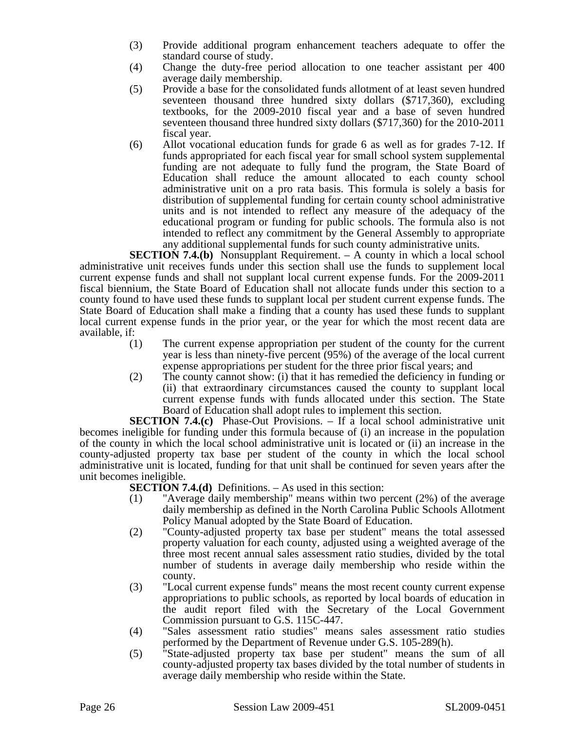- (3) Provide additional program enhancement teachers adequate to offer the standard course of study.
- (4) Change the duty-free period allocation to one teacher assistant per 400 average daily membership.
- (5) Provide a base for the consolidated funds allotment of at least seven hundred seventeen thousand three hundred sixty dollars (\$717,360), excluding textbooks, for the 2009-2010 fiscal year and a base of seven hundred seventeen thousand three hundred sixty dollars (\$717,360) for the 2010-2011 fiscal year.
- (6) Allot vocational education funds for grade 6 as well as for grades 7-12. If funds appropriated for each fiscal year for small school system supplemental funding are not adequate to fully fund the program, the State Board of Education shall reduce the amount allocated to each county school administrative unit on a pro rata basis. This formula is solely a basis for distribution of supplemental funding for certain county school administrative units and is not intended to reflect any measure of the adequacy of the educational program or funding for public schools. The formula also is not intended to reflect any commitment by the General Assembly to appropriate any additional supplemental funds for such county administrative units.

**SECTION 7.4.(b)** Nonsupplant Requirement. – A county in which a local school administrative unit receives funds under this section shall use the funds to supplement local current expense funds and shall not supplant local current expense funds. For the 2009-2011 fiscal biennium, the State Board of Education shall not allocate funds under this section to a county found to have used these funds to supplant local per student current expense funds. The State Board of Education shall make a finding that a county has used these funds to supplant local current expense funds in the prior year, or the year for which the most recent data are available, if:

- (1) The current expense appropriation per student of the county for the current year is less than ninety-five percent (95%) of the average of the local current expense appropriations per student for the three prior fiscal years; and
- (2) The county cannot show: (i) that it has remedied the deficiency in funding or (ii) that extraordinary circumstances caused the county to supplant local current expense funds with funds allocated under this section. The State Board of Education shall adopt rules to implement this section.

**SECTION 7.4.(c)** Phase-Out Provisions. – If a local school administrative unit becomes ineligible for funding under this formula because of (i) an increase in the population of the county in which the local school administrative unit is located or (ii) an increase in the county-adjusted property tax base per student of the county in which the local school administrative unit is located, funding for that unit shall be continued for seven years after the unit becomes ineligible.

**SECTION 7.4.(d)** Definitions. – As used in this section:

- (1) "Average daily membership" means within two percent (2%) of the average daily membership as defined in the North Carolina Public Schools Allotment Policy Manual adopted by the State Board of Education.
- (2) "County-adjusted property tax base per student" means the total assessed property valuation for each county, adjusted using a weighted average of the three most recent annual sales assessment ratio studies, divided by the total number of students in average daily membership who reside within the county.
- (3) "Local current expense funds" means the most recent county current expense appropriations to public schools, as reported by local boards of education in the audit report filed with the Secretary of the Local Government Commission pursuant to G.S. 115C-447.
- (4) "Sales assessment ratio studies" means sales assessment ratio studies performed by the Department of Revenue under G.S. 105-289(h).
- (5) "State-adjusted property tax base per student" means the sum of all county-adjusted property tax bases divided by the total number of students in average daily membership who reside within the State.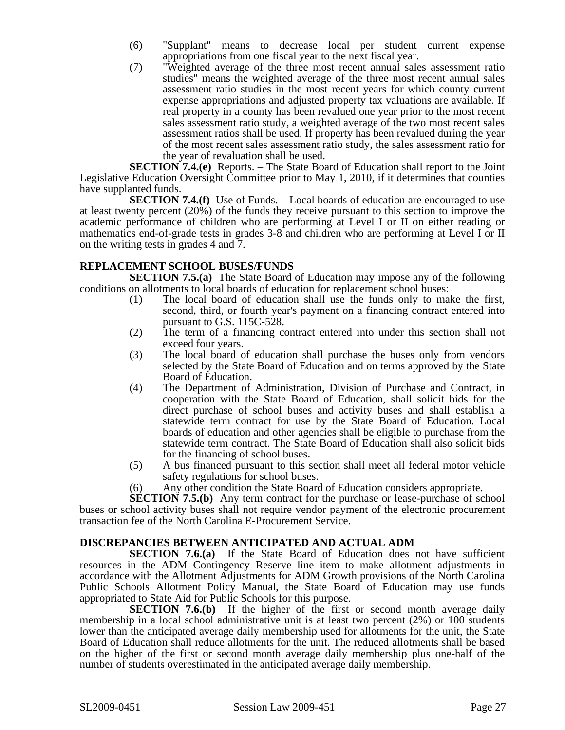- (6) "Supplant" means to decrease local per student current expense appropriations from one fiscal year to the next fiscal year.
- (7) "Weighted average of the three most recent annual sales assessment ratio studies" means the weighted average of the three most recent annual sales assessment ratio studies in the most recent years for which county current expense appropriations and adjusted property tax valuations are available. If real property in a county has been revalued one year prior to the most recent sales assessment ratio study, a weighted average of the two most recent sales assessment ratios shall be used. If property has been revalued during the year of the most recent sales assessment ratio study, the sales assessment ratio for the year of revaluation shall be used.

**SECTION 7.4.(e)** Reports. – The State Board of Education shall report to the Joint Legislative Education Oversight Committee prior to May 1, 2010, if it determines that counties have supplanted funds.

**SECTION 7.4.(f)** Use of Funds. – Local boards of education are encouraged to use at least twenty percent (20%) of the funds they receive pursuant to this section to improve the academic performance of children who are performing at Level I or II on either reading or mathematics end-of-grade tests in grades 3-8 and children who are performing at Level I or II on the writing tests in grades 4 and 7.

# **REPLACEMENT SCHOOL BUSES/FUNDS**

**SECTION 7.5.(a)** The State Board of Education may impose any of the following conditions on allotments to local boards of education for replacement school buses:

- (1) The local board of education shall use the funds only to make the first, second, third, or fourth year's payment on a financing contract entered into pursuant to G.S. 115C-528.
- (2) The term of a financing contract entered into under this section shall not exceed four years.
- (3) The local board of education shall purchase the buses only from vendors selected by the State Board of Education and on terms approved by the State Board of Education.
- (4) The Department of Administration, Division of Purchase and Contract, in cooperation with the State Board of Education, shall solicit bids for the direct purchase of school buses and activity buses and shall establish a statewide term contract for use by the State Board of Education. Local boards of education and other agencies shall be eligible to purchase from the statewide term contract. The State Board of Education shall also solicit bids for the financing of school buses.
- (5) A bus financed pursuant to this section shall meet all federal motor vehicle safety regulations for school buses.
- (6) Any other condition the State Board of Education considers appropriate.

**SECTION 7.5.(b)** Any term contract for the purchase or lease-purchase of school buses or school activity buses shall not require vendor payment of the electronic procurement transaction fee of the North Carolina E-Procurement Service.

# **DISCREPANCIES BETWEEN ANTICIPATED AND ACTUAL ADM**

**SECTION 7.6.(a)** If the State Board of Education does not have sufficient resources in the ADM Contingency Reserve line item to make allotment adjustments in accordance with the Allotment Adjustments for ADM Growth provisions of the North Carolina Public Schools Allotment Policy Manual, the State Board of Education may use funds appropriated to State Aid for Public Schools for this purpose.

**SECTION 7.6.(b)** If the higher of the first or second month average daily membership in a local school administrative unit is at least two percent (2%) or 100 students lower than the anticipated average daily membership used for allotments for the unit, the State Board of Education shall reduce allotments for the unit. The reduced allotments shall be based on the higher of the first or second month average daily membership plus one-half of the number of students overestimated in the anticipated average daily membership.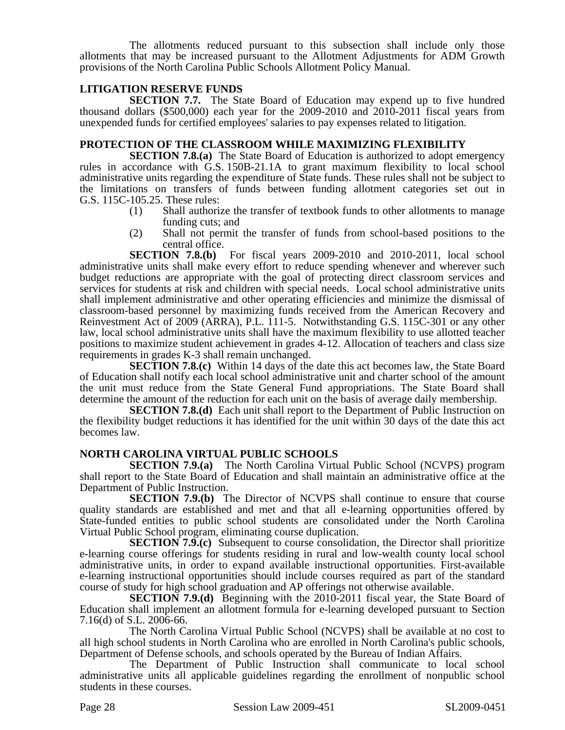The allotments reduced pursuant to this subsection shall include only those allotments that may be increased pursuant to the Allotment Adjustments for ADM Growth provisions of the North Carolina Public Schools Allotment Policy Manual.

# **LITIGATION RESERVE FUNDS**

**SECTION 7.7.** The State Board of Education may expend up to five hundred thousand dollars (\$500,000) each year for the 2009-2010 and 2010-2011 fiscal years from unexpended funds for certified employees' salaries to pay expenses related to litigation.

# **PROTECTION OF THE CLASSROOM WHILE MAXIMIZING FLEXIBILITY**

**SECTION 7.8.(a)** The State Board of Education is authorized to adopt emergency rules in accordance with G.S. 150B-21.1A to grant maximum flexibility to local school administrative units regarding the expenditure of State funds. These rules shall not be subject to the limitations on transfers of funds between funding allotment categories set out in G.S. 115C-105.25. These rules:

- (1) Shall authorize the transfer of textbook funds to other allotments to manage funding cuts; and
- (2) Shall not permit the transfer of funds from school-based positions to the central office.

**SECTION 7.8.(b)** For fiscal years 2009-2010 and 2010-2011, local school administrative units shall make every effort to reduce spending whenever and wherever such budget reductions are appropriate with the goal of protecting direct classroom services and services for students at risk and children with special needs. Local school administrative units shall implement administrative and other operating efficiencies and minimize the dismissal of classroom-based personnel by maximizing funds received from the American Recovery and Reinvestment Act of 2009 (ARRA), P.L. 111-5. Notwithstanding G.S. 115C-301 or any other law, local school administrative units shall have the maximum flexibility to use allotted teacher positions to maximize student achievement in grades 4-12. Allocation of teachers and class size requirements in grades K-3 shall remain unchanged.

**SECTION 7.8.(c)** Within 14 days of the date this act becomes law, the State Board of Education shall notify each local school administrative unit and charter school of the amount the unit must reduce from the State General Fund appropriations. The State Board shall determine the amount of the reduction for each unit on the basis of average daily membership.

**SECTION 7.8.(d)** Each unit shall report to the Department of Public Instruction on the flexibility budget reductions it has identified for the unit within 30 days of the date this act becomes law.

# **NORTH CAROLINA VIRTUAL PUBLIC SCHOOLS**

**SECTION 7.9.(a)** The North Carolina Virtual Public School (NCVPS) program shall report to the State Board of Education and shall maintain an administrative office at the Department of Public Instruction.

**SECTION 7.9.(b)** The Director of NCVPS shall continue to ensure that course quality standards are established and met and that all e-learning opportunities offered by State-funded entities to public school students are consolidated under the North Carolina Virtual Public School program, eliminating course duplication.

**SECTION 7.9.(c)** Subsequent to course consolidation, the Director shall prioritize e-learning course offerings for students residing in rural and low-wealth county local school administrative units, in order to expand available instructional opportunities. First-available e-learning instructional opportunities should include courses required as part of the standard course of study for high school graduation and AP offerings not otherwise available.

**SECTION 7.9.(d)** Beginning with the 2010-2011 fiscal year, the State Board of Education shall implement an allotment formula for e-learning developed pursuant to Section 7.16(d) of S.L. 2006-66.

The North Carolina Virtual Public School (NCVPS) shall be available at no cost to all high school students in North Carolina who are enrolled in North Carolina's public schools, Department of Defense schools, and schools operated by the Bureau of Indian Affairs.

The Department of Public Instruction shall communicate to local school administrative units all applicable guidelines regarding the enrollment of nonpublic school students in these courses.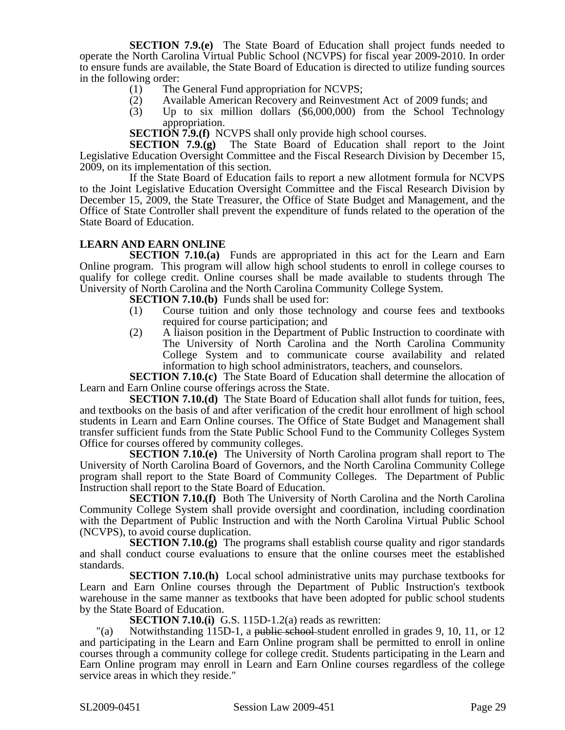**SECTION 7.9.(e)** The State Board of Education shall project funds needed to operate the North Carolina Virtual Public School (NCVPS) for fiscal year 2009-2010. In order to ensure funds are available, the State Board of Education is directed to utilize funding sources in the following order:

- (1) The General Fund appropriation for NCVPS;
- (2) Available American Recovery and Reinvestment Act of 2009 funds; and (3) Up to six million dollars (\$6,000,000) from the School Technolo
- Up to six million dollars (\$6,000,000) from the School Technology appropriation.

**SECTION 7.9.(f)** NCVPS shall only provide high school courses.

**SECTION 7.9.(g)** The State Board of Education shall report to the Joint Legislative Education Oversight Committee and the Fiscal Research Division by December 15, 2009, on its implementation of this section.

If the State Board of Education fails to report a new allotment formula for NCVPS to the Joint Legislative Education Oversight Committee and the Fiscal Research Division by December 15, 2009, the State Treasurer, the Office of State Budget and Management, and the Office of State Controller shall prevent the expenditure of funds related to the operation of the State Board of Education.

# **LEARN AND EARN ONLINE**

**SECTION 7.10.(a)** Funds are appropriated in this act for the Learn and Earn Online program. This program will allow high school students to enroll in college courses to qualify for college credit. Online courses shall be made available to students through The University of North Carolina and the North Carolina Community College System.

- **SECTION 7.10.(b)** Funds shall be used for:
- (1) Course tuition and only those technology and course fees and textbooks required for course participation; and
- (2) A liaison position in the Department of Public Instruction to coordinate with The University of North Carolina and the North Carolina Community College System and to communicate course availability and related information to high school administrators, teachers, and counselors.

**SECTION 7.10.(c)** The State Board of Education shall determine the allocation of Learn and Earn Online course offerings across the State.

**SECTION 7.10.(d)** The State Board of Education shall allot funds for tuition, fees, and textbooks on the basis of and after verification of the credit hour enrollment of high school students in Learn and Earn Online courses. The Office of State Budget and Management shall transfer sufficient funds from the State Public School Fund to the Community Colleges System Office for courses offered by community colleges.

**SECTION 7.10.(e)** The University of North Carolina program shall report to The University of North Carolina Board of Governors, and the North Carolina Community College program shall report to the State Board of Community Colleges. The Department of Public Instruction shall report to the State Board of Education.

**SECTION 7.10.(f)** Both The University of North Carolina and the North Carolina Community College System shall provide oversight and coordination, including coordination with the Department of Public Instruction and with the North Carolina Virtual Public School (NCVPS), to avoid course duplication.

**SECTION 7.10.(g)** The programs shall establish course quality and rigor standards and shall conduct course evaluations to ensure that the online courses meet the established standards.

**SECTION 7.10.(h)** Local school administrative units may purchase textbooks for Learn and Earn Online courses through the Department of Public Instruction's textbook warehouse in the same manner as textbooks that have been adopted for public school students by the State Board of Education.

**SECTION 7.10.(i)** G.S. 115D-1.2(a) reads as rewritten:

"(a) Notwithstanding 115D-1, a public school-student enrolled in grades 9, 10, 11, or 12 and participating in the Learn and Earn Online program shall be permitted to enroll in online courses through a community college for college credit. Students participating in the Learn and Earn Online program may enroll in Learn and Earn Online courses regardless of the college service areas in which they reside."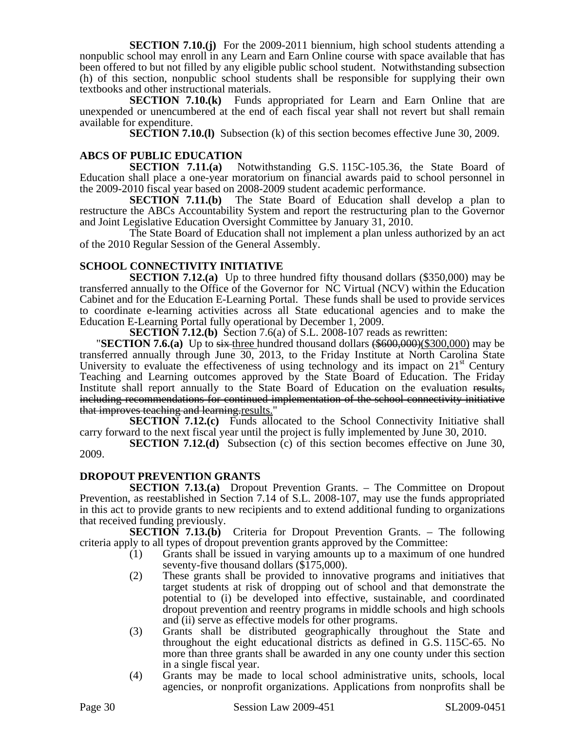**SECTION 7.10.(j)** For the 2009-2011 biennium, high school students attending a nonpublic school may enroll in any Learn and Earn Online course with space available that has been offered to but not filled by any eligible public school student. Notwithstanding subsection (h) of this section, nonpublic school students shall be responsible for supplying their own textbooks and other instructional materials.

**SECTION 7.10.(k)** Funds appropriated for Learn and Earn Online that are unexpended or unencumbered at the end of each fiscal year shall not revert but shall remain available for expenditure.

**SECTION 7.10.(I)** Subsection (k) of this section becomes effective June 30, 2009.

# **ABCS OF PUBLIC EDUCATION<br>SECTION 7.11.(a)**

Notwithstanding G.S. 115C-105.36, the State Board of Education shall place a one-year moratorium on financial awards paid to school personnel in the 2009-2010 fiscal year based on 2008-2009 student academic performance.

**SECTION 7.11.(b)** The State Board of Education shall develop a plan to restructure the ABCs Accountability System and report the restructuring plan to the Governor and Joint Legislative Education Oversight Committee by January 31, 2010.

The State Board of Education shall not implement a plan unless authorized by an act of the 2010 Regular Session of the General Assembly.

# **SCHOOL CONNECTIVITY INITIATIVE**

**SECTION 7.12.(a)** Up to three hundred fifty thousand dollars (\$350,000) may be transferred annually to the Office of the Governor for NC Virtual (NCV) within the Education Cabinet and for the Education E-Learning Portal. These funds shall be used to provide services to coordinate e-learning activities across all State educational agencies and to make the Education E-Learning Portal fully operational by December 1, 2009.

**SECTION 7.12.(b)** Section 7.6(a) of S.L. 2008-107 reads as rewritten:

**"SECTION 7.6.(a)** Up to six-three hundred thousand dollars (\$600,000)(\$300,000) may be transferred annually through June 30, 2013, to the Friday Institute at North Carolina State University to evaluate the effectiveness of using technology and its impact on  $21<sup>st</sup>$  Century Teaching and Learning outcomes approved by the State Board of Education. The Friday Institute shall report annually to the State Board of Education on the evaluation results, including recommendations for continued implementation of the school connectivity initiative that improves teaching and learning.results."

**SECTION 7.12.(c)** Funds allocated to the School Connectivity Initiative shall carry forward to the next fiscal year until the project is fully implemented by June 30, 2010.

**SECTION 7.12.(d)** Subsection (c) of this section becomes effective on June 30, 2009.

# **DROPOUT PREVENTION GRANTS**

**SECTION 7.13.(a)** Dropout Prevention Grants. – The Committee on Dropout Prevention, as reestablished in Section 7.14 of S.L. 2008-107, may use the funds appropriated in this act to provide grants to new recipients and to extend additional funding to organizations that received funding previously.

**SECTION 7.13.(b)** Criteria for Dropout Prevention Grants. – The following criteria apply to all types of dropout prevention grants approved by the Committee:

- (1) Grants shall be issued in varying amounts up to a maximum of one hundred seventy-five thousand dollars (\$175,000).
- (2) These grants shall be provided to innovative programs and initiatives that target students at risk of dropping out of school and that demonstrate the potential to (i) be developed into effective, sustainable, and coordinated dropout prevention and reentry programs in middle schools and high schools and (ii) serve as effective models for other programs.
- (3) Grants shall be distributed geographically throughout the State and throughout the eight educational districts as defined in G.S. 115C-65. No more than three grants shall be awarded in any one county under this section in a single fiscal year.
- (4) Grants may be made to local school administrative units, schools, local agencies, or nonprofit organizations. Applications from nonprofits shall be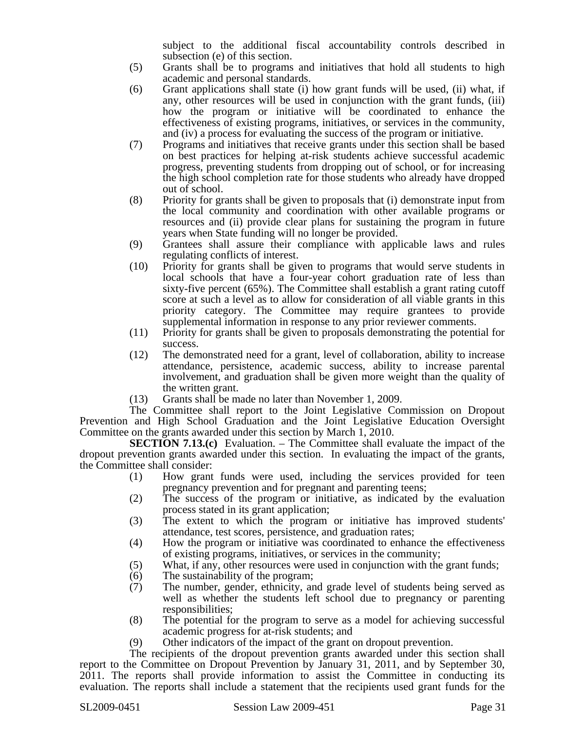subject to the additional fiscal accountability controls described in subsection (e) of this section.

- (5) Grants shall be to programs and initiatives that hold all students to high academic and personal standards.
- (6) Grant applications shall state (i) how grant funds will be used, (ii) what, if any, other resources will be used in conjunction with the grant funds, (iii) how the program or initiative will be coordinated to enhance the effectiveness of existing programs, initiatives, or services in the community, and (iv) a process for evaluating the success of the program or initiative.
- (7) Programs and initiatives that receive grants under this section shall be based on best practices for helping at-risk students achieve successful academic progress, preventing students from dropping out of school, or for increasing the high school completion rate for those students who already have dropped out of school.
- (8) Priority for grants shall be given to proposals that (i) demonstrate input from the local community and coordination with other available programs or resources and (ii) provide clear plans for sustaining the program in future years when State funding will no longer be provided.
- (9) Grantees shall assure their compliance with applicable laws and rules regulating conflicts of interest.
- (10) Priority for grants shall be given to programs that would serve students in local schools that have a four-year cohort graduation rate of less than sixty-five percent (65%). The Committee shall establish a grant rating cutoff score at such a level as to allow for consideration of all viable grants in this priority category. The Committee may require grantees to provide supplemental information in response to any prior reviewer comments.
- (11) Priority for grants shall be given to proposals demonstrating the potential for success.
- (12) The demonstrated need for a grant, level of collaboration, ability to increase attendance, persistence, academic success, ability to increase parental involvement, and graduation shall be given more weight than the quality of the written grant.
- (13) Grants shall be made no later than November 1, 2009.

The Committee shall report to the Joint Legislative Commission on Dropout Prevention and High School Graduation and the Joint Legislative Education Oversight Committee on the grants awarded under this section by March 1, 2010.

**SECTION 7.13.(c)** Evaluation. – The Committee shall evaluate the impact of the dropout prevention grants awarded under this section. In evaluating the impact of the grants, the Committee shall consider:

- (1) How grant funds were used, including the services provided for teen pregnancy prevention and for pregnant and parenting teens;
- (2) The success of the program or initiative, as indicated by the evaluation process stated in its grant application;
- (3) The extent to which the program or initiative has improved students' attendance, test scores, persistence, and graduation rates;
- (4) How the program or initiative was coordinated to enhance the effectiveness of existing programs, initiatives, or services in the community;
- (5) What, if any, other resources were used in conjunction with the grant funds;
- (6) The sustainability of the program;
- (7) The number, gender, ethnicity, and grade level of students being served as well as whether the students left school due to pregnancy or parenting responsibilities;
- (8) The potential for the program to serve as a model for achieving successful academic progress for at-risk students; and
- (9) Other indicators of the impact of the grant on dropout prevention.

The recipients of the dropout prevention grants awarded under this section shall report to the Committee on Dropout Prevention by January 31, 2011, and by September 30, 2011. The reports shall provide information to assist the Committee in conducting its evaluation. The reports shall include a statement that the recipients used grant funds for the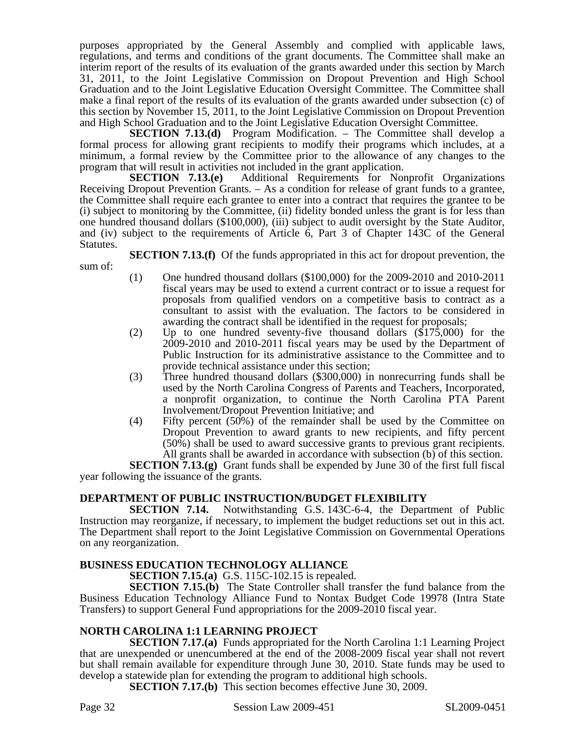purposes appropriated by the General Assembly and complied with applicable laws, regulations, and terms and conditions of the grant documents. The Committee shall make an interim report of the results of its evaluation of the grants awarded under this section by March 31, 2011, to the Joint Legislative Commission on Dropout Prevention and High School Graduation and to the Joint Legislative Education Oversight Committee. The Committee shall make a final report of the results of its evaluation of the grants awarded under subsection (c) of this section by November 15, 2011, to the Joint Legislative Commission on Dropout Prevention and High School Graduation and to the Joint Legislative Education Oversight Committee.

**SECTION 7.13.(d)** Program Modification. – The Committee shall develop a formal process for allowing grant recipients to modify their programs which includes, at a minimum, a formal review by the Committee prior to the allowance of any changes to the program that will result in activities not included in the grant application.

**SECTION 7.13.(e)** Additional Requirements for Nonprofit Organizations Receiving Dropout Prevention Grants.  $-$  As a condition for release of grant funds to a grantee, the Committee shall require each grantee to enter into a contract that requires the grantee to be (i) subject to monitoring by the Committee, (ii) fidelity bonded unless the grant is for less than one hundred thousand dollars (\$100,000), (iii) subject to audit oversight by the State Auditor, and (iv) subject to the requirements of Article 6, Part 3 of Chapter 143C of the General Statutes.

**SECTION 7.13.(f)** Of the funds appropriated in this act for dropout prevention, the

- sum of:
- (1) One hundred thousand dollars (\$100,000) for the 2009-2010 and 2010-2011 fiscal years may be used to extend a current contract or to issue a request for proposals from qualified vendors on a competitive basis to contract as a consultant to assist with the evaluation. The factors to be considered in awarding the contract shall be identified in the request for proposals;
- (2) Up to one hundred seventy-five thousand dollars (\$175,000) for the 2009-2010 and 2010-2011 fiscal years may be used by the Department of Public Instruction for its administrative assistance to the Committee and to provide technical assistance under this section;
- (3) Three hundred thousand dollars (\$300,000) in nonrecurring funds shall be used by the North Carolina Congress of Parents and Teachers, Incorporated, a nonprofit organization, to continue the North Carolina PTA Parent Involvement/Dropout Prevention Initiative; and
- (4) Fifty percent (50%) of the remainder shall be used by the Committee on Dropout Prevention to award grants to new recipients, and fifty percent (50%) shall be used to award successive grants to previous grant recipients. All grants shall be awarded in accordance with subsection (b) of this section.

**SECTION 7.13.(g)** Grant funds shall be expended by June 30 of the first full fiscal year following the issuance of the grants.

# **DEPARTMENT OF PUBLIC INSTRUCTION/BUDGET FLEXIBILITY**

**SECTION 7.14.** Notwithstanding G.S. 143C-6-4, the Department of Public Instruction may reorganize, if necessary, to implement the budget reductions set out in this act. The Department shall report to the Joint Legislative Commission on Governmental Operations on any reorganization.

# **BUSINESS EDUCATION TECHNOLOGY ALLIANCE**

**SECTION 7.15.(a)** G.S. 115C-102.15 is repealed.

**SECTION 7.15.(b)** The State Controller shall transfer the fund balance from the Business Education Technology Alliance Fund to Nontax Budget Code 19978 (Intra State Transfers) to support General Fund appropriations for the 2009-2010 fiscal year.

# **NORTH CAROLINA 1:1 LEARNING PROJECT**

**SECTION 7.17.(a)** Funds appropriated for the North Carolina 1:1 Learning Project that are unexpended or unencumbered at the end of the 2008-2009 fiscal year shall not revert but shall remain available for expenditure through June 30, 2010. State funds may be used to develop a statewide plan for extending the program to additional high schools.

**SECTION 7.17.(b)** This section becomes effective June 30, 2009.

Page 32 Session Law 2009-451 SL2009-0451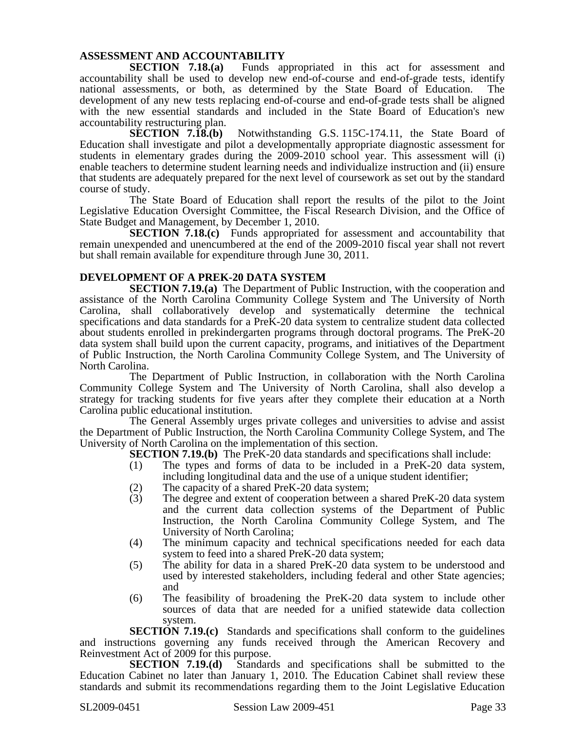# **ASSESSMENT AND ACCOUNTABILITY**<br>**SECTION 7.18.(a)** Funds at

Funds appropriated in this act for assessment and accountability shall be used to develop new end-of-course and end-of-grade tests, identify national assessments, or both, as determined by the State Board of Education. The development of any new tests replacing end-of-course and end-of-grade tests shall be aligned with the new essential standards and included in the State Board of Education's new accountability restructuring plan.<br>**SECTION 7.18.(b)** 

Notwithstanding G.S. 115C-174.11, the State Board of Education shall investigate and pilot a developmentally appropriate diagnostic assessment for students in elementary grades during the 2009-2010 school year. This assessment will (i) enable teachers to determine student learning needs and individualize instruction and (ii) ensure that students are adequately prepared for the next level of coursework as set out by the standard course of study.

The State Board of Education shall report the results of the pilot to the Joint Legislative Education Oversight Committee, the Fiscal Research Division, and the Office of State Budget and Management, by December 1, 2010.

**SECTION 7.18.(c)** Funds appropriated for assessment and accountability that remain unexpended and unencumbered at the end of the 2009-2010 fiscal year shall not revert but shall remain available for expenditure through June 30, 2011.

#### **DEVELOPMENT OF A PREK-20 DATA SYSTEM**

**SECTION 7.19.(a)** The Department of Public Instruction, with the cooperation and assistance of the North Carolina Community College System and The University of North Carolina, shall collaboratively develop and systematically determine the technical specifications and data standards for a PreK-20 data system to centralize student data collected about students enrolled in prekindergarten programs through doctoral programs. The PreK-20 data system shall build upon the current capacity, programs, and initiatives of the Department of Public Instruction, the North Carolina Community College System, and The University of North Carolina.

The Department of Public Instruction, in collaboration with the North Carolina Community College System and The University of North Carolina, shall also develop a strategy for tracking students for five years after they complete their education at a North Carolina public educational institution.

The General Assembly urges private colleges and universities to advise and assist the Department of Public Instruction, the North Carolina Community College System, and The University of North Carolina on the implementation of this section.

**SECTION 7.19.(b)** The PreK-20 data standards and specifications shall include:

- (1) The types and forms of data to be included in a PreK-20 data system, including longitudinal data and the use of a unique student identifier;
- (2) The capacity of a shared PreK-20 data system;
- (3) The degree and extent of cooperation between a shared PreK-20 data system and the current data collection systems of the Department of Public Instruction, the North Carolina Community College System, and The University of North Carolina;
- (4) The minimum capacity and technical specifications needed for each data system to feed into a shared PreK-20 data system;
- (5) The ability for data in a shared PreK-20 data system to be understood and used by interested stakeholders, including federal and other State agencies; and
- (6) The feasibility of broadening the PreK-20 data system to include other sources of data that are needed for a unified statewide data collection system.

**SECTION 7.19.(c)** Standards and specifications shall conform to the guidelines and instructions governing any funds received through the American Recovery and Reinvestment Act of 2009 for this purpose.

**SECTION 7.19.(d)** Standards and specifications shall be submitted to the Education Cabinet no later than January 1, 2010. The Education Cabinet shall review these standards and submit its recommendations regarding them to the Joint Legislative Education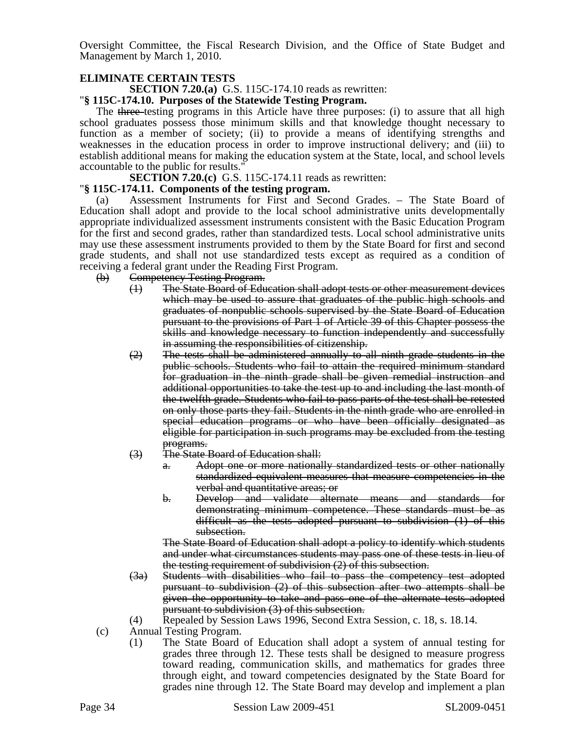Oversight Committee, the Fiscal Research Division, and the Office of State Budget and Management by March 1, 2010.

#### **ELIMINATE CERTAIN TESTS**

**SECTION 7.20.(a)** G.S. 115C-174.10 reads as rewritten:

#### "**§ 115C-174.10. Purposes of the Statewide Testing Program.**

The three-testing programs in this Article have three purposes: (i) to assure that all high school graduates possess those minimum skills and that knowledge thought necessary to function as a member of society; (ii) to provide a means of identifying strengths and weaknesses in the education process in order to improve instructional delivery; and (iii) to establish additional means for making the education system at the State, local, and school levels accountable to the public for results."

**SECTION 7.20.(c)** G.S. 115C-174.11 reads as rewritten: " $\S$  115C-174.11. Components of the testing program.

(a) Assessment Instruments for First and Second Grades. – The State Board of Education shall adopt and provide to the local school administrative units developmentally appropriate individualized assessment instruments consistent with the Basic Education Program for the first and second grades, rather than standardized tests. Local school administrative units may use these assessment instruments provided to them by the State Board for first and second grade students, and shall not use standardized tests except as required as a condition of receiving a federal grant under the Reading First Program.

(b) Competency Testing Program.

- (1) The State Board of Education shall adopt tests or other measurement devices which may be used to assure that graduates of the public high schools and graduates of nonpublic schools supervised by the State Board of Education pursuant to the provisions of Part 1 of Article 39 of this Chapter possess the skills and knowledge necessary to function independently and successfully in assuming the responsibilities of citizenship.
- $(2)$  The tests shall be administered annually to all ninth grade students in the public schools. Students who fail to attain the required minimum standard for graduation in the ninth grade shall be given remedial instruction and additional opportunities to take the test up to and including the last month of the twelfth grade. Students who fail to pass parts of the test shall be retested on only those parts they fail. Students in the ninth grade who are enrolled in special education programs or who have been officially designated as eligible for participation in such programs may be excluded from the testing programs.
- (3) The State Board of Education shall:
	- a. Adopt one or more nationally standardized tests or other nationally standardized equivalent measures that measure competencies in the verbal and quantitative areas; or
	- b. Develop and validate alternate means and standards for demonstrating minimum competence. These standards must be as difficult as the tests adopted pursuant to subdivision (1) of this subsection.

The State Board of Education shall adopt a policy to identify which students and under what circumstances students may pass one of these tests in lieu of the testing requirement of subdivision (2) of this subsection.

- (3a) Students with disabilities who fail to pass the competency test adopted pursuant to subdivision (2) of this subsection after two attempts shall be given the opportunity to take and pass one of the alternate tests adopted pursuant to subdivision (3) of this subsection.
- (4) Repealed by Session Laws 1996, Second Extra Session, c. 18, s. 18.14.
- (c) Annual Testing Program.
	- (1) The State Board of Education shall adopt a system of annual testing for grades three through 12. These tests shall be designed to measure progress toward reading, communication skills, and mathematics for grades three through eight, and toward competencies designated by the State Board for grades nine through 12. The State Board may develop and implement a plan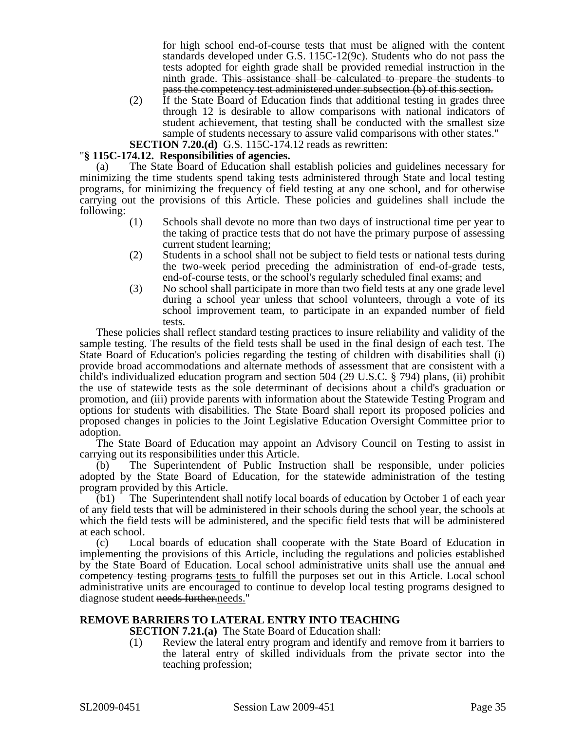for high school end-of-course tests that must be aligned with the content standards developed under G.S. 115C-12(9c). Students who do not pass the tests adopted for eighth grade shall be provided remedial instruction in the ninth grade. This assistance shall be calculated to prepare the students to pass the competency test administered under subsection (b) of this section.

(2) If the State Board of Education finds that additional testing in grades three through 12 is desirable to allow comparisons with national indicators of student achievement, that testing shall be conducted with the smallest size sample of students necessary to assure valid comparisons with other states."

#### **SECTION 7.20.(d)** G.S. 115C-174.12 reads as rewritten:

#### "**§ 115C-174.12. Responsibilities of agencies.**

(a) The State Board of Education shall establish policies and guidelines necessary for minimizing the time students spend taking tests administered through State and local testing programs, for minimizing the frequency of field testing at any one school, and for otherwise carrying out the provisions of this Article. These policies and guidelines shall include the following:

- (1) Schools shall devote no more than two days of instructional time per year to the taking of practice tests that do not have the primary purpose of assessing current student learning;
- (2) Students in a school shall not be subject to field tests or national tests during the two-week period preceding the administration of end-of-grade tests, end-of-course tests, or the school's regularly scheduled final exams; and
- (3) No school shall participate in more than two field tests at any one grade level during a school year unless that school volunteers, through a vote of its school improvement team, to participate in an expanded number of field tests.

These policies shall reflect standard testing practices to insure reliability and validity of the sample testing. The results of the field tests shall be used in the final design of each test. The State Board of Education's policies regarding the testing of children with disabilities shall (i) provide broad accommodations and alternate methods of assessment that are consistent with a child's individualized education program and section 504 (29 U.S.C. § 794) plans, (ii) prohibit the use of statewide tests as the sole determinant of decisions about a child's graduation or promotion, and (iii) provide parents with information about the Statewide Testing Program and options for students with disabilities. The State Board shall report its proposed policies and proposed changes in policies to the Joint Legislative Education Oversight Committee prior to adoption.

The State Board of Education may appoint an Advisory Council on Testing to assist in carrying out its responsibilities under this Article.

(b) The Superintendent of Public Instruction shall be responsible, under policies adopted by the State Board of Education, for the statewide administration of the testing program provided by this Article.

(b1) The Superintendent shall notify local boards of education by October 1 of each year of any field tests that will be administered in their schools during the school year, the schools at which the field tests will be administered, and the specific field tests that will be administered at each school.

(c) Local boards of education shall cooperate with the State Board of Education in implementing the provisions of this Article, including the regulations and policies established by the State Board of Education. Local school administrative units shall use the annual and competency testing programs tests to fulfill the purposes set out in this Article. Local school administrative units are encouraged to continue to develop local testing programs designed to diagnose student needs further.needs."

#### **REMOVE BARRIERS TO LATERAL ENTRY INTO TEACHING**

**SECTION 7.21.(a)** The State Board of Education shall:

(1) Review the lateral entry program and identify and remove from it barriers to the lateral entry of skilled individuals from the private sector into the teaching profession;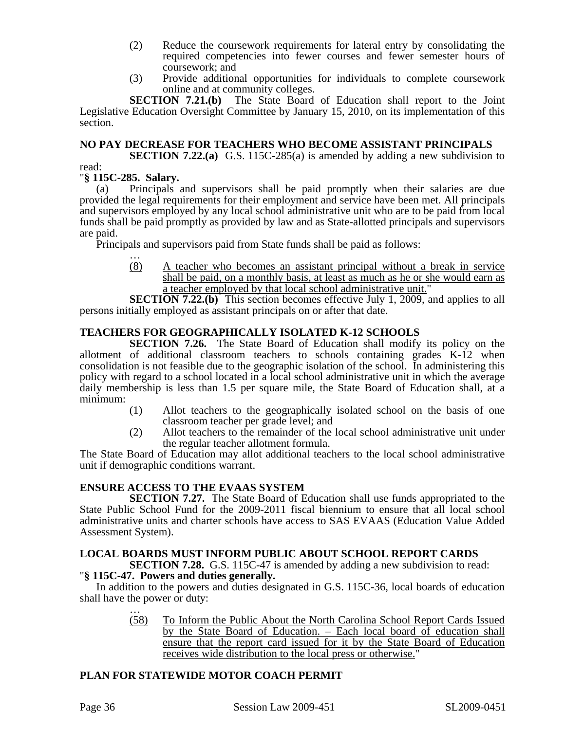- (2) Reduce the coursework requirements for lateral entry by consolidating the required competencies into fewer courses and fewer semester hours of coursework; and
- (3) Provide additional opportunities for individuals to complete coursework online and at community colleges.

**SECTION 7.21.(b)** The State Board of Education shall report to the Joint Legislative Education Oversight Committee by January 15, 2010, on its implementation of this section.

#### **NO PAY DECREASE FOR TEACHERS WHO BECOME ASSISTANT PRINCIPALS**

**SECTION 7.22.(a)** G.S. 115C-285(a) is amended by adding a new subdivision to

read:

#### "**§ 115C-285. Salary.**

(a) Principals and supervisors shall be paid promptly when their salaries are due provided the legal requirements for their employment and service have been met. All principals and supervisors employed by any local school administrative unit who are to be paid from local funds shall be paid promptly as provided by law and as State-allotted principals and supervisors are paid.

Principals and supervisors paid from State funds shall be paid as follows:

… (8) A teacher who becomes an assistant principal without a break in service shall be paid, on a monthly basis, at least as much as he or she would earn as a teacher employed by that local school administrative unit."

**SECTION 7.22.(b)** This section becomes effective July 1, 2009, and applies to all persons initially employed as assistant principals on or after that date.

# **TEACHERS FOR GEOGRAPHICALLY ISOLATED K-12 SCHOOLS**

**SECTION 7.26.** The State Board of Education shall modify its policy on the allotment of additional classroom teachers to schools containing grades K-12 when consolidation is not feasible due to the geographic isolation of the school. In administering this policy with regard to a school located in a local school administrative unit in which the average daily membership is less than 1.5 per square mile, the State Board of Education shall, at a minimum:  $(1)$ 

- Allot teachers to the geographically isolated school on the basis of one classroom teacher per grade level; and
- (2) Allot teachers to the remainder of the local school administrative unit under the regular teacher allotment formula.

The State Board of Education may allot additional teachers to the local school administrative unit if demographic conditions warrant.

# **ENSURE ACCESS TO THE EVAAS SYSTEM**

**SECTION 7.27.** The State Board of Education shall use funds appropriated to the State Public School Fund for the 2009-2011 fiscal biennium to ensure that all local school administrative units and charter schools have access to SAS EVAAS (Education Value Added Assessment System).

# **LOCAL BOARDS MUST INFORM PUBLIC ABOUT SCHOOL REPORT CARDS**

**SECTION 7.28.** G.S. 115C-47 is amended by adding a new subdivision to read:

# "**§ 115C-47. Powers and duties generally.**

In addition to the powers and duties designated in G.S. 115C-36, local boards of education shall have the power or duty:

… (58) To Inform the Public About the North Carolina School Report Cards Issued by the State Board of Education. – Each local board of education shall ensure that the report card issued for it by the State Board of Education receives wide distribution to the local press or otherwise."

# **PLAN FOR STATEWIDE MOTOR COACH PERMIT**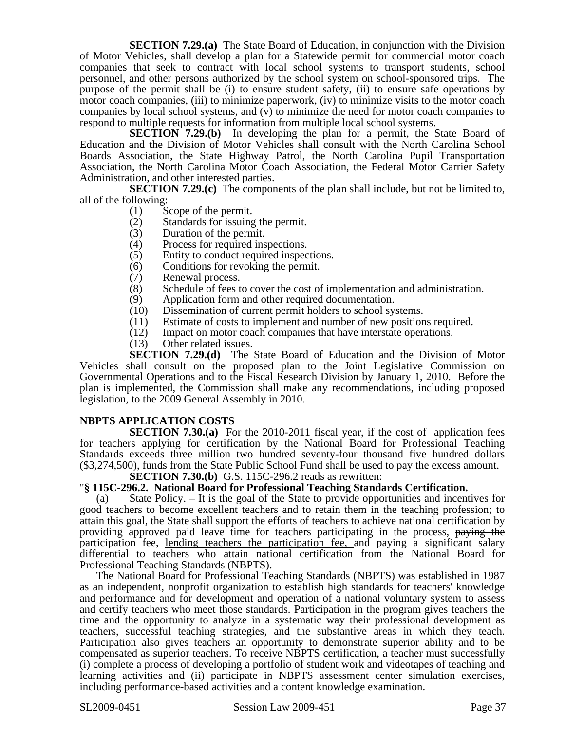**SECTION 7.29.(a)** The State Board of Education, in conjunction with the Division of Motor Vehicles, shall develop a plan for a Statewide permit for commercial motor coach companies that seek to contract with local school systems to transport students, school personnel, and other persons authorized by the school system on school-sponsored trips. The purpose of the permit shall be (i) to ensure student safety, (ii) to ensure safe operations by motor coach companies, (iii) to minimize paperwork, (iv) to minimize visits to the motor coach companies by local school systems, and  $(\hat{v})$  to minimize the need for motor coach companies to respond to multiple requests for information from multiple local school systems.

**SECTION 7.29.(b)** In developing the plan for a permit, the State Board of Education and the Division of Motor Vehicles shall consult with the North Carolina School Boards Association, the State Highway Patrol, the North Carolina Pupil Transportation Association, the North Carolina Motor Coach Association, the Federal Motor Carrier Safety Administration, and other interested parties.

**SECTION 7.29.(c)** The components of the plan shall include, but not be limited to, all of the following:

- (1) Scope of the permit.
- (2) Standards for issuing the permit.<br>(3) Duration of the permit.
- 
- (3) Duration of the permit.<br>(4) Process for required ins
- (4) Process for required inspections.<br>(5) Entity to conduct required inspec
- (5) Entity to conduct required inspections.<br>(6) Conditions for revoking the permit. Conditions for revoking the permit.
- 
- (7) Renewal process.<br>(8) Schedule of fees t (8) Schedule of fees to cover the cost of implementation and administration.<br>(9) Application form and other required documentation.
- 
- (9) Application form and other required documentation.<br>(10) Dissemination of current permit holders to school sy Dissemination of current permit holders to school systems.
- (11) Estimate of costs to implement and number of new positions required.
- (12) Impact on motor coach companies that have interstate operations.
- (13) Other related issues.

**SECTION 7.29.(d)** The State Board of Education and the Division of Motor Vehicles shall consult on the proposed plan to the Joint Legislative Commission on Governmental Operations and to the Fiscal Research Division by January 1, 2010. Before the plan is implemented, the Commission shall make any recommendations, including proposed legislation, to the 2009 General Assembly in 2010.

#### **NBPTS APPLICATION COSTS**

**SECTION 7.30.(a)** For the 2010-2011 fiscal year, if the cost of application fees for teachers applying for certification by the National Board for Professional Teaching Standards exceeds three million two hundred seventy-four thousand five hundred dollars (\$3,274,500), funds from the State Public School Fund shall be used to pay the excess amount.

# **SECTION 7.30.(b)** G.S. 115C-296.2 reads as rewritten:

#### "**§ 115C-296.2. National Board for Professional Teaching Standards Certification.**

(a) State Policy. – It is the goal of the State to provide opportunities and incentives for good teachers to become excellent teachers and to retain them in the teaching profession; to attain this goal, the State shall support the efforts of teachers to achieve national certification by providing approved paid leave time for teachers participating in the process, paying the participation fee, lending teachers the participation fee, and paying a significant salary differential to teachers who attain national certification from the National Board for Professional Teaching Standards (NBPTS).

The National Board for Professional Teaching Standards (NBPTS) was established in 1987 as an independent, nonprofit organization to establish high standards for teachers' knowledge and performance and for development and operation of a national voluntary system to assess and certify teachers who meet those standards. Participation in the program gives teachers the time and the opportunity to analyze in a systematic way their professional development as teachers, successful teaching strategies, and the substantive areas in which they teach. Participation also gives teachers an opportunity to demonstrate superior ability and to be compensated as superior teachers. To receive NBPTS certification, a teacher must successfully (i) complete a process of developing a portfolio of student work and videotapes of teaching and learning activities and (ii) participate in NBPTS assessment center simulation exercises, including performance-based activities and a content knowledge examination.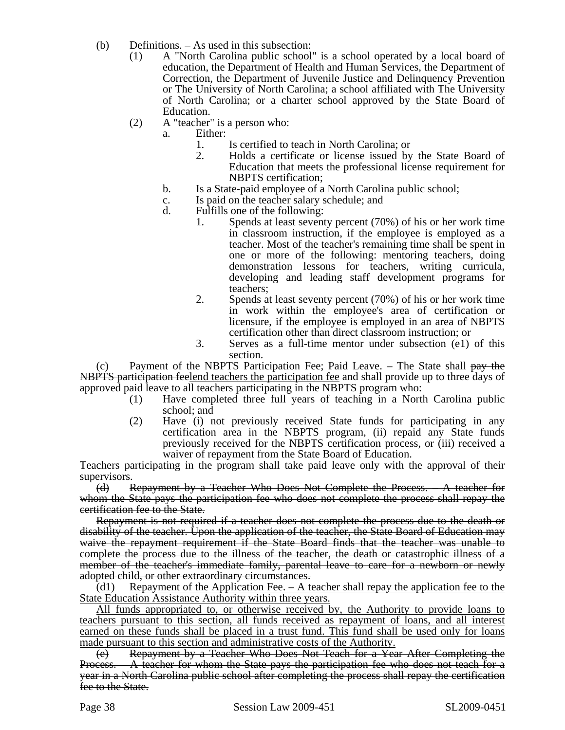- (b) Definitions. As used in this subsection:
	- (1) A "North Carolina public school" is a school operated by a local board of education, the Department of Health and Human Services, the Department of Correction, the Department of Juvenile Justice and Delinquency Prevention or The University of North Carolina; a school affiliated with The University of North Carolina; or a charter school approved by the State Board of Education.
	- (2) A "teacher" is a person who:
		- a. Either:
			- 1. Is certified to teach in North Carolina; or
			- 2. Holds a certificate or license issued by the State Board of Education that meets the professional license requirement for NBPTS certification;
		- b. Is a State-paid employee of a North Carolina public school;
		- c. Is paid on the teacher salary schedule; and
		- d. Fulfills one of the following:
			- 1. Spends at least seventy percent (70%) of his or her work time in classroom instruction, if the employee is employed as a teacher. Most of the teacher's remaining time shall be spent in one or more of the following: mentoring teachers, doing demonstration lessons for teachers, writing curricula, developing and leading staff development programs for teachers;
			- 2. Spends at least seventy percent (70%) of his or her work time in work within the employee's area of certification or licensure, if the employee is employed in an area of NBPTS certification other than direct classroom instruction; or
			- 3. Serves as a full-time mentor under subsection (e1) of this section.

(c) Payment of the NBPTS Participation Fee; Paid Leave. – The State shall pay the **NBPTS** participation feelend teachers the participation fee and shall provide up to three days of approved paid leave to all teachers participating in the NBPTS program who:

- (1) Have completed three full years of teaching in a North Carolina public school; and
- (2) Have (i) not previously received State funds for participating in any certification area in the NBPTS program, (ii) repaid any State funds previously received for the NBPTS certification process, or (iii) received a waiver of repayment from the State Board of Education.

Teachers participating in the program shall take paid leave only with the approval of their supervisors.

(d) Repayment by a Teacher Who Does Not Complete the Process. – A teacher for whom the State pays the participation fee who does not complete the process shall repay the certification fee to the State.

Repayment is not required if a teacher does not complete the process due to the death or disability of the teacher. Upon the application of the teacher, the State Board of Education may waive the repayment requirement if the State Board finds that the teacher was unable to complete the process due to the illness of the teacher, the death or catastrophic illness of a member of the teacher's immediate family, parental leave to care for a newborn or newly adopted child, or other extraordinary circumstances.

 $(d)$  Repayment of the Application Fee. – A teacher shall repay the application fee to the State Education Assistance Authority within three years.

All funds appropriated to, or otherwise received by, the Authority to provide loans to teachers pursuant to this section, all funds received as repayment of loans, and all interest earned on these funds shall be placed in a trust fund. This fund shall be used only for loans made pursuant to this section and administrative costs of the Authority.

(e) Repayment by a Teacher Who Does Not Teach for a Year After Completing the Process. – A teacher for whom the State pays the participation fee who does not teach for a year in a North Carolina public school after completing the process shall repay the certification fee to the State.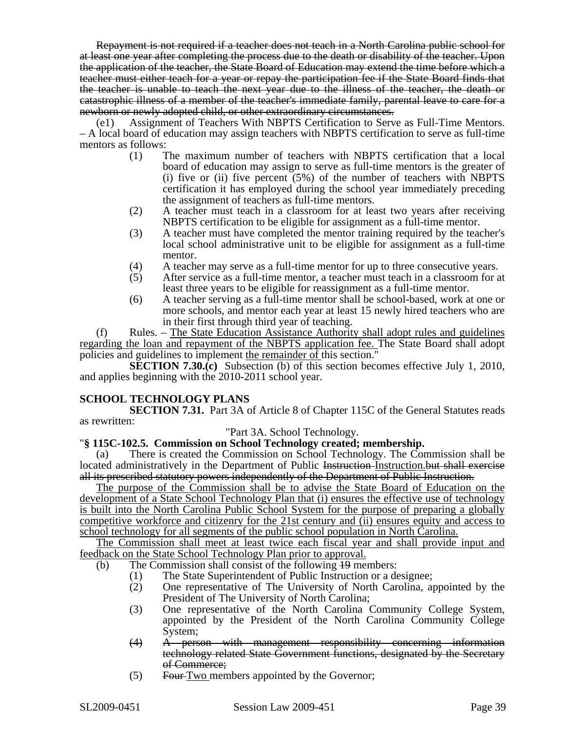Repayment is not required if a teacher does not teach in a North Carolina public school for at least one year after completing the process due to the death or disability of the teacher. Upon the application of the teacher, the State Board of Education may extend the time before which a teacher must either teach for a year or repay the participation fee if the State Board finds that the teacher is unable to teach the next year due to the illness of the teacher, the death or catastrophic illness of a member of the teacher's immediate family, parental leave to care for a newborn or newly adopted child, or other extraordinary circumstances.

(e1) Assignment of Teachers With NBPTS Certification to Serve as Full-Time Mentors. – A local board of education may assign teachers with NBPTS certification to serve as full-time mentors as follows:

- (1) The maximum number of teachers with NBPTS certification that a local board of education may assign to serve as full-time mentors is the greater of (i) five or (ii) five percent (5%) of the number of teachers with NBPTS certification it has employed during the school year immediately preceding the assignment of teachers as full-time mentors.
- (2) A teacher must teach in a classroom for at least two years after receiving NBPTS certification to be eligible for assignment as a full-time mentor.
- (3) A teacher must have completed the mentor training required by the teacher's local school administrative unit to be eligible for assignment as a full-time mentor.
- (4) A teacher may serve as a full-time mentor for up to three consecutive years.
- (5) After service as a full-time mentor, a teacher must teach in a classroom for at least three years to be eligible for reassignment as a full-time mentor.
- (6) A teacher serving as a full-time mentor shall be school-based, work at one or more schools, and mentor each year at least 15 newly hired teachers who are in their first through third year of teaching.

(f) Rules. – The State Education Assistance Authority shall adopt rules and guidelines regarding the loan and repayment of the NBPTS application fee. The State Board shall adopt policies and guidelines to implement the remainder of this section."

**SECTION 7.30.(c)** Subsection (b) of this section becomes effective July 1, 2010, and applies beginning with the 2010-2011 school year.

# **SCHOOL TECHNOLOGY PLANS**

**SECTION 7.31.** Part 3A of Article 8 of Chapter 115C of the General Statutes reads as rewritten:

# "Part 3A. School Technology. "**§ 115C-102.5. Commission on School Technology created; membership.**

There is created the Commission on School Technology. The Commission shall be located administratively in the Department of Public Instruction-Instruction. but shall exercise all its prescribed statutory powers independently of the Department of Public Instruction.

The purpose of the Commission shall be to advise the State Board of Education on the development of a State School Technology Plan that (i) ensures the effective use of technology is built into the North Carolina Public School System for the purpose of preparing a globally competitive workforce and citizenry for the 21st century and (ii) ensures equity and access to school technology for all segments of the public school population in North Carolina.

The Commission shall meet at least twice each fiscal year and shall provide input and feedback on the State School Technology Plan prior to approval.

- (b) The Commission shall consist of the following 19 members:
	- (1) The State Superintendent of Public Instruction or a designee;
	- (2) One representative of The University of North Carolina, appointed by the President of The University of North Carolina;
	- (3) One representative of the North Carolina Community College System, appointed by the President of the North Carolina Community College System;
	- (4) A person with management responsibility concerning information technology related State Government functions, designated by the Secretary of Commerce;
	- (5) Four-Two members appointed by the Governor;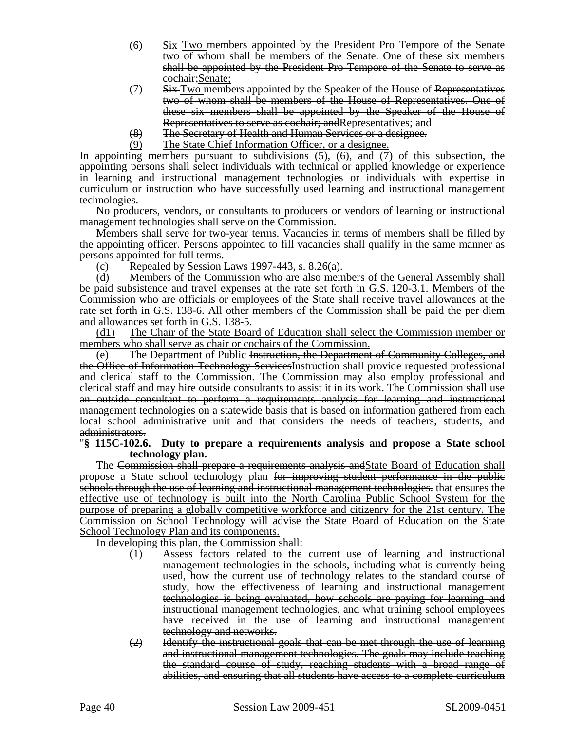- $(6)$  Six-Two members appointed by the President Pro Tempore of the Senate two of whom shall be members of the Senate. One of these six members shall be appointed by the President Pro Tempore of the Senate to serve as cochair;Senate;
- $(7)$  Six-Two members appointed by the Speaker of the House of Representatives two of whom shall be members of the House of Representatives. One of these six members shall be appointed by the Speaker of the House of Representatives to serve as cochair; and Representatives; and
- (8) The Secretary of Health and Human Services or a designee.
- (9) The State Chief Information Officer, or a designee.

In appointing members pursuant to subdivisions (5), (6), and (7) of this subsection, the appointing persons shall select individuals with technical or applied knowledge or experience in learning and instructional management technologies or individuals with expertise in curriculum or instruction who have successfully used learning and instructional management technologies.

No producers, vendors, or consultants to producers or vendors of learning or instructional management technologies shall serve on the Commission.

Members shall serve for two-year terms. Vacancies in terms of members shall be filled by the appointing officer. Persons appointed to fill vacancies shall qualify in the same manner as persons appointed for full terms.

(c) Repealed by Session Laws 1997-443, s.  $8.26(a)$ .

(d) Members of the Commission who are also members of the General Assembly shall be paid subsistence and travel expenses at the rate set forth in G.S. 120-3.1. Members of the Commission who are officials or employees of the State shall receive travel allowances at the rate set forth in G.S. 138-6. All other members of the Commission shall be paid the per diem and allowances set forth in G.S. 138-5.

(d1) The Chair of the State Board of Education shall select the Commission member or members who shall serve as chair or cochairs of the Commission.

(e) The Department of Public Instruction, the Department of Community Colleges, and the Office of Information Technology ServicesInstruction shall provide requested professional and clerical staff to the Commission. The Commission may also employ professional and clerical staff and may hire outside consultants to assist it in its work. The Commission shall use an outside consultant to perform a requirements analysis for learning and instructional management technologies on a statewide basis that is based on information gathered from each local school administrative unit and that considers the needs of teachers, students, and administrators.

#### "**§ 115C-102.6. Duty to prepare a requirements analysis and propose a State school technology plan.**

The Commission shall prepare a requirements analysis and State Board of Education shall propose a State school technology plan for improving student performance in the public schools through the use of learning and instructional management technologies. that ensures the effective use of technology is built into the North Carolina Public School System for the purpose of preparing a globally competitive workforce and citizenry for the 21st century. The Commission on School Technology will advise the State Board of Education on the State School Technology Plan and its components.

In developing this plan, the Commission shall:

- (1) Assess factors related to the current use of learning and instructional management technologies in the schools, including what is currently being used, how the current use of technology relates to the standard course of study, how the effectiveness of learning and instructional management technologies is being evaluated, how schools are paying for learning and instructional management technologies, and what training school employees have received in the use of learning and instructional management technology and networks.
- $(2)$  Identify the instructional goals that can be met through the use of learning and instructional management technologies. The goals may include teaching the standard course of study, reaching students with a broad range of abilities, and ensuring that all students have access to a complete curriculum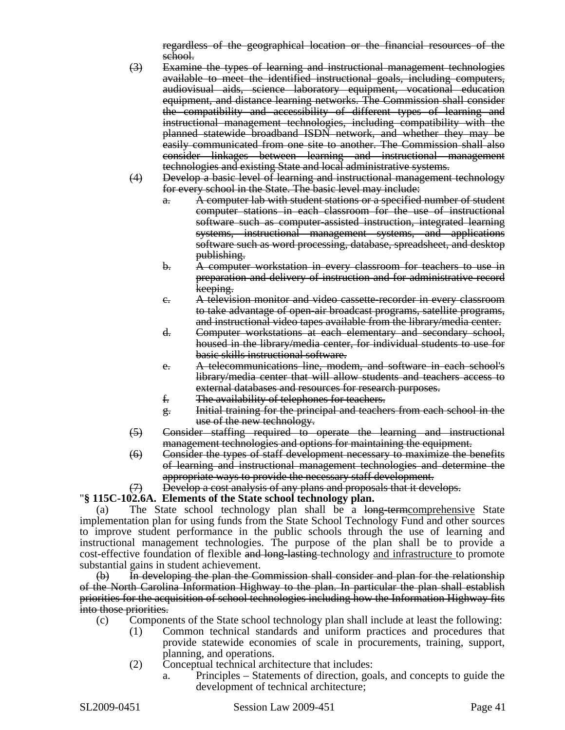regardless of the geographical location or the financial resources of the school.

- (3) Examine the types of learning and instructional management technologies available to meet the identified instructional goals, including computers, audiovisual aids, science laboratory equipment, vocational education equipment, and distance learning networks. The Commission shall consider the compatibility and accessibility of different types of learning and instructional management technologies, including compatibility with the planned statewide broadband ISDN network, and whether they may be easily communicated from one site to another. The Commission shall also consider linkages between learning and instructional management technologies and existing State and local administrative systems.
- (4) Develop a basic level of learning and instructional management technology for every school in the State. The basic level may include:
	- a. A computer lab with student stations or a specified number of student computer stations in each classroom for the use of instructional software such as computer-assisted instruction, integrated learning systems, instructional management systems, and applications software such as word processing, database, spreadsheet, and desktop publishing.
	- b. A computer workstation in every classroom for teachers to use in preparation and delivery of instruction and for administrative record keeping.
	- c. A television monitor and video cassette-recorder in every classroom to take advantage of open-air broadcast programs, satellite programs, and instructional video tapes available from the library/media center.
	- d. Computer workstations at each elementary and secondary school, housed in the library/media center, for individual students to use for basic skills instructional software.
	- e. A telecommunications line, modem, and software in each school's library/media center that will allow students and teachers access to external databases and resources for research purposes.
	- f. The availability of telephones for teachers.
	- g. Initial training for the principal and teachers from each school in the use of the new technology.
- (5) Consider staffing required to operate the learning and instructional management technologies and options for maintaining the equipment.
- (6) Consider the types of staff development necessary to maximize the benefits of learning and instructional management technologies and determine the appropriate ways to provide the necessary staff development.
- (7) Develop a cost analysis of any plans and proposals that it develops.

# "**§ 115C-102.6A. Elements of the State school technology plan.**

(a) The State school technology plan shall be a long-termcomprehensive State implementation plan for using funds from the State School Technology Fund and other sources to improve student performance in the public schools through the use of learning and instructional management technologies. The purpose of the plan shall be to provide a cost-effective foundation of flexible and long-lasting-technology and infrastructure to promote substantial gains in student achievement.

(b) In developing the plan the Commission shall consider and plan for the relationship of the North Carolina Information Highway to the plan. In particular the plan shall establish priorities for the acquisition of school technologies including how the Information Highway fits into those priorities.

- (c) Components of the State school technology plan shall include at least the following:
	- (1) Common technical standards and uniform practices and procedures that provide statewide economies of scale in procurements, training, support, planning, and operations.
	- (2) Conceptual technical architecture that includes:
		- a. Principles Statements of direction, goals, and concepts to guide the development of technical architecture;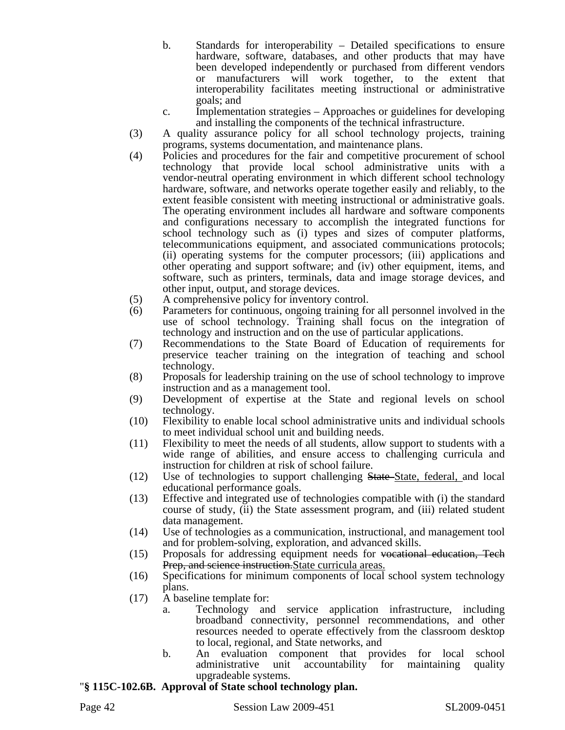- b. Standards for interoperability Detailed specifications to ensure hardware, software, databases, and other products that may have been developed independently or purchased from different vendors or manufacturers will work together, to the extent that interoperability facilitates meeting instructional or administrative goals; and
- c. Implementation strategies Approaches or guidelines for developing and installing the components of the technical infrastructure.
- (3) A quality assurance policy for all school technology projects, training programs, systems documentation, and maintenance plans.
- (4) Policies and procedures for the fair and competitive procurement of school technology that provide local school administrative units with a vendor-neutral operating environment in which different school technology hardware, software, and networks operate together easily and reliably, to the extent feasible consistent with meeting instructional or administrative goals. The operating environment includes all hardware and software components and configurations necessary to accomplish the integrated functions for school technology such as (i) types and sizes of computer platforms, telecommunications equipment, and associated communications protocols; (ii) operating systems for the computer processors; (iii) applications and other operating and support software; and (iv) other equipment, items, and software, such as printers, terminals, data and image storage devices, and other input, output, and storage devices.
- 
- (5) A comprehensive policy for inventory control.<br>(6) Parameters for continuous, ongoing training fo Parameters for continuous, ongoing training for all personnel involved in the use of school technology. Training shall focus on the integration of technology and instruction and on the use of particular applications.
- (7) Recommendations to the State Board of Education of requirements for preservice teacher training on the integration of teaching and school technology.
- (8) Proposals for leadership training on the use of school technology to improve instruction and as a management tool.
- (9) Development of expertise at the State and regional levels on school technology.
- (10) Flexibility to enable local school administrative units and individual schools to meet individual school unit and building needs.
- (11) Flexibility to meet the needs of all students, allow support to students with a wide range of abilities, and ensure access to challenging curricula and instruction for children at risk of school failure.
- (12) Use of technologies to support challenging State State, federal, and local educational performance goals.
- (13) Effective and integrated use of technologies compatible with (i) the standard course of study, (ii) the State assessment program, and (iii) related student data management.
- (14) Use of technologies as a communication, instructional, and management tool and for problem-solving, exploration, and advanced skills.
- (15) Proposals for addressing equipment needs for vocational education, Tech Prep, and science instruction. State curricula areas.
- (16) Specifications for minimum components of local school system technology plans.
- (17) A baseline template for:
	- a. Technology and service application infrastructure, including broadband connectivity, personnel recommendations, and other resources needed to operate effectively from the classroom desktop to local, regional, and State networks, and
	- b. An evaluation component that provides for local school administrative unit accountability for maintaining quality upgradeable systems.

# "**§ 115C-102.6B. Approval of State school technology plan.**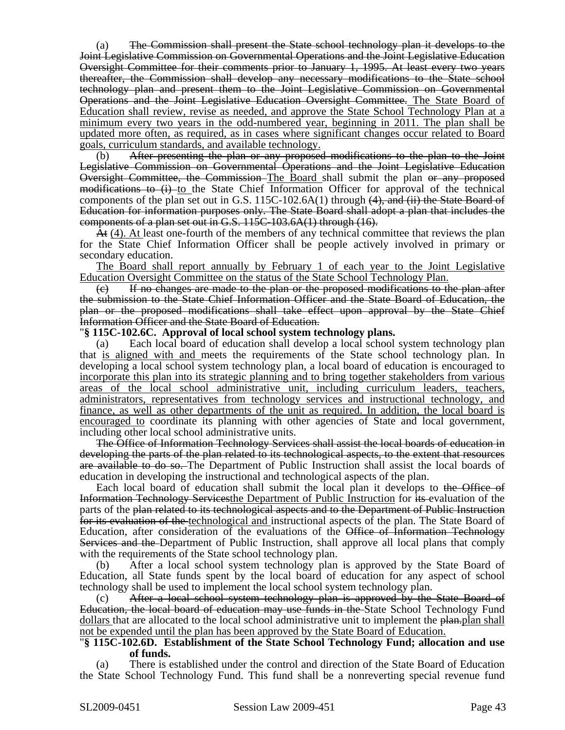(a) The Commission shall present the State school technology plan it develops to the Joint Legislative Commission on Governmental Operations and the Joint Legislative Education Oversight Committee for their comments prior to January 1, 1995. At least every two years thereafter, the Commission shall develop any necessary modifications to the State school technology plan and present them to the Joint Legislative Commission on Governmental Operations and the Joint Legislative Education Oversight Committee. The State Board of Education shall review, revise as needed, and approve the State School Technology Plan at a minimum every two years in the odd-numbered year, beginning in 2011. The plan shall be updated more often, as required, as in cases where significant changes occur related to Board goals, curriculum standards, and available technology.

(b) After presenting the plan or any proposed modifications to the plan to the Joint Legislative Commission on Governmental Operations and the Joint Legislative Education Oversight Committee, the Commission The Board shall submit the plan or any proposed modifications to (i) to the State Chief Information Officer for approval of the technical components of the plan set out in G.S.  $115C-102.6A(1)$  through  $(4)$ , and  $(ii)$  the State Board of Education for information purposes only. The State Board shall adopt a plan that includes the components of a plan set out in G.S. 115C-103.6A(1) through (16).

 $At (4)$ . At least one-fourth of the members of any technical committee that reviews the plan for the State Chief Information Officer shall be people actively involved in primary or secondary education.

The Board shall report annually by February 1 of each year to the Joint Legislative Education Oversight Committee on the status of the State School Technology Plan.

(c) If no changes are made to the plan or the proposed modifications to the plan after the submission to the State Chief Information Officer and the State Board of Education, the plan or the proposed modifications shall take effect upon approval by the State Chief Information Officer and the State Board of Education.

"**§ 115C-102.6C. Approval of local school system technology plans.** 

(a) Each local board of education shall develop a local school system technology plan that is aligned with and meets the requirements of the State school technology plan. In developing a local school system technology plan, a local board of education is encouraged to incorporate this plan into its strategic planning and to bring together stakeholders from various areas of the local school administrative unit, including curriculum leaders, teachers, administrators, representatives from technology services and instructional technology, and finance, as well as other departments of the unit as required. In addition, the local board is encouraged to coordinate its planning with other agencies of State and local government, including other local school administrative units.

The Office of Information Technology Services shall assist the local boards of education in developing the parts of the plan related to its technological aspects, to the extent that resources are available to do so. The Department of Public Instruction shall assist the local boards of education in developing the instructional and technological aspects of the plan.

Each local board of education shall submit the local plan it develops to the Office of Information Technology Servicesthe Department of Public Instruction for its evaluation of the parts of the plan related to its technological aspects and to the Department of Public Instruction for its evaluation of the technological and instructional aspects of the plan. The State Board of Education, after consideration of the evaluations of the Office of Information Technology Services and the Department of Public Instruction, shall approve all local plans that comply with the requirements of the State school technology plan.

(b) After a local school system technology plan is approved by the State Board of Education, all State funds spent by the local board of education for any aspect of school technology shall be used to implement the local school system technology plan.

(c) After a local school system technology plan is approved by the State Board of Education, the local board of education may use funds in the State School Technology Fund dollars that are allocated to the local school administrative unit to implement the plan-plan shall

# not be expended until the plan has been approved by the State Board of Education. "**§ 115C-102.6D. Establishment of the State School Technology Fund; allocation and use of funds.**

(a) There is established under the control and direction of the State Board of Education the State School Technology Fund. This fund shall be a nonreverting special revenue fund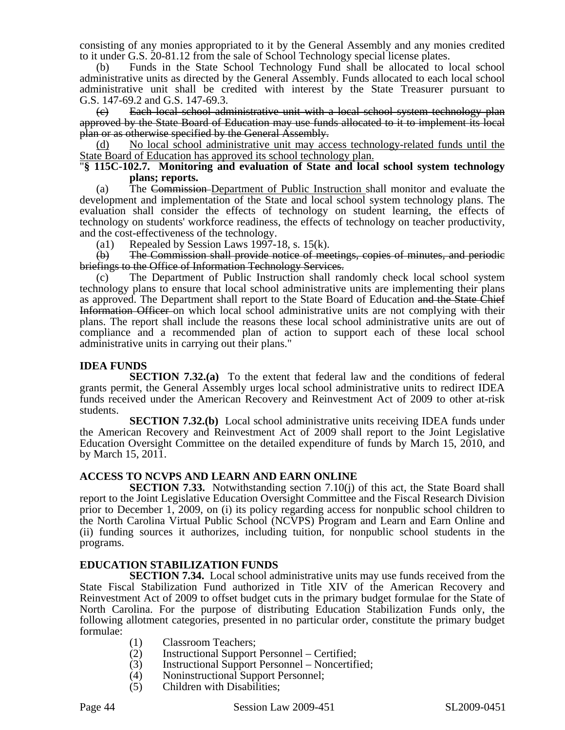consisting of any monies appropriated to it by the General Assembly and any monies credited to it under G.S. 20-81.12 from the sale of School Technology special license plates.

(b) Funds in the State School Technology Fund shall be allocated to local school administrative units as directed by the General Assembly. Funds allocated to each local school administrative unit shall be credited with interest by the State Treasurer pursuant to G.S. 147-69.2 and G.S. 147-69.3.

(c) Each local school administrative unit with a local school system technology plan approved by the State Board of Education may use funds allocated to it to implement its local plan or as otherwise specified by the General Assembly.

(d) No local school administrative unit may access technology-related funds until the State Board of Education has approved its school technology plan.

#### "**§ 115C-102.7. Monitoring and evaluation of State and local school system technology plans; reports.**

(a) The Commission Department of Public Instruction shall monitor and evaluate the development and implementation of the State and local school system technology plans. The evaluation shall consider the effects of technology on student learning, the effects of technology on students' workforce readiness, the effects of technology on teacher productivity, and the cost-effectiveness of the technology.

(a1) Repealed by Session Laws 1997-18, s. 15(k).

(b) The Commission shall provide notice of meetings, copies of minutes, and periodic briefings to the Office of Information Technology Services.

(c) The Department of Public Instruction shall randomly check local school system technology plans to ensure that local school administrative units are implementing their plans as approved. The Department shall report to the State Board of Education and the State Chief Information Officer on which local school administrative units are not complying with their plans. The report shall include the reasons these local school administrative units are out of compliance and a recommended plan of action to support each of these local school administrative units in carrying out their plans."

# **IDEA FUNDS**

**SECTION 7.32.(a)** To the extent that federal law and the conditions of federal grants permit, the General Assembly urges local school administrative units to redirect IDEA funds received under the American Recovery and Reinvestment Act of 2009 to other at-risk students.

**SECTION 7.32.(b)** Local school administrative units receiving IDEA funds under the American Recovery and Reinvestment Act of 2009 shall report to the Joint Legislative Education Oversight Committee on the detailed expenditure of funds by March 15, 2010, and by March 15, 2011.

#### **ACCESS TO NCVPS AND LEARN AND EARN ONLINE**

**SECTION 7.33.** Notwithstanding section 7.10(j) of this act, the State Board shall report to the Joint Legislative Education Oversight Committee and the Fiscal Research Division prior to December 1, 2009, on (i) its policy regarding access for nonpublic school children to the North Carolina Virtual Public School (NCVPS) Program and Learn and Earn Online and (ii) funding sources it authorizes, including tuition, for nonpublic school students in the programs.

#### **EDUCATION STABILIZATION FUNDS**

**SECTION 7.34.** Local school administrative units may use funds received from the State Fiscal Stabilization Fund authorized in Title XIV of the American Recovery and Reinvestment Act of 2009 to offset budget cuts in the primary budget formulae for the State of North Carolina. For the purpose of distributing Education Stabilization Funds only, the following allotment categories, presented in no particular order, constitute the primary budget formulae:

- (1) Classroom Teachers;<br>(2) Instructional Support
- Instructional Support Personnel Certified;
- (3) Instructional Support Personnel Noncertified;<br>(4) Noninstructional Support Personnel:
- (4) Noninstructional Support Personnel;
- (5) Children with Disabilities;

Page 44 Session Law 2009-451 SL2009-0451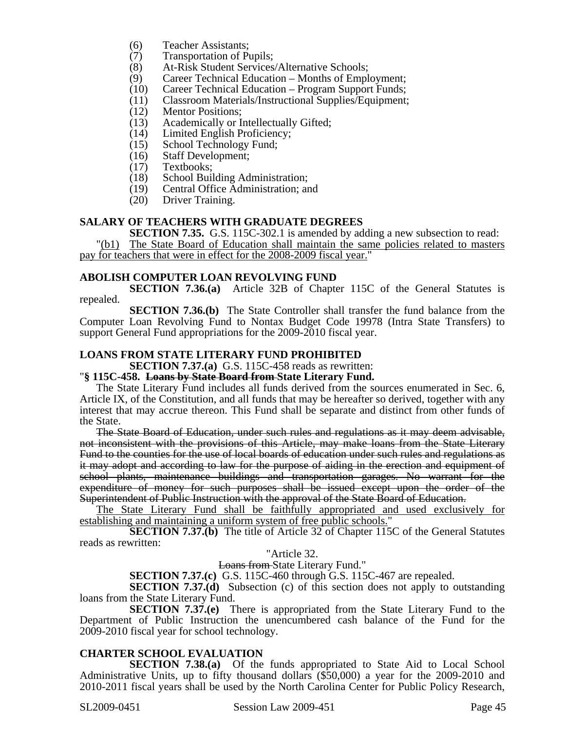- (6) Teacher Assistants;
- (7) Transportation of Pupils;
- At-Risk Student Services/Alternative Schools;
- (9) Career Technical Education Months of Employment;
- (10) Career Technical Education Program Support Funds;
- (11) Classroom Materials/Instructional Supplies/Equipment;<br>(12) Mentor Positions;
- (12) Mentor Positions;<br>(13) Academically or I
- (13) Academically or Intellectually Gifted;<br>(14) Limited English Proficiency;
- Limited English Proficiency;
- (15) School Technology Fund;<br>(16) Staff Development;
- (16) Staff Development;<br>(17) Textbooks;
- (17) Textbooks;
- (18) School Building Administration;<br>(19) Central Office Administration; an
- Central Office Administration; and
- (20) Driver Training.

# **SALARY OF TEACHERS WITH GRADUATE DEGREES**

**SECTION 7.35.** G.S. 115C-302.1 is amended by adding a new subsection to read: "(b1) The State Board of Education shall maintain the same policies related to masters

pay for teachers that were in effect for the 2008-2009 fiscal year."

### **ABOLISH COMPUTER LOAN REVOLVING FUND**

**SECTION 7.36.(a)** Article 32B of Chapter 115C of the General Statutes is repealed.

**SECTION 7.36.(b)** The State Controller shall transfer the fund balance from the Computer Loan Revolving Fund to Nontax Budget Code 19978 (Intra State Transfers) to support General Fund appropriations for the 2009-2010 fiscal year.

### **LOANS FROM STATE LITERARY FUND PROHIBITED**

**SECTION 7.37.(a)** G.S. 115C-458 reads as rewritten:

#### "**§ 115C-458. Loans by State Board from State Literary Fund.**

The State Literary Fund includes all funds derived from the sources enumerated in Sec. 6, Article IX, of the Constitution, and all funds that may be hereafter so derived, together with any interest that may accrue thereon. This Fund shall be separate and distinct from other funds of the State.

The State Board of Education, under such rules and regulations as it may deem advisable, not inconsistent with the provisions of this Article, may make loans from the State Literary Fund to the counties for the use of local boards of education under such rules and regulations as it may adopt and according to law for the purpose of aiding in the erection and equipment of school plants, maintenance buildings and transportation garages. No warrant for the expenditure of money for such purposes shall be issued except upon the order of the Superintendent of Public Instruction with the approval of the State Board of Education.

The State Literary Fund shall be faithfully appropriated and used exclusively for establishing and maintaining a uniform system of free public schools."

**SECTION 7.37.(b)** The title of Article 32 of Chapter 115C of the General Statutes reads as rewritten:

#### "Article 32.

Loans from State Literary Fund."

**SECTION 7.37.(c)** G.S. 115C-460 through G.S. 115C-467 are repealed.

**SECTION 7.37.(d)** Subsection (c) of this section does not apply to outstanding loans from the State Literary Fund.

**SECTION 7.37.(e)** There is appropriated from the State Literary Fund to the Department of Public Instruction the unencumbered cash balance of the Fund for the 2009-2010 fiscal year for school technology.

# **CHARTER SCHOOL EVALUATION**

**SECTION 7.38.(a)** Of the funds appropriated to State Aid to Local School Administrative Units, up to fifty thousand dollars (\$50,000) a year for the 2009-2010 and 2010-2011 fiscal years shall be used by the North Carolina Center for Public Policy Research,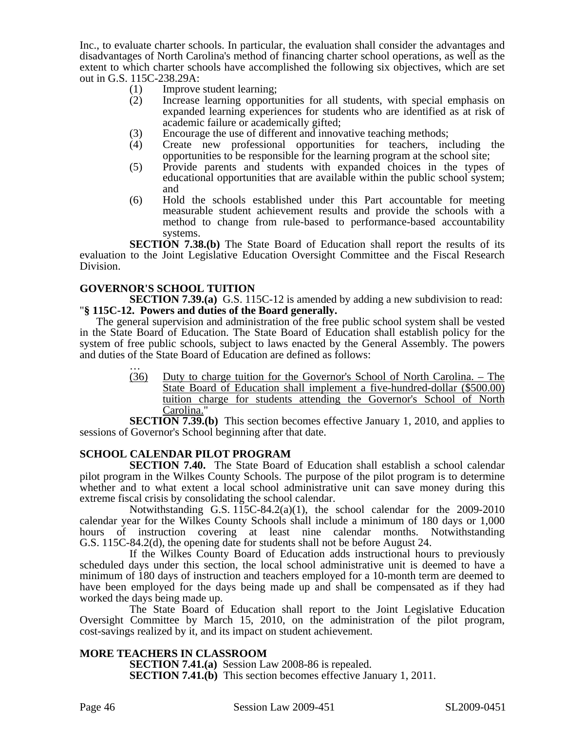Inc., to evaluate charter schools. In particular, the evaluation shall consider the advantages and disadvantages of North Carolina's method of financing charter school operations, as well as the extent to which charter schools have accomplished the following six objectives, which are set out in G.S. 115C-238.29A:

- (1) Improve student learning;
- (2) Increase learning opportunities for all students, with special emphasis on expanded learning experiences for students who are identified as at risk of academic failure or academically gifted;
- (3) Encourage the use of different and innovative teaching methods;<br>(4) Create new professional opportunities for teachers, inc
- Create new professional opportunities for teachers, including the opportunities to be responsible for the learning program at the school site;
- (5) Provide parents and students with expanded choices in the types of educational opportunities that are available within the public school system; and
- (6) Hold the schools established under this Part accountable for meeting measurable student achievement results and provide the schools with a method to change from rule-based to performance-based accountability systems.

**SECTION 7.38.(b)** The State Board of Education shall report the results of its evaluation to the Joint Legislative Education Oversight Committee and the Fiscal Research Division.

### **GOVERNOR'S SCHOOL TUITION**

**SECTION 7.39.(a)** G.S. 115C-12 is amended by adding a new subdivision to read: "**§ 115C-12. Powers and duties of the Board generally.** 

The general supervision and administration of the free public school system shall be vested in the State Board of Education. The State Board of Education shall establish policy for the system of free public schools, subject to laws enacted by the General Assembly. The powers and duties of the State Board of Education are defined as follows:

… (36) Duty to charge tuition for the Governor's School of North Carolina. – The State Board of Education shall implement a five-hundred-dollar (\$500.00) tuition charge for students attending the Governor's School of North Carolina."

**SECTION 7.39.(b)** This section becomes effective January 1, 2010, and applies to sessions of Governor's School beginning after that date.

# **SCHOOL CALENDAR PILOT PROGRAM**

**SECTION 7.40.** The State Board of Education shall establish a school calendar pilot program in the Wilkes County Schools. The purpose of the pilot program is to determine whether and to what extent a local school administrative unit can save money during this extreme fiscal crisis by consolidating the school calendar.

Notwithstanding G.S.  $1\overline{15}C-84.2(a)(1)$ , the school calendar for the 2009-2010 calendar year for the Wilkes County Schools shall include a minimum of 180 days or 1,000 hours of instruction covering at least nine calendar months. Notwithstanding G.S. 115C-84.2(d), the opening date for students shall not be before August 24.

If the Wilkes County Board of Education adds instructional hours to previously scheduled days under this section, the local school administrative unit is deemed to have a minimum of 180 days of instruction and teachers employed for a 10-month term are deemed to have been employed for the days being made up and shall be compensated as if they had worked the days being made up.

The State Board of Education shall report to the Joint Legislative Education Oversight Committee by March 15, 2010, on the administration of the pilot program, cost-savings realized by it, and its impact on student achievement.

# **MORE TEACHERS IN CLASSROOM**

**SECTION 7.41.(a)** Session Law 2008-86 is repealed.

**SECTION 7.41.(b)** This section becomes effective January 1, 2011.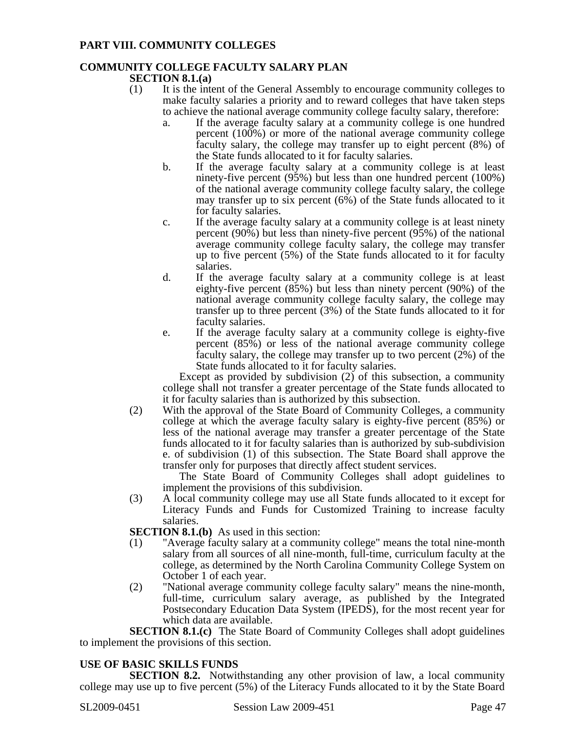# **PART VIII. COMMUNITY COLLEGES**

# **COMMUNITY COLLEGE FACULTY SALARY PLAN**

# **SECTION 8.1.(a)**

- (1) It is the intent of the General Assembly to encourage community colleges to make faculty salaries a priority and to reward colleges that have taken steps to achieve the national average community college faculty salary, therefore:
	- a. If the average faculty salary at a community college is one hundred percent (100%) or more of the national average community college faculty salary, the college may transfer up to eight percent (8%) of the State funds allocated to it for faculty salaries.
	- b. If the average faculty salary at a community college is at least ninety-five percent (95%) but less than one hundred percent (100%) of the national average community college faculty salary, the college may transfer up to six percent (6%) of the State funds allocated to it for faculty salaries.
	- c. If the average faculty salary at a community college is at least ninety percent (90%) but less than ninety-five percent (95%) of the national average community college faculty salary, the college may transfer up to five percent (5%) of the State funds allocated to it for faculty salaries.
	- d. If the average faculty salary at a community college is at least eighty-five percent (85%) but less than ninety percent (90%) of the national average community college faculty salary, the college may transfer up to three percent (3%) of the State funds allocated to it for faculty salaries.
	- e. If the average faculty salary at a community college is eighty-five percent (85%) or less of the national average community college faculty salary, the college may transfer up to two percent (2%) of the State funds allocated to it for faculty salaries.

Except as provided by subdivision (2) of this subsection, a community college shall not transfer a greater percentage of the State funds allocated to it for faculty salaries than is authorized by this subsection.

(2) With the approval of the State Board of Community Colleges, a community college at which the average faculty salary is eighty-five percent (85%) or less of the national average may transfer a greater percentage of the State funds allocated to it for faculty salaries than is authorized by sub-subdivision e. of subdivision (1) of this subsection. The State Board shall approve the transfer only for purposes that directly affect student services.

The State Board of Community Colleges shall adopt guidelines to implement the provisions of this subdivision.

(3) A local community college may use all State funds allocated to it except for Literacy Funds and Funds for Customized Training to increase faculty salaries.

**SECTION 8.1.(b)** As used in this section:

- (1) "Average faculty salary at a community college" means the total nine-month salary from all sources of all nine-month, full-time, curriculum faculty at the college, as determined by the North Carolina Community College System on October 1 of each year.
- (2) "National average community college faculty salary" means the nine-month, full-time, curriculum salary average, as published by the Integrated Postsecondary Education Data System (IPEDS), for the most recent year for which data are available.

**SECTION 8.1.(c)** The State Board of Community Colleges shall adopt guidelines to implement the provisions of this section.

# **USE OF BASIC SKILLS FUNDS**

**SECTION 8.2.** Notwithstanding any other provision of law, a local community college may use up to five percent (5%) of the Literacy Funds allocated to it by the State Board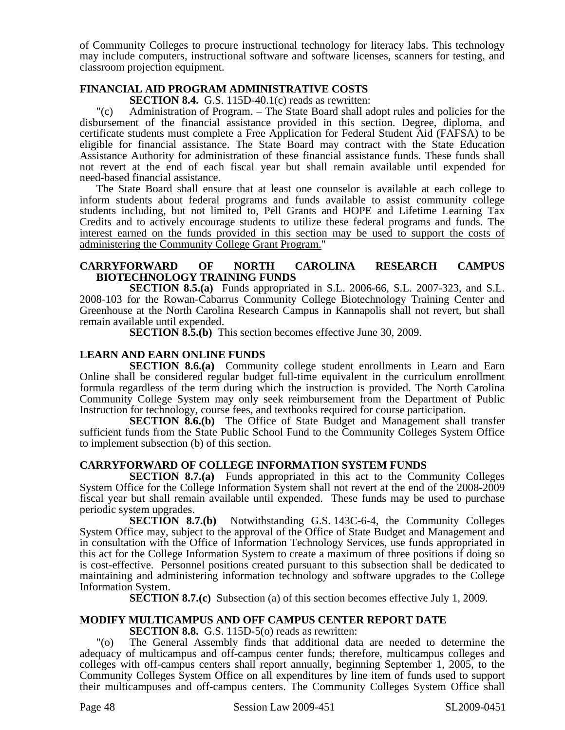of Community Colleges to procure instructional technology for literacy labs. This technology may include computers, instructional software and software licenses, scanners for testing, and classroom projection equipment.

# **FINANCIAL AID PROGRAM ADMINISTRATIVE COSTS**

**SECTION 8.4.** G.S. 115D-40.1(c) reads as rewritten:

"(c) Administration of Program. – The State Board shall adopt rules and policies for the disbursement of the financial assistance provided in this section. Degree, diploma, and certificate students must complete a Free Application for Federal Student Aid (FAFSA) to be eligible for financial assistance. The State Board may contract with the State Education Assistance Authority for administration of these financial assistance funds. These funds shall not revert at the end of each fiscal year but shall remain available until expended for need-based financial assistance.

The State Board shall ensure that at least one counselor is available at each college to inform students about federal programs and funds available to assist community college students including, but not limited to, Pell Grants and HOPE and Lifetime Learning Tax Credits and to actively encourage students to utilize these federal programs and funds. The interest earned on the funds provided in this section may be used to support the costs of administering the Community College Grant Program."

# **CARRYFORWARD OF NORTH CAROLINA RESEARCH CAMPUS BIOTECHNOLOGY TRAINING FUNDS**

**SECTION 8.5.(a)** Funds appropriated in S.L. 2006-66, S.L. 2007-323, and S.L. 2008-103 for the Rowan-Cabarrus Community College Biotechnology Training Center and Greenhouse at the North Carolina Research Campus in Kannapolis shall not revert, but shall remain available until expended.

**SECTION 8.5.(b)** This section becomes effective June 30, 2009.

# **LEARN AND EARN ONLINE FUNDS**

**SECTION 8.6.(a)** Community college student enrollments in Learn and Earn Online shall be considered regular budget full-time equivalent in the curriculum enrollment formula regardless of the term during which the instruction is provided. The North Carolina Community College System may only seek reimbursement from the Department of Public Instruction for technology, course fees, and textbooks required for course participation.

**SECTION 8.6.(b)** The Office of State Budget and Management shall transfer sufficient funds from the State Public School Fund to the Community Colleges System Office to implement subsection (b) of this section.

# **CARRYFORWARD OF COLLEGE INFORMATION SYSTEM FUNDS**

**SECTION 8.7.(a)** Funds appropriated in this act to the Community Colleges System Office for the College Information System shall not revert at the end of the 2008-2009 fiscal year but shall remain available until expended. These funds may be used to purchase periodic system upgrades.

**SECTION 8.7.(b)** Notwithstanding G.S. 143C-6-4, the Community Colleges System Office may, subject to the approval of the Office of State Budget and Management and in consultation with the Office of Information Technology Services, use funds appropriated in this act for the College Information System to create a maximum of three positions if doing so is cost-effective. Personnel positions created pursuant to this subsection shall be dedicated to maintaining and administering information technology and software upgrades to the College Information System.

**SECTION 8.7.(c)** Subsection (a) of this section becomes effective July 1, 2009.

# **MODIFY MULTICAMPUS AND OFF CAMPUS CENTER REPORT DATE**

**SECTION 8.8.** G.S. 115D-5(o) reads as rewritten:

"(o) The General Assembly finds that additional data are needed to determine the adequacy of multicampus and off-campus center funds; therefore, multicampus colleges and colleges with off-campus centers shall report annually, beginning September 1, 2005, to the Community Colleges System Office on all expenditures by line item of funds used to support their multicampuses and off-campus centers. The Community Colleges System Office shall

Page 48 Session Law 2009-451 SL2009-0451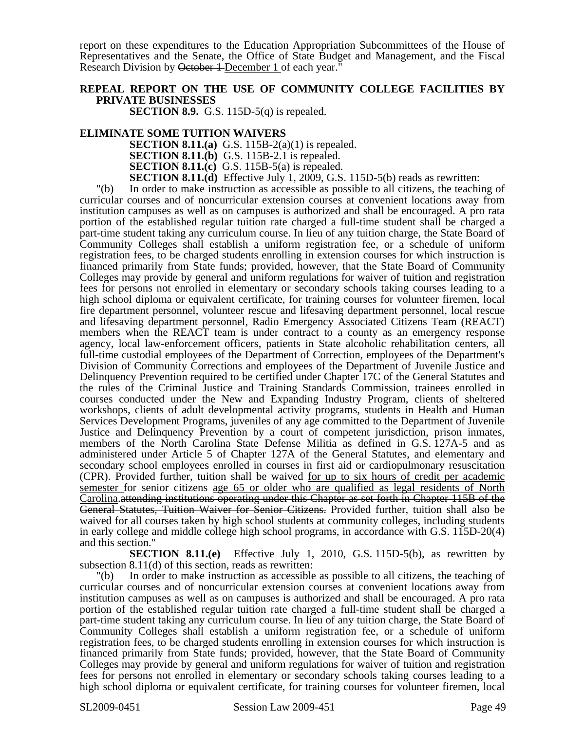report on these expenditures to the Education Appropriation Subcommittees of the House of Representatives and the Senate, the Office of State Budget and Management, and the Fiscal Research Division by October 1 December 1 of each year."

#### **REPEAL REPORT ON THE USE OF COMMUNITY COLLEGE FACILITIES BY PRIVATE BUSINESSES**

**SECTION 8.9.** G.S. 115D-5(q) is repealed.

#### **ELIMINATE SOME TUITION WAIVERS**

**SECTION 8.11.(a)** G.S. 115B-2(a)(1) is repealed.

**SECTION 8.11.(b)** G.S. 115B-2.1 is repealed.

**SECTION 8.11.(c)** G.S. 115B-5(a) is repealed.

**SECTION 8.11.(d)** Effective July 1, 2009, G.S. 115D-5(b) reads as rewritten:

"(b) In order to make instruction as accessible as possible to all citizens, the teaching of curricular courses and of noncurricular extension courses at convenient locations away from institution campuses as well as on campuses is authorized and shall be encouraged. A pro rata portion of the established regular tuition rate charged a full-time student shall be charged a part-time student taking any curriculum course. In lieu of any tuition charge, the State Board of Community Colleges shall establish a uniform registration fee, or a schedule of uniform registration fees, to be charged students enrolling in extension courses for which instruction is financed primarily from State funds; provided, however, that the State Board of Community Colleges may provide by general and uniform regulations for waiver of tuition and registration fees for persons not enrolled in elementary or secondary schools taking courses leading to a high school diploma or equivalent certificate, for training courses for volunteer firemen, local fire department personnel, volunteer rescue and lifesaving department personnel, local rescue and lifesaving department personnel, Radio Emergency Associated Citizens Team (REACT) members when the REACT team is under contract to a county as an emergency response agency, local law-enforcement officers, patients in State alcoholic rehabilitation centers, all full-time custodial employees of the Department of Correction, employees of the Department's Division of Community Corrections and employees of the Department of Juvenile Justice and Delinquency Prevention required to be certified under Chapter 17C of the General Statutes and the rules of the Criminal Justice and Training Standards Commission, trainees enrolled in courses conducted under the New and Expanding Industry Program, clients of sheltered workshops, clients of adult developmental activity programs, students in Health and Human Services Development Programs, juveniles of any age committed to the Department of Juvenile Justice and Delinquency Prevention by a court of competent jurisdiction, prison inmates, members of the North Carolina State Defense Militia as defined in G.S. 127A-5 and as administered under Article 5 of Chapter 127A of the General Statutes, and elementary and secondary school employees enrolled in courses in first aid or cardiopulmonary resuscitation (CPR). Provided further, tuition shall be waived for up to six hours of credit per academic semester for senior citizens age 65 or older who are qualified as legal residents of North Carolina.attending institutions operating under this Chapter as set forth in Chapter 115B of the General Statutes, Tuition Waiver for Senior Citizens. Provided further, tuition shall also be waived for all courses taken by high school students at community colleges, including students in early college and middle college high school programs, in accordance with G.S. 115D-20(4) and this section."

**SECTION 8.11.(e)** Effective July 1, 2010, G.S. 115D-5(b), as rewritten by subsection 8.11(d) of this section, reads as rewritten:

"(b) In order to make instruction as accessible as possible to all citizens, the teaching of curricular courses and of noncurricular extension courses at convenient locations away from institution campuses as well as on campuses is authorized and shall be encouraged. A pro rata portion of the established regular tuition rate charged a full-time student shall be charged a part-time student taking any curriculum course. In lieu of any tuition charge, the State Board of Community Colleges shall establish a uniform registration fee, or a schedule of uniform registration fees, to be charged students enrolling in extension courses for which instruction is financed primarily from State funds; provided, however, that the State Board of Community Colleges may provide by general and uniform regulations for waiver of tuition and registration fees for persons not enrolled in elementary or secondary schools taking courses leading to a high school diploma or equivalent certificate, for training courses for volunteer firemen, local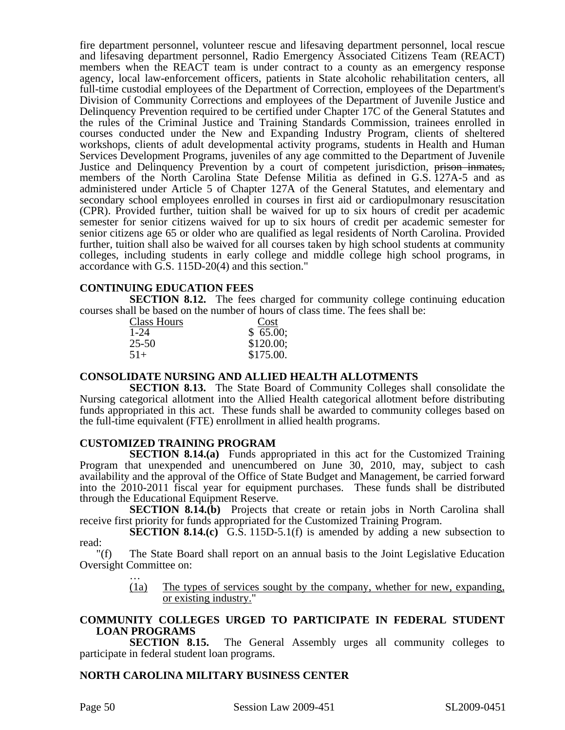fire department personnel, volunteer rescue and lifesaving department personnel, local rescue and lifesaving department personnel, Radio Emergency Associated Citizens Team (REACT) members when the REACT team is under contract to a county as an emergency response agency, local law-enforcement officers, patients in State alcoholic rehabilitation centers, all full-time custodial employees of the Department of Correction, employees of the Department's Division of Community Corrections and employees of the Department of Juvenile Justice and Delinquency Prevention required to be certified under Chapter 17C of the General Statutes and the rules of the Criminal Justice and Training Standards Commission, trainees enrolled in courses conducted under the New and Expanding Industry Program, clients of sheltered workshops, clients of adult developmental activity programs, students in Health and Human Services Development Programs, juveniles of any age committed to the Department of Juvenile Justice and Delinquency Prevention by a court of competent jurisdiction, prison inmates, members of the North Carolina State Defense Militia as defined in G.S. 127A-5 and as administered under Article 5 of Chapter 127A of the General Statutes, and elementary and secondary school employees enrolled in courses in first aid or cardiopulmonary resuscitation (CPR). Provided further, tuition shall be waived for up to six hours of credit per academic semester for senior citizens waived for up to six hours of credit per academic semester for senior citizens age 65 or older who are qualified as legal residents of North Carolina. Provided further, tuition shall also be waived for all courses taken by high school students at community colleges, including students in early college and middle college high school programs, in accordance with G.S. 115D-20(4) and this section."

# **CONTINUING EDUCATION FEES**

**SECTION 8.12.** The fees charged for community college continuing education courses shall be based on the number of hours of class time. The fees shall be:

| Class Hours | Cost      |
|-------------|-----------|
| $1 - 24$    | \$65.00;  |
| $25 - 50$   | \$120.00; |
| $51+$       | \$175.00. |

#### **CONSOLIDATE NURSING AND ALLIED HEALTH ALLOTMENTS**

**SECTION 8.13.** The State Board of Community Colleges shall consolidate the Nursing categorical allotment into the Allied Health categorical allotment before distributing funds appropriated in this act. These funds shall be awarded to community colleges based on the full-time equivalent (FTE) enrollment in allied health programs.

### **CUSTOMIZED TRAINING PROGRAM**

**SECTION 8.14.(a)** Funds appropriated in this act for the Customized Training Program that unexpended and unencumbered on June 30, 2010, may, subject to cash availability and the approval of the Office of State Budget and Management, be carried forward into the 2010-2011 fiscal year for equipment purchases. These funds shall be distributed through the Educational Equipment Reserve.

**SECTION 8.14.(b)** Projects that create or retain jobs in North Carolina shall receive first priority for funds appropriated for the Customized Training Program.

**SECTION 8.14.(c)**  $\overline{G}$ .S. 115D-5.1(f) is amended by adding a new subsection to read:

"(f) The State Board shall report on an annual basis to the Joint Legislative Education Oversight Committee on:

… (1a) The types of services sought by the company, whether for new, expanding, or existing industry."

#### **COMMUNITY COLLEGES URGED TO PARTICIPATE IN FEDERAL STUDENT LOAN PROGRAMS**

**SECTION 8.15.** The General Assembly urges all community colleges to participate in federal student loan programs.

#### **NORTH CAROLINA MILITARY BUSINESS CENTER**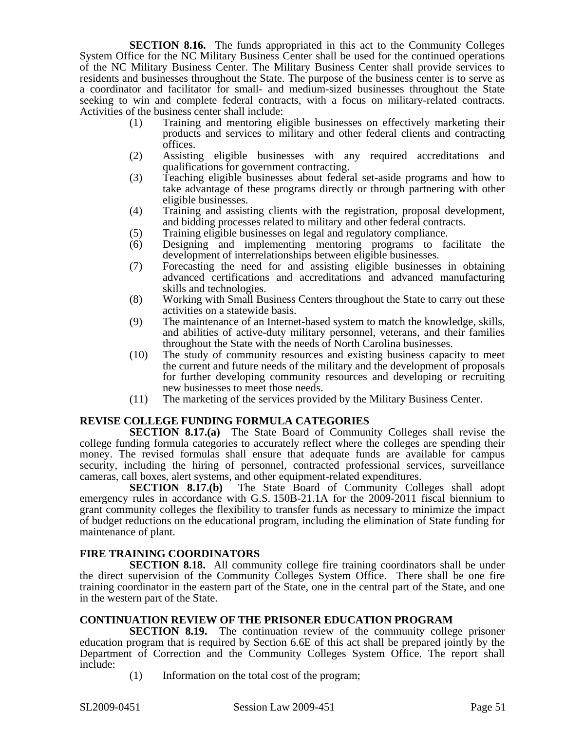**SECTION 8.16.** The funds appropriated in this act to the Community Colleges System Office for the NC Military Business Center shall be used for the continued operations of the NC Military Business Center. The Military Business Center shall provide services to residents and businesses throughout the State. The purpose of the business center is to serve as a coordinator and facilitator for small- and medium-sized businesses throughout the State seeking to win and complete federal contracts, with a focus on military-related contracts. Activities of the business center shall include:

- (1) Training and mentoring eligible businesses on effectively marketing their products and services to military and other federal clients and contracting offices.
- (2) Assisting eligible businesses with any required accreditations and qualifications for government contracting.
- (3) Teaching eligible businesses about federal set-aside programs and how to take advantage of these programs directly or through partnering with other eligible businesses.
- (4) Training and assisting clients with the registration, proposal development, and bidding processes related to military and other federal contracts.
- (5) Training eligible businesses on legal and regulatory compliance.
- (6) Designing and implementing mentoring programs to facilitate the development of interrelationships between eligible businesses.
- (7) Forecasting the need for and assisting eligible businesses in obtaining advanced certifications and accreditations and advanced manufacturing skills and technologies.
- (8) Working with Small Business Centers throughout the State to carry out these activities on a statewide basis.
- (9) The maintenance of an Internet-based system to match the knowledge, skills, and abilities of active-duty military personnel, veterans, and their families throughout the State with the needs of North Carolina businesses.
- (10) The study of community resources and existing business capacity to meet the current and future needs of the military and the development of proposals for further developing community resources and developing or recruiting new businesses to meet those needs.
- (11) The marketing of the services provided by the Military Business Center.

# **REVISE COLLEGE FUNDING FORMULA CATEGORIES**

**SECTION 8.17.(a)** The State Board of Community Colleges shall revise the college funding formula categories to accurately reflect where the colleges are spending their money. The revised formulas shall ensure that adequate funds are available for campus security, including the hiring of personnel, contracted professional services, surveillance cameras, call boxes, alert systems, and other equipment-related expenditures.<br> **SECTION 8.17.(b)** The State Board of Community Coll

The State Board of Community Colleges shall adopt emergency rules in accordance with G.S. 150B-21.1A for the 2009-2011 fiscal biennium to grant community colleges the flexibility to transfer funds as necessary to minimize the impact of budget reductions on the educational program, including the elimination of State funding for maintenance of plant.

# **FIRE TRAINING COORDINATORS**

**SECTION 8.18.** All community college fire training coordinators shall be under the direct supervision of the Community Colleges System Office. There shall be one fire training coordinator in the eastern part of the State, one in the central part of the State, and one in the western part of the State.

#### **CONTINUATION REVIEW OF THE PRISONER EDUCATION PROGRAM**

**SECTION 8.19.** The continuation review of the community college prisoner education program that is required by Section 6.6E of this act shall be prepared jointly by the Department of Correction and the Community Colleges System Office. The report shall include:

(1) Information on the total cost of the program;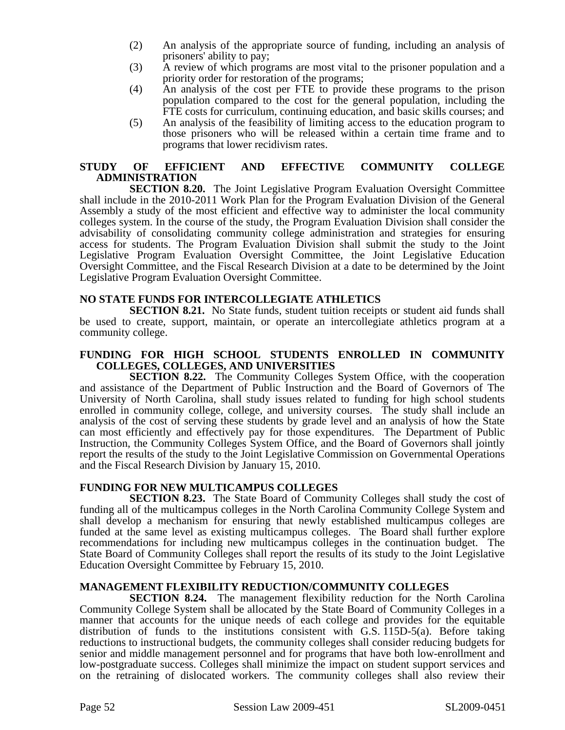- (2) An analysis of the appropriate source of funding, including an analysis of prisoners' ability to pay;
- (3) A review of which programs are most vital to the prisoner population and a priority order for restoration of the programs;
- (4) An analysis of the cost per FTE to provide these programs to the prison population compared to the cost for the general population, including the FTE costs for curriculum, continuing education, and basic skills courses; and
- (5) An analysis of the feasibility of limiting access to the education program to those prisoners who will be released within a certain time frame and to programs that lower recidivism rates.

### **STUDY OF EFFICIENT AND EFFECTIVE COMMUNITY COLLEGE ADMINISTRATION**

**SECTION 8.20.** The Joint Legislative Program Evaluation Oversight Committee shall include in the 2010-2011 Work Plan for the Program Evaluation Division of the General Assembly a study of the most efficient and effective way to administer the local community colleges system. In the course of the study, the Program Evaluation Division shall consider the advisability of consolidating community college administration and strategies for ensuring access for students. The Program Evaluation Division shall submit the study to the Joint Legislative Program Evaluation Oversight Committee, the Joint Legislative Education Oversight Committee, and the Fiscal Research Division at a date to be determined by the Joint Legislative Program Evaluation Oversight Committee.

### **NO STATE FUNDS FOR INTERCOLLEGIATE ATHLETICS**

**SECTION 8.21.** No State funds, student tuition receipts or student aid funds shall be used to create, support, maintain, or operate an intercollegiate athletics program at a community college.

#### **FUNDING FOR HIGH SCHOOL STUDENTS ENROLLED IN COMMUNITY COLLEGES, COLLEGES, AND UNIVERSITIES**

**SECTION 8.22.** The Community Colleges System Office, with the cooperation and assistance of the Department of Public Instruction and the Board of Governors of The University of North Carolina, shall study issues related to funding for high school students enrolled in community college, college, and university courses. The study shall include an analysis of the cost of serving these students by grade level and an analysis of how the State can most efficiently and effectively pay for those expenditures. The Department of Public Instruction, the Community Colleges System Office, and the Board of Governors shall jointly report the results of the study to the Joint Legislative Commission on Governmental Operations and the Fiscal Research Division by January 15, 2010.

#### **FUNDING FOR NEW MULTICAMPUS COLLEGES**

**SECTION 8.23.** The State Board of Community Colleges shall study the cost of funding all of the multicampus colleges in the North Carolina Community College System and shall develop a mechanism for ensuring that newly established multicampus colleges are funded at the same level as existing multicampus colleges. The Board shall further explore recommendations for including new multicampus colleges in the continuation budget. The State Board of Community Colleges shall report the results of its study to the Joint Legislative Education Oversight Committee by February 15, 2010.

#### **MANAGEMENT FLEXIBILITY REDUCTION/COMMUNITY COLLEGES**

**SECTION 8.24.** The management flexibility reduction for the North Carolina Community College System shall be allocated by the State Board of Community Colleges in a manner that accounts for the unique needs of each college and provides for the equitable distribution of funds to the institutions consistent with G.S. 115D-5(a). Before taking reductions to instructional budgets, the community colleges shall consider reducing budgets for senior and middle management personnel and for programs that have both low-enrollment and low-postgraduate success. Colleges shall minimize the impact on student support services and on the retraining of dislocated workers. The community colleges shall also review their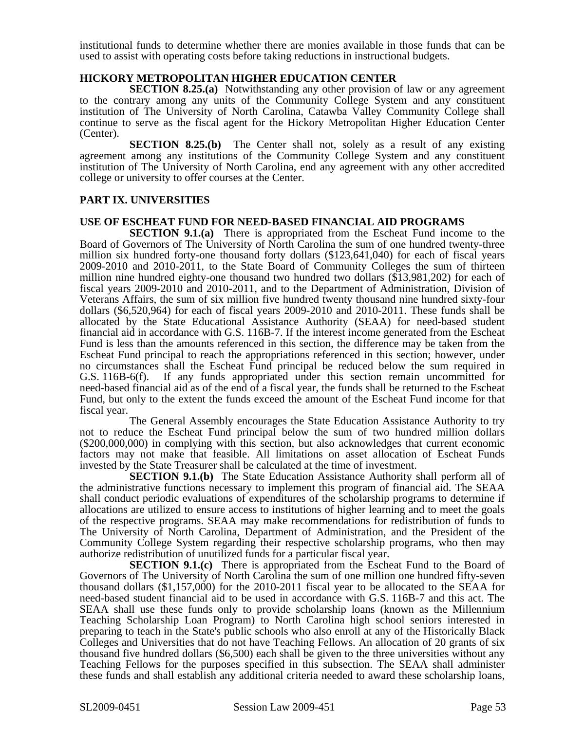institutional funds to determine whether there are monies available in those funds that can be used to assist with operating costs before taking reductions in instructional budgets.

### **HICKORY METROPOLITAN HIGHER EDUCATION CENTER**

**SECTION 8.25.(a)** Notwithstanding any other provision of law or any agreement to the contrary among any units of the Community College System and any constituent institution of The University of North Carolina, Catawba Valley Community College shall continue to serve as the fiscal agent for the Hickory Metropolitan Higher Education Center (Center).

**SECTION 8.25.(b)** The Center shall not, solely as a result of any existing agreement among any institutions of the Community College System and any constituent institution of The University of North Carolina, end any agreement with any other accredited college or university to offer courses at the Center.

### **PART IX. UNIVERSITIES**

#### **USE OF ESCHEAT FUND FOR NEED-BASED FINANCIAL AID PROGRAMS**

**SECTION 9.1.(a)** There is appropriated from the Escheat Fund income to the Board of Governors of The University of North Carolina the sum of one hundred twenty-three million six hundred forty-one thousand forty dollars (\$123,641,040) for each of fiscal years 2009-2010 and 2010-2011, to the State Board of Community Colleges the sum of thirteen million nine hundred eighty-one thousand two hundred two dollars (\$13,981,202) for each of fiscal years 2009-2010 and 2010-2011, and to the Department of Administration, Division of Veterans Affairs, the sum of six million five hundred twenty thousand nine hundred sixty-four dollars (\$6,520,964) for each of fiscal years 2009-2010 and 2010-2011. These funds shall be allocated by the State Educational Assistance Authority (SEAA) for need-based student financial aid in accordance with G.S. 116B-7. If the interest income generated from the Escheat Fund is less than the amounts referenced in this section, the difference may be taken from the Escheat Fund principal to reach the appropriations referenced in this section; however, under no circumstances shall the Escheat Fund principal be reduced below the sum required in G.S. 116B-6(f). If any funds appropriated under this section remain uncommitted for need-based financial aid as of the end of a fiscal year, the funds shall be returned to the Escheat Fund, but only to the extent the funds exceed the amount of the Escheat Fund income for that fiscal year.

The General Assembly encourages the State Education Assistance Authority to try not to reduce the Escheat Fund principal below the sum of two hundred million dollars (\$200,000,000) in complying with this section, but also acknowledges that current economic factors may not make that feasible. All limitations on asset allocation of Escheat Funds invested by the State Treasurer shall be calculated at the time of investment.

**SECTION 9.1.(b)** The State Education Assistance Authority shall perform all of the administrative functions necessary to implement this program of financial aid. The SEAA shall conduct periodic evaluations of expenditures of the scholarship programs to determine if allocations are utilized to ensure access to institutions of higher learning and to meet the goals of the respective programs. SEAA may make recommendations for redistribution of funds to The University of North Carolina, Department of Administration, and the President of the Community College System regarding their respective scholarship programs, who then may authorize redistribution of unutilized funds for a particular fiscal year.

**SECTION 9.1.(c)** There is appropriated from the Escheat Fund to the Board of Governors of The University of North Carolina the sum of one million one hundred fifty-seven thousand dollars (\$1,157,000) for the 2010-2011 fiscal year to be allocated to the SEAA for need-based student financial aid to be used in accordance with G.S. 116B-7 and this act. The SEAA shall use these funds only to provide scholarship loans (known as the Millennium Teaching Scholarship Loan Program) to North Carolina high school seniors interested in preparing to teach in the State's public schools who also enroll at any of the Historically Black Colleges and Universities that do not have Teaching Fellows. An allocation of 20 grants of six thousand five hundred dollars (\$6,500) each shall be given to the three universities without any Teaching Fellows for the purposes specified in this subsection. The SEAA shall administer these funds and shall establish any additional criteria needed to award these scholarship loans,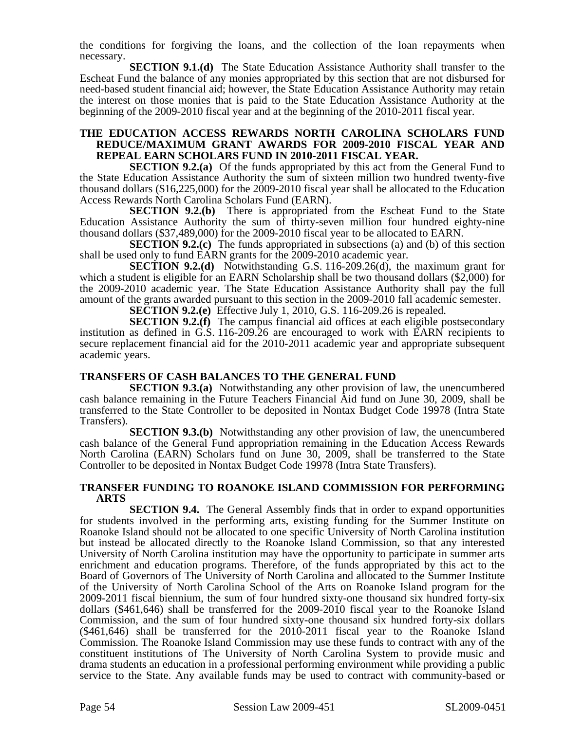the conditions for forgiving the loans, and the collection of the loan repayments when necessary.

**SECTION 9.1.(d)** The State Education Assistance Authority shall transfer to the Escheat Fund the balance of any monies appropriated by this section that are not disbursed for need-based student financial aid; however, the State Education Assistance Authority may retain the interest on those monies that is paid to the State Education Assistance Authority at the beginning of the 2009-2010 fiscal year and at the beginning of the 2010-2011 fiscal year.

#### **THE EDUCATION ACCESS REWARDS NORTH CAROLINA SCHOLARS FUND REDUCE/MAXIMUM GRANT AWARDS FOR 2009-2010 FISCAL YEAR AND REPEAL EARN SCHOLARS FUND IN 2010-2011 FISCAL YEAR.**

**SECTION 9.2.(a)** Of the funds appropriated by this act from the General Fund to the State Education Assistance Authority the sum of sixteen million two hundred twenty-five thousand dollars (\$16,225,000) for the 2009-2010 fiscal year shall be allocated to the Education Access Rewards North Carolina Scholars Fund (EARN).

**SECTION 9.2.(b)** There is appropriated from the Escheat Fund to the State Education Assistance Authority the sum of thirty-seven million four hundred eighty-nine thousand dollars (\$37,489,000) for the 2009-2010 fiscal year to be allocated to EARN.

**SECTION 9.2.(c)** The funds appropriated in subsections (a) and (b) of this section shall be used only to fund EARN grants for the 2009-2010 academic year.

**SECTION 9.2.(d)** Notwithstanding G.S. 116-209.26(d), the maximum grant for which a student is eligible for an EARN Scholarship shall be two thousand dollars (\$2,000) for the 2009-2010 academic year. The State Education Assistance Authority shall pay the full amount of the grants awarded pursuant to this section in the 2009-2010 fall academic semester.

**SECTION 9.2.(e)** Effective July 1, 2010, G.S. 116-209.26 is repealed.

**SECTION 9.2.(f)** The campus financial aid offices at each eligible postsecondary institution as defined in G.S. 116-209.26 are encouraged to work with EARN recipients to secure replacement financial aid for the 2010-2011 academic year and appropriate subsequent academic years.

#### **TRANSFERS OF CASH BALANCES TO THE GENERAL FUND**

**SECTION 9.3.(a)** Notwithstanding any other provision of law, the unencumbered cash balance remaining in the Future Teachers Financial Aid fund on June 30, 2009, shall be transferred to the State Controller to be deposited in Nontax Budget Code 19978 (Intra State Transfers).

**SECTION 9.3.(b)** Notwithstanding any other provision of law, the unencumbered cash balance of the General Fund appropriation remaining in the Education Access Rewards North Carolina (EARN) Scholars fund on June 30, 2009, shall be transferred to the State Controller to be deposited in Nontax Budget Code 19978 (Intra State Transfers).

#### **TRANSFER FUNDING TO ROANOKE ISLAND COMMISSION FOR PERFORMING ARTS**

**SECTION 9.4.** The General Assembly finds that in order to expand opportunities for students involved in the performing arts, existing funding for the Summer Institute on Roanoke Island should not be allocated to one specific University of North Carolina institution but instead be allocated directly to the Roanoke Island Commission, so that any interested University of North Carolina institution may have the opportunity to participate in summer arts enrichment and education programs. Therefore, of the funds appropriated by this act to the Board of Governors of The University of North Carolina and allocated to the Summer Institute of the University of North Carolina School of the Arts on Roanoke Island program for the 2009-2011 fiscal biennium, the sum of four hundred sixty-one thousand six hundred forty-six dollars (\$461,646) shall be transferred for the 2009-2010 fiscal year to the Roanoke Island Commission, and the sum of four hundred sixty-one thousand six hundred forty-six dollars (\$461,646) shall be transferred for the 2010-2011 fiscal year to the Roanoke Island Commission. The Roanoke Island Commission may use these funds to contract with any of the constituent institutions of The University of North Carolina System to provide music and drama students an education in a professional performing environment while providing a public service to the State. Any available funds may be used to contract with community-based or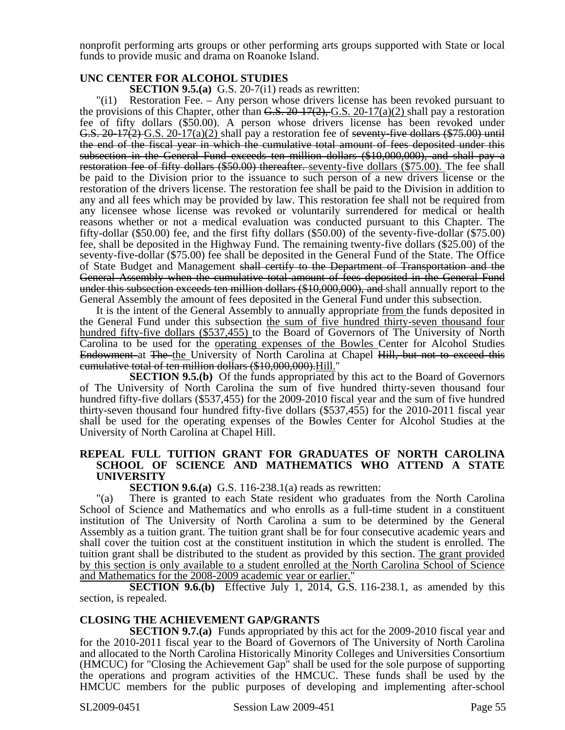nonprofit performing arts groups or other performing arts groups supported with State or local funds to provide music and drama on Roanoke Island.

# **UNC CENTER FOR ALCOHOL STUDIES**

**SECTION 9.5.(a)** G.S. 20-7(i1) reads as rewritten:

"(i1) Restoration Fee. – Any person whose drivers license has been revoked pursuant to the provisions of this Chapter, other than  $G.S. 20-17(2), G.S. 20-17(a)(2)$  shall pay a restoration fee of fifty dollars (\$50.00). A person whose drivers license has been revoked under G.S. 20-17(2) G.S. 20-17(a)(2) shall pay a restoration fee of seventy-five dollars (\$75.00) until the end of the fiscal year in which the cumulative total amount of fees deposited under this subsection in the General Fund exceeds ten million dollars (\$10,000,000), and shall pay a restoration fee of fifty dollars (\$50.00) thereafter. seventy-five dollars (\$75.00). The fee shall be paid to the Division prior to the issuance to such person of a new drivers license or the restoration of the drivers license. The restoration fee shall be paid to the Division in addition to any and all fees which may be provided by law. This restoration fee shall not be required from any licensee whose license was revoked or voluntarily surrendered for medical or health reasons whether or not a medical evaluation was conducted pursuant to this Chapter. The fifty-dollar (\$50.00) fee, and the first fifty dollars (\$50.00) of the seventy-five-dollar (\$75.00) fee, shall be deposited in the Highway Fund. The remaining twenty-five dollars (\$25.00) of the seventy-five-dollar (\$75.00) fee shall be deposited in the General Fund of the State. The Office of State Budget and Management shall certify to the Department of Transportation and the General Assembly when the cumulative total amount of fees deposited in the General Fund under this subsection exceeds ten million dollars (\$10,000,000), and shall annually report to the General Assembly the amount of fees deposited in the General Fund under this subsection.

It is the intent of the General Assembly to annually appropriate from the funds deposited in the General Fund under this subsection the sum of five hundred thirty-seven thousand four hundred fifty-five dollars (\$537,455) to the Board of Governors of The University of North Carolina to be used for the operating expenses of the Bowles Center for Alcohol Studies Endowment at The the University of North Carolina at Chapel Hill, but not to exceed this cumulative total of ten million dollars (\$10,000,000).Hill."

**SECTION 9.5.(b)** Of the funds appropriated by this act to the Board of Governors of The University of North Carolina the sum of five hundred thirty-seven thousand four hundred fifty-five dollars (\$537,455) for the 2009-2010 fiscal year and the sum of five hundred thirty-seven thousand four hundred fifty-five dollars (\$537,455) for the 2010-2011 fiscal year shall be used for the operating expenses of the Bowles Center for Alcohol Studies at the University of North Carolina at Chapel Hill.

#### **REPEAL FULL TUITION GRANT FOR GRADUATES OF NORTH CAROLINA SCHOOL OF SCIENCE AND MATHEMATICS WHO ATTEND A STATE UNIVERSITY**

**SECTION 9.6.(a)** G.S. 116-238.1(a) reads as rewritten:

"(a) There is granted to each State resident who graduates from the North Carolina School of Science and Mathematics and who enrolls as a full-time student in a constituent institution of The University of North Carolina a sum to be determined by the General Assembly as a tuition grant. The tuition grant shall be for four consecutive academic years and shall cover the tuition cost at the constituent institution in which the student is enrolled. The tuition grant shall be distributed to the student as provided by this section. The grant provided by this section is only available to a student enrolled at the North Carolina School of Science and Mathematics for the 2008-2009 academic year or earlier."

**SECTION 9.6.(b)** Effective July 1, 2014, G.S. 116-238.1, as amended by this section, is repealed.

#### **CLOSING THE ACHIEVEMENT GAP/GRANTS**

**SECTION 9.7.(a)** Funds appropriated by this act for the 2009-2010 fiscal year and for the 2010-2011 fiscal year to the Board of Governors of The University of North Carolina and allocated to the North Carolina Historically Minority Colleges and Universities Consortium (HMCUC) for "Closing the Achievement Gap" shall be used for the sole purpose of supporting the operations and program activities of the HMCUC. These funds shall be used by the HMCUC members for the public purposes of developing and implementing after-school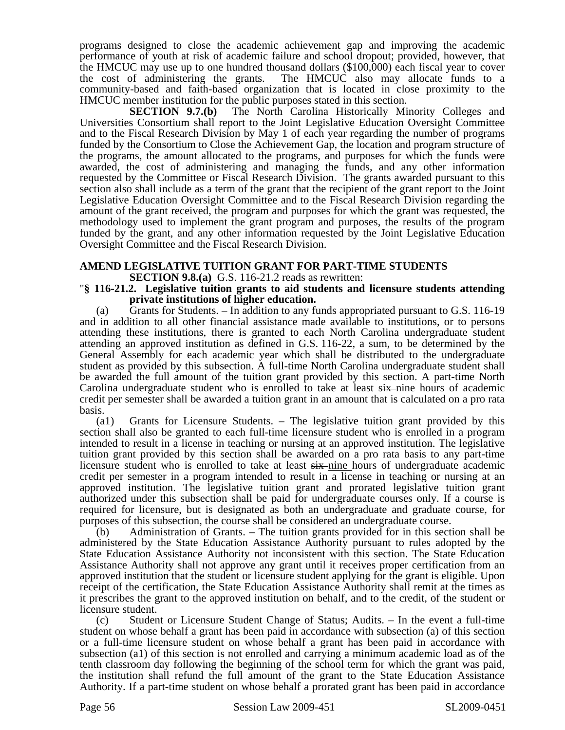programs designed to close the academic achievement gap and improving the academic performance of youth at risk of academic failure and school dropout; provided, however, that the HMCUC may use up to one hundred thousand dollars (\$100,000) each fiscal year to cover the cost of administering the grants. The HMCUC also may allocate funds to a community-based and faith-based organization that is located in close proximity to the

HMCUC member institution for the public purposes stated in this section.<br>SECTION 9.7.(b) The North Carolina Historically Mi The North Carolina Historically Minority Colleges and Universities Consortium shall report to the Joint Legislative Education Oversight Committee and to the Fiscal Research Division by May 1 of each year regarding the number of programs funded by the Consortium to Close the Achievement Gap, the location and program structure of the programs, the amount allocated to the programs, and purposes for which the funds were awarded, the cost of administering and managing the funds, and any other information requested by the Committee or Fiscal Research Division. The grants awarded pursuant to this section also shall include as a term of the grant that the recipient of the grant report to the Joint Legislative Education Oversight Committee and to the Fiscal Research Division regarding the amount of the grant received, the program and purposes for which the grant was requested, the methodology used to implement the grant program and purposes, the results of the program funded by the grant, and any other information requested by the Joint Legislative Education Oversight Committee and the Fiscal Research Division.

# **AMEND LEGISLATIVE TUITION GRANT FOR PART-TIME STUDENTS**

**SECTION 9.8.(a)** G.S. 116-21.2 reads as rewritten:

#### "**§ 116-21.2. Legislative tuition grants to aid students and licensure students attending private institutions of higher education.**

(a) Grants for Students. – In addition to any funds appropriated pursuant to G.S. 116-19 and in addition to all other financial assistance made available to institutions, or to persons attending these institutions, there is granted to each North Carolina undergraduate student attending an approved institution as defined in G.S. 116-22, a sum, to be determined by the General Assembly for each academic year which shall be distributed to the undergraduate student as provided by this subsection. A full-time North Carolina undergraduate student shall be awarded the full amount of the tuition grant provided by this section. A part-time North Carolina undergraduate student who is enrolled to take at least  $\frac{1}{x}$ -nine hours of academic credit per semester shall be awarded a tuition grant in an amount that is calculated on a pro rata basis.

(a1) Grants for Licensure Students. – The legislative tuition grant provided by this section shall also be granted to each full-time licensure student who is enrolled in a program intended to result in a license in teaching or nursing at an approved institution. The legislative tuition grant provided by this section shall be awarded on a pro rata basis to any part-time licensure student who is enrolled to take at least  $s\overline{s}$ -nine hours of undergraduate academic credit per semester in a program intended to result in a license in teaching or nursing at an approved institution. The legislative tuition grant and prorated legislative tuition grant authorized under this subsection shall be paid for undergraduate courses only. If a course is required for licensure, but is designated as both an undergraduate and graduate course, for purposes of this subsection, the course shall be considered an undergraduate course.

 $\tilde{b}$  Administration of Grants. – The tuition grants provided for in this section shall be administered by the State Education Assistance Authority pursuant to rules adopted by the State Education Assistance Authority not inconsistent with this section. The State Education Assistance Authority shall not approve any grant until it receives proper certification from an approved institution that the student or licensure student applying for the grant is eligible. Upon receipt of the certification, the State Education Assistance Authority shall remit at the times as it prescribes the grant to the approved institution on behalf, and to the credit, of the student or licensure student.

(c) Student or Licensure Student Change of Status; Audits. – In the event a full-time student on whose behalf a grant has been paid in accordance with subsection (a) of this section or a full-time licensure student on whose behalf a grant has been paid in accordance with subsection (a1) of this section is not enrolled and carrying a minimum academic load as of the tenth classroom day following the beginning of the school term for which the grant was paid, the institution shall refund the full amount of the grant to the State Education Assistance Authority. If a part-time student on whose behalf a prorated grant has been paid in accordance

Page 56 Session Law 2009-451 SL2009-0451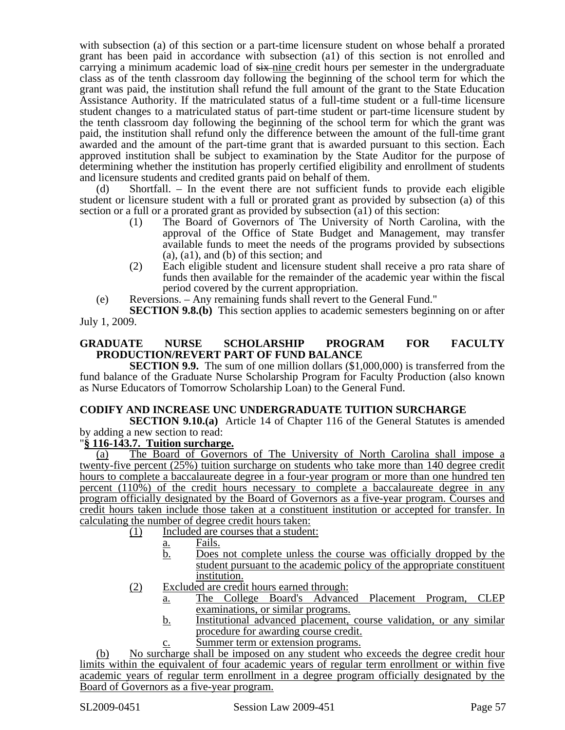with subsection (a) of this section or a part-time licensure student on whose behalf a prorated grant has been paid in accordance with subsection (a1) of this section is not enrolled and carrying a minimum academic load of  $\frac{1}{x}$ -nine credit hours per semester in the undergraduate class as of the tenth classroom day following the beginning of the school term for which the grant was paid, the institution shall refund the full amount of the grant to the State Education Assistance Authority. If the matriculated status of a full-time student or a full-time licensure student changes to a matriculated status of part-time student or part-time licensure student by the tenth classroom day following the beginning of the school term for which the grant was paid, the institution shall refund only the difference between the amount of the full-time grant awarded and the amount of the part-time grant that is awarded pursuant to this section. Each approved institution shall be subject to examination by the State Auditor for the purpose of determining whether the institution has properly certified eligibility and enrollment of students and licensure students and credited grants paid on behalf of them.

(d) Shortfall. – In the event there are not sufficient funds to provide each eligible student or licensure student with a full or prorated grant as provided by subsection (a) of this section or a full or a prorated grant as provided by subsection (a1) of this section:

- (1) The Board of Governors of The University of North Carolina, with the approval of the Office of State Budget and Management, may transfer available funds to meet the needs of the programs provided by subsections (a), (a1), and (b) of this section; and
- (2) Each eligible student and licensure student shall receive a pro rata share of funds then available for the remainder of the academic year within the fiscal period covered by the current appropriation.
- (e) Reversions. Any remaining funds shall revert to the General Fund."

**SECTION 9.8.(b)** This section applies to academic semesters beginning on or after July 1, 2009.

### **GRADUATE NURSE SCHOLARSHIP PROGRAM FOR FACULTY PRODUCTION/REVERT PART OF FUND BALANCE**

**SECTION 9.9.** The sum of one million dollars (\$1,000,000) is transferred from the fund balance of the Graduate Nurse Scholarship Program for Faculty Production (also known as Nurse Educators of Tomorrow Scholarship Loan) to the General Fund.

# **CODIFY AND INCREASE UNC UNDERGRADUATE TUITION SURCHARGE**

**SECTION 9.10.(a)** Article 14 of Chapter 116 of the General Statutes is amended by adding a new section to read:

# "**§ 116-143.7. Tuition surcharge.**

(a) The Board of Governors of The University of North Carolina shall impose a twenty-five percent (25%) tuition surcharge on students who take more than 140 degree credit hours to complete a baccalaureate degree in a four-year program or more than one hundred ten percent (110%) of the credit hours necessary to complete a baccalaureate degree in any program officially designated by the Board of Governors as a five-year program. Courses and credit hours taken include those taken at a constituent institution or accepted for transfer. In calculating the number of degree credit hours taken:

- (1) Included are courses that a student:
	- a. Fails.
	- $\overline{b}$ . Does not complete unless the course was officially dropped by the student pursuant to the academic policy of the appropriate constituent institution.
- (2) Excluded are credit hours earned through:
	- a. The College Board's Advanced Placement Program, CLEP examinations, or similar programs.
	- b. Institutional advanced placement, course validation, or any similar procedure for awarding course credit.
	- c. Summer term or extension programs.

(b) No surcharge shall be imposed on any student who exceeds the degree credit hour limits within the equivalent of four academic years of regular term enrollment or within five academic years of regular term enrollment in a degree program officially designated by the Board of Governors as a five-year program.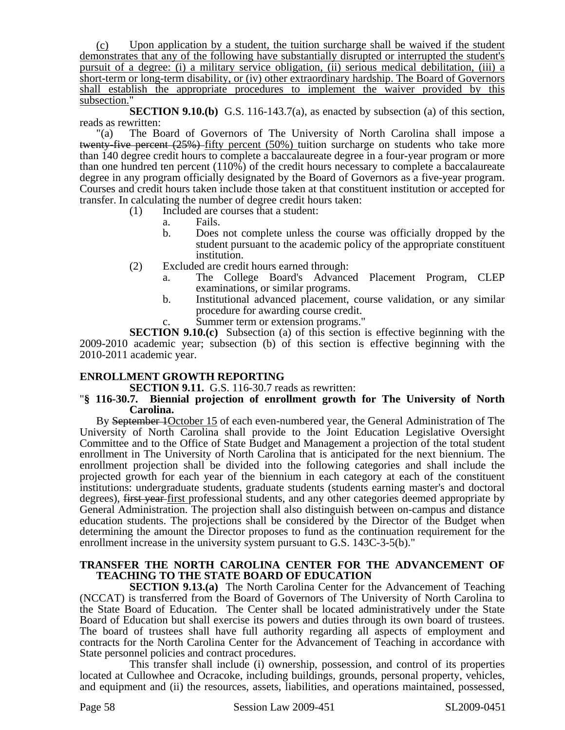(c) Upon application by a student, the tuition surcharge shall be waived if the student demonstrates that any of the following have substantially disrupted or interrupted the student's pursuit of a degree: (i) a military service obligation, (ii) serious medical debilitation, (iii) a short-term or long-term disability, or (iv) other extraordinary hardship. The Board of Governors shall establish the appropriate procedures to implement the waiver provided by this subsection."

**SECTION 9.10.(b)** G.S. 116-143.7(a), as enacted by subsection (a) of this section, reads as rewritten:

"(a) The Board of Governors of The University of North Carolina shall impose a twenty-five percent (25%) fifty percent (50%) tuition surcharge on students who take more than 140 degree credit hours to complete a baccalaureate degree in a four-year program or more than one hundred ten percent  $(110\%)$  of the credit hours necessary to complete a baccalaureate degree in any program officially designated by the Board of Governors as a five-year program. Courses and credit hours taken include those taken at that constituent institution or accepted for transfer. In calculating the number of degree credit hours taken:

- (1) Included are courses that a student:
	- a. Fails.
		- b. Does not complete unless the course was officially dropped by the student pursuant to the academic policy of the appropriate constituent institution.
- (2) Excluded are credit hours earned through:
	- a. The College Board's Advanced Placement Program, CLEP examinations, or similar programs.
	- b. Institutional advanced placement, course validation, or any similar procedure for awarding course credit.
	- c. Summer term or extension programs."

**SECTION 9.10.(c)** Subsection (a) of this section is effective beginning with the 2009-2010 academic year; subsection (b) of this section is effective beginning with the 2010-2011 academic year.

# **ENROLLMENT GROWTH REPORTING**

**SECTION 9.11.** G.S. 116-30.7 reads as rewritten:

#### "**§ 116-30.7. Biennial projection of enrollment growth for The University of North Carolina.**

By September 1October 15 of each even-numbered year, the General Administration of The University of North Carolina shall provide to the Joint Education Legislative Oversight Committee and to the Office of State Budget and Management a projection of the total student enrollment in The University of North Carolina that is anticipated for the next biennium. The enrollment projection shall be divided into the following categories and shall include the projected growth for each year of the biennium in each category at each of the constituent institutions: undergraduate students, graduate students (students earning master's and doctoral degrees), first year-first professional students, and any other categories deemed appropriate by General Administration. The projection shall also distinguish between on-campus and distance education students. The projections shall be considered by the Director of the Budget when determining the amount the Director proposes to fund as the continuation requirement for the enrollment increase in the university system pursuant to G.S. 143C-3-5(b)."

### **TRANSFER THE NORTH CAROLINA CENTER FOR THE ADVANCEMENT OF TEACHING TO THE STATE BOARD OF EDUCATION**

**SECTION 9.13.(a)** The North Carolina Center for the Advancement of Teaching (NCCAT) is transferred from the Board of Governors of The University of North Carolina to the State Board of Education. The Center shall be located administratively under the State Board of Education but shall exercise its powers and duties through its own board of trustees. The board of trustees shall have full authority regarding all aspects of employment and contracts for the North Carolina Center for the Advancement of Teaching in accordance with State personnel policies and contract procedures.

This transfer shall include (i) ownership, possession, and control of its properties located at Cullowhee and Ocracoke, including buildings, grounds, personal property, vehicles, and equipment and (ii) the resources, assets, liabilities, and operations maintained, possessed,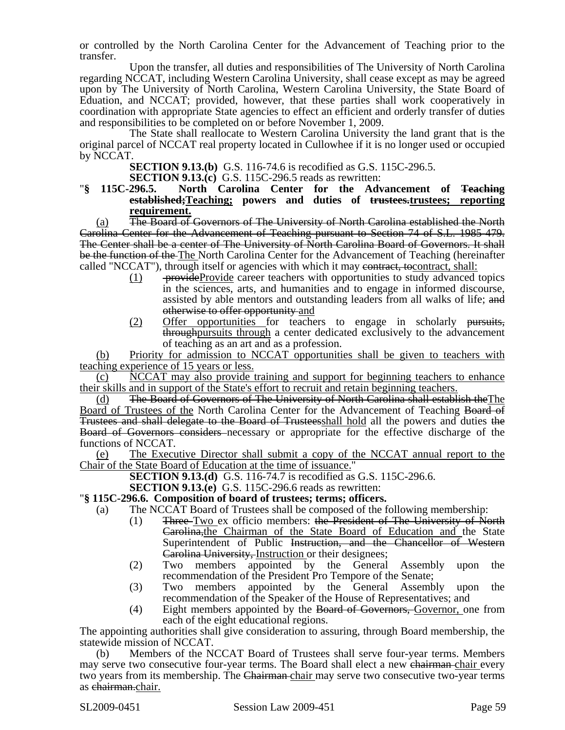or controlled by the North Carolina Center for the Advancement of Teaching prior to the transfer.

Upon the transfer, all duties and responsibilities of The University of North Carolina regarding NCCAT, including Western Carolina University, shall cease except as may be agreed upon by The University of North Carolina, Western Carolina University, the State Board of Eduation, and NCCAT; provided, however, that these parties shall work cooperatively in coordination with appropriate State agencies to effect an efficient and orderly transfer of duties and responsibilities to be completed on or before November 1, 2009.

The State shall reallocate to Western Carolina University the land grant that is the original parcel of NCCAT real property located in Cullowhee if it is no longer used or occupied by NCCAT.

**SECTION 9.13.(b)** G.S. 116-74.6 is recodified as G.S. 115C-296.5.

**SECTION 9.13.(c)** G.S. 115C-296.5 reads as rewritten:

"**§ 115C-296.5. North Carolina Center for the Advancement of Teaching established;Teaching; powers and duties of trustees.trustees; reporting requirement.**

(a) The Board of Governors of The University of North Carolina established the North Carolina Center for the Advancement of Teaching pursuant to Section 74 of S.L. 1985-479. The Center shall be a center of The University of North Carolina Board of Governors. It shall be the function of the The North Carolina Center for the Advancement of Teaching (hereinafter called "NCCAT"), through itself or agencies with which it may contract, to contract, shall:

- $(1)$  provideProvide career teachers with opportunities to study advanced topics in the sciences, arts, and humanities and to engage in informed discourse, assisted by able mentors and outstanding leaders from all walks of life; and otherwise to offer opportunity and
- (2) Offer opportunities for teachers to engage in scholarly pursuits, throughpursuits through a center dedicated exclusively to the advancement of teaching as an art and as a profession.

(b) Priority for admission to NCCAT opportunities shall be given to teachers with teaching experience of 15 years or less.

(c) NCCAT may also provide training and support for beginning teachers to enhance their skills and in support of the State's effort to recruit and retain beginning teachers.

(d) The Board of Governors of The University of North Carolina shall establish theThe Board of Trustees of the North Carolina Center for the Advancement of Teaching Board of Trustees and shall delegate to the Board of Trusteesshall hold all the powers and duties the Board of Governors considers necessary or appropriate for the effective discharge of the functions of NCCAT.

(e) The Executive Director shall submit a copy of the NCCAT annual report to the Chair of the State Board of Education at the time of issuance."

**SECTION 9.13.(d)** G.S. 116-74.7 is recodified as G.S. 115C-296.6.

# **SECTION 9.13.(e)** G.S. 115C-296.6 reads as rewritten: "**§ 115C-296.6. Composition of board of trustees; terms; officers.**

- (a) The NCCAT Board of Trustees shall be composed of the following membership:
	- $(1)$  Three-Two ex officio members: the President of The University of North Carolina,the Chairman of the State Board of Education and the State Superintendent of Public Instruction, and the Chancellor of Western Carolina University, Instruction or their designees;
	- (2) Two members appointed by the General Assembly upon the recommendation of the President Pro Tempore of the Senate;
	- (3) Two members appointed by the General Assembly upon the recommendation of the Speaker of the House of Representatives; and
	- (4) Eight members appointed by the Board of Governors, Governor, one from each of the eight educational regions.

The appointing authorities shall give consideration to assuring, through Board membership, the statewide mission of NCCAT.

(b) Members of the NCCAT Board of Trustees shall serve four-year terms. Members may serve two consecutive four-year terms. The Board shall elect a new chairman-chair every two years from its membership. The Chairman chair may serve two consecutive two-year terms as chairman.chair.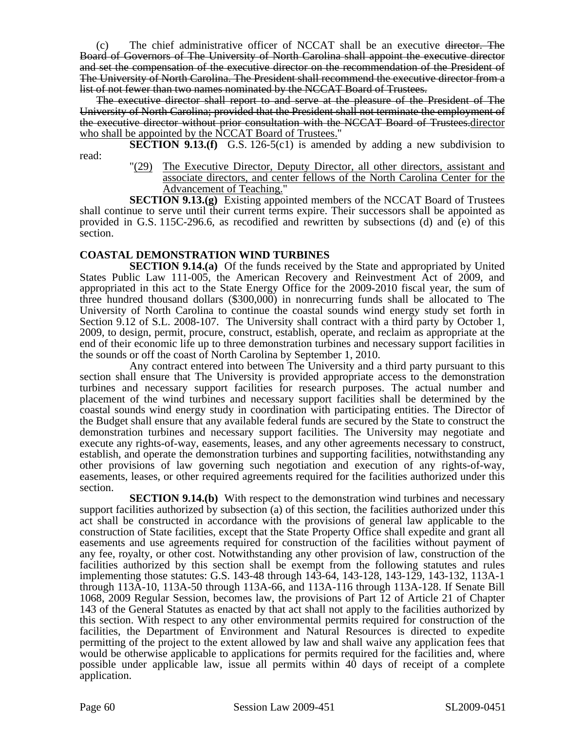(c) The chief administrative officer of NCCAT shall be an executive director. The Board of Governors of The University of North Carolina shall appoint the executive director and set the compensation of the executive director on the recommendation of the President of The University of North Carolina. The President shall recommend the executive director from a list of not fewer than two names nominated by the NCCAT Board of Trustees.

The executive director shall report to and serve at the pleasure of the President of The University of North Carolina; provided that the President shall not terminate the employment of the executive director without prior consultation with the NCCAT Board of Trustees.director who shall be appointed by the NCCAT Board of Trustees."

**SECTION 9.13.(f)** G.S. 126-5(c1) is amended by adding a new subdivision to read:

"(29) The Executive Director, Deputy Director, all other directors, assistant and associate directors, and center fellows of the North Carolina Center for the Advancement of Teaching."

**SECTION 9.13.(g)** Existing appointed members of the NCCAT Board of Trustees shall continue to serve until their current terms expire. Their successors shall be appointed as provided in G.S. 115C-296.6, as recodified and rewritten by subsections (d) and (e) of this section.

### **COASTAL DEMONSTRATION WIND TURBINES**

**SECTION 9.14.(a)** Of the funds received by the State and appropriated by United States Public Law 111-005, the American Recovery and Reinvestment Act of 2009, and appropriated in this act to the State Energy Office for the 2009-2010 fiscal year, the sum of three hundred thousand dollars (\$300,000) in nonrecurring funds shall be allocated to The University of North Carolina to continue the coastal sounds wind energy study set forth in Section 9.12 of S.L. 2008-107. The University shall contract with a third party by October 1, 2009, to design, permit, procure, construct, establish, operate, and reclaim as appropriate at the end of their economic life up to three demonstration turbines and necessary support facilities in the sounds or off the coast of North Carolina by September 1, 2010.

Any contract entered into between The University and a third party pursuant to this section shall ensure that The University is provided appropriate access to the demonstration turbines and necessary support facilities for research purposes. The actual number and placement of the wind turbines and necessary support facilities shall be determined by the coastal sounds wind energy study in coordination with participating entities. The Director of the Budget shall ensure that any available federal funds are secured by the State to construct the demonstration turbines and necessary support facilities. The University may negotiate and execute any rights-of-way, easements, leases, and any other agreements necessary to construct, establish, and operate the demonstration turbines and supporting facilities, notwithstanding any other provisions of law governing such negotiation and execution of any rights-of-way, easements, leases, or other required agreements required for the facilities authorized under this section.

**SECTION 9.14.(b)** With respect to the demonstration wind turbines and necessary support facilities authorized by subsection (a) of this section, the facilities authorized under this act shall be constructed in accordance with the provisions of general law applicable to the construction of State facilities, except that the State Property Office shall expedite and grant all easements and use agreements required for construction of the facilities without payment of any fee, royalty, or other cost. Notwithstanding any other provision of law, construction of the facilities authorized by this section shall be exempt from the following statutes and rules implementing those statutes: G.S. 143-48 through 143-64, 143-128, 143-129, 143-132, 113A-1 through 113A-10, 113A-50 through 113A-66, and 113A-116 through 113A-128. If Senate Bill 1068, 2009 Regular Session, becomes law, the provisions of Part 12 of Article 21 of Chapter 143 of the General Statutes as enacted by that act shall not apply to the facilities authorized by this section. With respect to any other environmental permits required for construction of the facilities, the Department of Environment and Natural Resources is directed to expedite permitting of the project to the extent allowed by law and shall waive any application fees that would be otherwise applicable to applications for permits required for the facilities and, where possible under applicable law, issue all permits within 40 days of receipt of a complete application.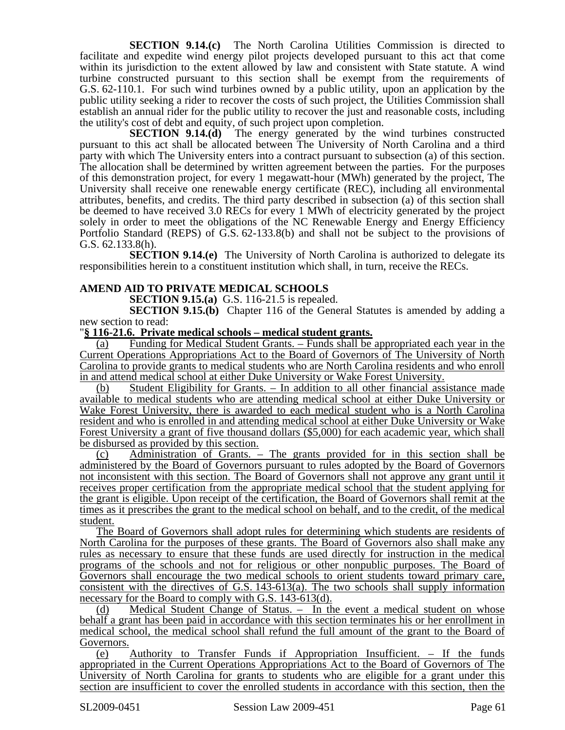**SECTION 9.14.(c)** The North Carolina Utilities Commission is directed to facilitate and expedite wind energy pilot projects developed pursuant to this act that come within its jurisdiction to the extent allowed by law and consistent with State statute. A wind turbine constructed pursuant to this section shall be exempt from the requirements of G.S. 62-110.1. For such wind turbines owned by a public utility, upon an application by the public utility seeking a rider to recover the costs of such project, the Utilities Commission shall establish an annual rider for the public utility to recover the just and reasonable costs, including the utility's cost of debt and equity, of such project upon completion.

**SECTION 9.14.(d)** The energy generated by the wind turbines constructed pursuant to this act shall be allocated between The University of North Carolina and a third party with which The University enters into a contract pursuant to subsection (a) of this section. The allocation shall be determined by written agreement between the parties. For the purposes of this demonstration project, for every 1 megawatt-hour (MWh) generated by the project, The University shall receive one renewable energy certificate (REC), including all environmental attributes, benefits, and credits. The third party described in subsection (a) of this section shall be deemed to have received 3.0 RECs for every 1 MWh of electricity generated by the project solely in order to meet the obligations of the NC Renewable Energy and Energy Efficiency Portfolio Standard (REPS) of G.S. 62-133.8(b) and shall not be subject to the provisions of G.S. 62.133.8(h).

**SECTION 9.14.(e)** The University of North Carolina is authorized to delegate its responsibilities herein to a constituent institution which shall, in turn, receive the RECs.

### **AMEND AID TO PRIVATE MEDICAL SCHOOLS**

**SECTION 9.15.(a)** G.S. 116-21.5 is repealed.

**SECTION 9.15.(b)** Chapter 116 of the General Statutes is amended by adding a new section to read:

#### "**§ 116-21.6. Private medical schools – medical student grants.**

(a) Funding for Medical Student Grants. – Funds shall be appropriated each year in the Current Operations Appropriations Act to the Board of Governors of The University of North Carolina to provide grants to medical students who are North Carolina residents and who enroll in and attend medical school at either Duke University or Wake Forest University.

(b) Student Eligibility for Grants. – In addition to all other financial assistance made available to medical students who are attending medical school at either Duke University or Wake Forest University, there is awarded to each medical student who is a North Carolina resident and who is enrolled in and attending medical school at either Duke University or Wake Forest University a grant of five thousand dollars (\$5,000) for each academic year, which shall be disbursed as provided by this section.

(c) Administration of Grants. – The grants provided for in this section shall be administered by the Board of Governors pursuant to rules adopted by the Board of Governors not inconsistent with this section. The Board of Governors shall not approve any grant until it receives proper certification from the appropriate medical school that the student applying for the grant is eligible. Upon receipt of the certification, the Board of Governors shall remit at the times as it prescribes the grant to the medical school on behalf, and to the credit, of the medical student.

The Board of Governors shall adopt rules for determining which students are residents of North Carolina for the purposes of these grants. The Board of Governors also shall make any rules as necessary to ensure that these funds are used directly for instruction in the medical programs of the schools and not for religious or other nonpublic purposes. The Board of Governors shall encourage the two medical schools to orient students toward primary care, consistent with the directives of G.S. 143-613(a). The two schools shall supply information necessary for the Board to comply with G.S. 143-613(d).

(d) Medical Student Change of Status. – In the event a medical student on whose behalf a grant has been paid in accordance with this section terminates his or her enrollment in medical school, the medical school shall refund the full amount of the grant to the Board of Governors.

(e) Authority to Transfer Funds if Appropriation Insufficient. – If the funds appropriated in the Current Operations Appropriations Act to the Board of Governors of The University of North Carolina for grants to students who are eligible for a grant under this section are insufficient to cover the enrolled students in accordance with this section, then the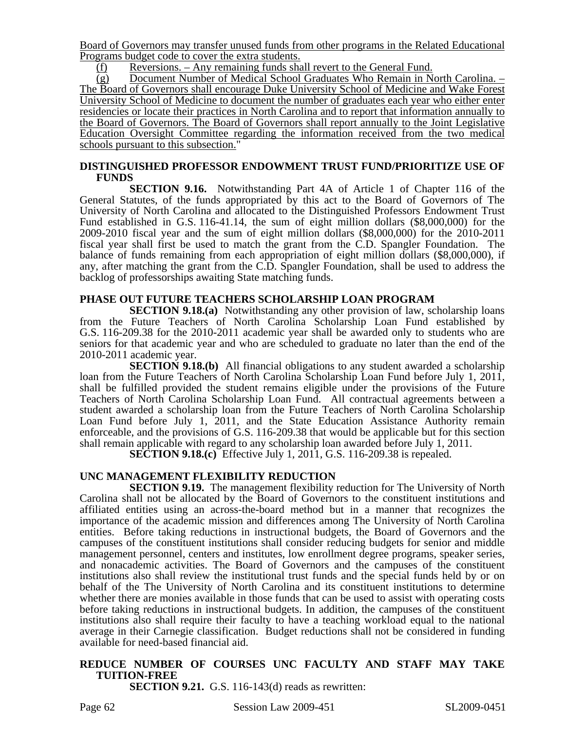Board of Governors may transfer unused funds from other programs in the Related Educational Programs budget code to cover the extra students.

 $\tilde{f}(f)$  Reversions. – Any remaining funds shall revert to the General Fund.

 $\overline{(g)}$  Document Number of Medical School Graduates Who Remain in North Carolina. – The Board of Governors shall encourage Duke University School of Medicine and Wake Forest University School of Medicine to document the number of graduates each year who either enter residencies or locate their practices in North Carolina and to report that information annually to the Board of Governors. The Board of Governors shall report annually to the Joint Legislative Education Oversight Committee regarding the information received from the two medical schools pursuant to this subsection."

#### **DISTINGUISHED PROFESSOR ENDOWMENT TRUST FUND/PRIORITIZE USE OF FUNDS**

**SECTION 9.16.** Notwithstanding Part 4A of Article 1 of Chapter 116 of the General Statutes, of the funds appropriated by this act to the Board of Governors of The University of North Carolina and allocated to the Distinguished Professors Endowment Trust Fund established in G.S. 116-41.14, the sum of eight million dollars (\$8,000,000) for the 2009-2010 fiscal year and the sum of eight million dollars (\$8,000,000) for the 2010-2011 fiscal year shall first be used to match the grant from the C.D. Spangler Foundation. The balance of funds remaining from each appropriation of eight million dollars (\$8,000,000), if any, after matching the grant from the C.D. Spangler Foundation, shall be used to address the backlog of professorships awaiting State matching funds.

### **PHASE OUT FUTURE TEACHERS SCHOLARSHIP LOAN PROGRAM**

**SECTION 9.18.(a)** Notwithstanding any other provision of law, scholarship loans from the Future Teachers of North Carolina Scholarship Loan Fund established by G.S. 116-209.38 for the 2010-2011 academic year shall be awarded only to students who are seniors for that academic year and who are scheduled to graduate no later than the end of the 2010-2011 academic year.

**SECTION 9.18.(b)** All financial obligations to any student awarded a scholarship loan from the Future Teachers of North Carolina Scholarship Loan Fund before July 1, 2011, shall be fulfilled provided the student remains eligible under the provisions of the Future Teachers of North Carolina Scholarship Loan Fund. All contractual agreements between a student awarded a scholarship loan from the Future Teachers of North Carolina Scholarship Loan Fund before July 1, 2011, and the State Education Assistance Authority remain enforceable, and the provisions of G.S. 116-209.38 that would be applicable but for this section shall remain applicable with regard to any scholarship loan awarded before July 1, 2011.

**SECTION 9.18.(c)** Effective July 1, 2011, G.S. 116-209.38 is repealed.

#### **UNC MANAGEMENT FLEXIBILITY REDUCTION**

**SECTION 9.19.** The management flexibility reduction for The University of North Carolina shall not be allocated by the Board of Governors to the constituent institutions and affiliated entities using an across-the-board method but in a manner that recognizes the importance of the academic mission and differences among The University of North Carolina entities. Before taking reductions in instructional budgets, the Board of Governors and the campuses of the constituent institutions shall consider reducing budgets for senior and middle management personnel, centers and institutes, low enrollment degree programs, speaker series, and nonacademic activities. The Board of Governors and the campuses of the constituent institutions also shall review the institutional trust funds and the special funds held by or on behalf of the The University of North Carolina and its constituent institutions to determine whether there are monies available in those funds that can be used to assist with operating costs before taking reductions in instructional budgets. In addition, the campuses of the constituent institutions also shall require their faculty to have a teaching workload equal to the national average in their Carnegie classification. Budget reductions shall not be considered in funding available for need-based financial aid.

# **REDUCE NUMBER OF COURSES UNC FACULTY AND STAFF MAY TAKE TUITION-FREE**

**SECTION 9.21.** G.S. 116-143(d) reads as rewritten:

Page 62 Session Law 2009-451 SL2009-0451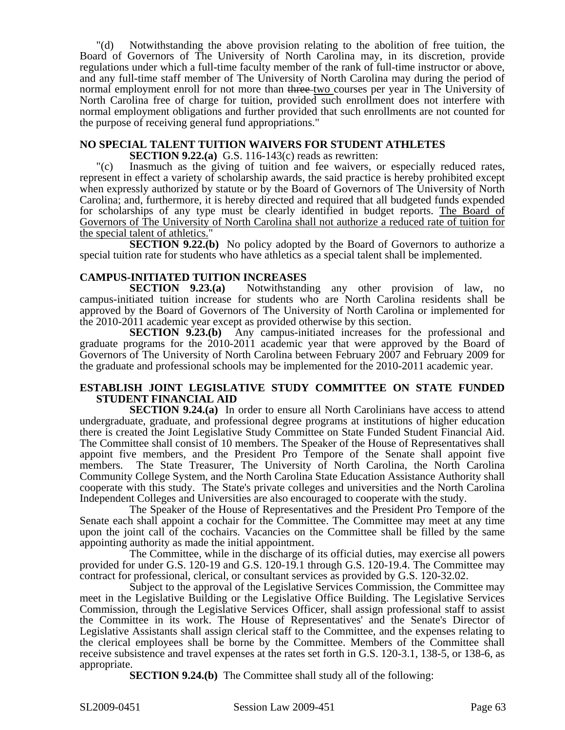"(d) Notwithstanding the above provision relating to the abolition of free tuition, the Board of Governors of The University of North Carolina may, in its discretion, provide regulations under which a full-time faculty member of the rank of full-time instructor or above, and any full-time staff member of The University of North Carolina may during the period of normal employment enroll for not more than three two courses per year in The University of North Carolina free of charge for tuition, provided such enrollment does not interfere with normal employment obligations and further provided that such enrollments are not counted for the purpose of receiving general fund appropriations."

### **NO SPECIAL TALENT TUITION WAIVERS FOR STUDENT ATHLETES**

**SECTION 9.22.(a)** G.S. 116-143(c) reads as rewritten:

"(c) Inasmuch as the giving of tuition and fee waivers, or especially reduced rates, represent in effect a variety of scholarship awards, the said practice is hereby prohibited except when expressly authorized by statute or by the Board of Governors of The University of North Carolina; and, furthermore, it is hereby directed and required that all budgeted funds expended for scholarships of any type must be clearly identified in budget reports. The Board of Governors of The University of North Carolina shall not authorize a reduced rate of tuition for the special talent of athletics."

**SECTION 9.22.(b)** No policy adopted by the Board of Governors to authorize a special tuition rate for students who have athletics as a special talent shall be implemented.

# **CAMPUS-INITIATED TUITION INCREASES**<br>**SECTION** 9.23.(a) Notwithstandi

Notwithstanding any other provision of law, no campus-initiated tuition increase for students who are North Carolina residents shall be approved by the Board of Governors of The University of North Carolina or implemented for the 2010-2011 academic year except as provided otherwise by this section.

**SECTION 9.23.(b)** Any campus-initiated increases for the professional and graduate programs for the 2010-2011 academic year that were approved by the Board of Governors of The University of North Carolina between February 2007 and February 2009 for the graduate and professional schools may be implemented for the 2010-2011 academic year.

### **ESTABLISH JOINT LEGISLATIVE STUDY COMMITTEE ON STATE FUNDED STUDENT FINANCIAL AID**

**SECTION 9.24.(a)** In order to ensure all North Carolinians have access to attend undergraduate, graduate, and professional degree programs at institutions of higher education there is created the Joint Legislative Study Committee on State Funded Student Financial Aid. The Committee shall consist of 10 members. The Speaker of the House of Representatives shall appoint five members, and the President Pro Tempore of the Senate shall appoint five members. The State Treasurer, The University of North Carolina, the North Carolina Community College System, and the North Carolina State Education Assistance Authority shall cooperate with this study. The State's private colleges and universities and the North Carolina Independent Colleges and Universities are also encouraged to cooperate with the study.

The Speaker of the House of Representatives and the President Pro Tempore of the Senate each shall appoint a cochair for the Committee. The Committee may meet at any time upon the joint call of the cochairs. Vacancies on the Committee shall be filled by the same appointing authority as made the initial appointment.

The Committee, while in the discharge of its official duties, may exercise all powers provided for under G.S. 120-19 and G.S. 120-19.1 through G.S. 120-19.4. The Committee may contract for professional, clerical, or consultant services as provided by G.S. 120-32.02.

Subject to the approval of the Legislative Services Commission, the Committee may meet in the Legislative Building or the Legislative Office Building. The Legislative Services Commission, through the Legislative Services Officer, shall assign professional staff to assist the Committee in its work. The House of Representatives' and the Senate's Director of Legislative Assistants shall assign clerical staff to the Committee, and the expenses relating to the clerical employees shall be borne by the Committee. Members of the Committee shall receive subsistence and travel expenses at the rates set forth in G.S. 120-3.1, 138-5, or 138-6, as appropriate.

**SECTION 9.24.(b)** The Committee shall study all of the following: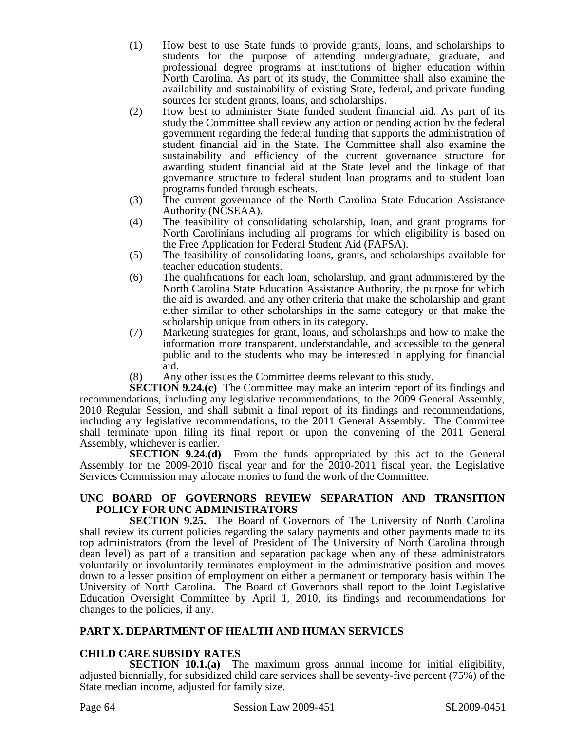- (1) How best to use State funds to provide grants, loans, and scholarships to students for the purpose of attending undergraduate, graduate, and professional degree programs at institutions of higher education within North Carolina. As part of its study, the Committee shall also examine the availability and sustainability of existing State, federal, and private funding sources for student grants, loans, and scholarships.
- (2) How best to administer State funded student financial aid. As part of its study the Committee shall review any action or pending action by the federal government regarding the federal funding that supports the administration of student financial aid in the State. The Committee shall also examine the sustainability and efficiency of the current governance structure for awarding student financial aid at the State level and the linkage of that governance structure to federal student loan programs and to student loan programs funded through escheats.
- (3) The current governance of the North Carolina State Education Assistance Authority (NCSEAA).
- (4) The feasibility of consolidating scholarship, loan, and grant programs for North Carolinians including all programs for which eligibility is based on the Free Application for Federal Student Aid (FAFSA).
- (5) The feasibility of consolidating loans, grants, and scholarships available for teacher education students.
- (6) The qualifications for each loan, scholarship, and grant administered by the North Carolina State Education Assistance Authority, the purpose for which the aid is awarded, and any other criteria that make the scholarship and grant either similar to other scholarships in the same category or that make the scholarship unique from others in its category.
- (7) Marketing strategies for grant, loans, and scholarships and how to make the information more transparent, understandable, and accessible to the general public and to the students who may be interested in applying for financial aid.
- (8) Any other issues the Committee deems relevant to this study.

**SECTION 9.24.(c)** The Committee may make an interim report of its findings and recommendations, including any legislative recommendations, to the 2009 General Assembly, 2010 Regular Session, and shall submit a final report of its findings and recommendations, including any legislative recommendations, to the 2011 General Assembly. The Committee shall terminate upon filing its final report or upon the convening of the 2011 General Assembly, whichever is earlier.

**SECTION 9.24.(d)** From the funds appropriated by this act to the General Assembly for the 2009-2010 fiscal year and for the 2010-2011 fiscal year, the Legislative Services Commission may allocate monies to fund the work of the Committee.

### **UNC BOARD OF GOVERNORS REVIEW SEPARATION AND TRANSITION POLICY FOR UNC ADMINISTRATORS**

**SECTION 9.25.** The Board of Governors of The University of North Carolina shall review its current policies regarding the salary payments and other payments made to its top administrators (from the level of President of The University of North Carolina through dean level) as part of a transition and separation package when any of these administrators voluntarily or involuntarily terminates employment in the administrative position and moves down to a lesser position of employment on either a permanent or temporary basis within The University of North Carolina. The Board of Governors shall report to the Joint Legislative Education Oversight Committee by April 1, 2010, its findings and recommendations for changes to the policies, if any.

# **PART X. DEPARTMENT OF HEALTH AND HUMAN SERVICES**

# **CHILD CARE SUBSIDY RATES**

**SECTION 10.1.(a)** The maximum gross annual income for initial eligibility, adjusted biennially, for subsidized child care services shall be seventy-five percent (75%) of the State median income, adjusted for family size.

Page 64 Session Law 2009-451 SL2009-0451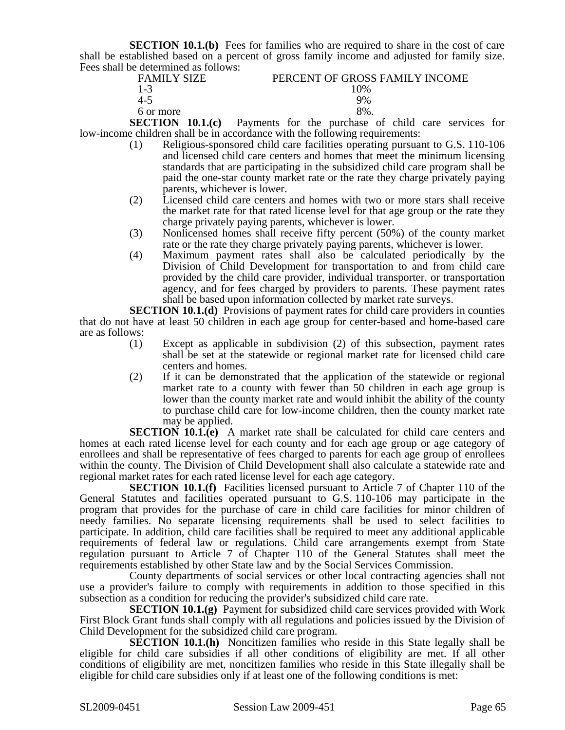**SECTION 10.1.(b)** Fees for families who are required to share in the cost of care shall be established based on a percent of gross family income and adjusted for family size. Fees shall be determined as follows:

| <b>FAMILY SIZE</b> | PERCENT OF GROSS FAMILY INCOME                  |  |  |
|--------------------|-------------------------------------------------|--|--|
| $1 - 3$            | $10\%$                                          |  |  |
| $4 - 5$            | 9%                                              |  |  |
| 6 or more          | $8\%$ .                                         |  |  |
| CFTION 1016        | Dayments for the purchase of child care service |  |  |

**SECTION 10.1.(c)** Payments for the purchase of child care services for low-income children shall be in accordance with the following requirements:

- (1) Religious-sponsored child care facilities operating pursuant to G.S. 110-106 and licensed child care centers and homes that meet the minimum licensing standards that are participating in the subsidized child care program shall be paid the one-star county market rate or the rate they charge privately paying parents, whichever is lower.
- (2) Licensed child care centers and homes with two or more stars shall receive the market rate for that rated license level for that age group or the rate they charge privately paying parents, whichever is lower.
- (3) Nonlicensed homes shall receive fifty percent (50%) of the county market rate or the rate they charge privately paying parents, whichever is lower.
- (4) Maximum payment rates shall also be calculated periodically by the Division of Child Development for transportation to and from child care provided by the child care provider, individual transporter, or transportation agency, and for fees charged by providers to parents. These payment rates shall be based upon information collected by market rate surveys.

**SECTION 10.1.(d)** Provisions of payment rates for child care providers in counties that do not have at least 50 children in each age group for center-based and home-based care are as follows:

- (1) Except as applicable in subdivision (2) of this subsection, payment rates shall be set at the statewide or regional market rate for licensed child care centers and homes.
- (2) If it can be demonstrated that the application of the statewide or regional market rate to a county with fewer than 50 children in each age group is lower than the county market rate and would inhibit the ability of the county to purchase child care for low-income children, then the county market rate may be applied.

**SECTION 10.1.(e)** A market rate shall be calculated for child care centers and homes at each rated license level for each county and for each age group or age category of enrollees and shall be representative of fees charged to parents for each age group of enrollees within the county. The Division of Child Development shall also calculate a statewide rate and regional market rates for each rated license level for each age category.

**SECTION 10.1.(f)** Facilities licensed pursuant to Article 7 of Chapter 110 of the General Statutes and facilities operated pursuant to G.S. 110-106 may participate in the program that provides for the purchase of care in child care facilities for minor children of needy families. No separate licensing requirements shall be used to select facilities to participate. In addition, child care facilities shall be required to meet any additional applicable requirements of federal law or regulations. Child care arrangements exempt from State regulation pursuant to Article 7 of Chapter 110 of the General Statutes shall meet the requirements established by other State law and by the Social Services Commission.

County departments of social services or other local contracting agencies shall not use a provider's failure to comply with requirements in addition to those specified in this subsection as a condition for reducing the provider's subsidized child care rate.

**SECTION 10.1.(g)** Payment for subsidized child care services provided with Work First Block Grant funds shall comply with all regulations and policies issued by the Division of Child Development for the subsidized child care program.

**SECTION 10.1.(h)** Noncitizen families who reside in this State legally shall be eligible for child care subsidies if all other conditions of eligibility are met. If all other conditions of eligibility are met, noncitizen families who reside in this State illegally shall be eligible for child care subsidies only if at least one of the following conditions is met: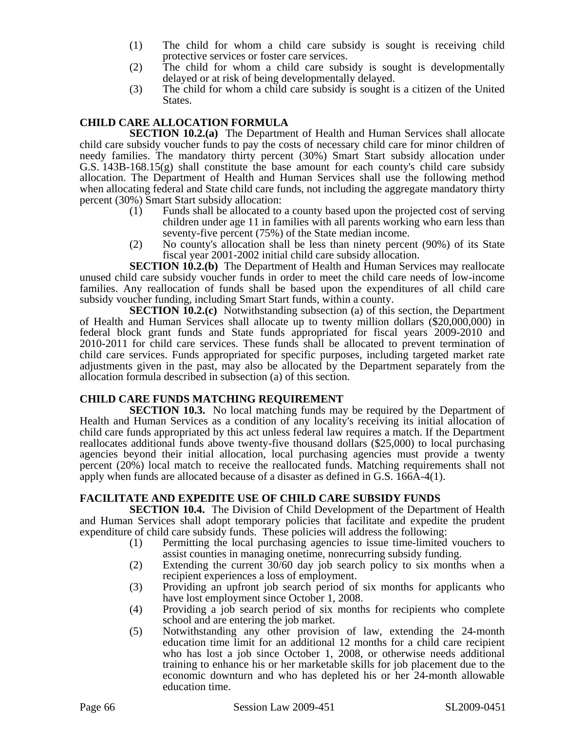- (1) The child for whom a child care subsidy is sought is receiving child protective services or foster care services.
- (2) The child for whom a child care subsidy is sought is developmentally delayed or at risk of being developmentally delayed.
- (3) The child for whom a child care subsidy is sought is a citizen of the United States.

# **CHILD CARE ALLOCATION FORMULA**

**SECTION 10.2.(a)** The Department of Health and Human Services shall allocate child care subsidy voucher funds to pay the costs of necessary child care for minor children of needy families. The mandatory thirty percent (30%) Smart Start subsidy allocation under G.S. 143B-168.15(g) shall constitute the base amount for each county's child care subsidy allocation. The Department of Health and Human Services shall use the following method when allocating federal and State child care funds, not including the aggregate mandatory thirty percent (30%) Smart Start subsidy allocation:

- (1) Funds shall be allocated to a county based upon the projected cost of serving children under age 11 in families with all parents working who earn less than seventy-five percent (75%) of the State median income.
- (2) No county's allocation shall be less than ninety percent (90%) of its State fiscal year 2001-2002 initial child care subsidy allocation.

**SECTION 10.2.(b)** The Department of Health and Human Services may reallocate unused child care subsidy voucher funds in order to meet the child care needs of low-income families. Any reallocation of funds shall be based upon the expenditures of all child care subsidy voucher funding, including Smart Start funds, within a county.

**SECTION 10.2.(c)** Notwithstanding subsection (a) of this section, the Department of Health and Human Services shall allocate up to twenty million dollars (\$20,000,000) in federal block grant funds and State funds appropriated for fiscal years 2009-2010 and 2010-2011 for child care services. These funds shall be allocated to prevent termination of child care services. Funds appropriated for specific purposes, including targeted market rate adjustments given in the past, may also be allocated by the Department separately from the allocation formula described in subsection (a) of this section.

# **CHILD CARE FUNDS MATCHING REQUIREMENT**

**SECTION 10.3.** No local matching funds may be required by the Department of Health and Human Services as a condition of any locality's receiving its initial allocation of child care funds appropriated by this act unless federal law requires a match. If the Department reallocates additional funds above twenty-five thousand dollars (\$25,000) to local purchasing agencies beyond their initial allocation, local purchasing agencies must provide a twenty percent (20%) local match to receive the reallocated funds. Matching requirements shall not apply when funds are allocated because of a disaster as defined in G.S. 166A-4(1).

# **FACILITATE AND EXPEDITE USE OF CHILD CARE SUBSIDY FUNDS**

**SECTION 10.4.** The Division of Child Development of the Department of Health and Human Services shall adopt temporary policies that facilitate and expedite the prudent expenditure of child care subsidy funds. These policies will address the following:

- (1) Permitting the local purchasing agencies to issue time-limited vouchers to assist counties in managing onetime, nonrecurring subsidy funding.
- (2) Extending the current 30/60 day job search policy to six months when a recipient experiences a loss of employment.
- (3) Providing an upfront job search period of six months for applicants who have lost employment since October 1, 2008.
- (4) Providing a job search period of six months for recipients who complete school and are entering the job market.
- (5) Notwithstanding any other provision of law, extending the 24-month education time limit for an additional 12 months for a child care recipient who has lost a job since October 1, 2008, or otherwise needs additional training to enhance his or her marketable skills for job placement due to the economic downturn and who has depleted his or her 24-month allowable education time.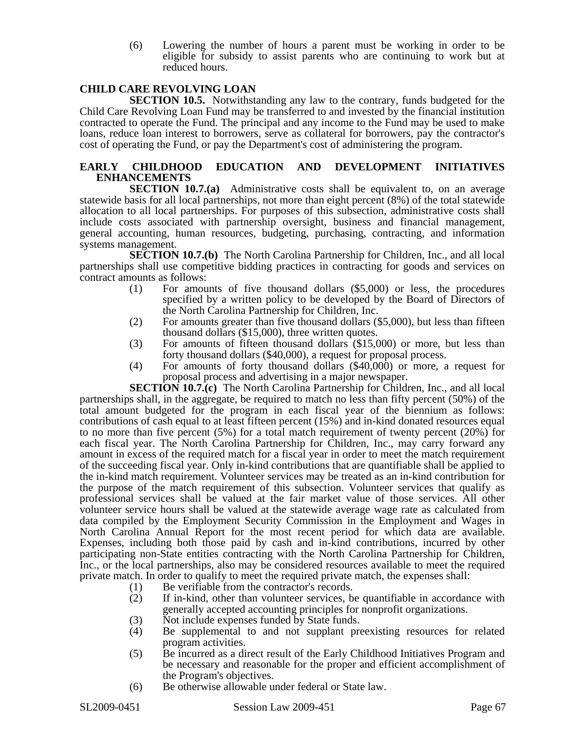(6) Lowering the number of hours a parent must be working in order to be eligible for subsidy to assist parents who are continuing to work but at reduced hours.

# **CHILD CARE REVOLVING LOAN**

**SECTION 10.5.** Notwithstanding any law to the contrary, funds budgeted for the Child Care Revolving Loan Fund may be transferred to and invested by the financial institution contracted to operate the Fund. The principal and any income to the Fund may be used to make loans, reduce loan interest to borrowers, serve as collateral for borrowers, pay the contractor's cost of operating the Fund, or pay the Department's cost of administering the program.

### **EARLY CHILDHOOD EDUCATION AND DEVELOPMENT INITIATIVES ENHANCEMENTS**

**SECTION 10.7.(a)** Administrative costs shall be equivalent to, on an average statewide basis for all local partnerships, not more than eight percent (8%) of the total statewide allocation to all local partnerships. For purposes of this subsection, administrative costs shall include costs associated with partnership oversight, business and financial management, general accounting, human resources, budgeting, purchasing, contracting, and information systems management.

**SECTION 10.7.(b)** The North Carolina Partnership for Children, Inc., and all local partnerships shall use competitive bidding practices in contracting for goods and services on contract amounts as follows:

- (1) For amounts of five thousand dollars (\$5,000) or less, the procedures specified by a written policy to be developed by the Board of Directors of the North Carolina Partnership for Children, Inc.
- (2) For amounts greater than five thousand dollars (\$5,000), but less than fifteen thousand dollars (\$15,000), three written quotes.
- (3) For amounts of fifteen thousand dollars (\$15,000) or more, but less than forty thousand dollars (\$40,000), a request for proposal process.
- (4) For amounts of forty thousand dollars (\$40,000) or more, a request for proposal process and advertising in a major newspaper.

**SECTION 10.7.(c)** The North Carolina Partnership for Children, Inc., and all local partnerships shall, in the aggregate, be required to match no less than fifty percent (50%) of the total amount budgeted for the program in each fiscal year of the biennium as follows: contributions of cash equal to at least fifteen percent (15%) and in-kind donated resources equal to no more than five percent (5%) for a total match requirement of twenty percent (20%) for each fiscal year. The North Carolina Partnership for Children, Inc., may carry forward any amount in excess of the required match for a fiscal year in order to meet the match requirement of the succeeding fiscal year. Only in-kind contributions that are quantifiable shall be applied to the in-kind match requirement. Volunteer services may be treated as an in-kind contribution for the purpose of the match requirement of this subsection. Volunteer services that qualify as professional services shall be valued at the fair market value of those services. All other volunteer service hours shall be valued at the statewide average wage rate as calculated from data compiled by the Employment Security Commission in the Employment and Wages in North Carolina Annual Report for the most recent period for which data are available. Expenses, including both those paid by cash and in-kind contributions, incurred by other participating non-State entities contracting with the North Carolina Partnership for Children, Inc., or the local partnerships, also may be considered resources available to meet the required private match. In order to qualify to meet the required private match, the expenses shall:

- (1) Be verifiable from the contractor's records.
- (2) If in-kind, other than volunteer services, be quantifiable in accordance with generally accepted accounting principles for nonprofit organizations.
- (3) Not include expenses funded by State funds.<br>
(4) Be supplemental to and not supplant pro
- Be supplemental to and not supplant preexisting resources for related program activities.
- (5) Be incurred as a direct result of the Early Childhood Initiatives Program and be necessary and reasonable for the proper and efficient accomplishment of the Program's objectives.
- (6) Be otherwise allowable under federal or State law.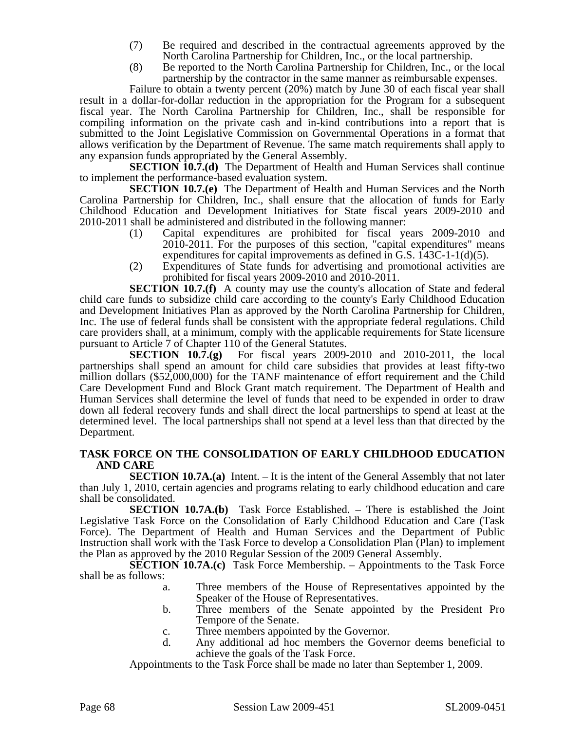- (7) Be required and described in the contractual agreements approved by the North Carolina Partnership for Children, Inc., or the local partnership.
- (8) Be reported to the North Carolina Partnership for Children, Inc., or the local partnership by the contractor in the same manner as reimbursable expenses.

Failure to obtain a twenty percent (20%) match by June 30 of each fiscal year shall result in a dollar-for-dollar reduction in the appropriation for the Program for a subsequent fiscal year. The North Carolina Partnership for Children, Inc., shall be responsible for compiling information on the private cash and in-kind contributions into a report that is submitted to the Joint Legislative Commission on Governmental Operations in a format that allows verification by the Department of Revenue. The same match requirements shall apply to any expansion funds appropriated by the General Assembly.

**SECTION 10.7.(d)** The Department of Health and Human Services shall continue to implement the performance-based evaluation system.

**SECTION 10.7.(e)** The Department of Health and Human Services and the North Carolina Partnership for Children, Inc., shall ensure that the allocation of funds for Early Childhood Education and Development Initiatives for State fiscal years 2009-2010 and 2010-2011 shall be administered and distributed in the following manner:

- (1) Capital expenditures are prohibited for fiscal years 2009-2010 and 2010-2011. For the purposes of this section, "capital expenditures" means expenditures for capital improvements as defined in G.S.  $143C-1-1(d)(5)$ .
- (2) Expenditures of State funds for advertising and promotional activities are prohibited for fiscal years 2009-2010 and 2010-2011.

**SECTION 10.7.(f)** A county may use the county's allocation of State and federal child care funds to subsidize child care according to the county's Early Childhood Education and Development Initiatives Plan as approved by the North Carolina Partnership for Children, Inc. The use of federal funds shall be consistent with the appropriate federal regulations. Child care providers shall, at a minimum, comply with the applicable requirements for State licensure pursuant to Article 7 of Chapter 110 of the General Statutes.

**SECTION 10.7.(g)** For fiscal years 2009-2010 and 2010-2011, the local partnerships shall spend an amount for child care subsidies that provides at least fifty-two million dollars (\$52,000,000) for the TANF maintenance of effort requirement and the Child Care Development Fund and Block Grant match requirement. The Department of Health and Human Services shall determine the level of funds that need to be expended in order to draw down all federal recovery funds and shall direct the local partnerships to spend at least at the determined level. The local partnerships shall not spend at a level less than that directed by the Department.

### **TASK FORCE ON THE CONSOLIDATION OF EARLY CHILDHOOD EDUCATION AND CARE**

**SECTION 10.7A.(a)** Intent. – It is the intent of the General Assembly that not later than July 1, 2010, certain agencies and programs relating to early childhood education and care shall be consolidated.

**SECTION 10.7A.(b)** Task Force Established. – There is established the Joint Legislative Task Force on the Consolidation of Early Childhood Education and Care (Task Force). The Department of Health and Human Services and the Department of Public Instruction shall work with the Task Force to develop a Consolidation Plan (Plan) to implement the Plan as approved by the 2010 Regular Session of the 2009 General Assembly.

**SECTION 10.7A.(c)** Task Force Membership. – Appointments to the Task Force shall be as follows:

- a. Three members of the House of Representatives appointed by the Speaker of the House of Representatives.
- b. Three members of the Senate appointed by the President Pro Tempore of the Senate.
- c. Three members appointed by the Governor.
- d. Any additional ad hoc members the Governor deems beneficial to achieve the goals of the Task Force.

Appointments to the Task Force shall be made no later than September 1, 2009.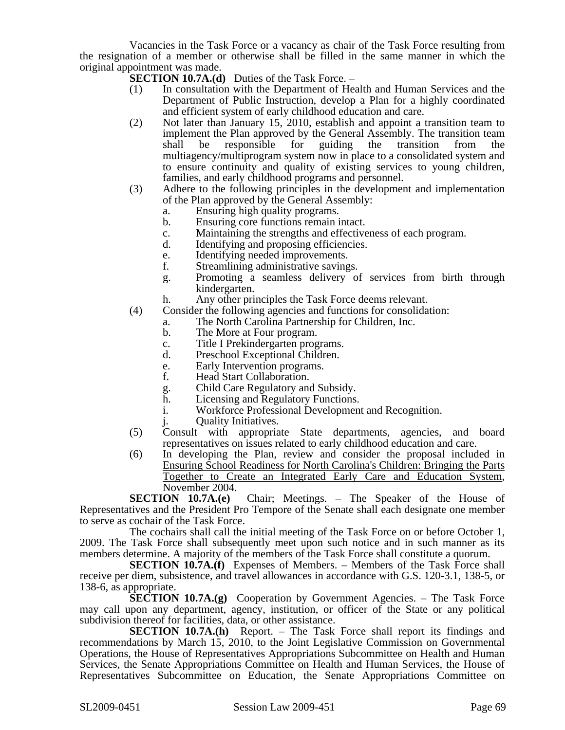Vacancies in the Task Force or a vacancy as chair of the Task Force resulting from the resignation of a member or otherwise shall be filled in the same manner in which the original appointment was made.

**SECTION 10.7A.(d)** Duties of the Task Force. –

- (1) In consultation with the Department of Health and Human Services and the Department of Public Instruction, develop a Plan for a highly coordinated and efficient system of early childhood education and care.
- (2) Not later than January 15, 2010, establish and appoint a transition team to implement the Plan approved by the General Assembly. The transition team shall be responsible for guiding the transition from the multiagency/multiprogram system now in place to a consolidated system and to ensure continuity and quality of existing services to young children, families, and early childhood programs and personnel.
- (3) Adhere to the following principles in the development and implementation of the Plan approved by the General Assembly:
	- a. Ensuring high quality programs.
	- b. Ensuring core functions remain intact.
	- c. Maintaining the strengths and effectiveness of each program.
	- d. Identifying and proposing efficiencies.
	- e. Identifying needed improvements.
	- f. Streamlining administrative savings.
	- g. Promoting a seamless delivery of services from birth through kindergarten.
	- h. Any other principles the Task Force deems relevant.
- (4) Consider the following agencies and functions for consolidation:
	- a. The North Carolina Partnership for Children, Inc.
		- b. The More at Four program.
		- c. Title I Prekindergarten programs.<br>d. Preschool Exceptional Children.
		- Preschool Exceptional Children.
		- e. Early Intervention programs.<br>
		f. Head Start Collaboration.
		- Head Start Collaboration.
		- g. Child Care Regulatory and Subsidy.
		- h. Licensing and Regulatory Functions.<br>
		i. Workforce Professional Developmen
		- Workforce Professional Development and Recognition.
		- j. Quality Initiatives.
- (5) Consult with appropriate State departments, agencies, and board representatives on issues related to early childhood education and care.
- (6) In developing the Plan, review and consider the proposal included in Ensuring School Readiness for North Carolina's Children: Bringing the Parts Together to Create an Integrated Early Care and Education System, November 2004.

**SECTION 10.7A.(e)** Chair; Meetings. – The Speaker of the House of Representatives and the President Pro Tempore of the Senate shall each designate one member to serve as cochair of the Task Force.

The cochairs shall call the initial meeting of the Task Force on or before October 1, 2009. The Task Force shall subsequently meet upon such notice and in such manner as its members determine. A majority of the members of the Task Force shall constitute a quorum.

**SECTION 10.7A.(f)** Expenses of Members. – Members of the Task Force shall receive per diem, subsistence, and travel allowances in accordance with G.S. 120-3.1, 138-5, or 138-6, as appropriate.

**SECTION 10.7A.(g)** Cooperation by Government Agencies. – The Task Force may call upon any department, agency, institution, or officer of the State or any political subdivision thereof for facilities, data, or other assistance.

**SECTION 10.7A.(h)** Report. – The Task Force shall report its findings and recommendations by March 15, 2010, to the Joint Legislative Commission on Governmental Operations, the House of Representatives Appropriations Subcommittee on Health and Human Services, the Senate Appropriations Committee on Health and Human Services, the House of Representatives Subcommittee on Education, the Senate Appropriations Committee on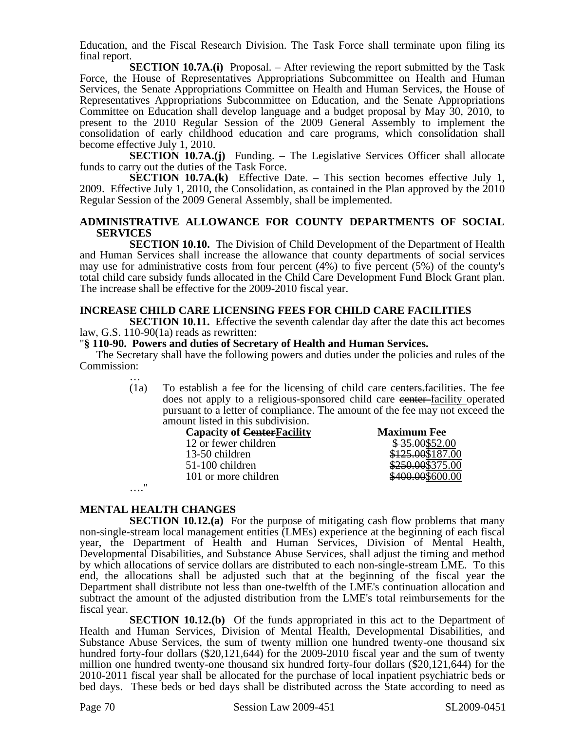Education, and the Fiscal Research Division. The Task Force shall terminate upon filing its final report.

**SECTION 10.7A.(i)** Proposal. – After reviewing the report submitted by the Task Force, the House of Representatives Appropriations Subcommittee on Health and Human Services, the Senate Appropriations Committee on Health and Human Services, the House of Representatives Appropriations Subcommittee on Education, and the Senate Appropriations Committee on Education shall develop language and a budget proposal by May 30, 2010, to present to the 2010 Regular Session of the 2009 General Assembly to implement the consolidation of early childhood education and care programs, which consolidation shall become effective July 1, 2010.

**SECTION 10.7A.(j)** Funding. – The Legislative Services Officer shall allocate funds to carry out the duties of the Task Force.

**SECTION 10.7A.(k)** Effective Date. – This section becomes effective July 1, 2009. Effective July 1, 2010, the Consolidation, as contained in the Plan approved by the 2010 Regular Session of the 2009 General Assembly, shall be implemented.

### **ADMINISTRATIVE ALLOWANCE FOR COUNTY DEPARTMENTS OF SOCIAL SERVICES**

**SECTION 10.10.** The Division of Child Development of the Department of Health and Human Services shall increase the allowance that county departments of social services may use for administrative costs from four percent (4%) to five percent (5%) of the county's total child care subsidy funds allocated in the Child Care Development Fund Block Grant plan. The increase shall be effective for the 2009-2010 fiscal year.

### **INCREASE CHILD CARE LICENSING FEES FOR CHILD CARE FACILITIES**

**SECTION 10.11.** Effective the seventh calendar day after the date this act becomes law, G.S. 110-90(1a) reads as rewritten:

#### "**§ 110-90. Powers and duties of Secretary of Health and Human Services.**

The Secretary shall have the following powers and duties under the policies and rules of the Commission:

… (1a) To establish a fee for the licensing of child care centers.facilities. The fee does not apply to a religious-sponsored child care eenter-facility operated pursuant to a letter of compliance. The amount of the fee may not exceed the amount listed in this subdivision.

| <b>Capacity of CenterFacility</b> | <b>Maximum Fee</b> |
|-----------------------------------|--------------------|
| 12 or fewer children              | \$35.00\$52.00     |
| 13-50 children                    | \$125.00\$187.00   |
| $51-100$ children                 | \$250.00\$375.00   |
| 101 or more children              | \$400.00\$600.00   |
|                                   |                    |

# **MENTAL HEALTH CHANGES**

…."

**SECTION 10.12.(a)** For the purpose of mitigating cash flow problems that many non-single-stream local management entities (LMEs) experience at the beginning of each fiscal year, the Department of Health and Human Services, Division of Mental Health, Developmental Disabilities, and Substance Abuse Services, shall adjust the timing and method by which allocations of service dollars are distributed to each non-single-stream LME. To this end, the allocations shall be adjusted such that at the beginning of the fiscal year the Department shall distribute not less than one-twelfth of the LME's continuation allocation and subtract the amount of the adjusted distribution from the LME's total reimbursements for the fiscal year.

**SECTION 10.12.(b)** Of the funds appropriated in this act to the Department of Health and Human Services, Division of Mental Health, Developmental Disabilities, and Substance Abuse Services, the sum of twenty million one hundred twenty-one thousand six hundred forty-four dollars (\$20,121,644) for the 2009-2010 fiscal year and the sum of twenty million one hundred twenty-one thousand six hundred forty-four dollars (\$20,121,644) for the 2010-2011 fiscal year shall be allocated for the purchase of local inpatient psychiatric beds or bed days. These beds or bed days shall be distributed across the State according to need as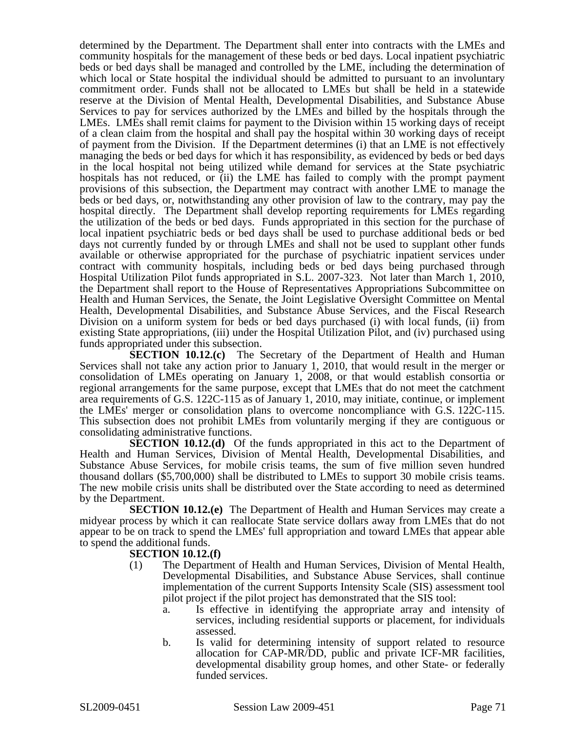determined by the Department. The Department shall enter into contracts with the LMEs and community hospitals for the management of these beds or bed days. Local inpatient psychiatric beds or bed days shall be managed and controlled by the LME, including the determination of which local or State hospital the individual should be admitted to pursuant to an involuntary commitment order. Funds shall not be allocated to LMEs but shall be held in a statewide reserve at the Division of Mental Health, Developmental Disabilities, and Substance Abuse Services to pay for services authorized by the LMEs and billed by the hospitals through the LMEs. LMEs shall remit claims for payment to the Division within 15 working days of receipt of a clean claim from the hospital and shall pay the hospital within 30 working days of receipt of payment from the Division. If the Department determines (i) that an LME is not effectively managing the beds or bed days for which it has responsibility, as evidenced by beds or bed days in the local hospital not being utilized while demand for services at the State psychiatric hospitals has not reduced, or (ii) the LME has failed to comply with the prompt payment provisions of this subsection, the Department may contract with another LME to manage the beds or bed days, or, notwithstanding any other provision of law to the contrary, may pay the hospital directly. The Department shall develop reporting requirements for LMEs regarding the utilization of the beds or bed days. Funds appropriated in this section for the purchase of local inpatient psychiatric beds or bed days shall be used to purchase additional beds or bed days not currently funded by or through LMEs and shall not be used to supplant other funds available or otherwise appropriated for the purchase of psychiatric inpatient services under contract with community hospitals, including beds or bed days being purchased through Hospital Utilization Pilot funds appropriated in S.L. 2007-323. Not later than March 1, 2010, the Department shall report to the House of Representatives Appropriations Subcommittee on Health and Human Services, the Senate, the Joint Legislative Oversight Committee on Mental Health, Developmental Disabilities, and Substance Abuse Services, and the Fiscal Research Division on a uniform system for beds or bed days purchased (i) with local funds, (ii) from existing State appropriations, (iii) under the Hospital Utilization Pilot, and (iv) purchased using funds appropriated under this subsection.

**SECTION 10.12.(c)** The Secretary of the Department of Health and Human Services shall not take any action prior to January 1, 2010, that would result in the merger or consolidation of LMEs operating on January 1, 2008, or that would establish consortia or regional arrangements for the same purpose, except that LMEs that do not meet the catchment area requirements of G.S. 122C-115 as of January 1, 2010, may initiate, continue, or implement the LMEs' merger or consolidation plans to overcome noncompliance with G.S. 122C-115. This subsection does not prohibit LMEs from voluntarily merging if they are contiguous or consolidating administrative functions.

**SECTION 10.12.(d)** Of the funds appropriated in this act to the Department of Health and Human Services, Division of Mental Health, Developmental Disabilities, and Substance Abuse Services, for mobile crisis teams, the sum of five million seven hundred thousand dollars (\$5,700,000) shall be distributed to LMEs to support 30 mobile crisis teams. The new mobile crisis units shall be distributed over the State according to need as determined by the Department.

**SECTION 10.12.(e)** The Department of Health and Human Services may create a midyear process by which it can reallocate State service dollars away from LMEs that do not appear to be on track to spend the LMEs' full appropriation and toward LMEs that appear able to spend the additional funds.

#### **SECTION 10.12.(f)**

- (1) The Department of Health and Human Services, Division of Mental Health, Developmental Disabilities, and Substance Abuse Services, shall continue implementation of the current Supports Intensity Scale (SIS) assessment tool pilot project if the pilot project has demonstrated that the SIS tool:
	- a. Is effective in identifying the appropriate array and intensity of services, including residential supports or placement, for individuals assessed.
	- b. Is valid for determining intensity of support related to resource allocation for CAP-MR/DD, public and private ICF-MR facilities, developmental disability group homes, and other State- or federally funded services.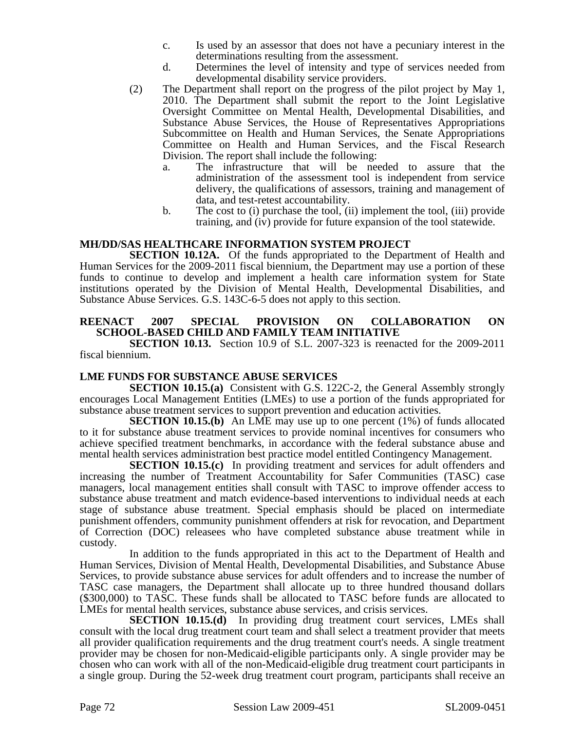- c. Is used by an assessor that does not have a pecuniary interest in the determinations resulting from the assessment.
- d. Determines the level of intensity and type of services needed from developmental disability service providers.
- (2) The Department shall report on the progress of the pilot project by May 1, 2010. The Department shall submit the report to the Joint Legislative Oversight Committee on Mental Health, Developmental Disabilities, and Substance Abuse Services, the House of Representatives Appropriations Subcommittee on Health and Human Services, the Senate Appropriations Committee on Health and Human Services, and the Fiscal Research Division. The report shall include the following:
	- a. The infrastructure that will be needed to assure that the administration of the assessment tool is independent from service delivery, the qualifications of assessors, training and management of data, and test-retest accountability.
	- b. The cost to (i) purchase the tool, (ii) implement the tool, (iii) provide training, and (iv) provide for future expansion of the tool statewide.

# **MH/DD/SAS HEALTHCARE INFORMATION SYSTEM PROJECT**

**SECTION 10.12A.** Of the funds appropriated to the Department of Health and Human Services for the 2009-2011 fiscal biennium, the Department may use a portion of these funds to continue to develop and implement a health care information system for State institutions operated by the Division of Mental Health, Developmental Disabilities, and Substance Abuse Services. G.S. 143C-6-5 does not apply to this section.

#### **REENACT 2007 SPECIAL PROVISION ON COLLABORATION ON SCHOOL-BASED CHILD AND FAMILY TEAM INITIATIVE**

**SECTION 10.13.** Section 10.9 of S.L. 2007-323 is reenacted for the 2009-2011 fiscal biennium.

#### **LME FUNDS FOR SUBSTANCE ABUSE SERVICES**

**SECTION 10.15.(a)** Consistent with G.S. 122C-2, the General Assembly strongly encourages Local Management Entities (LMEs) to use a portion of the funds appropriated for substance abuse treatment services to support prevention and education activities.

**SECTION 10.15.(b)** An LME may use up to one percent (1%) of funds allocated to it for substance abuse treatment services to provide nominal incentives for consumers who achieve specified treatment benchmarks, in accordance with the federal substance abuse and mental health services administration best practice model entitled Contingency Management.

**SECTION 10.15.(c)** In providing treatment and services for adult offenders and increasing the number of Treatment Accountability for Safer Communities (TASC) case managers, local management entities shall consult with TASC to improve offender access to substance abuse treatment and match evidence-based interventions to individual needs at each stage of substance abuse treatment. Special emphasis should be placed on intermediate punishment offenders, community punishment offenders at risk for revocation, and Department of Correction (DOC) releasees who have completed substance abuse treatment while in custody.

In addition to the funds appropriated in this act to the Department of Health and Human Services, Division of Mental Health, Developmental Disabilities, and Substance Abuse Services, to provide substance abuse services for adult offenders and to increase the number of TASC case managers, the Department shall allocate up to three hundred thousand dollars (\$300,000) to TASC. These funds shall be allocated to TASC before funds are allocated to LMEs for mental health services, substance abuse services, and crisis services.

**SECTION 10.15.(d)** In providing drug treatment court services, LMEs shall consult with the local drug treatment court team and shall select a treatment provider that meets all provider qualification requirements and the drug treatment court's needs. A single treatment provider may be chosen for non-Medicaid-eligible participants only. A single provider may be chosen who can work with all of the non-Medicaid-eligible drug treatment court participants in a single group. During the 52-week drug treatment court program, participants shall receive an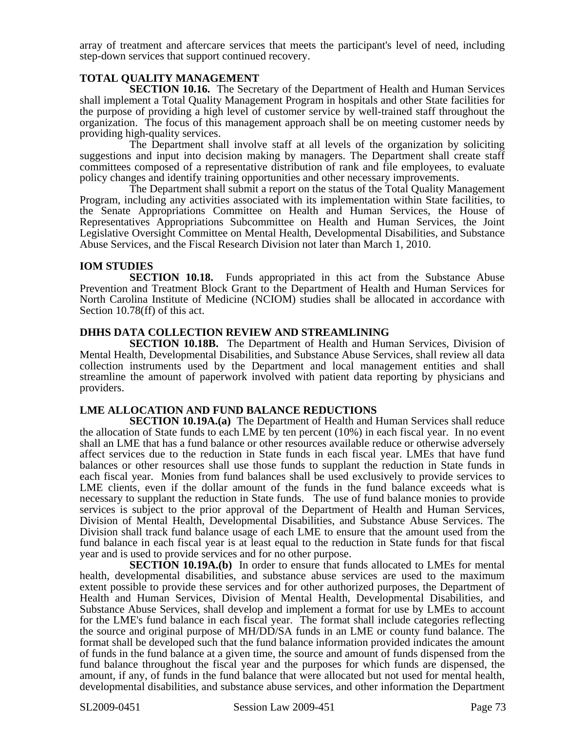array of treatment and aftercare services that meets the participant's level of need, including step-down services that support continued recovery.

# **TOTAL QUALITY MANAGEMENT**

**SECTION 10.16.** The Secretary of the Department of Health and Human Services shall implement a Total Quality Management Program in hospitals and other State facilities for the purpose of providing a high level of customer service by well-trained staff throughout the organization. The focus of this management approach shall be on meeting customer needs by providing high-quality services.

The Department shall involve staff at all levels of the organization by soliciting suggestions and input into decision making by managers. The Department shall create staff committees composed of a representative distribution of rank and file employees, to evaluate policy changes and identify training opportunities and other necessary improvements.

The Department shall submit a report on the status of the Total Quality Management Program, including any activities associated with its implementation within State facilities, to the Senate Appropriations Committee on Health and Human Services, the House of Representatives Appropriations Subcommittee on Health and Human Services, the Joint Legislative Oversight Committee on Mental Health, Developmental Disabilities, and Substance Abuse Services, and the Fiscal Research Division not later than March 1, 2010.

#### **IOM STUDIES**

**SECTION 10.18.** Funds appropriated in this act from the Substance Abuse Prevention and Treatment Block Grant to the Department of Health and Human Services for North Carolina Institute of Medicine (NCIOM) studies shall be allocated in accordance with Section 10.78(ff) of this act.

# **DHHS DATA COLLECTION REVIEW AND STREAMLINING**

**SECTION 10.18B.** The Department of Health and Human Services, Division of Mental Health, Developmental Disabilities, and Substance Abuse Services, shall review all data collection instruments used by the Department and local management entities and shall streamline the amount of paperwork involved with patient data reporting by physicians and providers.

#### **LME ALLOCATION AND FUND BALANCE REDUCTIONS**

**SECTION 10.19A.(a)** The Department of Health and Human Services shall reduce the allocation of State funds to each LME by ten percent (10%) in each fiscal year. In no event shall an LME that has a fund balance or other resources available reduce or otherwise adversely affect services due to the reduction in State funds in each fiscal year. LMEs that have fund balances or other resources shall use those funds to supplant the reduction in State funds in each fiscal year. Monies from fund balances shall be used exclusively to provide services to LME clients, even if the dollar amount of the funds in the fund balance exceeds what is necessary to supplant the reduction in State funds. The use of fund balance monies to provide services is subject to the prior approval of the Department of Health and Human Services, Division of Mental Health, Developmental Disabilities, and Substance Abuse Services. The Division shall track fund balance usage of each LME to ensure that the amount used from the fund balance in each fiscal year is at least equal to the reduction in State funds for that fiscal year and is used to provide services and for no other purpose.

**SECTION 10.19A.(b)** In order to ensure that funds allocated to LMEs for mental health, developmental disabilities, and substance abuse services are used to the maximum extent possible to provide these services and for other authorized purposes, the Department of Health and Human Services, Division of Mental Health, Developmental Disabilities, and Substance Abuse Services, shall develop and implement a format for use by LMEs to account for the LME's fund balance in each fiscal year. The format shall include categories reflecting the source and original purpose of MH/DD/SA funds in an LME or county fund balance. The format shall be developed such that the fund balance information provided indicates the amount of funds in the fund balance at a given time, the source and amount of funds dispensed from the fund balance throughout the fiscal year and the purposes for which funds are dispensed, the amount, if any, of funds in the fund balance that were allocated but not used for mental health, developmental disabilities, and substance abuse services, and other information the Department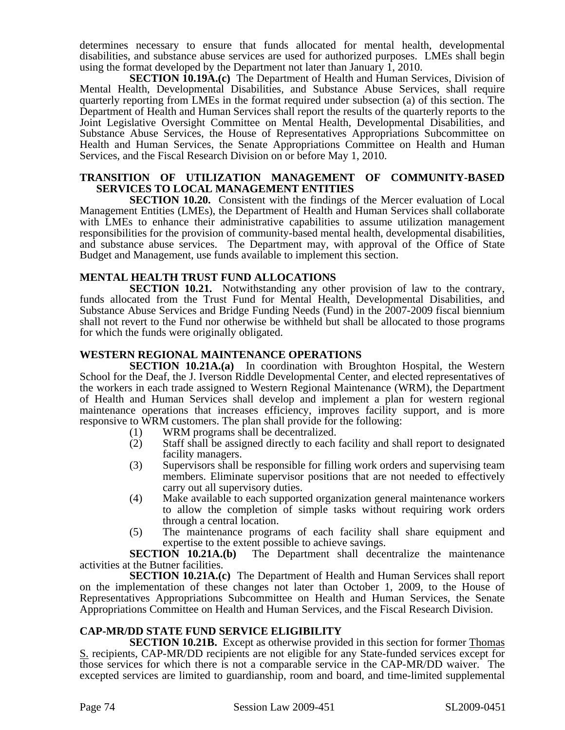determines necessary to ensure that funds allocated for mental health, developmental disabilities, and substance abuse services are used for authorized purposes. LMEs shall begin using the format developed by the Department not later than January 1, 2010.

**SECTION 10.19A.(c)** The Department of Health and Human Services, Division of Mental Health, Developmental Disabilities, and Substance Abuse Services, shall require quarterly reporting from LMEs in the format required under subsection (a) of this section. The Department of Health and Human Services shall report the results of the quarterly reports to the Joint Legislative Oversight Committee on Mental Health, Developmental Disabilities, and Substance Abuse Services, the House of Representatives Appropriations Subcommittee on Health and Human Services, the Senate Appropriations Committee on Health and Human Services, and the Fiscal Research Division on or before May 1, 2010.

# **TRANSITION OF UTILIZATION MANAGEMENT OF COMMUNITY-BASED SERVICES TO LOCAL MANAGEMENT ENTITIES**

**SECTION 10.20.** Consistent with the findings of the Mercer evaluation of Local Management Entities (LMEs), the Department of Health and Human Services shall collaborate with LMEs to enhance their administrative capabilities to assume utilization management responsibilities for the provision of community-based mental health, developmental disabilities, and substance abuse services. The Department may, with approval of the Office of State Budget and Management, use funds available to implement this section.

# **MENTAL HEALTH TRUST FUND ALLOCATIONS**

**SECTION 10.21.** Notwithstanding any other provision of law to the contrary, funds allocated from the Trust Fund for Mental Health, Developmental Disabilities, and Substance Abuse Services and Bridge Funding Needs (Fund) in the 2007-2009 fiscal biennium shall not revert to the Fund nor otherwise be withheld but shall be allocated to those programs for which the funds were originally obligated.

#### **WESTERN REGIONAL MAINTENANCE OPERATIONS**

**SECTION 10.21A.(a)** In coordination with Broughton Hospital, the Western School for the Deaf, the J. Iverson Riddle Developmental Center, and elected representatives of the workers in each trade assigned to Western Regional Maintenance (WRM), the Department of Health and Human Services shall develop and implement a plan for western regional maintenance operations that increases efficiency, improves facility support, and is more responsive to WRM customers. The plan shall provide for the following:

- (1) WRM programs shall be decentralized.
- (2) Staff shall be assigned directly to each facility and shall report to designated facility managers.
- (3) Supervisors shall be responsible for filling work orders and supervising team members. Eliminate supervisor positions that are not needed to effectively carry out all supervisory duties.
- (4) Make available to each supported organization general maintenance workers to allow the completion of simple tasks without requiring work orders through a central location.
- (5) The maintenance programs of each facility shall share equipment and expertise to the extent possible to achieve savings.<br>SECTION 10.21A.(b) The Department shall dece

The Department shall decentralize the maintenance activities at the Butner facilities.

**SECTION 10.21A.(c)** The Department of Health and Human Services shall report on the implementation of these changes not later than October 1, 2009, to the House of Representatives Appropriations Subcommittee on Health and Human Services, the Senate Appropriations Committee on Health and Human Services, and the Fiscal Research Division.

# **CAP-MR/DD STATE FUND SERVICE ELIGIBILITY**

**SECTION 10.21B.** Except as otherwise provided in this section for former Thomas S. recipients, CAP-MR/DD recipients are not eligible for any State-funded services except for those services for which there is not a comparable service in the CAP-MR/DD waiver. The excepted services are limited to guardianship, room and board, and time-limited supplemental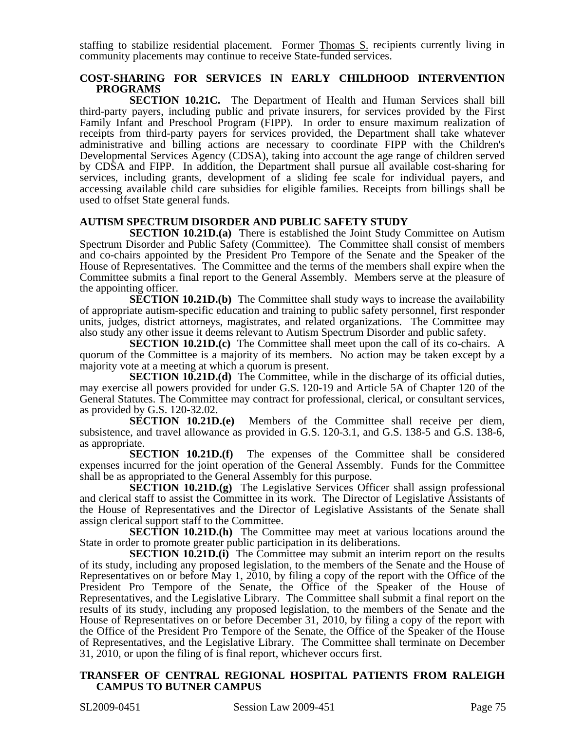staffing to stabilize residential placement. Former Thomas S. recipients currently living in community placements may continue to receive State-funded services.

#### **COST-SHARING FOR SERVICES IN EARLY CHILDHOOD INTERVENTION PROGRAMS**

**SECTION 10.21C.** The Department of Health and Human Services shall bill third-party payers, including public and private insurers, for services provided by the First Family Infant and Preschool Program (FIPP). In order to ensure maximum realization of receipts from third-party payers for services provided, the Department shall take whatever administrative and billing actions are necessary to coordinate FIPP with the Children's Developmental Services Agency (CDSA), taking into account the age range of children served by CDSA and FIPP. In addition, the Department shall pursue all available cost-sharing for services, including grants, development of a sliding fee scale for individual payers, and accessing available child care subsidies for eligible families. Receipts from billings shall be used to offset State general funds.

# **AUTISM SPECTRUM DISORDER AND PUBLIC SAFETY STUDY**

**SECTION 10.21D.(a)** There is established the Joint Study Committee on Autism Spectrum Disorder and Public Safety (Committee). The Committee shall consist of members and co-chairs appointed by the President Pro Tempore of the Senate and the Speaker of the House of Representatives. The Committee and the terms of the members shall expire when the Committee submits a final report to the General Assembly. Members serve at the pleasure of the appointing officer.

**SECTION 10.21D.(b)** The Committee shall study ways to increase the availability of appropriate autism-specific education and training to public safety personnel, first responder units, judges, district attorneys, magistrates, and related organizations. The Committee may also study any other issue it deems relevant to Autism Spectrum Disorder and public safety.

**SECTION 10.21D.(c)** The Committee shall meet upon the call of its co-chairs. A quorum of the Committee is a majority of its members. No action may be taken except by a majority vote at a meeting at which a quorum is present.

**SECTION 10.21D.(d)** The Committee, while in the discharge of its official duties, may exercise all powers provided for under G.S. 120-19 and Article 5A of Chapter 120 of the General Statutes. The Committee may contract for professional, clerical, or consultant services, as provided by G.S. 120-32.02.

**SECTION 10.21D.(e)** Members of the Committee shall receive per diem, subsistence, and travel allowance as provided in G.S. 120-3.1, and G.S. 138-5 and G.S. 138-6, as appropriate.

**SECTION 10.21D.(f)** The expenses of the Committee shall be considered expenses incurred for the joint operation of the General Assembly. Funds for the Committee shall be as appropriated to the General Assembly for this purpose.

**SECTION 10.21D.(g)** The Legislative Services Officer shall assign professional and clerical staff to assist the Committee in its work. The Director of Legislative Assistants of the House of Representatives and the Director of Legislative Assistants of the Senate shall assign clerical support staff to the Committee.

**SECTION 10.21D.(h)** The Committee may meet at various locations around the State in order to promote greater public participation in its deliberations.

**SECTION 10.21D.(i)** The Committee may submit an interim report on the results of its study, including any proposed legislation, to the members of the Senate and the House of Representatives on or before May 1, 2010, by filing a copy of the report with the Office of the President Pro Tempore of the Senate, the Office of the Speaker of the House of Representatives, and the Legislative Library. The Committee shall submit a final report on the results of its study, including any proposed legislation, to the members of the Senate and the House of Representatives on or before December 31, 2010, by filing a copy of the report with the Office of the President Pro Tempore of the Senate, the Office of the Speaker of the House of Representatives, and the Legislative Library. The Committee shall terminate on December 31, 2010, or upon the filing of is final report, whichever occurs first.

#### **TRANSFER OF CENTRAL REGIONAL HOSPITAL PATIENTS FROM RALEIGH CAMPUS TO BUTNER CAMPUS**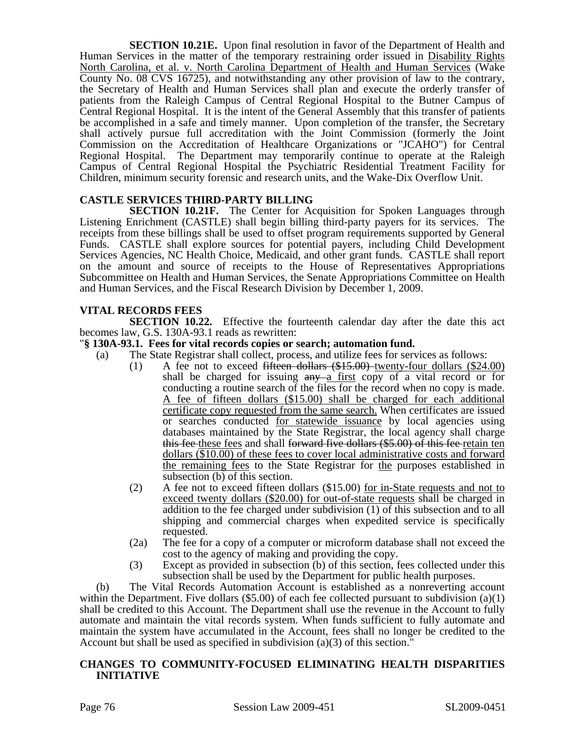**SECTION 10.21E.** Upon final resolution in favor of the Department of Health and Human Services in the matter of the temporary restraining order issued in Disability Rights North Carolina, et al. v. North Carolina Department of Health and Human Services (Wake County No. 08 CVS 16725), and notwithstanding any other provision of law to the contrary, the Secretary of Health and Human Services shall plan and execute the orderly transfer of patients from the Raleigh Campus of Central Regional Hospital to the Butner Campus of Central Regional Hospital. It is the intent of the General Assembly that this transfer of patients be accomplished in a safe and timely manner. Upon completion of the transfer, the Secretary shall actively pursue full accreditation with the Joint Commission (formerly the Joint Commission on the Accreditation of Healthcare Organizations or "JCAHO") for Central Regional Hospital. The Department may temporarily continue to operate at the Raleigh Campus of Central Regional Hospital the Psychiatric Residential Treatment Facility for Children, minimum security forensic and research units, and the Wake-Dix Overflow Unit.

# **CASTLE SERVICES THIRD-PARTY BILLING**

**SECTION 10.21F.** The Center for Acquisition for Spoken Languages through Listening Enrichment (CASTLE) shall begin billing third-party payers for its services. The receipts from these billings shall be used to offset program requirements supported by General Funds. CASTLE shall explore sources for potential payers, including Child Development Services Agencies, NC Health Choice, Medicaid, and other grant funds. CASTLE shall report on the amount and source of receipts to the House of Representatives Appropriations Subcommittee on Health and Human Services, the Senate Appropriations Committee on Health and Human Services, and the Fiscal Research Division by December 1, 2009.

# **VITAL RECORDS FEES**

**SECTION 10.22.** Effective the fourteenth calendar day after the date this act becomes law, G.S. 130A-93.1 reads as rewritten:

#### "**§ 130A-93.1. Fees for vital records copies or search; automation fund.**

- (a) The State Registrar shall collect, process, and utilize fees for services as follows:
	- (1) A fee not to exceed fifteen dollars (\$15.00) twenty-four dollars (\$24.00) shall be charged for issuing  $\frac{any}{ay}$  a first copy of a vital record or for conducting a routine search of the files for the record when no copy is made. A fee of fifteen dollars (\$15.00) shall be charged for each additional certificate copy requested from the same search. When certificates are issued or searches conducted for statewide issuance by local agencies using databases maintained by the State Registrar, the local agency shall charge this fee these fees and shall forward five dollars (\$5.00) of this fee retain ten dollars (\$10.00) of these fees to cover local administrative costs and forward the remaining fees to the State Registrar for the purposes established in subsection (b) of this section.
	- (2) A fee not to exceed fifteen dollars (\$15.00) for in-State requests and not to exceed twenty dollars (\$20.00) for out-of-state requests shall be charged in addition to the fee charged under subdivision (1) of this subsection and to all shipping and commercial charges when expedited service is specifically requested.
	- (2a) The fee for a copy of a computer or microform database shall not exceed the cost to the agency of making and providing the copy.
	- (3) Except as provided in subsection (b) of this section, fees collected under this subsection shall be used by the Department for public health purposes.

(b) The Vital Records Automation Account is established as a nonreverting account within the Department. Five dollars  $(\$5.00)$  of each fee collected pursuant to subdivision  $(a)(1)$ shall be credited to this Account. The Department shall use the revenue in the Account to fully automate and maintain the vital records system. When funds sufficient to fully automate and maintain the system have accumulated in the Account, fees shall no longer be credited to the Account but shall be used as specified in subdivision (a)(3) of this section."

# **CHANGES TO COMMUNITY-FOCUSED ELIMINATING HEALTH DISPARITIES INITIATIVE**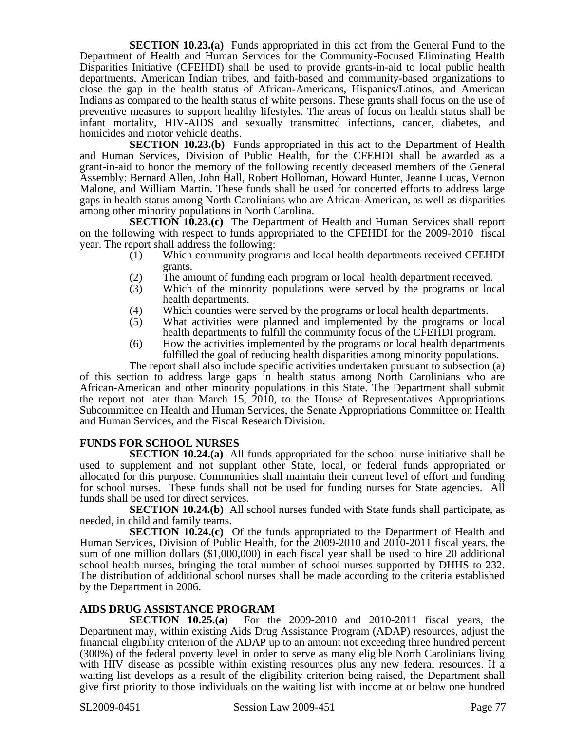**SECTION 10.23.(a)** Funds appropriated in this act from the General Fund to the Department of Health and Human Services for the Community-Focused Eliminating Health Disparities Initiative (CFEHDI) shall be used to provide grants-in-aid to local public health departments, American Indian tribes, and faith-based and community-based organizations to close the gap in the health status of African-Americans, Hispanics/Latinos, and American Indians as compared to the health status of white persons. These grants shall focus on the use of preventive measures to support healthy lifestyles. The areas of focus on health status shall be infant mortality, HIV-AIDS and sexually transmitted infections, cancer, diabetes, and homicides and motor vehicle deaths.

**SECTION 10.23.(b)** Funds appropriated in this act to the Department of Health and Human Services, Division of Public Health, for the CFEHDI shall be awarded as a grant-in-aid to honor the memory of the following recently deceased members of the General Assembly: Bernard Allen, John Hall, Robert Holloman, Howard Hunter, Jeanne Lucas, Vernon Malone, and William Martin. These funds shall be used for concerted efforts to address large gaps in health status among North Carolinians who are African-American, as well as disparities among other minority populations in North Carolina.

**SECTION 10.23.(c)** The Department of Health and Human Services shall report on the following with respect to funds appropriated to the CFEHDI for the 2009-2010 fiscal year. The report shall address the following:

- (1) Which community programs and local health departments received CFEHDI grants.
- (2) The amount of funding each program or local health department received.<br>  $(3)$  Which of the minority populations were served by the programs or loc
- Which of the minority populations were served by the programs or local health departments.
- (4) Which counties were served by the programs or local health departments.
- (5) What activities were planned and implemented by the programs or local health departments to fulfill the community focus of the CFEHDI program.
- (6) How the activities implemented by the programs or local health departments fulfilled the goal of reducing health disparities among minority populations.

The report shall also include specific activities undertaken pursuant to subsection (a) of this section to address large gaps in health status among North Carolinians who are African-American and other minority populations in this State. The Department shall submit the report not later than March 15, 2010, to the House of Representatives Appropriations Subcommittee on Health and Human Services, the Senate Appropriations Committee on Health and Human Services, and the Fiscal Research Division.

#### **FUNDS FOR SCHOOL NURSES**

**SECTION 10.24.(a)** All funds appropriated for the school nurse initiative shall be used to supplement and not supplant other State, local, or federal funds appropriated or allocated for this purpose. Communities shall maintain their current level of effort and funding for school nurses. These funds shall not be used for funding nurses for State agencies. All funds shall be used for direct services.

**SECTION 10.24.(b)** All school nurses funded with State funds shall participate, as needed, in child and family teams.

**SECTION 10.24.(c)** Of the funds appropriated to the Department of Health and Human Services, Division of Public Health, for the 2009-2010 and 2010-2011 fiscal years, the sum of one million dollars (\$1,000,000) in each fiscal year shall be used to hire 20 additional school health nurses, bringing the total number of school nurses supported by DHHS to 232. The distribution of additional school nurses shall be made according to the criteria established by the Department in 2006.

#### **AIDS DRUG ASSISTANCE PROGRAM**

**SECTION 10.25.(a)** For the 2009-2010 and 2010-2011 fiscal years, the Department may, within existing Aids Drug Assistance Program (ADAP) resources, adjust the financial eligibility criterion of the ADAP up to an amount not exceeding three hundred percent (300%) of the federal poverty level in order to serve as many eligible North Carolinians living with HIV disease as possible within existing resources plus any new federal resources. If a waiting list develops as a result of the eligibility criterion being raised, the Department shall give first priority to those individuals on the waiting list with income at or below one hundred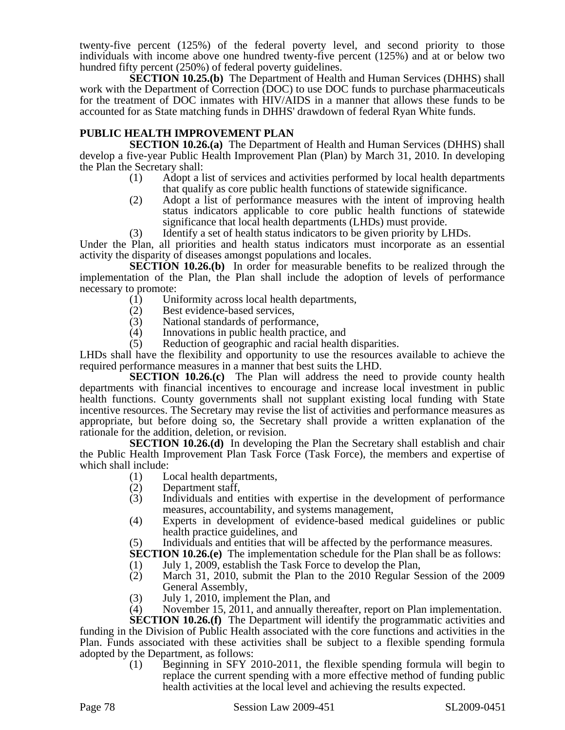twenty-five percent (125%) of the federal poverty level, and second priority to those individuals with income above one hundred twenty-five percent (125%) and at or below two hundred fifty percent (250%) of federal poverty guidelines.

**SECTION 10.25.(b)** The Department of Health and Human Services (DHHS) shall work with the Department of Correction (DOC) to use DOC funds to purchase pharmaceuticals for the treatment of DOC inmates with HIV/AIDS in a manner that allows these funds to be accounted for as State matching funds in DHHS' drawdown of federal Ryan White funds.

# **PUBLIC HEALTH IMPROVEMENT PLAN**

**SECTION 10.26.(a)** The Department of Health and Human Services (DHHS) shall develop a five-year Public Health Improvement Plan (Plan) by March 31, 2010. In developing the Plan the Secretary shall:

- (1) Adopt a list of services and activities performed by local health departments that qualify as core public health functions of statewide significance.
- (2) Adopt a list of performance measures with the intent of improving health status indicators applicable to core public health functions of statewide significance that local health departments (LHDs) must provide.
- (3) Identify a set of health status indicators to be given priority by LHDs.

Under the Plan, all priorities and health status indicators must incorporate as an essential activity the disparity of diseases amongst populations and locales.

**SECTION 10.26.(b)** In order for measurable benefits to be realized through the implementation of the Plan, the Plan shall include the adoption of levels of performance necessary to promote:

- (1) Uniformity across local health departments,<br>
(2) Best evidence-based services,
- Best evidence-based services.
- (3) National standards of performance,
- (4) Innovations in public health practice, and

(5) Reduction of geographic and racial health disparities.

LHDs shall have the flexibility and opportunity to use the resources available to achieve the required performance measures in a manner that best suits the LHD.

**SECTION 10.26.(c)** The Plan will address the need to provide county health departments with financial incentives to encourage and increase local investment in public health functions. County governments shall not supplant existing local funding with State incentive resources. The Secretary may revise the list of activities and performance measures as appropriate, but before doing so, the Secretary shall provide a written explanation of the rationale for the addition, deletion, or revision.

**SECTION 10.26.(d)** In developing the Plan the Secretary shall establish and chair the Public Health Improvement Plan Task Force (Task Force), the members and expertise of which shall include:

- (1) Local health departments,<br>(2) Department staff,
- Department staff,
- (3) Individuals and entities with expertise in the development of performance measures, accountability, and systems management,
- (4) Experts in development of evidence-based medical guidelines or public health practice guidelines, and
- (5) Individuals and entities that will be affected by the performance measures.

**SECTION 10.26.(e)** The implementation schedule for the Plan shall be as follows:

- (1) July 1, 2009, establish the Task Force to develop the Plan,
- (2) March 31, 2010, submit the Plan to the 2010 Regular Session of the 2009 General Assembly,
- (3) July 1, 2010, implement the Plan, and
- (4) November 15, 2011, and annually thereafter, report on Plan implementation.

**SECTION 10.26.(f)** The Department will identify the programmatic activities and funding in the Division of Public Health associated with the core functions and activities in the Plan. Funds associated with these activities shall be subject to a flexible spending formula adopted by the Department, as follows:

(1) Beginning in SFY 2010-2011, the flexible spending formula will begin to replace the current spending with a more effective method of funding public health activities at the local level and achieving the results expected.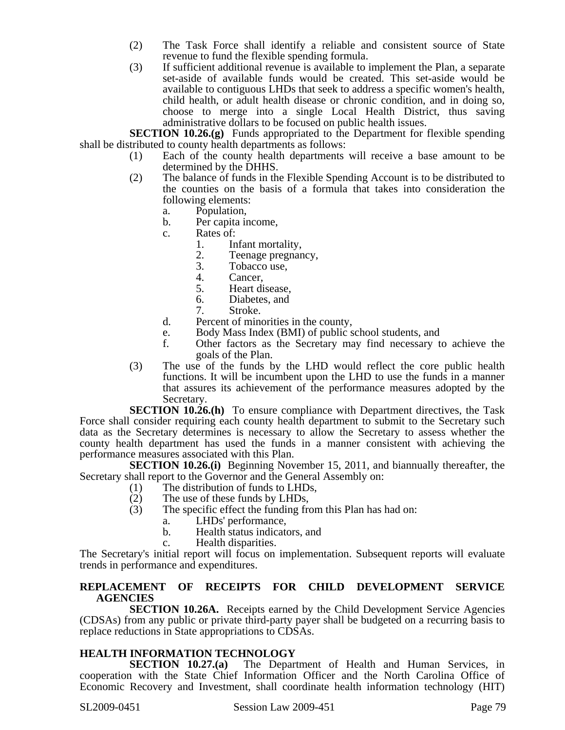- (2) The Task Force shall identify a reliable and consistent source of State revenue to fund the flexible spending formula.
- (3) If sufficient additional revenue is available to implement the Plan, a separate set-aside of available funds would be created. This set-aside would be available to contiguous LHDs that seek to address a specific women's health, child health, or adult health disease or chronic condition, and in doing so, choose to merge into a single Local Health District, thus saving administrative dollars to be focused on public health issues.

**SECTION 10.26.(g)** Funds appropriated to the Department for flexible spending shall be distributed to county health departments as follows:

- (1) Each of the county health departments will receive a base amount to be determined by the DHHS.
- (2) The balance of funds in the Flexible Spending Account is to be distributed to the counties on the basis of a formula that takes into consideration the following elements:
	- a. Population,
	- b. Per capita income,
	- c. Rates of:
		- - 1. Infant mortality,<br>2. Teenage pregnancy Teenage pregnancy,
			- 3. Tobacco use,
			-
			- 4. Cancer,<br>5. Heart di Heart disease,
			- 6. Diabetes, and
			- 7. Stroke.
	- d. Percent of minorities in the county,
	- e. Body Mass Index (BMI) of public school students, and
	- f. Other factors as the Secretary may find necessary to achieve the goals of the Plan.
- (3) The use of the funds by the LHD would reflect the core public health functions. It will be incumbent upon the LHD to use the funds in a manner that assures its achievement of the performance measures adopted by the Secretary.

**SECTION 10.26.(h)** To ensure compliance with Department directives, the Task Force shall consider requiring each county health department to submit to the Secretary such data as the Secretary determines is necessary to allow the Secretary to assess whether the county health department has used the funds in a manner consistent with achieving the performance measures associated with this Plan.

**SECTION 10.26.(i)** Beginning November 15, 2011, and biannually thereafter, the Secretary shall report to the Governor and the General Assembly on:

- (1) The distribution of funds to LHDs,
- 
- (2) The use of these funds by LHDs,<br>(3) The specific effect the funding from The specific effect the funding from this Plan has had on:
	- a. LHDs' performance,
	- b. Health status indicators, and
	- c. Health disparities.

The Secretary's initial report will focus on implementation. Subsequent reports will evaluate trends in performance and expenditures.

#### **REPLACEMENT OF RECEIPTS FOR CHILD DEVELOPMENT SERVICE AGENCIES**

**SECTION 10.26A.** Receipts earned by the Child Development Service Agencies (CDSAs) from any public or private third-party payer shall be budgeted on a recurring basis to replace reductions in State appropriations to CDSAs.

# **HEALTH INFORMATION TECHNOLOGY<br>SECTION 10.27.(a)** The Depart

The Department of Health and Human Services, in cooperation with the State Chief Information Officer and the North Carolina Office of Economic Recovery and Investment, shall coordinate health information technology (HIT)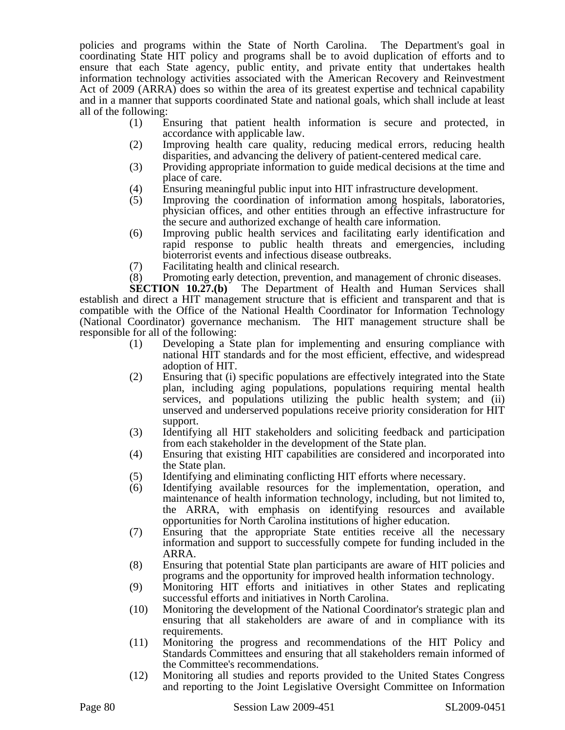policies and programs within the State of North Carolina. The Department's goal in coordinating State HIT policy and programs shall be to avoid duplication of efforts and to ensure that each State agency, public entity, and private entity that undertakes health information technology activities associated with the American Recovery and Reinvestment Act of 2009 (ARRA) does so within the area of its greatest expertise and technical capability and in a manner that supports coordinated State and national goals, which shall include at least all of the following:

- (1) Ensuring that patient health information is secure and protected, in accordance with applicable law.
- (2) Improving health care quality, reducing medical errors, reducing health disparities, and advancing the delivery of patient-centered medical care.
- (3) Providing appropriate information to guide medical decisions at the time and place of care.
- (4) Ensuring meaningful public input into HIT infrastructure development.
- (5) Improving the coordination of information among hospitals, laboratories, physician offices, and other entities through an effective infrastructure for the secure and authorized exchange of health care information.
- (6) Improving public health services and facilitating early identification and rapid response to public health threats and emergencies, including bioterrorist events and infectious disease outbreaks.
- (7) Facilitating health and clinical research.
- 

(8) Promoting early detection, prevention, and management of chronic diseases.<br>**SECTION 10.27.(b)** The Department of Health and Human Services shall The Department of Health and Human Services shall establish and direct a HIT management structure that is efficient and transparent and that is compatible with the Office of the National Health Coordinator for Information Technology (National Coordinator) governance mechanism. The HIT management structure shall be responsible for all of the following:

- (1) Developing a State plan for implementing and ensuring compliance with national HIT standards and for the most efficient, effective, and widespread adoption of HIT.
- (2) Ensuring that (i) specific populations are effectively integrated into the State plan, including aging populations, populations requiring mental health services, and populations utilizing the public health system; and (ii) unserved and underserved populations receive priority consideration for HIT support.
- (3) Identifying all HIT stakeholders and soliciting feedback and participation from each stakeholder in the development of the State plan.
- (4) Ensuring that existing HIT capabilities are considered and incorporated into the State plan.
- (5) Identifying and eliminating conflicting HIT efforts where necessary.
- (6) Identifying available resources for the implementation, operation, and maintenance of health information technology, including, but not limited to, the ARRA, with emphasis on identifying resources and available opportunities for North Carolina institutions of higher education.
- (7) Ensuring that the appropriate State entities receive all the necessary information and support to successfully compete for funding included in the ARRA.
- (8) Ensuring that potential State plan participants are aware of HIT policies and programs and the opportunity for improved health information technology.
- (9) Monitoring HIT efforts and initiatives in other States and replicating successful efforts and initiatives in North Carolina.
- (10) Monitoring the development of the National Coordinator's strategic plan and ensuring that all stakeholders are aware of and in compliance with its requirements.
- (11) Monitoring the progress and recommendations of the HIT Policy and Standards Committees and ensuring that all stakeholders remain informed of the Committee's recommendations.
- (12) Monitoring all studies and reports provided to the United States Congress and reporting to the Joint Legislative Oversight Committee on Information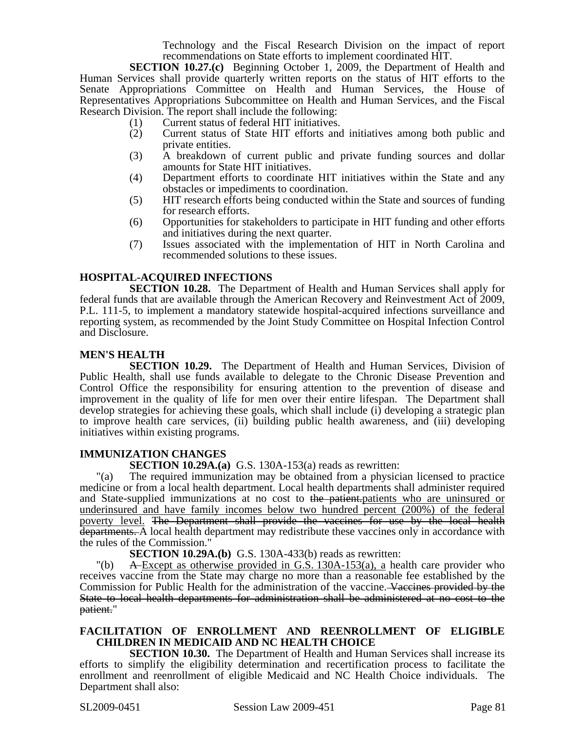Technology and the Fiscal Research Division on the impact of report recommendations on State efforts to implement coordinated HIT.

**SECTION 10.27.(c)** Beginning October 1, 2009, the Department of Health and Human Services shall provide quarterly written reports on the status of HIT efforts to the Senate Appropriations Committee on Health and Human Services, the House of Representatives Appropriations Subcommittee on Health and Human Services, and the Fiscal Research Division. The report shall include the following:

- (1) Current status of federal HIT initiatives.
- (2) Current status of State HIT efforts and initiatives among both public and private entities.
- (3) A breakdown of current public and private funding sources and dollar amounts for State HIT initiatives.
- (4) Department efforts to coordinate HIT initiatives within the State and any obstacles or impediments to coordination.
- (5) HIT research efforts being conducted within the State and sources of funding for research efforts.
- (6) Opportunities for stakeholders to participate in HIT funding and other efforts and initiatives during the next quarter.
- (7) Issues associated with the implementation of HIT in North Carolina and recommended solutions to these issues.

# **HOSPITAL-ACQUIRED INFECTIONS**

**SECTION 10.28.** The Department of Health and Human Services shall apply for federal funds that are available through the American Recovery and Reinvestment Act of 2009, P.L. 111-5, to implement a mandatory statewide hospital-acquired infections surveillance and reporting system, as recommended by the Joint Study Committee on Hospital Infection Control and Disclosure.

#### **MEN'S HEALTH**

**SECTION 10.29.** The Department of Health and Human Services, Division of Public Health, shall use funds available to delegate to the Chronic Disease Prevention and Control Office the responsibility for ensuring attention to the prevention of disease and improvement in the quality of life for men over their entire lifespan. The Department shall develop strategies for achieving these goals, which shall include (i) developing a strategic plan to improve health care services, (ii) building public health awareness, and (iii) developing initiatives within existing programs.

#### **IMMUNIZATION CHANGES**

#### **SECTION 10.29A.(a)** G.S. 130A-153(a) reads as rewritten:

"(a) The required immunization may be obtained from a physician licensed to practice medicine or from a local health department. Local health departments shall administer required and State-supplied immunizations at no cost to the patient patients who are uninsured or underinsured and have family incomes below two hundred percent (200%) of the federal poverty level. The Department shall provide the vaccines for use by the local health departments. A local health department may redistribute these vaccines only in accordance with the rules of the Commission."

**SECTION 10.29A.(b)** G.S. 130A-433(b) reads as rewritten:

 $\mu$ <sup>"(b)</sup> A Except as otherwise provided in G.S. 130A-153(a), a health care provider who receives vaccine from the State may charge no more than a reasonable fee established by the Commission for Public Health for the administration of the vaccine. Vaccines provided by the State to local health departments for administration shall be administered at no cost to the patient."

#### **FACILITATION OF ENROLLMENT AND REENROLLMENT OF ELIGIBLE CHILDREN IN MEDICAID AND NC HEALTH CHOICE**

**SECTION 10.30.** The Department of Health and Human Services shall increase its efforts to simplify the eligibility determination and recertification process to facilitate the enrollment and reenrollment of eligible Medicaid and NC Health Choice individuals. The Department shall also: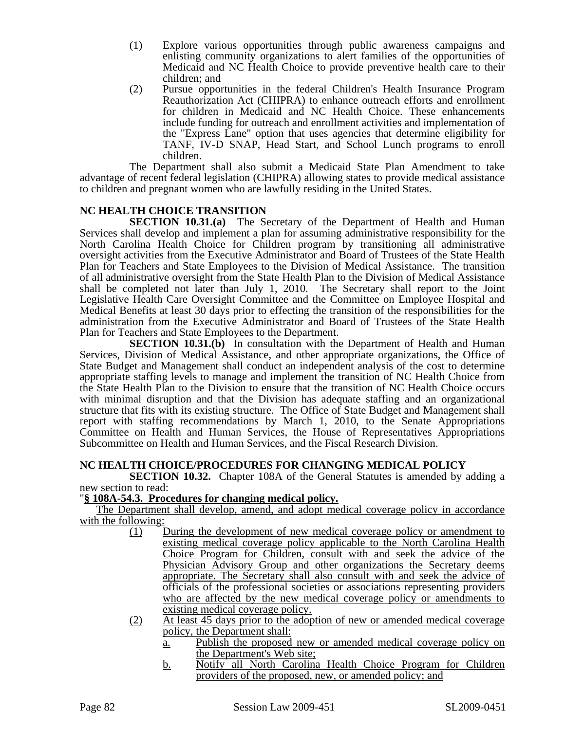- (1) Explore various opportunities through public awareness campaigns and enlisting community organizations to alert families of the opportunities of Medicaid and NC Health Choice to provide preventive health care to their children; and
- (2) Pursue opportunities in the federal Children's Health Insurance Program Reauthorization Act (CHIPRA) to enhance outreach efforts and enrollment for children in Medicaid and NC Health Choice. These enhancements include funding for outreach and enrollment activities and implementation of the "Express Lane" option that uses agencies that determine eligibility for TANF, IV-D SNAP, Head Start, and School Lunch programs to enroll children.

The Department shall also submit a Medicaid State Plan Amendment to take advantage of recent federal legislation (CHIPRA) allowing states to provide medical assistance to children and pregnant women who are lawfully residing in the United States.

# **NC HEALTH CHOICE TRANSITION**

**SECTION 10.31.(a)** The Secretary of the Department of Health and Human Services shall develop and implement a plan for assuming administrative responsibility for the North Carolina Health Choice for Children program by transitioning all administrative oversight activities from the Executive Administrator and Board of Trustees of the State Health Plan for Teachers and State Employees to the Division of Medical Assistance. The transition of all administrative oversight from the State Health Plan to the Division of Medical Assistance shall be completed not later than July 1, 2010. The Secretary shall report to the Joint Legislative Health Care Oversight Committee and the Committee on Employee Hospital and Medical Benefits at least 30 days prior to effecting the transition of the responsibilities for the administration from the Executive Administrator and Board of Trustees of the State Health Plan for Teachers and State Employees to the Department.

**SECTION 10.31.(b)** In consultation with the Department of Health and Human Services, Division of Medical Assistance, and other appropriate organizations, the Office of State Budget and Management shall conduct an independent analysis of the cost to determine appropriate staffing levels to manage and implement the transition of NC Health Choice from the State Health Plan to the Division to ensure that the transition of NC Health Choice occurs with minimal disruption and that the Division has adequate staffing and an organizational structure that fits with its existing structure. The Office of State Budget and Management shall report with staffing recommendations by March 1, 2010, to the Senate Appropriations Committee on Health and Human Services, the House of Representatives Appropriations Subcommittee on Health and Human Services, and the Fiscal Research Division.

#### **NC HEALTH CHOICE/PROCEDURES FOR CHANGING MEDICAL POLICY**

**SECTION 10.32.** Chapter 108A of the General Statutes is amended by adding a new section to read:

#### "**§ 108A-54.3. Procedures for changing medical policy.**

The Department shall develop, amend, and adopt medical coverage policy in accordance with the following:

- (1) During the development of new medical coverage policy or amendment to existing medical coverage policy applicable to the North Carolina Health Choice Program for Children, consult with and seek the advice of the Physician Advisory Group and other organizations the Secretary deems appropriate. The Secretary shall also consult with and seek the advice of officials of the professional societies or associations representing providers who are affected by the new medical coverage policy or amendments to existing medical coverage policy.
- (2) At least 45 days prior to the adoption of new or amended medical coverage policy, the Department shall:
	- a. Publish the proposed new or amended medical coverage policy on the Department's Web site;
	- b. Notify all North Carolina Health Choice Program for Children providers of the proposed, new, or amended policy; and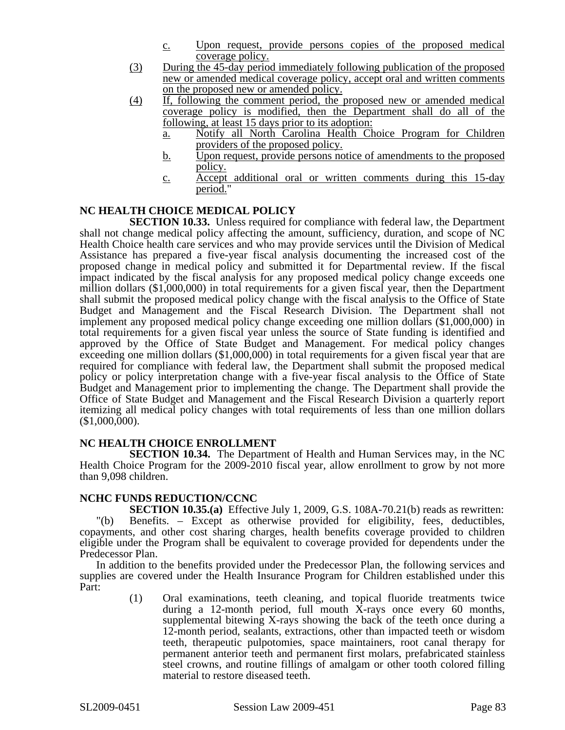- c. Upon request, provide persons copies of the proposed medical coverage policy.
- (3) During the 45-day period immediately following publication of the proposed new or amended medical coverage policy, accept oral and written comments on the proposed new or amended policy.
- (4) If, following the comment period, the proposed new or amended medical coverage policy is modified, then the Department shall do all of the following, at least 15 days prior to its adoption:
	- a. Notify all North Carolina Health Choice Program for Children providers of the proposed policy.
	- b. Upon request, provide persons notice of amendments to the proposed policy.
	- c. Accept additional oral or written comments during this 15-day period."

# **NC HEALTH CHOICE MEDICAL POLICY**

**SECTION 10.33.** Unless required for compliance with federal law, the Department shall not change medical policy affecting the amount, sufficiency, duration, and scope of NC Health Choice health care services and who may provide services until the Division of Medical Assistance has prepared a five-year fiscal analysis documenting the increased cost of the proposed change in medical policy and submitted it for Departmental review. If the fiscal impact indicated by the fiscal analysis for any proposed medical policy change exceeds one million dollars (\$1,000,000) in total requirements for a given fiscal year, then the Department shall submit the proposed medical policy change with the fiscal analysis to the Office of State Budget and Management and the Fiscal Research Division. The Department shall not implement any proposed medical policy change exceeding one million dollars (\$1,000,000) in total requirements for a given fiscal year unless the source of State funding is identified and approved by the Office of State Budget and Management. For medical policy changes exceeding one million dollars (\$1,000,000) in total requirements for a given fiscal year that are required for compliance with federal law, the Department shall submit the proposed medical policy or policy interpretation change with a five-year fiscal analysis to the Office of State Budget and Management prior to implementing the change. The Department shall provide the Office of State Budget and Management and the Fiscal Research Division a quarterly report itemizing all medical policy changes with total requirements of less than one million dollars (\$1,000,000).

# **NC HEALTH CHOICE ENROLLMENT**

**SECTION 10.34.** The Department of Health and Human Services may, in the NC Health Choice Program for the 2009-2010 fiscal year, allow enrollment to grow by not more than 9,098 children.

# **NCHC FUNDS REDUCTION/CCNC**

**SECTION 10.35.(a)** Effective July 1, 2009, G.S. 108A-70.21(b) reads as rewritten: "(b) Benefits. – Except as otherwise provided for eligibility, fees, deductibles, copayments, and other cost sharing charges, health benefits coverage provided to children eligible under the Program shall be equivalent to coverage provided for dependents under the Predecessor Plan.

In addition to the benefits provided under the Predecessor Plan, the following services and supplies are covered under the Health Insurance Program for Children established under this Part:

(1) Oral examinations, teeth cleaning, and topical fluoride treatments twice during a 12-month period, full mouth  $\overline{X}$ -rays once every 60 months, supplemental bitewing X-rays showing the back of the teeth once during a 12-month period, sealants, extractions, other than impacted teeth or wisdom teeth, therapeutic pulpotomies, space maintainers, root canal therapy for permanent anterior teeth and permanent first molars, prefabricated stainless steel crowns, and routine fillings of amalgam or other tooth colored filling material to restore diseased teeth.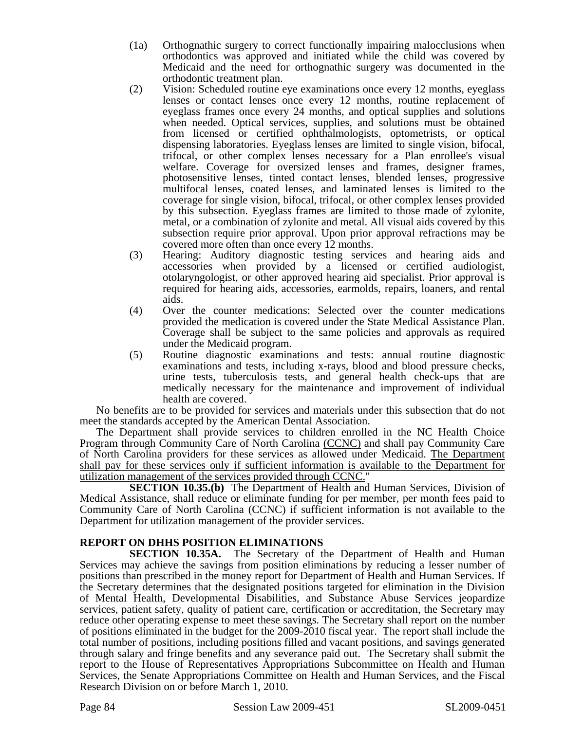- (1a) Orthognathic surgery to correct functionally impairing malocclusions when orthodontics was approved and initiated while the child was covered by Medicaid and the need for orthognathic surgery was documented in the orthodontic treatment plan.
- (2) Vision: Scheduled routine eye examinations once every 12 months, eyeglass lenses or contact lenses once every 12 months, routine replacement of eyeglass frames once every 24 months, and optical supplies and solutions when needed. Optical services, supplies, and solutions must be obtained from licensed or certified ophthalmologists, optometrists, or optical dispensing laboratories. Eyeglass lenses are limited to single vision, bifocal, trifocal, or other complex lenses necessary for a Plan enrollee's visual welfare. Coverage for oversized lenses and frames, designer frames, photosensitive lenses, tinted contact lenses, blended lenses, progressive multifocal lenses, coated lenses, and laminated lenses is limited to the coverage for single vision, bifocal, trifocal, or other complex lenses provided by this subsection. Eyeglass frames are limited to those made of zylonite, metal, or a combination of zylonite and metal. All visual aids covered by this subsection require prior approval. Upon prior approval refractions may be covered more often than once every 12 months.
- (3) Hearing: Auditory diagnostic testing services and hearing aids and accessories when provided by a licensed or certified audiologist, otolaryngologist, or other approved hearing aid specialist. Prior approval is required for hearing aids, accessories, earmolds, repairs, loaners, and rental aids.
- (4) Over the counter medications: Selected over the counter medications provided the medication is covered under the State Medical Assistance Plan. Coverage shall be subject to the same policies and approvals as required under the Medicaid program.
- (5) Routine diagnostic examinations and tests: annual routine diagnostic examinations and tests, including x-rays, blood and blood pressure checks, urine tests, tuberculosis tests, and general health check-ups that are medically necessary for the maintenance and improvement of individual health are covered.

No benefits are to be provided for services and materials under this subsection that do not meet the standards accepted by the American Dental Association.

The Department shall provide services to children enrolled in the NC Health Choice Program through Community Care of North Carolina (CCNC) and shall pay Community Care of North Carolina providers for these services as allowed under Medicaid. The Department shall pay for these services only if sufficient information is available to the Department for utilization management of the services provided through CCNC."

**SECTION 10.35.(b)** The Department of Health and Human Services, Division of Medical Assistance, shall reduce or eliminate funding for per member, per month fees paid to Community Care of North Carolina (CCNC) if sufficient information is not available to the Department for utilization management of the provider services.

# **REPORT ON DHHS POSITION ELIMINATIONS**

**SECTION 10.35A.** The Secretary of the Department of Health and Human Services may achieve the savings from position eliminations by reducing a lesser number of positions than prescribed in the money report for Department of Health and Human Services. If the Secretary determines that the designated positions targeted for elimination in the Division of Mental Health, Developmental Disabilities, and Substance Abuse Services jeopardize services, patient safety, quality of patient care, certification or accreditation, the Secretary may reduce other operating expense to meet these savings. The Secretary shall report on the number of positions eliminated in the budget for the 2009-2010 fiscal year. The report shall include the total number of positions, including positions filled and vacant positions, and savings generated through salary and fringe benefits and any severance paid out. The Secretary shall submit the report to the House of Representatives Appropriations Subcommittee on Health and Human Services, the Senate Appropriations Committee on Health and Human Services, and the Fiscal Research Division on or before March 1, 2010.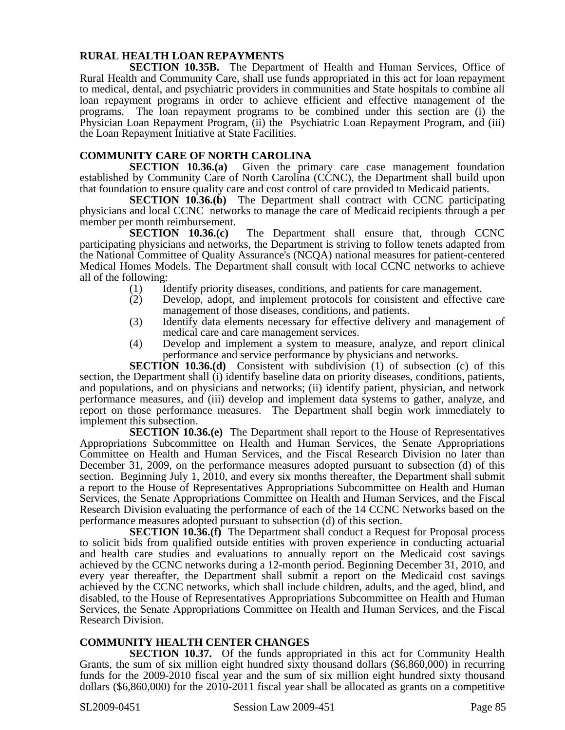# **RURAL HEALTH LOAN REPAYMENTS**

**SECTION 10.35B.** The Department of Health and Human Services, Office of Rural Health and Community Care, shall use funds appropriated in this act for loan repayment to medical, dental, and psychiatric providers in communities and State hospitals to combine all loan repayment programs in order to achieve efficient and effective management of the programs. The loan repayment programs to be combined under this section are (i) the Physician Loan Repayment Program, (ii) the Psychiatric Loan Repayment Program, and (iii) the Loan Repayment Initiative at State Facilities.

# **COMMUNITY CARE OF NORTH CAROLINA**<br>**SECTION 10.36.(a)** Given the prin

Given the primary care case management foundation established by Community Care of North Carolina (CCNC), the Department shall build upon that foundation to ensure quality care and cost control of care provided to Medicaid patients.

**SECTION 10.36.(b)** The Department shall contract with CCNC participating physicians and local CCNC networks to manage the care of Medicaid recipients through a per member per month reimbursement.

**SECTION 10.36.(c)** The Department shall ensure that, through CCNC participating physicians and networks, the Department is striving to follow tenets adapted from the National Committee of Quality Assurance's (NCQA) national measures for patient-centered Medical Homes Models. The Department shall consult with local CCNC networks to achieve all of the following:

- (1) Identify priority diseases, conditions, and patients for care management.
- (2) Develop, adopt, and implement protocols for consistent and effective care management of those diseases, conditions, and patients.
- (3) Identify data elements necessary for effective delivery and management of medical care and care management services.
- (4) Develop and implement a system to measure, analyze, and report clinical performance and service performance by physicians and networks.

**SECTION 10.36.(d)** Consistent with subdivision (1) of subsection (c) of this section, the Department shall (i) identify baseline data on priority diseases, conditions, patients, and populations, and on physicians and networks; (ii) identify patient, physician, and network performance measures, and (iii) develop and implement data systems to gather, analyze, and report on those performance measures. The Department shall begin work immediately to implement this subsection.

**SECTION 10.36.(e)** The Department shall report to the House of Representatives Appropriations Subcommittee on Health and Human Services, the Senate Appropriations Committee on Health and Human Services, and the Fiscal Research Division no later than December 31, 2009, on the performance measures adopted pursuant to subsection (d) of this section. Beginning July 1, 2010, and every six months thereafter, the Department shall submit a report to the House of Representatives Appropriations Subcommittee on Health and Human Services, the Senate Appropriations Committee on Health and Human Services, and the Fiscal Research Division evaluating the performance of each of the 14 CCNC Networks based on the performance measures adopted pursuant to subsection (d) of this section.

**SECTION 10.36.(f)** The Department shall conduct a Request for Proposal process to solicit bids from qualified outside entities with proven experience in conducting actuarial and health care studies and evaluations to annually report on the Medicaid cost savings achieved by the CCNC networks during a 12-month period. Beginning December 31, 2010, and every year thereafter, the Department shall submit a report on the Medicaid cost savings achieved by the CCNC networks, which shall include children, adults, and the aged, blind, and disabled, to the House of Representatives Appropriations Subcommittee on Health and Human Services, the Senate Appropriations Committee on Health and Human Services, and the Fiscal Research Division.

# **COMMUNITY HEALTH CENTER CHANGES**

**SECTION 10.37.** Of the funds appropriated in this act for Community Health Grants, the sum of six million eight hundred sixty thousand dollars (\$6,860,000) in recurring funds for the 2009-2010 fiscal year and the sum of six million eight hundred sixty thousand dollars (\$6,860,000) for the 2010-2011 fiscal year shall be allocated as grants on a competitive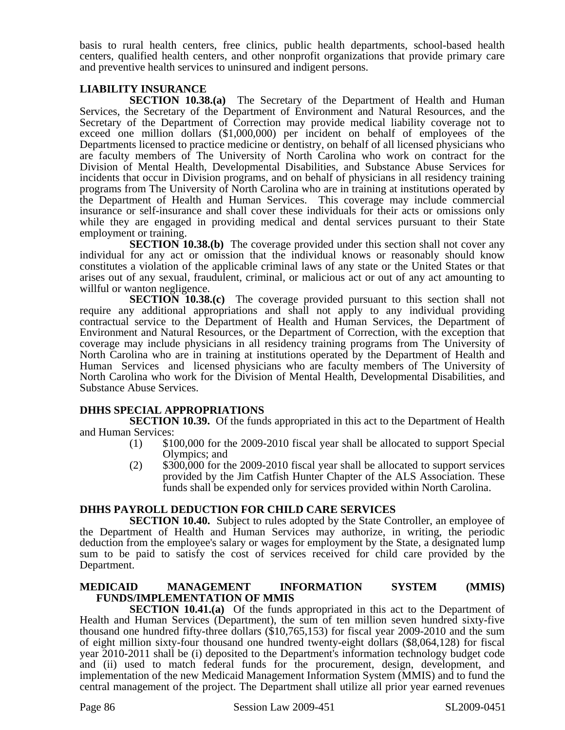basis to rural health centers, free clinics, public health departments, school-based health centers, qualified health centers, and other nonprofit organizations that provide primary care and preventive health services to uninsured and indigent persons.

# **LIABILITY INSURANCE**

**SECTION 10.38.(a)** The Secretary of the Department of Health and Human Services, the Secretary of the Department of Environment and Natural Resources, and the Secretary of the Department of Correction may provide medical liability coverage not to exceed one million dollars (\$1,000,000) per incident on behalf of employees of the Departments licensed to practice medicine or dentistry, on behalf of all licensed physicians who are faculty members of The University of North Carolina who work on contract for the Division of Mental Health, Developmental Disabilities, and Substance Abuse Services for incidents that occur in Division programs, and on behalf of physicians in all residency training programs from The University of North Carolina who are in training at institutions operated by the Department of Health and Human Services. This coverage may include commercial insurance or self-insurance and shall cover these individuals for their acts or omissions only while they are engaged in providing medical and dental services pursuant to their State employment or training.

**SECTION 10.38.(b)** The coverage provided under this section shall not cover any individual for any act or omission that the individual knows or reasonably should know constitutes a violation of the applicable criminal laws of any state or the United States or that arises out of any sexual, fraudulent, criminal, or malicious act or out of any act amounting to willful or wanton negligence.

**SECTION 10.38.(c)** The coverage provided pursuant to this section shall not require any additional appropriations and shall not apply to any individual providing contractual service to the Department of Health and Human Services, the Department of Environment and Natural Resources, or the Department of Correction, with the exception that coverage may include physicians in all residency training programs from The University of North Carolina who are in training at institutions operated by the Department of Health and Human Services and licensed physicians who are faculty members of The University of North Carolina who work for the Division of Mental Health, Developmental Disabilities, and Substance Abuse Services.

# **DHHS SPECIAL APPROPRIATIONS**

**SECTION 10.39.** Of the funds appropriated in this act to the Department of Health and Human Services:

- (1) \$100,000 for the 2009-2010 fiscal year shall be allocated to support Special Olympics; and
- (2) \$300,000 for the 2009-2010 fiscal year shall be allocated to support services provided by the Jim Catfish Hunter Chapter of the ALS Association. These funds shall be expended only for services provided within North Carolina.

# **DHHS PAYROLL DEDUCTION FOR CHILD CARE SERVICES**

**SECTION 10.40.** Subject to rules adopted by the State Controller, an employee of the Department of Health and Human Services may authorize, in writing, the periodic deduction from the employee's salary or wages for employment by the State, a designated lump sum to be paid to satisfy the cost of services received for child care provided by the Department.

# **MEDICAID MANAGEMENT INFORMATION SYSTEM (MMIS) FUNDS/IMPLEMENTATION OF MMIS**

**SECTION 10.41.(a)** Of the funds appropriated in this act to the Department of Health and Human Services (Department), the sum of ten million seven hundred sixty-five thousand one hundred fifty-three dollars (\$10,765,153) for fiscal year 2009-2010 and the sum of eight million sixty-four thousand one hundred twenty-eight dollars (\$8,064,128) for fiscal year 2010-2011 shall be (i) deposited to the Department's information technology budget code and (ii) used to match federal funds for the procurement, design, development, and implementation of the new Medicaid Management Information System (MMIS) and to fund the central management of the project. The Department shall utilize all prior year earned revenues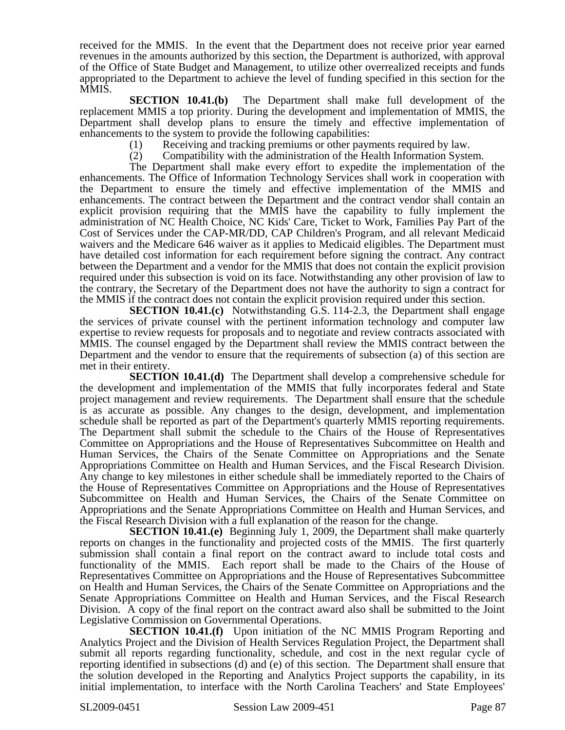received for the MMIS. In the event that the Department does not receive prior year earned revenues in the amounts authorized by this section, the Department is authorized, with approval of the Office of State Budget and Management, to utilize other overrealized receipts and funds appropriated to the Department to achieve the level of funding specified in this section for the MMIS.

**SECTION 10.41.(b)** The Department shall make full development of the replacement MMIS a top priority. During the development and implementation of MMIS, the Department shall develop plans to ensure the timely and effective implementation of enhancements to the system to provide the following capabilities:

- (1) Receiving and tracking premiums or other payments required by law.
- (2) Compatibility with the administration of the Health Information System.

The Department shall make every effort to expedite the implementation of the enhancements. The Office of Information Technology Services shall work in cooperation with the Department to ensure the timely and effective implementation of the MMIS and enhancements. The contract between the Department and the contract vendor shall contain an explicit provision requiring that the MMIS have the capability to fully implement the administration of NC Health Choice, NC Kids' Care, Ticket to Work, Families Pay Part of the Cost of Services under the CAP-MR/DD, CAP Children's Program, and all relevant Medicaid waivers and the Medicare 646 waiver as it applies to Medicaid eligibles. The Department must have detailed cost information for each requirement before signing the contract. Any contract between the Department and a vendor for the MMIS that does not contain the explicit provision required under this subsection is void on its face. Notwithstanding any other provision of law to the contrary, the Secretary of the Department does not have the authority to sign a contract for the MMIS if the contract does not contain the explicit provision required under this section.

**SECTION 10.41.(c)** Notwithstanding G.S. 114-2.3, the Department shall engage the services of private counsel with the pertinent information technology and computer law expertise to review requests for proposals and to negotiate and review contracts associated with MMIS. The counsel engaged by the Department shall review the MMIS contract between the Department and the vendor to ensure that the requirements of subsection (a) of this section are met in their entirety.

**SECTION 10.41.(d)** The Department shall develop a comprehensive schedule for the development and implementation of the MMIS that fully incorporates federal and State project management and review requirements. The Department shall ensure that the schedule is as accurate as possible. Any changes to the design, development, and implementation schedule shall be reported as part of the Department's quarterly MMIS reporting requirements. The Department shall submit the schedule to the Chairs of the House of Representatives Committee on Appropriations and the House of Representatives Subcommittee on Health and Human Services, the Chairs of the Senate Committee on Appropriations and the Senate Appropriations Committee on Health and Human Services, and the Fiscal Research Division. Any change to key milestones in either schedule shall be immediately reported to the Chairs of the House of Representatives Committee on Appropriations and the House of Representatives Subcommittee on Health and Human Services, the Chairs of the Senate Committee on Appropriations and the Senate Appropriations Committee on Health and Human Services, and the Fiscal Research Division with a full explanation of the reason for the change.

**SECTION 10.41.(e)** Beginning July 1, 2009, the Department shall make quarterly reports on changes in the functionality and projected costs of the MMIS. The first quarterly submission shall contain a final report on the contract award to include total costs and functionality of the MMIS. Each report shall be made to the Chairs of the House of Representatives Committee on Appropriations and the House of Representatives Subcommittee on Health and Human Services, the Chairs of the Senate Committee on Appropriations and the Senate Appropriations Committee on Health and Human Services, and the Fiscal Research Division. A copy of the final report on the contract award also shall be submitted to the Joint Legislative Commission on Governmental Operations.

**SECTION 10.41.(f)** Upon initiation of the NC MMIS Program Reporting and Analytics Project and the Division of Health Services Regulation Project, the Department shall submit all reports regarding functionality, schedule, and cost in the next regular cycle of reporting identified in subsections (d) and (e) of this section. The Department shall ensure that the solution developed in the Reporting and Analytics Project supports the capability, in its initial implementation, to interface with the North Carolina Teachers' and State Employees'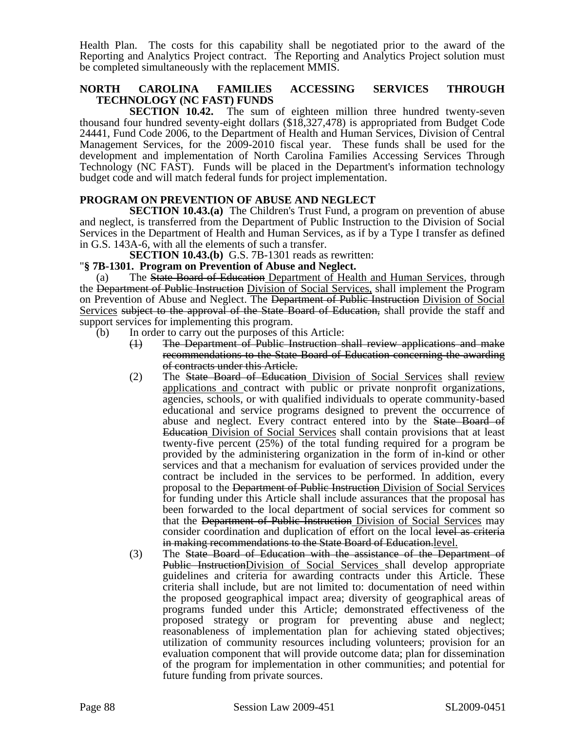Health Plan. The costs for this capability shall be negotiated prior to the award of the Reporting and Analytics Project contract. The Reporting and Analytics Project solution must be completed simultaneously with the replacement MMIS.

# **NORTH CAROLINA FAMILIES ACCESSING SERVICES THROUGH TECHNOLOGY (NC FAST) FUNDS**

**SECTION 10.42.** The sum of eighteen million three hundred twenty-seven thousand four hundred seventy-eight dollars (\$18,327,478) is appropriated from Budget Code 24441, Fund Code 2006, to the Department of Health and Human Services, Division of Central Management Services, for the 2009-2010 fiscal year. These funds shall be used for the development and implementation of North Carolina Families Accessing Services Through Technology (NC FAST). Funds will be placed in the Department's information technology budget code and will match federal funds for project implementation.

# **PROGRAM ON PREVENTION OF ABUSE AND NEGLECT**

**SECTION 10.43.(a)** The Children's Trust Fund, a program on prevention of abuse and neglect, is transferred from the Department of Public Instruction to the Division of Social Services in the Department of Health and Human Services, as if by a Type I transfer as defined in G.S. 143A-6, with all the elements of such a transfer.

**SECTION 10.43.(b)** G.S. 7B-1301 reads as rewritten:

#### "**§ 7B-1301. Program on Prevention of Abuse and Neglect.**

(a) The State Board of Education Department of Health and Human Services, through the Department of Public Instruction Division of Social Services, shall implement the Program on Prevention of Abuse and Neglect. The Department of Public Instruction Division of Social Services subject to the approval of the State Board of Education, shall provide the staff and support services for implementing this program.

(b) In order to carry out the purposes of this Article:

- (1) The Department of Public Instruction shall review applications and make recommendations to the State Board of Education concerning the awarding of contracts under this Article.
- (2) The State Board of Education Division of Social Services shall review applications and contract with public or private nonprofit organizations, agencies, schools, or with qualified individuals to operate community-based educational and service programs designed to prevent the occurrence of abuse and neglect. Every contract entered into by the State Board of Education Division of Social Services shall contain provisions that at least twenty-five percent (25%) of the total funding required for a program be provided by the administering organization in the form of in-kind or other services and that a mechanism for evaluation of services provided under the contract be included in the services to be performed. In addition, every proposal to the Department of Public Instruction Division of Social Services for funding under this Article shall include assurances that the proposal has been forwarded to the local department of social services for comment so that the Department of Public Instruction Division of Social Services may consider coordination and duplication of effort on the local level as criteria in making recommendations to the State Board of Education.level.
- (3) The State Board of Education with the assistance of the Department of Public InstructionDivision of Social Services shall develop appropriate guidelines and criteria for awarding contracts under this Article. These criteria shall include, but are not limited to: documentation of need within the proposed geographical impact area; diversity of geographical areas of programs funded under this Article; demonstrated effectiveness of the proposed strategy or program for preventing abuse and neglect; reasonableness of implementation plan for achieving stated objectives; utilization of community resources including volunteers; provision for an evaluation component that will provide outcome data; plan for dissemination of the program for implementation in other communities; and potential for future funding from private sources.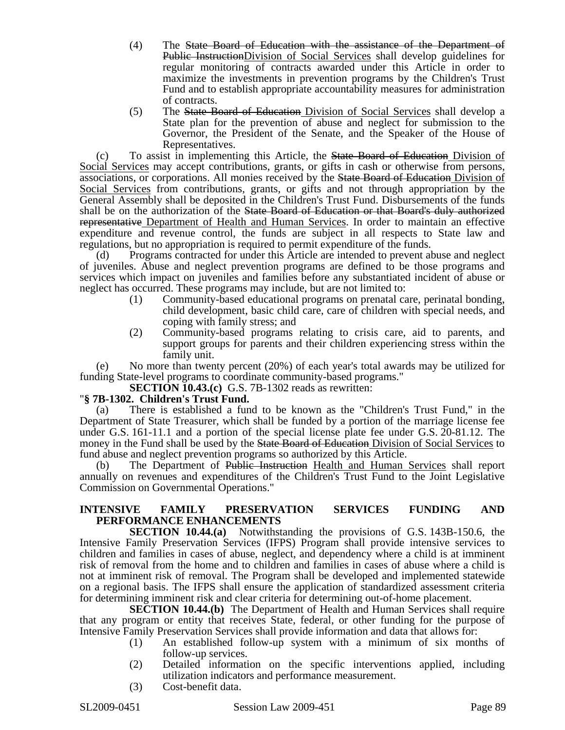- (4) The State Board of Education with the assistance of the Department of Public InstructionDivision of Social Services shall develop guidelines for regular monitoring of contracts awarded under this Article in order to maximize the investments in prevention programs by the Children's Trust Fund and to establish appropriate accountability measures for administration of contracts.
- (5) The State Board of Education Division of Social Services shall develop a State plan for the prevention of abuse and neglect for submission to the Governor, the President of the Senate, and the Speaker of the House of Representatives.

(c) To assist in implementing this Article, the State Board of Education Division of Social Services may accept contributions, grants, or gifts in cash or otherwise from persons, associations, or corporations. All monies received by the State Board of Education Division of Social Services from contributions, grants, or gifts and not through appropriation by the General Assembly shall be deposited in the Children's Trust Fund. Disbursements of the funds shall be on the authorization of the State Board of Education or that Board's duly authorized representative Department of Health and Human Services. In order to maintain an effective expenditure and revenue control, the funds are subject in all respects to State law and regulations, but no appropriation is required to permit expenditure of the funds.

(d) Programs contracted for under this Article are intended to prevent abuse and neglect of juveniles. Abuse and neglect prevention programs are defined to be those programs and services which impact on juveniles and families before any substantiated incident of abuse or neglect has occurred. These programs may include, but are not limited to:

- (1) Community-based educational programs on prenatal care, perinatal bonding, child development, basic child care, care of children with special needs, and coping with family stress; and
- (2) Community-based programs relating to crisis care, aid to parents, and support groups for parents and their children experiencing stress within the family unit.

(e) No more than twenty percent (20%) of each year's total awards may be utilized for funding State-level programs to coordinate community-based programs."

**SECTION 10.43.(c)** G.S. 7B-1302 reads as rewritten:

#### "**§ 7B-1302. Children's Trust Fund.**

(a) There is established a fund to be known as the "Children's Trust Fund," in the Department of State Treasurer, which shall be funded by a portion of the marriage license fee under G.S. 161-11.1 and a portion of the special license plate fee under G.S. 20-81.12. The money in the Fund shall be used by the State Board of Education Division of Social Services to fund abuse and neglect prevention programs so authorized by this Article.

(b) The Department of Public Instruction Health and Human Services shall report annually on revenues and expenditures of the Children's Trust Fund to the Joint Legislative Commission on Governmental Operations."

# **INTENSIVE FAMILY PRESERVATION SERVICES FUNDING AND PERFORMANCE ENHANCEMENTS**

**SECTION 10.44.(a)** Notwithstanding the provisions of G.S. 143B-150.6, the Intensive Family Preservation Services (IFPS) Program shall provide intensive services to children and families in cases of abuse, neglect, and dependency where a child is at imminent risk of removal from the home and to children and families in cases of abuse where a child is not at imminent risk of removal. The Program shall be developed and implemented statewide on a regional basis. The IFPS shall ensure the application of standardized assessment criteria for determining imminent risk and clear criteria for determining out-of-home placement.

**SECTION 10.44.(b)** The Department of Health and Human Services shall require that any program or entity that receives State, federal, or other funding for the purpose of Intensive Family Preservation Services shall provide information and data that allows for:

- (1) An established follow-up system with a minimum of six months of follow-up services.
- (2) Detailed information on the specific interventions applied, including utilization indicators and performance measurement.
- (3) Cost-benefit data.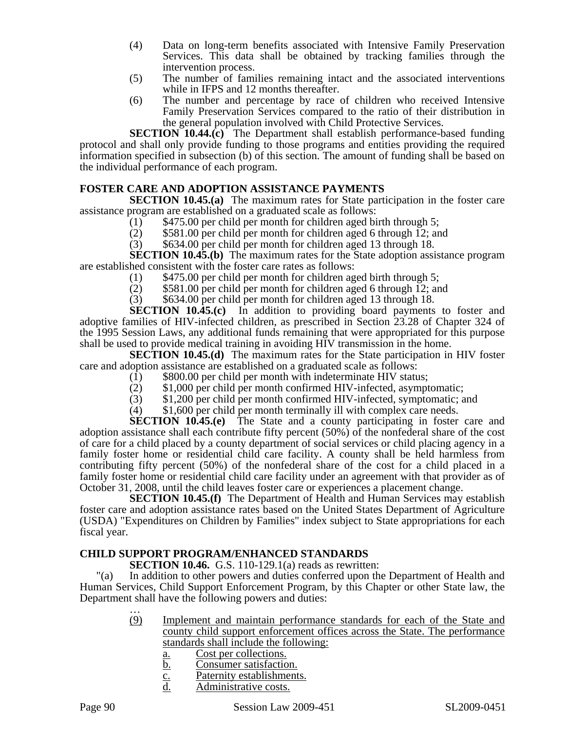- (4) Data on long-term benefits associated with Intensive Family Preservation Services. This data shall be obtained by tracking families through the intervention process.
- (5) The number of families remaining intact and the associated interventions while in IFPS and 12 months thereafter.
- (6) The number and percentage by race of children who received Intensive Family Preservation Services compared to the ratio of their distribution in the general population involved with Child Protective Services.

**SECTION 10.44.(c)** The Department shall establish performance-based funding protocol and shall only provide funding to those programs and entities providing the required information specified in subsection (b) of this section. The amount of funding shall be based on the individual performance of each program.

# **FOSTER CARE AND ADOPTION ASSISTANCE PAYMENTS**

**SECTION 10.45.(a)** The maximum rates for State participation in the foster care assistance program are established on a graduated scale as follows:

- (1) \$475.00 per child per month for children aged birth through 5;
- (2) \$581.00 per child per month for children aged 6 through 12; and
- (3) \$634.00 per child per month for children aged 13 through 18.

**SECTION 10.45.(b)** The maximum rates for the State adoption assistance program are established consistent with the foster care rates as follows:

- 
- (1)  $$475.00$  per child per month for children aged birth through 5;<br>(2)  $$581.00$  per child per month for children aged 6 through 12; an  $$581.00$  per child per month for children aged 6 through 12; and
- (3) \$634.00 per child per month for children aged 13 through 18.

**SECTION 10.45.(c)** In addition to providing board payments to foster and adoptive families of HIV-infected children, as prescribed in Section 23.28 of Chapter 324 of the 1995 Session Laws, any additional funds remaining that were appropriated for this purpose shall be used to provide medical training in avoiding HIV transmission in the home.

**SECTION 10.45.(d)** The maximum rates for the State participation in HIV foster care and adoption assistance are established on a graduated scale as follows:

- (1) \$800.00 per child per month with indeterminate HIV status;<br>(2) \$1,000 per child per month confirmed HIV-infected, asympt
- (2) \$1,000 per child per month confirmed HIV-infected, asymptomatic;
- (3) \$1,200 per child per month confirmed HIV-infected, symptomatic; and
- (4) \$1,600 per child per month terminally ill with complex care needs.

**SECTION 10.45.(e)** The State and a county participating in foster care and adoption assistance shall each contribute fifty percent (50%) of the nonfederal share of the cost of care for a child placed by a county department of social services or child placing agency in a family foster home or residential child care facility. A county shall be held harmless from contributing fifty percent (50%) of the nonfederal share of the cost for a child placed in a family foster home or residential child care facility under an agreement with that provider as of October 31, 2008, until the child leaves foster care or experiences a placement change.

**SECTION 10.45.(f)** The Department of Health and Human Services may establish foster care and adoption assistance rates based on the United States Department of Agriculture (USDA) "Expenditures on Children by Families" index subject to State appropriations for each fiscal year.

#### **CHILD SUPPORT PROGRAM/ENHANCED STANDARDS**

**SECTION 10.46.** G.S. 110-129.1(a) reads as rewritten:

"(a) In addition to other powers and duties conferred upon the Department of Health and Human Services, Child Support Enforcement Program, by this Chapter or other State law, the Department shall have the following powers and duties:

- (9) Implement and maintain performance standards for each of the State and county child support enforcement offices across the State. The performance standards shall include the following:
	- <u>a.</u> Cost per collections.<br>b. Consumer satisfaction
	-
	- <u>b.</u> Consumer satisfaction.<br>
	<u>C.</u> Paternity establishment<br>
	d. Administrative costs. Paternity establishments.
	- Administrative costs.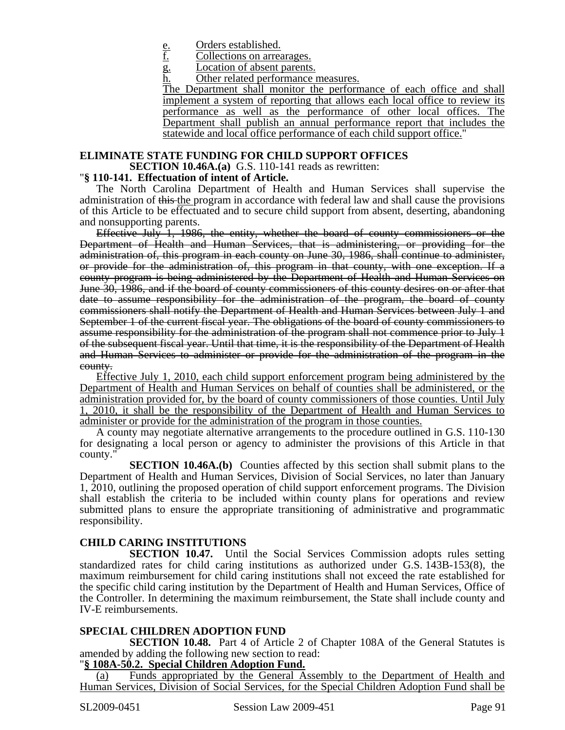- e. Orders established.<br>
<u>f.</u> Collections on arrea
- Collections on arrearages.
- g. Location of absent parents.
- h. Other related performance measures.

The Department shall monitor the performance of each office and shall implement a system of reporting that allows each local office to review its performance as well as the performance of other local offices. The Department shall publish an annual performance report that includes the statewide and local office performance of each child support office."

# **ELIMINATE STATE FUNDING FOR CHILD SUPPORT OFFICES SECTION 10.46A.(a)** G.S. 110-141 reads as rewritten: "**§ 110-141. Effectuation of intent of Article.**

The North Carolina Department of Health and Human Services shall supervise the administration of this the program in accordance with federal law and shall cause the provisions of this Article to be effectuated and to secure child support from absent, deserting, abandoning and nonsupporting parents.

Effective July 1, 1986, the entity, whether the board of county commissioners or the Department of Health and Human Services, that is administering, or providing for the administration of, this program in each county on June 30, 1986, shall continue to administer, or provide for the administration of, this program in that county, with one exception. If a county program is being administered by the Department of Health and Human Services on June 30, 1986, and if the board of county commissioners of this county desires on or after that date to assume responsibility for the administration of the program, the board of county commissioners shall notify the Department of Health and Human Services between July 1 and September 1 of the current fiscal year. The obligations of the board of county commissioners to assume responsibility for the administration of the program shall not commence prior to July 1 of the subsequent fiscal year. Until that time, it is the responsibility of the Department of Health and Human Services to administer or provide for the administration of the program in the county.

Effective July 1, 2010, each child support enforcement program being administered by the Department of Health and Human Services on behalf of counties shall be administered, or the administration provided for, by the board of county commissioners of those counties. Until July 1, 2010, it shall be the responsibility of the Department of Health and Human Services to administer or provide for the administration of the program in those counties.

A county may negotiate alternative arrangements to the procedure outlined in G.S. 110-130 for designating a local person or agency to administer the provisions of this Article in that county."

**SECTION 10.46A.(b)** Counties affected by this section shall submit plans to the Department of Health and Human Services, Division of Social Services, no later than January 1, 2010, outlining the proposed operation of child support enforcement programs. The Division shall establish the criteria to be included within county plans for operations and review submitted plans to ensure the appropriate transitioning of administrative and programmatic responsibility.

# **CHILD CARING INSTITUTIONS**

**SECTION 10.47.** Until the Social Services Commission adopts rules setting standardized rates for child caring institutions as authorized under G.S. 143B-153(8), the maximum reimbursement for child caring institutions shall not exceed the rate established for the specific child caring institution by the Department of Health and Human Services, Office of the Controller. In determining the maximum reimbursement, the State shall include county and IV-E reimbursements.

# **SPECIAL CHILDREN ADOPTION FUND**

**SECTION 10.48.** Part 4 of Article 2 of Chapter 108A of the General Statutes is amended by adding the following new section to read:

# "**§ 108A-50.2. Special Children Adoption Fund.**

Funds appropriated by the General Assembly to the Department of Health and Human Services, Division of Social Services, for the Special Children Adoption Fund shall be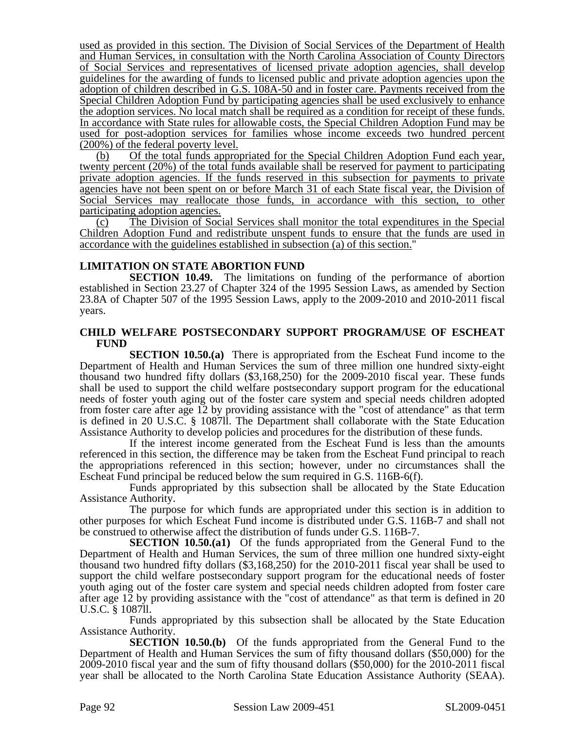used as provided in this section. The Division of Social Services of the Department of Health and Human Services, in consultation with the North Carolina Association of County Directors of Social Services and representatives of licensed private adoption agencies, shall develop guidelines for the awarding of funds to licensed public and private adoption agencies upon the adoption of children described in G.S. 108A-50 and in foster care. Payments received from the Special Children Adoption Fund by participating agencies shall be used exclusively to enhance the adoption services. No local match shall be required as a condition for receipt of these funds. In accordance with State rules for allowable costs, the Special Children Adoption Fund may be used for post-adoption services for families whose income exceeds two hundred percent (200%) of the federal poverty level.

(b) Of the total funds appropriated for the Special Children Adoption Fund each year, twenty percent (20%) of the total funds available shall be reserved for payment to participating private adoption agencies. If the funds reserved in this subsection for payments to private agencies have not been spent on or before March 31 of each State fiscal year, the Division of Social Services may reallocate those funds, in accordance with this section, to other participating adoption agencies.

(c) The Division of Social Services shall monitor the total expenditures in the Special Children Adoption Fund and redistribute unspent funds to ensure that the funds are used in accordance with the guidelines established in subsection (a) of this section."

# **LIMITATION ON STATE ABORTION FUND**

**SECTION 10.49.** The limitations on funding of the performance of abortion established in Section 23.27 of Chapter 324 of the 1995 Session Laws, as amended by Section 23.8A of Chapter 507 of the 1995 Session Laws, apply to the 2009-2010 and 2010-2011 fiscal years.

#### **CHILD WELFARE POSTSECONDARY SUPPORT PROGRAM/USE OF ESCHEAT FUND**

**SECTION 10.50.(a)** There is appropriated from the Escheat Fund income to the Department of Health and Human Services the sum of three million one hundred sixty-eight thousand two hundred fifty dollars (\$3,168,250) for the 2009-2010 fiscal year. These funds shall be used to support the child welfare postsecondary support program for the educational needs of foster youth aging out of the foster care system and special needs children adopted from foster care after age 12 by providing assistance with the "cost of attendance" as that term is defined in 20 U.S.C. § 1087ll. The Department shall collaborate with the State Education Assistance Authority to develop policies and procedures for the distribution of these funds.

If the interest income generated from the Escheat Fund is less than the amounts referenced in this section, the difference may be taken from the Escheat Fund principal to reach the appropriations referenced in this section; however, under no circumstances shall the Escheat Fund principal be reduced below the sum required in G.S. 116B-6(f).

Funds appropriated by this subsection shall be allocated by the State Education Assistance Authority.

The purpose for which funds are appropriated under this section is in addition to other purposes for which Escheat Fund income is distributed under G.S. 116B-7 and shall not be construed to otherwise affect the distribution of funds under G.S. 116B-7.

**SECTION 10.50.(a1)** Of the funds appropriated from the General Fund to the Department of Health and Human Services, the sum of three million one hundred sixty-eight thousand two hundred fifty dollars (\$3,168,250) for the 2010-2011 fiscal year shall be used to support the child welfare postsecondary support program for the educational needs of foster youth aging out of the foster care system and special needs children adopted from foster care after age 12 by providing assistance with the "cost of attendance" as that term is defined in 20 U.S.C. § 1087ll.

Funds appropriated by this subsection shall be allocated by the State Education Assistance Authority.

**SECTION 10.50.(b)** Of the funds appropriated from the General Fund to the Department of Health and Human Services the sum of fifty thousand dollars (\$50,000) for the 2009-2010 fiscal year and the sum of fifty thousand dollars (\$50,000) for the 2010-2011 fiscal year shall be allocated to the North Carolina State Education Assistance Authority (SEAA).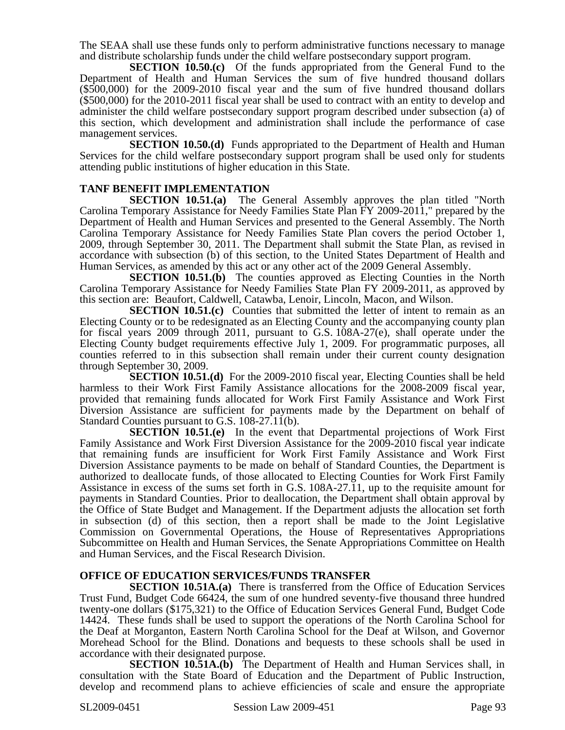The SEAA shall use these funds only to perform administrative functions necessary to manage and distribute scholarship funds under the child welfare postsecondary support program.

**SECTION 10.50.(c)** Of the funds appropriated from the General Fund to the Department of Health and Human Services the sum of five hundred thousand dollars (\$500,000) for the 2009-2010 fiscal year and the sum of five hundred thousand dollars (\$500,000) for the 2010-2011 fiscal year shall be used to contract with an entity to develop and administer the child welfare postsecondary support program described under subsection (a) of this section, which development and administration shall include the performance of case management services.

**SECTION 10.50.(d)** Funds appropriated to the Department of Health and Human Services for the child welfare postsecondary support program shall be used only for students attending public institutions of higher education in this State.

#### **TANF BENEFIT IMPLEMENTATION**

**SECTION 10.51.(a)** The General Assembly approves the plan titled "North Carolina Temporary Assistance for Needy Families State Plan FY 2009-2011," prepared by the Department of Health and Human Services and presented to the General Assembly. The North Carolina Temporary Assistance for Needy Families State Plan covers the period October 1, 2009, through September 30, 2011. The Department shall submit the State Plan, as revised in accordance with subsection (b) of this section, to the United States Department of Health and Human Services, as amended by this act or any other act of the 2009 General Assembly.

**SECTION 10.51.(b)** The counties approved as Electing Counties in the North Carolina Temporary Assistance for Needy Families State Plan FY 2009-2011, as approved by this section are: Beaufort, Caldwell, Catawba, Lenoir, Lincoln, Macon, and Wilson.

**SECTION 10.51.(c)** Counties that submitted the letter of intent to remain as an Electing County or to be redesignated as an Electing County and the accompanying county plan for fiscal years 2009 through 2011, pursuant to G.S. 108A-27(e), shall operate under the Electing County budget requirements effective July 1, 2009. For programmatic purposes, all counties referred to in this subsection shall remain under their current county designation through September 30, 2009.

**SECTION 10.51.(d)** For the 2009-2010 fiscal year, Electing Counties shall be held harmless to their Work First Family Assistance allocations for the 2008-2009 fiscal year, provided that remaining funds allocated for Work First Family Assistance and Work First Diversion Assistance are sufficient for payments made by the Department on behalf of Standard Counties pursuant to G.S. 108-27.11(b).

**SECTION 10.51.(e)** In the event that Departmental projections of Work First Family Assistance and Work First Diversion Assistance for the 2009-2010 fiscal year indicate that remaining funds are insufficient for Work First Family Assistance and Work First Diversion Assistance payments to be made on behalf of Standard Counties, the Department is authorized to deallocate funds, of those allocated to Electing Counties for Work First Family Assistance in excess of the sums set forth in G.S. 108A-27.11, up to the requisite amount for payments in Standard Counties. Prior to deallocation, the Department shall obtain approval by the Office of State Budget and Management. If the Department adjusts the allocation set forth in subsection (d) of this section, then a report shall be made to the Joint Legislative Commission on Governmental Operations, the House of Representatives Appropriations Subcommittee on Health and Human Services, the Senate Appropriations Committee on Health and Human Services, and the Fiscal Research Division.

# **OFFICE OF EDUCATION SERVICES/FUNDS TRANSFER**

**SECTION 10.51A.(a)** There is transferred from the Office of Education Services Trust Fund, Budget Code 66424, the sum of one hundred seventy-five thousand three hundred twenty-one dollars (\$175,321) to the Office of Education Services General Fund, Budget Code 14424. These funds shall be used to support the operations of the North Carolina School for the Deaf at Morganton, Eastern North Carolina School for the Deaf at Wilson, and Governor Morehead School for the Blind. Donations and bequests to these schools shall be used in accordance with their designated purpose.

**SECTION 10.51A.(b)** The Department of Health and Human Services shall, in consultation with the State Board of Education and the Department of Public Instruction, develop and recommend plans to achieve efficiencies of scale and ensure the appropriate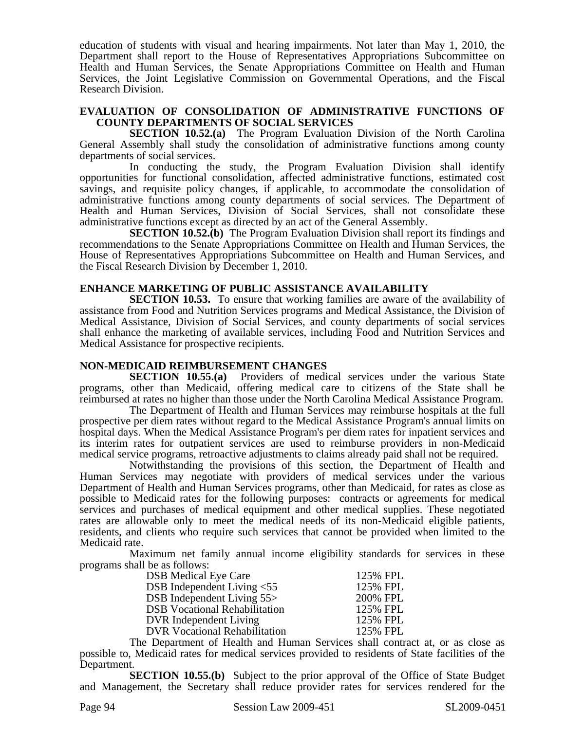education of students with visual and hearing impairments. Not later than May 1, 2010, the Department shall report to the House of Representatives Appropriations Subcommittee on Health and Human Services, the Senate Appropriations Committee on Health and Human Services, the Joint Legislative Commission on Governmental Operations, and the Fiscal Research Division.

#### **EVALUATION OF CONSOLIDATION OF ADMINISTRATIVE FUNCTIONS OF COUNTY DEPARTMENTS OF SOCIAL SERVICES**

**SECTION 10.52.(a)** The Program Evaluation Division of the North Carolina General Assembly shall study the consolidation of administrative functions among county departments of social services.

In conducting the study, the Program Evaluation Division shall identify opportunities for functional consolidation, affected administrative functions, estimated cost savings, and requisite policy changes, if applicable, to accommodate the consolidation of administrative functions among county departments of social services. The Department of Health and Human Services, Division of Social Services, shall not consolidate these administrative functions except as directed by an act of the General Assembly.

**SECTION 10.52.(b)** The Program Evaluation Division shall report its findings and recommendations to the Senate Appropriations Committee on Health and Human Services, the House of Representatives Appropriations Subcommittee on Health and Human Services, and the Fiscal Research Division by December 1, 2010.

#### **ENHANCE MARKETING OF PUBLIC ASSISTANCE AVAILABILITY**

**SECTION 10.53.** To ensure that working families are aware of the availability of assistance from Food and Nutrition Services programs and Medical Assistance, the Division of Medical Assistance, Division of Social Services, and county departments of social services shall enhance the marketing of available services, including Food and Nutrition Services and Medical Assistance for prospective recipients.

## **NON-MEDICAID REIMBURSEMENT CHANGES**

**SECTION 10.55.(a)** Providers of medical services under the various State programs, other than Medicaid, offering medical care to citizens of the State shall be reimbursed at rates no higher than those under the North Carolina Medical Assistance Program.

The Department of Health and Human Services may reimburse hospitals at the full prospective per diem rates without regard to the Medical Assistance Program's annual limits on hospital days. When the Medical Assistance Program's per diem rates for inpatient services and its interim rates for outpatient services are used to reimburse providers in non-Medicaid medical service programs, retroactive adjustments to claims already paid shall not be required.

Notwithstanding the provisions of this section, the Department of Health and Human Services may negotiate with providers of medical services under the various Department of Health and Human Services programs, other than Medicaid, for rates as close as possible to Medicaid rates for the following purposes: contracts or agreements for medical services and purchases of medical equipment and other medical supplies. These negotiated rates are allowable only to meet the medical needs of its non-Medicaid eligible patients, residents, and clients who require such services that cannot be provided when limited to the Medicaid rate.

Maximum net family annual income eligibility standards for services in these programs shall be as follows:

| <b>DSB</b> Medical Eye Care          | 125% FPL |
|--------------------------------------|----------|
| DSB Independent Living <55           | 125% FPL |
| DSB Independent Living 55>           | 200% FPL |
| <b>DSB</b> Vocational Rehabilitation | 125% FPL |
| DVR Independent Living               | 125% FPL |
| <b>DVR Vocational Rehabilitation</b> | 125% FPL |

The Department of Health and Human Services shall contract at, or as close as possible to, Medicaid rates for medical services provided to residents of State facilities of the Department.

**SECTION 10.55.(b)** Subject to the prior approval of the Office of State Budget and Management, the Secretary shall reduce provider rates for services rendered for the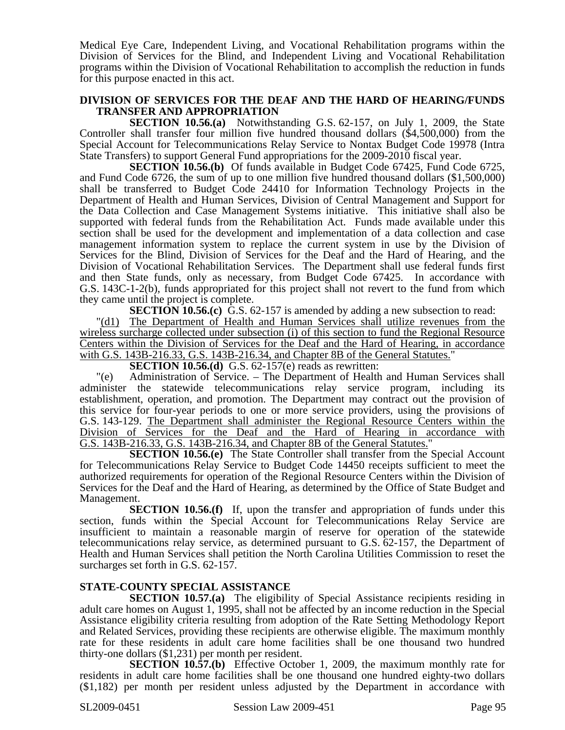Medical Eye Care, Independent Living, and Vocational Rehabilitation programs within the Division of Services for the Blind, and Independent Living and Vocational Rehabilitation programs within the Division of Vocational Rehabilitation to accomplish the reduction in funds for this purpose enacted in this act.

#### **DIVISION OF SERVICES FOR THE DEAF AND THE HARD OF HEARING/FUNDS TRANSFER AND APPROPRIATION**

**SECTION 10.56.(a)** Notwithstanding G.S. 62-157, on July 1, 2009, the State Controller shall transfer four million five hundred thousand dollars (\$4,500,000) from the Special Account for Telecommunications Relay Service to Nontax Budget Code 19978 (Intra State Transfers) to support General Fund appropriations for the 2009-2010 fiscal year.

**SECTION 10.56.(b)** Of funds available in Budget Code 67425, Fund Code 6725, and Fund Code 6726, the sum of up to one million five hundred thousand dollars (\$1,500,000) shall be transferred to Budget Code 24410 for Information Technology Projects in the Department of Health and Human Services, Division of Central Management and Support for the Data Collection and Case Management Systems initiative. This initiative shall also be supported with federal funds from the Rehabilitation Act. Funds made available under this section shall be used for the development and implementation of a data collection and case management information system to replace the current system in use by the Division of Services for the Blind, Division of Services for the Deaf and the Hard of Hearing, and the Division of Vocational Rehabilitation Services. The Department shall use federal funds first and then State funds, only as necessary, from Budget Code 67425. In accordance with G.S. 143C-1-2(b), funds appropriated for this project shall not revert to the fund from which they came until the project is complete.

**SECTION 10.56.(c)** G.S. 62-157 is amended by adding a new subsection to read:

"(d1) The Department of Health and Human Services shall utilize revenues from the wireless surcharge collected under subsection (i) of this section to fund the Regional Resource Centers within the Division of Services for the Deaf and the Hard of Hearing, in accordance with G.S. 143B-216.33, G.S. 143B-216.34, and Chapter 8B of the General Statutes."

**SECTION 10.56.(d)** G.S. 62-157(e) reads as rewritten:

"(e) Administration of Service. – The Department of Health and Human Services shall administer the statewide telecommunications relay service program, including its establishment, operation, and promotion. The Department may contract out the provision of this service for four-year periods to one or more service providers, using the provisions of G.S. 143-129. The Department shall administer the Regional Resource Centers within the Division of Services for the Deaf and the Hard of Hearing in accordance with G.S. 143B-216.33, G.S. 143B-216.34, and Chapter 8B of the General Statutes."

**SECTION 10.56.(e)** The State Controller shall transfer from the Special Account for Telecommunications Relay Service to Budget Code 14450 receipts sufficient to meet the authorized requirements for operation of the Regional Resource Centers within the Division of Services for the Deaf and the Hard of Hearing, as determined by the Office of State Budget and Management.

**SECTION 10.56.(f)** If, upon the transfer and appropriation of funds under this section, funds within the Special Account for Telecommunications Relay Service are insufficient to maintain a reasonable margin of reserve for operation of the statewide telecommunications relay service, as determined pursuant to G.S. 62-157, the Department of Health and Human Services shall petition the North Carolina Utilities Commission to reset the surcharges set forth in G.S. 62-157.

#### **STATE-COUNTY SPECIAL ASSISTANCE**

**SECTION 10.57.(a)** The eligibility of Special Assistance recipients residing in adult care homes on August 1, 1995, shall not be affected by an income reduction in the Special Assistance eligibility criteria resulting from adoption of the Rate Setting Methodology Report and Related Services, providing these recipients are otherwise eligible. The maximum monthly rate for these residents in adult care home facilities shall be one thousand two hundred thirty-one dollars (\$1,231) per month per resident.

**SECTION 10.57.(b)** Effective October 1, 2009, the maximum monthly rate for residents in adult care home facilities shall be one thousand one hundred eighty-two dollars (\$1,182) per month per resident unless adjusted by the Department in accordance with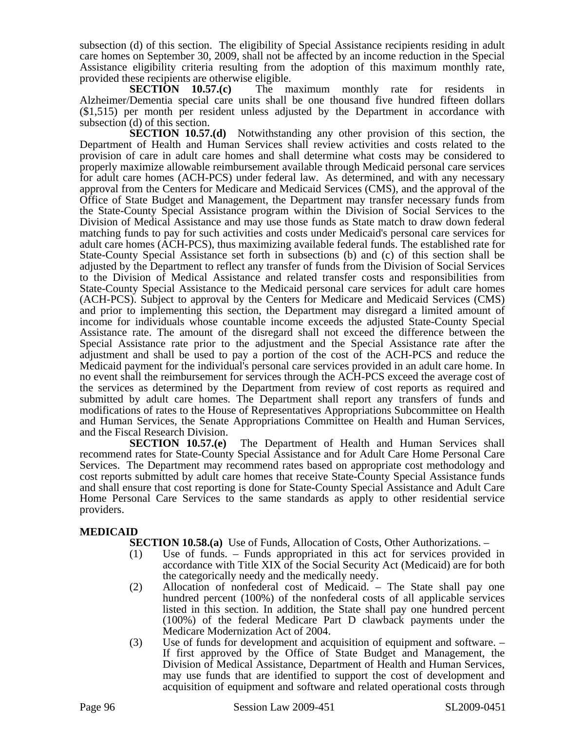subsection (d) of this section. The eligibility of Special Assistance recipients residing in adult care homes on September 30, 2009, shall not be affected by an income reduction in the Special Assistance eligibility criteria resulting from the adoption of this maximum monthly rate, provided these recipients are otherwise eligible.

**SECTION 10.57.(c)** The maximum monthly rate for residents in Alzheimer/Dementia special care units shall be one thousand five hundred fifteen dollars (\$1,515) per month per resident unless adjusted by the Department in accordance with subsection (d) of this section.

**SECTION 10.57.(d)** Notwithstanding any other provision of this section, the Department of Health and Human Services shall review activities and costs related to the provision of care in adult care homes and shall determine what costs may be considered to properly maximize allowable reimbursement available through Medicaid personal care services for adult care homes (ACH-PCS) under federal law. As determined, and with any necessary approval from the Centers for Medicare and Medicaid Services (CMS), and the approval of the Office of State Budget and Management, the Department may transfer necessary funds from the State-County Special Assistance program within the Division of Social Services to the Division of Medical Assistance and may use those funds as State match to draw down federal matching funds to pay for such activities and costs under Medicaid's personal care services for adult care homes (ACH-PCS), thus maximizing available federal funds. The established rate for State-County Special Assistance set forth in subsections (b) and (c) of this section shall be adjusted by the Department to reflect any transfer of funds from the Division of Social Services to the Division of Medical Assistance and related transfer costs and responsibilities from State-County Special Assistance to the Medicaid personal care services for adult care homes (ACH-PCS). Subject to approval by the Centers for Medicare and Medicaid Services (CMS) and prior to implementing this section, the Department may disregard a limited amount of income for individuals whose countable income exceeds the adjusted State-County Special Assistance rate. The amount of the disregard shall not exceed the difference between the Special Assistance rate prior to the adjustment and the Special Assistance rate after the adjustment and shall be used to pay a portion of the cost of the ACH-PCS and reduce the Medicaid payment for the individual's personal care services provided in an adult care home. In no event shall the reimbursement for services through the ACH-PCS exceed the average cost of the services as determined by the Department from review of cost reports as required and submitted by adult care homes. The Department shall report any transfers of funds and modifications of rates to the House of Representatives Appropriations Subcommittee on Health and Human Services, the Senate Appropriations Committee on Health and Human Services, and the Fiscal Research Division.

**SECTION 10.57.(e)** The Department of Health and Human Services shall recommend rates for State-County Special Assistance and for Adult Care Home Personal Care Services. The Department may recommend rates based on appropriate cost methodology and cost reports submitted by adult care homes that receive State-County Special Assistance funds and shall ensure that cost reporting is done for State-County Special Assistance and Adult Care Home Personal Care Services to the same standards as apply to other residential service providers.

# **MEDICAID**

**SECTION 10.58.(a)** Use of Funds, Allocation of Costs, Other Authorizations. –

- (1) Use of funds. Funds appropriated in this act for services provided in accordance with Title XIX of the Social Security Act (Medicaid) are for both the categorically needy and the medically needy.
- (2) Allocation of nonfederal cost of Medicaid. The State shall pay one hundred percent (100%) of the nonfederal costs of all applicable services listed in this section. In addition, the State shall pay one hundred percent (100%) of the federal Medicare Part D clawback payments under the Medicare Modernization Act of 2004.
- (3) Use of funds for development and acquisition of equipment and software. If first approved by the Office of State Budget and Management, the Division of Medical Assistance, Department of Health and Human Services, may use funds that are identified to support the cost of development and acquisition of equipment and software and related operational costs through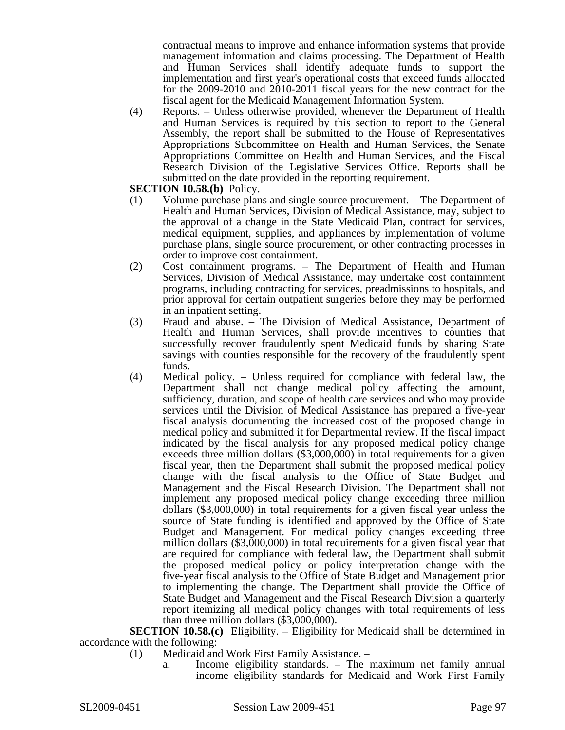contractual means to improve and enhance information systems that provide management information and claims processing. The Department of Health and Human Services shall identify adequate funds to support the implementation and first year's operational costs that exceed funds allocated for the 2009-2010 and 2010-2011 fiscal years for the new contract for the fiscal agent for the Medicaid Management Information System.

(4) Reports. – Unless otherwise provided, whenever the Department of Health and Human Services is required by this section to report to the General Assembly, the report shall be submitted to the House of Representatives Appropriations Subcommittee on Health and Human Services, the Senate Appropriations Committee on Health and Human Services, and the Fiscal Research Division of the Legislative Services Office. Reports shall be submitted on the date provided in the reporting requirement.

# **SECTION 10.58.(b)** Policy.

- (1) Volume purchase plans and single source procurement. The Department of Health and Human Services, Division of Medical Assistance, may, subject to the approval of a change in the State Medicaid Plan, contract for services, medical equipment, supplies, and appliances by implementation of volume purchase plans, single source procurement, or other contracting processes in order to improve cost containment.
- (2) Cost containment programs. The Department of Health and Human Services, Division of Medical Assistance, may undertake cost containment programs, including contracting for services, preadmissions to hospitals, and prior approval for certain outpatient surgeries before they may be performed in an inpatient setting.
- (3) Fraud and abuse. The Division of Medical Assistance, Department of Health and Human Services, shall provide incentives to counties that successfully recover fraudulently spent Medicaid funds by sharing State savings with counties responsible for the recovery of the fraudulently spent funds.
- (4) Medical policy. Unless required for compliance with federal law, the Department shall not change medical policy affecting the amount, sufficiency, duration, and scope of health care services and who may provide services until the Division of Medical Assistance has prepared a five-year fiscal analysis documenting the increased cost of the proposed change in medical policy and submitted it for Departmental review. If the fiscal impact indicated by the fiscal analysis for any proposed medical policy change exceeds three million dollars (\$3,000,000) in total requirements for a given fiscal year, then the Department shall submit the proposed medical policy change with the fiscal analysis to the Office of State Budget and Management and the Fiscal Research Division. The Department shall not implement any proposed medical policy change exceeding three million  $\Delta$ dollars (\$3,000,000) in total requirements for a given fiscal year unless the source of State funding is identified and approved by the Office of State Budget and Management. For medical policy changes exceeding three million dollars (\$3,000,000) in total requirements for a given fiscal year that are required for compliance with federal law, the Department shall submit the proposed medical policy or policy interpretation change with the five-year fiscal analysis to the Office of State Budget and Management prior to implementing the change. The Department shall provide the Office of State Budget and Management and the Fiscal Research Division a quarterly report itemizing all medical policy changes with total requirements of less than three million dollars (\$3,000,000).

**SECTION 10.58.(c)** Eligibility. – Eligibility for Medicaid shall be determined in accordance with the following:

- (1) Medicaid and Work First Family Assistance.
	- a. Income eligibility standards. The maximum net family annual income eligibility standards for Medicaid and Work First Family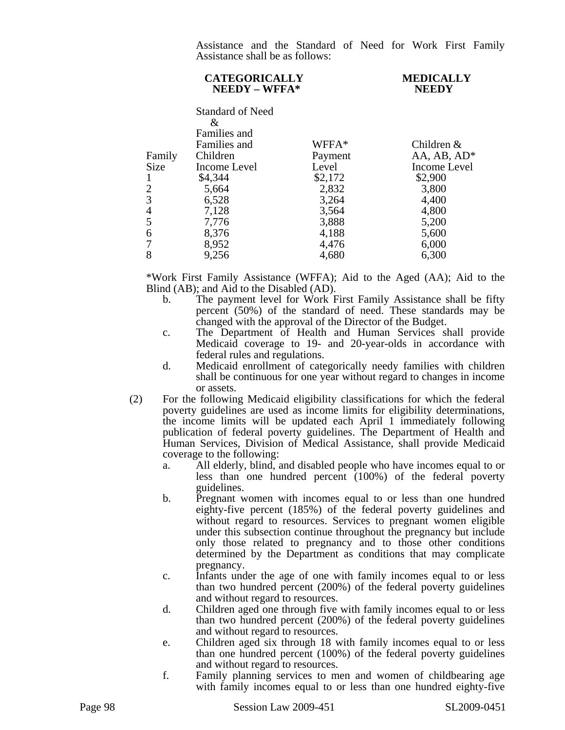Assistance and the Standard of Need for Work First Family Assistance shall be as follows:

| <b>CATEGORICALLY</b><br>NEEDY - WFFA* | <b>MEDICALLY</b><br><b>NEEDY</b> |  |
|---------------------------------------|----------------------------------|--|
| <b>Standard of Need</b>               |                                  |  |
| &                                     |                                  |  |
| Families and                          |                                  |  |
| Families and                          | WFFA*<br>Children $&$            |  |
| Children<br>Family                    | $AA, AB, AD^*$<br>Payment        |  |
| Size<br>Income Level                  | Income Level<br>Level            |  |
| \$4,344                               | \$2,172<br>\$2,900               |  |
| $\overline{2}$<br>5,664               | 2,832<br>3,800                   |  |
| 3<br>6,528                            | 3,264<br>4,400                   |  |
| 4<br>7,128                            | 4,800<br>3,564                   |  |
| 5<br>7,776                            | 3,888<br>5,200                   |  |
| 8,376<br>6                            | 4,188<br>5,600                   |  |
| 7<br>8,952                            | 6,000<br>4,476                   |  |
| 8<br>9,256                            | 6,300<br>4,680                   |  |

\*Work First Family Assistance (WFFA); Aid to the Aged (AA); Aid to the Blind (AB); and Aid to the Disabled (AD).

- b. The payment level for Work First Family Assistance shall be fifty percent (50%) of the standard of need. These standards may be changed with the approval of the Director of the Budget.
- c. The Department of Health and Human Services shall provide Medicaid coverage to 19- and 20-year-olds in accordance with federal rules and regulations.
- d. Medicaid enrollment of categorically needy families with children shall be continuous for one year without regard to changes in income or assets.
- (2) For the following Medicaid eligibility classifications for which the federal poverty guidelines are used as income limits for eligibility determinations, the income limits will be updated each April 1 immediately following publication of federal poverty guidelines. The Department of Health and Human Services, Division of Medical Assistance, shall provide Medicaid coverage to the following:
	- a. All elderly, blind, and disabled people who have incomes equal to or less than one hundred percent (100%) of the federal poverty guidelines.
	- b. Pregnant women with incomes equal to or less than one hundred eighty-five percent (185%) of the federal poverty guidelines and without regard to resources. Services to pregnant women eligible under this subsection continue throughout the pregnancy but include only those related to pregnancy and to those other conditions determined by the Department as conditions that may complicate pregnancy.
	- c. Infants under the age of one with family incomes equal to or less than two hundred percent (200%) of the federal poverty guidelines and without regard to resources.
	- d. Children aged one through five with family incomes equal to or less than two hundred percent (200%) of the federal poverty guidelines and without regard to resources.
	- e. Children aged six through 18 with family incomes equal to or less than one hundred percent (100%) of the federal poverty guidelines and without regard to resources.
	- f. Family planning services to men and women of childbearing age with family incomes equal to or less than one hundred eighty-five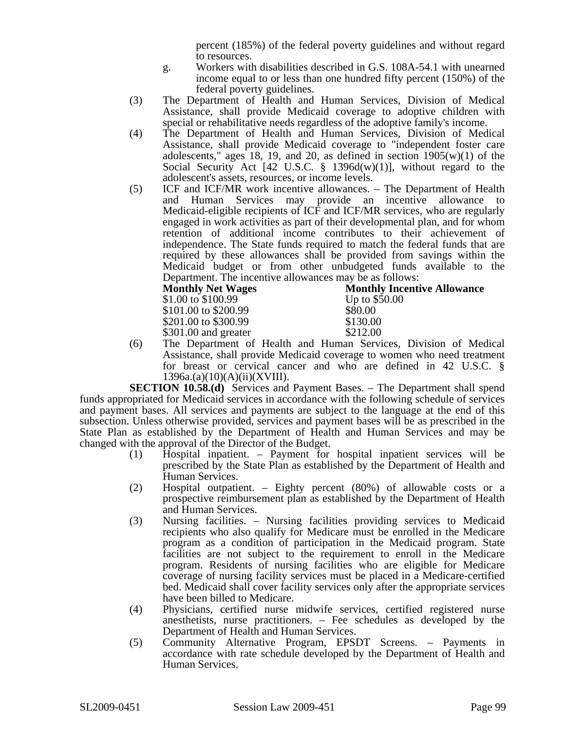percent (185%) of the federal poverty guidelines and without regard to resources.

- g. Workers with disabilities described in G.S. 108A-54.1 with unearned income equal to or less than one hundred fifty percent (150%) of the federal poverty guidelines.
- (3) The Department of Health and Human Services, Division of Medical Assistance, shall provide Medicaid coverage to adoptive children with special or rehabilitative needs regardless of the adoptive family's income.
- (4) The Department of Health and Human Services, Division of Medical Assistance, shall provide Medicaid coverage to "independent foster care adolescents," ages 18, 19, and 20, as defined in section  $1905(w)(1)$  of the Social Security Act [42 U.S.C.  $\S$  1396d(w)(1)], without regard to the adolescent's assets, resources, or income levels.
- (5) ICF and ICF/MR work incentive allowances. The Department of Health and Human Services may provide an incentive allowance to Medicaid-eligible recipients of ICF and ICF/MR services, who are regularly engaged in work activities as part of their developmental plan, and for whom retention of additional income contributes to their achievement of independence. The State funds required to match the federal funds that are required by these allowances shall be provided from savings within the Medicaid budget or from other unbudgeted funds available to the Department. The incentive allowances may be as follows: **Monthly Incentive Allowance**

| <b>Monthly Net Wages</b> | <b>Monthly Ince</b> |
|--------------------------|---------------------|
| \$1.00 to \$100.99       | Up to $$50.00$      |
| \$101.00 to \$200.99     | \$80.00             |
| \$201.00 to \$300.99     | \$130.00            |
| \$301.00 and greater     | \$212.00            |

(6) The Department of Health and Human Services, Division of Medical Assistance, shall provide Medicaid coverage to women who need treatment for breast or cervical cancer and who are defined in 42 U.S.C. § 1396a.(a)(10)(A)(ii)(XVIII).

**SECTION 10.58.(d)** Services and Payment Bases. – The Department shall spend funds appropriated for Medicaid services in accordance with the following schedule of services and payment bases. All services and payments are subject to the language at the end of this subsection. Unless otherwise provided, services and payment bases will be as prescribed in the State Plan as established by the Department of Health and Human Services and may be changed with the approval of the Director of the Budget.

- (1) Hospital inpatient. Payment for hospital inpatient services will be prescribed by the State Plan as established by the Department of Health and Human Services.
- (2) Hospital outpatient. Eighty percent (80%) of allowable costs or a prospective reimbursement plan as established by the Department of Health and Human Services.
- (3) Nursing facilities. Nursing facilities providing services to Medicaid recipients who also qualify for Medicare must be enrolled in the Medicare program as a condition of participation in the Medicaid program. State facilities are not subject to the requirement to enroll in the Medicare program. Residents of nursing facilities who are eligible for Medicare coverage of nursing facility services must be placed in a Medicare-certified bed. Medicaid shall cover facility services only after the appropriate services have been billed to Medicare.
- (4) Physicians, certified nurse midwife services, certified registered nurse anesthetists, nurse practitioners. – Fee schedules as developed by the Department of Health and Human Services.
- (5) Community Alternative Program, EPSDT Screens. Payments in accordance with rate schedule developed by the Department of Health and Human Services.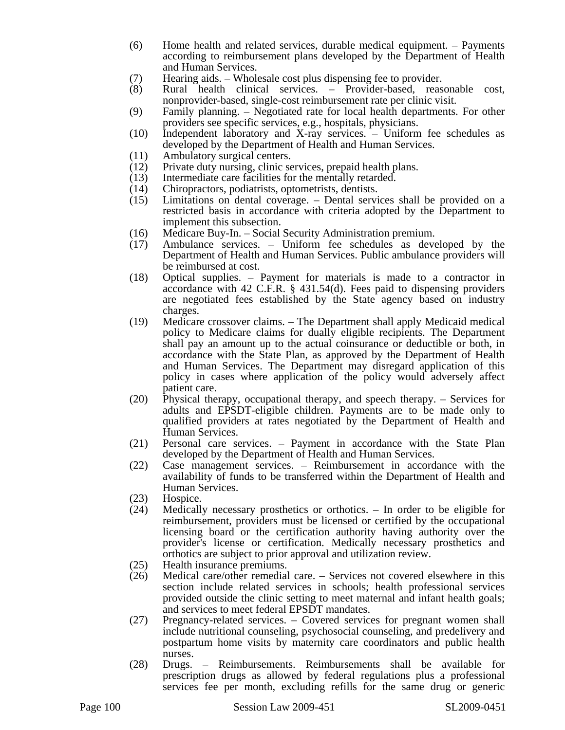- (6) Home health and related services, durable medical equipment. Payments according to reimbursement plans developed by the Department of Health and Human Services.
- (7) Hearing aids. Wholesale cost plus dispensing fee to provider.
- (8) Rural health clinical services. Provider-based, reasonable cost, nonprovider-based, single-cost reimbursement rate per clinic visit.
- (9) Family planning. Negotiated rate for local health departments. For other providers see specific services, e.g., hospitals, physicians.
- (10) Independent laboratory and X-ray services. Uniform fee schedules as developed by the Department of Health and Human Services.
- 
- (11) Ambulatory surgical centers.<br>(12) Private duty nursing, clinic se Private duty nursing, clinic services, prepaid health plans.
- (13) Intermediate care facilities for the mentally retarded.<br>(14) Chiropractors, podiatrists, optometrists, dentists.
- (14) Chiropractors, podiatrists, optometrists, dentists.
- (15) Limitations on dental coverage. Dental services shall be provided on a restricted basis in accordance with criteria adopted by the Department to implement this subsection.
- (16) Medicare Buy-In. Social Security Administration premium.
- (17) Ambulance services. Uniform fee schedules as developed by the Department of Health and Human Services. Public ambulance providers will be reimbursed at cost.
- (18) Optical supplies. Payment for materials is made to a contractor in accordance with 42 C.F.R. § 431.54(d). Fees paid to dispensing providers are negotiated fees established by the State agency based on industry charges.
- (19) Medicare crossover claims. The Department shall apply Medicaid medical policy to Medicare claims for dually eligible recipients. The Department shall pay an amount up to the actual coinsurance or deductible or both, in accordance with the State Plan, as approved by the Department of Health and Human Services. The Department may disregard application of this policy in cases where application of the policy would adversely affect patient care.
- (20) Physical therapy, occupational therapy, and speech therapy. Services for adults and EPSDT-eligible children. Payments are to be made only to qualified providers at rates negotiated by the Department of Health and Human Services.
- (21) Personal care services. Payment in accordance with the State Plan developed by the Department of Health and Human Services.
- (22) Case management services. Reimbursement in accordance with the availability of funds to be transferred within the Department of Health and Human Services.
- (23) Hospice.
- (24) Medically necessary prosthetics or orthotics. In order to be eligible for reimbursement, providers must be licensed or certified by the occupational licensing board or the certification authority having authority over the provider's license or certification. Medically necessary prosthetics and orthotics are subject to prior approval and utilization review.
- (25) Health insurance premiums.
- (26) Medical care/other remedial care. Services not covered elsewhere in this section include related services in schools; health professional services provided outside the clinic setting to meet maternal and infant health goals; and services to meet federal EPSDT mandates.
- (27) Pregnancy-related services. Covered services for pregnant women shall include nutritional counseling, psychosocial counseling, and predelivery and postpartum home visits by maternity care coordinators and public health nurses.
- (28) Drugs. Reimbursements. Reimbursements shall be available for prescription drugs as allowed by federal regulations plus a professional services fee per month, excluding refills for the same drug or generic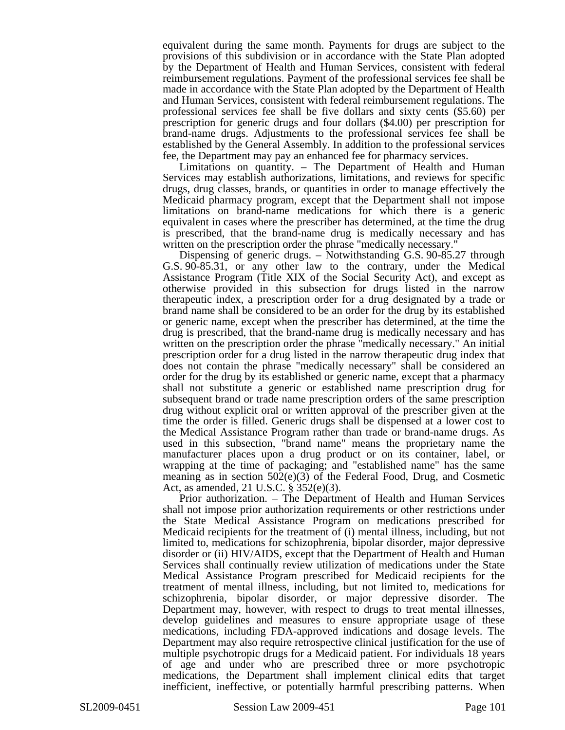equivalent during the same month. Payments for drugs are subject to the provisions of this subdivision or in accordance with the State Plan adopted by the Department of Health and Human Services, consistent with federal reimbursement regulations. Payment of the professional services fee shall be made in accordance with the State Plan adopted by the Department of Health and Human Services, consistent with federal reimbursement regulations. The professional services fee shall be five dollars and sixty cents (\$5.60) per prescription for generic drugs and four dollars (\$4.00) per prescription for brand-name drugs. Adjustments to the professional services fee shall be established by the General Assembly. In addition to the professional services fee, the Department may pay an enhanced fee for pharmacy services.

Limitations on quantity. – The Department of Health and Human Services may establish authorizations, limitations, and reviews for specific drugs, drug classes, brands, or quantities in order to manage effectively the Medicaid pharmacy program, except that the Department shall not impose limitations on brand-name medications for which there is a generic equivalent in cases where the prescriber has determined, at the time the drug is prescribed, that the brand-name drug is medically necessary and has written on the prescription order the phrase "medically necessary."

Dispensing of generic drugs. – Notwithstanding G.S. 90-85.27 through G.S. 90-85.31, or any other law to the contrary, under the Medical Assistance Program (Title XIX of the Social Security Act), and except as otherwise provided in this subsection for drugs listed in the narrow therapeutic index, a prescription order for a drug designated by a trade or brand name shall be considered to be an order for the drug by its established or generic name, except when the prescriber has determined, at the time the drug is prescribed, that the brand-name drug is medically necessary and has written on the prescription order the phrase "medically necessary." An initial prescription order for a drug listed in the narrow therapeutic drug index that does not contain the phrase "medically necessary" shall be considered an order for the drug by its established or generic name, except that a pharmacy shall not substitute a generic or established name prescription drug for subsequent brand or trade name prescription orders of the same prescription drug without explicit oral or written approval of the prescriber given at the time the order is filled. Generic drugs shall be dispensed at a lower cost to the Medical Assistance Program rather than trade or brand-name drugs. As used in this subsection, "brand name" means the proprietary name the manufacturer places upon a drug product or on its container, label, or wrapping at the time of packaging; and "established name" has the same meaning as in section 502(e)(3) of the Federal Food, Drug, and Cosmetic Act, as amended, 21 U.S.C. § 352(e)(3).

Prior authorization. – The Department of Health and Human Services shall not impose prior authorization requirements or other restrictions under the State Medical Assistance Program on medications prescribed for Medicaid recipients for the treatment of (i) mental illness, including, but not limited to, medications for schizophrenia, bipolar disorder, major depressive disorder or (ii) HIV/AIDS, except that the Department of Health and Human Services shall continually review utilization of medications under the State Medical Assistance Program prescribed for Medicaid recipients for the treatment of mental illness, including, but not limited to, medications for schizophrenia, bipolar disorder, or major depressive disorder. The Department may, however, with respect to drugs to treat mental illnesses, develop guidelines and measures to ensure appropriate usage of these medications, including FDA-approved indications and dosage levels. The Department may also require retrospective clinical justification for the use of multiple psychotropic drugs for a Medicaid patient. For individuals 18 years of age and under who are prescribed three or more psychotropic medications, the Department shall implement clinical edits that target inefficient, ineffective, or potentially harmful prescribing patterns. When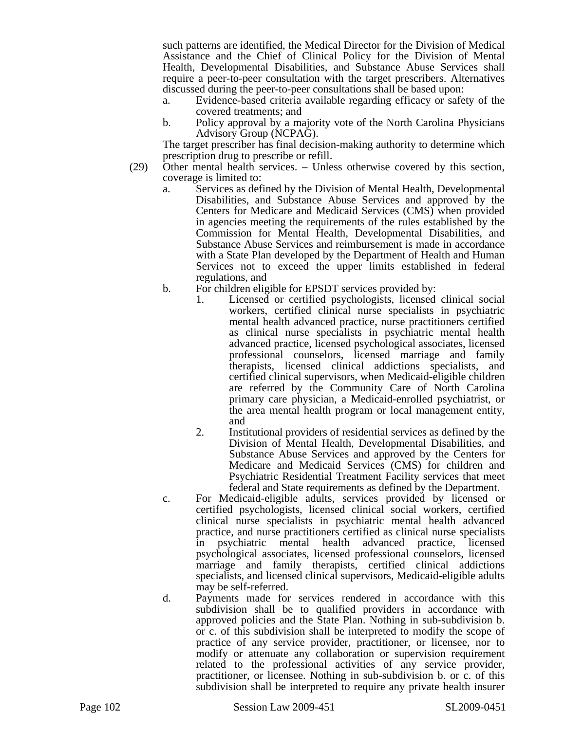such patterns are identified, the Medical Director for the Division of Medical Assistance and the Chief of Clinical Policy for the Division of Mental Health, Developmental Disabilities, and Substance Abuse Services shall require a peer-to-peer consultation with the target prescribers. Alternatives discussed during the peer-to-peer consultations shall be based upon:

- a. Evidence-based criteria available regarding efficacy or safety of the covered treatments; and
- b. Policy approval by a majority vote of the North Carolina Physicians Advisory Group (NCPAG).

The target prescriber has final decision-making authority to determine which prescription drug to prescribe or refill.

- (29) Other mental health services. Unless otherwise covered by this section, coverage is limited to:
	- a. Services as defined by the Division of Mental Health, Developmental Disabilities, and Substance Abuse Services and approved by the Centers for Medicare and Medicaid Services (CMS) when provided in agencies meeting the requirements of the rules established by the Commission for Mental Health, Developmental Disabilities, and Substance Abuse Services and reimbursement is made in accordance with a State Plan developed by the Department of Health and Human Services not to exceed the upper limits established in federal regulations, and
	- b. For children eligible for EPSDT services provided by:
		- 1. Licensed or certified psychologists, licensed clinical social workers, certified clinical nurse specialists in psychiatric mental health advanced practice, nurse practitioners certified as clinical nurse specialists in psychiatric mental health advanced practice, licensed psychological associates, licensed professional counselors, licensed marriage and family therapists, licensed clinical addictions specialists, and certified clinical supervisors, when Medicaid-eligible children are referred by the Community Care of North Carolina primary care physician, a Medicaid-enrolled psychiatrist, or the area mental health program or local management entity, and
		- 2. Institutional providers of residential services as defined by the Division of Mental Health, Developmental Disabilities, and Substance Abuse Services and approved by the Centers for Medicare and Medicaid Services (CMS) for children and Psychiatric Residential Treatment Facility services that meet federal and State requirements as defined by the Department.
	- c. For Medicaid-eligible adults, services provided by licensed or certified psychologists, licensed clinical social workers, certified clinical nurse specialists in psychiatric mental health advanced practice, and nurse practitioners certified as clinical nurse specialists in psychiatric mental health advanced practice, licensed psychological associates, licensed professional counselors, licensed marriage and family therapists, certified clinical addictions specialists, and licensed clinical supervisors, Medicaid-eligible adults may be self-referred.
	-

d. Payments made for services rendered in accordance with this subdivision shall be to qualified providers in accordance with approved policies and the State Plan. Nothing in sub-subdivision b. or c. of this subdivision shall be interpreted to modify the scope of practice of any service provider, practitioner, or licensee, nor to modify or attenuate any collaboration or supervision requirement related to the professional activities of any service provider, practitioner, or licensee. Nothing in sub-subdivision b. or c. of this subdivision shall be interpreted to require any private health insurer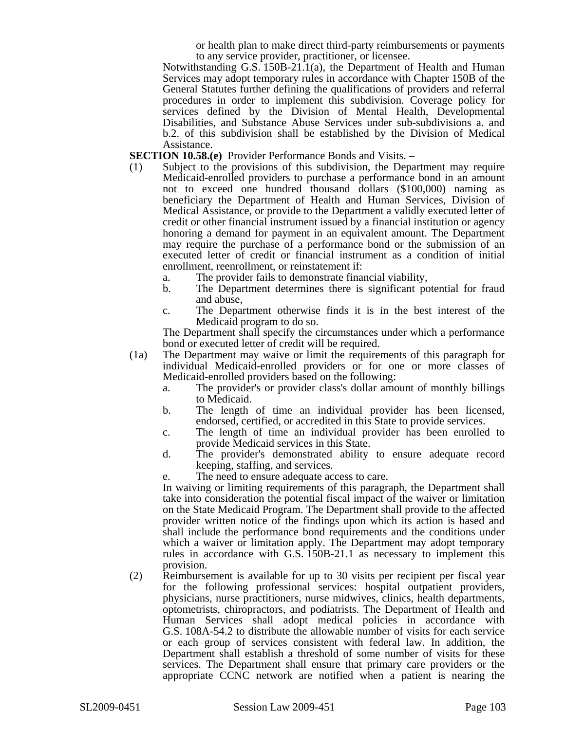or health plan to make direct third-party reimbursements or payments to any service provider, practitioner, or licensee.

Notwithstanding G.S. 150B-21.1(a), the Department of Health and Human Services may adopt temporary rules in accordance with Chapter 150B of the General Statutes further defining the qualifications of providers and referral procedures in order to implement this subdivision. Coverage policy for services defined by the Division of Mental Health, Developmental Disabilities, and Substance Abuse Services under sub-subdivisions a. and b.2. of this subdivision shall be established by the Division of Medical Assistance.

**SECTION 10.58.(e)** Provider Performance Bonds and Visits. –

- (1) Subject to the provisions of this subdivision, the Department may require Medicaid-enrolled providers to purchase a performance bond in an amount not to exceed one hundred thousand dollars (\$100,000) naming as beneficiary the Department of Health and Human Services, Division of Medical Assistance, or provide to the Department a validly executed letter of credit or other financial instrument issued by a financial institution or agency honoring a demand for payment in an equivalent amount. The Department may require the purchase of a performance bond or the submission of an executed letter of credit or financial instrument as a condition of initial enrollment, reenrollment, or reinstatement if:
	- a. The provider fails to demonstrate financial viability,
	- b. The Department determines there is significant potential for fraud and abuse,
	- c. The Department otherwise finds it is in the best interest of the Medicaid program to do so.

The Department shall specify the circumstances under which a performance bond or executed letter of credit will be required.

- (1a) The Department may waive or limit the requirements of this paragraph for individual Medicaid-enrolled providers or for one or more classes of Medicaid-enrolled providers based on the following:
	- a. The provider's or provider class's dollar amount of monthly billings to Medicaid.
	- b. The length of time an individual provider has been licensed, endorsed, certified, or accredited in this State to provide services.
	- c. The length of time an individual provider has been enrolled to provide Medicaid services in this State.
	- d. The provider's demonstrated ability to ensure adequate record keeping, staffing, and services.
	- e. The need to ensure adequate access to care.

In waiving or limiting requirements of this paragraph, the Department shall take into consideration the potential fiscal impact of the waiver or limitation on the State Medicaid Program. The Department shall provide to the affected provider written notice of the findings upon which its action is based and shall include the performance bond requirements and the conditions under which a waiver or limitation apply. The Department may adopt temporary rules in accordance with G.S. 150B-21.1 as necessary to implement this provision.

(2) Reimbursement is available for up to 30 visits per recipient per fiscal year for the following professional services: hospital outpatient providers, physicians, nurse practitioners, nurse midwives, clinics, health departments, optometrists, chiropractors, and podiatrists. The Department of Health and Human Services shall adopt medical policies in accordance with G.S. 108A-54.2 to distribute the allowable number of visits for each service or each group of services consistent with federal law. In addition, the Department shall establish a threshold of some number of visits for these services. The Department shall ensure that primary care providers or the appropriate CCNC network are notified when a patient is nearing the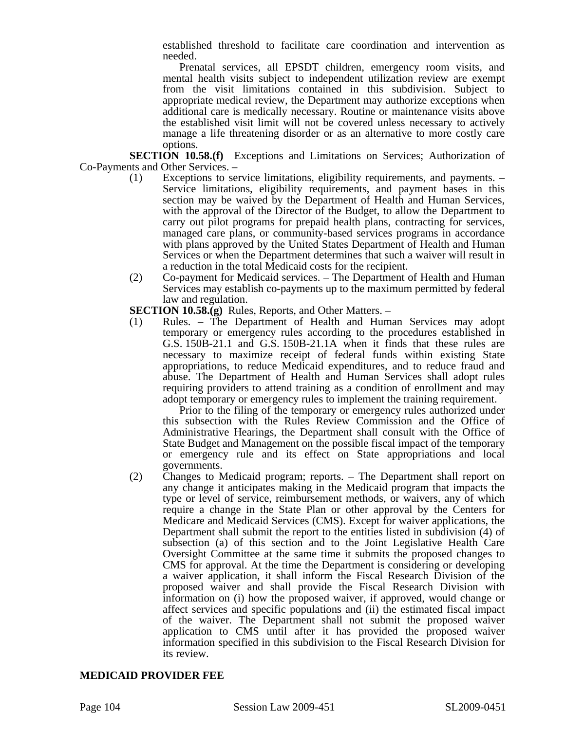established threshold to facilitate care coordination and intervention as needed.

Prenatal services, all EPSDT children, emergency room visits, and mental health visits subject to independent utilization review are exempt from the visit limitations contained in this subdivision. Subject to appropriate medical review, the Department may authorize exceptions when additional care is medically necessary. Routine or maintenance visits above the established visit limit will not be covered unless necessary to actively manage a life threatening disorder or as an alternative to more costly care options.

**SECTION 10.58.(f)** Exceptions and Limitations on Services; Authorization of Co-Payments and Other Services. –

- (1) Exceptions to service limitations, eligibility requirements, and payments. Service limitations, eligibility requirements, and payment bases in this section may be waived by the Department of Health and Human Services, with the approval of the Director of the Budget, to allow the Department to carry out pilot programs for prepaid health plans, contracting for services, managed care plans, or community-based services programs in accordance with plans approved by the United States Department of Health and Human Services or when the Department determines that such a waiver will result in a reduction in the total Medicaid costs for the recipient.
- (2) Co-payment for Medicaid services. The Department of Health and Human Services may establish co-payments up to the maximum permitted by federal law and regulation.

#### **SECTION 10.58.(g)** Rules, Reports, and Other Matters. –

(1) Rules. – The Department of Health and Human Services may adopt temporary or emergency rules according to the procedures established in G.S. 150B-21.1 and G.S. 150B-21.1A when it finds that these rules are necessary to maximize receipt of federal funds within existing State appropriations, to reduce Medicaid expenditures, and to reduce fraud and abuse. The Department of Health and Human Services shall adopt rules requiring providers to attend training as a condition of enrollment and may adopt temporary or emergency rules to implement the training requirement.

Prior to the filing of the temporary or emergency rules authorized under this subsection with the Rules Review Commission and the Office of Administrative Hearings, the Department shall consult with the Office of State Budget and Management on the possible fiscal impact of the temporary or emergency rule and its effect on State appropriations and local governments.

(2) Changes to Medicaid program; reports. – The Department shall report on any change it anticipates making in the Medicaid program that impacts the type or level of service, reimbursement methods, or waivers, any of which require a change in the State Plan or other approval by the Centers for Medicare and Medicaid Services (CMS). Except for waiver applications, the Department shall submit the report to the entities listed in subdivision (4) of subsection (a) of this section and to the Joint Legislative Health Care Oversight Committee at the same time it submits the proposed changes to CMS for approval. At the time the Department is considering or developing a waiver application, it shall inform the Fiscal Research Division of the proposed waiver and shall provide the Fiscal Research Division with information on (i) how the proposed waiver, if approved, would change or affect services and specific populations and (ii) the estimated fiscal impact of the waiver. The Department shall not submit the proposed waiver application to CMS until after it has provided the proposed waiver information specified in this subdivision to the Fiscal Research Division for its review.

#### **MEDICAID PROVIDER FEE**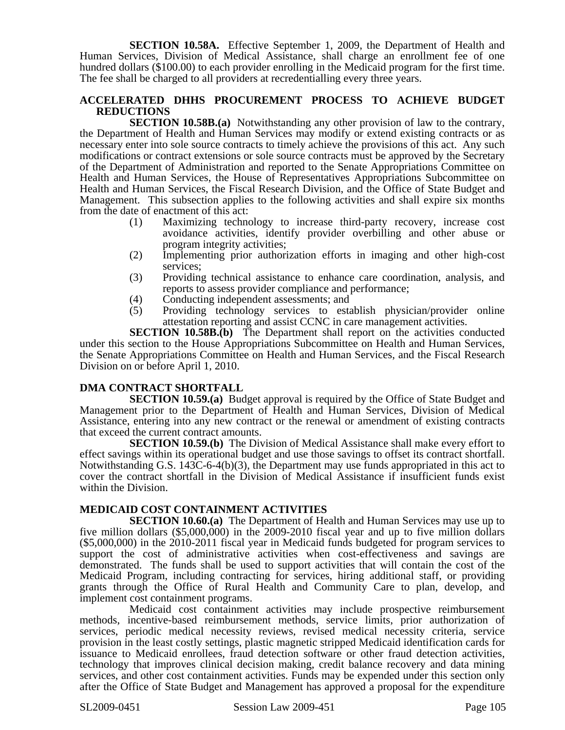**SECTION 10.58A.** Effective September 1, 2009, the Department of Health and Human Services, Division of Medical Assistance, shall charge an enrollment fee of one hundred dollars (\$100.00) to each provider enrolling in the Medicaid program for the first time. The fee shall be charged to all providers at recredentialling every three years.

## **ACCELERATED DHHS PROCUREMENT PROCESS TO ACHIEVE BUDGET REDUCTIONS**

**SECTION 10.58B.(a)** Notwithstanding any other provision of law to the contrary, the Department of Health and Human Services may modify or extend existing contracts or as necessary enter into sole source contracts to timely achieve the provisions of this act. Any such modifications or contract extensions or sole source contracts must be approved by the Secretary of the Department of Administration and reported to the Senate Appropriations Committee on Health and Human Services, the House of Representatives Appropriations Subcommittee on Health and Human Services, the Fiscal Research Division, and the Office of State Budget and Management. This subsection applies to the following activities and shall expire six months from the date of enactment of this act:

- (1) Maximizing technology to increase third-party recovery, increase cost avoidance activities, identify provider overbilling and other abuse or program integrity activities;
- (2) Implementing prior authorization efforts in imaging and other high-cost services;
- (3) Providing technical assistance to enhance care coordination, analysis, and reports to assess provider compliance and performance;
- 
- (4) Conducting independent assessments; and<br>(5) Providing technology services to esta Providing technology services to establish physician/provider online attestation reporting and assist CCNC in care management activities.

**SECTION 10.58B.(b)** The Department shall report on the activities conducted under this section to the House Appropriations Subcommittee on Health and Human Services, the Senate Appropriations Committee on Health and Human Services, and the Fiscal Research Division on or before April 1, 2010.

#### **DMA CONTRACT SHORTFALL**

**SECTION 10.59.(a)** Budget approval is required by the Office of State Budget and Management prior to the Department of Health and Human Services, Division of Medical Assistance, entering into any new contract or the renewal or amendment of existing contracts that exceed the current contract amounts.

**SECTION 10.59.(b)** The Division of Medical Assistance shall make every effort to effect savings within its operational budget and use those savings to offset its contract shortfall. Notwithstanding G.S. 143C-6-4(b)(3), the Department may use funds appropriated in this act to cover the contract shortfall in the Division of Medical Assistance if insufficient funds exist within the Division.

# **MEDICAID COST CONTAINMENT ACTIVITIES**

**SECTION 10.60.(a)** The Department of Health and Human Services may use up to five million dollars (\$5,000,000) in the 2009-2010 fiscal year and up to five million dollars (\$5,000,000) in the 2010-2011 fiscal year in Medicaid funds budgeted for program services to support the cost of administrative activities when cost-effectiveness and savings are demonstrated. The funds shall be used to support activities that will contain the cost of the Medicaid Program, including contracting for services, hiring additional staff, or providing grants through the Office of Rural Health and Community Care to plan, develop, and implement cost containment programs.

Medicaid cost containment activities may include prospective reimbursement methods, incentive-based reimbursement methods, service limits, prior authorization of services, periodic medical necessity reviews, revised medical necessity criteria, service provision in the least costly settings, plastic magnetic stripped Medicaid identification cards for issuance to Medicaid enrollees, fraud detection software or other fraud detection activities, technology that improves clinical decision making, credit balance recovery and data mining services, and other cost containment activities. Funds may be expended under this section only after the Office of State Budget and Management has approved a proposal for the expenditure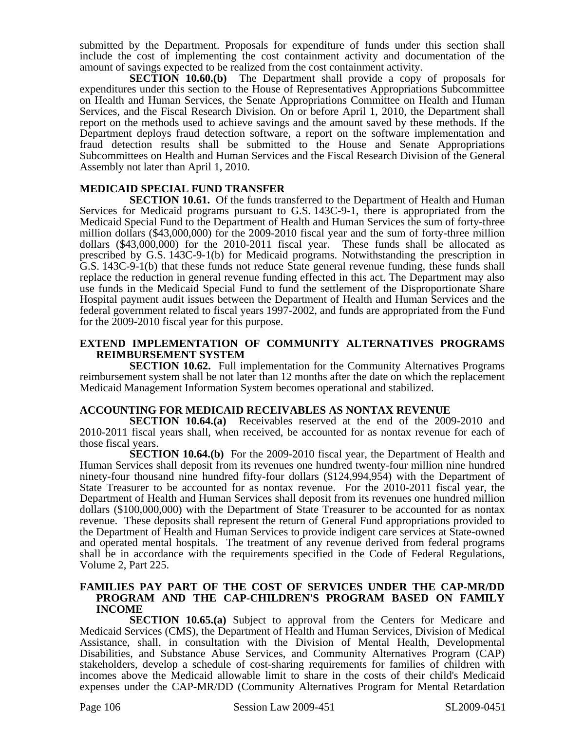submitted by the Department. Proposals for expenditure of funds under this section shall include the cost of implementing the cost containment activity and documentation of the amount of savings expected to be realized from the cost containment activity.

**SECTION 10.60.(b)** The Department shall provide a copy of proposals for expenditures under this section to the House of Representatives Appropriations Subcommittee on Health and Human Services, the Senate Appropriations Committee on Health and Human Services, and the Fiscal Research Division. On or before April 1, 2010, the Department shall report on the methods used to achieve savings and the amount saved by these methods. If the Department deploys fraud detection software, a report on the software implementation and fraud detection results shall be submitted to the House and Senate Appropriations Subcommittees on Health and Human Services and the Fiscal Research Division of the General Assembly not later than April 1, 2010.

# **MEDICAID SPECIAL FUND TRANSFER**

**SECTION 10.61.** Of the funds transferred to the Department of Health and Human Services for Medicaid programs pursuant to G.S. 143C-9-1, there is appropriated from the Medicaid Special Fund to the Department of Health and Human Services the sum of forty-three million dollars (\$43,000,000) for the 2009-2010 fiscal year and the sum of forty-three million dollars (\$43,000,000) for the 2010-2011 fiscal year. These funds shall be allocated as prescribed by G.S. 143C-9-1(b) for Medicaid programs. Notwithstanding the prescription in G.S. 143C-9-1(b) that these funds not reduce State general revenue funding, these funds shall replace the reduction in general revenue funding effected in this act. The Department may also use funds in the Medicaid Special Fund to fund the settlement of the Disproportionate Share Hospital payment audit issues between the Department of Health and Human Services and the federal government related to fiscal years 1997-2002, and funds are appropriated from the Fund for the 2009-2010 fiscal year for this purpose.

## **EXTEND IMPLEMENTATION OF COMMUNITY ALTERNATIVES PROGRAMS REIMBURSEMENT SYSTEM**

**SECTION 10.62.** Full implementation for the Community Alternatives Programs reimbursement system shall be not later than 12 months after the date on which the replacement Medicaid Management Information System becomes operational and stabilized.

#### **ACCOUNTING FOR MEDICAID RECEIVABLES AS NONTAX REVENUE**

**SECTION 10.64.(a)** Receivables reserved at the end of the 2009-2010 and 2010-2011 fiscal years shall, when received, be accounted for as nontax revenue for each of those fiscal years.

**SECTION 10.64.(b)** For the 2009-2010 fiscal year, the Department of Health and Human Services shall deposit from its revenues one hundred twenty-four million nine hundred ninety-four thousand nine hundred fifty-four dollars (\$124,994,954) with the Department of State Treasurer to be accounted for as nontax revenue. For the 2010-2011 fiscal year, the Department of Health and Human Services shall deposit from its revenues one hundred million dollars (\$100,000,000) with the Department of State Treasurer to be accounted for as nontax revenue. These deposits shall represent the return of General Fund appropriations provided to the Department of Health and Human Services to provide indigent care services at State-owned and operated mental hospitals. The treatment of any revenue derived from federal programs shall be in accordance with the requirements specified in the Code of Federal Regulations, Volume 2, Part 225.

#### **FAMILIES PAY PART OF THE COST OF SERVICES UNDER THE CAP-MR/DD PROGRAM AND THE CAP-CHILDREN'S PROGRAM BASED ON FAMILY INCOME**

**SECTION 10.65.(a)** Subject to approval from the Centers for Medicare and Medicaid Services (CMS), the Department of Health and Human Services, Division of Medical Assistance, shall, in consultation with the Division of Mental Health, Developmental Disabilities, and Substance Abuse Services, and Community Alternatives Program (CAP) stakeholders, develop a schedule of cost-sharing requirements for families of children with incomes above the Medicaid allowable limit to share in the costs of their child's Medicaid expenses under the CAP-MR/DD (Community Alternatives Program for Mental Retardation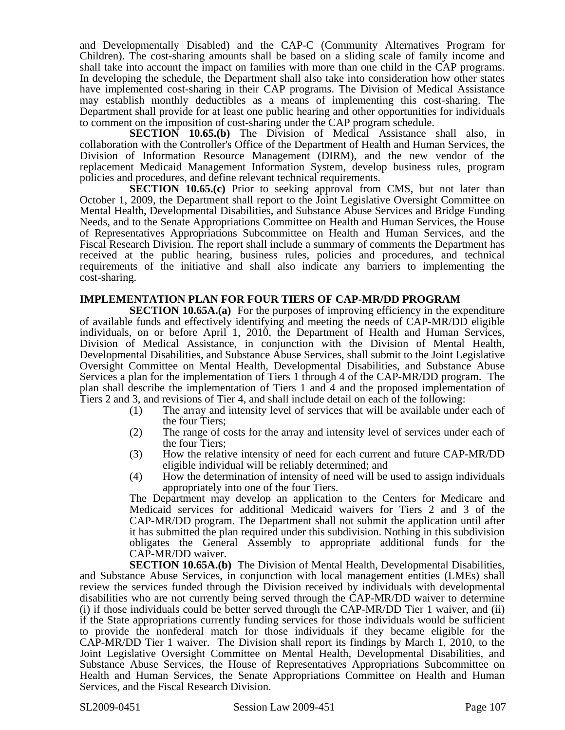and Developmentally Disabled) and the CAP-C (Community Alternatives Program for Children). The cost-sharing amounts shall be based on a sliding scale of family income and shall take into account the impact on families with more than one child in the CAP programs. In developing the schedule, the Department shall also take into consideration how other states have implemented cost-sharing in their CAP programs. The Division of Medical Assistance may establish monthly deductibles as a means of implementing this cost-sharing. The Department shall provide for at least one public hearing and other opportunities for individuals to comment on the imposition of cost-sharing under the CAP program schedule.

**SECTION 10.65.(b)** The Division of Medical Assistance shall also, in collaboration with the Controller's Office of the Department of Health and Human Services, the Division of Information Resource Management (DIRM), and the new vendor of the replacement Medicaid Management Information System, develop business rules, program policies and procedures, and define relevant technical requirements.

**SECTION 10.65.(c)** Prior to seeking approval from CMS, but not later than October 1, 2009, the Department shall report to the Joint Legislative Oversight Committee on Mental Health, Developmental Disabilities, and Substance Abuse Services and Bridge Funding Needs, and to the Senate Appropriations Committee on Health and Human Services, the House of Representatives Appropriations Subcommittee on Health and Human Services, and the Fiscal Research Division. The report shall include a summary of comments the Department has received at the public hearing, business rules, policies and procedures, and technical requirements of the initiative and shall also indicate any barriers to implementing the cost-sharing.

# **IMPLEMENTATION PLAN FOR FOUR TIERS OF CAP-MR/DD PROGRAM**

**SECTION 10.65A.(a)** For the purposes of improving efficiency in the expenditure of available funds and effectively identifying and meeting the needs of CAP-MR/DD eligible individuals, on or before April 1, 2010, the Department of Health and Human Services, Division of Medical Assistance, in conjunction with the Division of Mental Health, Developmental Disabilities, and Substance Abuse Services, shall submit to the Joint Legislative Oversight Committee on Mental Health, Developmental Disabilities, and Substance Abuse Services a plan for the implementation of Tiers 1 through 4 of the CAP-MR/DD program. The plan shall describe the implementation of Tiers 1 and 4 and the proposed implementation of Tiers 2 and 3, and revisions of Tier 4, and shall include detail on each of the following:

- (1) The array and intensity level of services that will be available under each of the four Tiers;
- (2) The range of costs for the array and intensity level of services under each of the four Tiers;
- (3) How the relative intensity of need for each current and future CAP-MR/DD eligible individual will be reliably determined; and
- (4) How the determination of intensity of need will be used to assign individuals appropriately into one of the four Tiers.

The Department may develop an application to the Centers for Medicare and Medicaid services for additional Medicaid waivers for Tiers 2 and 3 of the CAP-MR/DD program. The Department shall not submit the application until after it has submitted the plan required under this subdivision. Nothing in this subdivision obligates the General Assembly to appropriate additional funds for the CAP-MR/DD waiver.

**SECTION 10.65A.(b)** The Division of Mental Health, Developmental Disabilities, and Substance Abuse Services, in conjunction with local management entities (LMEs) shall review the services funded through the Division received by individuals with developmental disabilities who are not currently being served through the CAP-MR/DD waiver to determine (i) if those individuals could be better served through the CAP-MR/DD Tier 1 waiver, and (ii) if the State appropriations currently funding services for those individuals would be sufficient to provide the nonfederal match for those individuals if they became eligible for the CAP-MR/DD Tier 1 waiver. The Division shall report its findings by March 1, 2010, to the Joint Legislative Oversight Committee on Mental Health, Developmental Disabilities, and Substance Abuse Services, the House of Representatives Appropriations Subcommittee on Health and Human Services, the Senate Appropriations Committee on Health and Human Services, and the Fiscal Research Division.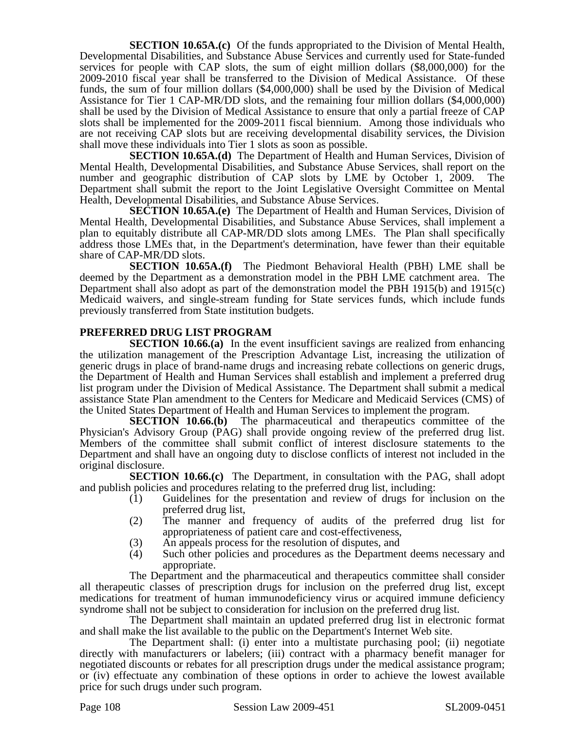**SECTION 10.65A.(c)** Of the funds appropriated to the Division of Mental Health, Developmental Disabilities, and Substance Abuse Services and currently used for State-funded services for people with CAP slots, the sum of eight million dollars (\$8,000,000) for the 2009-2010 fiscal year shall be transferred to the Division of Medical Assistance. Of these funds, the sum of four million dollars (\$4,000,000) shall be used by the Division of Medical Assistance for Tier 1 CAP-MR/DD slots, and the remaining four million dollars (\$4,000,000) shall be used by the Division of Medical Assistance to ensure that only a partial freeze of CAP slots shall be implemented for the 2009-2011 fiscal biennium. Among those individuals who are not receiving CAP slots but are receiving developmental disability services, the Division shall move these individuals into Tier 1 slots as soon as possible.

**SECTION 10.65A.(d)** The Department of Health and Human Services, Division of Mental Health, Developmental Disabilities, and Substance Abuse Services, shall report on the number and geographic distribution of CAP slots by LME by October 1, 2009. The Department shall submit the report to the Joint Legislative Oversight Committee on Mental Health, Developmental Disabilities, and Substance Abuse Services.

**SECTION 10.65A.(e)** The Department of Health and Human Services, Division of Mental Health, Developmental Disabilities, and Substance Abuse Services, shall implement a plan to equitably distribute all CAP-MR/DD slots among LMEs. The Plan shall specifically address those LMEs that, in the Department's determination, have fewer than their equitable share of CAP-MR/DD slots.

**SECTION 10.65A.(f)** The Piedmont Behavioral Health (PBH) LME shall be deemed by the Department as a demonstration model in the PBH LME catchment area. The Department shall also adopt as part of the demonstration model the PBH 1915(b) and 1915(c) Medicaid waivers, and single-stream funding for State services funds, which include funds previously transferred from State institution budgets.

# **PREFERRED DRUG LIST PROGRAM**

**SECTION 10.66.(a)** In the event insufficient savings are realized from enhancing the utilization management of the Prescription Advantage List, increasing the utilization of generic drugs in place of brand-name drugs and increasing rebate collections on generic drugs, the Department of Health and Human Services shall establish and implement a preferred drug list program under the Division of Medical Assistance. The Department shall submit a medical assistance State Plan amendment to the Centers for Medicare and Medicaid Services (CMS) of the United States Department of Health and Human Services to implement the program.

**SECTION 10.66.(b)** The pharmaceutical and therapeutics committee of the Physician's Advisory Group (PAG) shall provide ongoing review of the preferred drug list. Members of the committee shall submit conflict of interest disclosure statements to the Department and shall have an ongoing duty to disclose conflicts of interest not included in the original disclosure.

**SECTION 10.66.(c)** The Department, in consultation with the PAG, shall adopt and publish policies and procedures relating to the preferred drug list, including:

- (1) Guidelines for the presentation and review of drugs for inclusion on the preferred drug list,
- (2) The manner and frequency of audits of the preferred drug list for appropriateness of patient care and cost-effectiveness,
- (3) An appeals process for the resolution of disputes, and<br>
(4) Such other policies and procedures as the Departmen
- Such other policies and procedures as the Department deems necessary and appropriate.

The Department and the pharmaceutical and therapeutics committee shall consider all therapeutic classes of prescription drugs for inclusion on the preferred drug list, except medications for treatment of human immunodeficiency virus or acquired immune deficiency syndrome shall not be subject to consideration for inclusion on the preferred drug list.

The Department shall maintain an updated preferred drug list in electronic format and shall make the list available to the public on the Department's Internet Web site.

The Department shall: (i) enter into a multistate purchasing pool; (ii) negotiate directly with manufacturers or labelers; (iii) contract with a pharmacy benefit manager for negotiated discounts or rebates for all prescription drugs under the medical assistance program; or (iv) effectuate any combination of these options in order to achieve the lowest available price for such drugs under such program.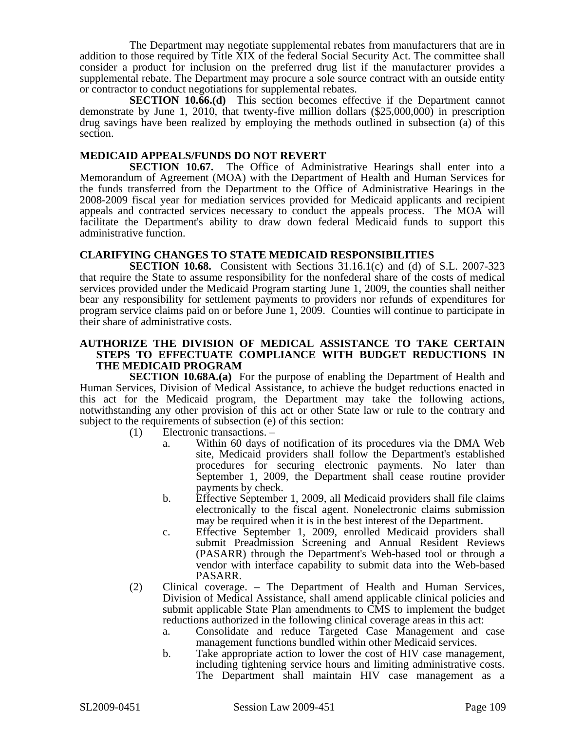The Department may negotiate supplemental rebates from manufacturers that are in addition to those required by Title XIX of the federal Social Security Act. The committee shall consider a product for inclusion on the preferred drug list if the manufacturer provides a supplemental rebate. The Department may procure a sole source contract with an outside entity or contractor to conduct negotiations for supplemental rebates.

**SECTION 10.66.(d)** This section becomes effective if the Department cannot demonstrate by June 1, 2010, that twenty-five million dollars (\$25,000,000) in prescription drug savings have been realized by employing the methods outlined in subsection (a) of this section.

#### **MEDICAID APPEALS/FUNDS DO NOT REVERT**

**SECTION 10.67.** The Office of Administrative Hearings shall enter into a Memorandum of Agreement (MOA) with the Department of Health and Human Services for the funds transferred from the Department to the Office of Administrative Hearings in the 2008-2009 fiscal year for mediation services provided for Medicaid applicants and recipient appeals and contracted services necessary to conduct the appeals process. The MOA will facilitate the Department's ability to draw down federal Medicaid funds to support this administrative function.

#### **CLARIFYING CHANGES TO STATE MEDICAID RESPONSIBILITIES**

**SECTION 10.68.** Consistent with Sections 31.16.1(c) and (d) of S.L. 2007-323 that require the State to assume responsibility for the nonfederal share of the costs of medical services provided under the Medicaid Program starting June 1, 2009, the counties shall neither bear any responsibility for settlement payments to providers nor refunds of expenditures for program service claims paid on or before June 1, 2009. Counties will continue to participate in their share of administrative costs.

#### **AUTHORIZE THE DIVISION OF MEDICAL ASSISTANCE TO TAKE CERTAIN STEPS TO EFFECTUATE COMPLIANCE WITH BUDGET REDUCTIONS IN THE MEDICAID PROGRAM**

**SECTION 10.68A.(a)** For the purpose of enabling the Department of Health and Human Services, Division of Medical Assistance, to achieve the budget reductions enacted in this act for the Medicaid program, the Department may take the following actions, notwithstanding any other provision of this act or other State law or rule to the contrary and subject to the requirements of subsection (e) of this section:

- (1) Electronic transactions.
	- a. Within 60 days of notification of its procedures via the DMA Web site, Medicaid providers shall follow the Department's established procedures for securing electronic payments. No later than September 1, 2009, the Department shall cease routine provider payments by check.
	- b. Effective September 1, 2009, all Medicaid providers shall file claims electronically to the fiscal agent. Nonelectronic claims submission may be required when it is in the best interest of the Department.
	- c. Effective September 1, 2009, enrolled Medicaid providers shall submit Preadmission Screening and Annual Resident Reviews (PASARR) through the Department's Web-based tool or through a vendor with interface capability to submit data into the Web-based PASARR.
- (2) Clinical coverage. The Department of Health and Human Services, Division of Medical Assistance, shall amend applicable clinical policies and submit applicable State Plan amendments to CMS to implement the budget reductions authorized in the following clinical coverage areas in this act:
	- a. Consolidate and reduce Targeted Case Management and case management functions bundled within other Medicaid services.
	- b. Take appropriate action to lower the cost of HIV case management, including tightening service hours and limiting administrative costs. The Department shall maintain HIV case management as a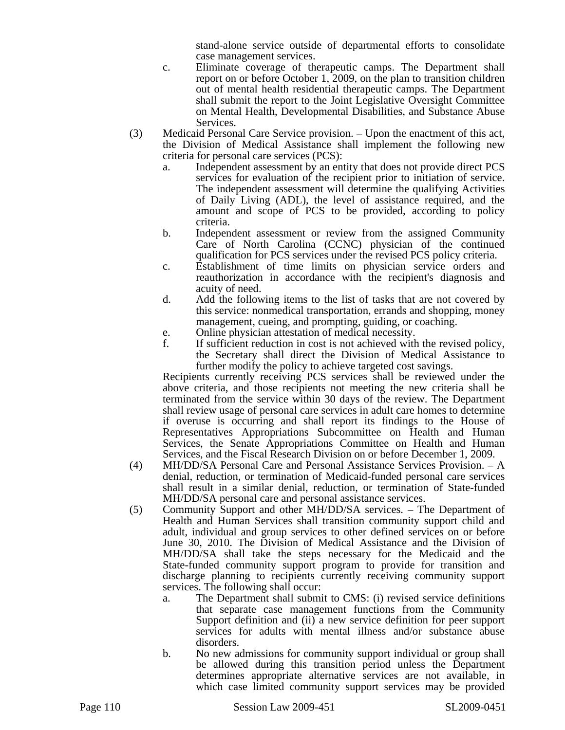stand-alone service outside of departmental efforts to consolidate case management services.

- c. Eliminate coverage of therapeutic camps. The Department shall report on or before October 1, 2009, on the plan to transition children out of mental health residential therapeutic camps. The Department shall submit the report to the Joint Legislative Oversight Committee on Mental Health, Developmental Disabilities, and Substance Abuse Services.
- (3) Medicaid Personal Care Service provision. Upon the enactment of this act, the Division of Medical Assistance shall implement the following new criteria for personal care services (PCS):
	- a. Independent assessment by an entity that does not provide direct PCS services for evaluation of the recipient prior to initiation of service. The independent assessment will determine the qualifying Activities of Daily Living (ADL), the level of assistance required, and the amount and scope of PCS to be provided, according to policy criteria.
	- b. Independent assessment or review from the assigned Community Care of North Carolina (CCNC) physician of the continued qualification for PCS services under the revised PCS policy criteria.
	- c. Establishment of time limits on physician service orders and reauthorization in accordance with the recipient's diagnosis and acuity of need.
	- d. Add the following items to the list of tasks that are not covered by this service: nonmedical transportation, errands and shopping, money management, cueing, and prompting, guiding, or coaching.
	- e. Online physician attestation of medical necessity.
	- f. If sufficient reduction in cost is not achieved with the revised policy, the Secretary shall direct the Division of Medical Assistance to further modify the policy to achieve targeted cost savings.

Recipients currently receiving PCS services shall be reviewed under the above criteria, and those recipients not meeting the new criteria shall be terminated from the service within 30 days of the review. The Department shall review usage of personal care services in adult care homes to determine if overuse is occurring and shall report its findings to the House of Representatives Appropriations Subcommittee on Health and Human Services, the Senate Appropriations Committee on Health and Human Services, and the Fiscal Research Division on or before December 1, 2009.

- (4) MH/DD/SA Personal Care and Personal Assistance Services Provision. A denial, reduction, or termination of Medicaid-funded personal care services shall result in a similar denial, reduction, or termination of State-funded MH/DD/SA personal care and personal assistance services.
- (5) Community Support and other MH/DD/SA services. The Department of Health and Human Services shall transition community support child and adult, individual and group services to other defined services on or before June 30, 2010. The Division of Medical Assistance and the Division of MH/DD/SA shall take the steps necessary for the Medicaid and the State-funded community support program to provide for transition and discharge planning to recipients currently receiving community support services. The following shall occur:
	- a. The Department shall submit to CMS: (i) revised service definitions that separate case management functions from the Community Support definition and (ii) a new service definition for peer support services for adults with mental illness and/or substance abuse disorders.
	- b. No new admissions for community support individual or group shall be allowed during this transition period unless the Department determines appropriate alternative services are not available, in which case limited community support services may be provided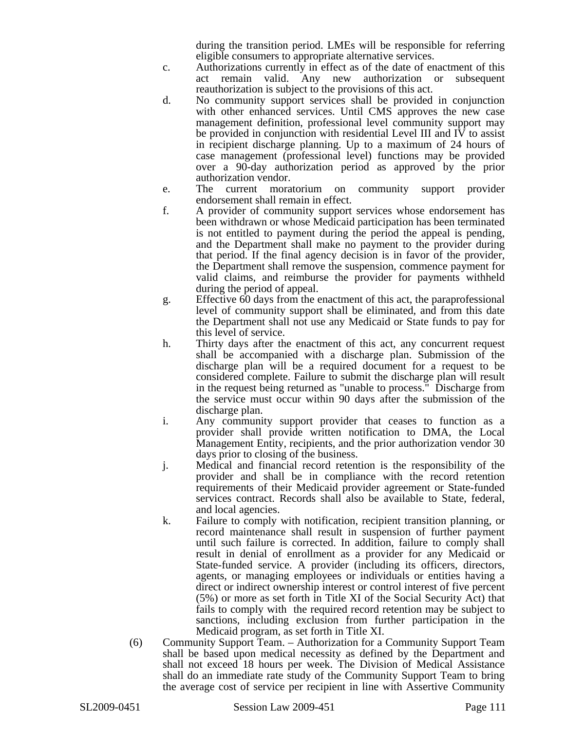during the transition period. LMEs will be responsible for referring eligible consumers to appropriate alternative services.

- c. Authorizations currently in effect as of the date of enactment of this act remain valid. Any new authorization or subsequent reauthorization is subject to the provisions of this act.
- d. No community support services shall be provided in conjunction with other enhanced services. Until CMS approves the new case management definition, professional level community support may be provided in conjunction with residential Level III and IV to assist in recipient discharge planning. Up to a maximum of 24 hours of case management (professional level) functions may be provided over a 90-day authorization period as approved by the prior authorization vendor.
- e. The current moratorium on community support provider endorsement shall remain in effect.
- f. A provider of community support services whose endorsement has been withdrawn or whose Medicaid participation has been terminated is not entitled to payment during the period the appeal is pending, and the Department shall make no payment to the provider during that period. If the final agency decision is in favor of the provider, the Department shall remove the suspension, commence payment for valid claims, and reimburse the provider for payments withheld during the period of appeal.
- g. Effective 60 days from the enactment of this act, the paraprofessional level of community support shall be eliminated, and from this date the Department shall not use any Medicaid or State funds to pay for this level of service.
- h. Thirty days after the enactment of this act, any concurrent request shall be accompanied with a discharge plan. Submission of the discharge plan will be a required document for a request to be considered complete. Failure to submit the discharge plan will result in the request being returned as "unable to process." Discharge from the service must occur within 90 days after the submission of the discharge plan.
- i. Any community support provider that ceases to function as a provider shall provide written notification to DMA, the Local Management Entity, recipients, and the prior authorization vendor 30 days prior to closing of the business.
- j. Medical and financial record retention is the responsibility of the provider and shall be in compliance with the record retention requirements of their Medicaid provider agreement or State-funded services contract. Records shall also be available to State, federal, and local agencies.
- k. Failure to comply with notification, recipient transition planning, or record maintenance shall result in suspension of further payment until such failure is corrected. In addition, failure to comply shall result in denial of enrollment as a provider for any Medicaid or State-funded service. A provider (including its officers, directors, agents, or managing employees or individuals or entities having a direct or indirect ownership interest or control interest of five percent (5%) or more as set forth in Title XI of the Social Security Act) that fails to comply with the required record retention may be subject to sanctions, including exclusion from further participation in the Medicaid program, as set forth in Title XI.
- (6) Community Support Team. Authorization for a Community Support Team shall be based upon medical necessity as defined by the Department and shall not exceed 18 hours per week. The Division of Medical Assistance shall do an immediate rate study of the Community Support Team to bring the average cost of service per recipient in line with Assertive Community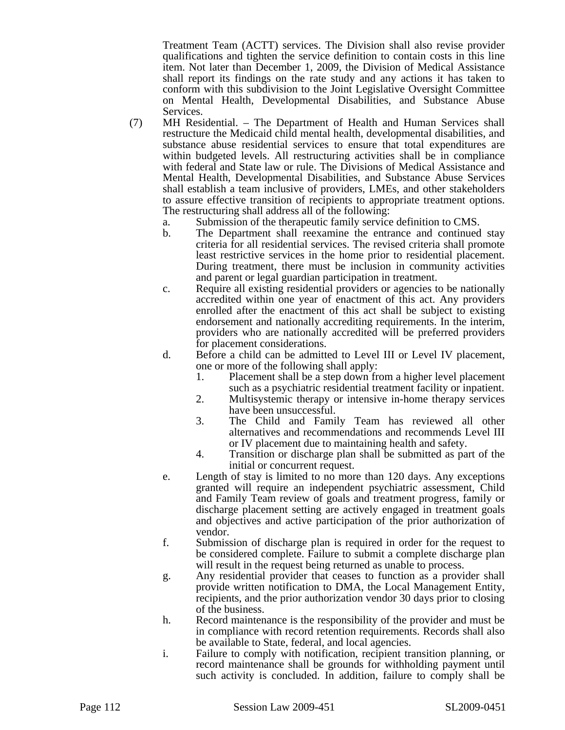Treatment Team (ACTT) services. The Division shall also revise provider qualifications and tighten the service definition to contain costs in this line item. Not later than December 1, 2009, the Division of Medical Assistance shall report its findings on the rate study and any actions it has taken to conform with this subdivision to the Joint Legislative Oversight Committee on Mental Health, Developmental Disabilities, and Substance Abuse Services.

- (7) MH Residential. The Department of Health and Human Services shall restructure the Medicaid child mental health, developmental disabilities, and substance abuse residential services to ensure that total expenditures are within budgeted levels. All restructuring activities shall be in compliance with federal and State law or rule. The Divisions of Medical Assistance and Mental Health, Developmental Disabilities, and Substance Abuse Services shall establish a team inclusive of providers, LMEs, and other stakeholders to assure effective transition of recipients to appropriate treatment options. The restructuring shall address all of the following:
	- a. Submission of the therapeutic family service definition to CMS.
	- b. The Department shall reexamine the entrance and continued stay criteria for all residential services. The revised criteria shall promote least restrictive services in the home prior to residential placement. During treatment, there must be inclusion in community activities and parent or legal guardian participation in treatment.
	- c. Require all existing residential providers or agencies to be nationally accredited within one year of enactment of this act. Any providers enrolled after the enactment of this act shall be subject to existing endorsement and nationally accrediting requirements. In the interim, providers who are nationally accredited will be preferred providers for placement considerations.
	- d. Before a child can be admitted to Level III or Level IV placement, one or more of the following shall apply:
		- 1. Placement shall be a step down from a higher level placement such as a psychiatric residential treatment facility or inpatient.
		- 2. Multisystemic therapy or intensive in-home therapy services have been unsuccessful.
		- 3. The Child and Family Team has reviewed all other alternatives and recommendations and recommends Level III or IV placement due to maintaining health and safety.
		- 4. Transition or discharge plan shall be submitted as part of the initial or concurrent request.
	- e. Length of stay is limited to no more than 120 days. Any exceptions granted will require an independent psychiatric assessment, Child and Family Team review of goals and treatment progress, family or discharge placement setting are actively engaged in treatment goals and objectives and active participation of the prior authorization of vendor.
	- f. Submission of discharge plan is required in order for the request to be considered complete. Failure to submit a complete discharge plan will result in the request being returned as unable to process.
	- g. Any residential provider that ceases to function as a provider shall provide written notification to DMA, the Local Management Entity, recipients, and the prior authorization vendor 30 days prior to closing of the business.
	- h. Record maintenance is the responsibility of the provider and must be in compliance with record retention requirements. Records shall also be available to State, federal, and local agencies.
	- i. Failure to comply with notification, recipient transition planning, or record maintenance shall be grounds for withholding payment until such activity is concluded. In addition, failure to comply shall be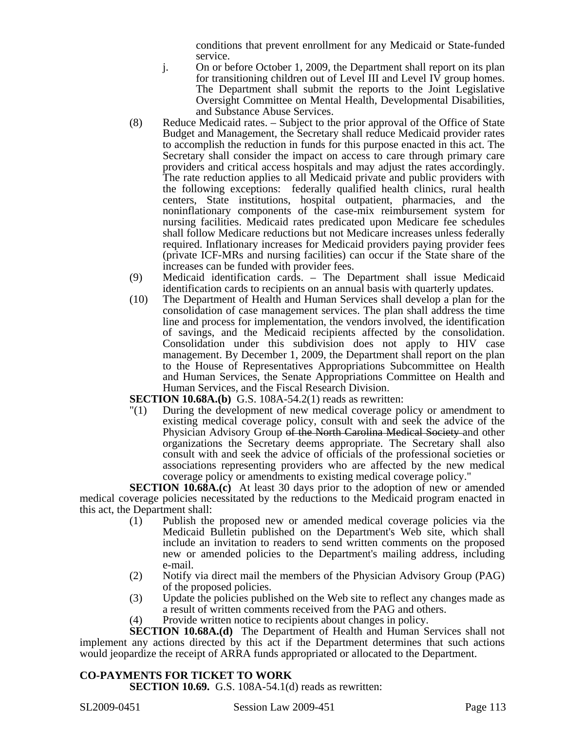conditions that prevent enrollment for any Medicaid or State-funded service.

- j. On or before October 1, 2009, the Department shall report on its plan for transitioning children out of Level III and Level IV group homes. The Department shall submit the reports to the Joint Legislative Oversight Committee on Mental Health, Developmental Disabilities, and Substance Abuse Services.
- (8) Reduce Medicaid rates. Subject to the prior approval of the Office of State Budget and Management, the Secretary shall reduce Medicaid provider rates to accomplish the reduction in funds for this purpose enacted in this act. The Secretary shall consider the impact on access to care through primary care providers and critical access hospitals and may adjust the rates accordingly. The rate reduction applies to all Medicaid private and public providers with the following exceptions: federally qualified health clinics, rural health centers, State institutions, hospital outpatient, pharmacies, and the noninflationary components of the case-mix reimbursement system for nursing facilities. Medicaid rates predicated upon Medicare fee schedules shall follow Medicare reductions but not Medicare increases unless federally required. Inflationary increases for Medicaid providers paying provider fees (private ICF-MRs and nursing facilities) can occur if the State share of the increases can be funded with provider fees.
- (9) Medicaid identification cards. The Department shall issue Medicaid identification cards to recipients on an annual basis with quarterly updates.
- (10) The Department of Health and Human Services shall develop a plan for the consolidation of case management services. The plan shall address the time line and process for implementation, the vendors involved, the identification of savings, and the Medicaid recipients affected by the consolidation. Consolidation under this subdivision does not apply to HIV case management. By December 1, 2009, the Department shall report on the plan to the House of Representatives Appropriations Subcommittee on Health and Human Services, the Senate Appropriations Committee on Health and Human Services, and the Fiscal Research Division.

**SECTION 10.68A.(b)** G.S. 108A-54.2(1) reads as rewritten:

"(1) During the development of new medical coverage policy or amendment to existing medical coverage policy, consult with and seek the advice of the Physician Advisory Group of the North Carolina Medical Society and other organizations the Secretary deems appropriate. The Secretary shall also consult with and seek the advice of officials of the professional societies or associations representing providers who are affected by the new medical coverage policy or amendments to existing medical coverage policy."

**SECTION 10.68A.(c)** At least 30 days prior to the adoption of new or amended medical coverage policies necessitated by the reductions to the Medicaid program enacted in this act, the Department shall:

- (1) Publish the proposed new or amended medical coverage policies via the Medicaid Bulletin published on the Department's Web site, which shall include an invitation to readers to send written comments on the proposed new or amended policies to the Department's mailing address, including e-mail.
- (2) Notify via direct mail the members of the Physician Advisory Group (PAG) of the proposed policies.
- (3) Update the policies published on the Web site to reflect any changes made as a result of written comments received from the PAG and others.
- (4) Provide written notice to recipients about changes in policy.

**SECTION 10.68A.(d)** The Department of Health and Human Services shall not implement any actions directed by this act if the Department determines that such actions would jeopardize the receipt of ARRA funds appropriated or allocated to the Department.

## **CO-PAYMENTS FOR TICKET TO WORK**

**SECTION 10.69.** G.S. 108A-54.1(d) reads as rewritten: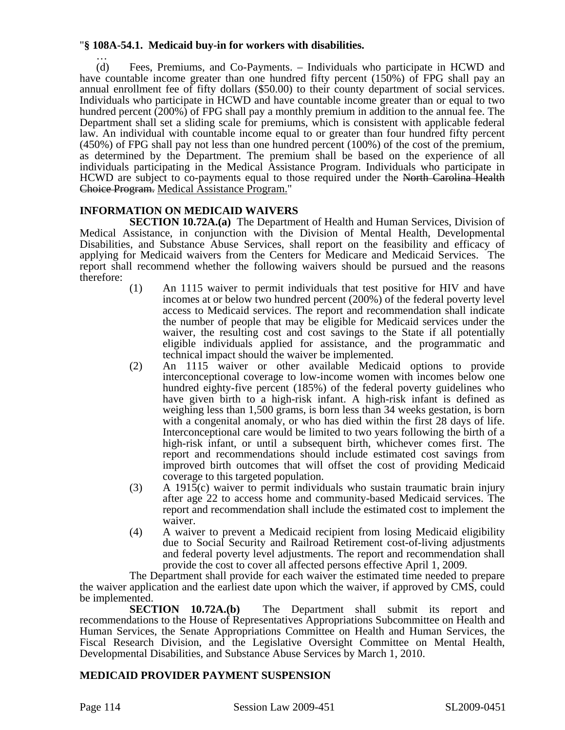#### "**§ 108A-54.1. Medicaid buy-in for workers with disabilities.**

… (d) Fees, Premiums, and Co-Payments. – Individuals who participate in HCWD and have countable income greater than one hundred fifty percent (150%) of FPG shall pay an annual enrollment fee of fifty dollars (\$50.00) to their county department of social services. Individuals who participate in HCWD and have countable income greater than or equal to two hundred percent (200%) of FPG shall pay a monthly premium in addition to the annual fee. The Department shall set a sliding scale for premiums, which is consistent with applicable federal law. An individual with countable income equal to or greater than four hundred fifty percent (450%) of FPG shall pay not less than one hundred percent (100%) of the cost of the premium, as determined by the Department. The premium shall be based on the experience of all individuals participating in the Medical Assistance Program. Individuals who participate in HCWD are subject to co-payments equal to those required under the North Carolina Health Choice Program. Medical Assistance Program."

# **INFORMATION ON MEDICAID WAIVERS**

**SECTION 10.72A.(a)** The Department of Health and Human Services, Division of Medical Assistance, in conjunction with the Division of Mental Health, Developmental Disabilities, and Substance Abuse Services, shall report on the feasibility and efficacy of applying for Medicaid waivers from the Centers for Medicare and Medicaid Services. The report shall recommend whether the following waivers should be pursued and the reasons therefore:

- (1) An 1115 waiver to permit individuals that test positive for HIV and have incomes at or below two hundred percent (200%) of the federal poverty level access to Medicaid services. The report and recommendation shall indicate the number of people that may be eligible for Medicaid services under the waiver, the resulting cost and cost savings to the State if all potentially eligible individuals applied for assistance, and the programmatic and technical impact should the waiver be implemented.
- (2) An 1115 waiver or other available Medicaid options to provide interconceptional coverage to low-income women with incomes below one hundred eighty-five percent (185%) of the federal poverty guidelines who have given birth to a high-risk infant. A high-risk infant is defined as weighing less than 1,500 grams, is born less than 34 weeks gestation, is born with a congenital anomaly, or who has died within the first 28 days of life. Interconceptional care would be limited to two years following the birth of a high-risk infant, or until a subsequent birth, whichever comes first. The report and recommendations should include estimated cost savings from improved birth outcomes that will offset the cost of providing Medicaid coverage to this targeted population.
- (3) A 1915(c) waiver to permit individuals who sustain traumatic brain injury after age 22 to access home and community-based Medicaid services. The report and recommendation shall include the estimated cost to implement the waiver.
- (4) A waiver to prevent a Medicaid recipient from losing Medicaid eligibility due to Social Security and Railroad Retirement cost-of-living adjustments and federal poverty level adjustments. The report and recommendation shall provide the cost to cover all affected persons effective April 1, 2009.

The Department shall provide for each waiver the estimated time needed to prepare the waiver application and the earliest date upon which the waiver, if approved by CMS, could be implemented.

**SECTION 10.72A.(b)** The Department shall submit its report and recommendations to the House of Representatives Appropriations Subcommittee on Health and Human Services, the Senate Appropriations Committee on Health and Human Services, the Fiscal Research Division, and the Legislative Oversight Committee on Mental Health, Developmental Disabilities, and Substance Abuse Services by March 1, 2010.

#### **MEDICAID PROVIDER PAYMENT SUSPENSION**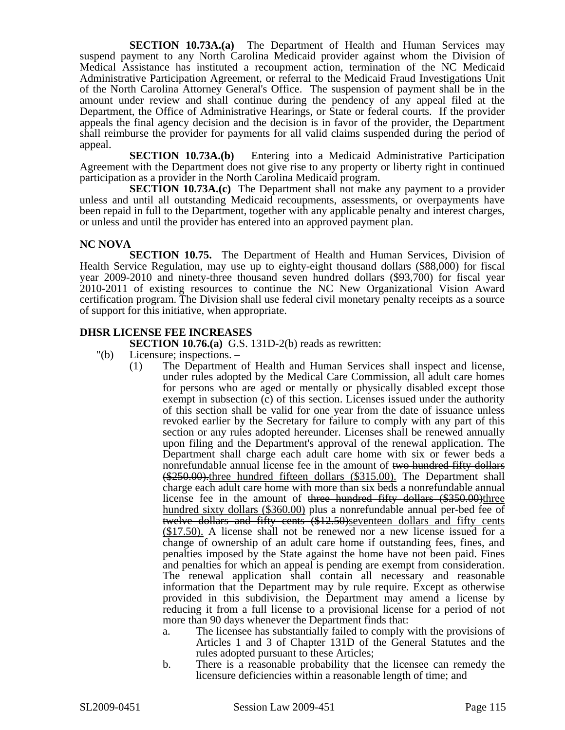**SECTION 10.73A.(a)** The Department of Health and Human Services may suspend payment to any North Carolina Medicaid provider against whom the Division of Medical Assistance has instituted a recoupment action, termination of the NC Medicaid Administrative Participation Agreement, or referral to the Medicaid Fraud Investigations Unit of the North Carolina Attorney General's Office. The suspension of payment shall be in the amount under review and shall continue during the pendency of any appeal filed at the Department, the Office of Administrative Hearings, or State or federal courts. If the provider appeals the final agency decision and the decision is in favor of the provider, the Department shall reimburse the provider for payments for all valid claims suspended during the period of appeal.

**SECTION 10.73A.(b)** Entering into a Medicaid Administrative Participation Agreement with the Department does not give rise to any property or liberty right in continued participation as a provider in the North Carolina Medicaid program.

**SECTION 10.73A.(c)** The Department shall not make any payment to a provider unless and until all outstanding Medicaid recoupments, assessments, or overpayments have been repaid in full to the Department, together with any applicable penalty and interest charges, or unless and until the provider has entered into an approved payment plan.

#### **NC NOVA**

**SECTION 10.75.** The Department of Health and Human Services, Division of Health Service Regulation, may use up to eighty-eight thousand dollars (\$88,000) for fiscal year 2009-2010 and ninety-three thousand seven hundred dollars (\$93,700) for fiscal year 2010-2011 of existing resources to continue the NC New Organizational Vision Award certification program. The Division shall use federal civil monetary penalty receipts as a source of support for this initiative, when appropriate.

#### **DHSR LICENSE FEE INCREASES**

**SECTION 10.76.(a)** G.S. 131D-2(b) reads as rewritten:

- "(b) Licensure; inspections.
	- (1) The Department of Health and Human Services shall inspect and license, under rules adopted by the Medical Care Commission, all adult care homes for persons who are aged or mentally or physically disabled except those exempt in subsection (c) of this section. Licenses issued under the authority of this section shall be valid for one year from the date of issuance unless revoked earlier by the Secretary for failure to comply with any part of this section or any rules adopted hereunder. Licenses shall be renewed annually upon filing and the Department's approval of the renewal application. The Department shall charge each adult care home with six or fewer beds a nonrefundable annual license fee in the amount of two hundred fifty dollars (\$250.00).three hundred fifteen dollars (\$315.00). The Department shall charge each adult care home with more than six beds a nonrefundable annual license fee in the amount of three hundred fifty dollars (\$350.00)three hundred sixty dollars (\$360.00) plus a nonrefundable annual per-bed fee of twelve dollars and fifty cents (\$12.50)seventeen dollars and fifty cents (\$17.50). A license shall not be renewed nor a new license issued for a change of ownership of an adult care home if outstanding fees, fines, and penalties imposed by the State against the home have not been paid. Fines and penalties for which an appeal is pending are exempt from consideration. The renewal application shall contain all necessary and reasonable information that the Department may by rule require. Except as otherwise provided in this subdivision, the Department may amend a license by reducing it from a full license to a provisional license for a period of not more than 90 days whenever the Department finds that:
		- a. The licensee has substantially failed to comply with the provisions of Articles 1 and 3 of Chapter 131D of the General Statutes and the rules adopted pursuant to these Articles;
		- b. There is a reasonable probability that the licensee can remedy the licensure deficiencies within a reasonable length of time; and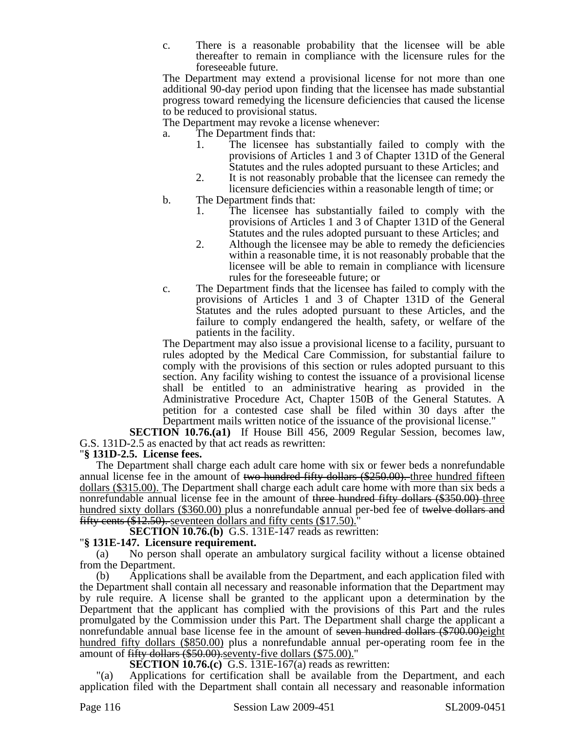c. There is a reasonable probability that the licensee will be able thereafter to remain in compliance with the licensure rules for the foreseeable future.

The Department may extend a provisional license for not more than one additional 90-day period upon finding that the licensee has made substantial progress toward remedying the licensure deficiencies that caused the license to be reduced to provisional status.

The Department may revoke a license whenever:

- a. The Department finds that:
	- 1. The licensee has substantially failed to comply with the provisions of Articles 1 and 3 of Chapter 131D of the General Statutes and the rules adopted pursuant to these Articles; and
	- 2. It is not reasonably probable that the licensee can remedy the licensure deficiencies within a reasonable length of time; or
- b. The Department finds that:
	- 1. The licensee has substantially failed to comply with the provisions of Articles 1 and 3 of Chapter 131D of the General Statutes and the rules adopted pursuant to these Articles; and
	- 2. Although the licensee may be able to remedy the deficiencies within a reasonable time, it is not reasonably probable that the licensee will be able to remain in compliance with licensure rules for the foreseeable future; or
- c. The Department finds that the licensee has failed to comply with the provisions of Articles 1 and 3 of Chapter 131D of the General Statutes and the rules adopted pursuant to these Articles, and the failure to comply endangered the health, safety, or welfare of the patients in the facility.

The Department may also issue a provisional license to a facility, pursuant to rules adopted by the Medical Care Commission, for substantial failure to comply with the provisions of this section or rules adopted pursuant to this section. Any facility wishing to contest the issuance of a provisional license shall be entitled to an administrative hearing as provided in the Administrative Procedure Act, Chapter 150B of the General Statutes. A petition for a contested case shall be filed within 30 days after the Department mails written notice of the issuance of the provisional license."

**SECTION 10.76.(a1)** If House Bill 456, 2009 Regular Session, becomes law, G.S. 131D-2.5 as enacted by that act reads as rewritten: "**§ 131D-2.5. License fees.** 

The Department shall charge each adult care home with six or fewer beds a nonrefundable annual license fee in the amount of two hundred fifty dollars (\$250.00). three hundred fifteen dollars (\$315.00). The Department shall charge each adult care home with more than six beds a nonrefundable annual license fee in the amount of three hundred fifty dollars (\$350.00) three hundred sixty dollars (\$360.00) plus a nonrefundable annual per-bed fee of twelve dollars and fifty cents  $(\$12.50)$ . seventeen dollars and fifty cents  $(\$17.50)$ .

**SECTION 10.76.(b)** G.S. 131E-147 reads as rewritten:

#### "**§ 131E-147. Licensure requirement.**

(a) No person shall operate an ambulatory surgical facility without a license obtained from the Department.

(b) Applications shall be available from the Department, and each application filed with the Department shall contain all necessary and reasonable information that the Department may by rule require. A license shall be granted to the applicant upon a determination by the Department that the applicant has complied with the provisions of this Part and the rules promulgated by the Commission under this Part. The Department shall charge the applicant a nonrefundable annual base license fee in the amount of seven hundred dollars (\$700.00)eight hundred fifty dollars (\$850.00) plus a nonrefundable annual per-operating room fee in the amount of fifty dollars (\$50.00).seventy-five dollars (\$75.00)."

**SECTION 10.76.(c)** G.S. 131E-167(a) reads as rewritten:

Applications for certification shall be available from the Department, and each application filed with the Department shall contain all necessary and reasonable information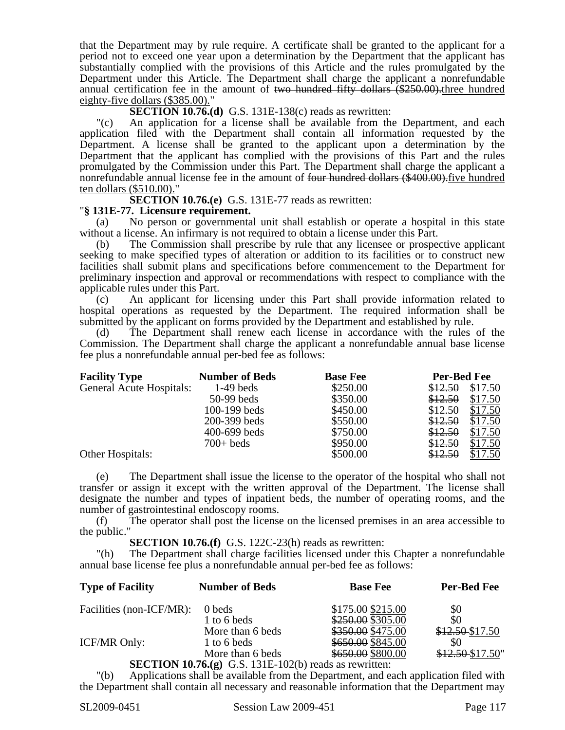that the Department may by rule require. A certificate shall be granted to the applicant for a period not to exceed one year upon a determination by the Department that the applicant has substantially complied with the provisions of this Article and the rules promulgated by the Department under this Article. The Department shall charge the applicant a nonrefundable annual certification fee in the amount of two hundred fifty dollars  $(*250.00)$ , three hundred eighty-five dollars (\$385.00)."

**SECTION 10.76.(d)** G.S. 131E-138(c) reads as rewritten:

"(c) An application for a license shall be available from the Department, and each application filed with the Department shall contain all information requested by the Department. A license shall be granted to the applicant upon a determination by the Department that the applicant has complied with the provisions of this Part and the rules promulgated by the Commission under this Part. The Department shall charge the applicant a nonrefundable annual license fee in the amount of four hundred dollars (\$400.00).five hundred ten dollars (\$510.00)."

**SECTION 10.76.(e)** G.S. 131E-77 reads as rewritten:

#### "**§ 131E-77. Licensure requirement.**

(a) No person or governmental unit shall establish or operate a hospital in this state without a license. An infirmary is not required to obtain a license under this Part.

(b) The Commission shall prescribe by rule that any licensee or prospective applicant seeking to make specified types of alteration or addition to its facilities or to construct new facilities shall submit plans and specifications before commencement to the Department for preliminary inspection and approval or recommendations with respect to compliance with the applicable rules under this Part.

(c) An applicant for licensing under this Part shall provide information related to hospital operations as requested by the Department. The required information shall be submitted by the applicant on forms provided by the Department and established by rule.

(d) The Department shall renew each license in accordance with the rules of the Commission. The Department shall charge the applicant a nonrefundable annual base license fee plus a nonrefundable annual per-bed fee as follows:

| <b>Facility Type</b>     | <b>Number of Beds</b> | <b>Base Fee</b> | <b>Per-Bed Fee</b> |
|--------------------------|-----------------------|-----------------|--------------------|
| General Acute Hospitals: | $1-49$ beds           | \$250.00        | \$12.50<br>\$17.50 |
|                          | $50-99$ beds          | \$350.00        | \$12.50<br>\$17.50 |
|                          | $100-199$ beds        | \$450.00        | \$12.50<br>\$17.50 |
|                          | 200-399 beds          | \$550.00        | \$12.50<br>\$17.50 |
|                          | $400-699$ beds        | \$750.00        | \$12.50<br>\$17.50 |
|                          | $700+$ beds           | \$950.00        | \$12.50<br>\$17.50 |
| Other Hospitals:         |                       | \$500.00        | \$12.50<br>\$17.50 |

(e) The Department shall issue the license to the operator of the hospital who shall not transfer or assign it except with the written approval of the Department. The license shall designate the number and types of inpatient beds, the number of operating rooms, and the number of gastrointestinal endoscopy rooms.

(f) The operator shall post the license on the licensed premises in an area accessible to the public."

**SECTION 10.76.(f)** G.S. 122C-23(h) reads as rewritten:

"(h) The Department shall charge facilities licensed under this Chapter a nonrefundable annual base license fee plus a nonrefundable annual per-bed fee as follows:

| <b>Type of Facility</b>  | <b>Number of Beds</b> | <b>Base Fee</b>   | <b>Per-Bed Fee</b> |
|--------------------------|-----------------------|-------------------|--------------------|
| Facilities (non-ICF/MR): | 0 beds                | \$175.00 \$215.00 | \$0                |
|                          | 1 to 6 beds           | \$250.00 \$305.00 | \$0                |
|                          | More than 6 beds      | \$350.00 \$475.00 | \$12.50 \$17.50    |
| <b>ICF/MR Only:</b>      | 1 to 6 beds           | \$650.00 \$845.00 | \$0                |
|                          | More than 6 beds      | \$650.00 \$800.00 | $$12.50$ \$17.50"  |

**SECTION 10.76.(g)** G.S. 131E-102(b) reads as rewritten:

Applications shall be available from the Department, and each application filed with the Department shall contain all necessary and reasonable information that the Department may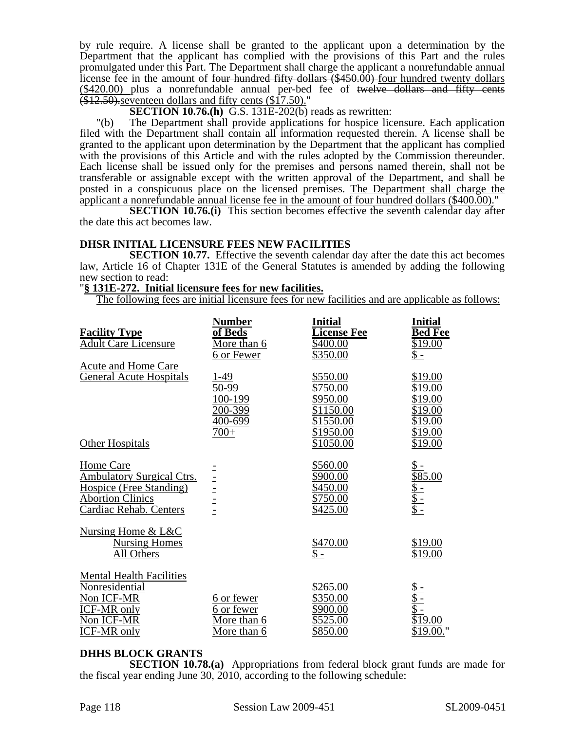by rule require. A license shall be granted to the applicant upon a determination by the Department that the applicant has complied with the provisions of this Part and the rules promulgated under this Part. The Department shall charge the applicant a nonrefundable annual license fee in the amount of <del>four hundred fifty dollars (\$450.00)</del> four hundred twenty dollars (\$420.00) plus a nonrefundable annual per-bed fee of twelve dollars and fifty cents (\$12.50).seventeen dollars and fifty cents (\$17.50)."

**SECTION 10.76.(h)** G.S. 131E-202(b) reads as rewritten:

"(b) The Department shall provide applications for hospice licensure. Each application filed with the Department shall contain all information requested therein. A license shall be granted to the applicant upon determination by the Department that the applicant has complied with the provisions of this Article and with the rules adopted by the Commission thereunder. Each license shall be issued only for the premises and persons named therein, shall not be transferable or assignable except with the written approval of the Department, and shall be posted in a conspicuous place on the licensed premises. The Department shall charge the applicant a nonrefundable annual license fee in the amount of four hundred dollars (\$400.00)."

**SECTION 10.76.(i)** This section becomes effective the seventh calendar day after the date this act becomes law.

#### **DHSR INITIAL LICENSURE FEES NEW FACILITIES**

**SECTION 10.77.** Effective the seventh calendar day after the date this act becomes law, Article 16 of Chapter 131E of the General Statutes is amended by adding the following new section to read:

#### "**§ 131E-272. Initial licensure fees for new facilities.**

The following fees are initial licensure fees for new facilities and are applicable as follows:

| <b>Facility Type</b><br><b>Adult Care Licensure</b>                                                                           | <b>Number</b><br>of Beds<br>More than 6<br>6 or Fewer      | <b>Initial</b><br><u>License Fee</u><br>\$400.00<br>\$350.00                   | <b>Initial</b><br><b>Bed Fee</b><br>\$19.00<br>$S-$                                                                                                                                                                                                                                                                                                                                                                                                                                                          |
|-------------------------------------------------------------------------------------------------------------------------------|------------------------------------------------------------|--------------------------------------------------------------------------------|--------------------------------------------------------------------------------------------------------------------------------------------------------------------------------------------------------------------------------------------------------------------------------------------------------------------------------------------------------------------------------------------------------------------------------------------------------------------------------------------------------------|
| <b>Acute and Home Care</b><br><b>General Acute Hospitals</b>                                                                  | $1-49$<br>50-99<br>100-199<br>200-399<br>400-699<br>$700+$ | \$550.00<br>\$750.00<br><u>\$950.00</u><br>\$1150.00<br>\$1550.00<br>\$1950.00 | \$19.00<br>\$19.00<br><u>\$19.00</u><br>\$19.00<br>\$19.00<br>\$19.00                                                                                                                                                                                                                                                                                                                                                                                                                                        |
| Other Hospitals                                                                                                               |                                                            | \$1050.00                                                                      | \$19.00                                                                                                                                                                                                                                                                                                                                                                                                                                                                                                      |
| Home Care<br><b>Ambulatory Surgical Ctrs.</b><br>Hospice (Free Standing)<br><b>Abortion Clinics</b><br>Cardiac Rehab. Centers | $\frac{1}{2}$<br>$\overline{a}$                            | \$560.00<br><u>\$900.00</u><br>\$450.00<br>\$750.00<br>\$425.00                | $\frac{$85.00}{$\frac{$}{$} \cdot \frac{$}{$} \cdot \frac{$}{$} \cdot \frac{$}{$} \cdot \frac{$}{$} \cdot \frac{$}{$} \cdot \frac{$}{$} \cdot \frac{$}{$} \cdot \frac{$}{$} \cdot \frac{$}{$} \cdot \frac{$}{$} \cdot \frac{$}{$} \cdot \frac{$}{$} \cdot \frac{$}{$} \cdot \frac{$}{$} \cdot \frac{$}{$} \cdot \frac{$}{$} \cdot \frac{$}{$} \cdot \frac{$}{$} \cdot \frac{$}{$} \cdot \frac{$}{$} \cdot \frac{$}{$} \cdot \frac{$}{$} \cdot \frac{$}{$} \cdot \frac{$}{$} \cdot \frac{$}{$} \cdot \frac{$$ |
| <b>Nursing Home &amp; L&amp;C</b><br><b>Nursing Homes</b><br>All Others                                                       |                                                            | \$470.00<br>\$ -                                                               | \$19.00<br>\$19.00                                                                                                                                                                                                                                                                                                                                                                                                                                                                                           |
| <b>Mental Health Facilities</b><br>Nonresidential<br>Non ICF-MR<br><b>ICF-MR</b> only<br>Non ICF-MR<br><b>ICF-MR</b> only     | 6 or fewer<br>6 or fewer<br>More than 6<br>More than 6     | \$265.00<br>\$350.00<br>\$900.00<br><u>\$525.00</u><br>\$850.00                | $\frac{\frac{6}{5}}{\frac{6}{5}}$<br>$\frac{19.00}{\frac{6}{5}}$<br>\$19.00."                                                                                                                                                                                                                                                                                                                                                                                                                                |

#### **DHHS BLOCK GRANTS**

**SECTION 10.78.(a)** Appropriations from federal block grant funds are made for the fiscal year ending June 30, 2010, according to the following schedule: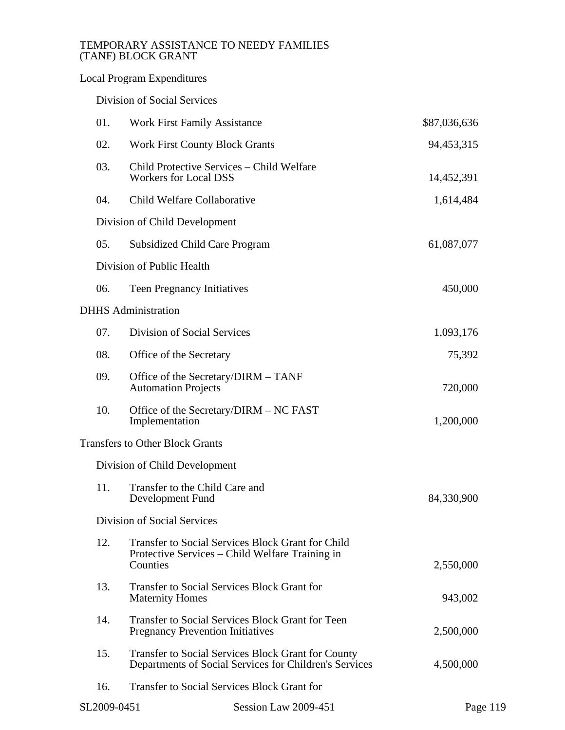#### TEMPORARY ASSISTANCE TO NEEDY FAMILIES (TANF) BLOCK GRANT

# Local Program Expenditures

|             | Division of Social Services                                                                                             |              |  |
|-------------|-------------------------------------------------------------------------------------------------------------------------|--------------|--|
| 01.         | <b>Work First Family Assistance</b>                                                                                     | \$87,036,636 |  |
| 02.         | <b>Work First County Block Grants</b>                                                                                   | 94,453,315   |  |
| 03.         | Child Protective Services – Child Welfare<br><b>Workers for Local DSS</b>                                               | 14,452,391   |  |
| 04.         | Child Welfare Collaborative                                                                                             | 1,614,484    |  |
|             | Division of Child Development                                                                                           |              |  |
| 05.         | Subsidized Child Care Program                                                                                           | 61,087,077   |  |
|             | Division of Public Health                                                                                               |              |  |
| 06.         | <b>Teen Pregnancy Initiatives</b>                                                                                       | 450,000      |  |
|             | <b>DHHS</b> Administration                                                                                              |              |  |
| 07.         | Division of Social Services                                                                                             | 1,093,176    |  |
| 08.         | Office of the Secretary                                                                                                 | 75,392       |  |
| 09.         | Office of the Secretary/DIRM – TANF<br><b>Automation Projects</b>                                                       | 720,000      |  |
| 10.         | Office of the Secretary/DIRM – NC FAST<br>Implementation                                                                | 1,200,000    |  |
|             | <b>Transfers to Other Block Grants</b>                                                                                  |              |  |
|             | Division of Child Development                                                                                           |              |  |
| 11.         | Transfer to the Child Care and<br>Development Fund                                                                      | 84,330,900   |  |
|             | Division of Social Services                                                                                             |              |  |
| 12.         | <b>Transfer to Social Services Block Grant for Child</b><br>Protective Services – Child Welfare Training in<br>Counties | 2,550,000    |  |
| 13.         | <b>Transfer to Social Services Block Grant for</b><br><b>Maternity Homes</b>                                            | 943,002      |  |
| 14.         | Transfer to Social Services Block Grant for Teen<br><b>Pregnancy Prevention Initiatives</b>                             | 2,500,000    |  |
| 15.         | Transfer to Social Services Block Grant for County<br>Departments of Social Services for Children's Services            | 4,500,000    |  |
| 16.         | Transfer to Social Services Block Grant for                                                                             |              |  |
| SL2009-0451 | Session Law 2009-451                                                                                                    | Page 119     |  |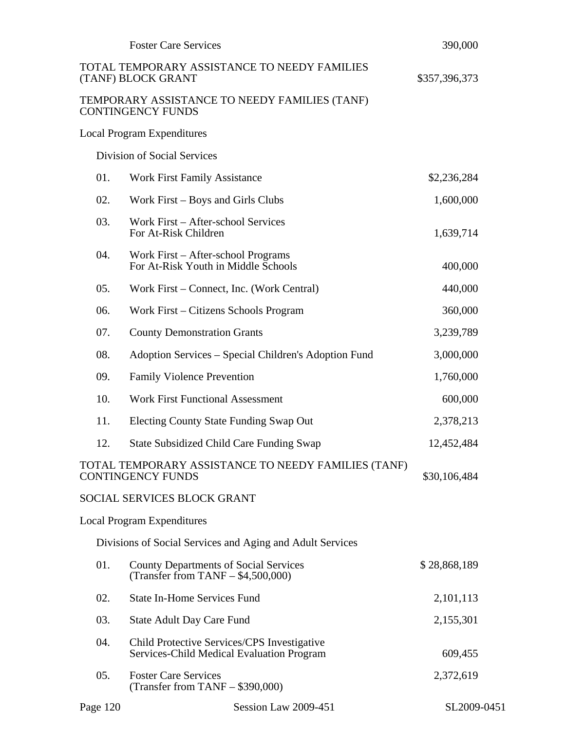|          | <b>Foster Care Services</b>                                                              | 390,000       |
|----------|------------------------------------------------------------------------------------------|---------------|
|          | TOTAL TEMPORARY ASSISTANCE TO NEEDY FAMILIES<br>(TANF) BLOCK GRANT                       | \$357,396,373 |
|          | TEMPORARY ASSISTANCE TO NEEDY FAMILIES (TANF)<br><b>CONTINGENCY FUNDS</b>                |               |
|          | <b>Local Program Expenditures</b>                                                        |               |
|          | Division of Social Services                                                              |               |
| 01.      | <b>Work First Family Assistance</b>                                                      | \$2,236,284   |
| 02.      | Work First - Boys and Girls Clubs                                                        | 1,600,000     |
| 03.      | Work First – After-school Services<br>For At-Risk Children                               | 1,639,714     |
| 04.      | Work First – After-school Programs<br>For At-Risk Youth in Middle Schools                | 400,000       |
| 05.      | Work First – Connect, Inc. (Work Central)                                                | 440,000       |
| 06.      | Work First - Citizens Schools Program                                                    | 360,000       |
| 07.      | <b>County Demonstration Grants</b>                                                       | 3,239,789     |
| 08.      | Adoption Services – Special Children's Adoption Fund                                     | 3,000,000     |
| 09.      | <b>Family Violence Prevention</b>                                                        | 1,760,000     |
| 10.      | <b>Work First Functional Assessment</b>                                                  | 600,000       |
| 11.      | Electing County State Funding Swap Out                                                   | 2,378,213     |
| 12.      | <b>State Subsidized Child Care Funding Swap</b>                                          | 12,452,484    |
|          | TOTAL TEMPORARY ASSISTANCE TO NEEDY FAMILIES (TANF)<br><b>CONTINGENCY FUNDS</b>          | \$30,106,484  |
|          | <b>SOCIAL SERVICES BLOCK GRANT</b>                                                       |               |
|          | <b>Local Program Expenditures</b>                                                        |               |
|          | Divisions of Social Services and Aging and Adult Services                                |               |
| 01.      | <b>County Departments of Social Services</b><br>(Transfer from TANF - \$4,500,000)       | \$28,868,189  |
| 02.      | <b>State In-Home Services Fund</b>                                                       | 2,101,113     |
| 03.      | <b>State Adult Day Care Fund</b>                                                         | 2,155,301     |
| 04.      | Child Protective Services/CPS Investigative<br>Services-Child Medical Evaluation Program | 609,455       |
| 05.      | <b>Foster Care Services</b><br>(Transfer from TANF - \$390,000)                          | 2,372,619     |
| Page 120 | Session Law 2009-451                                                                     | SL2009-0451   |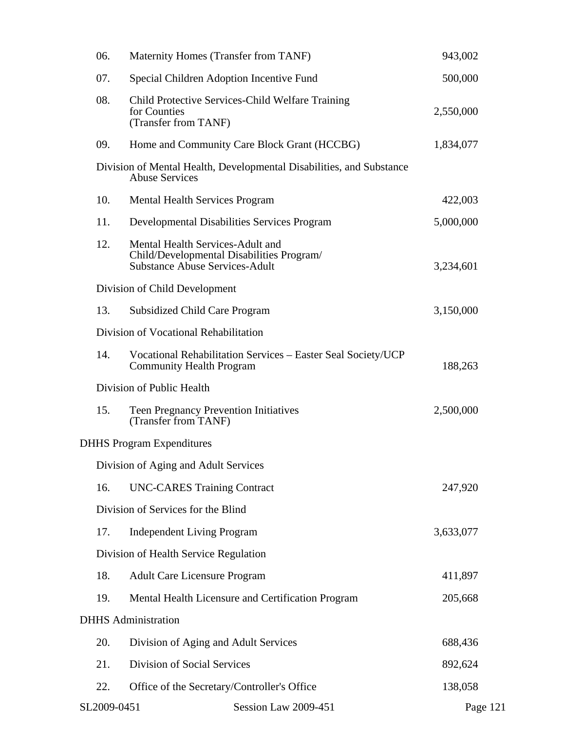| 06.         | Maternity Homes (Transfer from TANF)                                                                                   |  | 943,002   |
|-------------|------------------------------------------------------------------------------------------------------------------------|--|-----------|
| 07.         | Special Children Adoption Incentive Fund                                                                               |  | 500,000   |
| 08.         | Child Protective Services-Child Welfare Training<br>for Counties<br>(Transfer from TANF)                               |  | 2,550,000 |
| 09.         | Home and Community Care Block Grant (HCCBG)                                                                            |  | 1,834,077 |
|             | Division of Mental Health, Developmental Disabilities, and Substance<br><b>Abuse Services</b>                          |  |           |
| 10.         | <b>Mental Health Services Program</b>                                                                                  |  | 422,003   |
| 11.         | Developmental Disabilities Services Program                                                                            |  | 5,000,000 |
| 12.         | Mental Health Services-Adult and<br>Child/Developmental Disabilities Program/<br><b>Substance Abuse Services-Adult</b> |  | 3,234,601 |
|             | Division of Child Development                                                                                          |  |           |
| 13.         | Subsidized Child Care Program                                                                                          |  | 3,150,000 |
|             | Division of Vocational Rehabilitation                                                                                  |  |           |
| 14.         | Vocational Rehabilitation Services - Easter Seal Society/UCP<br><b>Community Health Program</b>                        |  | 188,263   |
|             | Division of Public Health                                                                                              |  |           |
| 15.         | <b>Teen Pregnancy Prevention Initiatives</b><br>(Transfer from TANF)                                                   |  | 2,500,000 |
|             | <b>DHHS Program Expenditures</b>                                                                                       |  |           |
|             | Division of Aging and Adult Services                                                                                   |  |           |
| 16.         | <b>UNC-CARES Training Contract</b>                                                                                     |  | 247,920   |
|             | Division of Services for the Blind                                                                                     |  |           |
| 17.         | <b>Independent Living Program</b>                                                                                      |  | 3,633,077 |
|             | Division of Health Service Regulation                                                                                  |  |           |
| 18.         | <b>Adult Care Licensure Program</b>                                                                                    |  | 411,897   |
| 19.         | Mental Health Licensure and Certification Program                                                                      |  | 205,668   |
|             | <b>DHHS</b> Administration                                                                                             |  |           |
| 20.         | Division of Aging and Adult Services                                                                                   |  | 688,436   |
| 21.         | Division of Social Services                                                                                            |  | 892,624   |
| 22.         | Office of the Secretary/Controller's Office                                                                            |  | 138,058   |
| SL2009-0451 | Session Law 2009-451                                                                                                   |  | Page 121  |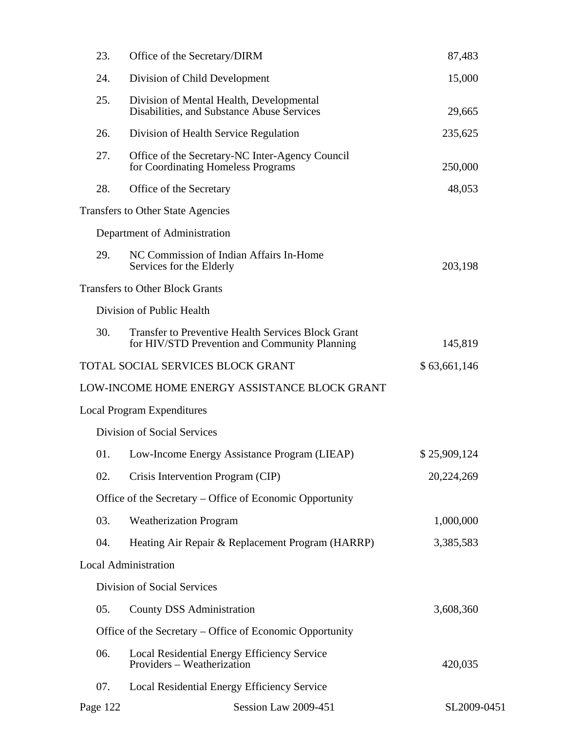| 23.      | Office of the Secretary/DIRM                                                                               | 87,483       |  |
|----------|------------------------------------------------------------------------------------------------------------|--------------|--|
| 24.      | Division of Child Development                                                                              | 15,000       |  |
| 25.      | Division of Mental Health, Developmental<br>Disabilities, and Substance Abuse Services                     | 29,665       |  |
| 26.      | Division of Health Service Regulation                                                                      | 235,625      |  |
| 27.      | Office of the Secretary-NC Inter-Agency Council<br>for Coordinating Homeless Programs                      | 250,000      |  |
| 28.      | Office of the Secretary                                                                                    | 48,053       |  |
|          | <b>Transfers to Other State Agencies</b>                                                                   |              |  |
|          | Department of Administration                                                                               |              |  |
| 29.      | NC Commission of Indian Affairs In-Home<br>Services for the Elderly                                        | 203,198      |  |
|          | <b>Transfers to Other Block Grants</b>                                                                     |              |  |
|          | Division of Public Health                                                                                  |              |  |
| 30.      | <b>Transfer to Preventive Health Services Block Grant</b><br>for HIV/STD Prevention and Community Planning | 145,819      |  |
|          | TOTAL SOCIAL SERVICES BLOCK GRANT                                                                          | \$63,661,146 |  |
|          | LOW-INCOME HOME ENERGY ASSISTANCE BLOCK GRANT                                                              |              |  |
|          | <b>Local Program Expenditures</b>                                                                          |              |  |
|          | Division of Social Services                                                                                |              |  |
| 01.      | Low-Income Energy Assistance Program (LIEAP)                                                               | \$25,909,124 |  |
| 02.      | Crisis Intervention Program (CIP)                                                                          | 20,224,269   |  |
|          | Office of the Secretary – Office of Economic Opportunity                                                   |              |  |
| 03.      | <b>Weatherization Program</b>                                                                              | 1,000,000    |  |
| 04.      | Heating Air Repair & Replacement Program (HARRP)                                                           | 3,385,583    |  |
|          | <b>Local Administration</b>                                                                                |              |  |
|          | Division of Social Services                                                                                |              |  |
| 05.      | County DSS Administration                                                                                  | 3,608,360    |  |
|          | Office of the Secretary – Office of Economic Opportunity                                                   |              |  |
| 06.      | Local Residential Energy Efficiency Service<br>Providers – Weatherization                                  | 420,035      |  |
| 07.      | Local Residential Energy Efficiency Service                                                                |              |  |
| Page 122 | Session Law 2009-451                                                                                       | SL2009-0451  |  |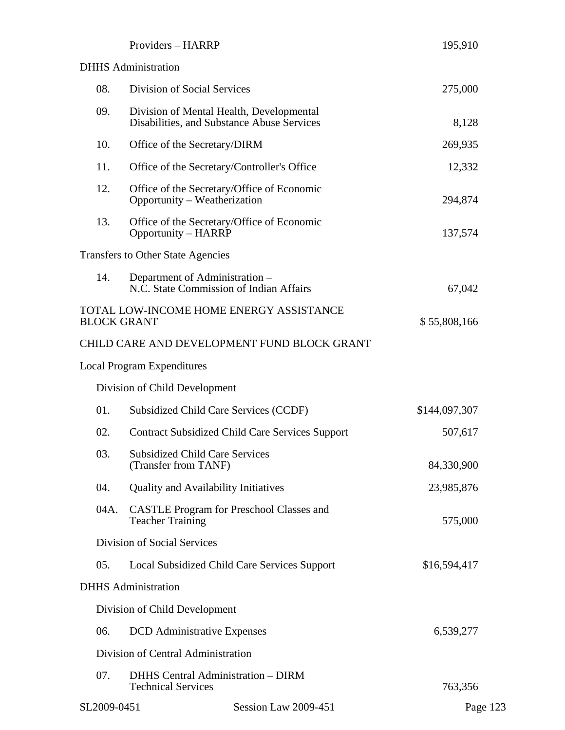|                    | Providers - HARRP                                                                      |                      | 195,910       |
|--------------------|----------------------------------------------------------------------------------------|----------------------|---------------|
|                    | <b>DHHS</b> Administration                                                             |                      |               |
| 08.                | Division of Social Services                                                            |                      | 275,000       |
| 09.                | Division of Mental Health, Developmental<br>Disabilities, and Substance Abuse Services |                      | 8,128         |
| 10.                | Office of the Secretary/DIRM                                                           |                      | 269,935       |
| 11.                | Office of the Secretary/Controller's Office                                            |                      | 12,332        |
| 12.                | Office of the Secretary/Office of Economic<br>Opportunity – Weatherization             |                      | 294,874       |
| 13.                | Office of the Secretary/Office of Economic<br><b>Opportunity – HARRP</b>               |                      | 137,574       |
|                    | <b>Transfers to Other State Agencies</b>                                               |                      |               |
| 14.                | Department of Administration -<br>N.C. State Commission of Indian Affairs              |                      | 67,042        |
| <b>BLOCK GRANT</b> | TOTAL LOW-INCOME HOME ENERGY ASSISTANCE                                                |                      | \$55,808,166  |
|                    | CHILD CARE AND DEVELOPMENT FUND BLOCK GRANT                                            |                      |               |
|                    | <b>Local Program Expenditures</b>                                                      |                      |               |
|                    | Division of Child Development                                                          |                      |               |
| 01.                | Subsidized Child Care Services (CCDF)                                                  |                      | \$144,097,307 |
| 02.                | <b>Contract Subsidized Child Care Services Support</b>                                 |                      | 507,617       |
| 03.                | <b>Subsidized Child Care Services</b><br>(Transfer from TANF)                          |                      | 84,330,900    |
| 04.                | <b>Quality and Availability Initiatives</b>                                            |                      | 23,985,876    |
| 04A.               | <b>CASTLE Program for Preschool Classes and</b><br><b>Teacher Training</b>             |                      | 575,000       |
|                    | Division of Social Services                                                            |                      |               |
| 05.                | Local Subsidized Child Care Services Support                                           |                      | \$16,594,417  |
|                    | <b>DHHS</b> Administration                                                             |                      |               |
|                    | Division of Child Development                                                          |                      |               |
| 06.                | <b>DCD</b> Administrative Expenses                                                     |                      | 6,539,277     |
|                    | Division of Central Administration                                                     |                      |               |
| 07.                | <b>DHHS Central Administration - DIRM</b><br><b>Technical Services</b>                 |                      | 763,356       |
| SL2009-0451        |                                                                                        | Session Law 2009-451 | Page 123      |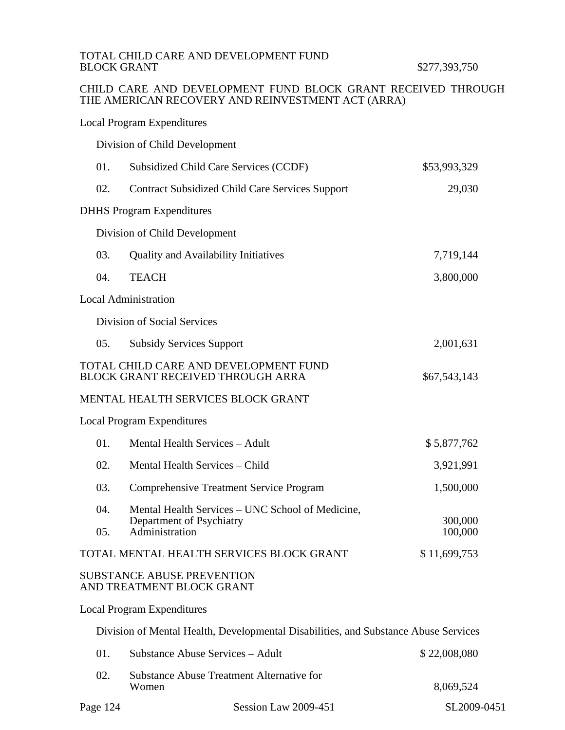### TOTAL CHILD CARE AND DEVELOPMENT FUND BLOCK GRANT \$277,393,750

#### CHILD CARE AND DEVELOPMENT FUND BLOCK GRANT RECEIVED THROUGH THE AMERICAN RECOVERY AND REINVESTMENT ACT (ARRA)

|     | <b>Local Program Expenditures</b>                                                   |                    |
|-----|-------------------------------------------------------------------------------------|--------------------|
|     | Division of Child Development                                                       |                    |
| 01. | Subsidized Child Care Services (CCDF)                                               | \$53,993,329       |
| 02. | <b>Contract Subsidized Child Care Services Support</b>                              | 29,030             |
|     | <b>DHHS</b> Program Expenditures                                                    |                    |
|     | Division of Child Development                                                       |                    |
| 03. | <b>Quality and Availability Initiatives</b>                                         | 7,719,144          |
| 04. | <b>TEACH</b>                                                                        | 3,800,000          |
|     | <b>Local Administration</b>                                                         |                    |
|     | Division of Social Services                                                         |                    |
| 05. | <b>Subsidy Services Support</b>                                                     | 2,001,631          |
|     | TOTAL CHILD CARE AND DEVELOPMENT FUND<br>BLOCK GRANT RECEIVED THROUGH ARRA          | \$67,543,143       |
|     | MENTAL HEALTH SERVICES BLOCK GRANT                                                  |                    |
|     | <b>Local Program Expenditures</b>                                                   |                    |
| 01. | Mental Health Services - Adult                                                      | \$5,877,762        |
| 02. | Mental Health Services - Child                                                      | 3,921,991          |
| 03. | <b>Comprehensive Treatment Service Program</b>                                      | 1,500,000          |
| 04. | Mental Health Services – UNC School of Medicine,<br>Department of Psychiatry        |                    |
| 05. | Administration                                                                      | 300,000<br>100,000 |
|     | TOTAL MENTAL HEALTH SERVICES BLOCK GRANT                                            | \$11,699,753       |
|     | <b>SUBSTANCE ABUSE PREVENTION</b><br>AND TREATMENT BLOCK GRANT                      |                    |
|     | <b>Local Program Expenditures</b>                                                   |                    |
|     | Division of Mental Health, Developmental Disabilities, and Substance Abuse Services |                    |
| 01. | Substance Abuse Services - Adult                                                    | \$22,008,080       |
| 02. | <b>Substance Abuse Treatment Alternative for</b><br>Women                           | 8,069,524          |

Page 124 Session Law 2009-451 SL2009-0451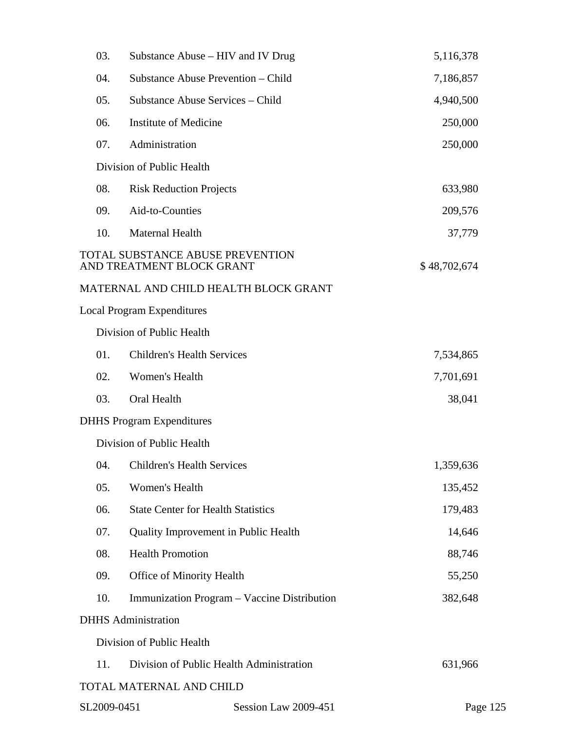| 03.         | Substance Abuse – HIV and IV Drug                             |                      | 5,116,378    |  |
|-------------|---------------------------------------------------------------|----------------------|--------------|--|
| 04.         | Substance Abuse Prevention – Child                            |                      | 7,186,857    |  |
| 05.         | Substance Abuse Services – Child                              |                      | 4,940,500    |  |
| 06.         | <b>Institute of Medicine</b>                                  |                      | 250,000      |  |
| 07.         | Administration                                                |                      | 250,000      |  |
|             | Division of Public Health                                     |                      |              |  |
| 08.         | <b>Risk Reduction Projects</b>                                |                      | 633,980      |  |
| 09.         | Aid-to-Counties                                               |                      | 209,576      |  |
| 10.         | Maternal Health                                               |                      | 37,779       |  |
|             | TOTAL SUBSTANCE ABUSE PREVENTION<br>AND TREATMENT BLOCK GRANT |                      | \$48,702,674 |  |
|             | MATERNAL AND CHILD HEALTH BLOCK GRANT                         |                      |              |  |
|             | <b>Local Program Expenditures</b>                             |                      |              |  |
|             | Division of Public Health                                     |                      |              |  |
| 01.         | <b>Children's Health Services</b>                             |                      | 7,534,865    |  |
| 02.         | Women's Health                                                |                      | 7,701,691    |  |
| 03.         | Oral Health                                                   |                      | 38,041       |  |
|             | <b>DHHS</b> Program Expenditures                              |                      |              |  |
|             | Division of Public Health                                     |                      |              |  |
| 04.         | <b>Children's Health Services</b>                             |                      | 1,359,636    |  |
| 05.         | Women's Health                                                |                      | 135,452      |  |
| 06.         | <b>State Center for Health Statistics</b>                     |                      | 179,483      |  |
| 07.         | <b>Quality Improvement in Public Health</b>                   |                      | 14,646       |  |
| 08.         | <b>Health Promotion</b>                                       |                      | 88,746       |  |
| 09.         | Office of Minority Health                                     |                      | 55,250       |  |
| 10.         | Immunization Program - Vaccine Distribution                   |                      | 382,648      |  |
|             | <b>DHHS</b> Administration                                    |                      |              |  |
|             | Division of Public Health                                     |                      |              |  |
| 11.         | Division of Public Health Administration                      |                      | 631,966      |  |
|             | TOTAL MATERNAL AND CHILD                                      |                      |              |  |
| SL2009-0451 |                                                               | Session Law 2009-451 | Page 125     |  |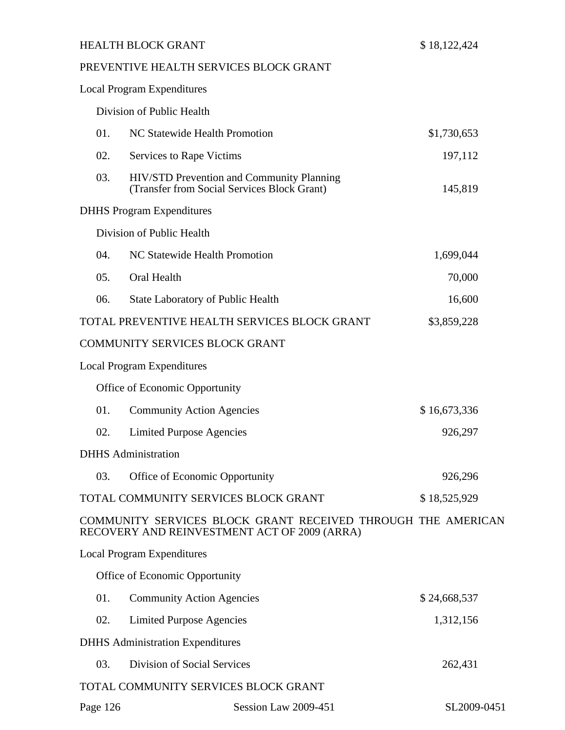# HEALTH BLOCK GRANT \$18,122,424

|          | PREVENTIVE HEALTH SERVICES BLOCK GRANT                                                                       |              |
|----------|--------------------------------------------------------------------------------------------------------------|--------------|
|          | <b>Local Program Expenditures</b>                                                                            |              |
|          | Division of Public Health                                                                                    |              |
| 01.      | NC Statewide Health Promotion                                                                                | \$1,730,653  |
| 02.      | Services to Rape Victims                                                                                     | 197,112      |
| 03.      | <b>HIV/STD Prevention and Community Planning</b><br>(Transfer from Social Services Block Grant)              | 145,819      |
|          | <b>DHHS</b> Program Expenditures                                                                             |              |
|          | Division of Public Health                                                                                    |              |
| 04.      | NC Statewide Health Promotion                                                                                | 1,699,044    |
| 05.      | Oral Health                                                                                                  | 70,000       |
| 06.      | State Laboratory of Public Health                                                                            | 16,600       |
|          | TOTAL PREVENTIVE HEALTH SERVICES BLOCK GRANT                                                                 | \$3,859,228  |
|          | <b>COMMUNITY SERVICES BLOCK GRANT</b>                                                                        |              |
|          | <b>Local Program Expenditures</b>                                                                            |              |
|          | Office of Economic Opportunity                                                                               |              |
| 01.      | <b>Community Action Agencies</b>                                                                             | \$16,673,336 |
| 02.      | <b>Limited Purpose Agencies</b>                                                                              | 926,297      |
|          | <b>DHHS</b> Administration                                                                                   |              |
| 03.      | Office of Economic Opportunity                                                                               | 926,296      |
|          | TOTAL COMMUNITY SERVICES BLOCK GRANT                                                                         | \$18,525,929 |
|          | COMMUNITY SERVICES BLOCK GRANT RECEIVED THROUGH THE AMERICAN<br>RECOVERY AND REINVESTMENT ACT OF 2009 (ARRA) |              |
|          | <b>Local Program Expenditures</b>                                                                            |              |
|          | Office of Economic Opportunity                                                                               |              |
| 01.      | <b>Community Action Agencies</b>                                                                             | \$24,668,537 |
| 02.      | <b>Limited Purpose Agencies</b>                                                                              | 1,312,156    |
|          | <b>DHHS</b> Administration Expenditures                                                                      |              |
| 03.      | Division of Social Services                                                                                  | 262,431      |
|          | TOTAL COMMUNITY SERVICES BLOCK GRANT                                                                         |              |
| Page 126 | Session Law 2009-451                                                                                         | SL2009-0451  |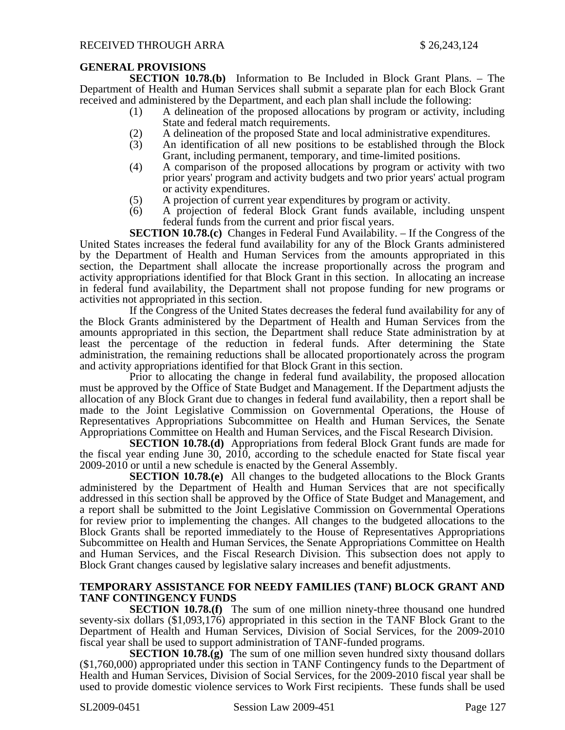#### **GENERAL PROVISIONS**

**SECTION 10.78.(b)** Information to Be Included in Block Grant Plans. – The Department of Health and Human Services shall submit a separate plan for each Block Grant received and administered by the Department, and each plan shall include the following:

- (1) A delineation of the proposed allocations by program or activity, including State and federal match requirements.
- (2) A delineation of the proposed State and local administrative expenditures.<br>
(3) An identification of all new positions to be established through the Blo
- An identification of all new positions to be established through the Block Grant, including permanent, temporary, and time-limited positions.
- (4) A comparison of the proposed allocations by program or activity with two prior years' program and activity budgets and two prior years' actual program or activity expenditures.
- (5) A projection of current year expenditures by program or activity.
- (6) A projection of federal Block Grant funds available, including unspent federal funds from the current and prior fiscal years.

**SECTION 10.78.(c)** Changes in Federal Fund Availability. – If the Congress of the United States increases the federal fund availability for any of the Block Grants administered by the Department of Health and Human Services from the amounts appropriated in this section, the Department shall allocate the increase proportionally across the program and activity appropriations identified for that Block Grant in this section. In allocating an increase in federal fund availability, the Department shall not propose funding for new programs or activities not appropriated in this section.

If the Congress of the United States decreases the federal fund availability for any of the Block Grants administered by the Department of Health and Human Services from the amounts appropriated in this section, the Department shall reduce State administration by at least the percentage of the reduction in federal funds. After determining the State administration, the remaining reductions shall be allocated proportionately across the program and activity appropriations identified for that Block Grant in this section.

Prior to allocating the change in federal fund availability, the proposed allocation must be approved by the Office of State Budget and Management. If the Department adjusts the allocation of any Block Grant due to changes in federal fund availability, then a report shall be made to the Joint Legislative Commission on Governmental Operations, the House of Representatives Appropriations Subcommittee on Health and Human Services, the Senate Appropriations Committee on Health and Human Services, and the Fiscal Research Division.

**SECTION 10.78.(d)** Appropriations from federal Block Grant funds are made for the fiscal year ending June 30, 2010, according to the schedule enacted for State fiscal year 2009-2010 or until a new schedule is enacted by the General Assembly.

**SECTION 10.78.(e)** All changes to the budgeted allocations to the Block Grants administered by the Department of Health and Human Services that are not specifically addressed in this section shall be approved by the Office of State Budget and Management, and a report shall be submitted to the Joint Legislative Commission on Governmental Operations for review prior to implementing the changes. All changes to the budgeted allocations to the Block Grants shall be reported immediately to the House of Representatives Appropriations Subcommittee on Health and Human Services, the Senate Appropriations Committee on Health and Human Services, and the Fiscal Research Division. This subsection does not apply to Block Grant changes caused by legislative salary increases and benefit adjustments.

#### **TEMPORARY ASSISTANCE FOR NEEDY FAMILIES (TANF) BLOCK GRANT AND TANF CONTINGENCY FUNDS**

**SECTION 10.78.(f)** The sum of one million ninety-three thousand one hundred seventy-six dollars (\$1,093,176) appropriated in this section in the TANF Block Grant to the Department of Health and Human Services, Division of Social Services, for the 2009-2010 fiscal year shall be used to support administration of TANF-funded programs.

**SECTION 10.78.(g)** The sum of one million seven hundred sixty thousand dollars (\$1,760,000) appropriated under this section in TANF Contingency funds to the Department of Health and Human Services, Division of Social Services, for the 2009-2010 fiscal year shall be used to provide domestic violence services to Work First recipients. These funds shall be used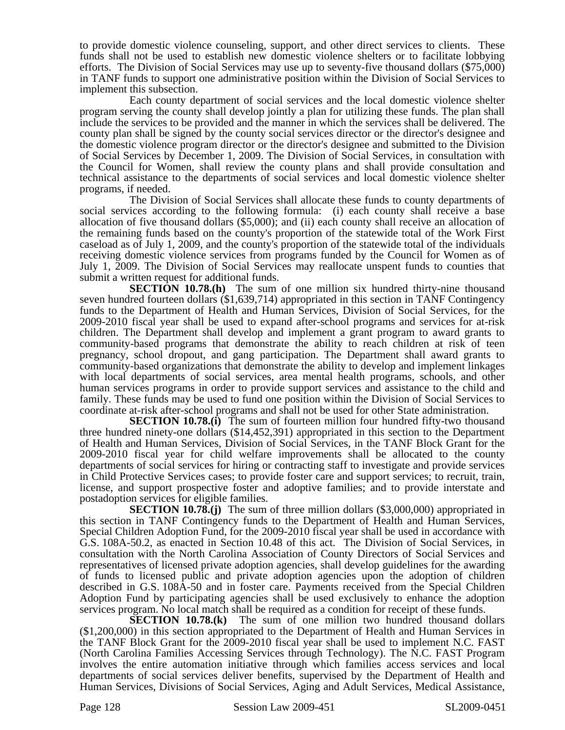to provide domestic violence counseling, support, and other direct services to clients. These funds shall not be used to establish new domestic violence shelters or to facilitate lobbying efforts. The Division of Social Services may use up to seventy-five thousand dollars (\$75,000) in TANF funds to support one administrative position within the Division of Social Services to implement this subsection.

Each county department of social services and the local domestic violence shelter program serving the county shall develop jointly a plan for utilizing these funds. The plan shall include the services to be provided and the manner in which the services shall be delivered. The county plan shall be signed by the county social services director or the director's designee and the domestic violence program director or the director's designee and submitted to the Division of Social Services by December 1, 2009. The Division of Social Services, in consultation with the Council for Women, shall review the county plans and shall provide consultation and technical assistance to the departments of social services and local domestic violence shelter programs, if needed.

The Division of Social Services shall allocate these funds to county departments of social services according to the following formula: (i) each county shall receive a base allocation of five thousand dollars (\$5,000); and (ii) each county shall receive an allocation of the remaining funds based on the county's proportion of the statewide total of the Work First caseload as of July 1, 2009, and the county's proportion of the statewide total of the individuals receiving domestic violence services from programs funded by the Council for Women as of July 1, 2009. The Division of Social Services may reallocate unspent funds to counties that submit a written request for additional funds.

**SECTION 10.78.(h)** The sum of one million six hundred thirty-nine thousand seven hundred fourteen dollars (\$1,639,714) appropriated in this section in TANF Contingency funds to the Department of Health and Human Services, Division of Social Services, for the 2009-2010 fiscal year shall be used to expand after-school programs and services for at-risk children. The Department shall develop and implement a grant program to award grants to community-based programs that demonstrate the ability to reach children at risk of teen pregnancy, school dropout, and gang participation. The Department shall award grants to community-based organizations that demonstrate the ability to develop and implement linkages with local departments of social services, area mental health programs, schools, and other human services programs in order to provide support services and assistance to the child and family. These funds may be used to fund one position within the Division of Social Services to coordinate at-risk after-school programs and shall not be used for other State administration.

**SECTION 10.78.(i)** The sum of fourteen million four hundred fifty-two thousand three hundred ninety-one dollars (\$14,452,391) appropriated in this section to the Department of Health and Human Services, Division of Social Services, in the TANF Block Grant for the 2009-2010 fiscal year for child welfare improvements shall be allocated to the county departments of social services for hiring or contracting staff to investigate and provide services in Child Protective Services cases; to provide foster care and support services; to recruit, train, license, and support prospective foster and adoptive families; and to provide interstate and postadoption services for eligible families.

**SECTION 10.78.(j)** The sum of three million dollars (\$3,000,000) appropriated in this section in TANF Contingency funds to the Department of Health and Human Services, Special Children Adoption Fund, for the 2009-2010 fiscal year shall be used in accordance with G.S. 108A-50.2, as enacted in Section 10.48 of this act. The Division of Social Services, in consultation with the North Carolina Association of County Directors of Social Services and representatives of licensed private adoption agencies, shall develop guidelines for the awarding of funds to licensed public and private adoption agencies upon the adoption of children described in G.S. 108A-50 and in foster care. Payments received from the Special Children Adoption Fund by participating agencies shall be used exclusively to enhance the adoption services program. No local match shall be required as a condition for receipt of these funds.

**SECTION 10.78.(k)** The sum of one million two hundred thousand dollars (\$1,200,000) in this section appropriated to the Department of Health and Human Services in the TANF Block Grant for the 2009-2010 fiscal year shall be used to implement N.C. FAST (North Carolina Families Accessing Services through Technology). The N.C. FAST Program involves the entire automation initiative through which families access services and local departments of social services deliver benefits, supervised by the Department of Health and Human Services, Divisions of Social Services, Aging and Adult Services, Medical Assistance,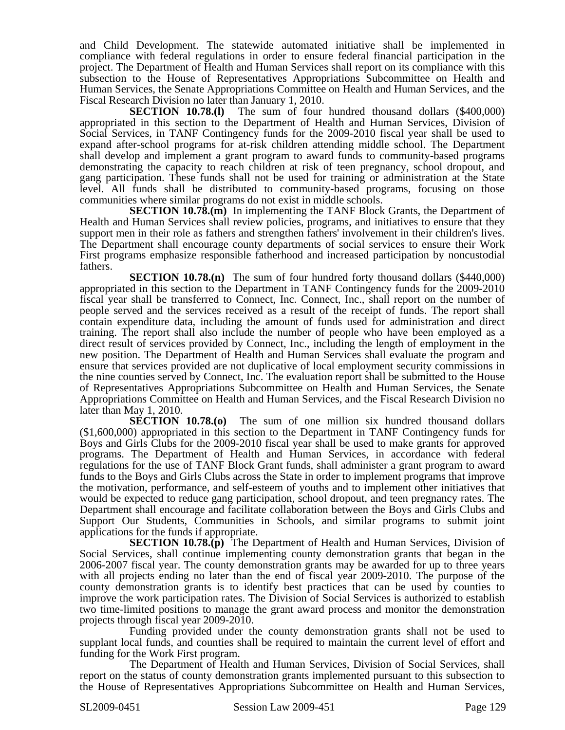and Child Development. The statewide automated initiative shall be implemented in compliance with federal regulations in order to ensure federal financial participation in the project. The Department of Health and Human Services shall report on its compliance with this subsection to the House of Representatives Appropriations Subcommittee on Health and Human Services, the Senate Appropriations Committee on Health and Human Services, and the Fiscal Research Division no later than January 1, 2010.

**SECTION 10.78.(I)** The sum of four hundred thousand dollars (\$400,000) appropriated in this section to the Department of Health and Human Services, Division of Social Services, in TANF Contingency funds for the 2009-2010 fiscal year shall be used to expand after-school programs for at-risk children attending middle school. The Department shall develop and implement a grant program to award funds to community-based programs demonstrating the capacity to reach children at risk of teen pregnancy, school dropout, and gang participation. These funds shall not be used for training or administration at the State level. All funds shall be distributed to community-based programs, focusing on those communities where similar programs do not exist in middle schools.

**SECTION 10.78.(m)** In implementing the TANF Block Grants, the Department of Health and Human Services shall review policies, programs, and initiatives to ensure that they support men in their role as fathers and strengthen fathers' involvement in their children's lives. The Department shall encourage county departments of social services to ensure their Work First programs emphasize responsible fatherhood and increased participation by noncustodial fathers.

**SECTION 10.78.(n)** The sum of four hundred forty thousand dollars (\$440,000) appropriated in this section to the Department in TANF Contingency funds for the 2009-2010 fiscal year shall be transferred to Connect, Inc. Connect, Inc., shall report on the number of people served and the services received as a result of the receipt of funds. The report shall contain expenditure data, including the amount of funds used for administration and direct training. The report shall also include the number of people who have been employed as a direct result of services provided by Connect, Inc., including the length of employment in the new position. The Department of Health and Human Services shall evaluate the program and ensure that services provided are not duplicative of local employment security commissions in the nine counties served by Connect, Inc. The evaluation report shall be submitted to the House of Representatives Appropriations Subcommittee on Health and Human Services, the Senate Appropriations Committee on Health and Human Services, and the Fiscal Research Division no later than May 1, 2010.

**SECTION 10.78.(o)** The sum of one million six hundred thousand dollars (\$1,600,000) appropriated in this section to the Department in TANF Contingency funds for Boys and Girls Clubs for the 2009-2010 fiscal year shall be used to make grants for approved programs. The Department of Health and Human Services, in accordance with federal regulations for the use of TANF Block Grant funds, shall administer a grant program to award funds to the Boys and Girls Clubs across the State in order to implement programs that improve the motivation, performance, and self-esteem of youths and to implement other initiatives that would be expected to reduce gang participation, school dropout, and teen pregnancy rates. The Department shall encourage and facilitate collaboration between the Boys and Girls Clubs and Support Our Students, Communities in Schools, and similar programs to submit joint applications for the funds if appropriate.

**SECTION 10.78.(p)** The Department of Health and Human Services, Division of Social Services, shall continue implementing county demonstration grants that began in the 2006-2007 fiscal year. The county demonstration grants may be awarded for up to three years with all projects ending no later than the end of fiscal year 2009-2010. The purpose of the county demonstration grants is to identify best practices that can be used by counties to improve the work participation rates. The Division of Social Services is authorized to establish two time-limited positions to manage the grant award process and monitor the demonstration projects through fiscal year 2009-2010.

Funding provided under the county demonstration grants shall not be used to supplant local funds, and counties shall be required to maintain the current level of effort and funding for the Work First program.

The Department of Health and Human Services, Division of Social Services, shall report on the status of county demonstration grants implemented pursuant to this subsection to the House of Representatives Appropriations Subcommittee on Health and Human Services,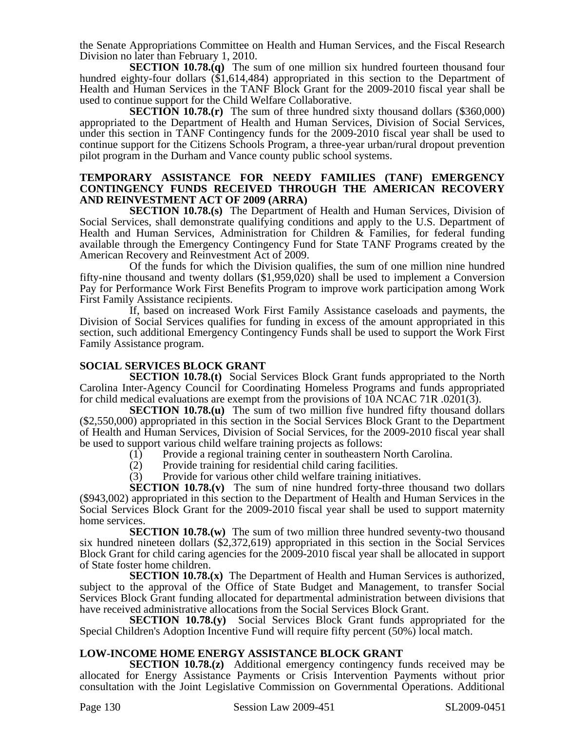the Senate Appropriations Committee on Health and Human Services, and the Fiscal Research Division no later than February 1, 2010.

**SECTION 10.78.(q)** The sum of one million six hundred fourteen thousand four hundred eighty-four dollars (\$1,614,484) appropriated in this section to the Department of Health and Human Services in the TANF Block Grant for the 2009-2010 fiscal year shall be used to continue support for the Child Welfare Collaborative.

**SECTION 10.78.(r)** The sum of three hundred sixty thousand dollars (\$360,000) appropriated to the Department of Health and Human Services, Division of Social Services, under this section in TANF Contingency funds for the 2009-2010 fiscal year shall be used to continue support for the Citizens Schools Program, a three-year urban/rural dropout prevention pilot program in the Durham and Vance county public school systems.

#### **TEMPORARY ASSISTANCE FOR NEEDY FAMILIES (TANF) EMERGENCY CONTINGENCY FUNDS RECEIVED THROUGH THE AMERICAN RECOVERY AND REINVESTMENT ACT OF 2009 (ARRA)**

**SECTION 10.78.(s)** The Department of Health and Human Services, Division of Social Services, shall demonstrate qualifying conditions and apply to the U.S. Department of Health and Human Services, Administration for Children & Families, for federal funding available through the Emergency Contingency Fund for State TANF Programs created by the American Recovery and Reinvestment Act of 2009.

Of the funds for which the Division qualifies, the sum of one million nine hundred fifty-nine thousand and twenty dollars  $(\$1,959,020)$  shall be used to implement a Conversion Pay for Performance Work First Benefits Program to improve work participation among Work First Family Assistance recipients.

If, based on increased Work First Family Assistance caseloads and payments, the Division of Social Services qualifies for funding in excess of the amount appropriated in this section, such additional Emergency Contingency Funds shall be used to support the Work First Family Assistance program.

#### **SOCIAL SERVICES BLOCK GRANT**

**SECTION 10.78.(t)** Social Services Block Grant funds appropriated to the North Carolina Inter-Agency Council for Coordinating Homeless Programs and funds appropriated for child medical evaluations are exempt from the provisions of 10A NCAC 71R .0201(3).

**SECTION 10.78.(u)** The sum of two million five hundred fifty thousand dollars (\$2,550,000) appropriated in this section in the Social Services Block Grant to the Department of Health and Human Services, Division of Social Services, for the 2009-2010 fiscal year shall be used to support various child welfare training projects as follows:

- (1) Provide a regional training center in southeastern North Carolina.
- 
- (2) Provide training for residential child caring facilities.<br>(3) Provide for various other child welfare training initiat Provide for various other child welfare training initiatives.

**SECTION 10.78.(v)** The sum of nine hundred forty-three thousand two dollars (\$943,002) appropriated in this section to the Department of Health and Human Services in the Social Services Block Grant for the 2009-2010 fiscal year shall be used to support maternity home services.

**SECTION 10.78.(w)** The sum of two million three hundred seventy-two thousand six hundred nineteen dollars (\$2,372,619) appropriated in this section in the Social Services Block Grant for child caring agencies for the 2009-2010 fiscal year shall be allocated in support of State foster home children.

**SECTION 10.78.(x)** The Department of Health and Human Services is authorized, subject to the approval of the Office of State Budget and Management, to transfer Social Services Block Grant funding allocated for departmental administration between divisions that have received administrative allocations from the Social Services Block Grant.

**SECTION 10.78.(y)** Social Services Block Grant funds appropriated for the Special Children's Adoption Incentive Fund will require fifty percent (50%) local match.

#### **LOW-INCOME HOME ENERGY ASSISTANCE BLOCK GRANT**

**SECTION 10.78.(z)** Additional emergency contingency funds received may be allocated for Energy Assistance Payments or Crisis Intervention Payments without prior consultation with the Joint Legislative Commission on Governmental Operations. Additional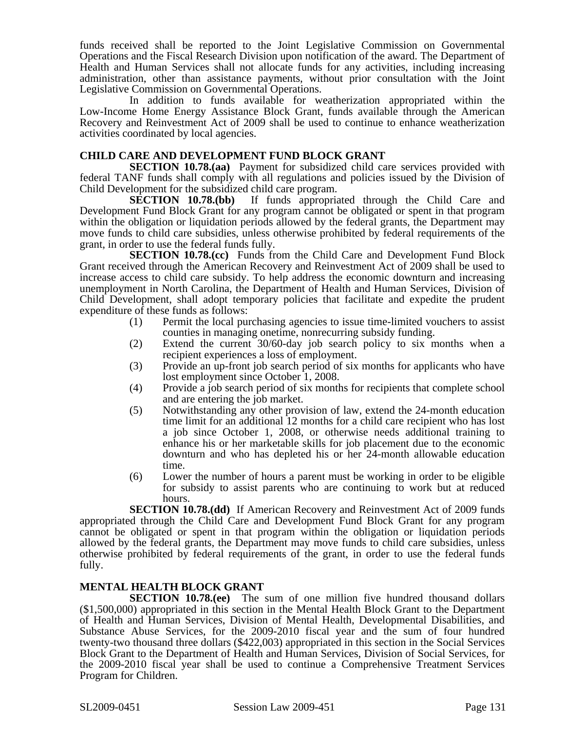funds received shall be reported to the Joint Legislative Commission on Governmental Operations and the Fiscal Research Division upon notification of the award. The Department of Health and Human Services shall not allocate funds for any activities, including increasing administration, other than assistance payments, without prior consultation with the Joint Legislative Commission on Governmental Operations.

In addition to funds available for weatherization appropriated within the Low-Income Home Energy Assistance Block Grant, funds available through the American Recovery and Reinvestment Act of 2009 shall be used to continue to enhance weatherization activities coordinated by local agencies.

#### **CHILD CARE AND DEVELOPMENT FUND BLOCK GRANT**

**SECTION 10.78.(aa)** Payment for subsidized child care services provided with federal TANF funds shall comply with all regulations and policies issued by the Division of Child Development for the subsidized child care program.

**SECTION 10.78.(bb)** If funds appropriated through the Child Care and Development Fund Block Grant for any program cannot be obligated or spent in that program within the obligation or liquidation periods allowed by the federal grants, the Department may move funds to child care subsidies, unless otherwise prohibited by federal requirements of the grant, in order to use the federal funds fully.

**SECTION 10.78.(cc)** Funds from the Child Care and Development Fund Block Grant received through the American Recovery and Reinvestment Act of 2009 shall be used to increase access to child care subsidy. To help address the economic downturn and increasing unemployment in North Carolina, the Department of Health and Human Services, Division of Child Development, shall adopt temporary policies that facilitate and expedite the prudent expenditure of these funds as follows:

- (1) Permit the local purchasing agencies to issue time-limited vouchers to assist counties in managing onetime, nonrecurring subsidy funding.
- (2) Extend the current 30/60-day job search policy to six months when a recipient experiences a loss of employment.
- (3) Provide an up-front job search period of six months for applicants who have lost employment since October 1, 2008.
- (4) Provide a job search period of six months for recipients that complete school and are entering the job market.
- (5) Notwithstanding any other provision of law, extend the 24-month education time limit for an additional 12 months for a child care recipient who has lost a job since October 1, 2008, or otherwise needs additional training to enhance his or her marketable skills for job placement due to the economic downturn and who has depleted his or her 24-month allowable education time.
- (6) Lower the number of hours a parent must be working in order to be eligible for subsidy to assist parents who are continuing to work but at reduced hours.

**SECTION 10.78.(dd)** If American Recovery and Reinvestment Act of 2009 funds appropriated through the Child Care and Development Fund Block Grant for any program cannot be obligated or spent in that program within the obligation or liquidation periods allowed by the federal grants, the Department may move funds to child care subsidies, unless otherwise prohibited by federal requirements of the grant, in order to use the federal funds fully.

#### **MENTAL HEALTH BLOCK GRANT**

**SECTION 10.78.(ee)** The sum of one million five hundred thousand dollars (\$1,500,000) appropriated in this section in the Mental Health Block Grant to the Department of Health and Human Services, Division of Mental Health, Developmental Disabilities, and Substance Abuse Services, for the 2009-2010 fiscal year and the sum of four hundred twenty-two thousand three dollars (\$422,003) appropriated in this section in the Social Services Block Grant to the Department of Health and Human Services, Division of Social Services, for the 2009-2010 fiscal year shall be used to continue a Comprehensive Treatment Services Program for Children.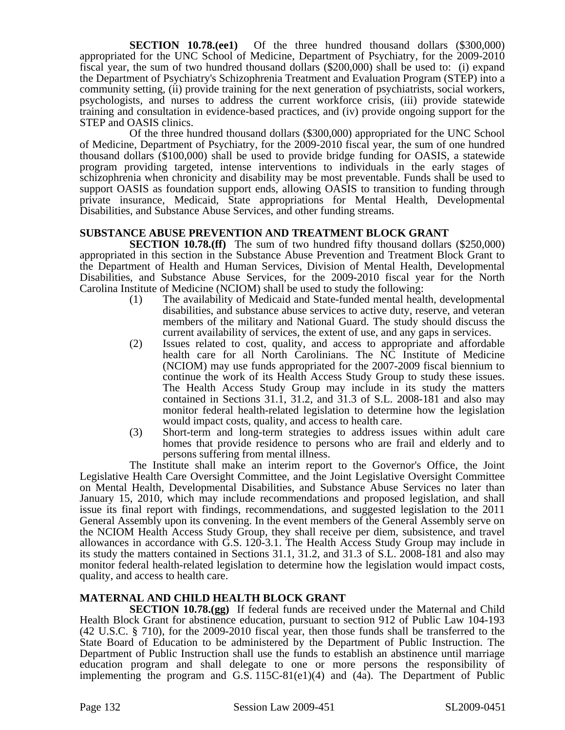**SECTION 10.78.(ee1)** Of the three hundred thousand dollars (\$300,000) appropriated for the UNC School of Medicine, Department of Psychiatry, for the 2009-2010 fiscal year, the sum of two hundred thousand dollars (\$200,000) shall be used to: (i) expand the Department of Psychiatry's Schizophrenia Treatment and Evaluation Program (STEP) into a community setting, (ii) provide training for the next generation of psychiatrists, social workers, psychologists, and nurses to address the current workforce crisis, (iii) provide statewide training and consultation in evidence-based practices, and (iv) provide ongoing support for the STEP and OASIS clinics.

Of the three hundred thousand dollars (\$300,000) appropriated for the UNC School of Medicine, Department of Psychiatry, for the 2009-2010 fiscal year, the sum of one hundred thousand dollars (\$100,000) shall be used to provide bridge funding for OASIS, a statewide program providing targeted, intense interventions to individuals in the early stages of schizophrenia when chronicity and disability may be most preventable. Funds shall be used to support OASIS as foundation support ends, allowing OASIS to transition to funding through private insurance, Medicaid, State appropriations for Mental Health, Developmental Disabilities, and Substance Abuse Services, and other funding streams.

#### **SUBSTANCE ABUSE PREVENTION AND TREATMENT BLOCK GRANT**

**SECTION 10.78.(ff)** The sum of two hundred fifty thousand dollars (\$250,000) appropriated in this section in the Substance Abuse Prevention and Treatment Block Grant to the Department of Health and Human Services, Division of Mental Health, Developmental Disabilities, and Substance Abuse Services, for the 2009-2010 fiscal year for the North Carolina Institute of Medicine (NCIOM) shall be used to study the following:

- (1) The availability of Medicaid and State-funded mental health, developmental disabilities, and substance abuse services to active duty, reserve, and veteran members of the military and National Guard. The study should discuss the current availability of services, the extent of use, and any gaps in services.
- (2) Issues related to cost, quality, and access to appropriate and affordable health care for all North Carolinians. The NC Institute of Medicine (NCIOM) may use funds appropriated for the 2007-2009 fiscal biennium to continue the work of its Health Access Study Group to study these issues. The Health Access Study Group may include in its study the matters contained in Sections 31.1, 31.2, and 31.3 of S.L. 2008-181 and also may monitor federal health-related legislation to determine how the legislation would impact costs, quality, and access to health care.
- (3) Short-term and long-term strategies to address issues within adult care homes that provide residence to persons who are frail and elderly and to persons suffering from mental illness.

The Institute shall make an interim report to the Governor's Office, the Joint Legislative Health Care Oversight Committee, and the Joint Legislative Oversight Committee on Mental Health, Developmental Disabilities, and Substance Abuse Services no later than January 15, 2010, which may include recommendations and proposed legislation, and shall issue its final report with findings, recommendations, and suggested legislation to the 2011 General Assembly upon its convening. In the event members of the General Assembly serve on the NCIOM Health Access Study Group, they shall receive per diem, subsistence, and travel allowances in accordance with G.S. 120-3.1. The Health Access Study Group may include in its study the matters contained in Sections 31.1, 31.2, and 31.3 of S.L. 2008-181 and also may monitor federal health-related legislation to determine how the legislation would impact costs, quality, and access to health care.

#### **MATERNAL AND CHILD HEALTH BLOCK GRANT**

**SECTION 10.78.(gg)** If federal funds are received under the Maternal and Child Health Block Grant for abstinence education, pursuant to section 912 of Public Law 104-193 (42 U.S.C. § 710), for the 2009-2010 fiscal year, then those funds shall be transferred to the State Board of Education to be administered by the Department of Public Instruction. The Department of Public Instruction shall use the funds to establish an abstinence until marriage education program and shall delegate to one or more persons the responsibility of implementing the program and G.S. 115C-81(e1)(4) and (4a). The Department of Public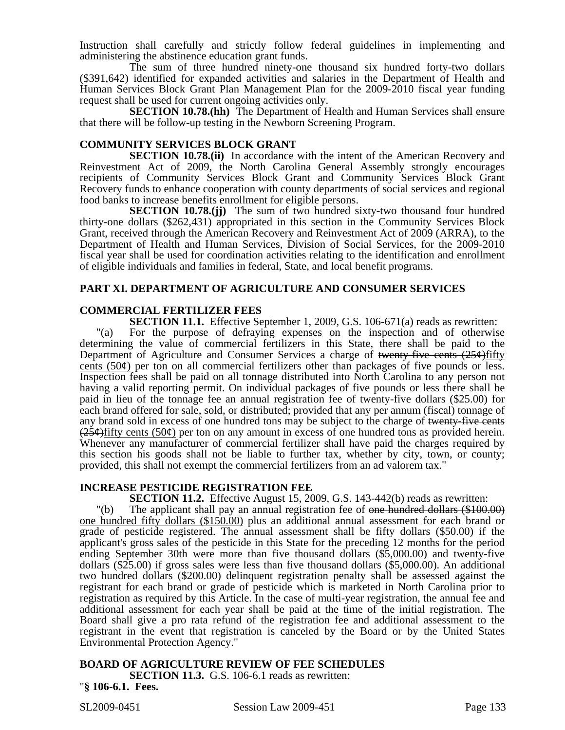Instruction shall carefully and strictly follow federal guidelines in implementing and administering the abstinence education grant funds.

The sum of three hundred ninety-one thousand six hundred forty-two dollars (\$391,642) identified for expanded activities and salaries in the Department of Health and Human Services Block Grant Plan Management Plan for the 2009-2010 fiscal year funding request shall be used for current ongoing activities only.

**SECTION 10.78.(hh)** The Department of Health and Human Services shall ensure that there will be follow-up testing in the Newborn Screening Program.

#### **COMMUNITY SERVICES BLOCK GRANT**

**SECTION 10.78.(ii)** In accordance with the intent of the American Recovery and Reinvestment Act of 2009, the North Carolina General Assembly strongly encourages recipients of Community Services Block Grant and Community Services Block Grant Recovery funds to enhance cooperation with county departments of social services and regional food banks to increase benefits enrollment for eligible persons.

**SECTION 10.78.(jj)** The sum of two hundred sixty-two thousand four hundred thirty-one dollars (\$262,431) appropriated in this section in the Community Services Block Grant, received through the American Recovery and Reinvestment Act of 2009 (ARRA), to the Department of Health and Human Services, Division of Social Services, for the 2009-2010 fiscal year shall be used for coordination activities relating to the identification and enrollment of eligible individuals and families in federal, State, and local benefit programs.

#### **PART XI. DEPARTMENT OF AGRICULTURE AND CONSUMER SERVICES**

#### **COMMERCIAL FERTILIZER FEES**

**SECTION 11.1.** Effective September 1, 2009, G.S. 106-671(a) reads as rewritten:

"(a) For the purpose of defraying expenses on the inspection and of otherwise determining the value of commercial fertilizers in this State, there shall be paid to the Department of Agriculture and Consumer Services a charge of twenty-five cents (25¢)fifty cents (50¢) per ton on all commercial fertilizers other than packages of five pounds or less. Inspection fees shall be paid on all tonnage distributed into North Carolina to any person not having a valid reporting permit. On individual packages of five pounds or less there shall be paid in lieu of the tonnage fee an annual registration fee of twenty-five dollars (\$25.00) for each brand offered for sale, sold, or distributed; provided that any per annum (fiscal) tonnage of any brand sold in excess of one hundred tons may be subject to the charge of twenty-five cents  $(25\epsilon)$  fifty cents (50 $\epsilon$ ) per ton on any amount in excess of one hundred tons as provided herein. Whenever any manufacturer of commercial fertilizer shall have paid the charges required by this section his goods shall not be liable to further tax, whether by city, town, or county; provided, this shall not exempt the commercial fertilizers from an ad valorem tax."

#### **INCREASE PESTICIDE REGISTRATION FEE**

**SECTION 11.2.** Effective August 15, 2009, G.S. 143-442(b) reads as rewritten:

"(b) The applicant shall pay an annual registration fee of one hundred dollars  $(\$100.00)$ one hundred fifty dollars (\$150.00) plus an additional annual assessment for each brand or grade of pesticide registered. The annual assessment shall be fifty dollars (\$50.00) if the applicant's gross sales of the pesticide in this State for the preceding 12 months for the period ending September 30th were more than five thousand dollars (\$5,000.00) and twenty-five dollars (\$25.00) if gross sales were less than five thousand dollars (\$5,000.00). An additional two hundred dollars (\$200.00) delinquent registration penalty shall be assessed against the registrant for each brand or grade of pesticide which is marketed in North Carolina prior to registration as required by this Article. In the case of multi-year registration, the annual fee and additional assessment for each year shall be paid at the time of the initial registration. The Board shall give a pro rata refund of the registration fee and additional assessment to the registrant in the event that registration is canceled by the Board or by the United States Environmental Protection Agency."

**BOARD OF AGRICULTURE REVIEW OF FEE SCHEDULES SECTION 11.3.** G.S. 106-6.1 reads as rewritten: "**§ 106-6.1. Fees.** 

SL2009-0451 Session Law 2009-451 Page 133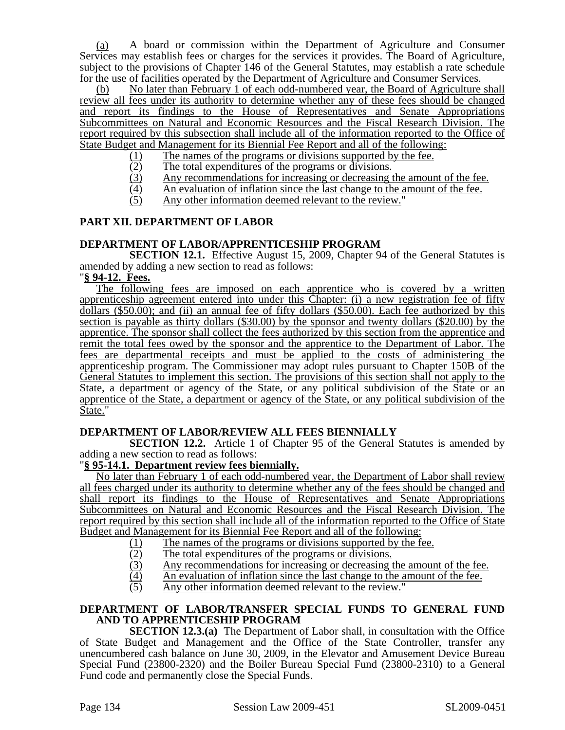(a) A board or commission within the Department of Agriculture and Consumer Services may establish fees or charges for the services it provides. The Board of Agriculture, subject to the provisions of Chapter 146 of the General Statutes, may establish a rate schedule for the use of facilities operated by the Department of Agriculture and Consumer Services.

(b) No later than February 1 of each odd-numbered year, the Board of Agriculture shall review all fees under its authority to determine whether any of these fees should be changed and report its findings to the House of Representatives and Senate Appropriations Subcommittees on Natural and Economic Resources and the Fiscal Research Division. The report required by this subsection shall include all of the information reported to the Office of State Budget and Management for its Biennial Fee Report and all of the following:<br>(1) The names of the programs or divisions supported by the fee.

- $(1)$  The names of the programs or divisions supported by the fee.<br>  $(2)$  The total expenditures of the programs or divisions.
- $\frac{1}{2}$  The total expenditures of the programs or divisions.<br>
Any recommendations for increasing or decreasing to
- 
- (3) Any recommendations for increasing or decreasing the amount of the fee.<br>  $\frac{(4)}{(5)}$  An evaluation of inflation since the last change to the amount of the fee.<br>
Any other information deemed relevant to the review." An evaluation of inflation since the last change to the amount of the fee.
- Any other information deemed relevant to the review."

#### **PART XII. DEPARTMENT OF LABOR**

#### **DEPARTMENT OF LABOR/APPRENTICESHIP PROGRAM**

**SECTION 12.1.** Effective August 15, 2009, Chapter 94 of the General Statutes is amended by adding a new section to read as follows:

#### "**§ 94-12. Fees.**

The following fees are imposed on each apprentice who is covered by a written apprenticeship agreement entered into under this Chapter: (i) a new registration fee of fifty dollars (\$50.00); and (ii) an annual fee of fifty dollars (\$50.00). Each fee authorized by this section is payable as thirty dollars (\$30.00) by the sponsor and twenty dollars (\$20.00) by the apprentice. The sponsor shall collect the fees authorized by this section from the apprentice and remit the total fees owed by the sponsor and the apprentice to the Department of Labor. The fees are departmental receipts and must be applied to the costs of administering the apprenticeship program. The Commissioner may adopt rules pursuant to Chapter 150B of the General Statutes to implement this section. The provisions of this section shall not apply to the State, a department or agency of the State, or any political subdivision of the State or an apprentice of the State, a department or agency of the State, or any political subdivision of the State."

#### **DEPARTMENT OF LABOR/REVIEW ALL FEES BIENNIALLY**

**SECTION 12.2.** Article 1 of Chapter 95 of the General Statutes is amended by adding a new section to read as follows:

#### **"§ 95-14.1. Department review fees biennially.**

No later than February 1 of each odd-numbered year, the Department of Labor shall review all fees charged under its authority to determine whether any of the fees should be changed and shall report its findings to the House of Representatives and Senate Appropriations Subcommittees on Natural and Economic Resources and the Fiscal Research Division. The report required by this section shall include all of the information reported to the Office of State Budget and Management for its Biennial Fee Report and all of the following:

- - The total expenditures of the programs or divisions.
- (1) The names of the programs or divisions supported by the fee.<br>  $\frac{12}{10}$  The total expenditures of the programs or divisions.<br>
Any recommendations for increasing or decreasing the amoun  $\overline{(3)}$  Any recommendations for increasing or decreasing the amount of the fee.<br>  $\overline{(4)}$  An evaluation of inflation since the last change to the amount of the fee.
- $\frac{1}{2}$  An evaluation of inflation since the last change to the amount of the fee.<br>
Any other information deemed relevant to the review."
- Any other information deemed relevant to the review."

#### **DEPARTMENT OF LABOR/TRANSFER SPECIAL FUNDS TO GENERAL FUND AND TO APPRENTICESHIP PROGRAM**

**SECTION 12.3.(a)** The Department of Labor shall, in consultation with the Office of State Budget and Management and the Office of the State Controller, transfer any unencumbered cash balance on June 30, 2009, in the Elevator and Amusement Device Bureau Special Fund (23800-2320) and the Boiler Bureau Special Fund (23800-2310) to a General Fund code and permanently close the Special Funds.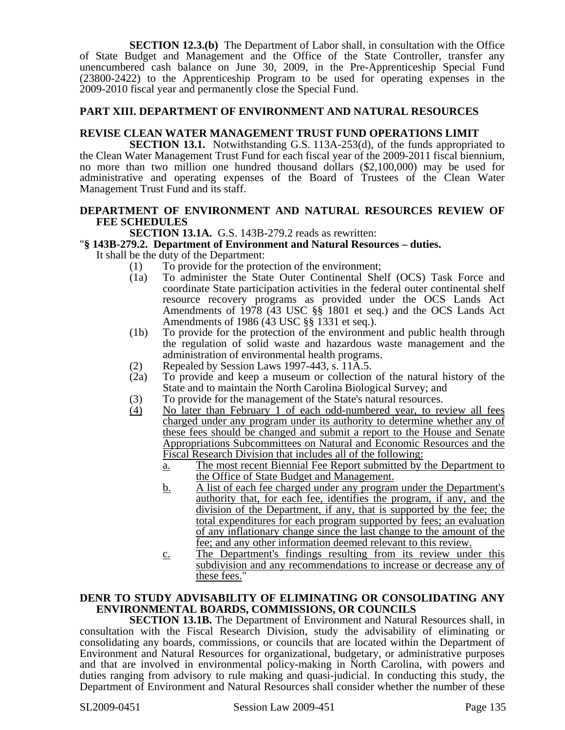**SECTION 12.3.(b)** The Department of Labor shall, in consultation with the Office of State Budget and Management and the Office of the State Controller, transfer any unencumbered cash balance on June 30, 2009, in the Pre-Apprenticeship Special Fund (23800-2422) to the Apprenticeship Program to be used for operating expenses in the 2009-2010 fiscal year and permanently close the Special Fund.

#### **PART XIII. DEPARTMENT OF ENVIRONMENT AND NATURAL RESOURCES**

#### **REVISE CLEAN WATER MANAGEMENT TRUST FUND OPERATIONS LIMIT**

**SECTION 13.1.** Notwithstanding G.S. 113A-253(d), of the funds appropriated to the Clean Water Management Trust Fund for each fiscal year of the 2009-2011 fiscal biennium, no more than two million one hundred thousand dollars (\$2,100,000) may be used for administrative and operating expenses of the Board of Trustees of the Clean Water Management Trust Fund and its staff.

#### **DEPARTMENT OF ENVIRONMENT AND NATURAL RESOURCES REVIEW OF FEE SCHEDULES**

**SECTION 13.1A.** G.S. 143B-279.2 reads as rewritten:

#### "**§ 143B-279.2. Department of Environment and Natural Resources – duties.**

It shall be the duty of the Department:

- (1) To provide for the protection of the environment;
- (1a) To administer the State Outer Continental Shelf (OCS) Task Force and coordinate State participation activities in the federal outer continental shelf resource recovery programs as provided under the OCS Lands Act Amendments of 1978 (43 USC §§ 1801 et seq.) and the OCS Lands Act Amendments of 1986 (43 USC §§ 1331 et seq.).
- (1b) To provide for the protection of the environment and public health through the regulation of solid waste and hazardous waste management and the administration of environmental health programs.
- (2) Repealed by Session Laws 1997-443, s. 11A.5.
- (2a) To provide and keep a museum or collection of the natural history of the State and to maintain the North Carolina Biological Survey; and
- (3) To provide for the management of the State's natural resources.<br>(4) No later than February 1 of each odd-numbered year, to re
- No later than February 1 of each odd-numbered year, to review all fees charged under any program under its authority to determine whether any of these fees should be changed and submit a report to the House and Senate Appropriations Subcommittees on Natural and Economic Resources and the Fiscal Research Division that includes all of the following:
	- a. The most recent Biennial Fee Report submitted by the Department to the Office of State Budget and Management.
	- b. A list of each fee charged under any program under the Department's authority that, for each fee, identifies the program, if any, and the division of the Department, if any, that is supported by the fee; the total expenditures for each program supported by fees; an evaluation of any inflationary change since the last change to the amount of the fee; and any other information deemed relevant to this review.
	- c. The Department's findings resulting from its review under this subdivision and any recommendations to increase or decrease any of these fees."

#### **DENR TO STUDY ADVISABILITY OF ELIMINATING OR CONSOLIDATING ANY ENVIRONMENTAL BOARDS, COMMISSIONS, OR COUNCILS**

**SECTION 13.1B.** The Department of Environment and Natural Resources shall, in consultation with the Fiscal Research Division, study the advisability of eliminating or consolidating any boards, commissions, or councils that are located within the Department of Environment and Natural Resources for organizational, budgetary, or administrative purposes and that are involved in environmental policy-making in North Carolina, with powers and duties ranging from advisory to rule making and quasi-judicial. In conducting this study, the Department of Environment and Natural Resources shall consider whether the number of these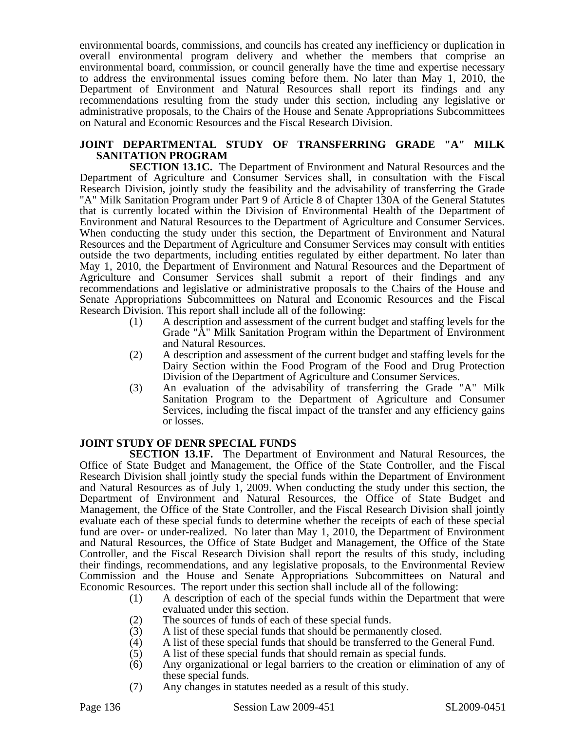environmental boards, commissions, and councils has created any inefficiency or duplication in overall environmental program delivery and whether the members that comprise an environmental board, commission, or council generally have the time and expertise necessary to address the environmental issues coming before them. No later than May 1, 2010, the Department of Environment and Natural Resources shall report its findings and any recommendations resulting from the study under this section, including any legislative or administrative proposals, to the Chairs of the House and Senate Appropriations Subcommittees on Natural and Economic Resources and the Fiscal Research Division.

#### **JOINT DEPARTMENTAL STUDY OF TRANSFERRING GRADE "A" MILK SANITATION PROGRAM**

**SECTION 13.1C.** The Department of Environment and Natural Resources and the Department of Agriculture and Consumer Services shall, in consultation with the Fiscal Research Division, jointly study the feasibility and the advisability of transferring the Grade "A" Milk Sanitation Program under Part 9 of Article 8 of Chapter 130A of the General Statutes that is currently located within the Division of Environmental Health of the Department of Environment and Natural Resources to the Department of Agriculture and Consumer Services. When conducting the study under this section, the Department of Environment and Natural Resources and the Department of Agriculture and Consumer Services may consult with entities outside the two departments, including entities regulated by either department. No later than May 1, 2010, the Department of Environment and Natural Resources and the Department of Agriculture and Consumer Services shall submit a report of their findings and any recommendations and legislative or administrative proposals to the Chairs of the House and Senate Appropriations Subcommittees on Natural and Economic Resources and the Fiscal Research Division. This report shall include all of the following:

- (1) A description and assessment of the current budget and staffing levels for the Grade "A" Milk Sanitation Program within the Department of Environment and Natural Resources.
- (2) A description and assessment of the current budget and staffing levels for the Dairy Section within the Food Program of the Food and Drug Protection Division of the Department of Agriculture and Consumer Services.
- (3) An evaluation of the advisability of transferring the Grade "A" Milk Sanitation Program to the Department of Agriculture and Consumer Services, including the fiscal impact of the transfer and any efficiency gains or losses.

#### **JOINT STUDY OF DENR SPECIAL FUNDS**

**SECTION 13.1F.** The Department of Environment and Natural Resources, the Office of State Budget and Management, the Office of the State Controller, and the Fiscal Research Division shall jointly study the special funds within the Department of Environment and Natural Resources as of July 1, 2009. When conducting the study under this section, the Department of Environment and Natural Resources, the Office of State Budget and Management, the Office of the State Controller, and the Fiscal Research Division shall jointly evaluate each of these special funds to determine whether the receipts of each of these special fund are over- or under-realized. No later than May 1, 2010, the Department of Environment and Natural Resources, the Office of State Budget and Management, the Office of the State Controller, and the Fiscal Research Division shall report the results of this study, including their findings, recommendations, and any legislative proposals, to the Environmental Review Commission and the House and Senate Appropriations Subcommittees on Natural and Economic Resources. The report under this section shall include all of the following:

- (1) A description of each of the special funds within the Department that were evaluated under this section.
- 
- (2) The sources of funds of each of these special funds.<br>
(3) A list of these special funds that should be permanent A list of these special funds that should be permanently closed.
- (4) A list of these special funds that should be transferred to the General Fund.<br>(5) A list of these special funds that should remain as special funds.
- A list of these special funds that should remain as special funds.
- (6) Any organizational or legal barriers to the creation or elimination of any of these special funds.
- (7) Any changes in statutes needed as a result of this study.

Page 136 Session Law 2009-451 SL2009-0451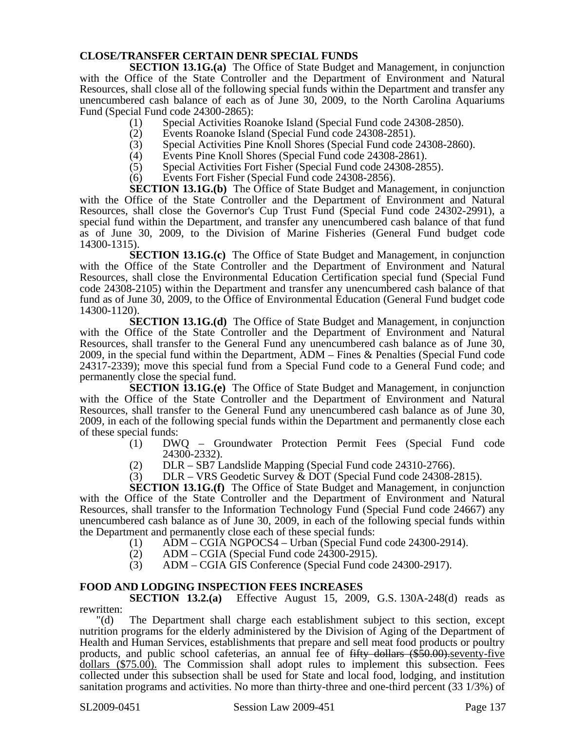#### **CLOSE/TRANSFER CERTAIN DENR SPECIAL FUNDS**

**SECTION 13.1G.(a)** The Office of State Budget and Management, in conjunction with the Office of the State Controller and the Department of Environment and Natural Resources, shall close all of the following special funds within the Department and transfer any unencumbered cash balance of each as of June 30, 2009, to the North Carolina Aquariums Fund (Special Fund code 24300-2865):

- (1) Special Activities Roanoke Island (Special Fund code 24308-2850).
- 
- (2) Events Roanoke Island (Special Fund code 24308-2851).<br>
(3) Special Activities Pine Knoll Shores (Special Fund code 2 Special Activities Pine Knoll Shores (Special Fund code 24308-2860).
- (4) Events Pine Knoll Shores (Special Fund code 24308-2861).<br>
(5) Special Activities Fort Fisher (Special Fund code 24308-289
- Special Activities Fort Fisher (Special Fund code 24308-2855).
- (6) Events Fort Fisher (Special Fund code 24308-2856).

**SECTION 13.1G.(b)** The Office of State Budget and Management, in conjunction with the Office of the State Controller and the Department of Environment and Natural Resources, shall close the Governor's Cup Trust Fund (Special Fund code 24302-2991), a special fund within the Department, and transfer any unencumbered cash balance of that fund as of June 30, 2009, to the Division of Marine Fisheries (General Fund budget code 14300-1315).

**SECTION 13.1G.(c)** The Office of State Budget and Management, in conjunction with the Office of the State Controller and the Department of Environment and Natural Resources, shall close the Environmental Education Certification special fund (Special Fund code 24308-2105) within the Department and transfer any unencumbered cash balance of that fund as of June 30, 2009, to the Office of Environmental Education (General Fund budget code 14300-1120).

**SECTION 13.1G.(d)** The Office of State Budget and Management, in conjunction with the Office of the State Controller and the Department of Environment and Natural Resources, shall transfer to the General Fund any unencumbered cash balance as of June 30, 2009, in the special fund within the Department, ADM – Fines & Penalties (Special Fund code 24317-2339); move this special fund from a Special Fund code to a General Fund code; and permanently close the special fund.

**SECTION 13.1G.(e)** The Office of State Budget and Management, in conjunction with the Office of the State Controller and the Department of Environment and Natural Resources, shall transfer to the General Fund any unencumbered cash balance as of June 30, 2009, in each of the following special funds within the Department and permanently close each of these special funds:

- (1) DWQ Groundwater Protection Permit Fees (Special Fund code 24300-2332).
- 
- (2) DLR SB7 Landslide Mapping (Special Fund code 24310-2766).<br>(3) DLR VRS Geodetic Survey & DOT (Special Fund code 24308-2 DLR – VRS Geodetic Survey & DOT (Special Fund code 24308-2815).

**SECTION 13.1G.(f)** The Office of State Budget and Management, in conjunction with the Office of the State Controller and the Department of Environment and Natural Resources, shall transfer to the Information Technology Fund (Special Fund code 24667) any unencumbered cash balance as of June 30, 2009, in each of the following special funds within the Department and permanently close each of these special funds:

- (1)  $\overrightarrow{ADM} \overrightarrow{CGIA} \overrightarrow{NGPOCS4} \overrightarrow{Urban} \overrightarrow{Special}$  Fund code 24300-2914).<br>(2)  $\overrightarrow{ADM} \overrightarrow{CGIA} \overrightarrow{Special}$  Fund code 24300-2915).
- $ADM CGIA$  (Special Fund code  $24\overline{3}00-2915$ ).
- (3) ADM CGIA GIS Conference (Special Fund code 24300-2917).

#### **FOOD AND LODGING INSPECTION FEES INCREASES**

**SECTION 13.2.(a)** Effective August 15, 2009, G.S. 130A-248(d) reads as rewritten:

"(d) The Department shall charge each establishment subject to this section, except nutrition programs for the elderly administered by the Division of Aging of the Department of Health and Human Services, establishments that prepare and sell meat food products or poultry products, and public school cafeterias, an annual fee of fifty dollars (\$50.00).seventy-five dollars (\$75.00). The Commission shall adopt rules to implement this subsection. Fees collected under this subsection shall be used for State and local food, lodging, and institution sanitation programs and activities. No more than thirty-three and one-third percent (33 1/3%) of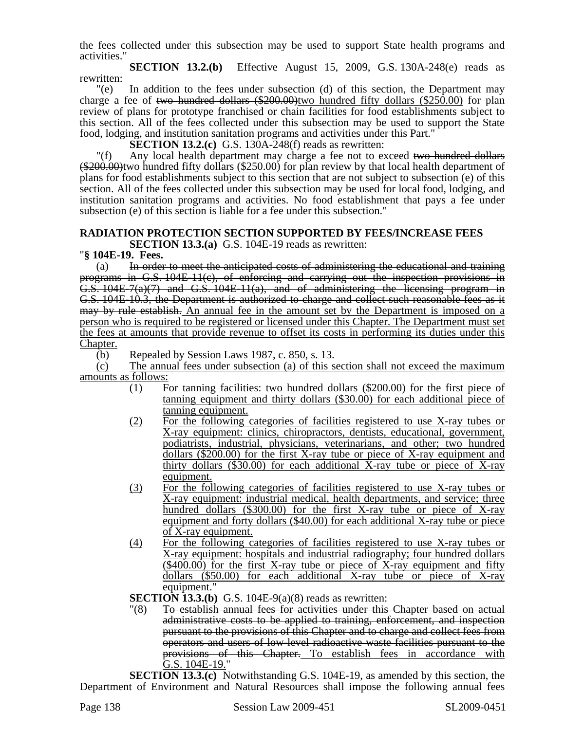the fees collected under this subsection may be used to support State health programs and activities."<br> **SECTION 13.2.(b)** 

Effective August 15, 2009, G.S. 130A-248(e) reads as rewritten:

"(e) In addition to the fees under subsection (d) of this section, the Department may charge a fee of two hundred dollars  $(\$200.00)$ two hundred fifty dollars  $(\$250.00)$  for plan review of plans for prototype franchised or chain facilities for food establishments subject to this section. All of the fees collected under this subsection may be used to support the State food, lodging, and institution sanitation programs and activities under this Part."

**SECTION 13.2.(c)** G.S. 130A-248(f) reads as rewritten:

"(f) Any local health department may charge a fee not to exceed two hundred dollars (\$200.00)two hundred fifty dollars (\$250.00) for plan review by that local health department of plans for food establishments subject to this section that are not subject to subsection (e) of this section. All of the fees collected under this subsection may be used for local food, lodging, and institution sanitation programs and activities. No food establishment that pays a fee under subsection (e) of this section is liable for a fee under this subsection."

#### **RADIATION PROTECTION SECTION SUPPORTED BY FEES/INCREASE FEES**

**SECTION 13.3.(a)** G.S. 104E-19 reads as rewritten:

"**§ 104E-19. Fees.** 

 $(a)$  In order to meet the anticipated costs of administering the educational and training programs in G.S. 104E-11(c), of enforcing and carrying out the inspection provisions in  $\overline{G.S.}$  104E-7(a)(7) and  $\overline{G.S.}$  104E-11(a), and of administering the licensing program in G.S. 104E-10.3, the Department is authorized to charge and collect such reasonable fees as it may by rule establish. An annual fee in the amount set by the Department is imposed on a person who is required to be registered or licensed under this Chapter. The Department must set the fees at amounts that provide revenue to offset its costs in performing its duties under this Chapter.

(b) Repealed by Session Laws 1987, c. 850, s. 13.

(c) The annual fees under subsection (a) of this section shall not exceed the maximum amounts as follows:

- (1) For tanning facilities: two hundred dollars (\$200.00) for the first piece of tanning equipment and thirty dollars (\$30.00) for each additional piece of tanning equipment.
- (2) For the following categories of facilities registered to use X-ray tubes or X-ray equipment: clinics, chiropractors, dentists, educational, government, podiatrists, industrial, physicians, veterinarians, and other; two hundred dollars (\$200.00) for the first X-ray tube or piece of X-ray equipment and thirty dollars (\$30.00) for each additional X-ray tube or piece of X-ray equipment.
- (3) For the following categories of facilities registered to use X-ray tubes or X-ray equipment: industrial medical, health departments, and service; three hundred dollars (\$300.00) for the first X-ray tube or piece of X-ray equipment and forty dollars (\$40.00) for each additional X-ray tube or piece of X-ray equipment.
- (4) For the following categories of facilities registered to use X-ray tubes or X-ray equipment: hospitals and industrial radiography; four hundred dollars  $($400.00)$  for the first X-ray tube or piece of X-ray equipment and fifty dollars (\$50.00) for each additional X-ray tube or piece of X-ray equipment."

**SECTION 13.3.(b)** G.S. 104E-9(a)(8) reads as rewritten:

"(8) To establish annual fees for activities under this Chapter based on actual administrative costs to be applied to training, enforcement, and inspection pursuant to the provisions of this Chapter and to charge and collect fees from operators and users of low-level radioactive waste facilities pursuant to the provisions of this Chapter. To establish fees in accordance with G.S. 104E-19."

**SECTION 13.3.(c)** Notwithstanding G.S. 104E-19, as amended by this section, the Department of Environment and Natural Resources shall impose the following annual fees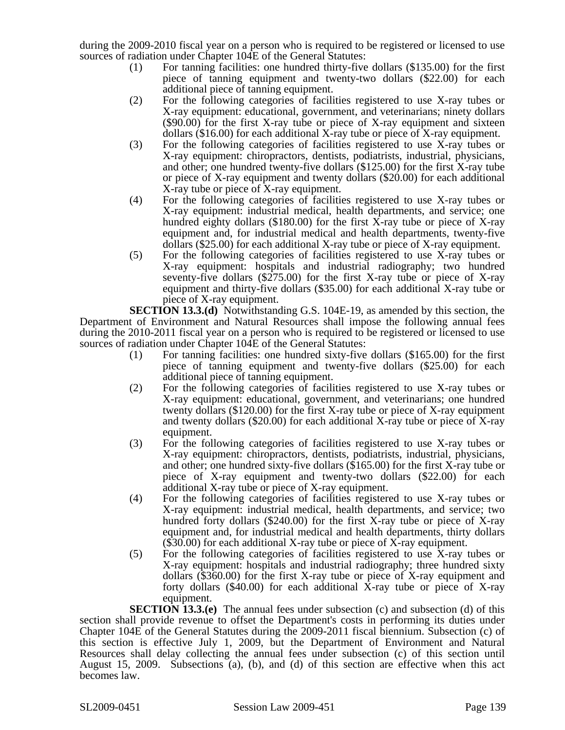during the 2009-2010 fiscal year on a person who is required to be registered or licensed to use sources of radiation under Chapter 104E of the General Statutes:

- (1) For tanning facilities: one hundred thirty-five dollars (\$135.00) for the first piece of tanning equipment and twenty-two dollars (\$22.00) for each additional piece of tanning equipment.
- (2) For the following categories of facilities registered to use X-ray tubes or X-ray equipment: educational, government, and veterinarians; ninety dollars (\$90.00) for the first X-ray tube or piece of X-ray equipment and sixteen dollars (\$16.00) for each additional X-ray tube or piece of X-ray equipment.
- (3) For the following categories of facilities registered to use X-ray tubes or X-ray equipment: chiropractors, dentists, podiatrists, industrial, physicians, and other; one hundred twenty-five dollars (\$125.00) for the first X-ray tube or piece of X-ray equipment and twenty dollars (\$20.00) for each additional X-ray tube or piece of X-ray equipment.
- (4) For the following categories of facilities registered to use X-ray tubes or X-ray equipment: industrial medical, health departments, and service; one hundred eighty dollars (\$180.00) for the first X-ray tube or piece of X-ray equipment and, for industrial medical and health departments, twenty-five dollars (\$25.00) for each additional X-ray tube or piece of X-ray equipment.
- (5) For the following categories of facilities registered to use X-ray tubes or X-ray equipment: hospitals and industrial radiography; two hundred seventy-five dollars (\$275.00) for the first X-ray tube or piece of X-ray equipment and thirty-five dollars (\$35.00) for each additional X-ray tube or piece of X-ray equipment.

**SECTION 13.3.(d)** Notwithstanding G.S. 104E-19, as amended by this section, the Department of Environment and Natural Resources shall impose the following annual fees during the 2010-2011 fiscal year on a person who is required to be registered or licensed to use sources of radiation under Chapter 104E of the General Statutes:

- (1) For tanning facilities: one hundred sixty-five dollars (\$165.00) for the first piece of tanning equipment and twenty-five dollars (\$25.00) for each additional piece of tanning equipment.
- (2) For the following categories of facilities registered to use X-ray tubes or X-ray equipment: educational, government, and veterinarians; one hundred twenty dollars (\$120.00) for the first X-ray tube or piece of X-ray equipment and twenty dollars (\$20.00) for each additional X-ray tube or piece of X-ray equipment.
- (3) For the following categories of facilities registered to use X-ray tubes or X-ray equipment: chiropractors, dentists, podiatrists, industrial, physicians, and other; one hundred sixty-five dollars (\$165.00) for the first X-ray tube or piece of X-ray equipment and twenty-two dollars (\$22.00) for each additional X-ray tube or piece of X-ray equipment.
- (4) For the following categories of facilities registered to use X-ray tubes or X-ray equipment: industrial medical, health departments, and service; two hundred forty dollars (\$240.00) for the first X-ray tube or piece of X-ray equipment and, for industrial medical and health departments, thirty dollars (\$30.00) for each additional X-ray tube or piece of X-ray equipment.
- (5) For the following categories of facilities registered to use X-ray tubes or X-ray equipment: hospitals and industrial radiography; three hundred sixty dollars (\$360.00) for the first X-ray tube or piece of X-ray equipment and forty dollars (\$40.00) for each additional X-ray tube or piece of X-ray equipment.

**SECTION 13.3.(e)** The annual fees under subsection (c) and subsection (d) of this section shall provide revenue to offset the Department's costs in performing its duties under Chapter 104E of the General Statutes during the 2009-2011 fiscal biennium. Subsection (c) of this section is effective July 1, 2009, but the Department of Environment and Natural Resources shall delay collecting the annual fees under subsection (c) of this section until August 15, 2009. Subsections (a), (b), and (d) of this section are effective when this act becomes law.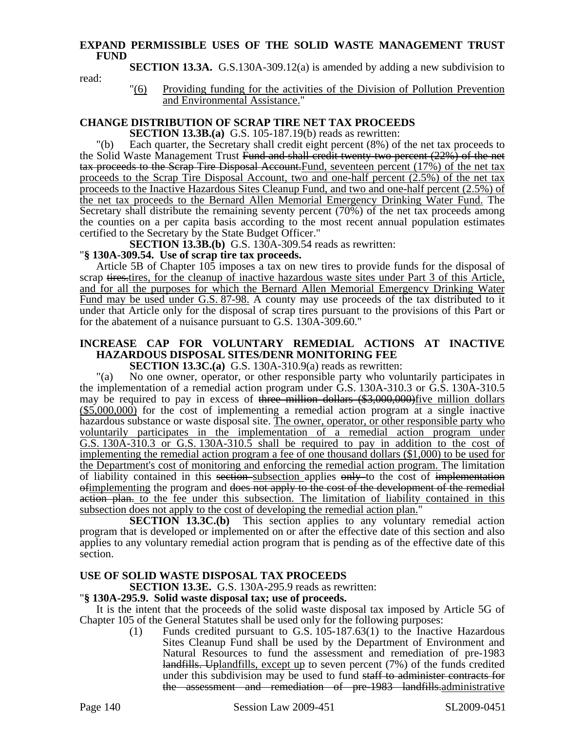#### **EXPAND PERMISSIBLE USES OF THE SOLID WASTE MANAGEMENT TRUST FUND**

**SECTION 13.3A.** G.S.130A-309.12(a) is amended by adding a new subdivision to

read:

"(6) Providing funding for the activities of the Division of Pollution Prevention and Environmental Assistance."

# **CHANGE DISTRIBUTION OF SCRAP TIRE NET TAX PROCEEDS**

**SECTION 13.3B.(a)** G.S. 105-187.19(b) reads as rewritten:

"(b) Each quarter, the Secretary shall credit eight percent (8%) of the net tax proceeds to the Solid Waste Management Trust Fund and shall credit twenty-two percent (22%) of the net tax proceeds to the Scrap Tire Disposal Account.Fund, seventeen percent (17%) of the net tax proceeds to the Scrap Tire Disposal Account, two and one-half percent (2.5%) of the net tax proceeds to the Inactive Hazardous Sites Cleanup Fund, and two and one-half percent (2.5%) of the net tax proceeds to the Bernard Allen Memorial Emergency Drinking Water Fund. The Secretary shall distribute the remaining seventy percent (70%) of the net tax proceeds among the counties on a per capita basis according to the most recent annual population estimates certified to the Secretary by the State Budget Officer."

**SECTION 13.3B.(b)** G.S. 130A-309.54 reads as rewritten:

#### "**§ 130A-309.54. Use of scrap tire tax proceeds.**

Article 5B of Chapter 105 imposes a tax on new tires to provide funds for the disposal of scrap tires, tires, for the cleanup of inactive hazardous waste sites under Part 3 of this Article, and for all the purposes for which the Bernard Allen Memorial Emergency Drinking Water Fund may be used under G.S. 87-98. A county may use proceeds of the tax distributed to it under that Article only for the disposal of scrap tires pursuant to the provisions of this Part or for the abatement of a nuisance pursuant to G.S. 130A-309.60."

#### **INCREASE CAP FOR VOLUNTARY REMEDIAL ACTIONS AT INACTIVE HAZARDOUS DISPOSAL SITES/DENR MONITORING FEE**

**SECTION 13.3C.(a)** G.S. 130A-310.9(a) reads as rewritten:

"(a) No one owner, operator, or other responsible party who voluntarily participates in the implementation of a remedial action program under G.S. 130A-310.3 or G.S. 130A-310.5 may be required to pay in excess of three million dollars (\$3,000,000)five million dollars (\$5,000,000) for the cost of implementing a remedial action program at a single inactive hazardous substance or waste disposal site. The owner, operator, or other responsible party who voluntarily participates in the implementation of a remedial action program under G.S. 130A-310.3 or G.S. 130A-310.5 shall be required to pay in addition to the cost of implementing the remedial action program a fee of one thousand dollars (\$1,000) to be used for the Department's cost of monitoring and enforcing the remedial action program. The limitation of liability contained in this section subsection applies only to the cost of implementation of implementing the program and does not apply to the cost of the development of the remedial action plan. to the fee under this subsection. The limitation of liability contained in this subsection does not apply to the cost of developing the remedial action plan."

**SECTION 13.3C.(b)** This section applies to any voluntary remedial action program that is developed or implemented on or after the effective date of this section and also applies to any voluntary remedial action program that is pending as of the effective date of this section.

#### **USE OF SOLID WASTE DISPOSAL TAX PROCEEDS**

**SECTION 13.3E.** G.S. 130A-295.9 reads as rewritten:

#### "**§ 130A-295.9. Solid waste disposal tax; use of proceeds.**

It is the intent that the proceeds of the solid waste disposal tax imposed by Article 5G of Chapter 105 of the General Statutes shall be used only for the following purposes:

(1) Funds credited pursuant to G.S. 105-187.63(1) to the Inactive Hazardous Sites Cleanup Fund shall be used by the Department of Environment and Natural Resources to fund the assessment and remediation of pre-1983 landfills. Uplandfills, except up to seven percent (7%) of the funds credited under this subdivision may be used to fund staff to administer contracts for the assessment and remediation of pre-1983 landfills.administrative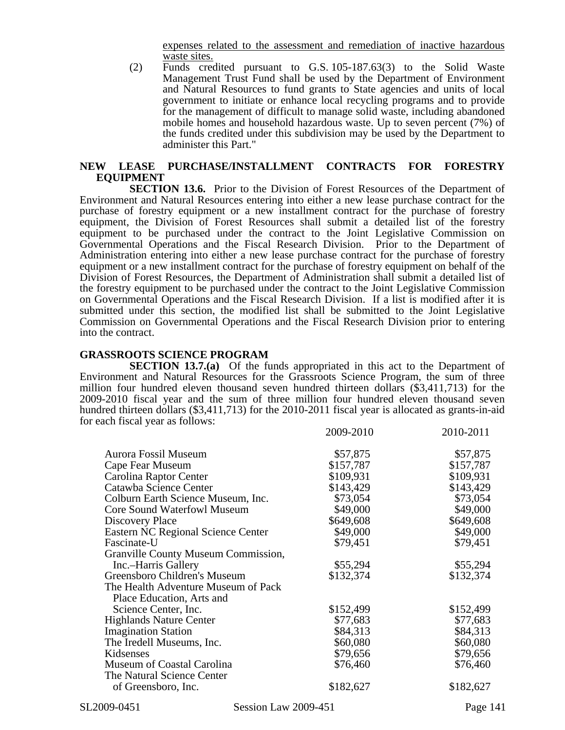expenses related to the assessment and remediation of inactive hazardous waste sites.

(2) Funds credited pursuant to G.S. 105-187.63(3) to the Solid Waste Management Trust Fund shall be used by the Department of Environment and Natural Resources to fund grants to State agencies and units of local government to initiate or enhance local recycling programs and to provide for the management of difficult to manage solid waste, including abandoned mobile homes and household hazardous waste. Up to seven percent (7%) of the funds credited under this subdivision may be used by the Department to administer this Part."

#### **NEW LEASE PURCHASE/INSTALLMENT CONTRACTS FOR FORESTRY EQUIPMENT**

**SECTION 13.6.** Prior to the Division of Forest Resources of the Department of Environment and Natural Resources entering into either a new lease purchase contract for the purchase of forestry equipment or a new installment contract for the purchase of forestry equipment, the Division of Forest Resources shall submit a detailed list of the forestry equipment to be purchased under the contract to the Joint Legislative Commission on Governmental Operations and the Fiscal Research Division. Prior to the Department of Administration entering into either a new lease purchase contract for the purchase of forestry equipment or a new installment contract for the purchase of forestry equipment on behalf of the Division of Forest Resources, the Department of Administration shall submit a detailed list of the forestry equipment to be purchased under the contract to the Joint Legislative Commission on Governmental Operations and the Fiscal Research Division. If a list is modified after it is submitted under this section, the modified list shall be submitted to the Joint Legislative Commission on Governmental Operations and the Fiscal Research Division prior to entering into the contract.

#### **GRASSROOTS SCIENCE PROGRAM**

**SECTION 13.7.(a)** Of the funds appropriated in this act to the Department of Environment and Natural Resources for the Grassroots Science Program, the sum of three million four hundred eleven thousand seven hundred thirteen dollars (\$3,411,713) for the 2009-2010 fiscal year and the sum of three million four hundred eleven thousand seven hundred thirteen dollars (\$3,411,713) for the 2010-2011 fiscal year is allocated as grants-in-aid for each fiscal year as follows:

|                                     | 2009-2010 | 2010-2011 |
|-------------------------------------|-----------|-----------|
| Aurora Fossil Museum                | \$57,875  | \$57,875  |
| Cape Fear Museum                    | \$157,787 | \$157,787 |
| Carolina Raptor Center              | \$109,931 | \$109,931 |
| Catawba Science Center              | \$143,429 | \$143,429 |
| Colburn Earth Science Museum, Inc.  | \$73,054  | \$73,054  |
| <b>Core Sound Waterfowl Museum</b>  | \$49,000  | \$49,000  |
| Discovery Place                     | \$649,608 | \$649,608 |
| Eastern NC Regional Science Center  | \$49,000  | \$49,000  |
| Fascinate-U                         | \$79,451  | \$79,451  |
| Granville County Museum Commission, |           |           |
| Inc.–Harris Gallery                 | \$55,294  | \$55,294  |
| Greensboro Children's Museum        | \$132,374 | \$132,374 |
| The Health Adventure Museum of Pack |           |           |
| Place Education, Arts and           |           |           |
| Science Center, Inc.                | \$152,499 | \$152,499 |
| <b>Highlands Nature Center</b>      | \$77,683  | \$77,683  |
| <b>Imagination Station</b>          | \$84,313  | \$84,313  |
| The Iredell Museums, Inc.           | \$60,080  | \$60,080  |
| Kidsenses                           | \$79,656  | \$79,656  |
| <b>Museum of Coastal Carolina</b>   | \$76,460  | \$76,460  |
| The Natural Science Center          |           |           |
| of Greensboro, Inc.                 | \$182,627 | \$182,627 |
|                                     |           |           |

SL2009-0451 Session Law 2009-451 Page 141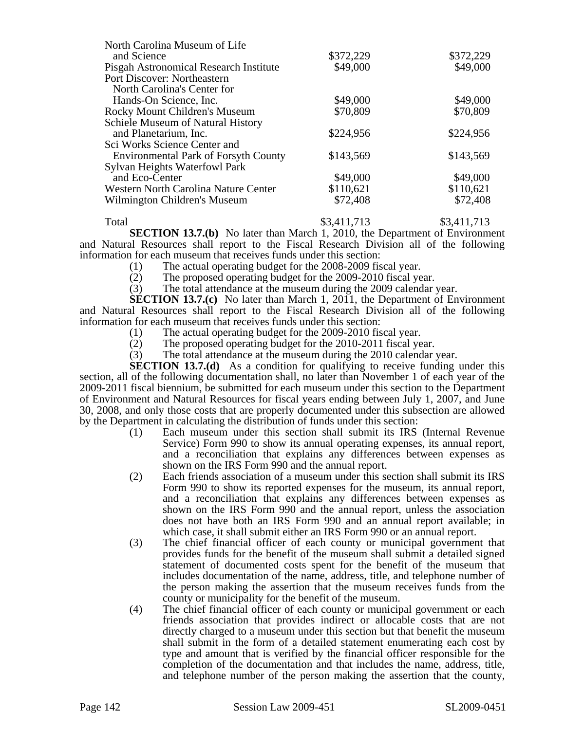| North Carolina Museum of Life               |           |           |
|---------------------------------------------|-----------|-----------|
| and Science                                 | \$372,229 | \$372,229 |
| Pisgah Astronomical Research Institute      | \$49,000  | \$49,000  |
| Port Discover: Northeastern                 |           |           |
| North Carolina's Center for                 |           |           |
| Hands-On Science, Inc.                      | \$49,000  | \$49,000  |
| Rocky Mount Children's Museum               | \$70,809  | \$70,809  |
| Schiele Museum of Natural History           |           |           |
| and Planetarium, Inc.                       | \$224,956 | \$224,956 |
| Sci Works Science Center and                |           |           |
| <b>Environmental Park of Forsyth County</b> | \$143,569 | \$143,569 |
| <b>Sylvan Heights Waterfowl Park</b>        |           |           |
| and Eco-Center                              | \$49,000  | \$49,000  |
| Western North Carolina Nature Center        | \$110,621 | \$110,621 |
| Wilmington Children's Museum                | \$72,408  | \$72,408  |
|                                             |           |           |

Total \$3,411,713 \$3,411,713

**SECTION 13.7.(b)** No later than March 1, 2010, the Department of Environment and Natural Resources shall report to the Fiscal Research Division all of the following information for each museum that receives funds under this section:

- (1) The actual operating budget for the 2008-2009 fiscal year.
- (2) The proposed operating budget for the 2009-2010 fiscal year.<br>(3) The total attendance at the museum during the 2009 calendar
- The total attendance at the museum during the 2009 calendar year.

**SECTION 13.7.(c)** No later than March 1, 2011, the Department of Environment and Natural Resources shall report to the Fiscal Research Division all of the following information for each museum that receives funds under this section:

- (1) The actual operating budget for the 2009-2010 fiscal year.
- (2) The proposed operating budget for the 2010-2011 fiscal year.<br>
(3) The total attendance at the museum during the 2010 calendar
- The total attendance at the museum during the 2010 calendar year.

**SECTION 13.7.(d)** As a condition for qualifying to receive funding under this section, all of the following documentation shall, no later than November 1 of each year of the 2009-2011 fiscal biennium, be submitted for each museum under this section to the Department of Environment and Natural Resources for fiscal years ending between July 1, 2007, and June 30, 2008, and only those costs that are properly documented under this subsection are allowed by the Department in calculating the distribution of funds under this section:

- (1) Each museum under this section shall submit its IRS (Internal Revenue Service) Form 990 to show its annual operating expenses, its annual report, and a reconciliation that explains any differences between expenses as shown on the IRS Form 990 and the annual report.
- (2) Each friends association of a museum under this section shall submit its IRS Form 990 to show its reported expenses for the museum, its annual report, and a reconciliation that explains any differences between expenses as shown on the IRS Form 990 and the annual report, unless the association does not have both an IRS Form 990 and an annual report available; in which case, it shall submit either an IRS Form 990 or an annual report.
- (3) The chief financial officer of each county or municipal government that provides funds for the benefit of the museum shall submit a detailed signed statement of documented costs spent for the benefit of the museum that includes documentation of the name, address, title, and telephone number of the person making the assertion that the museum receives funds from the county or municipality for the benefit of the museum.
- (4) The chief financial officer of each county or municipal government or each friends association that provides indirect or allocable costs that are not directly charged to a museum under this section but that benefit the museum shall submit in the form of a detailed statement enumerating each cost by type and amount that is verified by the financial officer responsible for the completion of the documentation and that includes the name, address, title, and telephone number of the person making the assertion that the county,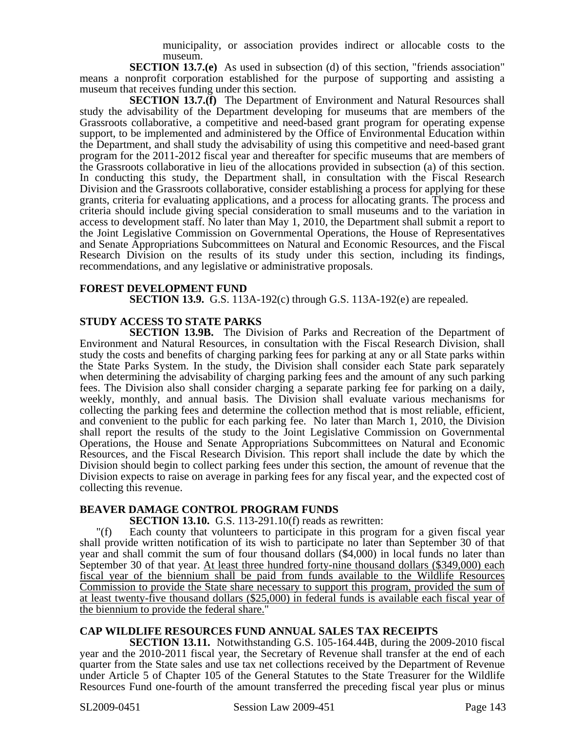municipality, or association provides indirect or allocable costs to the museum.

**SECTION 13.7.(e)** As used in subsection (d) of this section, "friends association" means a nonprofit corporation established for the purpose of supporting and assisting a museum that receives funding under this section.

**SECTION 13.7.(f)** The Department of Environment and Natural Resources shall study the advisability of the Department developing for museums that are members of the Grassroots collaborative, a competitive and need-based grant program for operating expense support, to be implemented and administered by the Office of Environmental Education within the Department, and shall study the advisability of using this competitive and need-based grant program for the 2011-2012 fiscal year and thereafter for specific museums that are members of the Grassroots collaborative in lieu of the allocations provided in subsection (a) of this section. In conducting this study, the Department shall, in consultation with the Fiscal Research Division and the Grassroots collaborative, consider establishing a process for applying for these grants, criteria for evaluating applications, and a process for allocating grants. The process and criteria should include giving special consideration to small museums and to the variation in access to development staff. No later than May 1, 2010, the Department shall submit a report to the Joint Legislative Commission on Governmental Operations, the House of Representatives and Senate Appropriations Subcommittees on Natural and Economic Resources, and the Fiscal Research Division on the results of its study under this section, including its findings, recommendations, and any legislative or administrative proposals.

#### **FOREST DEVELOPMENT FUND**

**SECTION 13.9.** G.S. 113A-192(c) through G.S. 113A-192(e) are repealed.

#### **STUDY ACCESS TO STATE PARKS**

**SECTION 13.9B.** The Division of Parks and Recreation of the Department of Environment and Natural Resources, in consultation with the Fiscal Research Division, shall study the costs and benefits of charging parking fees for parking at any or all State parks within the State Parks System. In the study, the Division shall consider each State park separately when determining the advisability of charging parking fees and the amount of any such parking fees. The Division also shall consider charging a separate parking fee for parking on a daily, weekly, monthly, and annual basis. The Division shall evaluate various mechanisms for collecting the parking fees and determine the collection method that is most reliable, efficient, and convenient to the public for each parking fee. No later than March 1, 2010, the Division shall report the results of the study to the Joint Legislative Commission on Governmental Operations, the House and Senate Appropriations Subcommittees on Natural and Economic Resources, and the Fiscal Research Division. This report shall include the date by which the Division should begin to collect parking fees under this section, the amount of revenue that the Division expects to raise on average in parking fees for any fiscal year, and the expected cost of collecting this revenue.

#### **BEAVER DAMAGE CONTROL PROGRAM FUNDS**

#### **SECTION 13.10.** G.S. 113-291.10(f) reads as rewritten:

"(f) Each county that volunteers to participate in this program for a given fiscal year shall provide written notification of its wish to participate no later than September 30 of that year and shall commit the sum of four thousand dollars (\$4,000) in local funds no later than September 30 of that year. At least three hundred forty-nine thousand dollars (\$349,000) each fiscal year of the biennium shall be paid from funds available to the Wildlife Resources Commission to provide the State share necessary to support this program, provided the sum of at least twenty-five thousand dollars (\$25,000) in federal funds is available each fiscal year of the biennium to provide the federal share."

#### **CAP WILDLIFE RESOURCES FUND ANNUAL SALES TAX RECEIPTS**

**SECTION 13.11.** Notwithstanding G.S. 105-164.44B, during the 2009-2010 fiscal year and the 2010-2011 fiscal year, the Secretary of Revenue shall transfer at the end of each quarter from the State sales and use tax net collections received by the Department of Revenue under Article 5 of Chapter 105 of the General Statutes to the State Treasurer for the Wildlife Resources Fund one-fourth of the amount transferred the preceding fiscal year plus or minus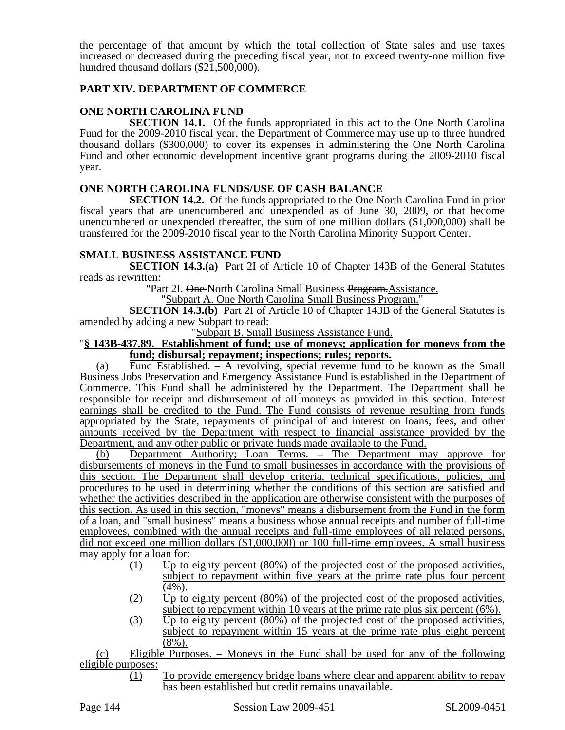the percentage of that amount by which the total collection of State sales and use taxes increased or decreased during the preceding fiscal year, not to exceed twenty-one million five hundred thousand dollars (\$21,500,000).

#### **PART XIV. DEPARTMENT OF COMMERCE**

#### **ONE NORTH CAROLINA FUND**

**SECTION 14.1.** Of the funds appropriated in this act to the One North Carolina Fund for the 2009-2010 fiscal year, the Department of Commerce may use up to three hundred thousand dollars (\$300,000) to cover its expenses in administering the One North Carolina Fund and other economic development incentive grant programs during the 2009-2010 fiscal year.

#### **ONE NORTH CAROLINA FUNDS/USE OF CASH BALANCE**

**SECTION 14.2.** Of the funds appropriated to the One North Carolina Fund in prior fiscal years that are unencumbered and unexpended as of June 30, 2009, or that become unencumbered or unexpended thereafter, the sum of one million dollars (\$1,000,000) shall be transferred for the 2009-2010 fiscal year to the North Carolina Minority Support Center.

#### **SMALL BUSINESS ASSISTANCE FUND**

**SECTION 14.3.(a)** Part 2I of Article 10 of Chapter 143B of the General Statutes reads as rewritten:

"Part 2I. One-North Carolina Small Business Program.Assistance.

"Subpart A. One North Carolina Small Business Program."

**SECTION 14.3.(b)** Part 2I of Article 10 of Chapter 143B of the General Statutes is amended by adding a new Subpart to read:

"Subpart B. Small Business Assistance Fund.

#### "**§ 143B-437.89. Establishment of fund; use of moneys; application for moneys from the fund; disbursal; repayment; inspections; rules; reports.**

(a) Fund Established. – A revolving, special revenue fund to be known as the Small Business Jobs Preservation and Emergency Assistance Fund is established in the Department of Commerce. This Fund shall be administered by the Department. The Department shall be responsible for receipt and disbursement of all moneys as provided in this section. Interest earnings shall be credited to the Fund. The Fund consists of revenue resulting from funds appropriated by the State, repayments of principal of and interest on loans, fees, and other amounts received by the Department with respect to financial assistance provided by the Department, and any other public or private funds made available to the Fund.

(b) Department Authority; Loan Terms. – The Department may approve for disbursements of moneys in the Fund to small businesses in accordance with the provisions of this section. The Department shall develop criteria, technical specifications, policies, and procedures to be used in determining whether the conditions of this section are satisfied and whether the activities described in the application are otherwise consistent with the purposes of this section. As used in this section, "moneys" means a disbursement from the Fund in the form of a loan, and "small business" means a business whose annual receipts and number of full-time employees, combined with the annual receipts and full-time employees of all related persons, did not exceed one million dollars  $(\$1,000,000)$  or 100 full-time employees. A small business may apply for a loan for:

- (1) Up to eighty percent (80%) of the projected cost of the proposed activities, subject to repayment within five years at the prime rate plus four percent  $(4\%)$ .
- $\overline{Up}$  to eighty percent (80%) of the projected cost of the proposed activities, subject to repayment within 10 years at the prime rate plus six percent (6%).
- (3) Up to eighty percent (80%) of the projected cost of the proposed activities, subject to repayment within 15 years at the prime rate plus eight percent  $(8\%)$ .

(c) Eligible Purposes. – Moneys in the Fund shall be used for any of the following eligible purposes:

 $(1)$  To provide emergency bridge loans where clear and apparent ability to repay has been established but credit remains unavailable.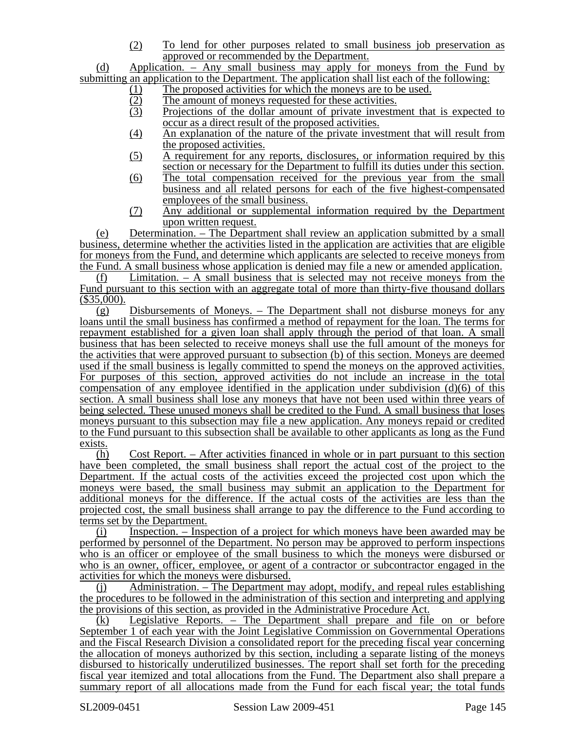(2) To lend for other purposes related to small business job preservation as approved or recommended by the Department.

(d) Application. – Any small business may apply for moneys from the Fund by submitting an application to the Department. The application shall list each of the following:

- (1) The proposed activities for which the moneys are to be used.<br>(2) The amount of moneys requested for these activities.
- $\frac{12}{2}$  The amount of moneys requested for these activities.<br>(3) Projections of the dollar amount of private investment
- Projections of the dollar amount of private investment that is expected to occur as a direct result of the proposed activities.
- (4) An explanation of the nature of the private investment that will result from the proposed activities.
- (5) A requirement for any reports, disclosures, or information required by this section or necessary for the Department to fulfill its duties under this section.
- (6) The total compensation received for the previous year from the small business and all related persons for each of the five highest-compensated employees of the small business.
- (7) Any additional or supplemental information required by the Department upon written request.

(e) Determination. – The Department shall review an application submitted by a small business, determine whether the activities listed in the application are activities that are eligible for moneys from the Fund, and determine which applicants are selected to receive moneys from the Fund. A small business whose application is denied may file a new or amended application.

(f) Limitation. – A small business that is selected may not receive moneys from the Fund pursuant to this section with an aggregate total of more than thirty-five thousand dollars (\$35,000).

(g) Disbursements of Moneys. – The Department shall not disburse moneys for any loans until the small business has confirmed a method of repayment for the loan. The terms for repayment established for a given loan shall apply through the period of that loan. A small business that has been selected to receive moneys shall use the full amount of the moneys for the activities that were approved pursuant to subsection (b) of this section. Moneys are deemed used if the small business is legally committed to spend the moneys on the approved activities. For purposes of this section, approved activities do not include an increase in the total compensation of any employee identified in the application under subdivision  $(d)(6)$  of this section. A small business shall lose any moneys that have not been used within three years of being selected. These unused moneys shall be credited to the Fund. A small business that loses moneys pursuant to this subsection may file a new application. Any moneys repaid or credited to the Fund pursuant to this subsection shall be available to other applicants as long as the Fund exists.

(h) Cost Report. – After activities financed in whole or in part pursuant to this section have been completed, the small business shall report the actual cost of the project to the Department. If the actual costs of the activities exceed the projected cost upon which the moneys were based, the small business may submit an application to the Department for additional moneys for the difference. If the actual costs of the activities are less than the projected cost, the small business shall arrange to pay the difference to the Fund according to terms set by the Department.

(i) Inspection. – Inspection of a project for which moneys have been awarded may be performed by personnel of the Department. No person may be approved to perform inspections who is an officer or employee of the small business to which the moneys were disbursed or who is an owner, officer, employee, or agent of a contractor or subcontractor engaged in the activities for which the moneys were disbursed.

(j) Administration. – The Department may adopt, modify, and repeal rules establishing the procedures to be followed in the administration of this section and interpreting and applying the provisions of this section, as provided in the Administrative Procedure Act.

(k) Legislative Reports. – The Department shall prepare and file on or before September 1 of each year with the Joint Legislative Commission on Governmental Operations and the Fiscal Research Division a consolidated report for the preceding fiscal year concerning the allocation of moneys authorized by this section, including a separate listing of the moneys disbursed to historically underutilized businesses. The report shall set forth for the preceding fiscal year itemized and total allocations from the Fund. The Department also shall prepare a summary report of all allocations made from the Fund for each fiscal year; the total funds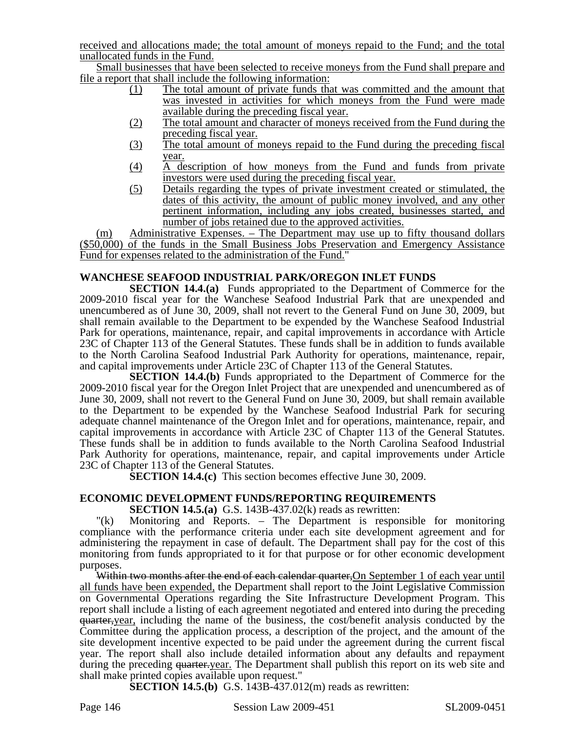received and allocations made; the total amount of moneys repaid to the Fund; and the total unallocated funds in the Fund.

Small businesses that have been selected to receive moneys from the Fund shall prepare and file a report that shall include the following information:

- (1) The total amount of private funds that was committed and the amount that was invested in activities for which moneys from the Fund were made available during the preceding fiscal year.
- (2) The total amount and character of moneys received from the Fund during the preceding fiscal year.
- (3) The total amount of moneys repaid to the Fund during the preceding fiscal year.
- (4) A description of how moneys from the Fund and funds from private investors were used during the preceding fiscal year.
- (5) Details regarding the types of private investment created or stimulated, the dates of this activity, the amount of public money involved, and any other pertinent information, including any jobs created, businesses started, and number of jobs retained due to the approved activities.

(m) Administrative Expenses. – The Department may use up to fifty thousand dollars (\$50,000) of the funds in the Small Business Jobs Preservation and Emergency Assistance Fund for expenses related to the administration of the Fund."

# **WANCHESE SEAFOOD INDUSTRIAL PARK/OREGON INLET FUNDS**

**SECTION 14.4.(a)** Funds appropriated to the Department of Commerce for the 2009-2010 fiscal year for the Wanchese Seafood Industrial Park that are unexpended and unencumbered as of June 30, 2009, shall not revert to the General Fund on June 30, 2009, but shall remain available to the Department to be expended by the Wanchese Seafood Industrial Park for operations, maintenance, repair, and capital improvements in accordance with Article 23C of Chapter 113 of the General Statutes. These funds shall be in addition to funds available to the North Carolina Seafood Industrial Park Authority for operations, maintenance, repair, and capital improvements under Article 23C of Chapter 113 of the General Statutes.

**SECTION 14.4.(b)** Funds appropriated to the Department of Commerce for the 2009-2010 fiscal year for the Oregon Inlet Project that are unexpended and unencumbered as of June 30, 2009, shall not revert to the General Fund on June 30, 2009, but shall remain available to the Department to be expended by the Wanchese Seafood Industrial Park for securing adequate channel maintenance of the Oregon Inlet and for operations, maintenance, repair, and capital improvements in accordance with Article 23C of Chapter 113 of the General Statutes. These funds shall be in addition to funds available to the North Carolina Seafood Industrial Park Authority for operations, maintenance, repair, and capital improvements under Article 23C of Chapter 113 of the General Statutes.

**SECTION 14.4.(c)** This section becomes effective June 30, 2009.

#### **ECONOMIC DEVELOPMENT FUNDS/REPORTING REQUIREMENTS**

**SECTION 14.5.(a)** G.S. 143B-437.02(k) reads as rewritten:

"(k) Monitoring and Reports. – The Department is responsible for monitoring compliance with the performance criteria under each site development agreement and for administering the repayment in case of default. The Department shall pay for the cost of this monitoring from funds appropriated to it for that purpose or for other economic development purposes.

Within two months after the end of each calendar quarter. On September 1 of each year until all funds have been expended, the Department shall report to the Joint Legislative Commission on Governmental Operations regarding the Site Infrastructure Development Program. This report shall include a listing of each agreement negotiated and entered into during the preceding quarter,year, including the name of the business, the cost/benefit analysis conducted by the Committee during the application process, a description of the project, and the amount of the site development incentive expected to be paid under the agreement during the current fiscal year. The report shall also include detailed information about any defaults and repayment during the preceding <del>quarter.</del>year. The Department shall publish this report on its web site and shall make printed copies available upon request."

**SECTION 14.5.(b)** G.S. 143B-437.012(m) reads as rewritten: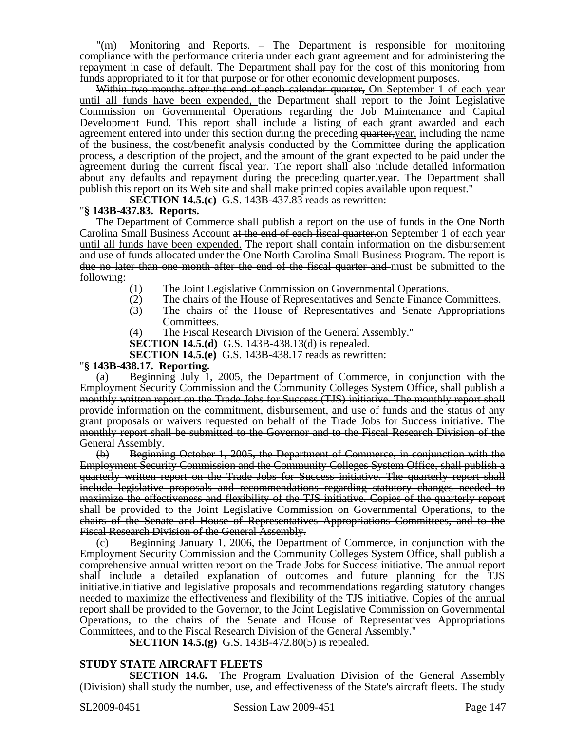"(m) Monitoring and Reports. – The Department is responsible for monitoring compliance with the performance criteria under each grant agreement and for administering the repayment in case of default. The Department shall pay for the cost of this monitoring from funds appropriated to it for that purpose or for other economic development purposes.

Within two months after the end of each calendar quarter, On September 1 of each year until all funds have been expended, the Department shall report to the Joint Legislative Commission on Governmental Operations regarding the Job Maintenance and Capital Development Fund. This report shall include a listing of each grant awarded and each agreement entered into under this section during the preceding quarter, year, including the name of the business, the cost/benefit analysis conducted by the Committee during the application process, a description of the project, and the amount of the grant expected to be paid under the agreement during the current fiscal year. The report shall also include detailed information about any defaults and repayment during the preceding quarter-year. The Department shall publish this report on its Web site and shall make printed copies available upon request."

**SECTION 14.5.(c)** G.S. 143B-437.83 reads as rewritten:

#### "**§ 143B-437.83. Reports.**

The Department of Commerce shall publish a report on the use of funds in the One North Carolina Small Business Account at the end of each fiscal quarter.on September 1 of each year until all funds have been expended. The report shall contain information on the disbursement and use of funds allocated under the One North Carolina Small Business Program. The report is due no later than one month after the end of the fiscal quarter and must be submitted to the following:

- (1) The Joint Legislative Commission on Governmental Operations.
- (2) The chairs of the House of Representatives and Senate Finance Committees.
- (3) The chairs of the House of Representatives and Senate Appropriations Committees.
- (4) The Fiscal Research Division of the General Assembly."
- **SECTION 14.5.(d)** G.S. 143B-438.13(d) is repealed.
- **SECTION 14.5.(e)** G.S. 143B-438.17 reads as rewritten:

#### "**§ 143B-438.17. Reporting.**

(a) Beginning July 1, 2005, the Department of Commerce, in conjunction with the Employment Security Commission and the Community Colleges System Office, shall publish a monthly written report on the Trade Jobs for Success (TJS) initiative. The monthly report shall provide information on the commitment, disbursement, and use of funds and the status of any grant proposals or waivers requested on behalf of the Trade Jobs for Success initiative. The monthly report shall be submitted to the Governor and to the Fiscal Research Division of the General Assembly.

(b) Beginning October 1, 2005, the Department of Commerce, in conjunction with the Employment Security Commission and the Community Colleges System Office, shall publish a quarterly written report on the Trade Jobs for Success initiative. The quarterly report shall include legislative proposals and recommendations regarding statutory changes needed to maximize the effectiveness and flexibility of the TJS initiative. Copies of the quarterly report shall be provided to the Joint Legislative Commission on Governmental Operations, to the chairs of the Senate and House of Representatives Appropriations Committees, and to the Fiscal Research Division of the General Assembly.

(c) Beginning January 1, 2006, the Department of Commerce, in conjunction with the Employment Security Commission and the Community Colleges System Office, shall publish a comprehensive annual written report on the Trade Jobs for Success initiative. The annual report shall include a detailed explanation of outcomes and future planning for the TJS initiative. initiative and legislative proposals and recommendations regarding statutory changes needed to maximize the effectiveness and flexibility of the TJS initiative. Copies of the annual report shall be provided to the Governor, to the Joint Legislative Commission on Governmental Operations, to the chairs of the Senate and House of Representatives Appropriations Committees, and to the Fiscal Research Division of the General Assembly."

**SECTION 14.5.(g)** G.S. 143B-472.80(5) is repealed.

#### **STUDY STATE AIRCRAFT FLEETS**

**SECTION 14.6.** The Program Evaluation Division of the General Assembly (Division) shall study the number, use, and effectiveness of the State's aircraft fleets. The study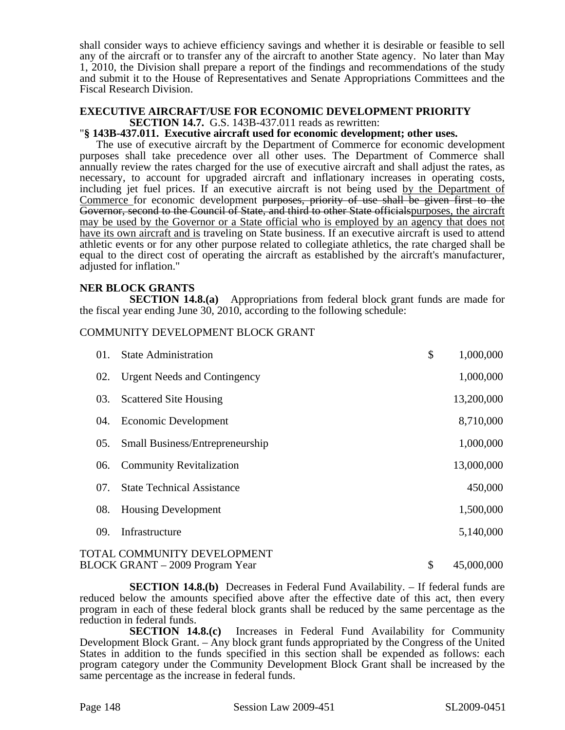shall consider ways to achieve efficiency savings and whether it is desirable or feasible to sell any of the aircraft or to transfer any of the aircraft to another State agency. No later than May 1, 2010, the Division shall prepare a report of the findings and recommendations of the study and submit it to the House of Representatives and Senate Appropriations Committees and the Fiscal Research Division.

# **EXECUTIVE AIRCRAFT/USE FOR ECONOMIC DEVELOPMENT PRIORITY SECTION 14.7.** G.S. 143B-437.011 reads as rewritten:

# "**§ 143B-437.011. Executive aircraft used for economic development; other uses.**

The use of executive aircraft by the Department of Commerce for economic development purposes shall take precedence over all other uses. The Department of Commerce shall annually review the rates charged for the use of executive aircraft and shall adjust the rates, as necessary, to account for upgraded aircraft and inflationary increases in operating costs, including jet fuel prices. If an executive aircraft is not being used by the Department of Commerce for economic development purposes, priority of use shall be given first to the Governor, second to the Council of State, and third to other State officialspurposes, the aircraft may be used by the Governor or a State official who is employed by an agency that does not have its own aircraft and is traveling on State business. If an executive aircraft is used to attend athletic events or for any other purpose related to collegiate athletics, the rate charged shall be equal to the direct cost of operating the aircraft as established by the aircraft's manufacturer, adjusted for inflation."

# **NER BLOCK GRANTS**

**SECTION 14.8.(a)** Appropriations from federal block grant funds are made for the fiscal year ending June 30, 2010, according to the following schedule:

### COMMUNITY DEVELOPMENT BLOCK GRANT

| $01_{-}$ | <b>State Administration</b>                                    | \$<br>1,000,000  |
|----------|----------------------------------------------------------------|------------------|
| 02.      | <b>Urgent Needs and Contingency</b>                            | 1,000,000        |
| 03.      | <b>Scattered Site Housing</b>                                  | 13,200,000       |
| 04.      | Economic Development                                           | 8,710,000        |
| 05.      | <b>Small Business/Entrepreneurship</b>                         | 1,000,000        |
| 06.      | <b>Community Revitalization</b>                                | 13,000,000       |
| 07.      | <b>State Technical Assistance</b>                              | 450,000          |
| 08.      | <b>Housing Development</b>                                     | 1,500,000        |
| 09.      | Infrastructure                                                 | 5,140,000        |
|          | TOTAL COMMUNITY DEVELOPMENT<br>BLOCK GRANT – 2009 Program Year | \$<br>45,000,000 |

**SECTION 14.8.(b)** Decreases in Federal Fund Availability. – If federal funds are reduced below the amounts specified above after the effective date of this act, then every program in each of these federal block grants shall be reduced by the same percentage as the reduction in federal funds.

**SECTION 14.8.(c)** Increases in Federal Fund Availability for Community Development Block Grant. – Any block grant funds appropriated by the Congress of the United States in addition to the funds specified in this section shall be expended as follows: each program category under the Community Development Block Grant shall be increased by the same percentage as the increase in federal funds.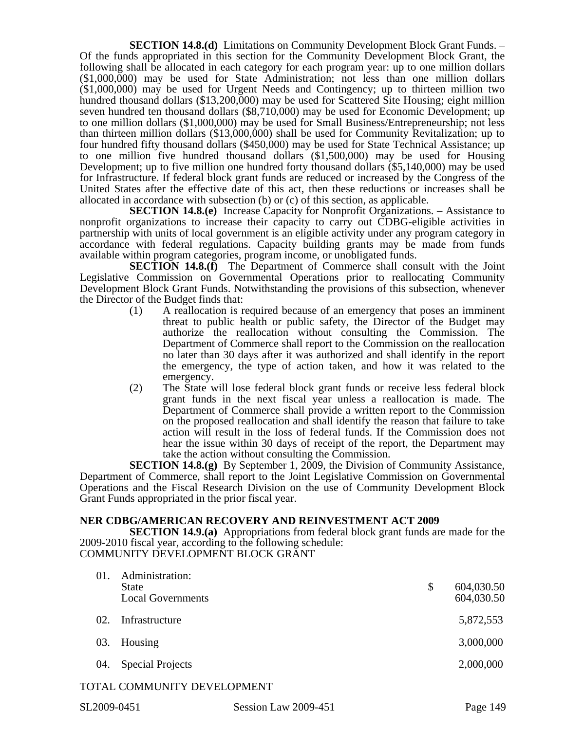**SECTION 14.8.(d)** Limitations on Community Development Block Grant Funds. – Of the funds appropriated in this section for the Community Development Block Grant, the following shall be allocated in each category for each program year: up to one million dollars (\$1,000,000) may be used for State Administration; not less than one million dollars (\$1,000,000) may be used for Urgent Needs and Contingency; up to thirteen million two hundred thousand dollars (\$13,200,000) may be used for Scattered Site Housing; eight million seven hundred ten thousand dollars (\$8,710,000) may be used for Economic Development; up to one million dollars (\$1,000,000) may be used for Small Business/Entrepreneurship; not less than thirteen million dollars (\$13,000,000) shall be used for Community Revitalization; up to four hundred fifty thousand dollars (\$450,000) may be used for State Technical Assistance; up to one million five hundred thousand dollars (\$1,500,000) may be used for Housing Development; up to five million one hundred forty thousand dollars (\$5,140,000) may be used for Infrastructure. If federal block grant funds are reduced or increased by the Congress of the United States after the effective date of this act, then these reductions or increases shall be allocated in accordance with subsection (b) or (c) of this section, as applicable.

**SECTION 14.8.(e)** Increase Capacity for Nonprofit Organizations. – Assistance to nonprofit organizations to increase their capacity to carry out CDBG-eligible activities in partnership with units of local government is an eligible activity under any program category in accordance with federal regulations. Capacity building grants may be made from funds available within program categories, program income, or unobligated funds.

**SECTION 14.8.(f)** The Department of Commerce shall consult with the Joint Legislative Commission on Governmental Operations prior to reallocating Community Development Block Grant Funds. Notwithstanding the provisions of this subsection, whenever the Director of the Budget finds that:

- (1) A reallocation is required because of an emergency that poses an imminent threat to public health or public safety, the Director of the Budget may authorize the reallocation without consulting the Commission. The Department of Commerce shall report to the Commission on the reallocation no later than 30 days after it was authorized and shall identify in the report the emergency, the type of action taken, and how it was related to the emergency.
- (2) The State will lose federal block grant funds or receive less federal block grant funds in the next fiscal year unless a reallocation is made. The Department of Commerce shall provide a written report to the Commission on the proposed reallocation and shall identify the reason that failure to take action will result in the loss of federal funds. If the Commission does not hear the issue within 30 days of receipt of the report, the Department may take the action without consulting the Commission.

**SECTION 14.8.(g)** By September 1, 2009, the Division of Community Assistance, Department of Commerce, shall report to the Joint Legislative Commission on Governmental Operations and the Fiscal Research Division on the use of Community Development Block Grant Funds appropriated in the prior fiscal year.

# **NER CDBG/AMERICAN RECOVERY AND REINVESTMENT ACT 2009**

**SECTION 14.9.(a)** Appropriations from federal block grant funds are made for the 2009-2010 fiscal year, according to the following schedule:

| COMMUNITY DEVELOPMENT BLOCK GRANT |  |  |  |
|-----------------------------------|--|--|--|
|                                   |  |  |  |

| 01. | Administration:<br><b>State</b><br><b>Local Governments</b> | \$<br>604,030.50<br>604,030.50 |
|-----|-------------------------------------------------------------|--------------------------------|
| 02. | Infrastructure                                              | 5,872,553                      |
| 03. | Housing                                                     | 3,000,000                      |
|     | 04. Special Projects                                        | 2,000,000                      |
|     |                                                             |                                |

TOTAL COMMUNITY DEVELOPMENT

SL2009-0451 Session Law 2009-451 Page 149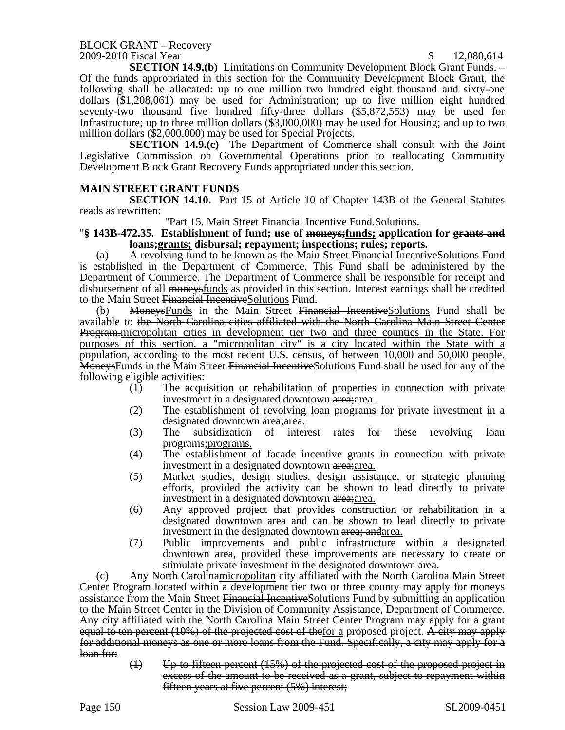**SECTION 14.9.(b)** Limitations on Community Development Block Grant Funds. – Of the funds appropriated in this section for the Community Development Block Grant, the following shall be allocated: up to one million two hundred eight thousand and sixty-one dollars (\$1,208,061) may be used for Administration; up to five million eight hundred seventy-two thousand five hundred fifty-three dollars (\$5,872,553) may be used for Infrastructure; up to three million dollars (\$3,000,000) may be used for Housing; and up to two million dollars (\$2,000,000) may be used for Special Projects.

**SECTION 14.9.(c)** The Department of Commerce shall consult with the Joint Legislative Commission on Governmental Operations prior to reallocating Community Development Block Grant Recovery Funds appropriated under this section.

# **MAIN STREET GRANT FUNDS**

**SECTION 14.10.** Part 15 of Article 10 of Chapter 143B of the General Statutes reads as rewritten:

"Part 15. Main Street Financial Incentive Fund. Solutions.

# "**§ 143B-472.35. Establishment of fund; use of moneys;funds; application for grants and loans;grants; disbursal; repayment; inspections; rules; reports.**

(a) A revolving fund to be known as the Main Street Financial IncentiveSolutions Fund is established in the Department of Commerce. This Fund shall be administered by the Department of Commerce. The Department of Commerce shall be responsible for receipt and disbursement of all moneysfunds as provided in this section. Interest earnings shall be credited to the Main Street Financial IncentiveSolutions Fund.

(b) MoneysFunds in the Main Street Financial IncentiveSolutions Fund shall be available to the North Carolina cities affiliated with the North Carolina Main Street Center Program.micropolitan cities in development tier two and three counties in the State. For purposes of this section, a "micropolitan city" is a city located within the State with a population, according to the most recent U.S. census, of between 10,000 and 50,000 people. MoneysFunds in the Main Street Financial IncentiveSolutions Fund shall be used for any of the following eligible activities:

- (1) The acquisition or rehabilitation of properties in connection with private investment in a designated downtown area; area.
- (2) The establishment of revolving loan programs for private investment in a designated downtown area; area.
- (3) The subsidization of interest rates for these revolving loan programs;programs.
- (4) The establishment of facade incentive grants in connection with private investment in a designated downtown area; area.
- (5) Market studies, design studies, design assistance, or strategic planning efforts, provided the activity can be shown to lead directly to private investment in a designated downtown area; area.
- (6) Any approved project that provides construction or rehabilitation in a designated downtown area and can be shown to lead directly to private investment in the designated downtown area; and area.
- (7) Public improvements and public infrastructure within a designated downtown area, provided these improvements are necessary to create or stimulate private investment in the designated downtown area.

(c) Any North Carolinamicropolitan city affiliated with the North Carolina Main Street Center Program located within a development tier two or three county may apply for moneys assistance from the Main Street Financial IncentiveSolutions Fund by submitting an application to the Main Street Center in the Division of Community Assistance, Department of Commerce. Any city affiliated with the North Carolina Main Street Center Program may apply for a grant equal to ten percent (10%) of the projected cost of thefor a proposed project. A city may apply for additional moneys as one or more loans from the Fund. Specifically, a city may apply for a loan for:

(1) Up to fifteen percent (15%) of the projected cost of the proposed project in excess of the amount to be received as a grant, subject to repayment within fifteen years at five percent (5%) interest;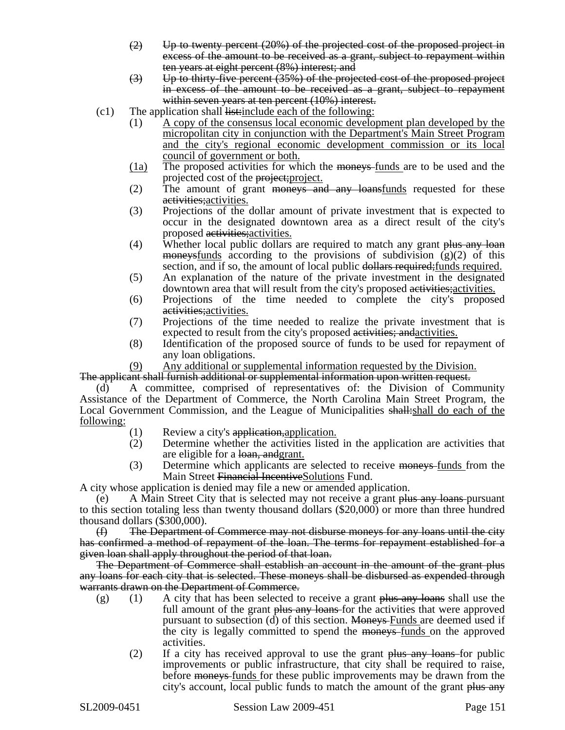- (2) Up to twenty percent (20%) of the projected cost of the proposed project in excess of the amount to be received as a grant, subject to repayment within ten years at eight percent (8%) interest; and
- (3) Up to thirty-five percent (35%) of the projected cost of the proposed project in excess of the amount to be received as a grant, subject to repayment within seven years at ten percent (10%) interest.
- $(c1)$  The application shall  $\overline{list}$ : include each of the following:
	- (1) A copy of the consensus local economic development plan developed by the micropolitan city in conjunction with the Department's Main Street Program and the city's regional economic development commission or its local council of government or both.
	- (1a) The proposed activities for which the moneys funds are to be used and the projected cost of the project; project.
	- (2) The amount of grant moneys and any loansfunds requested for these activities;activities.
	- (3) Projections of the dollar amount of private investment that is expected to occur in the designated downtown area as a direct result of the city's proposed activities;activities.
	- $(4)$  Whether local public dollars are required to match any grant plus any loan moneysfunds according to the provisions of subdivision  $(g)(2)$  of this section, and if so, the amount of local public dollars required; funds required.
	- (5) An explanation of the nature of the private investment in the designated downtown area that will result from the city's proposed activities; activities.
	- (6) Projections of the time needed to complete the city's proposed activities;activities.
	- (7) Projections of the time needed to realize the private investment that is expected to result from the city's proposed activities; and activities.
	- (8) Identification of the proposed source of funds to be used for repayment of any loan obligations.
	- (9) Any additional or supplemental information requested by the Division.

The applicant shall furnish additional or supplemental information upon written request.

(d) A committee, comprised of representatives of: the Division of Community Assistance of the Department of Commerce, the North Carolina Main Street Program, the Local Government Commission, and the League of Municipalities shall: shall do each of the following:

- (1) Review a city's application, application.
- (2) Determine whether the activities listed in the application are activities that are eligible for a loan, and grant.
- (3) Determine which applicants are selected to receive moneys-funds from the Main Street Financial IncentiveSolutions Fund.

A city whose application is denied may file a new or amended application.

A Main Street City that is selected may not receive a grant plus any loans-pursuant to this section totaling less than twenty thousand dollars (\$20,000) or more than three hundred thousand dollars (\$300,000).

(f) The Department of Commerce may not disburse moneys for any loans until the city has confirmed a method of repayment of the loan. The terms for repayment established for a given loan shall apply throughout the period of that loan.

The Department of Commerce shall establish an account in the amount of the grant plus any loans for each city that is selected. These moneys shall be disbursed as expended through warrants drawn on the Department of Commerce.

- $(g)$  (1) A city that has been selected to receive a grant plus any loans shall use the full amount of the grant plus any loans for the activities that were approved pursuant to subsection (d) of this section. Moneys Funds are deemed used if the city is legally committed to spend the moneys funds on the approved activities.
	- $(2)$  If a city has received approval to use the grant  $\frac{\partial u}{\partial x}$  being lead to  $\frac{\partial u}{\partial y}$  if a city has received approval to use the grant  $\frac{\partial u}{\partial y}$  being improvements or public infrastructure, that city shall be required to raise, before moneys funds for these public improvements may be drawn from the city's account, local public funds to match the amount of the grant plus any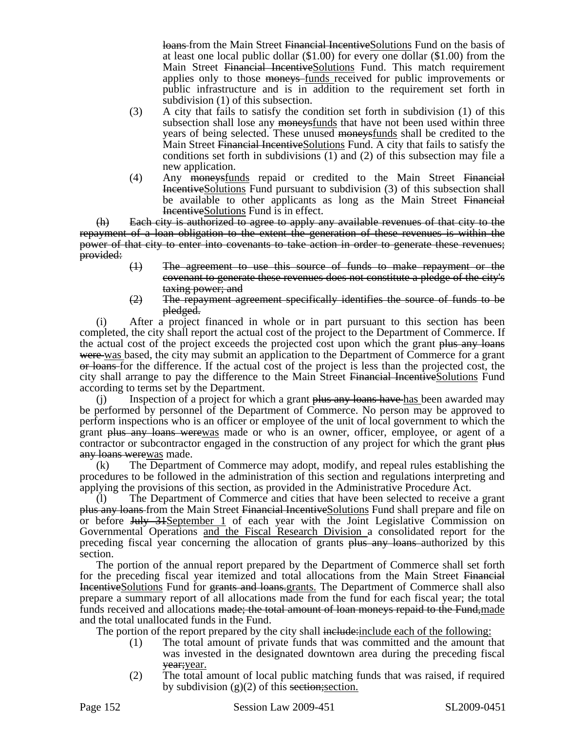loans from the Main Street Financial IncentiveSolutions Fund on the basis of at least one local public dollar (\$1.00) for every one dollar (\$1.00) from the Main Street Financial IncentiveSolutions Fund. This match requirement applies only to those moneys-funds received for public improvements or public infrastructure and is in addition to the requirement set forth in subdivision (1) of this subsection.

- (3) A city that fails to satisfy the condition set forth in subdivision (1) of this subsection shall lose any moneysfunds that have not been used within three years of being selected. These unused moneysfunds shall be credited to the Main Street Financial IncentiveSolutions Fund. A city that fails to satisfy the conditions set forth in subdivisions (1) and (2) of this subsection may file a new application.
- (4) Any moneysfunds repaid or credited to the Main Street Financial IncentiveSolutions Fund pursuant to subdivision (3) of this subsection shall be available to other applicants as long as the Main Street Financial IncentiveSolutions Fund is in effect.

(h) Each city is authorized to agree to apply any available revenues of that city to the repayment of a loan obligation to the extent the generation of these revenues is within the power of that city to enter into covenants to take action in order to generate these revenues; provided:

- (1) The agreement to use this source of funds to make repayment or the covenant to generate these revenues does not constitute a pledge of the city's taxing power; and
- (2) The repayment agreement specifically identifies the source of funds to be pledged.

(i) After a project financed in whole or in part pursuant to this section has been completed, the city shall report the actual cost of the project to the Department of Commerce. If the actual cost of the project exceeds the projected cost upon which the grant plus any loans were was based, the city may submit an application to the Department of Commerce for a grant or loans for the difference. If the actual cost of the project is less than the projected cost, the city shall arrange to pay the difference to the Main Street Financial IncentiveSolutions Fund according to terms set by the Department.

 $(i)$  Inspection of a project for which a grant  $\theta$  plus any loans have has been awarded may be performed by personnel of the Department of Commerce. No person may be approved to perform inspections who is an officer or employee of the unit of local government to which the grant plus any loans werewas made or who is an owner, officer, employee, or agent of a contractor or subcontractor engaged in the construction of any project for which the grant plus any loans werewas made.

(k) The Department of Commerce may adopt, modify, and repeal rules establishing the procedures to be followed in the administration of this section and regulations interpreting and applying the provisions of this section, as provided in the Administrative Procedure Act.

The Department of Commerce and cities that have been selected to receive a grant plus any loans from the Main Street Financial IncentiveSolutions Fund shall prepare and file on or before July 31 September 1 of each year with the Joint Legislative Commission on Governmental Operations and the Fiscal Research Division a consolidated report for the preceding fiscal year concerning the allocation of grants plus any loans authorized by this section.

The portion of the annual report prepared by the Department of Commerce shall set forth for the preceding fiscal year itemized and total allocations from the Main Street Financial IncentiveSolutions Fund for grants and loans.grants. The Department of Commerce shall also prepare a summary report of all allocations made from the fund for each fiscal year; the total funds received and allocations made; the total amount of loan moneys repaid to the Fund, made and the total unallocated funds in the Fund.

The portion of the report prepared by the city shall include: include each of the following:

- (1) The total amount of private funds that was committed and the amount that was invested in the designated downtown area during the preceding fiscal year;year.
- (2) The total amount of local public matching funds that was raised, if required by subdivision  $(g)(2)$  of this section; section.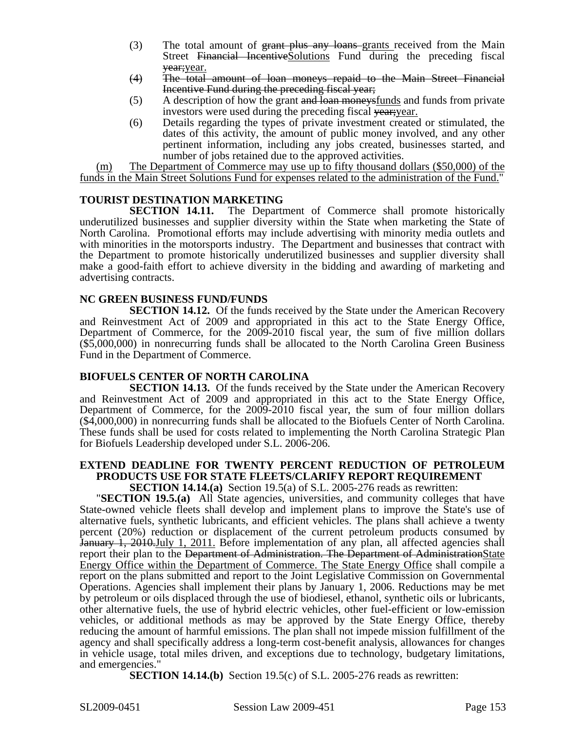- (3) The total amount of grant plus any loans-grants received from the Main Street Financial IncentiveSolutions Fund during the preceding fiscal year;year.
- (4) The total amount of loan moneys repaid to the Main Street Financial Incentive Fund during the preceding fiscal year;
- (5) A description of how the grant and loan moneysfunds and funds from private investors were used during the preceding fiscal year; year.
- (6) Details regarding the types of private investment created or stimulated, the dates of this activity, the amount of public money involved, and any other pertinent information, including any jobs created, businesses started, and number of jobs retained due to the approved activities.

(m) The Department of Commerce may use up to fifty thousand dollars (\$50,000) of the funds in the Main Street Solutions Fund for expenses related to the administration of the Fund."

#### **TOURIST DESTINATION MARKETING**

**SECTION 14.11.** The Department of Commerce shall promote historically underutilized businesses and supplier diversity within the State when marketing the State of North Carolina. Promotional efforts may include advertising with minority media outlets and with minorities in the motorsports industry. The Department and businesses that contract with the Department to promote historically underutilized businesses and supplier diversity shall make a good-faith effort to achieve diversity in the bidding and awarding of marketing and advertising contracts.

#### **NC GREEN BUSINESS FUND/FUNDS**

**SECTION 14.12.** Of the funds received by the State under the American Recovery and Reinvestment Act of 2009 and appropriated in this act to the State Energy Office, Department of Commerce, for the 2009-2010 fiscal year, the sum of five million dollars (\$5,000,000) in nonrecurring funds shall be allocated to the North Carolina Green Business Fund in the Department of Commerce.

#### **BIOFUELS CENTER OF NORTH CAROLINA**

**SECTION 14.13.** Of the funds received by the State under the American Recovery and Reinvestment Act of 2009 and appropriated in this act to the State Energy Office, Department of Commerce, for the 2009-2010 fiscal year, the sum of four million dollars (\$4,000,000) in nonrecurring funds shall be allocated to the Biofuels Center of North Carolina. These funds shall be used for costs related to implementing the North Carolina Strategic Plan for Biofuels Leadership developed under S.L. 2006-206.

# **EXTEND DEADLINE FOR TWENTY PERCENT REDUCTION OF PETROLEUM PRODUCTS USE FOR STATE FLEETS/CLARIFY REPORT REQUIREMENT**<br>**SECTION 14.14.(a)** Section 19.5(a) of S.L. 2005-276 reads as rewritten:

**SECTION 19.5.(a)** All State agencies, universities, and community colleges that have State-owned vehicle fleets shall develop and implement plans to improve the State's use of alternative fuels, synthetic lubricants, and efficient vehicles. The plans shall achieve a twenty percent (20%) reduction or displacement of the current petroleum products consumed by January 1, 2010.July 1, 2011. Before implementation of any plan, all affected agencies shall report their plan to the <del>Department of Administration. The Department of Administration</del>State Energy Office within the Department of Commerce. The State Energy Office shall compile a report on the plans submitted and report to the Joint Legislative Commission on Governmental Operations. Agencies shall implement their plans by January 1, 2006. Reductions may be met by petroleum or oils displaced through the use of biodiesel, ethanol, synthetic oils or lubricants, other alternative fuels, the use of hybrid electric vehicles, other fuel-efficient or low-emission vehicles, or additional methods as may be approved by the State Energy Office, thereby reducing the amount of harmful emissions. The plan shall not impede mission fulfillment of the agency and shall specifically address a long-term cost-benefit analysis, allowances for changes in vehicle usage, total miles driven, and exceptions due to technology, budgetary limitations, and emergencies."

**SECTION 14.14.(b)** Section 19.5(c) of S.L. 2005-276 reads as rewritten: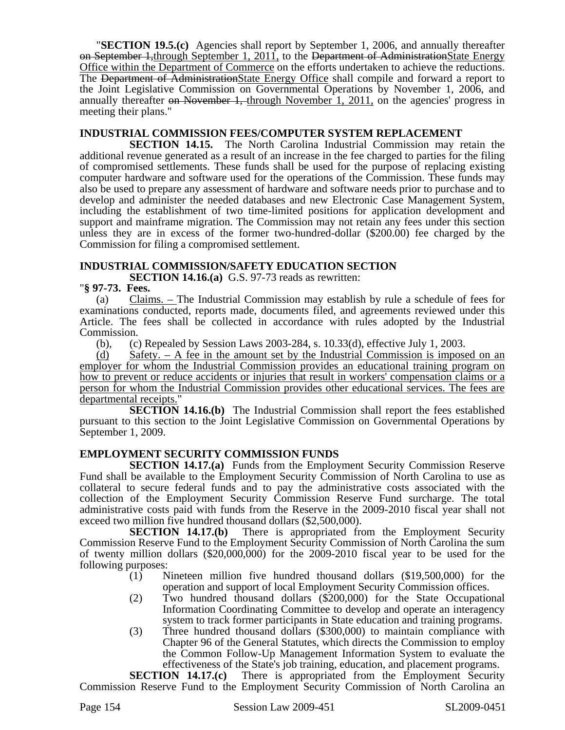"**SECTION 19.5.(c)** Agencies shall report by September 1, 2006, and annually thereafter on September 1,through September 1, 2011, to the Department of AdministrationState Energy Office within the Department of Commerce on the efforts undertaken to achieve the reductions. The Department of AdministrationState Energy Office shall compile and forward a report to the Joint Legislative Commission on Governmental Operations by November 1, 2006, and annually thereafter on November 1, through November 1, 2011, on the agencies' progress in meeting their plans."

# **INDUSTRIAL COMMISSION FEES/COMPUTER SYSTEM REPLACEMENT**

**SECTION 14.15.** The North Carolina Industrial Commission may retain the additional revenue generated as a result of an increase in the fee charged to parties for the filing of compromised settlements. These funds shall be used for the purpose of replacing existing computer hardware and software used for the operations of the Commission. These funds may also be used to prepare any assessment of hardware and software needs prior to purchase and to develop and administer the needed databases and new Electronic Case Management System, including the establishment of two time-limited positions for application development and support and mainframe migration. The Commission may not retain any fees under this section unless they are in excess of the former two-hundred-dollar (\$200.00) fee charged by the Commission for filing a compromised settlement.

# **INDUSTRIAL COMMISSION/SAFETY EDUCATION SECTION**

**SECTION 14.16.(a)** G.S. 97-73 reads as rewritten:

"**§ 97-73. Fees.** 

(a) Claims. – The Industrial Commission may establish by rule a schedule of fees for examinations conducted, reports made, documents filed, and agreements reviewed under this Article. The fees shall be collected in accordance with rules adopted by the Industrial Commission.

(b), (c) Repealed by Session Laws 2003-284, s. 10.33(d), effective July 1, 2003.

(d) Safety. – A fee in the amount set by the Industrial Commission is imposed on an employer for whom the Industrial Commission provides an educational training program on how to prevent or reduce accidents or injuries that result in workers' compensation claims or a person for whom the Industrial Commission provides other educational services. The fees are departmental receipts."

**SECTION 14.16.(b)** The Industrial Commission shall report the fees established pursuant to this section to the Joint Legislative Commission on Governmental Operations by September 1, 2009.

# **EMPLOYMENT SECURITY COMMISSION FUNDS**

**SECTION 14.17.(a)** Funds from the Employment Security Commission Reserve Fund shall be available to the Employment Security Commission of North Carolina to use as collateral to secure federal funds and to pay the administrative costs associated with the collection of the Employment Security Commission Reserve Fund surcharge. The total administrative costs paid with funds from the Reserve in the 2009-2010 fiscal year shall not

exceed two million five hundred thousand dollars (\$2,500,000).<br>**SECTION 14.17.(b)** There is appropriated free There is appropriated from the Employment Security Commission Reserve Fund to the Employment Security Commission of North Carolina the sum of twenty million dollars (\$20,000,000) for the 2009-2010 fiscal year to be used for the following purposes:

- (1) Nineteen million five hundred thousand dollars (\$19,500,000) for the operation and support of local Employment Security Commission offices.
- (2) Two hundred thousand dollars (\$200,000) for the State Occupational Information Coordinating Committee to develop and operate an interagency system to track former participants in State education and training programs.
- (3) Three hundred thousand dollars (\$300,000) to maintain compliance with Chapter 96 of the General Statutes, which directs the Commission to employ the Common Follow-Up Management Information System to evaluate the effectiveness of the State's job training, education, and placement programs.

**SECTION 14.17.(c)** There is appropriated from the Employment Security Commission Reserve Fund to the Employment Security Commission of North Carolina an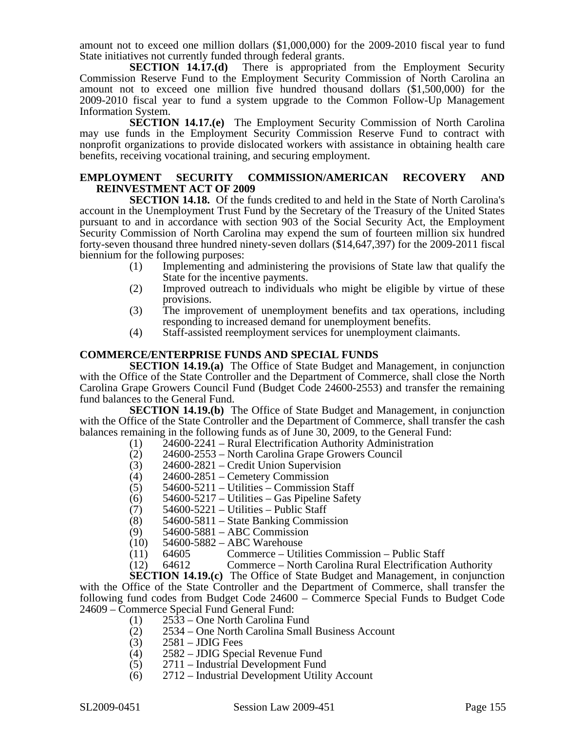amount not to exceed one million dollars (\$1,000,000) for the 2009-2010 fiscal year to fund State initiatives not currently funded through federal grants.

**SECTION 14.17.(d)** There is appropriated from the Employment Security Commission Reserve Fund to the Employment Security Commission of North Carolina an amount not to exceed one million five hundred thousand dollars (\$1,500,000) for the 2009-2010 fiscal year to fund a system upgrade to the Common Follow-Up Management Information System.

**SECTION 14.17.(e)** The Employment Security Commission of North Carolina may use funds in the Employment Security Commission Reserve Fund to contract with nonprofit organizations to provide dislocated workers with assistance in obtaining health care benefits, receiving vocational training, and securing employment.

# **EMPLOYMENT SECURITY COMMISSION/AMERICAN RECOVERY AND REINVESTMENT ACT OF 2009**

**SECTION 14.18.** Of the funds credited to and held in the State of North Carolina's account in the Unemployment Trust Fund by the Secretary of the Treasury of the United States pursuant to and in accordance with section 903 of the Social Security Act, the Employment Security Commission of North Carolina may expend the sum of fourteen million six hundred forty-seven thousand three hundred ninety-seven dollars (\$14,647,397) for the 2009-2011 fiscal biennium for the following purposes:

- (1) Implementing and administering the provisions of State law that qualify the State for the incentive payments.
- (2) Improved outreach to individuals who might be eligible by virtue of these provisions.
- (3) The improvement of unemployment benefits and tax operations, including responding to increased demand for unemployment benefits.
- (4) Staff-assisted reemployment services for unemployment claimants.

# **COMMERCE/ENTERPRISE FUNDS AND SPECIAL FUNDS**

**SECTION 14.19.(a)** The Office of State Budget and Management, in conjunction with the Office of the State Controller and the Department of Commerce, shall close the North Carolina Grape Growers Council Fund (Budget Code 24600-2553) and transfer the remaining fund balances to the General Fund.

**SECTION 14.19.(b)** The Office of State Budget and Management, in conjunction with the Office of the State Controller and the Department of Commerce, shall transfer the cash balances remaining in the following funds as of June 30, 2009, to the General Fund:

- (1) 24600-2241 Rural Electrification Authority Administration
- (2) 24600-2553 North Carolina Grape Growers Council
- (3)  $24600-2821$  Credit Union Supervision<br>(4)  $24600-2851$  Cemetery Commission
- (4)  $24600-2851$  Cemetery Commission<br>(5)  $54600-5211$  Utilities Commission
- (5) 54600-5211 Utilities Commission Staff
- (6)  $54600-5217 Utilities Gas Pipeline Safety  
(7) 54600-5221 Utilities Public Staff$
- $54600-5221$  Utilities Public Staff
- (8)  $54600-5811$  State Banking Commission<br>(9)  $54600-5881$  ABC Commission
- (9) 54600-5881 ABC Commission
- (10) 54600-5882 ABC Warehouse
- (11) 64605 Commerce Utilities Commission Public Staff
- (12) 64612 Commerce North Carolina Rural Electrification Authority

**SECTION 14.19.(c)** The Office of State Budget and Management, in conjunction with the Office of the State Controller and the Department of Commerce, shall transfer the following fund codes from Budget Code  $24600 - \tilde{C}$ ommerce Special Funds to Budget Code 24609 – Commerce Special Fund General Fund:

- 
- (1) 2533 One North Carolina Fund (2) 2534 – One North Carolina Small Business Account
- 
- (3)  $2581 JDIG Fees$ <br>(4)  $2582 JDIG Spec$ (4)  $2582 - JDIG Special Revenue Fund$ <br>(5)  $2711 - Industrial Development Fund$
- (5)  $2711$  Industrial Development Fund<br>(6)  $2712$  Industrial Development Utility
- (6) 2712 Industrial Development Utility Account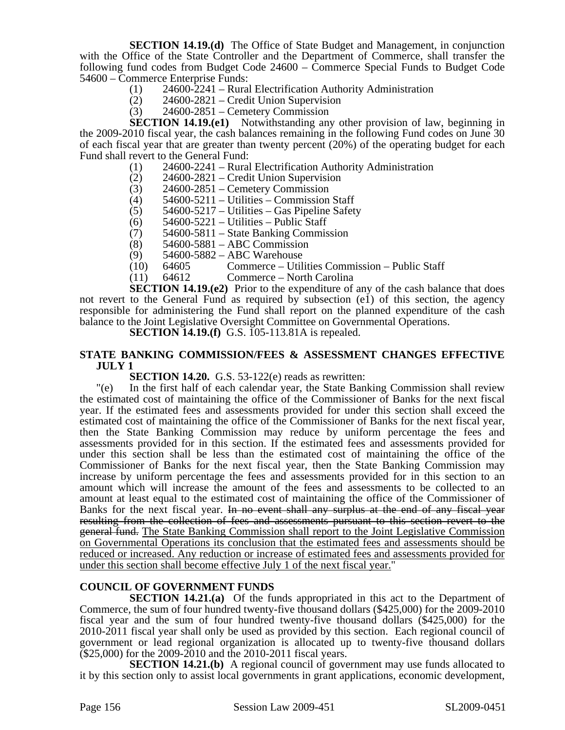**SECTION 14.19.(d)** The Office of State Budget and Management, in conjunction with the Office of the State Controller and the Department of Commerce, shall transfer the following fund codes from Budget Code 24600 – Commerce Special Funds to Budget Code 54600 – Commerce Enterprise Funds:

- (1) 24600-2241 Rural Electrification Authority Administration
- (2)  $24600-2821$  Credit Union Supervision<br>(3)  $24600-2851$  Cemetery Commission
- (3) 24600-2851 Cemetery Commission

**SECTION 14.19.(e1)** Notwithstanding any other provision of law, beginning in the 2009-2010 fiscal year, the cash balances remaining in the following Fund codes on June 30 of each fiscal year that are greater than twenty percent (20%) of the operating budget for each Fund shall revert to the General Fund:

- (1) 24600-2241 Rural Electrification Authority Administration
- (2)  $24600-2821$  Credit Union Supervision<br>(3)  $24600-2851$  Cemetery Commission
- (3) 24600-2851 Cemetery Commission
- 
- (4)  $54600-5211$  Utilities Commission Staff<br>(5)  $54600-5217$  Utilities Gas Pipeline Safet  $54600-5217$  – Utilities – Gas Pipeline Safety
- $(6)$  54600-5221 Utilities Public Staff
- (7)  $54600-5811$  State Banking Commission<br>(8)  $54600-5881$  ABC Commission
- (8) 54600-5881 ABC Commission
- (9) 54600-5882 ABC Warehouse
- (10) 64605 Commerce Utilities Commission Public Staff
- (11) 64612 Commerce North Carolina

**SECTION 14.19.(e2)** Prior to the expenditure of any of the cash balance that does not revert to the General Fund as required by subsection (e1) of this section, the agency responsible for administering the Fund shall report on the planned expenditure of the cash balance to the Joint Legislative Oversight Committee on Governmental Operations.

**SECTION 14.19.(f)** G.S. 105-113.81A is repealed.

#### **STATE BANKING COMMISSION/FEES & ASSESSMENT CHANGES EFFECTIVE JULY 1**

#### **SECTION 14.20.** G.S. 53-122(e) reads as rewritten:

"(e) In the first half of each calendar year, the State Banking Commission shall review the estimated cost of maintaining the office of the Commissioner of Banks for the next fiscal year. If the estimated fees and assessments provided for under this section shall exceed the estimated cost of maintaining the office of the Commissioner of Banks for the next fiscal year, then the State Banking Commission may reduce by uniform percentage the fees and assessments provided for in this section. If the estimated fees and assessments provided for under this section shall be less than the estimated cost of maintaining the office of the Commissioner of Banks for the next fiscal year, then the State Banking Commission may increase by uniform percentage the fees and assessments provided for in this section to an amount which will increase the amount of the fees and assessments to be collected to an amount at least equal to the estimated cost of maintaining the office of the Commissioner of Banks for the next fiscal year. In no event shall any surplus at the end of any fiscal year resulting from the collection of fees and assessments pursuant to this section revert to the general fund. The State Banking Commission shall report to the Joint Legislative Commission on Governmental Operations its conclusion that the estimated fees and assessments should be reduced or increased. Any reduction or increase of estimated fees and assessments provided for under this section shall become effective July 1 of the next fiscal year."

#### **COUNCIL OF GOVERNMENT FUNDS**

**SECTION 14.21.(a)** Of the funds appropriated in this act to the Department of Commerce, the sum of four hundred twenty-five thousand dollars (\$425,000) for the 2009-2010 fiscal year and the sum of four hundred twenty-five thousand dollars (\$425,000) for the 2010-2011 fiscal year shall only be used as provided by this section. Each regional council of government or lead regional organization is allocated up to twenty-five thousand dollars (\$25,000) for the 2009-2010 and the 2010-2011 fiscal years.

**SECTION 14.21.(b)** A regional council of government may use funds allocated to it by this section only to assist local governments in grant applications, economic development,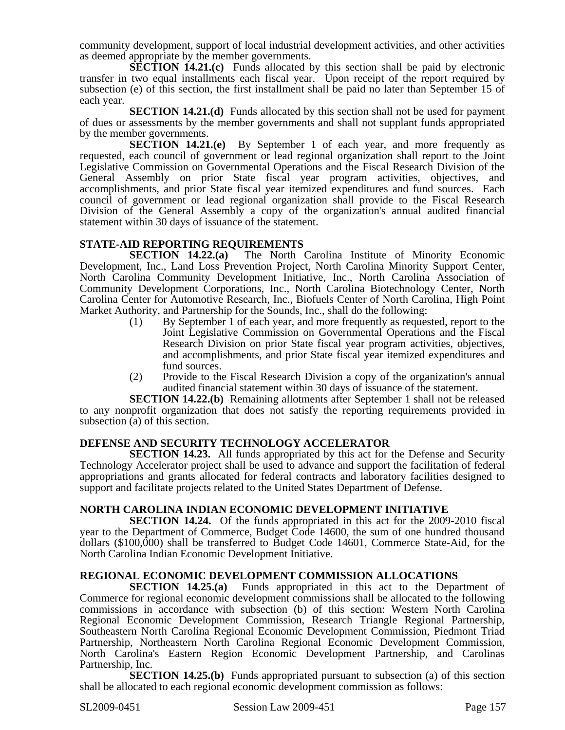community development, support of local industrial development activities, and other activities as deemed appropriate by the member governments.

**SECTION 14.21.(c)** Funds allocated by this section shall be paid by electronic transfer in two equal installments each fiscal year. Upon receipt of the report required by subsection (e) of this section, the first installment shall be paid no later than September 15 of each year.

**SECTION 14.21.(d)** Funds allocated by this section shall not be used for payment of dues or assessments by the member governments and shall not supplant funds appropriated by the member governments.

**SECTION 14.21.(e)** By September 1 of each year, and more frequently as requested, each council of government or lead regional organization shall report to the Joint Legislative Commission on Governmental Operations and the Fiscal Research Division of the General Assembly on prior State fiscal year program activities, objectives, and accomplishments, and prior State fiscal year itemized expenditures and fund sources. Each council of government or lead regional organization shall provide to the Fiscal Research Division of the General Assembly a copy of the organization's annual audited financial statement within 30 days of issuance of the statement.

# **STATE-AID REPORTING REQUIREMENTS**<br>**SECTION 14.22.(a)** The North

The North Carolina Institute of Minority Economic Development, Inc., Land Loss Prevention Project, North Carolina Minority Support Center, North Carolina Community Development Initiative, Inc., North Carolina Association of Community Development Corporations, Inc., North Carolina Biotechnology Center, North Carolina Center for Automotive Research, Inc., Biofuels Center of North Carolina, High Point Market Authority, and Partnership for the Sounds, Inc., shall do the following:

- (1) By September 1 of each year, and more frequently as requested, report to the Joint Legislative Commission on Governmental Operations and the Fiscal Research Division on prior State fiscal year program activities, objectives, and accomplishments, and prior State fiscal year itemized expenditures and fund sources.
- (2) Provide to the Fiscal Research Division a copy of the organization's annual audited financial statement within 30 days of issuance of the statement.

**SECTION 14.22.(b)** Remaining allotments after September 1 shall not be released to any nonprofit organization that does not satisfy the reporting requirements provided in subsection (a) of this section.

# **DEFENSE AND SECURITY TECHNOLOGY ACCELERATOR**

**SECTION 14.23.** All funds appropriated by this act for the Defense and Security Technology Accelerator project shall be used to advance and support the facilitation of federal appropriations and grants allocated for federal contracts and laboratory facilities designed to support and facilitate projects related to the United States Department of Defense.

# **NORTH CAROLINA INDIAN ECONOMIC DEVELOPMENT INITIATIVE**

**SECTION 14.24.** Of the funds appropriated in this act for the 2009-2010 fiscal year to the Department of Commerce, Budget Code 14600, the sum of one hundred thousand dollars (\$100,000) shall be transferred to Budget Code 14601, Commerce State-Aid, for the North Carolina Indian Economic Development Initiative.

# **REGIONAL ECONOMIC DEVELOPMENT COMMISSION ALLOCATIONS**

**SECTION 14.25.(a)** Funds appropriated in this act to the Department of Commerce for regional economic development commissions shall be allocated to the following commissions in accordance with subsection (b) of this section: Western North Carolina Regional Economic Development Commission, Research Triangle Regional Partnership, Southeastern North Carolina Regional Economic Development Commission, Piedmont Triad Partnership, Northeastern North Carolina Regional Economic Development Commission, North Carolina's Eastern Region Economic Development Partnership, and Carolinas Partnership, Inc.

**SECTION 14.25.(b)** Funds appropriated pursuant to subsection (a) of this section shall be allocated to each regional economic development commission as follows: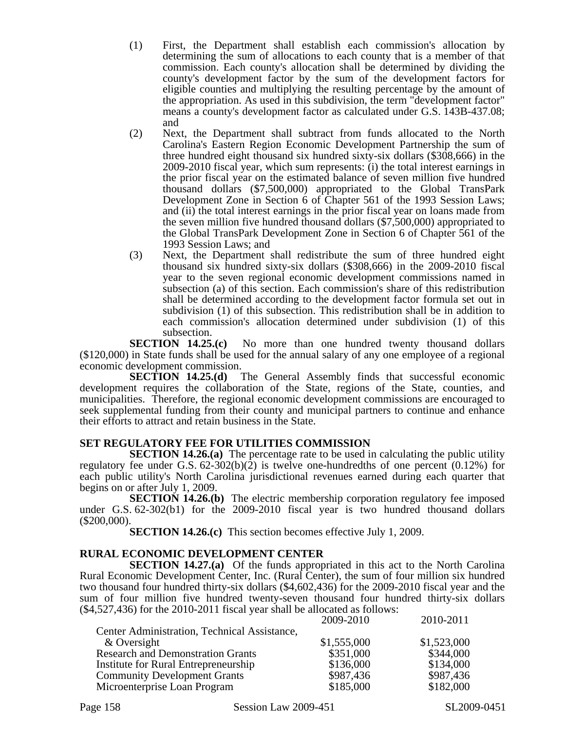- (1) First, the Department shall establish each commission's allocation by determining the sum of allocations to each county that is a member of that commission. Each county's allocation shall be determined by dividing the county's development factor by the sum of the development factors for eligible counties and multiplying the resulting percentage by the amount of the appropriation. As used in this subdivision, the term "development factor" means a county's development factor as calculated under G.S. 143B-437.08; and
- (2) Next, the Department shall subtract from funds allocated to the North Carolina's Eastern Region Economic Development Partnership the sum of three hundred eight thousand six hundred sixty-six dollars (\$308,666) in the 2009-2010 fiscal year, which sum represents: (i) the total interest earnings in the prior fiscal year on the estimated balance of seven million five hundred thousand dollars (\$7,500,000) appropriated to the Global TransPark Development Zone in Section 6 of Chapter 561 of the 1993 Session Laws; and (ii) the total interest earnings in the prior fiscal year on loans made from the seven million five hundred thousand dollars (\$7,500,000) appropriated to the Global TransPark Development Zone in Section 6 of Chapter 561 of the 1993 Session Laws; and
- (3) Next, the Department shall redistribute the sum of three hundred eight thousand six hundred sixty-six dollars (\$308,666) in the 2009-2010 fiscal year to the seven regional economic development commissions named in subsection (a) of this section. Each commission's share of this redistribution shall be determined according to the development factor formula set out in subdivision (1) of this subsection. This redistribution shall be in addition to each commission's allocation determined under subdivision (1) of this subsection.

**SECTION 14.25.(c)** No more than one hundred twenty thousand dollars (\$120,000) in State funds shall be used for the annual salary of any one employee of a regional economic development commission.

**SECTION 14.25.(d)** The General Assembly finds that successful economic development requires the collaboration of the State, regions of the State, counties, and municipalities. Therefore, the regional economic development commissions are encouraged to seek supplemental funding from their county and municipal partners to continue and enhance their efforts to attract and retain business in the State.

# **SET REGULATORY FEE FOR UTILITIES COMMISSION**

**SECTION 14.26.(a)** The percentage rate to be used in calculating the public utility regulatory fee under G.S.  $62-302(b)(2)$  is twelve one-hundredths of one percent  $(0.12\%)$  for each public utility's North Carolina jurisdictional revenues earned during each quarter that begins on or after July 1, 2009.

**SECTION 14.26.(b)** The electric membership corporation regulatory fee imposed under G.S. 62-302(b1) for the 2009-2010 fiscal year is two hundred thousand dollars (\$200,000).

**SECTION 14.26.(c)** This section becomes effective July 1, 2009.

# **RURAL ECONOMIC DEVELOPMENT CENTER**

**SECTION 14.27.(a)** Of the funds appropriated in this act to the North Carolina Rural Economic Development Center, Inc. (Rural Center), the sum of four million six hundred two thousand four hundred thirty-six dollars (\$4,602,436) for the 2009-2010 fiscal year and the sum of four million five hundred twenty-seven thousand four hundred thirty-six dollars (\$4,527,436) for the 2010-2011 fiscal year shall be allocated as follows:

|                                              | 2009-2010   | 2010-2011   |
|----------------------------------------------|-------------|-------------|
| Center Administration, Technical Assistance, |             |             |
| & Oversight                                  | \$1,555,000 | \$1,523,000 |
| <b>Research and Demonstration Grants</b>     | \$351,000   | \$344,000   |
| Institute for Rural Entrepreneurship         | \$136,000   | \$134,000   |
| <b>Community Development Grants</b>          | \$987,436   | \$987,436   |
| Microenterprise Loan Program                 | \$185,000   | \$182,000   |

Page 158 Session Law 2009-451 SL2009-0451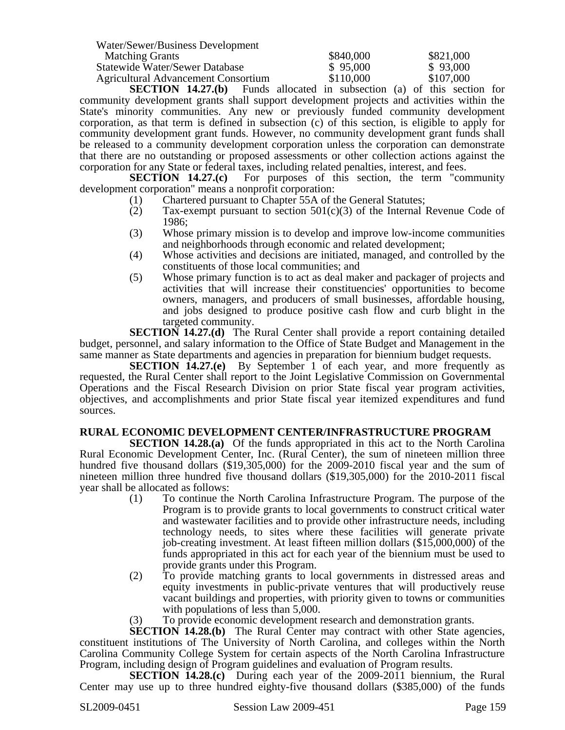| Water/Sewer/Business Development           |           |           |
|--------------------------------------------|-----------|-----------|
| <b>Matching Grants</b>                     | \$840,000 | \$821,000 |
| <b>Statewide Water/Sewer Database</b>      | \$95,000  | \$93,000  |
| <b>Agricultural Advancement Consortium</b> | \$110,000 | \$107,000 |
|                                            |           |           |

**SECTION 14.27.(b)** Funds allocated in subsection (a) of this section for community development grants shall support development projects and activities within the State's minority communities. Any new or previously funded community development corporation, as that term is defined in subsection (c) of this section, is eligible to apply for community development grant funds. However, no community development grant funds shall be released to a community development corporation unless the corporation can demonstrate that there are no outstanding or proposed assessments or other collection actions against the corporation for any State or federal taxes, including related penalties, interest, and fees.

**SECTION 14.27.(c)** For purposes of this section, the term "community" development corporation" means a nonprofit corporation:

- (1) Chartered pursuant to Chapter 55A of the General Statutes;
- (2) Tax-exempt pursuant to section 501(c)(3) of the Internal Revenue Code of 1986;
- (3) Whose primary mission is to develop and improve low-income communities and neighborhoods through economic and related development;
- (4) Whose activities and decisions are initiated, managed, and controlled by the constituents of those local communities; and
- (5) Whose primary function is to act as deal maker and packager of projects and activities that will increase their constituencies' opportunities to become owners, managers, and producers of small businesses, affordable housing, and jobs designed to produce positive cash flow and curb blight in the targeted community.

**SECTION 14.27.(d)** The Rural Center shall provide a report containing detailed budget, personnel, and salary information to the Office of State Budget and Management in the same manner as State departments and agencies in preparation for biennium budget requests.

**SECTION 14.27.(e)** By September 1 of each year, and more frequently as requested, the Rural Center shall report to the Joint Legislative Commission on Governmental Operations and the Fiscal Research Division on prior State fiscal year program activities, objectives, and accomplishments and prior State fiscal year itemized expenditures and fund sources.

# **RURAL ECONOMIC DEVELOPMENT CENTER/INFRASTRUCTURE PROGRAM**

**SECTION 14.28.(a)** Of the funds appropriated in this act to the North Carolina Rural Economic Development Center, Inc. (Rural Center), the sum of nineteen million three hundred five thousand dollars (\$19,305,000) for the 2009-2010 fiscal year and the sum of nineteen million three hundred five thousand dollars (\$19,305,000) for the 2010-2011 fiscal year shall be allocated as follows:

- (1) To continue the North Carolina Infrastructure Program. The purpose of the Program is to provide grants to local governments to construct critical water and wastewater facilities and to provide other infrastructure needs, including technology needs, to sites where these facilities will generate private job-creating investment. At least fifteen million dollars (\$15,000,000) of the funds appropriated in this act for each year of the biennium must be used to provide grants under this Program.
- (2) To provide matching grants to local governments in distressed areas and equity investments in public-private ventures that will productively reuse vacant buildings and properties, with priority given to towns or communities with populations of less than 5,000.
- (3) To provide economic development research and demonstration grants.

**SECTION 14.28.(b)** The Rural Center may contract with other State agencies, constituent institutions of The University of North Carolina, and colleges within the North Carolina Community College System for certain aspects of the North Carolina Infrastructure Program, including design of Program guidelines and evaluation of Program results.

**SECTION 14.28.(c)** During each year of the 2009-2011 biennium, the Rural Center may use up to three hundred eighty-five thousand dollars (\$385,000) of the funds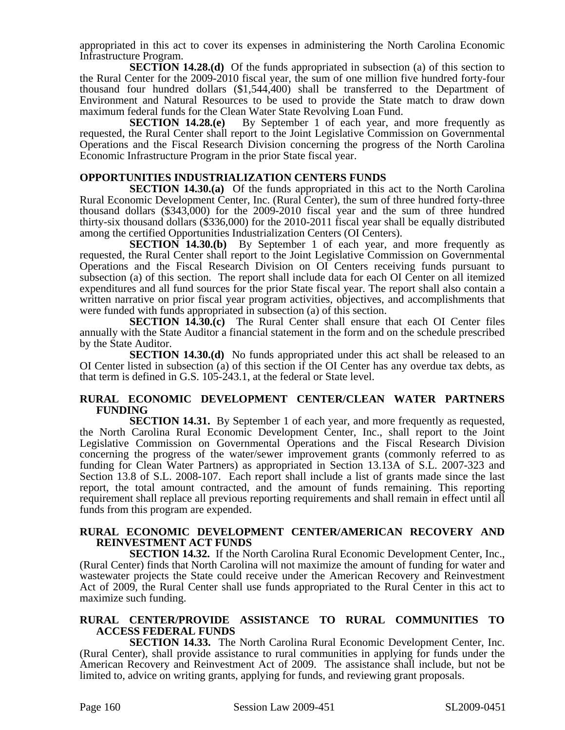appropriated in this act to cover its expenses in administering the North Carolina Economic Infrastructure Program.

**SECTION 14.28.(d)** Of the funds appropriated in subsection (a) of this section to the Rural Center for the 2009-2010 fiscal year, the sum of one million five hundred forty-four thousand four hundred dollars (\$1,544,400) shall be transferred to the Department of Environment and Natural Resources to be used to provide the State match to draw down maximum federal funds for the Clean Water State Revolving Loan Fund.

**SECTION 14.28.(e)** By September 1 of each year, and more frequently as requested, the Rural Center shall report to the Joint Legislative Commission on Governmental Operations and the Fiscal Research Division concerning the progress of the North Carolina Economic Infrastructure Program in the prior State fiscal year.

# **OPPORTUNITIES INDUSTRIALIZATION CENTERS FUNDS**

**SECTION 14.30.(a)** Of the funds appropriated in this act to the North Carolina Rural Economic Development Center, Inc. (Rural Center), the sum of three hundred forty-three thousand dollars (\$343,000) for the 2009-2010 fiscal year and the sum of three hundred thirty-six thousand dollars (\$336,000) for the 2010-2011 fiscal year shall be equally distributed among the certified Opportunities Industrialization Centers (OI Centers).

**SECTION 14.30.(b)** By September 1 of each year, and more frequently as requested, the Rural Center shall report to the Joint Legislative Commission on Governmental Operations and the Fiscal Research Division on OI Centers receiving funds pursuant to subsection (a) of this section. The report shall include data for each OI Center on all itemized expenditures and all fund sources for the prior State fiscal year. The report shall also contain a written narrative on prior fiscal year program activities, objectives, and accomplishments that were funded with funds appropriated in subsection (a) of this section.

**SECTION 14.30.(c)** The Rural Center shall ensure that each OI Center files annually with the State Auditor a financial statement in the form and on the schedule prescribed by the State Auditor.

**SECTION 14.30.(d)** No funds appropriated under this act shall be released to an OI Center listed in subsection (a) of this section if the OI Center has any overdue tax debts, as that term is defined in G.S. 105-243.1, at the federal or State level.

# **RURAL ECONOMIC DEVELOPMENT CENTER/CLEAN WATER PARTNERS FUNDING**

**SECTION 14.31.** By September 1 of each year, and more frequently as requested, the North Carolina Rural Economic Development Center, Inc., shall report to the Joint Legislative Commission on Governmental Operations and the Fiscal Research Division concerning the progress of the water/sewer improvement grants (commonly referred to as funding for Clean Water Partners) as appropriated in Section 13.13A of S.L. 2007-323 and Section 13.8 of S.L. 2008-107. Each report shall include a list of grants made since the last report, the total amount contracted, and the amount of funds remaining. This reporting requirement shall replace all previous reporting requirements and shall remain in effect until all funds from this program are expended.

#### **RURAL ECONOMIC DEVELOPMENT CENTER/AMERICAN RECOVERY AND REINVESTMENT ACT FUNDS**

**SECTION 14.32.** If the North Carolina Rural Economic Development Center, Inc., (Rural Center) finds that North Carolina will not maximize the amount of funding for water and wastewater projects the State could receive under the American Recovery and Reinvestment Act of 2009, the Rural Center shall use funds appropriated to the Rural Center in this act to maximize such funding.

# **RURAL CENTER/PROVIDE ASSISTANCE TO RURAL COMMUNITIES TO ACCESS FEDERAL FUNDS**

**SECTION 14.33.** The North Carolina Rural Economic Development Center, Inc. (Rural Center), shall provide assistance to rural communities in applying for funds under the American Recovery and Reinvestment Act of 2009. The assistance shall include, but not be limited to, advice on writing grants, applying for funds, and reviewing grant proposals.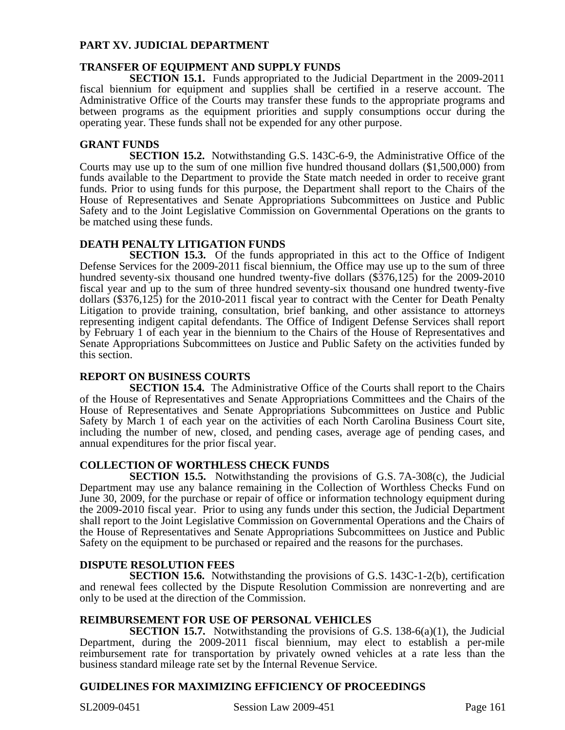# **PART XV. JUDICIAL DEPARTMENT**

# **TRANSFER OF EQUIPMENT AND SUPPLY FUNDS**

**SECTION 15.1.** Funds appropriated to the Judicial Department in the 2009-2011 fiscal biennium for equipment and supplies shall be certified in a reserve account. The Administrative Office of the Courts may transfer these funds to the appropriate programs and between programs as the equipment priorities and supply consumptions occur during the operating year. These funds shall not be expended for any other purpose.

# **GRANT FUNDS**

**SECTION 15.2.** Notwithstanding G.S. 143C-6-9, the Administrative Office of the Courts may use up to the sum of one million five hundred thousand dollars (\$1,500,000) from funds available to the Department to provide the State match needed in order to receive grant funds. Prior to using funds for this purpose, the Department shall report to the Chairs of the House of Representatives and Senate Appropriations Subcommittees on Justice and Public Safety and to the Joint Legislative Commission on Governmental Operations on the grants to be matched using these funds.

# **DEATH PENALTY LITIGATION FUNDS**

**SECTION 15.3.** Of the funds appropriated in this act to the Office of Indigent Defense Services for the 2009-2011 fiscal biennium, the Office may use up to the sum of three hundred seventy-six thousand one hundred twenty-five dollars (\$376,125) for the 2009-2010 fiscal year and up to the sum of three hundred seventy-six thousand one hundred twenty-five dollars (\$376,125) for the 2010-2011 fiscal year to contract with the Center for Death Penalty Litigation to provide training, consultation, brief banking, and other assistance to attorneys representing indigent capital defendants. The Office of Indigent Defense Services shall report by February 1 of each year in the biennium to the Chairs of the House of Representatives and Senate Appropriations Subcommittees on Justice and Public Safety on the activities funded by this section.

#### **REPORT ON BUSINESS COURTS**

**SECTION 15.4.** The Administrative Office of the Courts shall report to the Chairs of the House of Representatives and Senate Appropriations Committees and the Chairs of the House of Representatives and Senate Appropriations Subcommittees on Justice and Public Safety by March 1 of each year on the activities of each North Carolina Business Court site, including the number of new, closed, and pending cases, average age of pending cases, and annual expenditures for the prior fiscal year.

#### **COLLECTION OF WORTHLESS CHECK FUNDS**

**SECTION 15.5.** Notwithstanding the provisions of G.S. 7A-308(c), the Judicial Department may use any balance remaining in the Collection of Worthless Checks Fund on June 30, 2009, for the purchase or repair of office or information technology equipment during the 2009-2010 fiscal year. Prior to using any funds under this section, the Judicial Department shall report to the Joint Legislative Commission on Governmental Operations and the Chairs of the House of Representatives and Senate Appropriations Subcommittees on Justice and Public Safety on the equipment to be purchased or repaired and the reasons for the purchases.

# **DISPUTE RESOLUTION FEES**

**SECTION 15.6.** Notwithstanding the provisions of G.S. 143C-1-2(b), certification and renewal fees collected by the Dispute Resolution Commission are nonreverting and are only to be used at the direction of the Commission.

#### **REIMBURSEMENT FOR USE OF PERSONAL VEHICLES**

**SECTION 15.7.** Notwithstanding the provisions of G.S. 138-6(a)(1), the Judicial Department, during the 2009-2011 fiscal biennium, may elect to establish a per-mile reimbursement rate for transportation by privately owned vehicles at a rate less than the business standard mileage rate set by the Internal Revenue Service.

# **GUIDELINES FOR MAXIMIZING EFFICIENCY OF PROCEEDINGS**

SL2009-0451 Session Law 2009-451 Page 161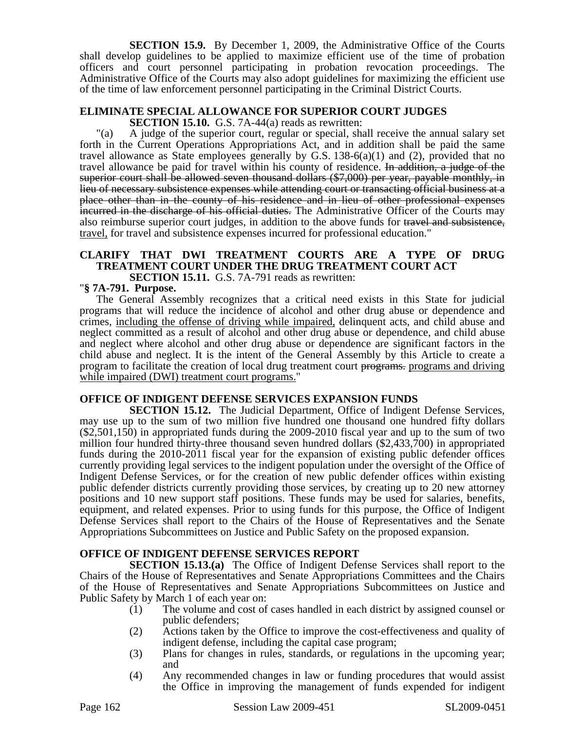**SECTION 15.9.** By December 1, 2009, the Administrative Office of the Courts shall develop guidelines to be applied to maximize efficient use of the time of probation officers and court personnel participating in probation revocation proceedings. The Administrative Office of the Courts may also adopt guidelines for maximizing the efficient use of the time of law enforcement personnel participating in the Criminal District Courts.

# **ELIMINATE SPECIAL ALLOWANCE FOR SUPERIOR COURT JUDGES**

**SECTION 15.10.** G.S. 7A-44(a) reads as rewritten:

"(a) A judge of the superior court, regular or special, shall receive the annual salary set forth in the Current Operations Appropriations Act, and in addition shall be paid the same travel allowance as State employees generally by G.S. 138-6(a)(1) and (2), provided that no travel allowance be paid for travel within his county of residence. In addition, a judge of the superior court shall be allowed seven thousand dollars (\$7,000) per year, payable monthly, in lieu of necessary subsistence expenses while attending court or transacting official business at a place other than in the county of his residence and in lieu of other professional expenses incurred in the discharge of his official duties. The Administrative Officer of the Courts may also reimburse superior court judges, in addition to the above funds for travel and subsistence, travel, for travel and subsistence expenses incurred for professional education."

# **CLARIFY THAT DWI TREATMENT COURTS ARE A TYPE OF DRUG TREATMENT COURT UNDER THE DRUG TREATMENT COURT ACT**

**SECTION 15.11.** G.S. 7A-791 reads as rewritten:

# "**§ 7A-791. Purpose.**

The General Assembly recognizes that a critical need exists in this State for judicial programs that will reduce the incidence of alcohol and other drug abuse or dependence and crimes, including the offense of driving while impaired, delinquent acts, and child abuse and neglect committed as a result of alcohol and other drug abuse or dependence, and child abuse and neglect where alcohol and other drug abuse or dependence are significant factors in the child abuse and neglect. It is the intent of the General Assembly by this Article to create a program to facilitate the creation of local drug treatment court programs. programs and driving while impaired (DWI) treatment court programs."

# **OFFICE OF INDIGENT DEFENSE SERVICES EXPANSION FUNDS**

**SECTION 15.12.** The Judicial Department, Office of Indigent Defense Services, may use up to the sum of two million five hundred one thousand one hundred fifty dollars (\$2,501,150) in appropriated funds during the 2009-2010 fiscal year and up to the sum of two million four hundred thirty-three thousand seven hundred dollars (\$2,433,700) in appropriated funds during the 2010-2011 fiscal year for the expansion of existing public defender offices currently providing legal services to the indigent population under the oversight of the Office of Indigent Defense Services, or for the creation of new public defender offices within existing public defender districts currently providing those services, by creating up to 20 new attorney positions and 10 new support staff positions. These funds may be used for salaries, benefits, equipment, and related expenses. Prior to using funds for this purpose, the Office of Indigent Defense Services shall report to the Chairs of the House of Representatives and the Senate Appropriations Subcommittees on Justice and Public Safety on the proposed expansion.

# **OFFICE OF INDIGENT DEFENSE SERVICES REPORT**

**SECTION 15.13.(a)** The Office of Indigent Defense Services shall report to the Chairs of the House of Representatives and Senate Appropriations Committees and the Chairs of the House of Representatives and Senate Appropriations Subcommittees on Justice and Public Safety by March 1 of each year on:

- (1) The volume and cost of cases handled in each district by assigned counsel or public defenders;
- (2) Actions taken by the Office to improve the cost-effectiveness and quality of indigent defense, including the capital case program;
- (3) Plans for changes in rules, standards, or regulations in the upcoming year; and
- (4) Any recommended changes in law or funding procedures that would assist the Office in improving the management of funds expended for indigent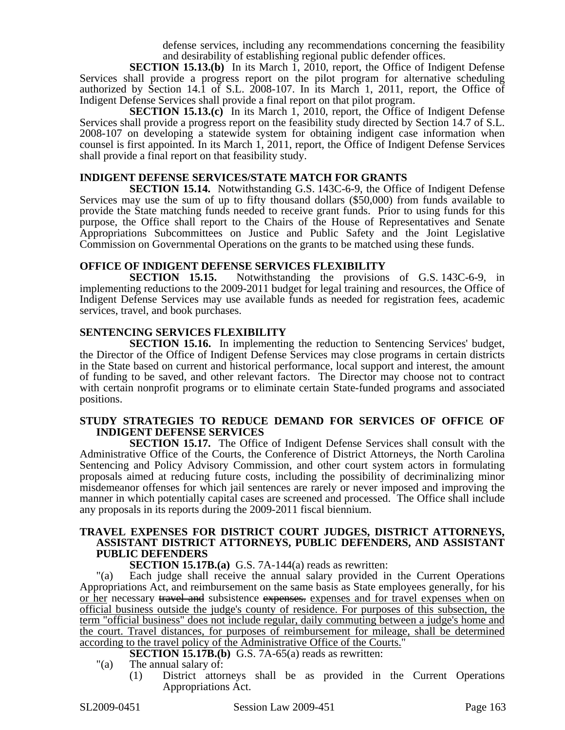defense services, including any recommendations concerning the feasibility and desirability of establishing regional public defender offices.

**SECTION 15.13.(b)** In its March 1, 2010, report, the Office of Indigent Defense Services shall provide a progress report on the pilot program for alternative scheduling authorized by Section 14.1 of S.L. 2008-107. In its March 1, 2011, report, the Office of Indigent Defense Services shall provide a final report on that pilot program.

**SECTION 15.13.(c)** In its March 1, 2010, report, the Office of Indigent Defense Services shall provide a progress report on the feasibility study directed by Section 14.7 of S.L. 2008-107 on developing a statewide system for obtaining indigent case information when counsel is first appointed. In its March 1, 2011, report, the Office of Indigent Defense Services shall provide a final report on that feasibility study.

# **INDIGENT DEFENSE SERVICES/STATE MATCH FOR GRANTS**

**SECTION 15.14.** Notwithstanding G.S. 143C-6-9, the Office of Indigent Defense Services may use the sum of up to fifty thousand dollars (\$50,000) from funds available to provide the State matching funds needed to receive grant funds. Prior to using funds for this purpose, the Office shall report to the Chairs of the House of Representatives and Senate Appropriations Subcommittees on Justice and Public Safety and the Joint Legislative Commission on Governmental Operations on the grants to be matched using these funds.

# **OFFICE OF INDIGENT DEFENSE SERVICES FLEXIBILITY<br>SECTION 15.15.** Notwithstanding the provisions

Notwithstanding the provisions of G.S. 143C-6-9, in implementing reductions to the 2009-2011 budget for legal training and resources, the Office of Indigent Defense Services may use available funds as needed for registration fees, academic services, travel, and book purchases.

#### **SENTENCING SERVICES FLEXIBILITY**

**SECTION 15.16.** In implementing the reduction to Sentencing Services' budget, the Director of the Office of Indigent Defense Services may close programs in certain districts in the State based on current and historical performance, local support and interest, the amount of funding to be saved, and other relevant factors. The Director may choose not to contract with certain nonprofit programs or to eliminate certain State-funded programs and associated positions.

#### **STUDY STRATEGIES TO REDUCE DEMAND FOR SERVICES OF OFFICE OF INDIGENT DEFENSE SERVICES**

**SECTION 15.17.** The Office of Indigent Defense Services shall consult with the Administrative Office of the Courts, the Conference of District Attorneys, the North Carolina Sentencing and Policy Advisory Commission, and other court system actors in formulating proposals aimed at reducing future costs, including the possibility of decriminalizing minor misdemeanor offenses for which jail sentences are rarely or never imposed and improving the manner in which potentially capital cases are screened and processed. The Office shall include any proposals in its reports during the 2009-2011 fiscal biennium.

# **TRAVEL EXPENSES FOR DISTRICT COURT JUDGES, DISTRICT ATTORNEYS, ASSISTANT DISTRICT ATTORNEYS, PUBLIC DEFENDERS, AND ASSISTANT PUBLIC DEFENDERS**

**SECTION 15.17B.(a)** G.S. 7A-144(a) reads as rewritten:

"(a) Each judge shall receive the annual salary provided in the Current Operations Appropriations Act, and reimbursement on the same basis as State employees generally, for his or her necessary travel and subsistence expenses. expenses and for travel expenses when on official business outside the judge's county of residence. For purposes of this subsection, the term "official business" does not include regular, daily commuting between a judge's home and the court. Travel distances, for purposes of reimbursement for mileage, shall be determined according to the travel policy of the Administrative Office of the Courts."

**SECTION 15.17B.(b)** G.S. 7A-65 $\overline{(a)}$  reads as rewritten:

- "(a) The annual salary of:
	- (1) District attorneys shall be as provided in the Current Operations Appropriations Act.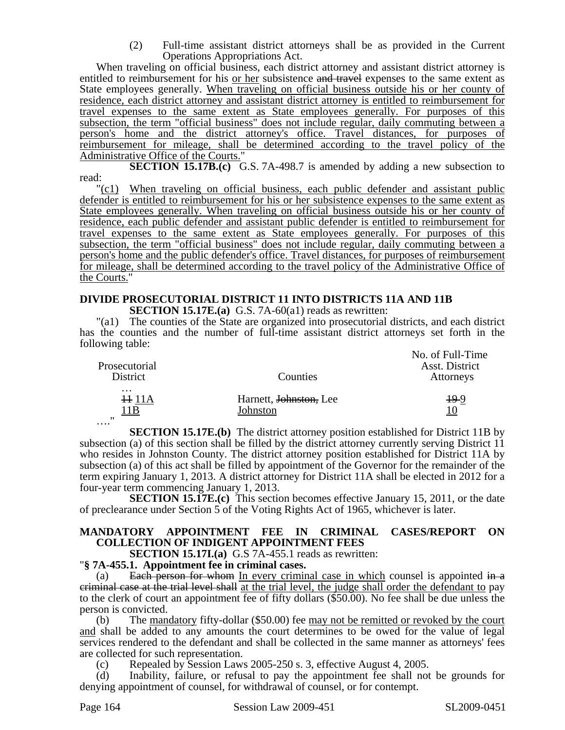(2) Full-time assistant district attorneys shall be as provided in the Current Operations Appropriations Act.

When traveling on official business, each district attorney and assistant district attorney is entitled to reimbursement for his or her subsistence and travel expenses to the same extent as State employees generally. When traveling on official business outside his or her county of residence, each district attorney and assistant district attorney is entitled to reimbursement for travel expenses to the same extent as State employees generally. For purposes of this subsection, the term "official business" does not include regular, daily commuting between a person's home and the district attorney's office. Travel distances, for purposes of reimbursement for mileage, shall be determined according to the travel policy of the Administrative Office of the Courts."

**SECTION 15.17B.(c)** G.S. 7A-498.7 is amended by adding a new subsection to read:

"(c1) When traveling on official business, each public defender and assistant public defender is entitled to reimbursement for his or her subsistence expenses to the same extent as State employees generally. When traveling on official business outside his or her county of residence, each public defender and assistant public defender is entitled to reimbursement for travel expenses to the same extent as State employees generally. For purposes of this subsection, the term "official business" does not include regular, daily commuting between a person's home and the public defender's office. Travel distances, for purposes of reimbursement for mileage, shall be determined according to the travel policy of the Administrative Office of the Courts."

# **DIVIDE PROSECUTORIAL DISTRICT 11 INTO DISTRICTS 11A AND 11B**

**SECTION 15.17E.(a)** G.S. 7A-60(a1) reads as rewritten:

"(a1) The counties of the State are organized into prosecutorial districts, and each district has the counties and the number of full-time assistant district attorneys set forth in the following table:

| Prosecutorial<br>District                 | Counties                           | No. of Full-Time<br>Asst. District<br>Attorneys |
|-------------------------------------------|------------------------------------|-------------------------------------------------|
| $\cdots$<br>H11A<br>11 B<br>"<br>$\cdots$ | Harnett, Johnston, Lee<br>Johnston | <del>19</del> -9                                |

**SECTION 15.17E.(b)** The district attorney position established for District 11B by subsection (a) of this section shall be filled by the district attorney currently serving District 11 who resides in Johnston County. The district attorney position established for District 11A by subsection (a) of this act shall be filled by appointment of the Governor for the remainder of the term expiring January 1, 2013. A district attorney for District 11A shall be elected in 2012 for a four-year term commencing January 1, 2013.

**SECTION 15.17E.(c)** This section becomes effective January 15, 2011, or the date of preclearance under Section 5 of the Voting Rights Act of 1965, whichever is later.

# **MANDATORY APPOINTMENT FEE IN CRIMINAL CASES/REPORT ON COLLECTION OF INDIGENT APPOINTMENT FEES**

**SECTION 15.17I.(a)** G.S 7A-455.1 reads as rewritten:

"**§ 7A-455.1. Appointment fee in criminal cases.** 

(a) Each person for whom In every criminal case in which counsel is appointed  $\frac{d}{dx}$ criminal case at the trial level shall at the trial level, the judge shall order the defendant to pay to the clerk of court an appointment fee of fifty dollars (\$50.00). No fee shall be due unless the person is convicted.

(b) The mandatory fifty-dollar (\$50.00) fee may not be remitted or revoked by the court and shall be added to any amounts the court determines to be owed for the value of legal services rendered to the defendant and shall be collected in the same manner as attorneys' fees are collected for such representation.

(c) Repealed by Session Laws 2005-250 s. 3, effective August 4, 2005.

(d) Inability, failure, or refusal to pay the appointment fee shall not be grounds for denying appointment of counsel, for withdrawal of counsel, or for contempt.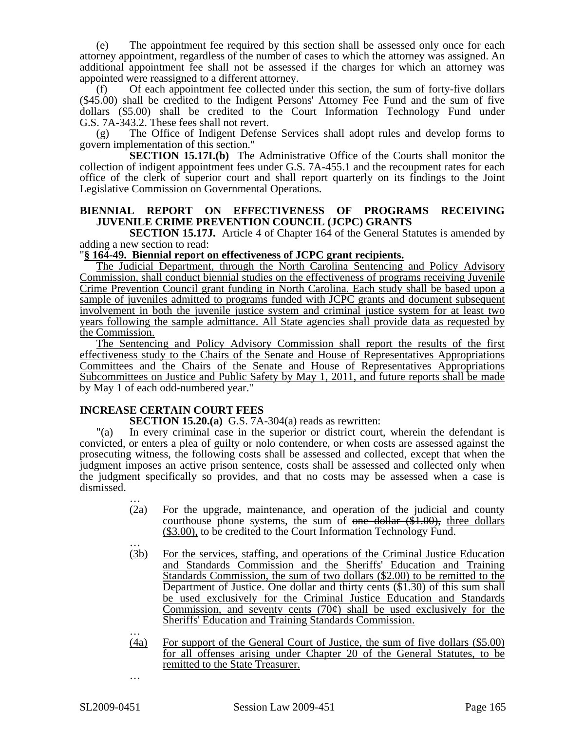(e) The appointment fee required by this section shall be assessed only once for each attorney appointment, regardless of the number of cases to which the attorney was assigned. An additional appointment fee shall not be assessed if the charges for which an attorney was appointed were reassigned to a different attorney.

(f) Of each appointment fee collected under this section, the sum of forty-five dollars (\$45.00) shall be credited to the Indigent Persons' Attorney Fee Fund and the sum of five dollars (\$5.00) shall be credited to the Court Information Technology Fund under G.S. 7A-343.2. These fees shall not revert.

(g) The Office of Indigent Defense Services shall adopt rules and develop forms to govern implementation of this section."

**SECTION 15.17I.(b)** The Administrative Office of the Courts shall monitor the collection of indigent appointment fees under G.S. 7A-455.1 and the recoupment rates for each office of the clerk of superior court and shall report quarterly on its findings to the Joint Legislative Commission on Governmental Operations.

#### **BIENNIAL REPORT ON EFFECTIVENESS OF PROGRAMS RECEIVING JUVENILE CRIME PREVENTION COUNCIL (JCPC) GRANTS**

**SECTION 15.17J.** Article 4 of Chapter 164 of the General Statutes is amended by adding a new section to read:

#### "**§ 164-49. Biennial report on effectiveness of JCPC grant recipients.**

The Judicial Department, through the North Carolina Sentencing and Policy Advisory Commission, shall conduct biennial studies on the effectiveness of programs receiving Juvenile Crime Prevention Council grant funding in North Carolina. Each study shall be based upon a sample of juveniles admitted to programs funded with JCPC grants and document subsequent involvement in both the juvenile justice system and criminal justice system for at least two years following the sample admittance. All State agencies shall provide data as requested by the Commission.

The Sentencing and Policy Advisory Commission shall report the results of the first effectiveness study to the Chairs of the Senate and House of Representatives Appropriations Committees and the Chairs of the Senate and House of Representatives Appropriations Subcommittees on Justice and Public Safety by May 1, 2011, and future reports shall be made by May 1 of each odd-numbered year."

# **INCREASE CERTAIN COURT FEES**

**SECTION 15.20.(a)** G.S. 7A-304(a) reads as rewritten:

"(a) In every criminal case in the superior or district court, wherein the defendant is convicted, or enters a plea of guilty or nolo contendere, or when costs are assessed against the prosecuting witness, the following costs shall be assessed and collected, except that when the judgment imposes an active prison sentence, costs shall be assessed and collected only when the judgment specifically so provides, and that no costs may be assessed when a case is dismissed. …

- (2a) For the upgrade, maintenance, and operation of the judicial and county courthouse phone systems, the sum of one dollar  $(\$1.00)$ , three dollars (\$3.00), to be credited to the Court Information Technology Fund.
- … (3b) For the services, staffing, and operations of the Criminal Justice Education and Standards Commission and the Sheriffs' Education and Training Standards Commission, the sum of two dollars (\$2.00) to be remitted to the Department of Justice. One dollar and thirty cents (\$1.30) of this sum shall be used exclusively for the Criminal Justice Education and Standards Commission, and seventy cents  $(70¢)$  shall be used exclusively for the Sheriffs' Education and Training Standards Commission. …
- (4a) For support of the General Court of Justice, the sum of five dollars (\$5.00) for all offenses arising under Chapter 20 of the General Statutes, to be remitted to the State Treasurer.

…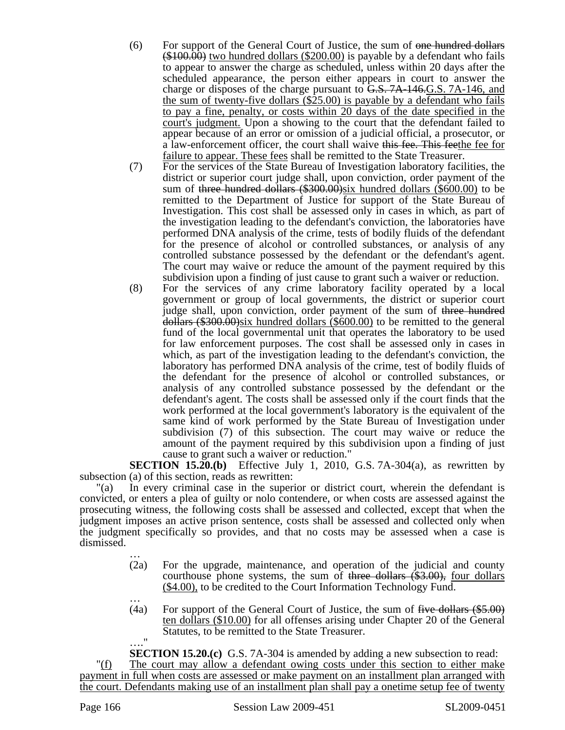- (6) For support of the General Court of Justice, the sum of one hundred dollars (\$100.00) two hundred dollars (\$200.00) is payable by a defendant who fails to appear to answer the charge as scheduled, unless within 20 days after the scheduled appearance, the person either appears in court to answer the charge or disposes of the charge pursuant to G.S. 7A-146.G.S. 7A-146, and the sum of twenty-five dollars (\$25.00) is payable by a defendant who fails to pay a fine, penalty, or costs within 20 days of the date specified in the court's judgment. Upon a showing to the court that the defendant failed to appear because of an error or omission of a judicial official, a prosecutor, or a law-enforcement officer, the court shall waive this fee. This feethe fee for failure to appear. These fees shall be remitted to the State Treasurer.
- (7) For the services of the State Bureau of Investigation laboratory facilities, the district or superior court judge shall, upon conviction, order payment of the sum of three hundred dollars (\$300.00)six hundred dollars (\$600.00) to be remitted to the Department of Justice for support of the State Bureau of Investigation. This cost shall be assessed only in cases in which, as part of the investigation leading to the defendant's conviction, the laboratories have performed DNA analysis of the crime, tests of bodily fluids of the defendant for the presence of alcohol or controlled substances, or analysis of any controlled substance possessed by the defendant or the defendant's agent. The court may waive or reduce the amount of the payment required by this subdivision upon a finding of just cause to grant such a waiver or reduction.
- (8) For the services of any crime laboratory facility operated by a local government or group of local governments, the district or superior court judge shall, upon conviction, order payment of the sum of three hundred dollars (\$300.00)six hundred dollars (\$600.00) to be remitted to the general fund of the local governmental unit that operates the laboratory to be used for law enforcement purposes. The cost shall be assessed only in cases in which, as part of the investigation leading to the defendant's conviction, the laboratory has performed DNA analysis of the crime, test of bodily fluids of the defendant for the presence of alcohol or controlled substances, or analysis of any controlled substance possessed by the defendant or the defendant's agent. The costs shall be assessed only if the court finds that the work performed at the local government's laboratory is the equivalent of the same kind of work performed by the State Bureau of Investigation under subdivision (7) of this subsection. The court may waive or reduce the amount of the payment required by this subdivision upon a finding of just cause to grant such a waiver or reduction."

**SECTION 15.20.(b)** Effective July 1, 2010, G.S. 7A-304(a), as rewritten by subsection (a) of this section, reads as rewritten:

"(a) In every criminal case in the superior or district court, wherein the defendant is convicted, or enters a plea of guilty or nolo contendere, or when costs are assessed against the prosecuting witness, the following costs shall be assessed and collected, except that when the judgment imposes an active prison sentence, costs shall be assessed and collected only when the judgment specifically so provides, and that no costs may be assessed when a case is dismissed. …

- (2a) For the upgrade, maintenance, and operation of the judicial and county courthouse phone systems, the sum of three dollars  $(\$3.00)$ , four dollars (\$4.00), to be credited to the Court Information Technology Fund. …
- (4a) For support of the General Court of Justice, the sum of  $f^2$  ive dollars (\$5.00) ten dollars (\$10.00) for all offenses arising under Chapter 20 of the General Statutes, to be remitted to the State Treasurer. …."

**SECTION 15.20.(c)** G.S. 7A-304 is amended by adding a new subsection to read: "(f) The court may allow a defendant owing costs under this section to either make payment in full when costs are assessed or make payment on an installment plan arranged with

the court. Defendants making use of an installment plan shall pay a onetime setup fee of twenty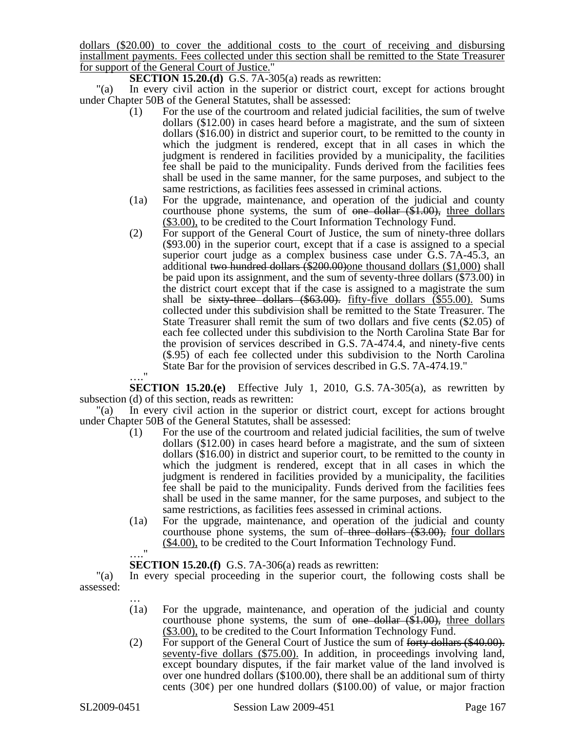dollars (\$20.00) to cover the additional costs to the court of receiving and disbursing installment payments. Fees collected under this section shall be remitted to the State Treasurer for support of the General Court of Justice."

**SECTION 15.20.(d)** G.S. 7A-305(a) reads as rewritten:

"(a) In every civil action in the superior or district court, except for actions brought under Chapter 50B of the General Statutes, shall be assessed:

- $(1)$  For the use of the courtroom and related judicial facilities, the sum of twelve dollars (\$12.00) in cases heard before a magistrate, and the sum of sixteen dollars (\$16.00) in district and superior court, to be remitted to the county in which the judgment is rendered, except that in all cases in which the judgment is rendered in facilities provided by a municipality, the facilities fee shall be paid to the municipality. Funds derived from the facilities fees shall be used in the same manner, for the same purposes, and subject to the same restrictions, as facilities fees assessed in criminal actions.
- (1a) For the upgrade, maintenance, and operation of the judicial and county courthouse phone systems, the sum of  $\theta$  one dollar (\$1.00), three dollars (\$3.00), to be credited to the Court Information Technology Fund.
- (2) For support of the General Court of Justice, the sum of ninety-three dollars (\$93.00) in the superior court, except that if a case is assigned to a special superior court judge as a complex business case under G.S. 7A-45.3, an additional two hundred dollars (\$200.00)one thousand dollars (\$1,000) shall be paid upon its assignment, and the sum of seventy-three dollars (\$73.00) in the district court except that if the case is assigned to a magistrate the sum shall be sixty-three dollars (\$63.00). fifty-five dollars (\$55.00). Sums collected under this subdivision shall be remitted to the State Treasurer. The State Treasurer shall remit the sum of two dollars and five cents (\$2.05) of each fee collected under this subdivision to the North Carolina State Bar for the provision of services described in G.S. 7A-474.4, and ninety-five cents (\$.95) of each fee collected under this subdivision to the North Carolina State Bar for the provision of services described in G.S. 7A-474.19."

…." **SECTION 15.20.(e)** Effective July 1, 2010, G.S. 7A-305(a), as rewritten by subsection (d) of this section, reads as rewritten:

"(a) In every civil action in the superior or district court, except for actions brought under Chapter 50B of the General Statutes, shall be assessed:

- (1) For the use of the courtroom and related judicial facilities, the sum of twelve dollars (\$12.00) in cases heard before a magistrate, and the sum of sixteen dollars (\$16.00) in district and superior court, to be remitted to the county in which the judgment is rendered, except that in all cases in which the judgment is rendered in facilities provided by a municipality, the facilities fee shall be paid to the municipality. Funds derived from the facilities fees shall be used in the same manner, for the same purposes, and subject to the same restrictions, as facilities fees assessed in criminal actions.
- (1a) For the upgrade, maintenance, and operation of the judicial and county courthouse phone systems, the sum of three dollars  $(*3.00)$ , four dollars (\$4.00), to be credited to the Court Information Technology Fund. …."

**SECTION 15.20.(f)** G.S. 7A-306(a) reads as rewritten:

"(a) In every special proceeding in the superior court, the following costs shall be assessed:

- … (1a) For the upgrade, maintenance, and operation of the judicial and county courthouse phone systems, the sum of  $\theta$  one dollar (\$1.00), three dollars (\$3.00), to be credited to the Court Information Technology Fund.
- (2) For support of the General Court of Justice the sum of forty dollars (\$40.00). seventy-five dollars (\$75.00). In addition, in proceedings involving land, except boundary disputes, if the fair market value of the land involved is over one hundred dollars (\$100.00), there shall be an additional sum of thirty cents (30¢) per one hundred dollars (\$100.00) of value, or major fraction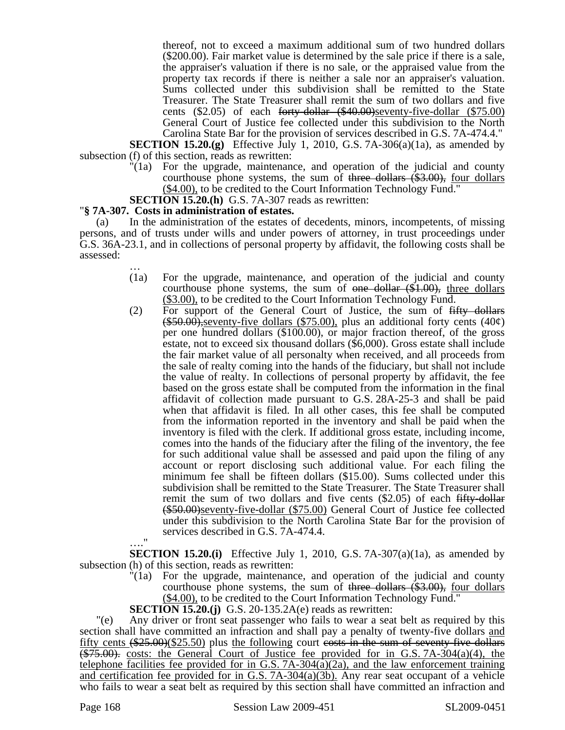thereof, not to exceed a maximum additional sum of two hundred dollars (\$200.00). Fair market value is determined by the sale price if there is a sale, the appraiser's valuation if there is no sale, or the appraised value from the property tax records if there is neither a sale nor an appraiser's valuation. Sums collected under this subdivision shall be remitted to the State Treasurer. The State Treasurer shall remit the sum of two dollars and five cents (\$2.05) of each forty-dollar (\$40.00)seventy-five-dollar (\$75.00) General Court of Justice fee collected under this subdivision to the North Carolina State Bar for the provision of services described in G.S. 7A-474.4."

**SECTION 15.20.(g)** Effective July 1, 2010, G.S. 7A-306(a)(1a), as amended by subsection (f) of this section, reads as rewritten:

- "(1a) For the upgrade, maintenance, and operation of the judicial and county courthouse phone systems, the sum of three dollars (\$3.00), four dollars (\$4.00), to be credited to the Court Information Technology Fund."
- **SECTION 15.20.(h)** G.S. 7A-307 reads as rewritten:

#### "**§ 7A-307. Costs in administration of estates.**

(a) In the administration of the estates of decedents, minors, incompetents, of missing persons, and of trusts under wills and under powers of attorney, in trust proceedings under G.S. 36A-23.1, and in collections of personal property by affidavit, the following costs shall be assessed:

- … (1a) For the upgrade, maintenance, and operation of the judicial and county courthouse phone systems, the sum of one dollar  $(\$1.00)$ , three dollars (\$3.00), to be credited to the Court Information Technology Fund.
- (2) For support of the General Court of Justice, the sum of fifty dollars  $(*50.00)$ , seventy-five dollars  $(*75.00)$ , plus an additional forty cents  $(40¢)$ per one hundred dollars (\$100.00), or major fraction thereof, of the gross estate, not to exceed six thousand dollars (\$6,000). Gross estate shall include the fair market value of all personalty when received, and all proceeds from the sale of realty coming into the hands of the fiduciary, but shall not include the value of realty. In collections of personal property by affidavit, the fee based on the gross estate shall be computed from the information in the final affidavit of collection made pursuant to G.S. 28A-25-3 and shall be paid when that affidavit is filed. In all other cases, this fee shall be computed from the information reported in the inventory and shall be paid when the inventory is filed with the clerk. If additional gross estate, including income, comes into the hands of the fiduciary after the filing of the inventory, the fee for such additional value shall be assessed and paid upon the filing of any account or report disclosing such additional value. For each filing the minimum fee shall be fifteen dollars (\$15.00). Sums collected under this subdivision shall be remitted to the State Treasurer. The State Treasurer shall remit the sum of two dollars and five cents (\$2.05) of each fifty-dollar (\$50.00)seventy-five-dollar (\$75.00) General Court of Justice fee collected under this subdivision to the North Carolina State Bar for the provision of services described in G.S. 7A-474.4.

…." **SECTION 15.20.(i)** Effective July 1, 2010, G.S. 7A-307(a)(1a), as amended by subsection (h) of this section, reads as rewritten:

"(1a) For the upgrade, maintenance, and operation of the judicial and county courthouse phone systems, the sum of three dollars (\$3.00), four dollars (\$4.00), to be credited to the Court Information Technology Fund."

**SECTION 15.20.(j)** G.S. 20-135.2A(e) reads as rewritten:

"(e) Any driver or front seat passenger who fails to wear a seat belt as required by this section shall have committed an infraction and shall pay a penalty of twenty-five dollars and fifty cents  $(\$25.00)(\$25.50)$  plus the following court eosts in the sum of seventy-five dollars  $(*75.00)$ . costs: the General Court of Justice fee provided for in G.S. 7A-304(a)(4), the telephone facilities fee provided for in G.S.  $7A-304(a)(2a)$ , and the law enforcement training and certification fee provided for in G.S. 7A-304(a)(3b). Any rear seat occupant of a vehicle who fails to wear a seat belt as required by this section shall have committed an infraction and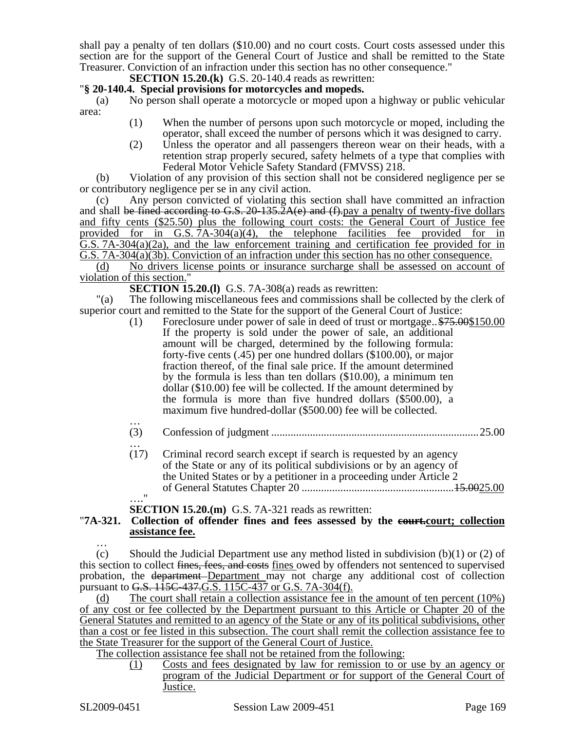shall pay a penalty of ten dollars (\$10.00) and no court costs. Court costs assessed under this section are for the support of the General Court of Justice and shall be remitted to the State Treasurer. Conviction of an infraction under this section has no other consequence."

**SECTION 15.20.(k)** G.S. 20-140.4 reads as rewritten:

#### "**§ 20-140.4. Special provisions for motorcycles and mopeds.**

(a) No person shall operate a motorcycle or moped upon a highway or public vehicular area:

- (1) When the number of persons upon such motorcycle or moped, including the operator, shall exceed the number of persons which it was designed to carry.
- (2) Unless the operator and all passengers thereon wear on their heads, with a retention strap properly secured, safety helmets of a type that complies with Federal Motor Vehicle Safety Standard (FMVSS) 218.

(b) Violation of any provision of this section shall not be considered negligence per se or contributory negligence per se in any civil action.

(c) Any person convicted of violating this section shall have committed an infraction and shall be fined according to G.S.  $20-135.\overline{2}A(e)$  and (f). pay a penalty of twenty-five dollars and fifty cents (\$25.50) plus the following court costs: the General Court of Justice fee provided for in G.S.  $7A-304(a)(4)$ , the telephone facilities fee provided for in G.S. 7A-304(a)(2a), and the law enforcement training and certification fee provided for in G.S. 7A-304(a)(3b). Conviction of an infraction under this section has no other consequence.

(d) No drivers license points or insurance surcharge shall be assessed on account of violation of this section."

**SECTION 15.20.(1)** G.S. 7A-308(a) reads as rewritten:

"(a) The following miscellaneous fees and commissions shall be collected by the clerk of superior court and remitted to the State for the support of the General Court of Justice:

- (1) Foreclosure under power of sale in deed of trust or mortgage..\$75.00\$150.00 If the property is sold under the power of sale, an additional amount will be charged, determined by the following formula: forty-five cents (.45) per one hundred dollars (\$100.00), or major fraction thereof, of the final sale price. If the amount determined by the formula is less than ten dollars (\$10.00), a minimum ten dollar (\$10.00) fee will be collected. If the amount determined by the formula is more than five hundred dollars (\$500.00), a maximum five hundred-dollar (\$500.00) fee will be collected.
- … (3) Confession of judgment ...........................................................................25.00
- … (17) Criminal record search except if search is requested by an agency of the State or any of its political subdivisions or by an agency of the United States or by a petitioner in a proceeding under Article 2 of General Statutes Chapter 20 .......................................................15.0025.00 …."

**SECTION 15.20.(m)** G.S. 7A-321 reads as rewritten:

# "7A-321. Collection of offender fines and fees assessed by the eourt.court; collection **assistance fee.**

… (c) Should the Judicial Department use any method listed in subdivision  $(b)(1)$  or  $(2)$  of this section to collect fines, fees, and costs fines owed by offenders not sentenced to supervised probation, the department Department may not charge any additional cost of collection pursuant to G.S. 115C-437.G.S. 115C-437 or G.S. 7A-304(f).

(d) The court shall retain a collection assistance fee in the amount of ten percent (10%) of any cost or fee collected by the Department pursuant to this Article or Chapter 20 of the General Statutes and remitted to an agency of the State or any of its political subdivisions, other than a cost or fee listed in this subsection. The court shall remit the collection assistance fee to the State Treasurer for the support of the General Court of Justice.

The collection assistance fee shall not be retained from the following:

(1) Costs and fees designated by law for remission to or use by an agency or program of the Judicial Department or for support of the General Court of Justice.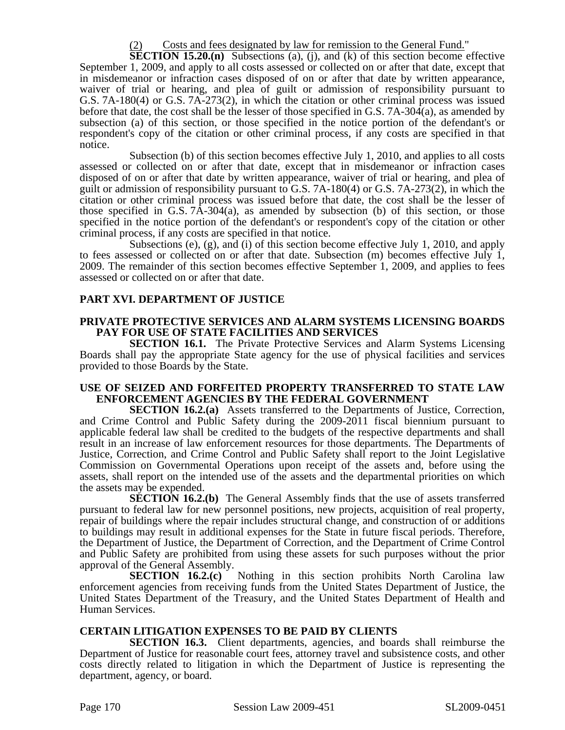(2) Costs and fees designated by law for remission to the General Fund."

**SECTION 15.20.(n)** Subsections (a), (j), and (k) of this section become effective September 1, 2009, and apply to all costs assessed or collected on or after that date, except that in misdemeanor or infraction cases disposed of on or after that date by written appearance, waiver of trial or hearing, and plea of guilt or admission of responsibility pursuant to G.S. 7A-180(4) or G.S. 7A-273(2), in which the citation or other criminal process was issued before that date, the cost shall be the lesser of those specified in G.S. 7A-30 $\tilde{A}$ (a), as amended by subsection (a) of this section, or those specified in the notice portion of the defendant's or respondent's copy of the citation or other criminal process, if any costs are specified in that notice.

Subsection (b) of this section becomes effective July 1, 2010, and applies to all costs assessed or collected on or after that date, except that in misdemeanor or infraction cases disposed of on or after that date by written appearance, waiver of trial or hearing, and plea of guilt or admission of responsibility pursuant to G.S. 7A-180(4) or G.S. 7A-273(2), in which the citation or other criminal process was issued before that date, the cost shall be the lesser of those specified in G.S.  $7\overline{A}$ -304(a), as amended by subsection (b) of this section, or those specified in the notice portion of the defendant's or respondent's copy of the citation or other criminal process, if any costs are specified in that notice.

Subsections (e), (g), and (i) of this section become effective July 1, 2010, and apply to fees assessed or collected on or after that date. Subsection (m) becomes effective July 1, 2009. The remainder of this section becomes effective September 1, 2009, and applies to fees assessed or collected on or after that date.

# **PART XVI. DEPARTMENT OF JUSTICE**

# **PRIVATE PROTECTIVE SERVICES AND ALARM SYSTEMS LICENSING BOARDS PAY FOR USE OF STATE FACILITIES AND SERVICES**

**SECTION 16.1.** The Private Protective Services and Alarm Systems Licensing Boards shall pay the appropriate State agency for the use of physical facilities and services provided to those Boards by the State.

# **USE OF SEIZED AND FORFEITED PROPERTY TRANSFERRED TO STATE LAW ENFORCEMENT AGENCIES BY THE FEDERAL GOVERNMENT**

**SECTION 16.2.(a)** Assets transferred to the Departments of Justice, Correction, and Crime Control and Public Safety during the 2009-2011 fiscal biennium pursuant to applicable federal law shall be credited to the budgets of the respective departments and shall result in an increase of law enforcement resources for those departments. The Departments of Justice, Correction, and Crime Control and Public Safety shall report to the Joint Legislative Commission on Governmental Operations upon receipt of the assets and, before using the assets, shall report on the intended use of the assets and the departmental priorities on which the assets may be expended.

**SECTION 16.2.(b)** The General Assembly finds that the use of assets transferred pursuant to federal law for new personnel positions, new projects, acquisition of real property, repair of buildings where the repair includes structural change, and construction of or additions to buildings may result in additional expenses for the State in future fiscal periods. Therefore, the Department of Justice, the Department of Correction, and the Department of Crime Control and Public Safety are prohibited from using these assets for such purposes without the prior approval of the General Assembly.

**SECTION 16.2.(c)** Nothing in this section prohibits North Carolina law enforcement agencies from receiving funds from the United States Department of Justice, the United States Department of the Treasury, and the United States Department of Health and Human Services.

# **CERTAIN LITIGATION EXPENSES TO BE PAID BY CLIENTS**

**SECTION 16.3.** Client departments, agencies, and boards shall reimburse the Department of Justice for reasonable court fees, attorney travel and subsistence costs, and other costs directly related to litigation in which the Department of Justice is representing the department, agency, or board.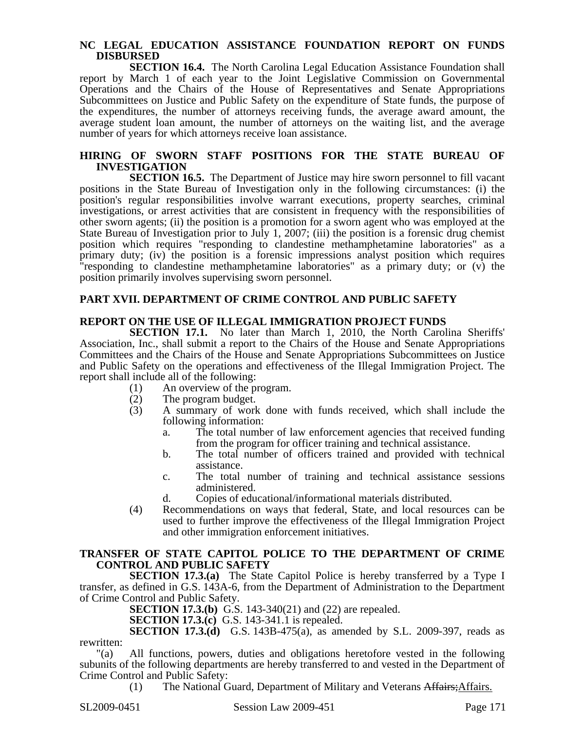# **NC LEGAL EDUCATION ASSISTANCE FOUNDATION REPORT ON FUNDS DISBURSED**

**SECTION 16.4.** The North Carolina Legal Education Assistance Foundation shall report by March 1 of each year to the Joint Legislative Commission on Governmental Operations and the Chairs of the House of Representatives and Senate Appropriations Subcommittees on Justice and Public Safety on the expenditure of State funds, the purpose of the expenditures, the number of attorneys receiving funds, the average award amount, the average student loan amount, the number of attorneys on the waiting list, and the average number of years for which attorneys receive loan assistance.

# **HIRING OF SWORN STAFF POSITIONS FOR THE STATE BUREAU OF INVESTIGATION**

**SECTION 16.5.** The Department of Justice may hire sworn personnel to fill vacant positions in the State Bureau of Investigation only in the following circumstances: (i) the position's regular responsibilities involve warrant executions, property searches, criminal investigations, or arrest activities that are consistent in frequency with the responsibilities of other sworn agents; (ii) the position is a promotion for a sworn agent who was employed at the State Bureau of Investigation prior to July 1, 2007; (iii) the position is a forensic drug chemist position which requires "responding to clandestine methamphetamine laboratories" as a primary duty; (iv) the position is a forensic impressions analyst position which requires "responding to clandestine methamphetamine laboratories" as a primary duty; or (v) the position primarily involves supervising sworn personnel.

# **PART XVII. DEPARTMENT OF CRIME CONTROL AND PUBLIC SAFETY**

#### **REPORT ON THE USE OF ILLEGAL IMMIGRATION PROJECT FUNDS**

**SECTION 17.1.** No later than March 1, 2010, the North Carolina Sheriffs' Association, Inc., shall submit a report to the Chairs of the House and Senate Appropriations Committees and the Chairs of the House and Senate Appropriations Subcommittees on Justice and Public Safety on the operations and effectiveness of the Illegal Immigration Project. The report shall include all of the following:

- (1) An overview of the program.
- (2) The program budget.<br>(3) A summary of work
- A summary of work done with funds received, which shall include the following information:
	- a. The total number of law enforcement agencies that received funding from the program for officer training and technical assistance.
	- b. The total number of officers trained and provided with technical assistance.
	- c. The total number of training and technical assistance sessions administered.
	- d. Copies of educational/informational materials distributed.
- (4) Recommendations on ways that federal, State, and local resources can be used to further improve the effectiveness of the Illegal Immigration Project and other immigration enforcement initiatives.

#### **TRANSFER OF STATE CAPITOL POLICE TO THE DEPARTMENT OF CRIME CONTROL AND PUBLIC SAFETY**

**SECTION 17.3.(a)** The State Capitol Police is hereby transferred by a Type I transfer, as defined in G.S. 143A-6, from the Department of Administration to the Department of Crime Control and Public Safety.

**SECTION 17.3.(b)** G.S. 143-340(21) and (22) are repealed.

**SECTION 17.3.(c)** G.S. 143-341.1 is repealed.

**SECTION 17.3.(d)** G.S. 143B-475(a), as amended by S.L. 2009-397, reads as rewritten:

"(a) All functions, powers, duties and obligations heretofore vested in the following subunits of the following departments are hereby transferred to and vested in the Department of Crime Control and Public Safety:

(1) The National Guard, Department of Military and Veterans Affairs;Affairs.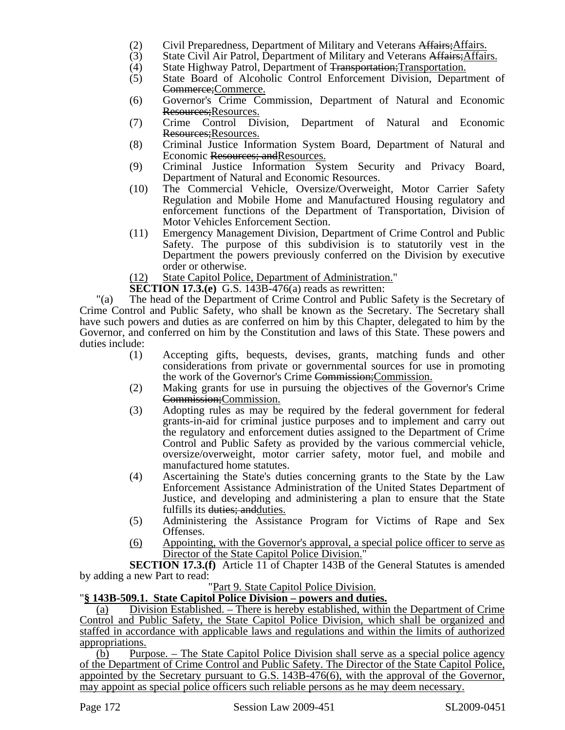- (2) Civil Preparedness, Department of Military and Veterans Affairs;Affairs.
- (3) State Civil Air Patrol, Department of Military and Veterans Affairs; Affairs.<br>(4) State Highway Patrol, Department of <del>Transportation;</del> Transportation.
- State Highway Patrol, Department of Transportation;Transportation.
- (5) State Board of Alcoholic Control Enforcement Division, Department of Commerce;Commerce.
- (6) Governor's Crime Commission, Department of Natural and Economic Resources; Resources.
- (7) Crime Control Division, Department of Natural and Economic Resources: Resources.
- (8) Criminal Justice Information System Board, Department of Natural and Economic Resources; and Resources.
- (9) Criminal Justice Information System Security and Privacy Board, Department of Natural and Economic Resources.
- (10) The Commercial Vehicle, Oversize/Overweight, Motor Carrier Safety Regulation and Mobile Home and Manufactured Housing regulatory and enforcement functions of the Department of Transportation, Division of Motor Vehicles Enforcement Section.
- (11) Emergency Management Division, Department of Crime Control and Public Safety. The purpose of this subdivision is to statutorily vest in the Department the powers previously conferred on the Division by executive order or otherwise.

(12) State Capitol Police, Department of Administration."

**SECTION 17.3.(e)** G.S. 143B-476(a) reads as rewritten:

"(a) The head of the Department of Crime Control and Public Safety is the Secretary of Crime Control and Public Safety, who shall be known as the Secretary. The Secretary shall have such powers and duties as are conferred on him by this Chapter, delegated to him by the Governor, and conferred on him by the Constitution and laws of this State. These powers and duties include:

- (1) Accepting gifts, bequests, devises, grants, matching funds and other considerations from private or governmental sources for use in promoting the work of the Governor's Crime Commission;Commission.
- (2) Making grants for use in pursuing the objectives of the Governor's Crime Commission;Commission.
- (3) Adopting rules as may be required by the federal government for federal grants-in-aid for criminal justice purposes and to implement and carry out the regulatory and enforcement duties assigned to the Department of Crime Control and Public Safety as provided by the various commercial vehicle, oversize/overweight, motor carrier safety, motor fuel, and mobile and manufactured home statutes.
- (4) Ascertaining the State's duties concerning grants to the State by the Law Enforcement Assistance Administration of the United States Department of Justice, and developing and administering a plan to ensure that the State fulfills its duties; and duties.
- (5) Administering the Assistance Program for Victims of Rape and Sex Offenses.
- (6) Appointing, with the Governor's approval, a special police officer to serve as Director of the State Capitol Police Division."

**SECTION 17.3.(f)** Article 11 of Chapter 143B of the General Statutes is amended by adding a new Part to read:

# "Part 9. State Capitol Police Division. "**§ 143B-509.1. State Capitol Police Division – powers and duties.**

(a) Division Established. – There is hereby established, within the Department of Crime Control and Public Safety, the State Capitol Police Division, which shall be organized and staffed in accordance with applicable laws and regulations and within the limits of authorized appropriations.

(b) Purpose. – The State Capitol Police Division shall serve as a special police agency of the Department of Crime Control and Public Safety. The Director of the State Capitol Police, appointed by the Secretary pursuant to G.S. 143B-476(6), with the approval of the Governor, may appoint as special police officers such reliable persons as he may deem necessary.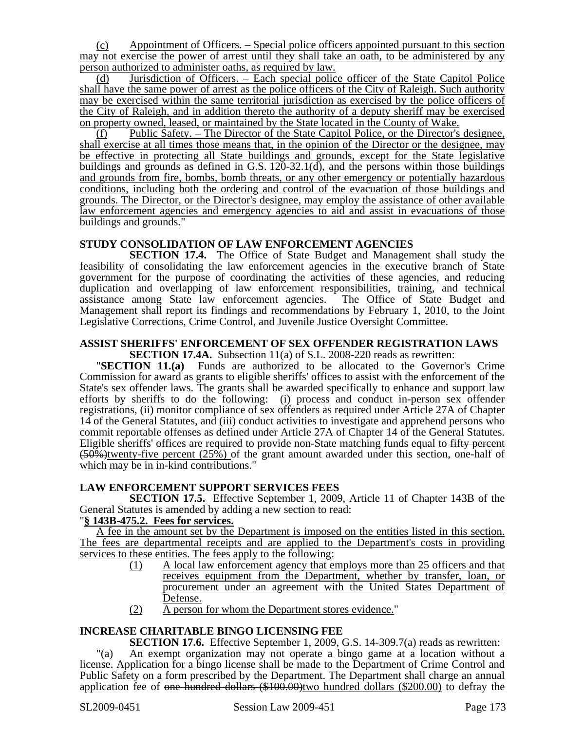(c) Appointment of Officers. – Special police officers appointed pursuant to this section may not exercise the power of arrest until they shall take an oath, to be administered by any person authorized to administer oaths, as required by law.

(d) Jurisdiction of Officers. – Each special police officer of the State Capitol Police shall have the same power of arrest as the police officers of the City of Raleigh. Such authority may be exercised within the same territorial jurisdiction as exercised by the police officers of the City of Raleigh, and in addition thereto the authority of a deputy sheriff may be exercised on property owned, leased, or maintained by the State located in the County of Wake.

(f) Public Safety. – The Director of the State Capitol Police, or the Director's designee, shall exercise at all times those means that, in the opinion of the Director or the designee, may be effective in protecting all State buildings and grounds, except for the State legislative buildings and grounds as defined in G.S. 120-32.1(d), and the persons within those buildings and grounds from fire, bombs, bomb threats, or any other emergency or potentially hazardous conditions, including both the ordering and control of the evacuation of those buildings and grounds. The Director, or the Director's designee, may employ the assistance of other available law enforcement agencies and emergency agencies to aid and assist in evacuations of those buildings and grounds."

# **STUDY CONSOLIDATION OF LAW ENFORCEMENT AGENCIES**

**SECTION 17.4.** The Office of State Budget and Management shall study the feasibility of consolidating the law enforcement agencies in the executive branch of State government for the purpose of coordinating the activities of these agencies, and reducing duplication and overlapping of law enforcement responsibilities, training, and technical assistance among State law enforcement agencies. The Office of State Budget and Management shall report its findings and recommendations by February 1, 2010, to the Joint Legislative Corrections, Crime Control, and Juvenile Justice Oversight Committee.

# **ASSIST SHERIFFS' ENFORCEMENT OF SEX OFFENDER REGISTRATION LAWS**

**SECTION 17.4A.** Subsection 11(a) of S.L. 2008-220 reads as rewritten:

"**SECTION 11.(a)** Funds are authorized to be allocated to the Governor's Crime Commission for award as grants to eligible sheriffs' offices to assist with the enforcement of the State's sex offender laws. The grants shall be awarded specifically to enhance and support law efforts by sheriffs to do the following: (i) process and conduct in-person sex offender registrations, (ii) monitor compliance of sex offenders as required under Article 27A of Chapter 14 of the General Statutes, and (iii) conduct activities to investigate and apprehend persons who commit reportable offenses as defined under Article 27A of Chapter 14 of the General Statutes. Eligible sheriffs' offices are required to provide non-State matching funds equal to fifty percent  $(50\%)$  twenty-five percent (25%) of the grant amount awarded under this section, one-half of which may be in in-kind contributions."

# **LAW ENFORCEMENT SUPPORT SERVICES FEES**

**SECTION 17.5.** Effective September 1, 2009, Article 11 of Chapter 143B of the General Statutes is amended by adding a new section to read:

# "**§ 143B-475.2. Fees for services.**

A fee in the amount set by the Department is imposed on the entities listed in this section. The fees are departmental receipts and are applied to the Department's costs in providing services to these entities. The fees apply to the following:

- (1) A local law enforcement agency that employs more than 25 officers and that receives equipment from the Department, whether by transfer, loan, or procurement under an agreement with the United States Department of Defense.
- (2) A person for whom the Department stores evidence."

# **INCREASE CHARITABLE BINGO LICENSING FEE**

**SECTION 17.6.** Effective September 1, 2009, G.S. 14-309.7(a) reads as rewritten:

"(a) An exempt organization may not operate a bingo game at a location without a license. Application for a bingo license shall be made to the Department of Crime Control and Public Safety on a form prescribed by the Department. The Department shall charge an annual application fee of one hundred dollars (\$100.00)two hundred dollars (\$200.00) to defray the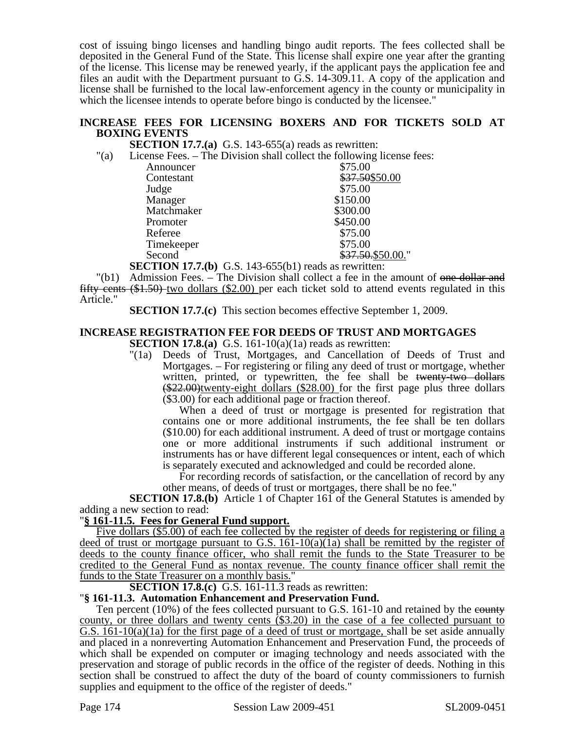cost of issuing bingo licenses and handling bingo audit reports. The fees collected shall be deposited in the General Fund of the State. This license shall expire one year after the granting of the license. This license may be renewed yearly, if the applicant pays the application fee and files an audit with the Department pursuant to G.S. 14-309.11. A copy of the application and license shall be furnished to the local law-enforcement agency in the county or municipality in which the licensee intends to operate before bingo is conducted by the licensee."

# **INCREASE FEES FOR LICENSING BOXERS AND FOR TICKETS SOLD AT BOXING EVENTS**

**SECTION 17.7.(a)** G.S. 143-655(a) reads as rewritten:

"(a) License Fees. – The Division shall collect the following license fees:

| Announcer  | \$75.00           |
|------------|-------------------|
| Contestant | \$37.50\$50.00    |
| Judge      | \$75.00           |
| Manager    | \$150.00          |
| Matchmaker | \$300.00          |
| Promoter   | \$450.00          |
| Referee    | \$75.00           |
| Timekeeper | \$75.00           |
| Second     | \$37.50.\$50.00." |

**SECTION 17.7.(b)** G.S. 143-655(b1) reads as rewritten:

 $\Gamma(b1)$  Admission Fees. – The Division shall collect a fee in the amount of one dollar and fifty cents (\$1.50) two dollars (\$2.00) per each ticket sold to attend events regulated in this Article."

**SECTION 17.7.(c)** This section becomes effective September 1, 2009.

# **INCREASE REGISTRATION FEE FOR DEEDS OF TRUST AND MORTGAGES**

**SECTION 17.8.(a)** G.S. 161-10(a)(1a) reads as rewritten:

"(1a) Deeds of Trust, Mortgages, and Cancellation of Deeds of Trust and Mortgages. – For registering or filing any deed of trust or mortgage, whether written, printed, or typewritten, the fee shall be twenty-two dollars (\$22.00)twenty-eight dollars (\$28.00) for the first page plus three dollars (\$3.00) for each additional page or fraction thereof.

When a deed of trust or mortgage is presented for registration that contains one or more additional instruments, the fee shall be ten dollars (\$10.00) for each additional instrument. A deed of trust or mortgage contains one or more additional instruments if such additional instrument or instruments has or have different legal consequences or intent, each of which is separately executed and acknowledged and could be recorded alone.

For recording records of satisfaction, or the cancellation of record by any other means, of deeds of trust or mortgages, there shall be no fee."

**SECTION 17.8.(b)** Article 1 of Chapter 161 of the General Statutes is amended by adding a new section to read:

# "**§ 161-11.5. Fees for General Fund support.**

Five dollars (\$5.00) of each fee collected by the register of deeds for registering or filing a deed of trust or mortgage pursuant to G.S.  $161-10(a)(1a)$  shall be remitted by the register of deeds to the county finance officer, who shall remit the funds to the State Treasurer to be credited to the General Fund as nontax revenue. The county finance officer shall remit the funds to the State Treasurer on a monthly basis.'

# **SECTION 17.8.(c)** G.S. 161-11.3 reads as rewritten: "**§ 161-11.3. Automation Enhancement and Preservation Fund.**

Ten percent (10%) of the fees collected pursuant to G.S. 161-10 and retained by the eounty county, or three dollars and twenty cents (\$3.20) in the case of a fee collected pursuant to G.S.  $161-10(a)(1a)$  for the first page of a deed of trust or mortgage, shall be set aside annually and placed in a nonreverting Automation Enhancement and Preservation Fund, the proceeds of which shall be expended on computer or imaging technology and needs associated with the preservation and storage of public records in the office of the register of deeds. Nothing in this section shall be construed to affect the duty of the board of county commissioners to furnish supplies and equipment to the office of the register of deeds."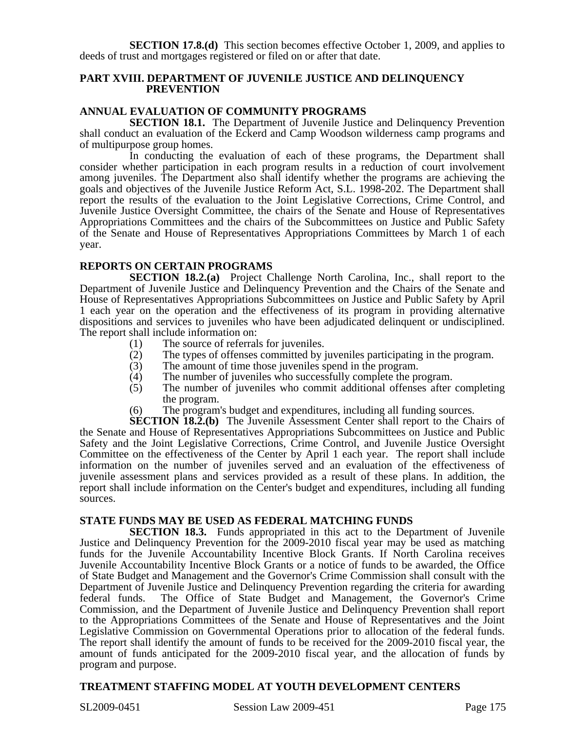**SECTION 17.8.(d)** This section becomes effective October 1, 2009, and applies to deeds of trust and mortgages registered or filed on or after that date.

# **PART XVIII. DEPARTMENT OF JUVENILE JUSTICE AND DELINQUENCY PREVENTION**

#### **ANNUAL EVALUATION OF COMMUNITY PROGRAMS**

**SECTION 18.1.** The Department of Juvenile Justice and Delinquency Prevention shall conduct an evaluation of the Eckerd and Camp Woodson wilderness camp programs and of multipurpose group homes.

In conducting the evaluation of each of these programs, the Department shall consider whether participation in each program results in a reduction of court involvement among juveniles. The Department also shall identify whether the programs are achieving the goals and objectives of the Juvenile Justice Reform Act, S.L. 1998-202. The Department shall report the results of the evaluation to the Joint Legislative Corrections, Crime Control, and Juvenile Justice Oversight Committee, the chairs of the Senate and House of Representatives Appropriations Committees and the chairs of the Subcommittees on Justice and Public Safety of the Senate and House of Representatives Appropriations Committees by March 1 of each year.

#### **REPORTS ON CERTAIN PROGRAMS**

**SECTION 18.2.(a)** Project Challenge North Carolina, Inc., shall report to the Department of Juvenile Justice and Delinquency Prevention and the Chairs of the Senate and House of Representatives Appropriations Subcommittees on Justice and Public Safety by April 1 each year on the operation and the effectiveness of its program in providing alternative dispositions and services to juveniles who have been adjudicated delinquent or undisciplined. The report shall include information on:

- (1) The source of referrals for juveniles.<br>(2) The types of offenses committed by
- (2) The types of offenses committed by juveniles participating in the program.<br>
(3) The amount of time those juveniles spend in the program.
- The amount of time those juveniles spend in the program.
- (4) The number of juveniles who successfully complete the program.<br>
(5) The number of juveniles who commit additional offenses after
- The number of juveniles who commit additional offenses after completing the program.
- (6) The program's budget and expenditures, including all funding sources.

**SECTION 18.2.(b)** The Juvenile Assessment Center shall report to the Chairs of the Senate and House of Representatives Appropriations Subcommittees on Justice and Public Safety and the Joint Legislative Corrections, Crime Control, and Juvenile Justice Oversight Committee on the effectiveness of the Center by April 1 each year. The report shall include information on the number of juveniles served and an evaluation of the effectiveness of juvenile assessment plans and services provided as a result of these plans. In addition, the report shall include information on the Center's budget and expenditures, including all funding sources.

#### **STATE FUNDS MAY BE USED AS FEDERAL MATCHING FUNDS**

**SECTION 18.3.** Funds appropriated in this act to the Department of Juvenile Justice and Delinquency Prevention for the 2009-2010 fiscal year may be used as matching funds for the Juvenile Accountability Incentive Block Grants. If North Carolina receives Juvenile Accountability Incentive Block Grants or a notice of funds to be awarded, the Office of State Budget and Management and the Governor's Crime Commission shall consult with the Department of Juvenile Justice and Delinquency Prevention regarding the criteria for awarding federal funds. The Office of State Budget and Management, the Governor's Crime Commission, and the Department of Juvenile Justice and Delinquency Prevention shall report to the Appropriations Committees of the Senate and House of Representatives and the Joint Legislative Commission on Governmental Operations prior to allocation of the federal funds. The report shall identify the amount of funds to be received for the 2009-2010 fiscal year, the amount of funds anticipated for the 2009-2010 fiscal year, and the allocation of funds by program and purpose.

#### **TREATMENT STAFFING MODEL AT YOUTH DEVELOPMENT CENTERS**

SL2009-0451 Session Law 2009-451 Page 175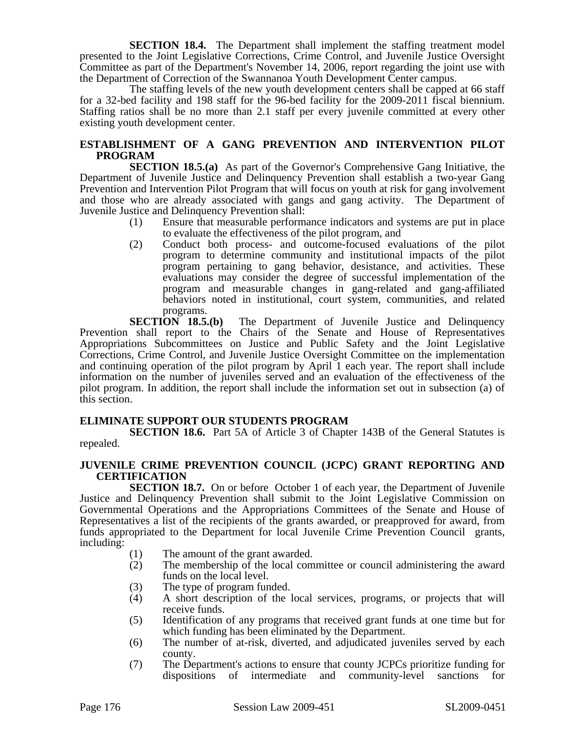**SECTION 18.4.** The Department shall implement the staffing treatment model presented to the Joint Legislative Corrections, Crime Control, and Juvenile Justice Oversight Committee as part of the Department's November 14, 2006, report regarding the joint use with the Department of Correction of the Swannanoa Youth Development Center campus.

The staffing levels of the new youth development centers shall be capped at 66 staff for a 32-bed facility and 198 staff for the 96-bed facility for the 2009-2011 fiscal biennium. Staffing ratios shall be no more than 2.1 staff per every juvenile committed at every other existing youth development center.

# **ESTABLISHMENT OF A GANG PREVENTION AND INTERVENTION PILOT PROGRAM**

**SECTION 18.5.(a)** As part of the Governor's Comprehensive Gang Initiative, the Department of Juvenile Justice and Delinquency Prevention shall establish a two-year Gang Prevention and Intervention Pilot Program that will focus on youth at risk for gang involvement and those who are already associated with gangs and gang activity. The Department of Juvenile Justice and Delinquency Prevention shall:

- (1) Ensure that measurable performance indicators and systems are put in place to evaluate the effectiveness of the pilot program, and
- (2) Conduct both process- and outcome-focused evaluations of the pilot program to determine community and institutional impacts of the pilot program pertaining to gang behavior, desistance, and activities. These evaluations may consider the degree of successful implementation of the program and measurable changes in gang-related and gang-affiliated behaviors noted in institutional, court system, communities, and related

programs.<br>SECTION 18.5.(b) The Department of Juvenile Justice and Delinquency Prevention shall report to the Chairs of the Senate and House of Representatives Appropriations Subcommittees on Justice and Public Safety and the Joint Legislative Corrections, Crime Control, and Juvenile Justice Oversight Committee on the implementation and continuing operation of the pilot program by April 1 each year. The report shall include information on the number of juveniles served and an evaluation of the effectiveness of the pilot program. In addition, the report shall include the information set out in subsection (a) of this section.

# **ELIMINATE SUPPORT OUR STUDENTS PROGRAM**

**SECTION 18.6.** Part 5A of Article 3 of Chapter 143B of the General Statutes is repealed.

# **JUVENILE CRIME PREVENTION COUNCIL (JCPC) GRANT REPORTING AND CERTIFICATION**

**SECTION 18.7.** On or before October 1 of each year, the Department of Juvenile Justice and Delinquency Prevention shall submit to the Joint Legislative Commission on Governmental Operations and the Appropriations Committees of the Senate and House of Representatives a list of the recipients of the grants awarded, or preapproved for award, from funds appropriated to the Department for local Juvenile Crime Prevention Council grants, including:

- (1) The amount of the grant awarded.
- (2) The membership of the local committee or council administering the award funds on the local level.
- (3) The type of program funded.<br>(4) A short description of the 1
- (4) A short description of the local services, programs, or projects that will receive funds.
- (5) Identification of any programs that received grant funds at one time but for which funding has been eliminated by the Department.
- (6) The number of at-risk, diverted, and adjudicated juveniles served by each county.
- (7) The Department's actions to ensure that county JCPCs prioritize funding for dispositions of intermediate and community-level sanctions for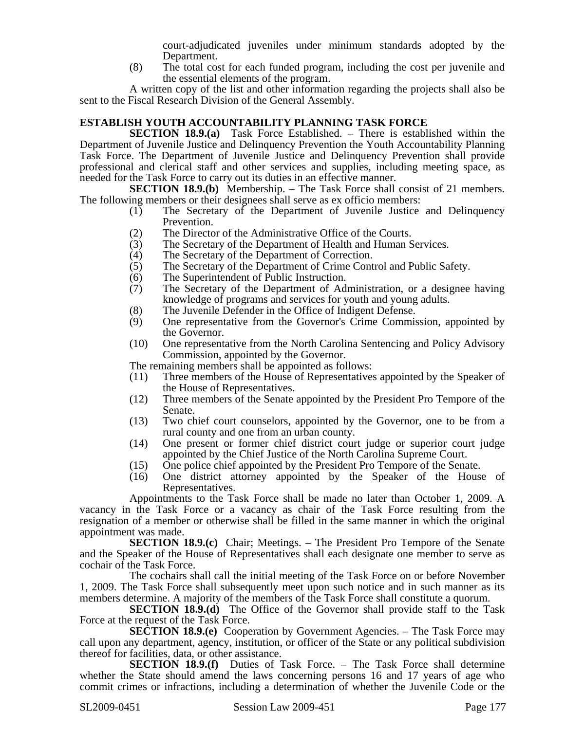court-adjudicated juveniles under minimum standards adopted by the Department.

(8) The total cost for each funded program, including the cost per juvenile and the essential elements of the program.

A written copy of the list and other information regarding the projects shall also be sent to the Fiscal Research Division of the General Assembly.

# **ESTABLISH YOUTH ACCOUNTABILITY PLANNING TASK FORCE**

**SECTION 18.9.(a)** Task Force Established. – There is established within the Department of Juvenile Justice and Delinquency Prevention the Youth Accountability Planning Task Force. The Department of Juvenile Justice and Delinquency Prevention shall provide professional and clerical staff and other services and supplies, including meeting space, as needed for the Task Force to carry out its duties in an effective manner.

**SECTION 18.9.(b)** Membership. – The Task Force shall consist of 21 members. The following members or their designees shall serve as ex officio members:

- (1) The Secretary of the Department of Juvenile Justice and Delinquency Prevention.
- (2) The Director of the Administrative Office of the Courts.
- (3) The Secretary of the Department of Health and Human Services.
- (4) The Secretary of the Department of Correction.<br>
(5) The Secretary of the Department of Crime Cont
- The Secretary of the Department of Crime Control and Public Safety.
- (6) The Superintendent of Public Instruction.<br>(7) The Secretary of the Department of Ad
- The Secretary of the Department of Administration, or a designee having knowledge of programs and services for youth and young adults.
- (8) The Juvenile Defender in the Office of Indigent Defense.
- (9) One representative from the Governor's Crime Commission, appointed by the Governor.
- (10) One representative from the North Carolina Sentencing and Policy Advisory Commission, appointed by the Governor.

The remaining members shall be appointed as follows:

- (11) Three members of the House of Representatives appointed by the Speaker of the House of Representatives.
- (12) Three members of the Senate appointed by the President Pro Tempore of the Senate.
- (13) Two chief court counselors, appointed by the Governor, one to be from a rural county and one from an urban county.
- (14) One present or former chief district court judge or superior court judge appointed by the Chief Justice of the North Carolina Supreme Court.
- (15) One police chief appointed by the President Pro Tempore of the Senate.
- (16) One district attorney appointed by the Speaker of the House of Representatives.

Appointments to the Task Force shall be made no later than October 1, 2009. A vacancy in the Task Force or a vacancy as chair of the Task Force resulting from the resignation of a member or otherwise shall be filled in the same manner in which the original appointment was made.

**SECTION 18.9.(c)** Chair; Meetings. – The President Pro Tempore of the Senate and the Speaker of the House of Representatives shall each designate one member to serve as cochair of the Task Force.

The cochairs shall call the initial meeting of the Task Force on or before November 1, 2009. The Task Force shall subsequently meet upon such notice and in such manner as its members determine. A majority of the members of the Task Force shall constitute a quorum.

**SECTION 18.9.(d)** The Office of the Governor shall provide staff to the Task Force at the request of the Task Force.

**SECTION 18.9.(e)** Cooperation by Government Agencies. – The Task Force may call upon any department, agency, institution, or officer of the State or any political subdivision thereof for facilities, data, or other assistance.

**SECTION 18.9.(f)** Duties of Task Force. – The Task Force shall determine whether the State should amend the laws concerning persons 16 and 17 years of age who commit crimes or infractions, including a determination of whether the Juvenile Code or the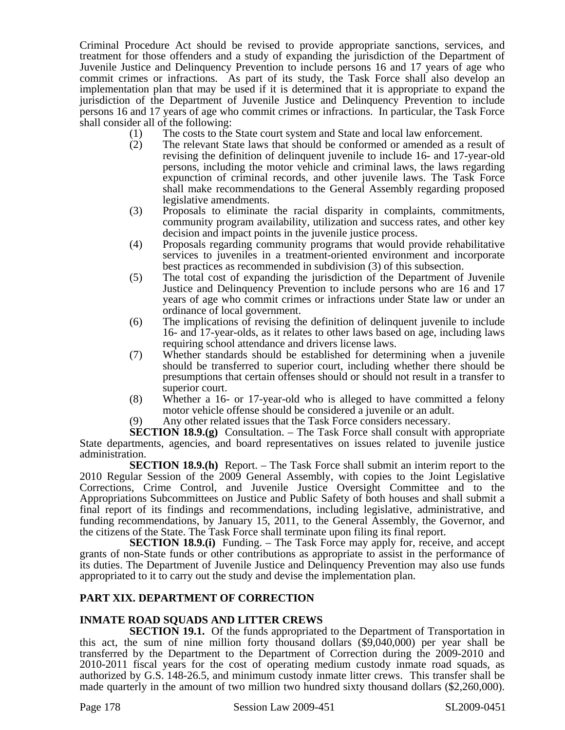Criminal Procedure Act should be revised to provide appropriate sanctions, services, and treatment for those offenders and a study of expanding the jurisdiction of the Department of Juvenile Justice and Delinquency Prevention to include persons 16 and 17 years of age who commit crimes or infractions. As part of its study, the Task Force shall also develop an implementation plan that may be used if it is determined that it is appropriate to expand the jurisdiction of the Department of Juvenile Justice and Delinquency Prevention to include persons 16 and 17 years of age who commit crimes or infractions. In particular, the Task Force shall consider all of the following:

- (1) The costs to the State court system and State and local law enforcement.<br>
(2) The relevant State laws that should be conformed or amended as a resu
- The relevant State laws that should be conformed or amended as a result of revising the definition of delinquent juvenile to include 16- and 17-year-old persons, including the motor vehicle and criminal laws, the laws regarding expunction of criminal records, and other juvenile laws. The Task Force shall make recommendations to the General Assembly regarding proposed legislative amendments.
- (3) Proposals to eliminate the racial disparity in complaints, commitments, community program availability, utilization and success rates, and other key decision and impact points in the juvenile justice process.
- (4) Proposals regarding community programs that would provide rehabilitative services to juveniles in a treatment-oriented environment and incorporate best practices as recommended in subdivision (3) of this subsection.
- (5) The total cost of expanding the jurisdiction of the Department of Juvenile Justice and Delinquency Prevention to include persons who are 16 and 17 years of age who commit crimes or infractions under State law or under an ordinance of local government.
- (6) The implications of revising the definition of delinquent juvenile to include 16- and 17-year-olds, as it relates to other laws based on age, including laws requiring school attendance and drivers license laws.
- (7) Whether standards should be established for determining when a juvenile should be transferred to superior court, including whether there should be presumptions that certain offenses should or should not result in a transfer to superior court.
- (8) Whether a 16- or 17-year-old who is alleged to have committed a felony motor vehicle offense should be considered a juvenile or an adult.
- (9) Any other related issues that the Task Force considers necessary.

**SECTION 18.9.(g)** Consultation. – The Task Force shall consult with appropriate State departments, agencies, and board representatives on issues related to juvenile justice administration.

**SECTION 18.9.(h)** Report. – The Task Force shall submit an interim report to the 2010 Regular Session of the 2009 General Assembly, with copies to the Joint Legislative Corrections, Crime Control, and Juvenile Justice Oversight Committee and to the Appropriations Subcommittees on Justice and Public Safety of both houses and shall submit a final report of its findings and recommendations, including legislative, administrative, and funding recommendations, by January 15, 2011, to the General Assembly, the Governor, and the citizens of the State. The Task Force shall terminate upon filing its final report.

**SECTION 18.9.(i)** Funding. – The Task Force may apply for, receive, and accept grants of non-State funds or other contributions as appropriate to assist in the performance of its duties. The Department of Juvenile Justice and Delinquency Prevention may also use funds appropriated to it to carry out the study and devise the implementation plan.

# **PART XIX. DEPARTMENT OF CORRECTION**

# **INMATE ROAD SQUADS AND LITTER CREWS**

**SECTION 19.1.** Of the funds appropriated to the Department of Transportation in this act, the sum of nine million forty thousand dollars (\$9,040,000) per year shall be transferred by the Department to the Department of Correction during the 2009-2010 and 2010-2011 fiscal years for the cost of operating medium custody inmate road squads, as authorized by G.S. 148-26.5, and minimum custody inmate litter crews. This transfer shall be made quarterly in the amount of two million two hundred sixty thousand dollars (\$2,260,000).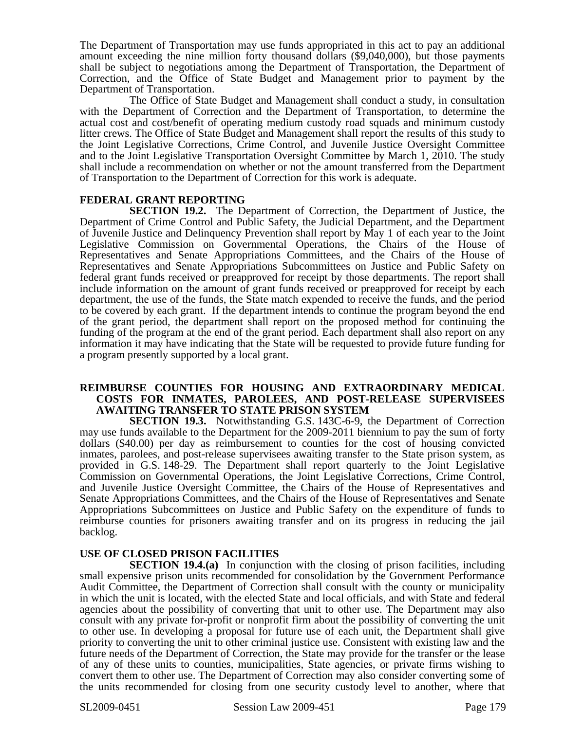The Department of Transportation may use funds appropriated in this act to pay an additional amount exceeding the nine million forty thousand dollars (\$9,040,000), but those payments shall be subject to negotiations among the Department of Transportation, the Department of Correction, and the Office of State Budget and Management prior to payment by the Department of Transportation.

The Office of State Budget and Management shall conduct a study, in consultation with the Department of Correction and the Department of Transportation, to determine the actual cost and cost/benefit of operating medium custody road squads and minimum custody litter crews. The Office of State Budget and Management shall report the results of this study to the Joint Legislative Corrections, Crime Control, and Juvenile Justice Oversight Committee and to the Joint Legislative Transportation Oversight Committee by March 1, 2010. The study shall include a recommendation on whether or not the amount transferred from the Department of Transportation to the Department of Correction for this work is adequate.

# **FEDERAL GRANT REPORTING**

**SECTION 19.2.** The Department of Correction, the Department of Justice, the Department of Crime Control and Public Safety, the Judicial Department, and the Department of Juvenile Justice and Delinquency Prevention shall report by May 1 of each year to the Joint Legislative Commission on Governmental Operations, the Chairs of the House of Representatives and Senate Appropriations Committees, and the Chairs of the House of Representatives and Senate Appropriations Subcommittees on Justice and Public Safety on federal grant funds received or preapproved for receipt by those departments. The report shall include information on the amount of grant funds received or preapproved for receipt by each department, the use of the funds, the State match expended to receive the funds, and the period to be covered by each grant. If the department intends to continue the program beyond the end of the grant period, the department shall report on the proposed method for continuing the funding of the program at the end of the grant period. Each department shall also report on any information it may have indicating that the State will be requested to provide future funding for a program presently supported by a local grant.

#### **REIMBURSE COUNTIES FOR HOUSING AND EXTRAORDINARY MEDICAL COSTS FOR INMATES, PAROLEES, AND POST-RELEASE SUPERVISEES AWAITING TRANSFER TO STATE PRISON SYSTEM**

**SECTION 19.3.** Notwithstanding G.S. 143C-6-9, the Department of Correction may use funds available to the Department for the 2009-2011 biennium to pay the sum of forty dollars (\$40.00) per day as reimbursement to counties for the cost of housing convicted inmates, parolees, and post-release supervisees awaiting transfer to the State prison system, as provided in G.S. 148-29. The Department shall report quarterly to the Joint Legislative Commission on Governmental Operations, the Joint Legislative Corrections, Crime Control, and Juvenile Justice Oversight Committee, the Chairs of the House of Representatives and Senate Appropriations Committees, and the Chairs of the House of Representatives and Senate Appropriations Subcommittees on Justice and Public Safety on the expenditure of funds to reimburse counties for prisoners awaiting transfer and on its progress in reducing the jail backlog.

#### **USE OF CLOSED PRISON FACILITIES**

**SECTION 19.4.(a)** In conjunction with the closing of prison facilities, including small expensive prison units recommended for consolidation by the Government Performance Audit Committee, the Department of Correction shall consult with the county or municipality in which the unit is located, with the elected State and local officials, and with State and federal agencies about the possibility of converting that unit to other use. The Department may also consult with any private for-profit or nonprofit firm about the possibility of converting the unit to other use. In developing a proposal for future use of each unit, the Department shall give priority to converting the unit to other criminal justice use. Consistent with existing law and the future needs of the Department of Correction, the State may provide for the transfer or the lease of any of these units to counties, municipalities, State agencies, or private firms wishing to convert them to other use. The Department of Correction may also consider converting some of the units recommended for closing from one security custody level to another, where that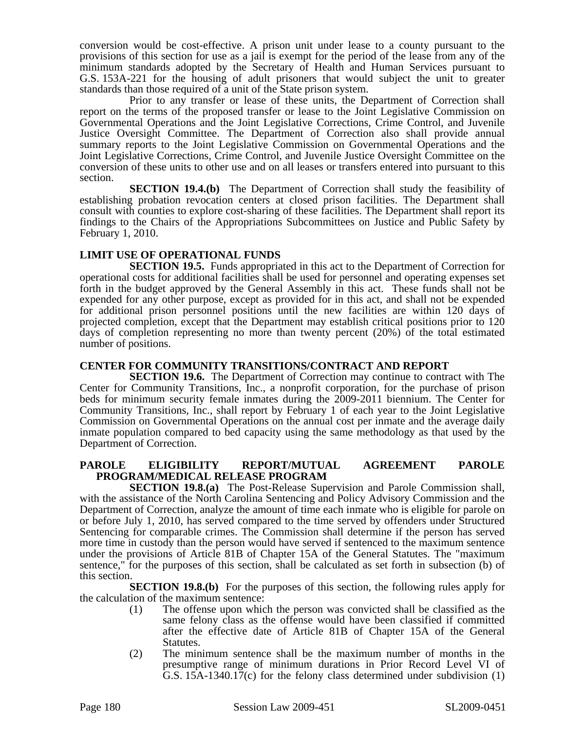conversion would be cost-effective. A prison unit under lease to a county pursuant to the provisions of this section for use as a jail is exempt for the period of the lease from any of the minimum standards adopted by the Secretary of Health and Human Services pursuant to G.S. 153A-221 for the housing of adult prisoners that would subject the unit to greater standards than those required of a unit of the State prison system.

Prior to any transfer or lease of these units, the Department of Correction shall report on the terms of the proposed transfer or lease to the Joint Legislative Commission on Governmental Operations and the Joint Legislative Corrections, Crime Control, and Juvenile Justice Oversight Committee. The Department of Correction also shall provide annual summary reports to the Joint Legislative Commission on Governmental Operations and the Joint Legislative Corrections, Crime Control, and Juvenile Justice Oversight Committee on the conversion of these units to other use and on all leases or transfers entered into pursuant to this section.

**SECTION 19.4.(b)** The Department of Correction shall study the feasibility of establishing probation revocation centers at closed prison facilities. The Department shall consult with counties to explore cost-sharing of these facilities. The Department shall report its findings to the Chairs of the Appropriations Subcommittees on Justice and Public Safety by February 1, 2010.

# **LIMIT USE OF OPERATIONAL FUNDS**

**SECTION 19.5.** Funds appropriated in this act to the Department of Correction for operational costs for additional facilities shall be used for personnel and operating expenses set forth in the budget approved by the General Assembly in this act. These funds shall not be expended for any other purpose, except as provided for in this act, and shall not be expended for additional prison personnel positions until the new facilities are within 120 days of projected completion, except that the Department may establish critical positions prior to 120 days of completion representing no more than twenty percent (20%) of the total estimated number of positions.

#### **CENTER FOR COMMUNITY TRANSITIONS/CONTRACT AND REPORT**

**SECTION 19.6.** The Department of Correction may continue to contract with The Center for Community Transitions, Inc., a nonprofit corporation, for the purchase of prison beds for minimum security female inmates during the 2009-2011 biennium. The Center for Community Transitions, Inc., shall report by February 1 of each year to the Joint Legislative Commission on Governmental Operations on the annual cost per inmate and the average daily inmate population compared to bed capacity using the same methodology as that used by the Department of Correction.

#### **PAROLE ELIGIBILITY REPORT/MUTUAL AGREEMENT PAROLE PROGRAM/MEDICAL RELEASE PROGRAM**

**SECTION 19.8.(a)** The Post-Release Supervision and Parole Commission shall, with the assistance of the North Carolina Sentencing and Policy Advisory Commission and the Department of Correction, analyze the amount of time each inmate who is eligible for parole on or before July 1, 2010, has served compared to the time served by offenders under Structured Sentencing for comparable crimes. The Commission shall determine if the person has served more time in custody than the person would have served if sentenced to the maximum sentence under the provisions of Article 81B of Chapter 15A of the General Statutes. The "maximum sentence," for the purposes of this section, shall be calculated as set forth in subsection (b) of this section.

**SECTION 19.8.(b)** For the purposes of this section, the following rules apply for the calculation of the maximum sentence:

- (1) The offense upon which the person was convicted shall be classified as the same felony class as the offense would have been classified if committed after the effective date of Article 81B of Chapter 15A of the General Statutes.
- (2) The minimum sentence shall be the maximum number of months in the presumptive range of minimum durations in Prior Record Level VI of G.S. 15A-1340.17(c) for the felony class determined under subdivision (1)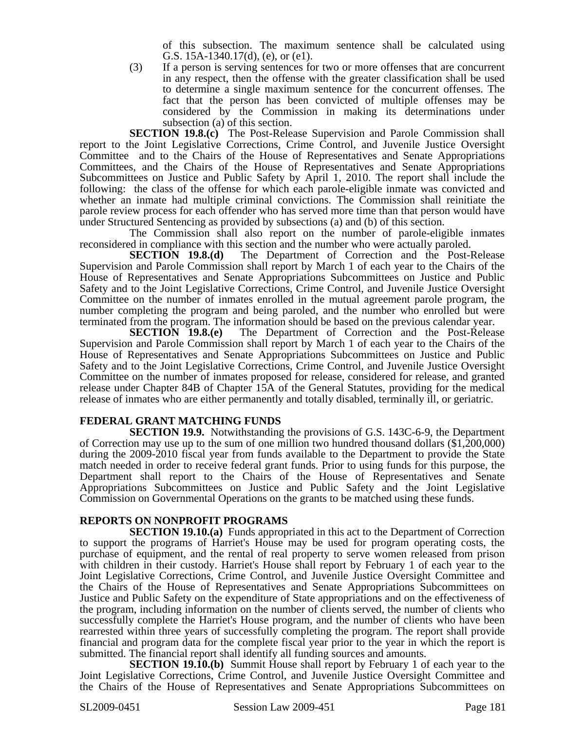of this subsection. The maximum sentence shall be calculated using G.S. 15A-1340.17(d), (e), or (e1).

(3) If a person is serving sentences for two or more offenses that are concurrent in any respect, then the offense with the greater classification shall be used to determine a single maximum sentence for the concurrent offenses. The fact that the person has been convicted of multiple offenses may be considered by the Commission in making its determinations under subsection (a) of this section.

**SECTION 19.8.(c)** The Post-Release Supervision and Parole Commission shall report to the Joint Legislative Corrections, Crime Control, and Juvenile Justice Oversight Committee and to the Chairs of the House of Representatives and Senate Appropriations Committees, and the Chairs of the House of Representatives and Senate Appropriations Subcommittees on Justice and Public Safety by April 1, 2010. The report shall include the following: the class of the offense for which each parole-eligible inmate was convicted and whether an inmate had multiple criminal convictions. The Commission shall reinitiate the parole review process for each offender who has served more time than that person would have under Structured Sentencing as provided by subsections (a) and (b) of this section.

The Commission shall also report on the number of parole-eligible inmates reconsidered in compliance with this section and the number who were actually paroled.

**SECTION 19.8.(d)** The Department of Correction and the Post-Release Supervision and Parole Commission shall report by March 1 of each year to the Chairs of the House of Representatives and Senate Appropriations Subcommittees on Justice and Public Safety and to the Joint Legislative Corrections, Crime Control, and Juvenile Justice Oversight Committee on the number of inmates enrolled in the mutual agreement parole program, the number completing the program and being paroled, and the number who enrolled but were terminated from the program. The information should be based on the previous calendar year.

**SECTION 19.8.(e)** The Department of Correction and the Post-Release Supervision and Parole Commission shall report by March 1 of each year to the Chairs of the House of Representatives and Senate Appropriations Subcommittees on Justice and Public Safety and to the Joint Legislative Corrections, Crime Control, and Juvenile Justice Oversight Committee on the number of inmates proposed for release, considered for release, and granted release under Chapter 84B of Chapter 15A of the General Statutes, providing for the medical release of inmates who are either permanently and totally disabled, terminally ill, or geriatric.

# **FEDERAL GRANT MATCHING FUNDS**

**SECTION 19.9.** Notwithstanding the provisions of G.S. 143C-6-9, the Department of Correction may use up to the sum of one million two hundred thousand dollars (\$1,200,000) during the 2009-2010 fiscal year from funds available to the Department to provide the State match needed in order to receive federal grant funds. Prior to using funds for this purpose, the Department shall report to the Chairs of the House of Representatives and Senate Appropriations Subcommittees on Justice and Public Safety and the Joint Legislative Commission on Governmental Operations on the grants to be matched using these funds.

# **REPORTS ON NONPROFIT PROGRAMS**

**SECTION 19.10.(a)** Funds appropriated in this act to the Department of Correction to support the programs of Harriet's House may be used for program operating costs, the purchase of equipment, and the rental of real property to serve women released from prison with children in their custody. Harriet's House shall report by February 1 of each year to the Joint Legislative Corrections, Crime Control, and Juvenile Justice Oversight Committee and the Chairs of the House of Representatives and Senate Appropriations Subcommittees on Justice and Public Safety on the expenditure of State appropriations and on the effectiveness of the program, including information on the number of clients served, the number of clients who successfully complete the Harriet's House program, and the number of clients who have been rearrested within three years of successfully completing the program. The report shall provide financial and program data for the complete fiscal year prior to the year in which the report is submitted. The financial report shall identify all funding sources and amounts.

**SECTION 19.10.(b)** Summit House shall report by February 1 of each year to the Joint Legislative Corrections, Crime Control, and Juvenile Justice Oversight Committee and the Chairs of the House of Representatives and Senate Appropriations Subcommittees on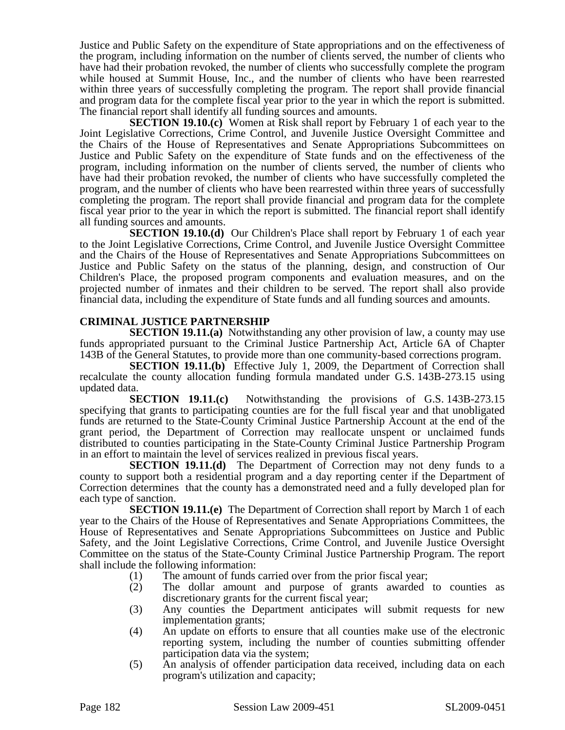Justice and Public Safety on the expenditure of State appropriations and on the effectiveness of the program, including information on the number of clients served, the number of clients who have had their probation revoked, the number of clients who successfully complete the program while housed at Summit House, Inc., and the number of clients who have been rearrested within three years of successfully completing the program. The report shall provide financial and program data for the complete fiscal year prior to the year in which the report is submitted. The financial report shall identify all funding sources and amounts.

**SECTION 19.10.(c)** Women at Risk shall report by February 1 of each year to the Joint Legislative Corrections, Crime Control, and Juvenile Justice Oversight Committee and the Chairs of the House of Representatives and Senate Appropriations Subcommittees on Justice and Public Safety on the expenditure of State funds and on the effectiveness of the program, including information on the number of clients served, the number of clients who have had their probation revoked, the number of clients who have successfully completed the program, and the number of clients who have been rearrested within three years of successfully completing the program. The report shall provide financial and program data for the complete fiscal year prior to the year in which the report is submitted. The financial report shall identify all funding sources and amounts.

**SECTION 19.10.(d)** Our Children's Place shall report by February 1 of each year to the Joint Legislative Corrections, Crime Control, and Juvenile Justice Oversight Committee and the Chairs of the House of Representatives and Senate Appropriations Subcommittees on Justice and Public Safety on the status of the planning, design, and construction of Our Children's Place, the proposed program components and evaluation measures, and on the projected number of inmates and their children to be served. The report shall also provide financial data, including the expenditure of State funds and all funding sources and amounts.

# **CRIMINAL JUSTICE PARTNERSHIP**

**SECTION 19.11.(a)** Notwithstanding any other provision of law, a county may use funds appropriated pursuant to the Criminal Justice Partnership Act, Article 6A of Chapter 143B of the General Statutes, to provide more than one community-based corrections program.

**SECTION 19.11.(b)** Effective July 1, 2009, the Department of Correction shall recalculate the county allocation funding formula mandated under G.S. 143B-273.15 using updated data.

**SECTION 19.11.(c)** Notwithstanding the provisions of G.S. 143B-273.15 specifying that grants to participating counties are for the full fiscal year and that unobligated funds are returned to the State-County Criminal Justice Partnership Account at the end of the grant period, the Department of Correction may reallocate unspent or unclaimed funds distributed to counties participating in the State-County Criminal Justice Partnership Program in an effort to maintain the level of services realized in previous fiscal years.

**SECTION 19.11.(d)** The Department of Correction may not deny funds to a county to support both a residential program and a day reporting center if the Department of Correction determines that the county has a demonstrated need and a fully developed plan for each type of sanction.

**SECTION 19.11.(e)** The Department of Correction shall report by March 1 of each year to the Chairs of the House of Representatives and Senate Appropriations Committees, the House of Representatives and Senate Appropriations Subcommittees on Justice and Public Safety, and the Joint Legislative Corrections, Crime Control, and Juvenile Justice Oversight Committee on the status of the State-County Criminal Justice Partnership Program. The report shall include the following information:

- (1) The amount of funds carried over from the prior fiscal year;
- (2) The dollar amount and purpose of grants awarded to counties as discretionary grants for the current fiscal year;
- (3) Any counties the Department anticipates will submit requests for new implementation grants;
- (4) An update on efforts to ensure that all counties make use of the electronic reporting system, including the number of counties submitting offender participation data via the system;
- (5) An analysis of offender participation data received, including data on each program's utilization and capacity;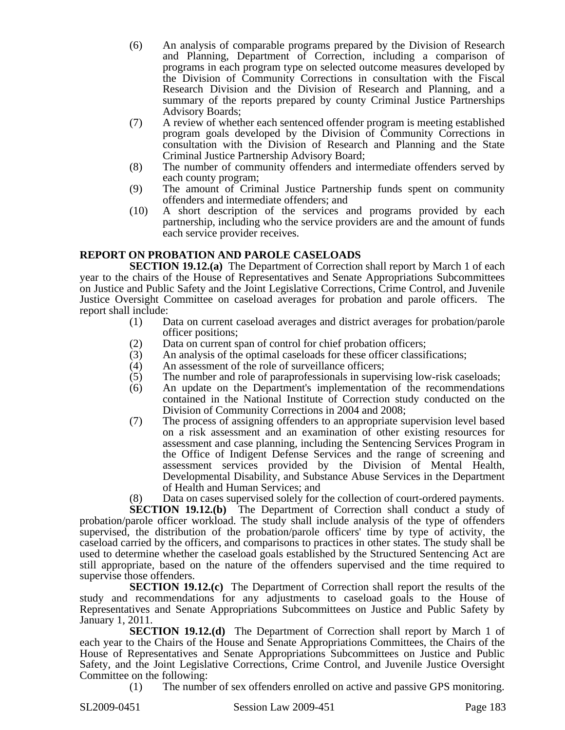- (6) An analysis of comparable programs prepared by the Division of Research and Planning, Department of Correction, including a comparison of programs in each program type on selected outcome measures developed by the Division of Community Corrections in consultation with the Fiscal Research Division and the Division of Research and Planning, and a summary of the reports prepared by county Criminal Justice Partnerships Advisory Boards;
- (7) A review of whether each sentenced offender program is meeting established program goals developed by the Division of Community Corrections in consultation with the Division of Research and Planning and the State Criminal Justice Partnership Advisory Board;
- (8) The number of community offenders and intermediate offenders served by each county program;
- (9) The amount of Criminal Justice Partnership funds spent on community offenders and intermediate offenders; and
- (10) A short description of the services and programs provided by each partnership, including who the service providers are and the amount of funds each service provider receives.

# **REPORT ON PROBATION AND PAROLE CASELOADS**

**SECTION 19.12.(a)** The Department of Correction shall report by March 1 of each year to the chairs of the House of Representatives and Senate Appropriations Subcommittees on Justice and Public Safety and the Joint Legislative Corrections, Crime Control, and Juvenile Justice Oversight Committee on caseload averages for probation and parole officers. The report shall include:

- (1) Data on current caseload averages and district averages for probation/parole officer positions;
- (2) Data on current span of control for chief probation officers;<br>(3) An analysis of the optimal caseloads for these officer classif
- (3) An analysis of the optimal caseloads for these officer classifications;<br>(4) An assessment of the role of surveillance officers;
- An assessment of the role of surveillance officers;
- (5) The number and role of paraprofessionals in supervising low-risk caseloads;
- (6) An update on the Department's implementation of the recommendations contained in the National Institute of Correction study conducted on the Division of Community Corrections in 2004 and 2008;
- (7) The process of assigning offenders to an appropriate supervision level based on a risk assessment and an examination of other existing resources for assessment and case planning, including the Sentencing Services Program in the Office of Indigent Defense Services and the range of screening and assessment services provided by the Division of Mental Health, Developmental Disability, and Substance Abuse Services in the Department of Health and Human Services; and

(8) Data on cases supervised solely for the collection of court-ordered payments.

**SECTION 19.12.(b)** The Department of Correction shall conduct a study of probation/parole officer workload. The study shall include analysis of the type of offenders supervised, the distribution of the probation/parole officers' time by type of activity, the caseload carried by the officers, and comparisons to practices in other states. The study shall be used to determine whether the caseload goals established by the Structured Sentencing Act are still appropriate, based on the nature of the offenders supervised and the time required to supervise those offenders.

**SECTION 19.12.(c)** The Department of Correction shall report the results of the study and recommendations for any adjustments to caseload goals to the House of Representatives and Senate Appropriations Subcommittees on Justice and Public Safety by January 1, 2011.

**SECTION 19.12.(d)** The Department of Correction shall report by March 1 of each year to the Chairs of the House and Senate Appropriations Committees, the Chairs of the House of Representatives and Senate Appropriations Subcommittees on Justice and Public Safety, and the Joint Legislative Corrections, Crime Control, and Juvenile Justice Oversight Committee on the following:

(1) The number of sex offenders enrolled on active and passive GPS monitoring.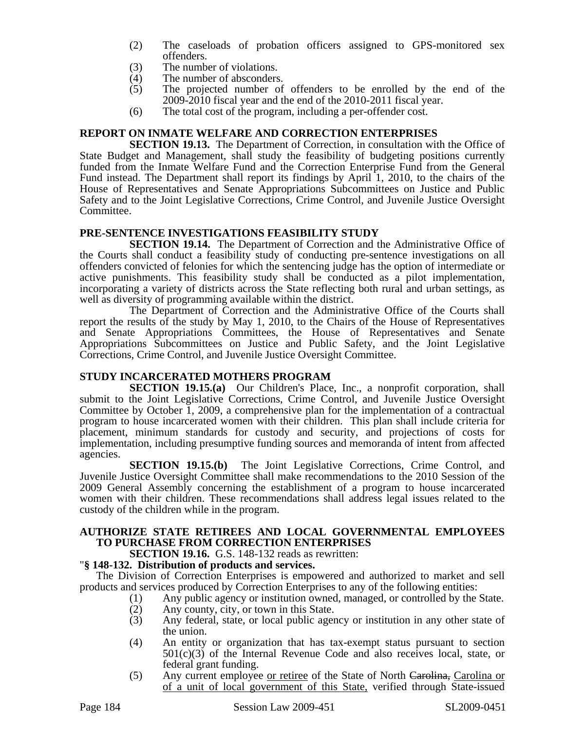- (2) The caseloads of probation officers assigned to GPS-monitored sex offenders.
- (3) The number of violations.
- (4) The number of absconders.
- (5) The projected number of offenders to be enrolled by the end of the 2009-2010 fiscal year and the end of the 2010-2011 fiscal year.
- (6) The total cost of the program, including a per-offender cost.

# **REPORT ON INMATE WELFARE AND CORRECTION ENTERPRISES**

**SECTION 19.13.** The Department of Correction, in consultation with the Office of State Budget and Management, shall study the feasibility of budgeting positions currently funded from the Inmate Welfare Fund and the Correction Enterprise Fund from the General Fund instead. The Department shall report its findings by April 1, 2010, to the chairs of the House of Representatives and Senate Appropriations Subcommittees on Justice and Public Safety and to the Joint Legislative Corrections, Crime Control, and Juvenile Justice Oversight Committee.

# **PRE-SENTENCE INVESTIGATIONS FEASIBILITY STUDY**

**SECTION 19.14.** The Department of Correction and the Administrative Office of the Courts shall conduct a feasibility study of conducting pre-sentence investigations on all offenders convicted of felonies for which the sentencing judge has the option of intermediate or active punishments. This feasibility study shall be conducted as a pilot implementation, incorporating a variety of districts across the State reflecting both rural and urban settings, as well as diversity of programming available within the district.

The Department of Correction and the Administrative Office of the Courts shall report the results of the study by May 1, 2010, to the Chairs of the House of Representatives and Senate Appropriations Committees, the House of Representatives and Senate Appropriations Subcommittees on Justice and Public Safety, and the Joint Legislative Corrections, Crime Control, and Juvenile Justice Oversight Committee.

# **STUDY INCARCERATED MOTHERS PROGRAM**

**SECTION 19.15.(a)** Our Children's Place, Inc., a nonprofit corporation, shall submit to the Joint Legislative Corrections, Crime Control, and Juvenile Justice Oversight Committee by October 1, 2009, a comprehensive plan for the implementation of a contractual program to house incarcerated women with their children. This plan shall include criteria for placement, minimum standards for custody and security, and projections of costs for implementation, including presumptive funding sources and memoranda of intent from affected agencies.

**SECTION 19.15.(b)** The Joint Legislative Corrections, Crime Control, and Juvenile Justice Oversight Committee shall make recommendations to the 2010 Session of the 2009 General Assembly concerning the establishment of a program to house incarcerated women with their children. These recommendations shall address legal issues related to the custody of the children while in the program.

### **AUTHORIZE STATE RETIREES AND LOCAL GOVERNMENTAL EMPLOYEES TO PURCHASE FROM CORRECTION ENTERPRISES**

**SECTION 19.16.** G.S. 148-132 reads as rewritten:

### "**§ 148-132. Distribution of products and services.**

The Division of Correction Enterprises is empowered and authorized to market and sell products and services produced by Correction Enterprises to any of the following entities:

- (1) Any public agency or institution owned, managed, or controlled by the State.
- (2) Any county, city, or town in this State.
- (3) Any federal, state, or local public agency or institution in any other state of the union.
- (4) An entity or organization that has tax-exempt status pursuant to section  $501(c)(3)$  of the Internal Revenue Code and also receives local, state, or federal grant funding.
- (5) Any current employee or retiree of the State of North Carolina, Carolina or of a unit of local government of this State, verified through State-issued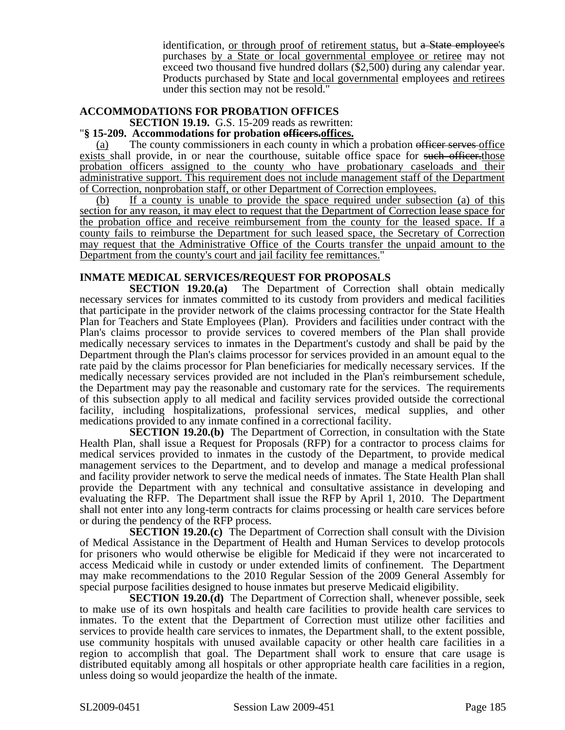identification, or through proof of retirement status, but a State employee's purchases by a State or local governmental employee or retiree may not exceed two thousand five hundred dollars (\$2,500) during any calendar year. Products purchased by State and local governmental employees and retirees under this section may not be resold."

# **ACCOMMODATIONS FOR PROBATION OFFICES**

**SECTION 19.19.** G.S. 15-209 reads as rewritten:

# "**§ 15-209. Accommodations for probation officers.offices.**

(a) The county commissioners in each county in which a probation officer serves office exists shall provide, in or near the courthouse, suitable office space for such officer-those probation officers assigned to the county who have probationary caseloads and their administrative support. This requirement does not include management staff of the Department of Correction, nonprobation staff, or other Department of Correction employees.

(b) If a county is unable to provide the space required under subsection (a) of this section for any reason, it may elect to request that the Department of Correction lease space for the probation office and receive reimbursement from the county for the leased space. If a county fails to reimburse the Department for such leased space, the Secretary of Correction may request that the Administrative Office of the Courts transfer the unpaid amount to the Department from the county's court and jail facility fee remittances."

**INMATE MEDICAL SERVICES/REQUEST FOR PROPOSALS<br>SECTION 19.20.(a)** The Department of Correction The Department of Correction shall obtain medically necessary services for inmates committed to its custody from providers and medical facilities that participate in the provider network of the claims processing contractor for the State Health Plan for Teachers and State Employees (Plan). Providers and facilities under contract with the Plan's claims processor to provide services to covered members of the Plan shall provide medically necessary services to inmates in the Department's custody and shall be paid by the Department through the Plan's claims processor for services provided in an amount equal to the rate paid by the claims processor for Plan beneficiaries for medically necessary services. If the medically necessary services provided are not included in the Plan's reimbursement schedule, the Department may pay the reasonable and customary rate for the services. The requirements of this subsection apply to all medical and facility services provided outside the correctional facility, including hospitalizations, professional services, medical supplies, and other medications provided to any inmate confined in a correctional facility.

**SECTION 19.20.(b)** The Department of Correction, in consultation with the State Health Plan, shall issue a Request for Proposals (RFP) for a contractor to process claims for medical services provided to inmates in the custody of the Department, to provide medical management services to the Department, and to develop and manage a medical professional and facility provider network to serve the medical needs of inmates. The State Health Plan shall provide the Department with any technical and consultative assistance in developing and evaluating the RFP. The Department shall issue the RFP by April 1, 2010. The Department shall not enter into any long-term contracts for claims processing or health care services before or during the pendency of the RFP process.

**SECTION 19.20.(c)** The Department of Correction shall consult with the Division of Medical Assistance in the Department of Health and Human Services to develop protocols for prisoners who would otherwise be eligible for Medicaid if they were not incarcerated to access Medicaid while in custody or under extended limits of confinement. The Department may make recommendations to the 2010 Regular Session of the 2009 General Assembly for special purpose facilities designed to house inmates but preserve Medicaid eligibility.

**SECTION 19.20.(d)** The Department of Correction shall, whenever possible, seek to make use of its own hospitals and health care facilities to provide health care services to inmates. To the extent that the Department of Correction must utilize other facilities and services to provide health care services to inmates, the Department shall, to the extent possible, use community hospitals with unused available capacity or other health care facilities in a region to accomplish that goal. The Department shall work to ensure that care usage is distributed equitably among all hospitals or other appropriate health care facilities in a region, unless doing so would jeopardize the health of the inmate.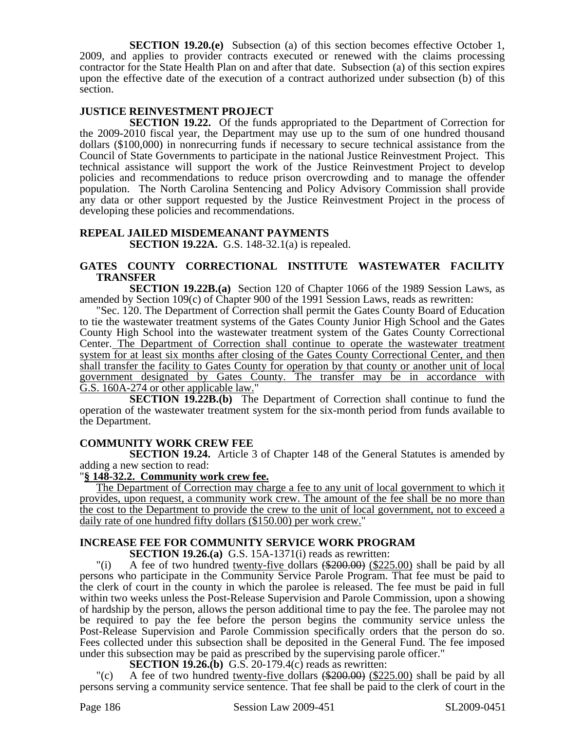**SECTION 19.20.(e)** Subsection (a) of this section becomes effective October 1, 2009, and applies to provider contracts executed or renewed with the claims processing contractor for the State Health Plan on and after that date. Subsection (a) of this section expires upon the effective date of the execution of a contract authorized under subsection (b) of this section.

# **JUSTICE REINVESTMENT PROJECT**

**SECTION 19.22.** Of the funds appropriated to the Department of Correction for the 2009-2010 fiscal year, the Department may use up to the sum of one hundred thousand dollars (\$100,000) in nonrecurring funds if necessary to secure technical assistance from the Council of State Governments to participate in the national Justice Reinvestment Project. This technical assistance will support the work of the Justice Reinvestment Project to develop policies and recommendations to reduce prison overcrowding and to manage the offender population. The North Carolina Sentencing and Policy Advisory Commission shall provide any data or other support requested by the Justice Reinvestment Project in the process of developing these policies and recommendations.

#### **REPEAL JAILED MISDEMEANANT PAYMENTS SECTION 19.22A.** G.S. 148-32.1(a) is repealed.

# **GATES COUNTY CORRECTIONAL INSTITUTE WASTEWATER FACILITY TRANSFER**

**SECTION 19.22B.(a)** Section 120 of Chapter 1066 of the 1989 Session Laws, as amended by Section 109(c) of Chapter 900 of the 1991 Session Laws, reads as rewritten:

"Sec. 120. The Department of Correction shall permit the Gates County Board of Education to tie the wastewater treatment systems of the Gates County Junior High School and the Gates County High School into the wastewater treatment system of the Gates County Correctional Center. The Department of Correction shall continue to operate the wastewater treatment system for at least six months after closing of the Gates County Correctional Center, and then shall transfer the facility to Gates County for operation by that county or another unit of local government designated by Gates County. The transfer may be in accordance with G.S. 160A-274 or other applicable law."

**SECTION 19.22B.(b)** The Department of Correction shall continue to fund the operation of the wastewater treatment system for the six-month period from funds available to the Department.

### **COMMUNITY WORK CREW FEE**

**SECTION 19.24.** Article 3 of Chapter 148 of the General Statutes is amended by adding a new section to read:

# "**§ 148-32.2. Community work crew fee.**

The Department of Correction may charge a fee to any unit of local government to which it provides, upon request, a community work crew. The amount of the fee shall be no more than the cost to the Department to provide the crew to the unit of local government, not to exceed a daily rate of one hundred fifty dollars (\$150.00) per work crew."

# **INCREASE FEE FOR COMMUNITY SERVICE WORK PROGRAM**

**SECTION 19.26.(a)** G.S. 15A-1371(i) reads as rewritten:

"(i) A fee of two hundred twenty-five dollars  $(\frac{200.00}{225.00})$  shall be paid by all persons who participate in the Community Service Parole Program. That fee must be paid to the clerk of court in the county in which the parolee is released. The fee must be paid in full within two weeks unless the Post-Release Supervision and Parole Commission, upon a showing of hardship by the person, allows the person additional time to pay the fee. The parolee may not be required to pay the fee before the person begins the community service unless the Post-Release Supervision and Parole Commission specifically orders that the person do so. Fees collected under this subsection shall be deposited in the General Fund. The fee imposed under this subsection may be paid as prescribed by the supervising parole officer."

**SECTION 19.26.(b)** G.S. 20-179.4(c) reads as rewritten:

A fee of two hundred twenty-five dollars  $(*200.00)$  (\$225.00) shall be paid by all persons serving a community service sentence. That fee shall be paid to the clerk of court in the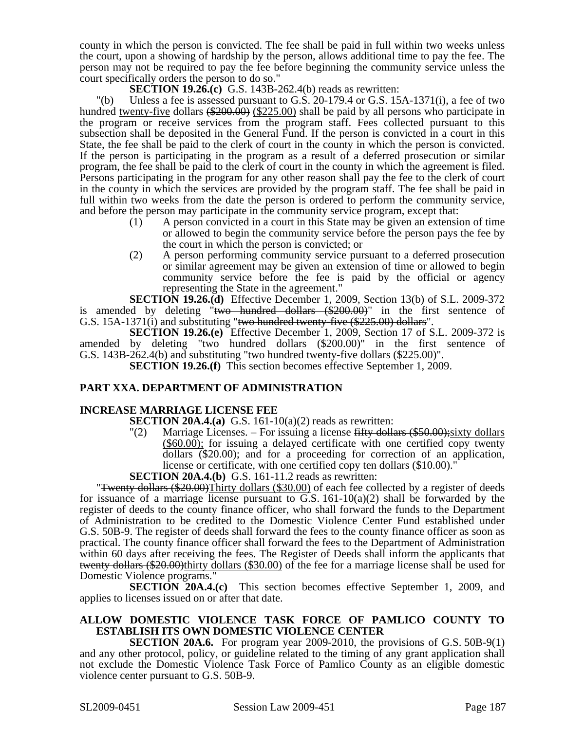county in which the person is convicted. The fee shall be paid in full within two weeks unless the court, upon a showing of hardship by the person, allows additional time to pay the fee. The person may not be required to pay the fee before beginning the community service unless the court specifically orders the person to do so."

**SECTION 19.26.(c)** G.S. 143B-262.4(b) reads as rewritten:

"(b) Unless a fee is assessed pursuant to G.S. 20-179.4 or G.S. 15A-1371(i), a fee of two hundred twenty-five dollars  $(\frac{$200.00}{0})$  (\$225.00) shall be paid by all persons who participate in the program or receive services from the program staff. Fees collected pursuant to this subsection shall be deposited in the General Fund. If the person is convicted in a court in this State, the fee shall be paid to the clerk of court in the county in which the person is convicted. If the person is participating in the program as a result of a deferred prosecution or similar program, the fee shall be paid to the clerk of court in the county in which the agreement is filed. Persons participating in the program for any other reason shall pay the fee to the clerk of court in the county in which the services are provided by the program staff. The fee shall be paid in full within two weeks from the date the person is ordered to perform the community service, and before the person may participate in the community service program, except that:

- (1) A person convicted in a court in this State may be given an extension of time or allowed to begin the community service before the person pays the fee by the court in which the person is convicted; or
- (2) A person performing community service pursuant to a deferred prosecution or similar agreement may be given an extension of time or allowed to begin community service before the fee is paid by the official or agency representing the State in the agreement."

**SECTION 19.26.(d)** Effective December 1, 2009, Section 13(b) of S.L. 2009-372 is amended by deleting "two hundred dollars  $(\$200.00)$ " in the first sentence of G.S. 15A-1371(i) and substituting "two hundred twenty-five (\$225.00) dollars".

**SECTION 19.26.(e)** Effective December 1, 2009, Section 17 of S.L. 2009-372 is amended by deleting "two hundred dollars (\$200.00)" in the first sentence of G.S. 143B-262.4(b) and substituting "two hundred twenty-five dollars (\$225.00)".

**SECTION 19.26.(f)** This section becomes effective September 1, 2009.

# **PART XXA. DEPARTMENT OF ADMINISTRATION**

# **INCREASE MARRIAGE LICENSE FEE**

**SECTION 20A.4.(a)** G.S. 161-10(a)(2) reads as rewritten:

 $\text{M}$  Marriage Licenses. – For issuing a license fifty dollars (\$50.00); sixty dollars (\$60.00); for issuing a delayed certificate with one certified copy twenty dollars (\$20.00); and for a proceeding for correction of an application, license or certificate, with one certified copy ten dollars (\$10.00)."

**SECTION 20A.4.(b)** G.S. 161-11.2 reads as rewritten:

"Twenty dollars (\$20.00)Thirty dollars (\$30.00) of each fee collected by a register of deeds for issuance of a marriage license pursuant to G.S.  $161-10(a)(2)$  shall be forwarded by the register of deeds to the county finance officer, who shall forward the funds to the Department of Administration to be credited to the Domestic Violence Center Fund established under G.S. 50B-9. The register of deeds shall forward the fees to the county finance officer as soon as practical. The county finance officer shall forward the fees to the Department of Administration within 60 days after receiving the fees. The Register of Deeds shall inform the applicants that twenty dollars (\$20.00)thirty dollars (\$30.00) of the fee for a marriage license shall be used for Domestic Violence programs."

**SECTION 20A.4.(c)** This section becomes effective September 1, 2009, and applies to licenses issued on or after that date.

# **ALLOW DOMESTIC VIOLENCE TASK FORCE OF PAMLICO COUNTY TO ESTABLISH ITS OWN DOMESTIC VIOLENCE CENTER**

**SECTION 20A.6.** For program year 2009-2010, the provisions of G.S. 50B-9(1) and any other protocol, policy, or guideline related to the timing of any grant application shall not exclude the Domestic Violence Task Force of Pamlico County as an eligible domestic violence center pursuant to G.S. 50B-9.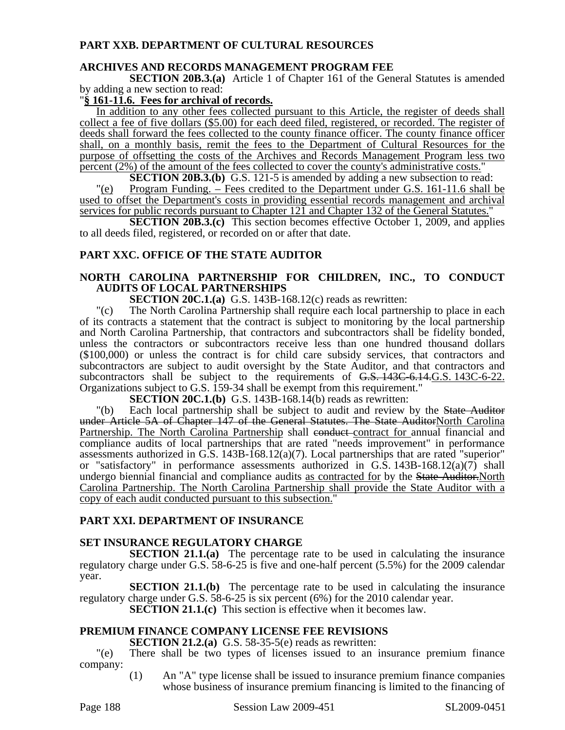# **PART XXB. DEPARTMENT OF CULTURAL RESOURCES**

# **ARCHIVES AND RECORDS MANAGEMENT PROGRAM FEE**

**SECTION 20B.3.(a)** Article 1 of Chapter 161 of the General Statutes is amended by adding a new section to read:

# "**§ 161-11.6. Fees for archival of records.**

In addition to any other fees collected pursuant to this Article, the register of deeds shall collect a fee of five dollars (\$5.00) for each deed filed, registered, or recorded. The register of deeds shall forward the fees collected to the county finance officer. The county finance officer shall, on a monthly basis, remit the fees to the Department of Cultural Resources for the purpose of offsetting the costs of the Archives and Records Management Program less two percent (2%) of the amount of the fees collected to cover the county's administrative costs."

**SECTION 20B.3.(b)** G.S. 121-5 is amended by adding a new subsection to read: "(e) Program Funding. – Fees credited to the Department under G.S. 161-11.6 shall be used to offset the Department's costs in providing essential records management and archival services for public records pursuant to Chapter 121 and Chapter 132 of the General Statutes."

**SECTION 20B.3.(c)** This section becomes effective October 1, 2009, and applies to all deeds filed, registered, or recorded on or after that date.

# **PART XXC. OFFICE OF THE STATE AUDITOR**

# **NORTH CAROLINA PARTNERSHIP FOR CHILDREN, INC., TO CONDUCT AUDITS OF LOCAL PARTNERSHIPS**

**SECTION 20C.1.(a)** G.S. 143B-168.12(c) reads as rewritten:

"(c) The North Carolina Partnership shall require each local partnership to place in each of its contracts a statement that the contract is subject to monitoring by the local partnership and North Carolina Partnership, that contractors and subcontractors shall be fidelity bonded, unless the contractors or subcontractors receive less than one hundred thousand dollars (\$100,000) or unless the contract is for child care subsidy services, that contractors and subcontractors are subject to audit oversight by the State Auditor, and that contractors and subcontractors shall be subject to the requirements of G.S. 143C-6.14.G.S. 143C-6-22. Organizations subject to G.S. 159-34 shall be exempt from this requirement."

**SECTION 20C.1.(b)** G.S. 143B-168.14(b) reads as rewritten:

"(b) Each local partnership shall be subject to audit and review by the State Auditor under Article 5A of Chapter 147 of the General Statutes. The State AuditorNorth Carolina Partnership. The North Carolina Partnership shall conduct-contract for annual financial and compliance audits of local partnerships that are rated "needs improvement" in performance assessments authorized in G.S. 143B-168.12(a)(7). Local partnerships that are rated "superior" or "satisfactory" in performance assessments authorized in G.S.  $143B-168.12(a)(7)$  shall undergo biennial financial and compliance audits as contracted for by the State Auditor. North Carolina Partnership. The North Carolina Partnership shall provide the State Auditor with a copy of each audit conducted pursuant to this subsection."

# **PART XXI. DEPARTMENT OF INSURANCE**

# **SET INSURANCE REGULATORY CHARGE**

**SECTION 21.1.(a)** The percentage rate to be used in calculating the insurance regulatory charge under G.S. 58-6-25 is five and one-half percent (5.5%) for the 2009 calendar year.

**SECTION 21.1.(b)** The percentage rate to be used in calculating the insurance regulatory charge under G.S. 58-6-25 is six percent (6%) for the 2010 calendar year.

**SECTION 21.1.(c)** This section is effective when it becomes law.

# **PREMIUM FINANCE COMPANY LICENSE FEE REVISIONS**

**SECTION 21.2.(a)** G.S. 58-35-5(e) reads as rewritten:

"(e) There shall be two types of licenses issued to an insurance premium finance company:

(1) An "A" type license shall be issued to insurance premium finance companies whose business of insurance premium financing is limited to the financing of

Page 188 Session Law 2009-451 SL2009-0451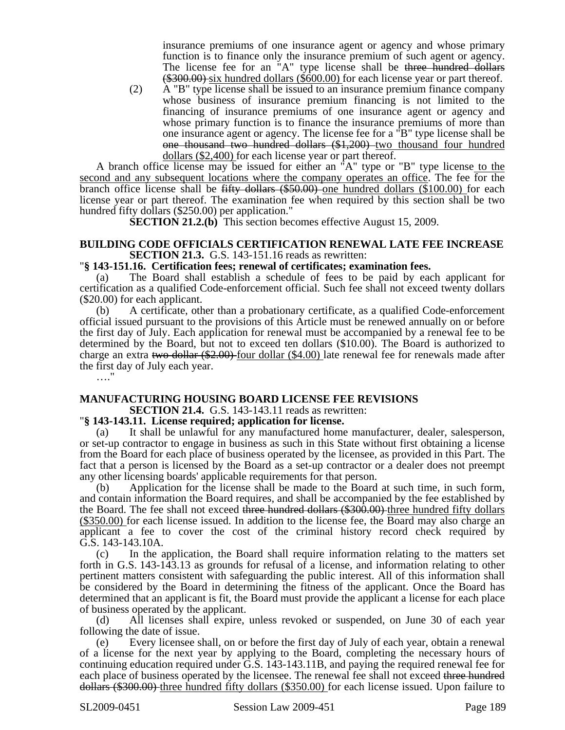insurance premiums of one insurance agent or agency and whose primary function is to finance only the insurance premium of such agent or agency. The license fee for an "A" type license shall be three hundred dollars (\$300.00) six hundred dollars (\$600.00) for each license year or part thereof.

(2) A "B" type license shall be issued to an insurance premium finance company whose business of insurance premium financing is not limited to the financing of insurance premiums of one insurance agent or agency and whose primary function is to finance the insurance premiums of more than one insurance agent or agency. The license fee for a "B" type license shall be one thousand two hundred dollars (\$1,200) two thousand four hundred dollars (\$2,400) for each license year or part thereof.

A branch office license may be issued for either an "A" type or "B" type license to the second and any subsequent locations where the company operates an office. The fee for the branch office license shall be  $fifty$  dollars  $(\$50.00)$  one hundred dollars  $(\$100.00)$  for each license year or part thereof. The examination fee when required by this section shall be two hundred fifty dollars (\$250.00) per application."

**SECTION 21.2.(b)** This section becomes effective August 15, 2009.

# **BUILDING CODE OFFICIALS CERTIFICATION RENEWAL LATE FEE INCREASE SECTION 21.3.** G.S. 143-151.16 reads as rewritten:

#### "**§ 143-151.16. Certification fees; renewal of certificates; examination fees.**

(a) The Board shall establish a schedule of fees to be paid by each applicant for certification as a qualified Code-enforcement official. Such fee shall not exceed twenty dollars (\$20.00) for each applicant.

(b) A certificate, other than a probationary certificate, as a qualified Code-enforcement official issued pursuant to the provisions of this Article must be renewed annually on or before the first day of July. Each application for renewal must be accompanied by a renewal fee to be determined by the Board, but not to exceed ten dollars (\$10.00). The Board is authorized to charge an extra two dollar (\$2.00) four dollar (\$4.00) late renewal fee for renewals made after the first day of July each year. …"

# **MANUFACTURING HOUSING BOARD LICENSE FEE REVISIONS**

# **SECTION 21.4.** G.S. 143-143.11 reads as rewritten:

# "**§ 143-143.11. License required; application for license.**

(a) It shall be unlawful for any manufactured home manufacturer, dealer, salesperson, or set-up contractor to engage in business as such in this State without first obtaining a license from the Board for each place of business operated by the licensee, as provided in this Part. The fact that a person is licensed by the Board as a set-up contractor or a dealer does not preempt any other licensing boards' applicable requirements for that person.

(b) Application for the license shall be made to the Board at such time, in such form, and contain information the Board requires, and shall be accompanied by the fee established by the Board. The fee shall not exceed three hundred dollars (\$300.00) three hundred fifty dollars (\$350.00) for each license issued. In addition to the license fee, the Board may also charge an applicant a fee to cover the cost of the criminal history record check required by G.S. 143-143.10A.

(c) In the application, the Board shall require information relating to the matters set forth in G.S. 143-143.13 as grounds for refusal of a license, and information relating to other pertinent matters consistent with safeguarding the public interest. All of this information shall be considered by the Board in determining the fitness of the applicant. Once the Board has determined that an applicant is fit, the Board must provide the applicant a license for each place of business operated by the applicant.

(d) All licenses shall expire, unless revoked or suspended, on June 30 of each year following the date of issue.

(e) Every licensee shall, on or before the first day of July of each year, obtain a renewal of a license for the next year by applying to the Board, completing the necessary hours of continuing education required under G.S. 143-143.11B, and paying the required renewal fee for each place of business operated by the licensee. The renewal fee shall not exceed three hundred dollars (\$300.00) three hundred fifty dollars (\$350.00) for each license issued. Upon failure to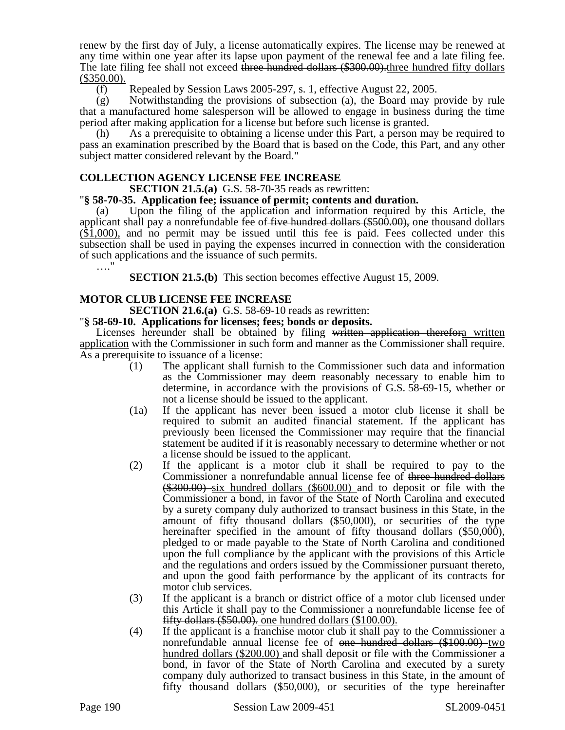renew by the first day of July, a license automatically expires. The license may be renewed at any time within one year after its lapse upon payment of the renewal fee and a late filing fee. The late filing fee shall not exceed three hundred dollars (\$300.00). three hundred fifty dollars (\$350.00).

(f) Repealed by Session Laws 2005-297, s. 1, effective August 22, 2005.

(g) Notwithstanding the provisions of subsection (a), the Board may provide by rule that a manufactured home salesperson will be allowed to engage in business during the time period after making application for a license but before such license is granted.

As a prerequisite to obtaining a license under this Part, a person may be required to pass an examination prescribed by the Board that is based on the Code, this Part, and any other subject matter considered relevant by the Board."

# **COLLECTION AGENCY LICENSE FEE INCREASE**

**SECTION 21.5.(a)** G.S. 58-70-35 reads as rewritten:

#### "**§ 58-70-35. Application fee; issuance of permit; contents and duration.**

Upon the filing of the application and information required by this Article, the applicant shall pay a nonrefundable fee of five hundred dollars  $(\$500.00)$ , one thousand dollars (\$1,000), and no permit may be issued until this fee is paid. Fees collected under this subsection shall be used in paying the expenses incurred in connection with the consideration of such applications and the issuance of such permits. …."

**SECTION 21.5.(b)** This section becomes effective August 15, 2009.

### **MOTOR CLUB LICENSE FEE INCREASE**

**SECTION 21.6.(a)** G.S. 58-69-10 reads as rewritten:

"**§ 58-69-10. Applications for licenses; fees; bonds or deposits.** 

Licenses hereunder shall be obtained by filing written application therefora written application with the Commissioner in such form and manner as the Commissioner shall require. As a prerequisite to issuance of a license:

- (1) The applicant shall furnish to the Commissioner such data and information as the Commissioner may deem reasonably necessary to enable him to determine, in accordance with the provisions of G.S. 58-69-15, whether or not a license should be issued to the applicant.
- (1a) If the applicant has never been issued a motor club license it shall be required to submit an audited financial statement. If the applicant has previously been licensed the Commissioner may require that the financial statement be audited if it is reasonably necessary to determine whether or not a license should be issued to the applicant.
- (2) If the applicant is a motor club it shall be required to pay to the Commissioner a nonrefundable annual license fee of three hundred dollars (\$300.00) six hundred dollars (\$600.00) and to deposit or file with the Commissioner a bond, in favor of the State of North Carolina and executed by a surety company duly authorized to transact business in this State, in the amount of fifty thousand dollars (\$50,000), or securities of the type hereinafter specified in the amount of fifty thousand dollars (\$50,000), pledged to or made payable to the State of North Carolina and conditioned upon the full compliance by the applicant with the provisions of this Article and the regulations and orders issued by the Commissioner pursuant thereto, and upon the good faith performance by the applicant of its contracts for motor club services.
- (3) If the applicant is a branch or district office of a motor club licensed under this Article it shall pay to the Commissioner a nonrefundable license fee of  $fifty$  dollars (\$50.00). one hundred dollars (\$100.00).
- (4) If the applicant is a franchise motor club it shall pay to the Commissioner a nonrefundable annual license fee of <del>one hundred dollars (\$100.00)</del> two hundred dollars (\$200.00) and shall deposit or file with the Commissioner a bond, in favor of the State of North Carolina and executed by a surety company duly authorized to transact business in this State, in the amount of fifty thousand dollars (\$50,000), or securities of the type hereinafter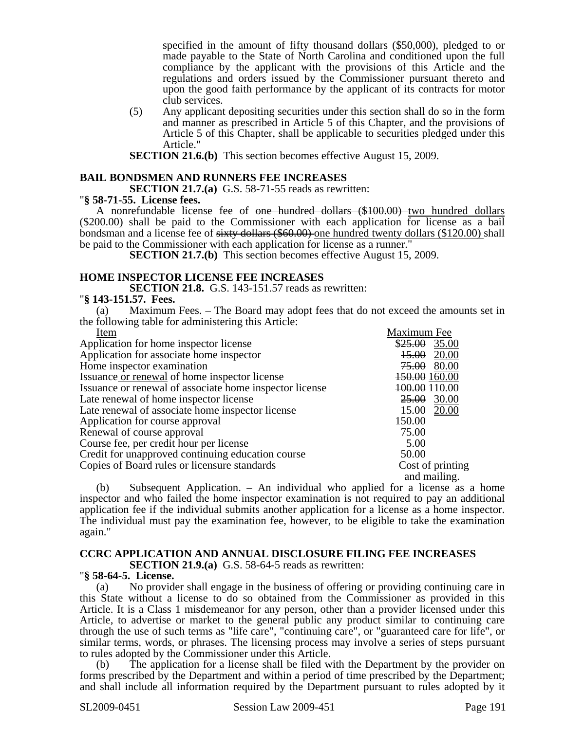specified in the amount of fifty thousand dollars (\$50,000), pledged to or made payable to the State of North Carolina and conditioned upon the full compliance by the applicant with the provisions of this Article and the regulations and orders issued by the Commissioner pursuant thereto and upon the good faith performance by the applicant of its contracts for motor club services.

(5) Any applicant depositing securities under this section shall do so in the form and manner as prescribed in Article 5 of this Chapter, and the provisions of Article 5 of this Chapter, shall be applicable to securities pledged under this Article."

**SECTION 21.6.(b)** This section becomes effective August 15, 2009.

# **BAIL BONDSMEN AND RUNNERS FEE INCREASES**

**SECTION 21.7.(a)** G.S. 58-71-55 reads as rewritten:

#### "**§ 58-71-55. License fees.**

A nonrefundable license fee of <del>one hundred dollars (\$100.00)</del> two hundred dollars (\$200.00) shall be paid to the Commissioner with each application for license as a bail bondsman and a license fee of sixty dollars (\$60.00) one hundred twenty dollars (\$120.00) shall be paid to the Commissioner with each application for license as a runner."

**SECTION 21.7.(b)** This section becomes effective August 15, 2009.

# **HOME INSPECTOR LICENSE FEE INCREASES**

**SECTION 21.8.** G.S. 143-151.57 reads as rewritten:

"**§ 143-151.57. Fees.** 

(a) Maximum Fees. – The Board may adopt fees that do not exceed the amounts set in the following table for administering this Article:

| Item                                                    | Maximum Fee                      |
|---------------------------------------------------------|----------------------------------|
| Application for home inspector license                  | $$25.00$ 35.00                   |
| Application for associate home inspector                | 15.00 20.00                      |
| Home inspector examination                              | 75.00 80.00                      |
| Issuance or renewal of home inspector license           | 150.00 160.00                    |
| Issuance or renewal of associate home inspector license | 100.00 110.00                    |
| Late renewal of home inspector license                  | 25.00 30.00                      |
| Late renewal of associate home inspector license        | 15.00 20.00                      |
| Application for course approval                         | 150.00                           |
| Renewal of course approval                              | 75.00                            |
| Course fee, per credit hour per license                 | 5.00                             |
| Credit for unapproved continuing education course       | 50.00                            |
| Copies of Board rules or licensure standards            | Cost of printing<br>and mailing. |

(b) Subsequent Application. – An individual who applied for a license as a home inspector and who failed the home inspector examination is not required to pay an additional application fee if the individual submits another application for a license as a home inspector. The individual must pay the examination fee, however, to be eligible to take the examination again."

# **CCRC APPLICATION AND ANNUAL DISCLOSURE FILING FEE INCREASES**

**SECTION 21.9.(a)** G.S. 58-64-5 reads as rewritten:

### "**§ 58-64-5. License.**

(a) No provider shall engage in the business of offering or providing continuing care in this State without a license to do so obtained from the Commissioner as provided in this Article. It is a Class 1 misdemeanor for any person, other than a provider licensed under this Article, to advertise or market to the general public any product similar to continuing care through the use of such terms as "life care", "continuing care", or "guaranteed care for life", or similar terms, words, or phrases. The licensing process may involve a series of steps pursuant to rules adopted by the Commissioner under this Article.

(b) The application for a license shall be filed with the Department by the provider on forms prescribed by the Department and within a period of time prescribed by the Department; and shall include all information required by the Department pursuant to rules adopted by it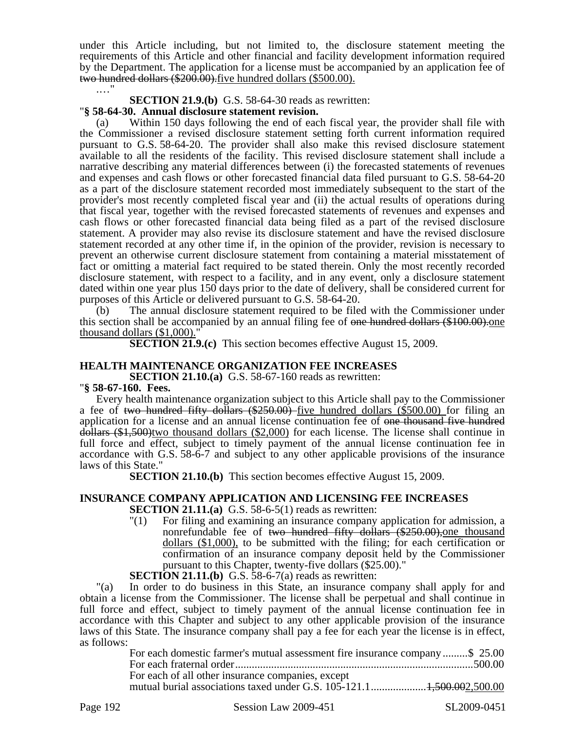under this Article including, but not limited to, the disclosure statement meeting the requirements of this Article and other financial and facility development information required by the Department. The application for a license must be accompanied by an application fee of two hundred dollars (\$200.00).five hundred dollars (\$500.00).

.…"

#### **SECTION 21.9.(b)** G.S. 58-64-30 reads as rewritten:

#### "**§ 58-64-30. Annual disclosure statement revision.**

(a) Within 150 days following the end of each fiscal year, the provider shall file with the Commissioner a revised disclosure statement setting forth current information required pursuant to G.S. 58-64-20. The provider shall also make this revised disclosure statement available to all the residents of the facility. This revised disclosure statement shall include a narrative describing any material differences between (i) the forecasted statements of revenues and expenses and cash flows or other forecasted financial data filed pursuant to G.S. 58-64-20 as a part of the disclosure statement recorded most immediately subsequent to the start of the provider's most recently completed fiscal year and (ii) the actual results of operations during that fiscal year, together with the revised forecasted statements of revenues and expenses and cash flows or other forecasted financial data being filed as a part of the revised disclosure statement. A provider may also revise its disclosure statement and have the revised disclosure statement recorded at any other time if, in the opinion of the provider, revision is necessary to prevent an otherwise current disclosure statement from containing a material misstatement of fact or omitting a material fact required to be stated therein. Only the most recently recorded disclosure statement, with respect to a facility, and in any event, only a disclosure statement dated within one year plus 150 days prior to the date of delivery, shall be considered current for purposes of this Article or delivered pursuant to G.S. 58-64-20.

(b) The annual disclosure statement required to be filed with the Commissioner under this section shall be accompanied by an annual filing fee of <del>one hundred dollars (\$100.00).</del>one thousand dollars (\$1,000)."

**SECTION 21.9.(c)** This section becomes effective August 15, 2009.

# **HEALTH MAINTENANCE ORGANIZATION FEE INCREASES**

#### **SECTION 21.10.(a)** G.S. 58-67-160 reads as rewritten:

#### "**§ 58-67-160. Fees.**

Every health maintenance organization subject to this Article shall pay to the Commissioner a fee of two hundred fifty dollars  $(\$250.00)$  five hundred dollars  $(\$500.00)$  for filing an application for a license and an annual license continuation fee of one thousand five hundred  $\frac{1}{\sqrt{1-\frac{1}{\sqrt{1-\frac{1}{\sqrt{1-\frac{1}{\sqrt{1-\frac{1}{\sqrt{1-\frac{1}{\sqrt{1-\frac{1}{\sqrt{1-\frac{1}{\sqrt{1-\frac{1}{\sqrt{1-\frac{1}{\sqrt{1-\frac{1}{\sqrt{1-\frac{1}{\sqrt{1-\frac{1}{\sqrt{1-\frac{1}{\sqrt{1-\frac{1}{\sqrt{1-\frac{1}{\sqrt{1-\frac{1}{\sqrt{1-\frac{1}{\sqrt{1-\frac{1}{\sqrt{1-\frac{1}{\sqrt{1-\frac{1}{\sqrt{1-\frac{1}{\sqrt{1-\frac{1}{\sqrt{1-\frac{1}{\sqrt{1-\frac{1$ full force and effect, subject to timely payment of the annual license continuation fee in accordance with G.S. 58-6-7 and subject to any other applicable provisions of the insurance laws of this State."

**SECTION 21.10.(b)** This section becomes effective August 15, 2009.

# **INSURANCE COMPANY APPLICATION AND LICENSING FEE INCREASES**

**SECTION 21.11.(a)** G.S. 58-6-5(1) reads as rewritten:

"(1) For filing and examining an insurance company application for admission, a nonrefundable fee of two hundred fifty dollars (\$250.00), one thousand dollars (\$1,000), to be submitted with the filing; for each certification or confirmation of an insurance company deposit held by the Commissioner pursuant to this Chapter, twenty-five dollars (\$25.00)."

**SECTION 21.11.(b)** G.S. 58-6-7(a) reads as rewritten:

"(a) In order to do business in this State, an insurance company shall apply for and obtain a license from the Commissioner. The license shall be perpetual and shall continue in full force and effect, subject to timely payment of the annual license continuation fee in accordance with this Chapter and subject to any other applicable provision of the insurance laws of this State. The insurance company shall pay a fee for each year the license is in effect, as follows:

| For each domestic farmer's mutual assessment fire insurance company\$ 25.00 |  |
|-----------------------------------------------------------------------------|--|
|                                                                             |  |
| For each of all other insurance companies, except                           |  |
|                                                                             |  |

Page 192 Session Law 2009-451 SL2009-0451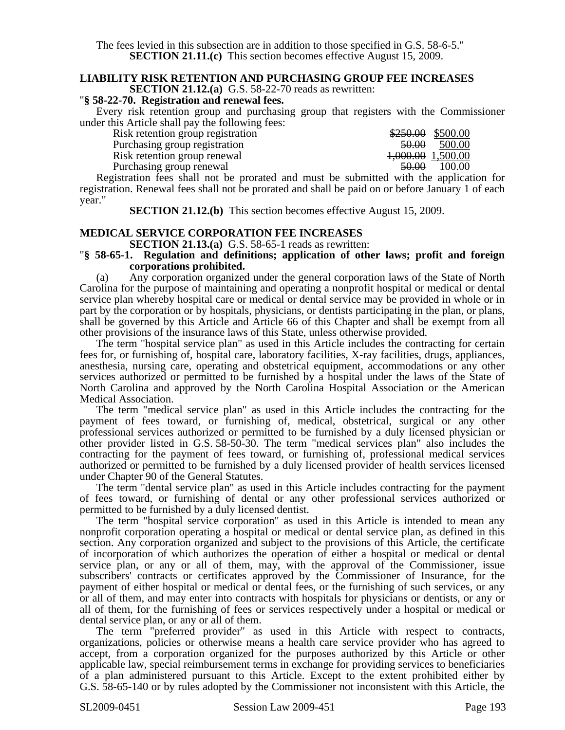# **LIABILITY RISK RETENTION AND PURCHASING GROUP FEE INCREASES**

**SECTION 21.12.(a)** G.S. 58-22-70 reads as rewritten:

#### "**§ 58-22-70. Registration and renewal fees.**

Every risk retention group and purchasing group that registers with the Commissioner under this Article shall pay the following fees:

Risk retention group registration<br>
Purchasing group registration<br>  $\frac{$250.00}{$0.00}$ <br>  $\frac{$60.00}{$0.00}$ Purchasing group registration<br>
Risk retention group renewal<br>  $\frac{50.00}{1,500.00}$ <br>  $\frac{500.00}{1,500.00}$ Risk retention group renewal  $\frac{1,000.00}{50.00}$   $\frac{1,500.00}{100.00}$ Purchasing group renewal

Registration fees shall not be prorated and must be submitted with the application for registration. Renewal fees shall not be prorated and shall be paid on or before January 1 of each year."

**SECTION 21.12.(b)** This section becomes effective August 15, 2009.

### **MEDICAL SERVICE CORPORATION FEE INCREASES**

**SECTION 21.13.(a)** G.S. 58-65-1 reads as rewritten:

#### "**§ 58-65-1. Regulation and definitions; application of other laws; profit and foreign corporations prohibited.**

(a) Any corporation organized under the general corporation laws of the State of North Carolina for the purpose of maintaining and operating a nonprofit hospital or medical or dental service plan whereby hospital care or medical or dental service may be provided in whole or in part by the corporation or by hospitals, physicians, or dentists participating in the plan, or plans, shall be governed by this Article and Article 66 of this Chapter and shall be exempt from all other provisions of the insurance laws of this State, unless otherwise provided.

The term "hospital service plan" as used in this Article includes the contracting for certain fees for, or furnishing of, hospital care, laboratory facilities, X-ray facilities, drugs, appliances, anesthesia, nursing care, operating and obstetrical equipment, accommodations or any other services authorized or permitted to be furnished by a hospital under the laws of the State of North Carolina and approved by the North Carolina Hospital Association or the American Medical Association.

The term "medical service plan" as used in this Article includes the contracting for the payment of fees toward, or furnishing of, medical, obstetrical, surgical or any other professional services authorized or permitted to be furnished by a duly licensed physician or other provider listed in G.S. 58-50-30. The term "medical services plan" also includes the contracting for the payment of fees toward, or furnishing of, professional medical services authorized or permitted to be furnished by a duly licensed provider of health services licensed under Chapter 90 of the General Statutes.

The term "dental service plan" as used in this Article includes contracting for the payment of fees toward, or furnishing of dental or any other professional services authorized or permitted to be furnished by a duly licensed dentist.

The term "hospital service corporation" as used in this Article is intended to mean any nonprofit corporation operating a hospital or medical or dental service plan, as defined in this section. Any corporation organized and subject to the provisions of this Article, the certificate of incorporation of which authorizes the operation of either a hospital or medical or dental service plan, or any or all of them, may, with the approval of the Commissioner, issue subscribers' contracts or certificates approved by the Commissioner of Insurance, for the payment of either hospital or medical or dental fees, or the furnishing of such services, or any or all of them, and may enter into contracts with hospitals for physicians or dentists, or any or all of them, for the furnishing of fees or services respectively under a hospital or medical or dental service plan, or any or all of them.

The term "preferred provider" as used in this Article with respect to contracts, organizations, policies or otherwise means a health care service provider who has agreed to accept, from a corporation organized for the purposes authorized by this Article or other applicable law, special reimbursement terms in exchange for providing services to beneficiaries of a plan administered pursuant to this Article. Except to the extent prohibited either by G.S. 58-65-140 or by rules adopted by the Commissioner not inconsistent with this Article, the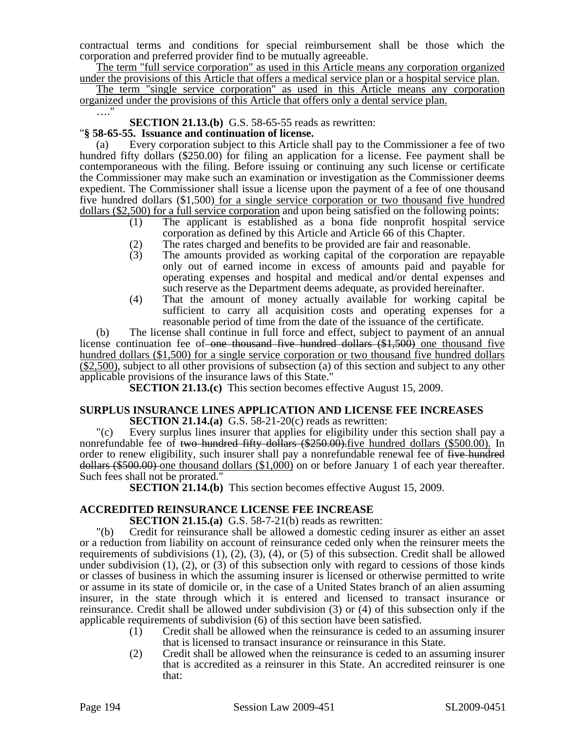contractual terms and conditions for special reimbursement shall be those which the corporation and preferred provider find to be mutually agreeable.

The term "full service corporation" as used in this Article means any corporation organized under the provisions of this Article that offers a medical service plan or a hospital service plan.

The term "single service corporation" as used in this Article means any corporation organized under the provisions of this Article that offers only a dental service plan.

#### …"

# **SECTION 21.13.(b)** G.S. 58-65-55 reads as rewritten:

# "**§ 58-65-55. Issuance and continuation of license.**

(a) Every corporation subject to this Article shall pay to the Commissioner a fee of two hundred fifty dollars (\$250.00) for filing an application for a license. Fee payment shall be contemporaneous with the filing. Before issuing or continuing any such license or certificate the Commissioner may make such an examination or investigation as the Commissioner deems expedient. The Commissioner shall issue a license upon the payment of a fee of one thousand five hundred dollars (\$1,500) for a single service corporation or two thousand five hundred dollars (\$2,500) for a full service corporation and upon being satisfied on the following points:

- (1) The applicant is established as a bona fide nonprofit hospital service corporation as defined by this Article and Article 66 of this Chapter.
- (2) The rates charged and benefits to be provided are fair and reasonable.
- (3) The amounts provided as working capital of the corporation are repayable only out of earned income in excess of amounts paid and payable for operating expenses and hospital and medical and/or dental expenses and such reserve as the Department deems adequate, as provided hereinafter.
- (4) That the amount of money actually available for working capital be sufficient to carry all acquisition costs and operating expenses for a reasonable period of time from the date of the issuance of the certificate.

(b) The license shall continue in full force and effect, subject to payment of an annual license continuation fee of one thousand five hundred dollars  $(*1,500)$  one thousand five hundred dollars (\$1,500) for a single service corporation or two thousand five hundred dollars (\$2,500), subject to all other provisions of subsection (a) of this section and subject to any other applicable provisions of the insurance laws of this State."

**SECTION 21.13.(c)** This section becomes effective August 15, 2009.

#### **SURPLUS INSURANCE LINES APPLICATION AND LICENSE FEE INCREASES SECTION 21.14.(a)** G.S. 58-21-20(c) reads as rewritten:

"(c) Every surplus lines insurer that applies for eligibility under this section shall pay a nonrefundable fee of two hundred fifty dollars (\$250.00). five hundred dollars (\$500.00). In order to renew eligibility, such insurer shall pay a nonrefundable renewal fee of <del>five hundred</del> dollars (\$500.00) one thousand dollars (\$1,000) on or before January 1 of each year thereafter. Such fees shall not be prorated."

**SECTION 21.14.(b)** This section becomes effective August 15, 2009.

### **ACCREDITED REINSURANCE LICENSE FEE INCREASE**

**SECTION 21.15.(a)** G.S. 58-7-21(b) reads as rewritten:

"(b) Credit for reinsurance shall be allowed a domestic ceding insurer as either an asset or a reduction from liability on account of reinsurance ceded only when the reinsurer meets the requirements of subdivisions  $(1)$ ,  $(2)$ ,  $(3)$ ,  $(4)$ , or  $(5)$  of this subsection. Credit shall be allowed under subdivision  $(1)$ ,  $(2)$ , or  $(3)$  of this subsection only with regard to cessions of those kinds or classes of business in which the assuming insurer is licensed or otherwise permitted to write or assume in its state of domicile or, in the case of a United States branch of an alien assuming insurer, in the state through which it is entered and licensed to transact insurance or reinsurance. Credit shall be allowed under subdivision (3) or (4) of this subsection only if the applicable requirements of subdivision (6) of this section have been satisfied.

- (1) Credit shall be allowed when the reinsurance is ceded to an assuming insurer that is licensed to transact insurance or reinsurance in this State.
- (2) Credit shall be allowed when the reinsurance is ceded to an assuming insurer that is accredited as a reinsurer in this State. An accredited reinsurer is one that: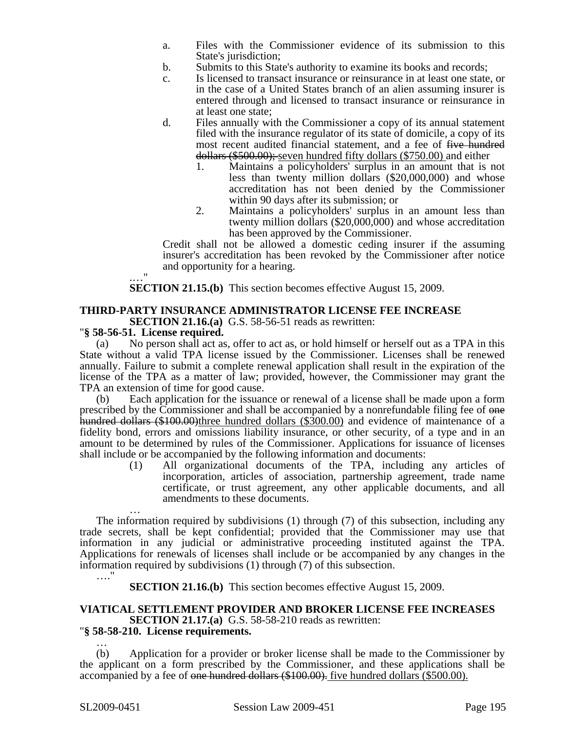- a. Files with the Commissioner evidence of its submission to this State's jurisdiction;
- b. Submits to this State's authority to examine its books and records;
- c. Is licensed to transact insurance or reinsurance in at least one state, or in the case of a United States branch of an alien assuming insurer is entered through and licensed to transact insurance or reinsurance in at least one state;
- d. Files annually with the Commissioner a copy of its annual statement filed with the insurance regulator of its state of domicile, a copy of its most recent audited financial statement, and a fee of five hundred dollars (\$500.00); seven hundred fifty dollars (\$750.00) and either
	- 1. Maintains a policyholders' surplus in an amount that is not less than twenty million dollars (\$20,000,000) and whose accreditation has not been denied by the Commissioner within 90 days after its submission; or
	- 2. Maintains a policyholders' surplus in an amount less than twenty million dollars (\$20,000,000) and whose accreditation has been approved by the Commissioner.

Credit shall not be allowed a domestic ceding insurer if the assuming insurer's accreditation has been revoked by the Commissioner after notice and opportunity for a hearing.

.…" **SECTION 21.15.(b)** This section becomes effective August 15, 2009.

# **THIRD-PARTY INSURANCE ADMINISTRATOR LICENSE FEE INCREASE**

**SECTION 21.16.(a)** G.S. 58-56-51 reads as rewritten:

#### "**§ 58-56-51. License required.**

(a) No person shall act as, offer to act as, or hold himself or herself out as a TPA in this State without a valid TPA license issued by the Commissioner. Licenses shall be renewed annually. Failure to submit a complete renewal application shall result in the expiration of the license of the TPA as a matter of law; provided, however, the Commissioner may grant the TPA an extension of time for good cause.

(b) Each application for the issuance or renewal of a license shall be made upon a form prescribed by the Commissioner and shall be accompanied by a nonrefundable filing fee of one hundred dollars (\$100.00)three hundred dollars (\$300.00) and evidence of maintenance of a fidelity bond, errors and omissions liability insurance, or other security, of a type and in an amount to be determined by rules of the Commissioner. Applications for issuance of licenses shall include or be accompanied by the following information and documents:

(1) All organizational documents of the TPA, including any articles of incorporation, articles of association, partnership agreement, trade name certificate, or trust agreement, any other applicable documents, and all

amendments to these documents.<br>
…<br>
The information required by subdivisions (1) through (7) of this subsection, including any trade secrets, shall be kept confidential; provided that the Commissioner may use that information in any judicial or administrative proceeding instituted against the TPA. Applications for renewals of licenses shall include or be accompanied by any changes in the information required by subdivisions (1) through (7) of this subsection. …."

**SECTION 21.16.(b)** This section becomes effective August 15, 2009.

#### **VIATICAL SETTLEMENT PROVIDER AND BROKER LICENSE FEE INCREASES SECTION 21.17.(a)** G.S. 58-58-210 reads as rewritten: "**§ 58-58-210. License requirements.**

(b) Application for a provider or broker license shall be made to the Commissioner by the applicant on a form prescribed by the Commissioner, and these applications shall be accompanied by a fee of one hundred dollars (\$100.00). five hundred dollars (\$500.00).

…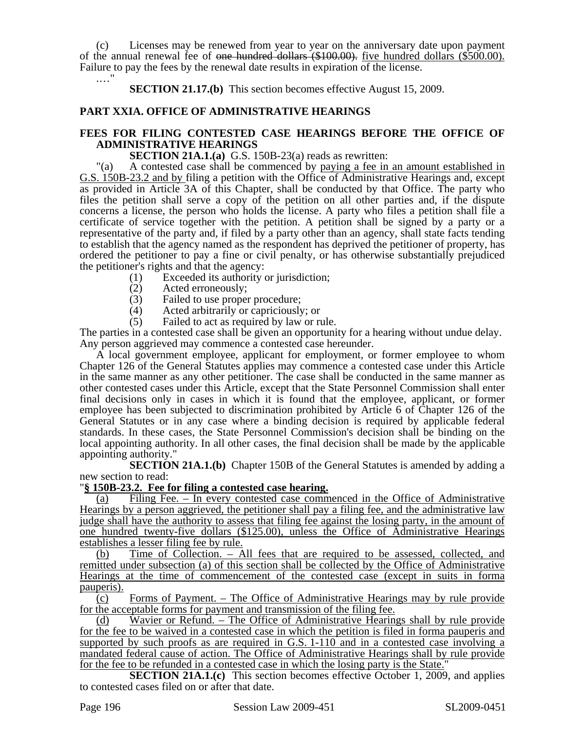(c) Licenses may be renewed from year to year on the anniversary date upon payment of the annual renewal fee of one hundred dollars (\$100.00). five hundred dollars (\$500.00). Failure to pay the fees by the renewal date results in expiration of the license. .…"

**SECTION 21.17.(b)** This section becomes effective August 15, 2009.

# **PART XXIA. OFFICE OF ADMINISTRATIVE HEARINGS**

# **FEES FOR FILING CONTESTED CASE HEARINGS BEFORE THE OFFICE OF ADMINISTRATIVE HEARINGS**

**SECTION 21A.1.(a)** G.S. 150B-23(a) reads as rewritten:

"(a) A contested case shall be commenced by paying a fee in an amount established in G.S. 150B-23.2 and by filing a petition with the Office of Administrative Hearings and, except as provided in Article 3A of this Chapter, shall be conducted by that Office. The party who files the petition shall serve a copy of the petition on all other parties and, if the dispute concerns a license, the person who holds the license. A party who files a petition shall file a certificate of service together with the petition. A petition shall be signed by a party or a representative of the party and, if filed by a party other than an agency, shall state facts tending to establish that the agency named as the respondent has deprived the petitioner of property, has ordered the petitioner to pay a fine or civil penalty, or has otherwise substantially prejudiced the petitioner's rights and that the agency:

- (1) Exceeded its authority or jurisdiction;<br>(2) Acted erroneously;
- Acted erroneously;
- (3) Failed to use proper procedure;<br>(4) Acted arbitrarily or capriciously
- Acted arbitrarily or capriciously; or
- (5) Failed to act as required by law or rule.

The parties in a contested case shall be given an opportunity for a hearing without undue delay. Any person aggrieved may commence a contested case hereunder.

A local government employee, applicant for employment, or former employee to whom Chapter 126 of the General Statutes applies may commence a contested case under this Article in the same manner as any other petitioner. The case shall be conducted in the same manner as other contested cases under this Article, except that the State Personnel Commission shall enter final decisions only in cases in which it is found that the employee, applicant, or former employee has been subjected to discrimination prohibited by Article 6 of Chapter 126 of the General Statutes or in any case where a binding decision is required by applicable federal standards. In these cases, the State Personnel Commission's decision shall be binding on the local appointing authority. In all other cases, the final decision shall be made by the applicable appointing authority."

**SECTION 21A.1.(b)** Chapter 150B of the General Statutes is amended by adding a new section to read:

"**§ 150B-23.2. Fee for filing a contested case hearing.**

(a) Filing Fee. – In every contested case commenced in the Office of Administrative Hearings by a person aggrieved, the petitioner shall pay a filing fee, and the administrative law judge shall have the authority to assess that filing fee against the losing party, in the amount of one hundred twenty-five dollars (\$125.00), unless the Office of Administrative Hearings establishes a lesser filing fee by rule.

(b) Time of Collection. – All fees that are required to be assessed, collected, and remitted under subsection (a) of this section shall be collected by the Office of Administrative Hearings at the time of commencement of the contested case (except in suits in forma pauperis).

(c) Forms of Payment. – The Office of Administrative Hearings may by rule provide for the acceptable forms for payment and transmission of the filing fee.

(d) Wavier or Refund. – The Office of Administrative Hearings shall by rule provide for the fee to be waived in a contested case in which the petition is filed in forma pauperis and supported by such proofs as are required in G.S. 1-110 and in a contested case involving a mandated federal cause of action. The Office of Administrative Hearings shall by rule provide for the fee to be refunded in a contested case in which the losing party is the State."

**SECTION 21A.1.(c)** This section becomes effective October 1, 2009, and applies to contested cases filed on or after that date.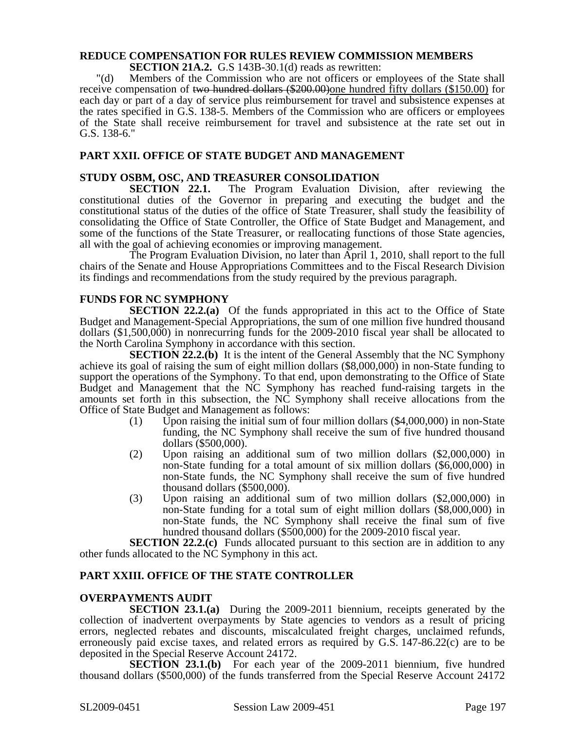# **REDUCE COMPENSATION FOR RULES REVIEW COMMISSION MEMBERS**

**SECTION 21A.2.** G.S 143B-30.1(d) reads as rewritten:

"(d) Members of the Commission who are not officers or employees of the State shall receive compensation of two hundred dollars  $(\$200.00)$  one hundred fifty dollars  $(\$150.00)$  for each day or part of a day of service plus reimbursement for travel and subsistence expenses at the rates specified in G.S. 138-5. Members of the Commission who are officers or employees of the State shall receive reimbursement for travel and subsistence at the rate set out in G.S. 138-6."

# **PART XXII. OFFICE OF STATE BUDGET AND MANAGEMENT**

# **STUDY OSBM, OSC, AND TREASURER CONSOLIDATION**

**SECTION 22.1.** The Program Evaluation Division, after reviewing the constitutional duties of the Governor in preparing and executing the budget and the constitutional status of the duties of the office of State Treasurer, shall study the feasibility of consolidating the Office of State Controller, the Office of State Budget and Management, and some of the functions of the State Treasurer, or reallocating functions of those State agencies, all with the goal of achieving economies or improving management.

The Program Evaluation Division, no later than April 1, 2010, shall report to the full chairs of the Senate and House Appropriations Committees and to the Fiscal Research Division its findings and recommendations from the study required by the previous paragraph.

# **FUNDS FOR NC SYMPHONY**

**SECTION 22.2.(a)** Of the funds appropriated in this act to the Office of State Budget and Management-Special Appropriations, the sum of one million five hundred thousand dollars (\$1,500,000) in nonrecurring funds for the 2009-2010 fiscal year shall be allocated to the North Carolina Symphony in accordance with this section.

**SECTION 22.2.(b)** It is the intent of the General Assembly that the NC Symphony achieve its goal of raising the sum of eight million dollars (\$8,000,000) in non-State funding to support the operations of the Symphony. To that end, upon demonstrating to the Office of State Budget and Management that the NC Symphony has reached fund-raising targets in the amounts set forth in this subsection, the NC Symphony shall receive allocations from the Office of State Budget and Management as follows:

- (1) Upon raising the initial sum of four million dollars  $(\$4,000,000)$  in non-State funding, the NC Symphony shall receive the sum of five hundred thousand dollars (\$500,000).
- (2) Upon raising an additional sum of two million dollars (\$2,000,000) in non-State funding for a total amount of six million dollars (\$6,000,000) in non-State funds, the NC Symphony shall receive the sum of five hundred thousand dollars (\$500,000).
- (3) Upon raising an additional sum of two million dollars (\$2,000,000) in non-State funding for a total sum of eight million dollars (\$8,000,000) in non-State funds, the NC Symphony shall receive the final sum of five hundred thousand dollars (\$500,000) for the 2009-2010 fiscal year.

**SECTION 22.2.(c)** Funds allocated pursuant to this section are in addition to any other funds allocated to the NC Symphony in this act.

### **PART XXIII. OFFICE OF THE STATE CONTROLLER**

### **OVERPAYMENTS AUDIT**

**SECTION 23.1.(a)** During the 2009-2011 biennium, receipts generated by the collection of inadvertent overpayments by State agencies to vendors as a result of pricing errors, neglected rebates and discounts, miscalculated freight charges, unclaimed refunds, erroneously paid excise taxes, and related errors as required by G.S. 147-86.22(c) are to be deposited in the Special Reserve Account 24172.

**SECTION 23.1.(b)** For each year of the 2009-2011 biennium, five hundred thousand dollars (\$500,000) of the funds transferred from the Special Reserve Account 24172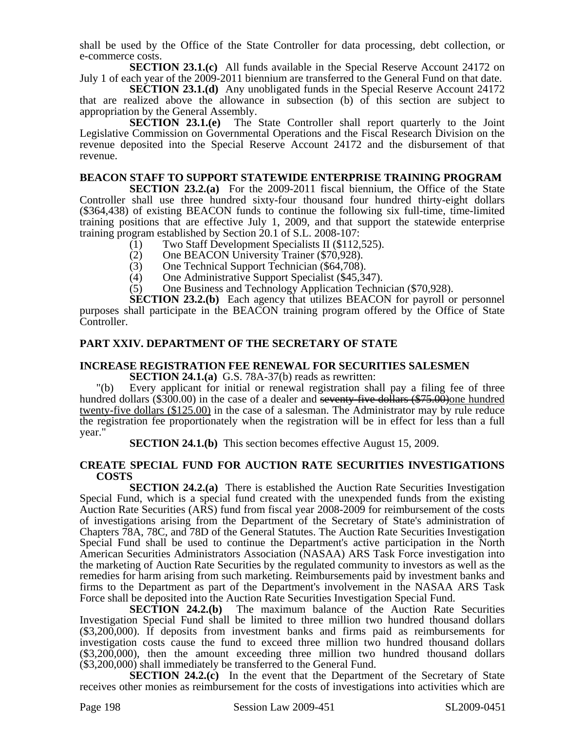shall be used by the Office of the State Controller for data processing, debt collection, or e-commerce costs.

**SECTION 23.1.(c)** All funds available in the Special Reserve Account 24172 on July 1 of each year of the 2009-2011 biennium are transferred to the General Fund on that date.

**SECTION 23.1.(d)** Any unobligated funds in the Special Reserve Account 24172 that are realized above the allowance in subsection (b) of this section are subject to appropriation by the General Assembly.

**SECTION 23.1.(e)** The State Controller shall report quarterly to the Joint Legislative Commission on Governmental Operations and the Fiscal Research Division on the revenue deposited into the Special Reserve Account 24172 and the disbursement of that revenue.

# **BEACON STAFF TO SUPPORT STATEWIDE ENTERPRISE TRAINING PROGRAM**

**SECTION 23.2.(a)** For the 2009-2011 fiscal biennium, the Office of the State Controller shall use three hundred sixty-four thousand four hundred thirty-eight dollars (\$364,438) of existing BEACON funds to continue the following six full-time, time-limited training positions that are effective July 1, 2009, and that support the statewide enterprise training program established by Section 20.1 of S.L. 2008-107:

- $(1)$  Two Staff Development Specialists II (\$112,525).
- 
- (2) One BEACON University Trainer (\$70,928).<br>
(3) One Technical Support Technician (\$64,708).
- (3) One Technical Support Technician (\$64,708).<br>
(4) One Administrative Support Specialist (\$45.34)
- (4) One Administrative Support Specialist (\$45,347).<br>
(5) One Business and Technology Application Techni One Business and Technology Application Technician (\$70,928).

**SECTION 23.2.(b)** Each agency that utilizes BEACON for payroll or personnel purposes shall participate in the BEACON training program offered by the Office of State Controller.

# **PART XXIV. DEPARTMENT OF THE SECRETARY OF STATE**

# **INCREASE REGISTRATION FEE RENEWAL FOR SECURITIES SALESMEN**

**SECTION 24.1.(a)** G.S. 78A-37(b) reads as rewritten:

"(b) Every applicant for initial or renewal registration shall pay a filing fee of three hundred dollars (\$300.00) in the case of a dealer and seventy-five dollars (\$75.00) one hundred twenty-five dollars (\$125.00) in the case of a salesman. The Administrator may by rule reduce the registration fee proportionately when the registration will be in effect for less than a full year."

**SECTION 24.1.(b)** This section becomes effective August 15, 2009.

### **CREATE SPECIAL FUND FOR AUCTION RATE SECURITIES INVESTIGATIONS COSTS**

**SECTION 24.2.(a)** There is established the Auction Rate Securities Investigation Special Fund, which is a special fund created with the unexpended funds from the existing Auction Rate Securities (ARS) fund from fiscal year 2008-2009 for reimbursement of the costs of investigations arising from the Department of the Secretary of State's administration of Chapters 78A, 78C, and 78D of the General Statutes. The Auction Rate Securities Investigation Special Fund shall be used to continue the Department's active participation in the North American Securities Administrators Association (NASAA) ARS Task Force investigation into the marketing of Auction Rate Securities by the regulated community to investors as well as the remedies for harm arising from such marketing. Reimbursements paid by investment banks and firms to the Department as part of the Department's involvement in the NASAA ARS Task Force shall be deposited into the Auction Rate Securities Investigation Special Fund.<br>SECTION 24.2.(b) The maximum balance of the Auction Rate

The maximum balance of the Auction Rate Securities Investigation Special Fund shall be limited to three million two hundred thousand dollars (\$3,200,000). If deposits from investment banks and firms paid as reimbursements for investigation costs cause the fund to exceed three million two hundred thousand dollars  $(*3,200,000)$ , then the amount exceeding three million two hundred thousand dollars (\$3,200,000) shall immediately be transferred to the General Fund.

**SECTION 24.2.(c)** In the event that the Department of the Secretary of State receives other monies as reimbursement for the costs of investigations into activities which are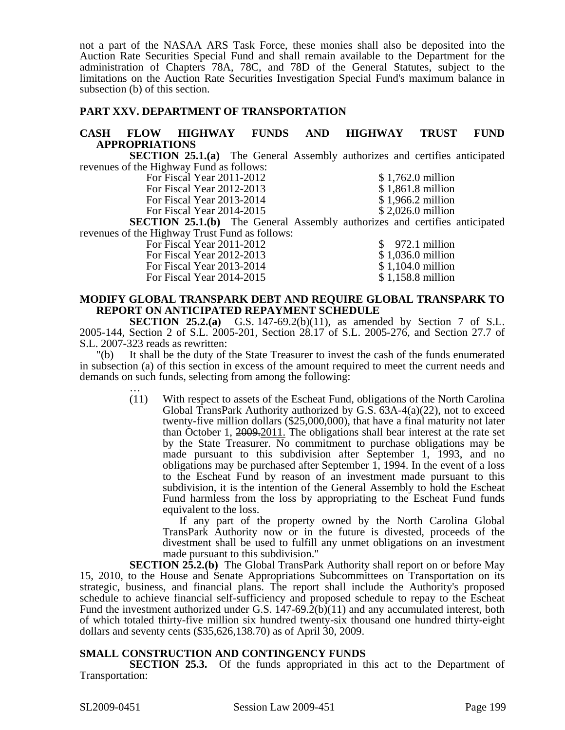not a part of the NASAA ARS Task Force, these monies shall also be deposited into the Auction Rate Securities Special Fund and shall remain available to the Department for the administration of Chapters 78A, 78C, and 78D of the General Statutes, subject to the limitations on the Auction Rate Securities Investigation Special Fund's maximum balance in subsection (b) of this section.

# **PART XXV. DEPARTMENT OF TRANSPORTATION**

# **CASH FLOW HIGHWAY FUNDS AND HIGHWAY TRUST FUND APPROPRIATIONS**

**SECTION 25.1.(a)** The General Assembly authorizes and certifies anticipated revenues of the Highway Fund as follows:

| For Fiscal Year 2011-2012 | \$1,762.0 million  |
|---------------------------|--------------------|
| For Fiscal Year 2012-2013 | $$1,861.8$ million |
| For Fiscal Year 2013-2014 | $$1,966.2$ million |
| For Fiscal Year 2014-2015 | $$2,026.0$ million |

**SECTION 25.1.(b)** The General Assembly authorizes and certifies anticipated revenues of the Highway Trust Fund as follows:

For Fiscal Year 2011-2012 \$ 972.1 million For Fiscal Year 2012-2013 \$ 1,036.0 million For Fiscal Year 2013-2014 \$ 1,104.0 million For Fiscal Year 2014-2015 \$ 1,158.8 million

# **MODIFY GLOBAL TRANSPARK DEBT AND REQUIRE GLOBAL TRANSPARK TO REPORT ON ANTICIPATED REPAYMENT SCHEDULE**

**SECTION 25.2.(a)** G.S. 147-69.2(b)(11), as amended by Section 7 of S.L. 2005-144, Section 2 of S.L. 2005-201, Section 28.17 of S.L. 2005-276, and Section 27.7 of S.L. 2007-323 reads as rewritten:

"(b) It shall be the duty of the State Treasurer to invest the cash of the funds enumerated in subsection (a) of this section in excess of the amount required to meet the current needs and demands on such funds, selecting from among the following:

> … (11) With respect to assets of the Escheat Fund, obligations of the North Carolina Global TransPark Authority authorized by G.S. 63A-4(a)(22), not to exceed twenty-five million dollars (\$25,000,000), that have a final maturity not later than October 1, 2009.2011. The obligations shall bear interest at the rate set by the State Treasurer. No commitment to purchase obligations may be made pursuant to this subdivision after September 1, 1993, and no obligations may be purchased after September 1, 1994. In the event of a loss to the Escheat Fund by reason of an investment made pursuant to this subdivision, it is the intention of the General Assembly to hold the Escheat Fund harmless from the loss by appropriating to the Escheat Fund funds equivalent to the loss.

If any part of the property owned by the North Carolina Global TransPark Authority now or in the future is divested, proceeds of the divestment shall be used to fulfill any unmet obligations on an investment made pursuant to this subdivision."

**SECTION 25.2.(b)** The Global TransPark Authority shall report on or before May 15, 2010, to the House and Senate Appropriations Subcommittees on Transportation on its strategic, business, and financial plans. The report shall include the Authority's proposed schedule to achieve financial self-sufficiency and proposed schedule to repay to the Escheat Fund the investment authorized under G.S.  $147-69.2(b)(11)$  and any accumulated interest, both of which totaled thirty-five million six hundred twenty-six thousand one hundred thirty-eight dollars and seventy cents (\$35,626,138.70) as of April 30, 2009.

### **SMALL CONSTRUCTION AND CONTINGENCY FUNDS**

**SECTION 25.3.** Of the funds appropriated in this act to the Department of Transportation: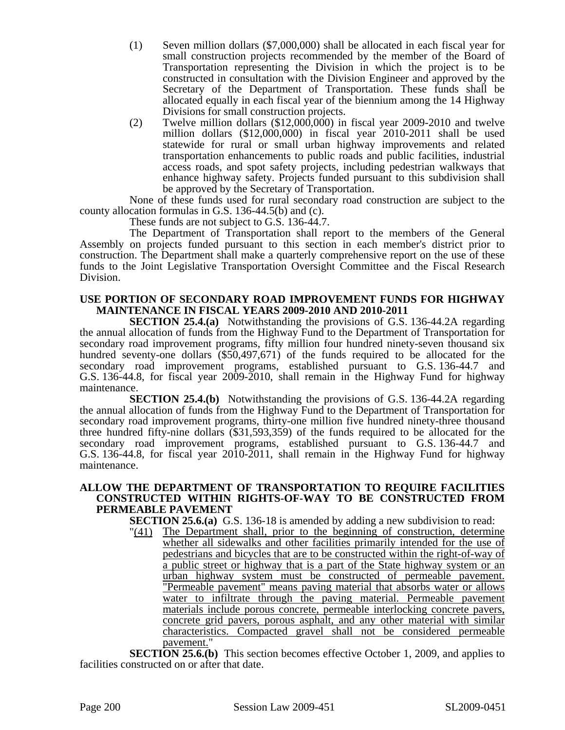- (1) Seven million dollars (\$7,000,000) shall be allocated in each fiscal year for small construction projects recommended by the member of the Board of Transportation representing the Division in which the project is to be constructed in consultation with the Division Engineer and approved by the Secretary of the Department of Transportation. These funds shall be allocated equally in each fiscal year of the biennium among the 14 Highway Divisions for small construction projects.
- (2) Twelve million dollars  $(\$12,000,000)$  in fiscal year 2009-2010 and twelve million dollars (\$12,000,000) in fiscal year 2010-2011 shall be used statewide for rural or small urban highway improvements and related transportation enhancements to public roads and public facilities, industrial access roads, and spot safety projects, including pedestrian walkways that enhance highway safety. Projects funded pursuant to this subdivision shall be approved by the Secretary of Transportation.

None of these funds used for rural secondary road construction are subject to the county allocation formulas in G.S. 136-44.5(b) and (c).

These funds are not subject to G.S. 136-44.7.

The Department of Transportation shall report to the members of the General Assembly on projects funded pursuant to this section in each member's district prior to construction. The Department shall make a quarterly comprehensive report on the use of these funds to the Joint Legislative Transportation Oversight Committee and the Fiscal Research Division.

# **USE PORTION OF SECONDARY ROAD IMPROVEMENT FUNDS FOR HIGHWAY MAINTENANCE IN FISCAL YEARS 2009-2010 AND 2010-2011**

**SECTION 25.4.(a)** Notwithstanding the provisions of G.S. 136-44.2A regarding the annual allocation of funds from the Highway Fund to the Department of Transportation for secondary road improvement programs, fifty million four hundred ninety-seven thousand six hundred seventy-one dollars  $(\$50,497,671)$  of the funds required to be allocated for the secondary road improvement programs, established pursuant to G.S. 136-44.7 and G.S. 136-44.8, for fiscal year 2009-2010, shall remain in the Highway Fund for highway maintenance.

**SECTION 25.4.(b)** Notwithstanding the provisions of G.S. 136-44.2A regarding the annual allocation of funds from the Highway Fund to the Department of Transportation for secondary road improvement programs, thirty-one million five hundred ninety-three thousand three hundred fifty-nine dollars (\$31,593,359) of the funds required to be allocated for the secondary road improvement programs, established pursuant to G.S. 136-44.7 and G.S. 136-44.8, for fiscal year 2010-2011, shall remain in the Highway Fund for highway maintenance.

### **ALLOW THE DEPARTMENT OF TRANSPORTATION TO REQUIRE FACILITIES CONSTRUCTED WITHIN RIGHTS-OF-WAY TO BE CONSTRUCTED FROM PERMEABLE PAVEMENT**

**SECTION 25.6.(a)** G.S. 136-18 is amended by adding a new subdivision to read:

"(41) The Department shall, prior to the beginning of construction, determine whether all sidewalks and other facilities primarily intended for the use of pedestrians and bicycles that are to be constructed within the right-of-way of a public street or highway that is a part of the State highway system or an urban highway system must be constructed of permeable pavement. "Permeable pavement" means paving material that absorbs water or allows water to infiltrate through the paving material. Permeable pavement materials include porous concrete, permeable interlocking concrete pavers, concrete grid pavers, porous asphalt, and any other material with similar characteristics. Compacted gravel shall not be considered permeable pavement."

**SECTION 25.6.(b)** This section becomes effective October 1, 2009, and applies to facilities constructed on or after that date.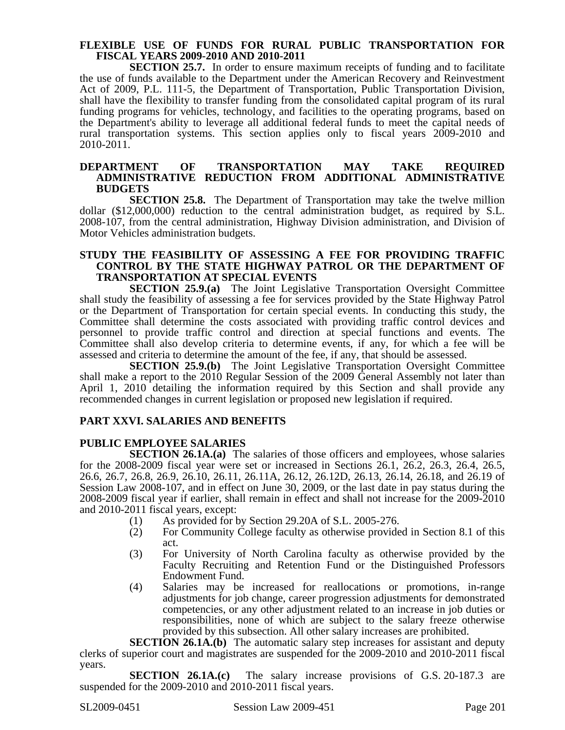# **FLEXIBLE USE OF FUNDS FOR RURAL PUBLIC TRANSPORTATION FOR FISCAL YEARS 2009-2010 AND 2010-2011**

**SECTION 25.7.** In order to ensure maximum receipts of funding and to facilitate the use of funds available to the Department under the American Recovery and Reinvestment Act of 2009, P.L. 111-5, the Department of Transportation, Public Transportation Division, shall have the flexibility to transfer funding from the consolidated capital program of its rural funding programs for vehicles, technology, and facilities to the operating programs, based on the Department's ability to leverage all additional federal funds to meet the capital needs of rural transportation systems. This section applies only to fiscal years 2009-2010 and 2010-2011.

#### **DEPARTMENT OF TRANSPORTATION MAY TAKE REQUIRED ADMINISTRATIVE REDUCTION FROM ADDITIONAL ADMINISTRATIVE BUDGETS**

**SECTION 25.8.** The Department of Transportation may take the twelve million dollar (\$12,000,000) reduction to the central administration budget, as required by S.L. 2008-107, from the central administration, Highway Division administration, and Division of Motor Vehicles administration budgets.

# **STUDY THE FEASIBILITY OF ASSESSING A FEE FOR PROVIDING TRAFFIC CONTROL BY THE STATE HIGHWAY PATROL OR THE DEPARTMENT OF TRANSPORTATION AT SPECIAL EVENTS**

**SECTION 25.9.(a)** The Joint Legislative Transportation Oversight Committee shall study the feasibility of assessing a fee for services provided by the State Highway Patrol or the Department of Transportation for certain special events. In conducting this study, the Committee shall determine the costs associated with providing traffic control devices and personnel to provide traffic control and direction at special functions and events. The Committee shall also develop criteria to determine events, if any, for which a fee will be assessed and criteria to determine the amount of the fee, if any, that should be assessed.

**SECTION 25.9.(b)** The Joint Legislative Transportation Oversight Committee shall make a report to the 2010 Regular Session of the 2009 General Assembly not later than April 1, 2010 detailing the information required by this Section and shall provide any recommended changes in current legislation or proposed new legislation if required.

# **PART XXVI. SALARIES AND BENEFITS**

# **PUBLIC EMPLOYEE SALARIES**

**SECTION 26.1A.(a)** The salaries of those officers and employees, whose salaries for the 2008-2009 fiscal year were set or increased in Sections 26.1, 26.2, 26.3, 26.4, 26.5, 26.6, 26.7, 26.8, 26.9, 26.10, 26.11, 26.11A, 26.12, 26.12D, 26.13, 26.14, 26.18, and 26.19 of Session Law 2008-107, and in effect on June 30, 2009, or the last date in pay status during the 2008-2009 fiscal year if earlier, shall remain in effect and shall not increase for the 2009-2010 and 2010-2011 fiscal years, except:

- 
- (1) As provided for by Section 29.20A of S.L. 2005-276.<br>(2) For Community College faculty as otherwise provide For Community College faculty as otherwise provided in Section 8.1 of this act.
- (3) For University of North Carolina faculty as otherwise provided by the Faculty Recruiting and Retention Fund or the Distinguished Professors Endowment Fund.
- (4) Salaries may be increased for reallocations or promotions, in-range adjustments for job change, career progression adjustments for demonstrated competencies, or any other adjustment related to an increase in job duties or responsibilities, none of which are subject to the salary freeze otherwise provided by this subsection. All other salary increases are prohibited.

**SECTION 26.1A.(b)** The automatic salary step increases for assistant and deputy clerks of superior court and magistrates are suspended for the 2009-2010 and 2010-2011 fiscal years.

**SECTION 26.1A.(c)** The salary increase provisions of G.S. 20-187.3 are suspended for the 2009-2010 and 2010-2011 fiscal years.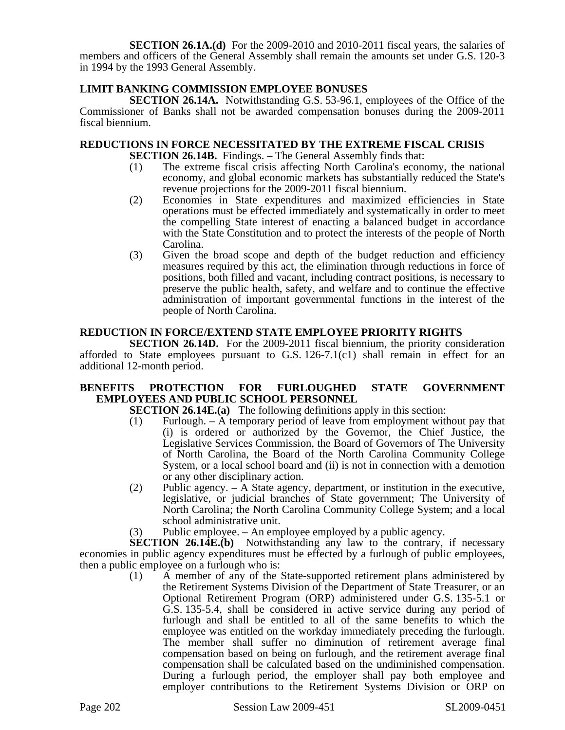**SECTION 26.1A.(d)** For the 2009-2010 and 2010-2011 fiscal years, the salaries of members and officers of the General Assembly shall remain the amounts set under G.S. 120-3 in 1994 by the 1993 General Assembly.

# **LIMIT BANKING COMMISSION EMPLOYEE BONUSES**

**SECTION 26.14A.** Notwithstanding G.S. 53-96.1, employees of the Office of the Commissioner of Banks shall not be awarded compensation bonuses during the 2009-2011 fiscal biennium.

# **REDUCTIONS IN FORCE NECESSITATED BY THE EXTREME FISCAL CRISIS**

**SECTION 26.14B.** Findings. – The General Assembly finds that:

- (1) The extreme fiscal crisis affecting North Carolina's economy, the national economy, and global economic markets has substantially reduced the State's revenue projections for the 2009-2011 fiscal biennium.
- (2) Economies in State expenditures and maximized efficiencies in State operations must be effected immediately and systematically in order to meet the compelling State interest of enacting a balanced budget in accordance with the State Constitution and to protect the interests of the people of North Carolina.
- (3) Given the broad scope and depth of the budget reduction and efficiency measures required by this act, the elimination through reductions in force of positions, both filled and vacant, including contract positions, is necessary to preserve the public health, safety, and welfare and to continue the effective administration of important governmental functions in the interest of the people of North Carolina.

# **REDUCTION IN FORCE/EXTEND STATE EMPLOYEE PRIORITY RIGHTS**

**SECTION 26.14D.** For the 2009-2011 fiscal biennium, the priority consideration afforded to State employees pursuant to G.S. 126-7.1(c1) shall remain in effect for an additional 12-month period.

# **BENEFITS PROTECTION FOR FURLOUGHED STATE GOVERNMENT EMPLOYEES AND PUBLIC SCHOOL PERSONNEL**

**SECTION 26.14E.(a)** The following definitions apply in this section:

- (1) Furlough. A temporary period of leave from employment without pay that (i) is ordered or authorized by the Governor, the Chief Justice, the Legislative Services Commission, the Board of Governors of The University of North Carolina, the Board of the North Carolina Community College System, or a local school board and (ii) is not in connection with a demotion or any other disciplinary action.
- (2) Public agency. A State agency, department, or institution in the executive, legislative, or judicial branches of State government; The University of North Carolina; the North Carolina Community College System; and a local school administrative unit.
- (3) Public employee. An employee employed by a public agency.

**SECTION 26.14E.(b)** Notwithstanding any law to the contrary, if necessary economies in public agency expenditures must be effected by a furlough of public employees, then a public employee on a furlough who is:

(1) A member of any of the State-supported retirement plans administered by the Retirement Systems Division of the Department of State Treasurer, or an Optional Retirement Program (ORP) administered under G.S. 135-5.1 or G.S. 135-5.4, shall be considered in active service during any period of furlough and shall be entitled to all of the same benefits to which the employee was entitled on the workday immediately preceding the furlough. The member shall suffer no diminution of retirement average final compensation based on being on furlough, and the retirement average final compensation shall be calculated based on the undiminished compensation. During a furlough period, the employer shall pay both employee and employer contributions to the Retirement Systems Division or ORP on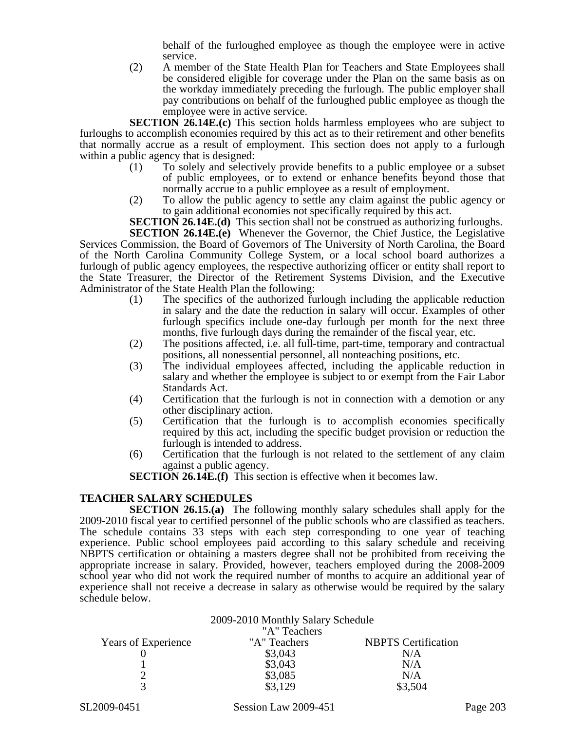behalf of the furloughed employee as though the employee were in active service.

(2) A member of the State Health Plan for Teachers and State Employees shall be considered eligible for coverage under the Plan on the same basis as on the workday immediately preceding the furlough. The public employer shall pay contributions on behalf of the furloughed public employee as though the employee were in active service.

**SECTION 26.14E.(c)** This section holds harmless employees who are subject to furloughs to accomplish economies required by this act as to their retirement and other benefits that normally accrue as a result of employment. This section does not apply to a furlough within a public agency that is designed:

- (1) To solely and selectively provide benefits to a public employee or a subset of public employees, or to extend or enhance benefits beyond those that normally accrue to a public employee as a result of employment.
- (2) To allow the public agency to settle any claim against the public agency or to gain additional economies not specifically required by this act.

**SECTION 26.14E.**(d) This section shall not be construed as authorizing furloughs.

**SECTION 26.14E.(e)** Whenever the Governor, the Chief Justice, the Legislative Services Commission, the Board of Governors of The University of North Carolina, the Board of the North Carolina Community College System, or a local school board authorizes a furlough of public agency employees, the respective authorizing officer or entity shall report to the State Treasurer, the Director of the Retirement Systems Division, and the Executive Administrator of the State Health Plan the following:

- (1) The specifics of the authorized furlough including the applicable reduction in salary and the date the reduction in salary will occur. Examples of other furlough specifics include one-day furlough per month for the next three months, five furlough days during the remainder of the fiscal year, etc.
- (2) The positions affected, i.e. all full-time, part-time, temporary and contractual positions, all nonessential personnel, all nonteaching positions, etc.
- (3) The individual employees affected, including the applicable reduction in salary and whether the employee is subject to or exempt from the Fair Labor Standards Act.
- (4) Certification that the furlough is not in connection with a demotion or any other disciplinary action.
- (5) Certification that the furlough is to accomplish economies specifically required by this act, including the specific budget provision or reduction the furlough is intended to address.
- (6) Certification that the furlough is not related to the settlement of any claim against a public agency.

**SECTION 26.14E.**(f) This section is effective when it becomes law.

# **TEACHER SALARY SCHEDULES**

**SECTION 26.15.(a)** The following monthly salary schedules shall apply for the 2009-2010 fiscal year to certified personnel of the public schools who are classified as teachers. The schedule contains 33 steps with each step corresponding to one year of teaching experience. Public school employees paid according to this salary schedule and receiving NBPTS certification or obtaining a masters degree shall not be prohibited from receiving the appropriate increase in salary. Provided, however, teachers employed during the 2008-2009 school year who did not work the required number of months to acquire an additional year of experience shall not receive a decrease in salary as otherwise would be required by the salary schedule below.

| 2009-2010 Monthly Salary Schedule |              |                            |  |  |
|-----------------------------------|--------------|----------------------------|--|--|
|                                   | "A" Teachers |                            |  |  |
| Years of Experience               | "A" Teachers | <b>NBPTS</b> Certification |  |  |
|                                   | \$3,043      | N/A                        |  |  |
|                                   | \$3,043      | N/A                        |  |  |
|                                   | \$3,085      | N/A                        |  |  |
|                                   | \$3,129      | \$3.504                    |  |  |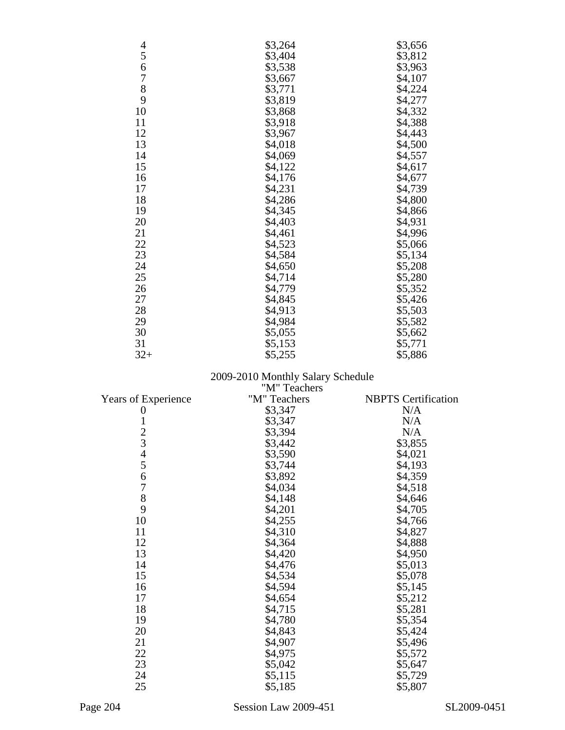| 4     | \$3,264 | \$3,656 |
|-------|---------|---------|
| 5     | \$3,404 | \$3,812 |
| 6     | \$3,538 | \$3,963 |
| 7     | \$3,667 | \$4,107 |
| 8     | \$3,771 | \$4,224 |
| 9     | \$3,819 | \$4,277 |
| 10    | \$3,868 | \$4,332 |
| 11    | \$3,918 | \$4,388 |
| 12    | \$3,967 | \$4,443 |
| 13    | \$4,018 | \$4,500 |
| 14    | \$4,069 | \$4,557 |
| 15    | \$4,122 | \$4,617 |
| 16    | \$4,176 | \$4,677 |
| 17    | \$4,231 | \$4,739 |
| 18    | \$4,286 | \$4,800 |
| 19    | \$4,345 | \$4,866 |
| 20    | \$4,403 | \$4,931 |
| 21    | \$4,461 | \$4,996 |
| 22    | \$4,523 | \$5,066 |
| 23    | \$4,584 | \$5,134 |
| 24    | \$4,650 | \$5,208 |
| 25    | \$4,714 | \$5,280 |
| 26    | \$4,779 | \$5,352 |
| 27    | \$4,845 | \$5,426 |
| 28    | \$4,913 | \$5,503 |
| 29    | \$4,984 | \$5,582 |
| 30    | \$5,055 | \$5,662 |
| 31    | \$5,153 | \$5,771 |
| $32+$ | \$5,255 | \$5,886 |
|       |         |         |

#### 2009-2010 Monthly Salary Schedule

|                                           | "M" Teachers |                            |
|-------------------------------------------|--------------|----------------------------|
| Years of Experience                       | "M" Teachers | <b>NBPTS</b> Certification |
| 0                                         | \$3,347      | N/A                        |
|                                           | \$3,347      | N/A                        |
|                                           | \$3,394      | N/A                        |
|                                           | \$3,442      | \$3,855                    |
| $\frac{1}{2}$ $\frac{2}{3}$ $\frac{4}{5}$ | \$3,590      | \$4,021                    |
|                                           | \$3,744      | \$4,193                    |
|                                           | \$3,892      | \$4,359                    |
|                                           | \$4,034      | \$4,518                    |
| 6789                                      | \$4,148      | \$4,646                    |
|                                           | \$4,201      | \$4,705                    |
| 10                                        | \$4,255      | \$4,766                    |
| 11                                        | \$4,310      | \$4,827                    |
| 12                                        | \$4,364      | \$4,888                    |
| 13                                        | \$4,420      | \$4,950                    |
| 14                                        | \$4,476      | \$5,013                    |
| 15                                        | \$4,534      | \$5,078                    |
| 16                                        | \$4,594      | \$5,145                    |
| 17                                        | \$4,654      | \$5,212                    |
| 18                                        | \$4,715      | \$5,281                    |
| 19                                        | \$4,780      | \$5,354                    |
| 20                                        | \$4,843      | \$5,424                    |
| 21                                        | \$4,907      | \$5,496                    |
| 22                                        | \$4,975      | \$5,572                    |
| 23                                        | \$5,042      | \$5,647                    |
| 24                                        | \$5,115      | \$5,729                    |
| 25                                        | \$5,185      | \$5,807                    |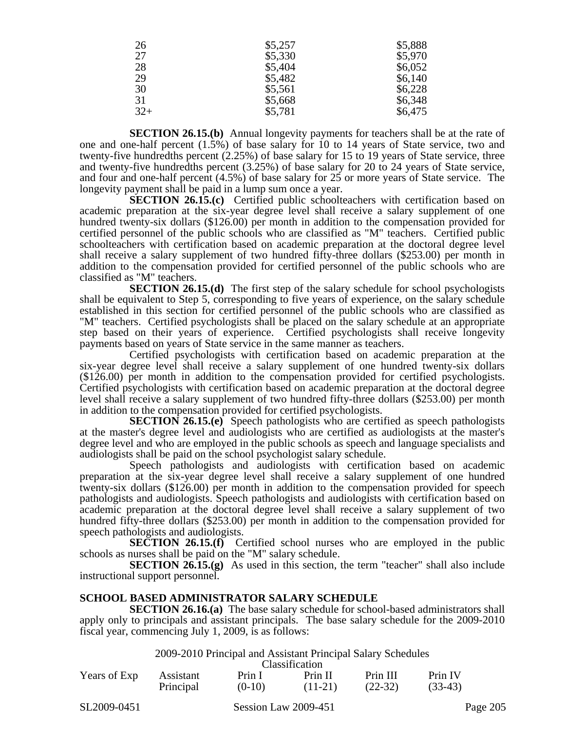| 26    | \$5,257 | \$5,888 |
|-------|---------|---------|
| 27    | \$5,330 | \$5,970 |
| 28    | \$5,404 | \$6,052 |
| 29    | \$5,482 | \$6,140 |
| 30    | \$5,561 | \$6,228 |
| 31    | \$5,668 | \$6,348 |
| $32+$ | \$5,781 | \$6,475 |

**SECTION 26.15.(b)** Annual longevity payments for teachers shall be at the rate of one and one-half percent (1.5%) of base salary for 10 to 14 years of State service, two and twenty-five hundredths percent (2.25%) of base salary for 15 to 19 years of State service, three and twenty-five hundredths percent (3.25%) of base salary for 20 to 24 years of State service, and four and one-half percent (4.5%) of base salary for 25 or more years of State service. The longevity payment shall be paid in a lump sum once a year.

**SECTION 26.15.(c)** Certified public schoolteachers with certification based on academic preparation at the six-year degree level shall receive a salary supplement of one hundred twenty-six dollars (\$126.00) per month in addition to the compensation provided for certified personnel of the public schools who are classified as "M" teachers. Certified public schoolteachers with certification based on academic preparation at the doctoral degree level shall receive a salary supplement of two hundred fifty-three dollars (\$253.00) per month in addition to the compensation provided for certified personnel of the public schools who are classified as "M" teachers.

**SECTION 26.15.(d)** The first step of the salary schedule for school psychologists shall be equivalent to Step 5, corresponding to five years of experience, on the salary schedule established in this section for certified personnel of the public schools who are classified as "M" teachers. Certified psychologists shall be placed on the salary schedule at an appropriate step based on their years of experience. Certified psychologists shall receive longevity payments based on years of State service in the same manner as teachers.

Certified psychologists with certification based on academic preparation at the six-year degree level shall receive a salary supplement of one hundred twenty-six dollars (\$126.00) per month in addition to the compensation provided for certified psychologists. Certified psychologists with certification based on academic preparation at the doctoral degree level shall receive a salary supplement of two hundred fifty-three dollars (\$253.00) per month in addition to the compensation provided for certified psychologists.

**SECTION 26.15.(e)** Speech pathologists who are certified as speech pathologists at the master's degree level and audiologists who are certified as audiologists at the master's degree level and who are employed in the public schools as speech and language specialists and audiologists shall be paid on the school psychologist salary schedule.

Speech pathologists and audiologists with certification based on academic preparation at the six-year degree level shall receive a salary supplement of one hundred twenty-six dollars (\$126.00) per month in addition to the compensation provided for speech pathologists and audiologists. Speech pathologists and audiologists with certification based on academic preparation at the doctoral degree level shall receive a salary supplement of two hundred fifty-three dollars (\$253.00) per month in addition to the compensation provided for speech pathologists and audiologists.

**SECTION 26.15.(f)** Certified school nurses who are employed in the public schools as nurses shall be paid on the "M" salary schedule.

**SECTION 26.15.(g)** As used in this section, the term "teacher" shall also include instructional support personnel.

### **SCHOOL BASED ADMINISTRATOR SALARY SCHEDULE**

**SECTION 26.16.(a)** The base salary schedule for school-based administrators shall apply only to principals and assistant principals. The base salary schedule for the 2009-2010 fiscal year, commencing July 1, 2009, is as follows:

2009-2010 Principal and Assistant Principal Salary Schedules

| Classification |           |          |           |           |           |
|----------------|-----------|----------|-----------|-----------|-----------|
| Years of Exp   | Assistant | Prin I   | Prin II   | Prin III  | Prin IV   |
|                | Principal | $(0-10)$ | $(11-21)$ | $(22-32)$ | $(33-43)$ |

SL2009-0451 Session Law 2009-451 Page 205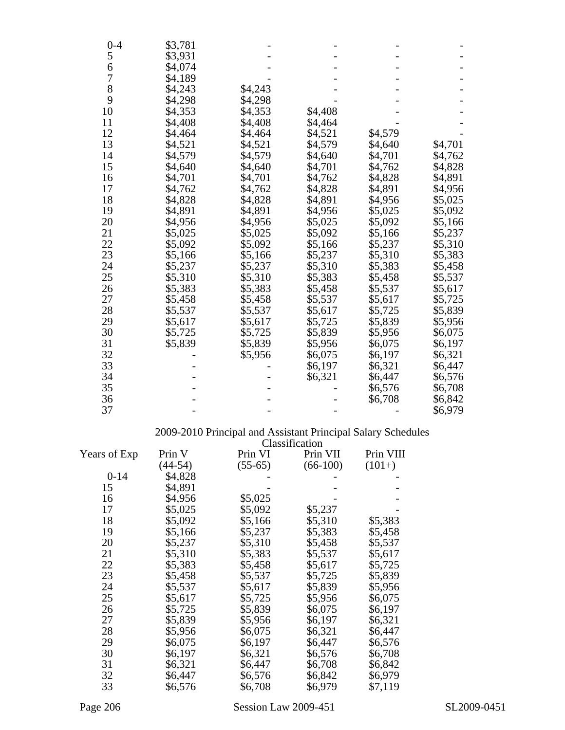| $0 - 4$       | \$3,781 |         |         |         |         |
|---------------|---------|---------|---------|---------|---------|
| 5             | \$3,931 |         |         |         |         |
| $\frac{6}{7}$ | \$4,074 |         |         |         |         |
|               | \$4,189 |         |         |         |         |
| 8             | \$4,243 | \$4,243 |         |         |         |
| 9             | \$4,298 | \$4,298 |         |         |         |
| 10            | \$4,353 | \$4,353 | \$4,408 |         |         |
| 11            | \$4,408 | \$4,408 | \$4,464 |         |         |
| 12            | \$4,464 | \$4,464 | \$4,521 | \$4,579 |         |
| 13            | \$4,521 | \$4,521 | \$4,579 | \$4,640 | \$4,701 |
| 14            | \$4,579 | \$4,579 | \$4,640 | \$4,701 | \$4,762 |
| 15            | \$4,640 | \$4,640 | \$4,701 | \$4,762 | \$4,828 |
| 16            | \$4,701 | \$4,701 | \$4,762 | \$4,828 | \$4,891 |
| 17            | \$4,762 | \$4,762 | \$4,828 | \$4,891 | \$4,956 |
| 18            | \$4,828 | \$4,828 | \$4,891 | \$4,956 | \$5,025 |
| 19            | \$4,891 | \$4,891 | \$4,956 | \$5,025 | \$5,092 |
| 20            | \$4,956 | \$4,956 | \$5,025 | \$5,092 | \$5,166 |
| 21            | \$5,025 | \$5,025 | \$5,092 | \$5,166 | \$5,237 |
| 22            | \$5,092 | \$5,092 | \$5,166 | \$5,237 | \$5,310 |
| 23            | \$5,166 | \$5,166 | \$5,237 | \$5,310 | \$5,383 |
| 24            | \$5,237 | \$5,237 | \$5,310 | \$5,383 | \$5,458 |
| 25            | \$5,310 | \$5,310 | \$5,383 | \$5,458 | \$5,537 |
| 26            | \$5,383 | \$5,383 | \$5,458 | \$5,537 | \$5,617 |
| 27            | \$5,458 | \$5,458 | \$5,537 | \$5,617 | \$5,725 |
| 28            | \$5,537 | \$5,537 | \$5,617 | \$5,725 | \$5,839 |
| 29            | \$5,617 | \$5,617 | \$5,725 | \$5,839 | \$5,956 |
| 30            | \$5,725 | \$5,725 | \$5,839 | \$5,956 | \$6,075 |
| 31            | \$5,839 | \$5,839 | \$5,956 | \$6,075 | \$6,197 |
| 32            |         | \$5,956 | \$6,075 | \$6,197 | \$6,321 |
| 33            |         |         | \$6,197 | \$6,321 | \$6,447 |
| 34            |         |         | \$6,321 | \$6,447 | \$6,576 |
| 35            |         |         |         | \$6,576 | \$6,708 |
| 36            |         |         |         | \$6,708 | \$6,842 |
| 37            |         |         |         |         | \$6,979 |

# 2009-2010 Principal and Assistant Principal Salary Schedules

|              |           | Classification |            |           |  |
|--------------|-----------|----------------|------------|-----------|--|
| Years of Exp | Prin V    | Prin VI        | Prin VII   | Prin VIII |  |
|              | $(44-54)$ | $(55-65)$      | $(66-100)$ | $(101+)$  |  |
| $0 - 14$     | \$4,828   |                |            |           |  |
| 15           | \$4,891   |                |            |           |  |
| 16           | \$4,956   | \$5,025        |            |           |  |
| 17           | \$5,025   | \$5,092        | \$5,237    |           |  |
| 18           | \$5,092   | \$5,166        | \$5,310    | \$5,383   |  |
| 19           | \$5,166   | \$5,237        | \$5,383    | \$5,458   |  |
| 20           | \$5,237   | \$5,310        | \$5,458    | \$5,537   |  |
| 21           | \$5,310   | \$5,383        | \$5,537    | \$5,617   |  |
| 22           | \$5,383   | \$5,458        | \$5,617    | \$5,725   |  |
| 23           | \$5,458   | \$5,537        | \$5,725    | \$5,839   |  |
| 24           | \$5,537   | \$5,617        | \$5,839    | \$5,956   |  |
| 25           | \$5,617   | \$5,725        | \$5,956    | \$6,075   |  |
| 26           | \$5,725   | \$5,839        | \$6,075    | \$6,197   |  |
| 27           | \$5,839   | \$5,956        | \$6,197    | \$6,321   |  |
| 28           | \$5,956   | \$6,075        | \$6,321    | \$6,447   |  |
| 29           | \$6,075   | \$6,197        | \$6,447    | \$6,576   |  |
| 30           | \$6,197   | \$6,321        | \$6,576    | \$6,708   |  |
| 31           | \$6,321   | \$6,447        | \$6,708    | \$6,842   |  |
| 32           | \$6,447   | \$6,576        | \$6,842    | \$6,979   |  |
| 33           | \$6,576   | \$6,708        | \$6,979    | \$7,119   |  |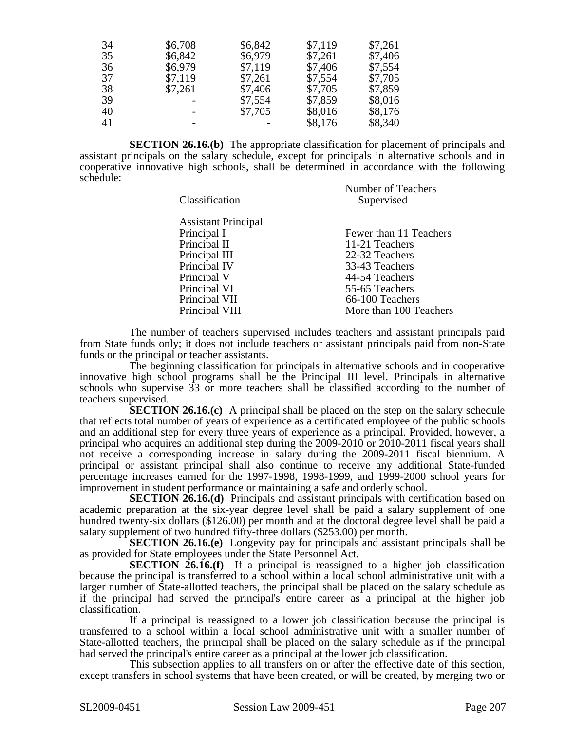| 34 | \$6,708 | \$6,842 | \$7,119 | \$7,261 |
|----|---------|---------|---------|---------|
| 35 | \$6,842 | \$6,979 | \$7,261 | \$7,406 |
| 36 | \$6,979 | \$7,119 | \$7,406 | \$7,554 |
| 37 | \$7,119 | \$7,261 | \$7,554 | \$7,705 |
| 38 | \$7,261 | \$7,406 | \$7,705 | \$7,859 |
| 39 |         | \$7,554 | \$7,859 | \$8,016 |
| 40 |         | \$7,705 | \$8,016 | \$8,176 |
| 41 |         |         | \$8,176 | \$8,340 |

**SECTION 26.16.(b)** The appropriate classification for placement of principals and assistant principals on the salary schedule, except for principals in alternative schools and in cooperative innovative high schools, shall be determined in accordance with the following schedule: Number of Teachers

| Classification             | INUIIIDEI OI TEACHEIS<br>Supervised |
|----------------------------|-------------------------------------|
| <b>Assistant Principal</b> |                                     |
| Principal I                | Fewer than 11 Teachers              |
| Principal II               | 11-21 Teachers                      |
| Principal III              | 22-32 Teachers                      |
| Principal IV               | 33-43 Teachers                      |
| Principal V                | 44-54 Teachers                      |
| Principal VI               | 55-65 Teachers                      |
| Principal VII              | 66-100 Teachers                     |
| Principal VIII             | More than 100 Teachers              |

The number of teachers supervised includes teachers and assistant principals paid from State funds only; it does not include teachers or assistant principals paid from non-State funds or the principal or teacher assistants.

The beginning classification for principals in alternative schools and in cooperative innovative high school programs shall be the Principal III level. Principals in alternative schools who supervise 33 or more teachers shall be classified according to the number of teachers supervised.

**SECTION 26.16.(c)** A principal shall be placed on the step on the salary schedule that reflects total number of years of experience as a certificated employee of the public schools and an additional step for every three years of experience as a principal. Provided, however, a principal who acquires an additional step during the 2009-2010 or 2010-2011 fiscal years shall not receive a corresponding increase in salary during the 2009-2011 fiscal biennium. A principal or assistant principal shall also continue to receive any additional State-funded percentage increases earned for the 1997-1998, 1998-1999, and 1999-2000 school years for improvement in student performance or maintaining a safe and orderly school.

**SECTION 26.16.(d)** Principals and assistant principals with certification based on academic preparation at the six-year degree level shall be paid a salary supplement of one hundred twenty-six dollars (\$126.00) per month and at the doctoral degree level shall be paid a salary supplement of two hundred fifty-three dollars (\$253.00) per month.

**SECTION 26.16.(e)** Longevity pay for principals and assistant principals shall be as provided for State employees under the State Personnel Act.

**SECTION 26.16.(f)** If a principal is reassigned to a higher job classification because the principal is transferred to a school within a local school administrative unit with a larger number of State-allotted teachers, the principal shall be placed on the salary schedule as if the principal had served the principal's entire career as a principal at the higher job classification.

If a principal is reassigned to a lower job classification because the principal is transferred to a school within a local school administrative unit with a smaller number of State-allotted teachers, the principal shall be placed on the salary schedule as if the principal had served the principal's entire career as a principal at the lower job classification.

This subsection applies to all transfers on or after the effective date of this section, except transfers in school systems that have been created, or will be created, by merging two or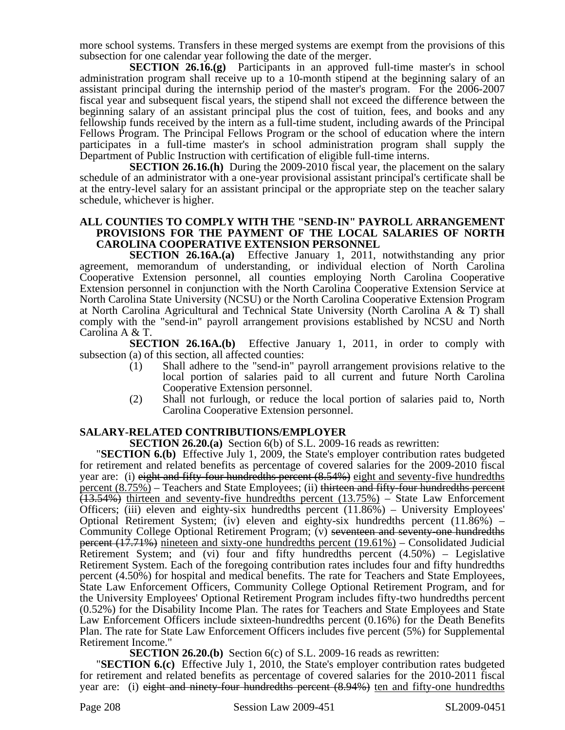more school systems. Transfers in these merged systems are exempt from the provisions of this subsection for one calendar year following the date of the merger.

**SECTION 26.16.(g)** Participants in an approved full-time master's in school administration program shall receive up to a 10-month stipend at the beginning salary of an assistant principal during the internship period of the master's program. For the 2006-2007 fiscal year and subsequent fiscal years, the stipend shall not exceed the difference between the beginning salary of an assistant principal plus the cost of tuition, fees, and books and any fellowship funds received by the intern as a full-time student, including awards of the Principal Fellows Program. The Principal Fellows Program or the school of education where the intern participates in a full-time master's in school administration program shall supply the Department of Public Instruction with certification of eligible full-time interns.

**SECTION 26.16.(h)** During the 2009-2010 fiscal year, the placement on the salary schedule of an administrator with a one-year provisional assistant principal's certificate shall be at the entry-level salary for an assistant principal or the appropriate step on the teacher salary schedule, whichever is higher.

# **ALL COUNTIES TO COMPLY WITH THE "SEND-IN" PAYROLL ARRANGEMENT PROVISIONS FOR THE PAYMENT OF THE LOCAL SALARIES OF NORTH CAROLINA COOPERATIVE EXTENSION PERSONNEL**

**SECTION 26.16A.(a)** Effective January 1, 2011, notwithstanding any prior agreement, memorandum of understanding, or individual election of North Carolina Cooperative Extension personnel, all counties employing North Carolina Cooperative Extension personnel in conjunction with the North Carolina Cooperative Extension Service at North Carolina State University (NCSU) or the North Carolina Cooperative Extension Program at North Carolina Agricultural and Technical State University (North Carolina A & T) shall comply with the "send-in" payroll arrangement provisions established by NCSU and North Carolina A & T.

**SECTION 26.16A.(b)** Effective January 1, 2011, in order to comply with subsection (a) of this section, all affected counties:

- (1) Shall adhere to the "send-in" payroll arrangement provisions relative to the local portion of salaries paid to all current and future North Carolina Cooperative Extension personnel.
- (2) Shall not furlough, or reduce the local portion of salaries paid to, North Carolina Cooperative Extension personnel.

# **SALARY-RELATED CONTRIBUTIONS/EMPLOYER**

**SECTION 26.20.(a)** Section 6(b) of S.L. 2009-16 reads as rewritten: "**SECTION 6.(b)** Effective July 1, 2009, the State's employer contribution rates budgeted for retirement and related benefits as percentage of covered salaries for the 2009-2010 fiscal year are: (i) eight and fifty-four hundredths percent (8.54%) eight and seventy-five hundredths percent  $(8.75\%)$  – Teachers and State Employees; (ii) thirteen and fifty-four hundredths percent  $(13.54\%)$  thirteen and seventy-five hundredths percent (13.75%) – State Law Enforcement Officers; (iii) eleven and eighty-six hundredths percent (11.86%) – University Employees' Optional Retirement System; (iv) eleven and eighty-six hundredths percent (11.86%) – Community College Optional Retirement Program; (v) seventeen and seventy-one hundredths percent  $(17.71%)$  nineteen and sixty-one hundredths percent  $(19.61%)$  – Consolidated Judicial Retirement System; and (vi) four and fifty hundredths percent (4.50%) – Legislative Retirement System. Each of the foregoing contribution rates includes four and fifty hundredths percent (4.50%) for hospital and medical benefits. The rate for Teachers and State Employees, State Law Enforcement Officers, Community College Optional Retirement Program, and for the University Employees' Optional Retirement Program includes fifty-two hundredths percent (0.52%) for the Disability Income Plan. The rates for Teachers and State Employees and State Law Enforcement Officers include sixteen-hundredths percent (0.16%) for the Death Benefits Plan. The rate for State Law Enforcement Officers includes five percent (5%) for Supplemental Retirement Income."<br>
SECTION 26.20.(b) Section 6(c) of S.L. 2009-16 reads as rewritten:

**SECTION 6.(c)** Effective July 1, 2010, the State's employer contribution rates budgeted for retirement and related benefits as percentage of covered salaries for the 2010-2011 fiscal year are: (i) eight and ninety-four hundredths percent  $(8.94%)$  ten and fifty-one hundredths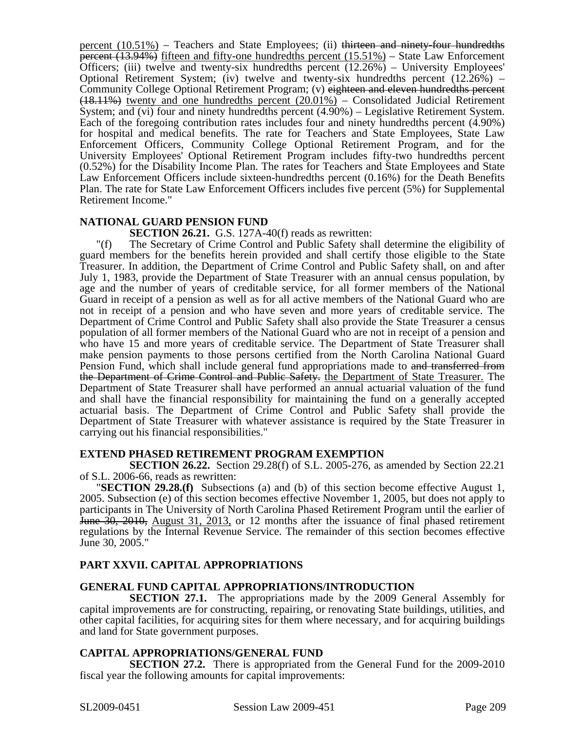percent (10.51%) – Teachers and State Employees; (ii) thirteen and ninety-four hundredths  $\frac{\text{percent}(13.94\%)}{\text{bercent}(13.94\%)}$  fifteen and fifty-one hundredths percent (15.51%) – State Law Enforcement Officers; (iii) twelve and twenty-six hundredths percent  $(12.26\%)$  – University Employees' Optional Retirement System; (iv) twelve and twenty-six hundredths percent (12.26%) – Community College Optional Retirement Program; (v) eighteen and eleven hundredths percent  $(18.11\%)$  twenty and one hundredths percent  $(20.01\%)$  – Consolidated Judicial Retirement System; and (vi) four and ninety hundredths percent (4.90%) – Legislative Retirement System. Each of the foregoing contribution rates includes four and ninety hundredths percent (4.90%) for hospital and medical benefits. The rate for Teachers and State Employees, State Law Enforcement Officers, Community College Optional Retirement Program, and for the University Employees' Optional Retirement Program includes fifty-two hundredths percent (0.52%) for the Disability Income Plan. The rates for Teachers and State Employees and State Law Enforcement Officers include sixteen-hundredths percent (0.16%) for the Death Benefits Plan. The rate for State Law Enforcement Officers includes five percent (5%) for Supplemental Retirement Income."

# **NATIONAL GUARD PENSION FUND**

**SECTION 26.21.** G.S. 127A-40(f) reads as rewritten:

"(f) The Secretary of Crime Control and Public Safety shall determine the eligibility of guard members for the benefits herein provided and shall certify those eligible to the State Treasurer. In addition, the Department of Crime Control and Public Safety shall, on and after July 1, 1983, provide the Department of State Treasurer with an annual census population, by age and the number of years of creditable service, for all former members of the National Guard in receipt of a pension as well as for all active members of the National Guard who are not in receipt of a pension and who have seven and more years of creditable service. The Department of Crime Control and Public Safety shall also provide the State Treasurer a census population of all former members of the National Guard who are not in receipt of a pension and who have 15 and more years of creditable service. The Department of State Treasurer shall make pension payments to those persons certified from the North Carolina National Guard Pension Fund, which shall include general fund appropriations made to and transferred from the Department of Crime Control and Public Safety. the Department of State Treasurer. The Department of State Treasurer shall have performed an annual actuarial valuation of the fund and shall have the financial responsibility for maintaining the fund on a generally accepted actuarial basis. The Department of Crime Control and Public Safety shall provide the Department of State Treasurer with whatever assistance is required by the State Treasurer in carrying out his financial responsibilities."

# **EXTEND PHASED RETIREMENT PROGRAM EXEMPTION**

**SECTION 26.22.** Section 29.28(f) of S.L. 2005-276, as amended by Section 22.21 of S.L. 2006-66, reads as rewritten:

**SECTION 29.28.(f)** Subsections (a) and (b) of this section become effective August 1, 2005. Subsection (e) of this section becomes effective November 1, 2005, but does not apply to participants in The University of North Carolina Phased Retirement Program until the earlier of  $\bar{J}$ une  $\bar{30}$ , 2010, August 31, 2013, or 12 months after the issuance of final phased retirement regulations by the Internal Revenue Service. The remainder of this section becomes effective June 30, 2005."

# **PART XXVII. CAPITAL APPROPRIATIONS**

### **GENERAL FUND CAPITAL APPROPRIATIONS/INTRODUCTION**

**SECTION 27.1.** The appropriations made by the 2009 General Assembly for capital improvements are for constructing, repairing, or renovating State buildings, utilities, and other capital facilities, for acquiring sites for them where necessary, and for acquiring buildings and land for State government purposes.

### **CAPITAL APPROPRIATIONS/GENERAL FUND**

**SECTION 27.2.** There is appropriated from the General Fund for the 2009-2010 fiscal year the following amounts for capital improvements: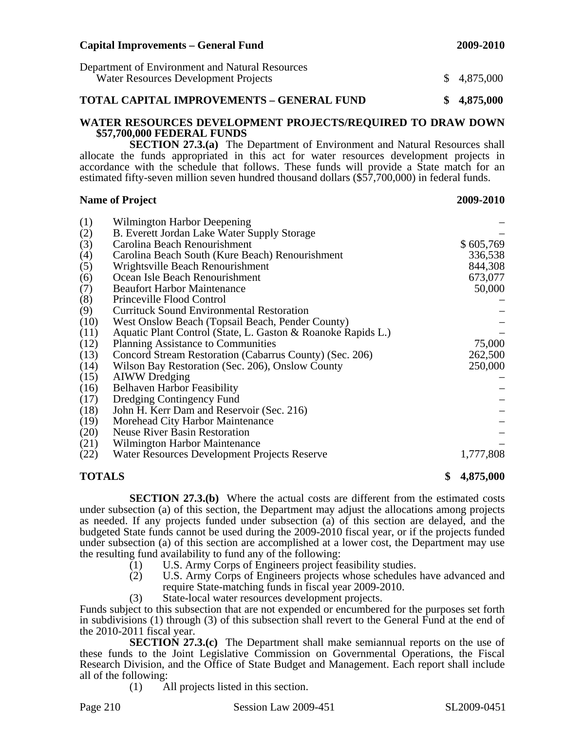### **Capital Improvements – General Fund 2009-2010**

Department of Environment and Natural Resources Water Resources Development Projects  $\frac{1}{2}$  1.875,000

# **TOTAL CAPITAL IMPROVEMENTS – GENERAL FUND \$ 4,875,000**

# **WATER RESOURCES DEVELOPMENT PROJECTS/REQUIRED TO DRAW DOWN \$57,700,000 FEDERAL FUNDS**

**SECTION 27.3.(a)** The Department of Environment and Natural Resources shall allocate the funds appropriated in this act for water resources development projects in accordance with the schedule that follows. These funds will provide a State match for an estimated fifty-seven million seven hundred thousand dollars (\$57,700,000) in federal funds.

# **Name of Project** 2009-2010

| (1)  | Wilmington Harbor Deepening                                  |           |
|------|--------------------------------------------------------------|-----------|
| (2)  | B. Everett Jordan Lake Water Supply Storage                  |           |
| (3)  | Carolina Beach Renourishment                                 | \$605,769 |
| (4)  | Carolina Beach South (Kure Beach) Renourishment              | 336,538   |
| (5)  | Wrightsville Beach Renourishment                             | 844,308   |
| (6)  | Ocean Isle Beach Renourishment                               | 673,077   |
| (7)  | <b>Beaufort Harbor Maintenance</b>                           | 50,000    |
| (8)  | Princeville Flood Control                                    |           |
| (9)  | <b>Currituck Sound Environmental Restoration</b>             |           |
| (10) | West Onslow Beach (Topsail Beach, Pender County)             |           |
| (11) | Aquatic Plant Control (State, L. Gaston & Roanoke Rapids L.) |           |
| (12) | <b>Planning Assistance to Communities</b>                    | 75,000    |
| (13) | Concord Stream Restoration (Cabarrus County) (Sec. 206)      | 262,500   |
| (14) | Wilson Bay Restoration (Sec. 206), Onslow County             | 250,000   |
| (15) | <b>AIWW</b> Dredging                                         |           |
| (16) | <b>Belhaven Harbor Feasibility</b>                           |           |
| (17) | Dredging Contingency Fund                                    |           |
| (18) | John H. Kerr Dam and Reservoir (Sec. 216)                    |           |
| (19) | Morehead City Harbor Maintenance                             |           |
| (20) | <b>Neuse River Basin Restoration</b>                         |           |
| (21) | Wilmington Harbor Maintenance                                |           |
| (22) | Water Resources Development Projects Reserve                 | 1,777,808 |

**TOTALS \$ 4,875,000** 

**SECTION 27.3.(b)** Where the actual costs are different from the estimated costs under subsection (a) of this section, the Department may adjust the allocations among projects as needed. If any projects funded under subsection (a) of this section are delayed, and the budgeted State funds cannot be used during the 2009-2010 fiscal year, or if the projects funded under subsection (a) of this section are accomplished at a lower cost, the Department may use the resulting fund availability to fund any of the following:

- $(1)$  U.S. Army Corps of Engineers project feasibility studies.
- (2) U.S. Army Corps of Engineers projects whose schedules have advanced and require State-matching funds in fiscal year 2009-2010.
- (3) State-local water resources development projects.

Funds subject to this subsection that are not expended or encumbered for the purposes set forth in subdivisions (1) through (3) of this subsection shall revert to the General Fund at the end of the 2010-2011 fiscal year.

**SECTION 27.3.(c)** The Department shall make semiannual reports on the use of these funds to the Joint Legislative Commission on Governmental Operations, the Fiscal Research Division, and the Office of State Budget and Management. Each report shall include all of the following:

(1) All projects listed in this section.

Page 210 Session Law 2009-451 SL2009-0451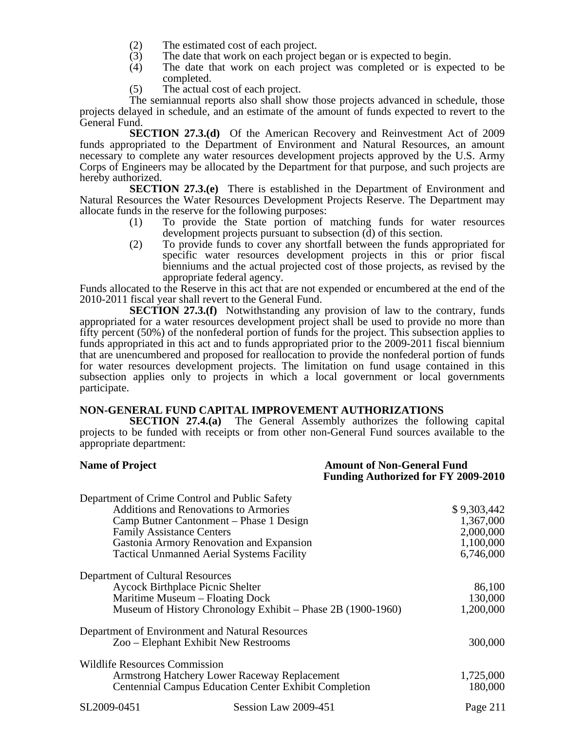- (2) The estimated cost of each project.
- (3) The date that work on each project began or is expected to begin.<br>
(4) The date that work on each project was completed or is exp
- The date that work on each project was completed or is expected to be completed.
- (5) The actual cost of each project.

The semiannual reports also shall show those projects advanced in schedule, those projects delayed in schedule, and an estimate of the amount of funds expected to revert to the General Fund.

**SECTION 27.3.(d)** Of the American Recovery and Reinvestment Act of 2009 funds appropriated to the Department of Environment and Natural Resources, an amount necessary to complete any water resources development projects approved by the U.S. Army Corps of Engineers may be allocated by the Department for that purpose, and such projects are hereby authorized.

**SECTION 27.3.(e)** There is established in the Department of Environment and Natural Resources the Water Resources Development Projects Reserve. The Department may allocate funds in the reserve for the following purposes:

- (1) To provide the State portion of matching funds for water resources development projects pursuant to subsection (d) of this section.
- (2) To provide funds to cover any shortfall between the funds appropriated for specific water resources development projects in this or prior fiscal bienniums and the actual projected cost of those projects, as revised by the appropriate federal agency.

Funds allocated to the Reserve in this act that are not expended or encumbered at the end of the 2010-2011 fiscal year shall revert to the General Fund.

**SECTION 27.3.(f)** Notwithstanding any provision of law to the contrary, funds appropriated for a water resources development project shall be used to provide no more than fifty percent (50%) of the nonfederal portion of funds for the project. This subsection applies to funds appropriated in this act and to funds appropriated prior to the 2009-2011 fiscal biennium that are unencumbered and proposed for reallocation to provide the nonfederal portion of funds for water resources development projects. The limitation on fund usage contained in this subsection applies only to projects in which a local government or local governments participate.

### **NON-GENERAL FUND CAPITAL IMPROVEMENT AUTHORIZATIONS**

**SECTION 27.4.(a)** The General Assembly authorizes the following capital projects to be funded with receipts or from other non-General Fund sources available to the appropriate department:

| <b>Name of Project</b>           |                                                                                                                                                                                                                                          | <b>Amount of Non-General Fund</b><br><b>Funding Authorized for FY 2009-2010</b> |
|----------------------------------|------------------------------------------------------------------------------------------------------------------------------------------------------------------------------------------------------------------------------------------|---------------------------------------------------------------------------------|
| <b>Family Assistance Centers</b> | Department of Crime Control and Public Safety<br><b>Additions and Renovations to Armories</b><br>Camp Butner Cantonment – Phase 1 Design<br>Gastonia Armory Renovation and Expansion<br><b>Tactical Unmanned Aerial Systems Facility</b> | \$9,303,442<br>1,367,000<br>2,000,000<br>1,100,000<br>6,746,000                 |
| Department of Cultural Resources | <b>Aycock Birthplace Picnic Shelter</b><br>Maritime Museum – Floating Dock<br>Museum of History Chronology Exhibit – Phase 2B (1900-1960)                                                                                                | 86,100<br>130,000<br>1,200,000                                                  |
|                                  | Department of Environment and Natural Resources<br>Zoo – Elephant Exhibit New Restrooms                                                                                                                                                  | 300,000                                                                         |
| Wildlife Resources Commission    | Armstrong Hatchery Lower Raceway Replacement<br><b>Centennial Campus Education Center Exhibit Completion</b>                                                                                                                             | 1,725,000<br>180,000                                                            |
| SL2009-0451                      | Session Law 2009-451                                                                                                                                                                                                                     | Page 211                                                                        |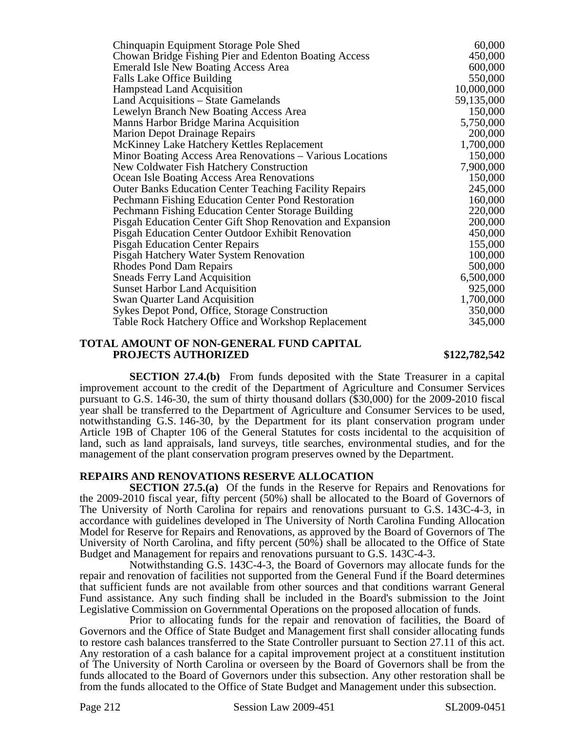| Chinquapin Equipment Storage Pole Shed                        | 60,000     |
|---------------------------------------------------------------|------------|
| Chowan Bridge Fishing Pier and Edenton Boating Access         | 450,000    |
| <b>Emerald Isle New Boating Access Area</b>                   | 600,000    |
| Falls Lake Office Building                                    | 550,000    |
| Hampstead Land Acquisition                                    | 10,000,000 |
| Land Acquisitions – State Gamelands                           | 59,135,000 |
| Lewelyn Branch New Boating Access Area                        | 150,000    |
| Manns Harbor Bridge Marina Acquisition                        | 5,750,000  |
| <b>Marion Depot Drainage Repairs</b>                          | 200,000    |
| McKinney Lake Hatchery Kettles Replacement                    | 1,700,000  |
| Minor Boating Access Area Renovations - Various Locations     | 150,000    |
| New Coldwater Fish Hatchery Construction                      | 7,900,000  |
| Ocean Isle Boating Access Area Renovations                    | 150,000    |
| <b>Outer Banks Education Center Teaching Facility Repairs</b> | 245,000    |
| Pechmann Fishing Education Center Pond Restoration            | 160,000    |
| Pechmann Fishing Education Center Storage Building            | 220,000    |
| Pisgah Education Center Gift Shop Renovation and Expansion    | 200,000    |
| Pisgah Education Center Outdoor Exhibit Renovation            | 450,000    |
| <b>Pisgah Education Center Repairs</b>                        | 155,000    |
| Pisgah Hatchery Water System Renovation                       | 100,000    |
| <b>Rhodes Pond Dam Repairs</b>                                | 500,000    |
| <b>Sneads Ferry Land Acquisition</b>                          | 6,500,000  |
| <b>Sunset Harbor Land Acquisition</b>                         | 925,000    |
| <b>Swan Quarter Land Acquisition</b>                          | 1,700,000  |
| Sykes Depot Pond, Office, Storage Construction                | 350,000    |
| Table Rock Hatchery Office and Workshop Replacement           | 345,000    |
|                                                               |            |

#### **TOTAL AMOUNT OF NON-GENERAL FUND CAPITAL PROJECTS AUTHORIZED \$122,782,542**

**SECTION 27.4.(b)** From funds deposited with the State Treasurer in a capital improvement account to the credit of the Department of Agriculture and Consumer Services pursuant to G.S. 146-30, the sum of thirty thousand dollars (\$30,000) for the 2009-2010 fiscal year shall be transferred to the Department of Agriculture and Consumer Services to be used, notwithstanding G.S. 146-30, by the Department for its plant conservation program under Article 19B of Chapter 106 of the General Statutes for costs incidental to the acquisition of land, such as land appraisals, land surveys, title searches, environmental studies, and for the management of the plant conservation program preserves owned by the Department.

### **REPAIRS AND RENOVATIONS RESERVE ALLOCATION**

**SECTION 27.5.(a)** Of the funds in the Reserve for Repairs and Renovations for the 2009-2010 fiscal year, fifty percent (50%) shall be allocated to the Board of Governors of The University of North Carolina for repairs and renovations pursuant to G.S. 143C-4-3, in accordance with guidelines developed in The University of North Carolina Funding Allocation Model for Reserve for Repairs and Renovations, as approved by the Board of Governors of The University of North Carolina, and fifty percent (50%) shall be allocated to the Office of State Budget and Management for repairs and renovations pursuant to G.S. 143C-4-3.

Notwithstanding G.S. 143C-4-3, the Board of Governors may allocate funds for the repair and renovation of facilities not supported from the General Fund if the Board determines that sufficient funds are not available from other sources and that conditions warrant General Fund assistance. Any such finding shall be included in the Board's submission to the Joint Legislative Commission on Governmental Operations on the proposed allocation of funds.

Prior to allocating funds for the repair and renovation of facilities, the Board of Governors and the Office of State Budget and Management first shall consider allocating funds to restore cash balances transferred to the State Controller pursuant to Section 27.11 of this act. Any restoration of a cash balance for a capital improvement project at a constituent institution of The University of North Carolina or overseen by the Board of Governors shall be from the funds allocated to the Board of Governors under this subsection. Any other restoration shall be from the funds allocated to the Office of State Budget and Management under this subsection.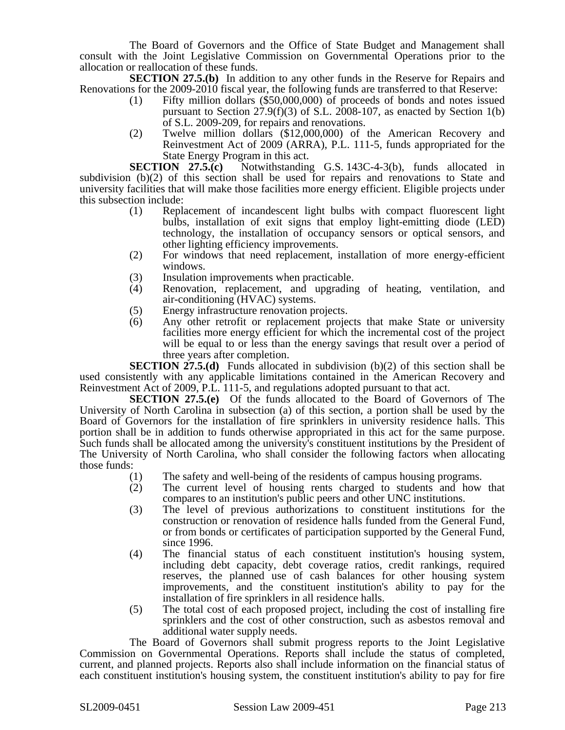The Board of Governors and the Office of State Budget and Management shall consult with the Joint Legislative Commission on Governmental Operations prior to the allocation or reallocation of these funds.

**SECTION 27.5.(b)** In addition to any other funds in the Reserve for Repairs and Renovations for the 2009-2010 fiscal year, the following funds are transferred to that Reserve:

- (1) Fifty million dollars (\$50,000,000) of proceeds of bonds and notes issued pursuant to Section  $27.9(f)(3)$  of S.L.  $2008-107$ , as enacted by Section 1(b) of S.L. 2009-209, for repairs and renovations.
- (2) Twelve million dollars (\$12,000,000) of the American Recovery and Reinvestment Act of 2009 (ARRA), P.L. 111-5, funds appropriated for the

State Energy Program in this act.<br>SECTION 27.5.(c) Notwithstanding Notwithstanding G.S. 143C-4-3(b), funds allocated in subdivision (b)(2) of this section shall be used for repairs and renovations to State and university facilities that will make those facilities more energy efficient. Eligible projects under this subsection include:

- (1) Replacement of incandescent light bulbs with compact fluorescent light bulbs, installation of exit signs that employ light-emitting diode (LED) technology, the installation of occupancy sensors or optical sensors, and other lighting efficiency improvements.
- (2) For windows that need replacement, installation of more energy-efficient windows.
- 
- (3) Insulation improvements when practicable.<br>(4) Renovation, replacement, and upgrading Renovation, replacement, and upgrading of heating, ventilation, and air-conditioning (HVAC) systems.
- (5) Energy infrastructure renovation projects.
- (6) Any other retrofit or replacement projects that make State or university facilities more energy efficient for which the incremental cost of the project will be equal to or less than the energy savings that result over a period of three years after completion.

**SECTION 27.5.(d)** Funds allocated in subdivision (b)(2) of this section shall be used consistently with any applicable limitations contained in the American Recovery and Reinvestment Act of 2009, P.L. 111-5, and regulations adopted pursuant to that act.

**SECTION 27.5.(e)** Of the funds allocated to the Board of Governors of The University of North Carolina in subsection (a) of this section, a portion shall be used by the Board of Governors for the installation of fire sprinklers in university residence halls. This portion shall be in addition to funds otherwise appropriated in this act for the same purpose. Such funds shall be allocated among the university's constituent institutions by the President of The University of North Carolina, who shall consider the following factors when allocating those funds:

- (1) The safety and well-being of the residents of campus housing programs.
- (2) The current level of housing rents charged to students and how that compares to an institution's public peers and other UNC institutions.
- (3) The level of previous authorizations to constituent institutions for the construction or renovation of residence halls funded from the General Fund, or from bonds or certificates of participation supported by the General Fund, since 1996.
- (4) The financial status of each constituent institution's housing system, including debt capacity, debt coverage ratios, credit rankings, required reserves, the planned use of cash balances for other housing system improvements, and the constituent institution's ability to pay for the installation of fire sprinklers in all residence halls.
- (5) The total cost of each proposed project, including the cost of installing fire sprinklers and the cost of other construction, such as asbestos removal and additional water supply needs.

The Board of Governors shall submit progress reports to the Joint Legislative Commission on Governmental Operations. Reports shall include the status of completed, current, and planned projects. Reports also shall include information on the financial status of each constituent institution's housing system, the constituent institution's ability to pay for fire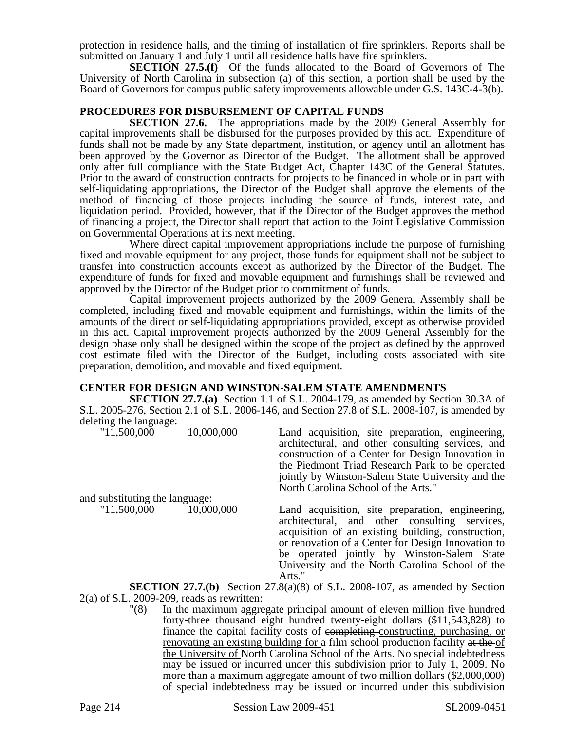protection in residence halls, and the timing of installation of fire sprinklers. Reports shall be submitted on January 1 and July 1 until all residence halls have fire sprinklers.

**SECTION 27.5.(f)** Of the funds allocated to the Board of Governors of The University of North Carolina in subsection (a) of this section, a portion shall be used by the Board of Governors for campus public safety improvements allowable under G.S. 143C-4-3(b).

#### **PROCEDURES FOR DISBURSEMENT OF CAPITAL FUNDS**

**SECTION 27.6.** The appropriations made by the 2009 General Assembly for capital improvements shall be disbursed for the purposes provided by this act. Expenditure of funds shall not be made by any State department, institution, or agency until an allotment has been approved by the Governor as Director of the Budget. The allotment shall be approved only after full compliance with the State Budget Act, Chapter 143C of the General Statutes. Prior to the award of construction contracts for projects to be financed in whole or in part with self-liquidating appropriations, the Director of the Budget shall approve the elements of the method of financing of those projects including the source of funds, interest rate, and liquidation period. Provided, however, that if the Director of the Budget approves the method of financing a project, the Director shall report that action to the Joint Legislative Commission on Governmental Operations at its next meeting.

Where direct capital improvement appropriations include the purpose of furnishing fixed and movable equipment for any project, those funds for equipment shall not be subject to transfer into construction accounts except as authorized by the Director of the Budget. The expenditure of funds for fixed and movable equipment and furnishings shall be reviewed and approved by the Director of the Budget prior to commitment of funds.

Capital improvement projects authorized by the 2009 General Assembly shall be completed, including fixed and movable equipment and furnishings, within the limits of the amounts of the direct or self-liquidating appropriations provided, except as otherwise provided in this act. Capital improvement projects authorized by the 2009 General Assembly for the design phase only shall be designed within the scope of the project as defined by the approved cost estimate filed with the Director of the Budget, including costs associated with site preparation, demolition, and movable and fixed equipment.

#### **CENTER FOR DESIGN AND WINSTON-SALEM STATE AMENDMENTS**

**SECTION 27.7.(a)** Section 1.1 of S.L. 2004-179, as amended by Section 30.3A of S.L. 2005-276, Section 2.1 of S.L. 2006-146, and Section 27.8 of S.L. 2008-107, is amended by deleting the language:

| $\ldots$                       |            |                                                                                                                                                                                                                                                                                                                          |
|--------------------------------|------------|--------------------------------------------------------------------------------------------------------------------------------------------------------------------------------------------------------------------------------------------------------------------------------------------------------------------------|
| "11,500,000                    | 10,000,000 | Land acquisition, site preparation, engineering,<br>architectural, and other consulting services, and<br>construction of a Center for Design Innovation in<br>the Piedmont Triad Research Park to be operated<br>jointly by Winston-Salem State University and the<br>North Carolina School of the Arts."                |
| and substituting the language: |            |                                                                                                                                                                                                                                                                                                                          |
| "11,500,000                    | 10,000,000 | Land acquisition, site preparation, engineering,<br>architectural, and other consulting services,<br>acquisition of an existing building, construction,<br>or renovation of a Center for Design Innovation to<br>be operated jointly by Winston-Salem State<br>University and the North Carolina School of the<br>Arts." |

**SECTION 27.7.(b)** Section 27.8(a)(8) of S.L. 2008-107, as amended by Section  $2(a)$  of S.L. 2009-209, reads as rewritten:<br>"(8) In the maximum aggre

In the maximum aggregate principal amount of eleven million five hundred forty-three thousand eight hundred twenty-eight dollars (\$11,543,828) to finance the capital facility costs of completing constructing, purchasing, or renovating an existing building for a film school production facility at the of the University of North Carolina School of the Arts. No special indebtedness may be issued or incurred under this subdivision prior to July 1, 2009. No more than a maximum aggregate amount of two million dollars (\$2,000,000) of special indebtedness may be issued or incurred under this subdivision

Page 214 Session Law 2009-451 SL2009-0451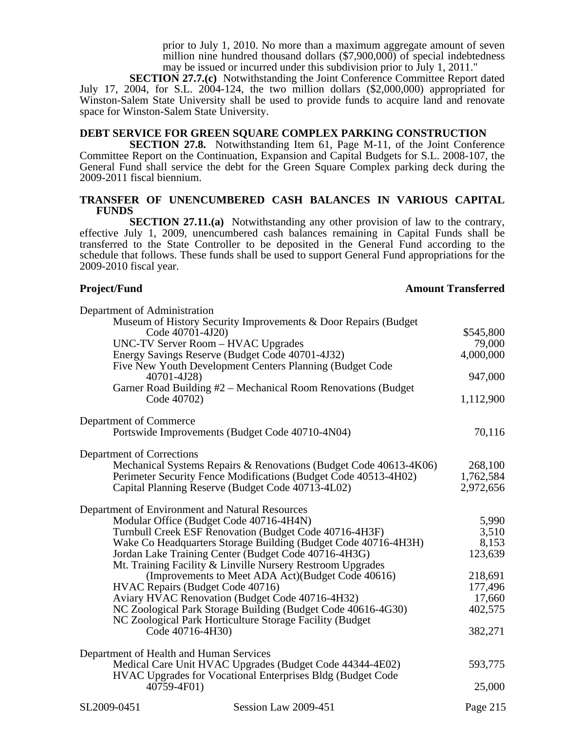prior to July 1, 2010. No more than a maximum aggregate amount of seven million nine hundred thousand dollars (\$7,900,000) of special indebtedness may be issued or incurred under this subdivision prior to July 1, 2011."

**SECTION 27.7.(c)** Notwithstanding the Joint Conference Committee Report dated July 17, 2004, for S.L. 2004-124, the two million dollars (\$2,000,000) appropriated for Winston-Salem State University shall be used to provide funds to acquire land and renovate space for Winston-Salem State University.

#### **DEBT SERVICE FOR GREEN SQUARE COMPLEX PARKING CONSTRUCTION**

**SECTION 27.8.** Notwithstanding Item 61, Page M-11, of the Joint Conference Committee Report on the Continuation, Expansion and Capital Budgets for S.L. 2008-107, the General Fund shall service the debt for the Green Square Complex parking deck during the 2009-2011 fiscal biennium.

# **TRANSFER OF UNENCUMBERED CASH BALANCES IN VARIOUS CAPITAL FUNDS**

**SECTION 27.11.(a)** Notwithstanding any other provision of law to the contrary, effective July 1, 2009, unencumbered cash balances remaining in Capital Funds shall be transferred to the State Controller to be deposited in the General Fund according to the schedule that follows. These funds shall be used to support General Fund appropriations for the 2009-2010 fiscal year.

# **Project/Fund Amount Transferred**

| Department of Administration            |                                                                              |           |
|-----------------------------------------|------------------------------------------------------------------------------|-----------|
|                                         | Museum of History Security Improvements & Door Repairs (Budget)              |           |
|                                         | Code 40701-4J20)                                                             | \$545,800 |
|                                         | UNC-TV Server Room - HVAC Upgrades                                           | 79,000    |
|                                         | Energy Savings Reserve (Budget Code 40701-4J32)                              | 4,000,000 |
|                                         | Five New Youth Development Centers Planning (Budget Code                     |           |
| 40701-4J28)                             |                                                                              | 947,000   |
|                                         | Garner Road Building #2 - Mechanical Room Renovations (Budget                |           |
| Code 40702)                             |                                                                              | 1,112,900 |
| Department of Commerce                  |                                                                              |           |
|                                         | Portswide Improvements (Budget Code 40710-4N04)                              | 70,116    |
| Department of Corrections               |                                                                              |           |
|                                         | Mechanical Systems Repairs & Renovations (Budget Code 40613-4K06)            | 268,100   |
|                                         | Perimeter Security Fence Modifications (Budget Code 40513-4H02)              | 1,762,584 |
|                                         | Capital Planning Reserve (Budget Code 40713-4L02)                            | 2,972,656 |
|                                         | Department of Environment and Natural Resources                              |           |
|                                         | Modular Office (Budget Code 40716-4H4N)                                      | 5,990     |
|                                         | Turnbull Creek ESF Renovation (Budget Code 40716-4H3F)                       | 3,510     |
|                                         | Wake Co Headquarters Storage Building (Budget Code 40716-4H3H)               | 8,153     |
|                                         | Jordan Lake Training Center (Budget Code 40716-4H3G)                         | 123,639   |
|                                         | Mt. Training Facility & Linville Nursery Restroom Upgrades                   |           |
|                                         | (Improvements to Meet ADA Act) (Budget Code 40616)                           | 218,691   |
|                                         | HVAC Repairs (Budget Code 40716)                                             | 177,496   |
|                                         | Aviary HVAC Renovation (Budget Code 40716-4H32)                              | 17,660    |
|                                         | NC Zoological Park Storage Building (Budget Code 40616-4G30)                 | 402,575   |
|                                         | NC Zoological Park Horticulture Storage Facility (Budget<br>Code 40716-4H30) | 382,271   |
|                                         |                                                                              |           |
| Department of Health and Human Services |                                                                              |           |
|                                         | Medical Care Unit HVAC Upgrades (Budget Code 44344-4E02)                     | 593,775   |
| 40759-4F01)                             | HVAC Upgrades for Vocational Enterprises Bldg (Budget Code                   | 25,000    |
|                                         |                                                                              |           |
| SL2009-0451                             | Session Law 2009-451                                                         | Page 215  |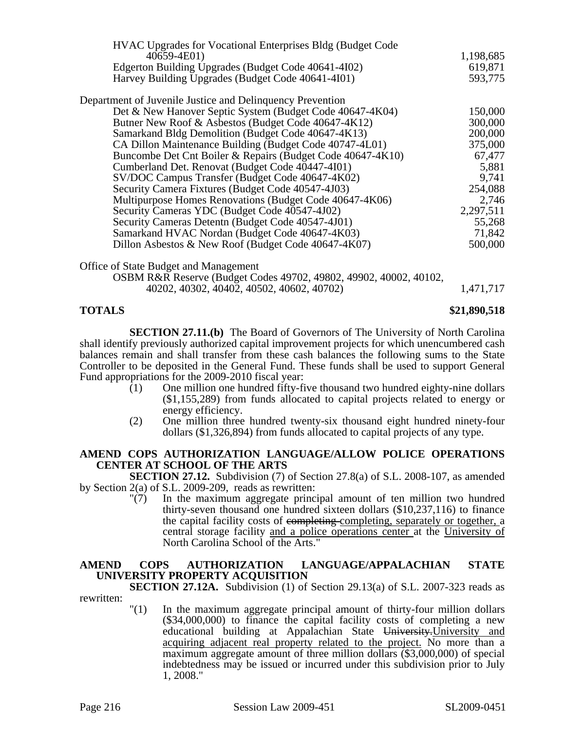| <b>HVAC Upgrades for Vocational Enterprises Bldg (Budget Code)</b> |           |
|--------------------------------------------------------------------|-----------|
| 40659-4E01)                                                        | 1,198,685 |
| Edgerton Building Upgrades (Budget Code 40641-4102)                | 619,871   |
| Harvey Building Upgrades (Budget Code 40641-4101)                  | 593,775   |
| Department of Juvenile Justice and Delinquency Prevention          |           |
| Det & New Hanover Septic System (Budget Code 40647-4K04)           | 150,000   |
| Butner New Roof & Asbestos (Budget Code 40647-4K12)                | 300,000   |
| Samarkand Bldg Demolition (Budget Code 40647-4K13)                 | 200,000   |
| CA Dillon Maintenance Building (Budget Code 40747-4L01)            | 375,000   |
| Buncombe Det Cnt Boiler & Repairs (Budget Code 40647-4K10)         | 67,477    |
| Cumberland Det. Renovat (Budget Code 40447-4101)                   | 5,881     |
| SV/DOC Campus Transfer (Budget Code 40647-4K02)                    | 9,741     |
| Security Camera Fixtures (Budget Code 40547-4J03)                  | 254,088   |
| Multipurpose Homes Renovations (Budget Code 40647-4K06)            | 2,746     |
| Security Cameras YDC (Budget Code 40547-4J02)                      | 2,297,511 |
| Security Cameras Detentn (Budget Code 40547-4J01)                  | 55,268    |
| Samarkand HVAC Nordan (Budget Code 40647-4K03)                     | 71,842    |
| Dillon Asbestos & New Roof (Budget Code 40647-4K07)                | 500,000   |
| Office of State Budget and Management                              |           |
| OSBM R&R Reserve (Budget Codes 49702, 49802, 49902, 40002, 40102,  |           |
| 40202, 40302, 40402, 40502, 40602, 40702)                          | 1,471,717 |

**TOTALS \$21,890,518** 

**SECTION 27.11.(b)** The Board of Governors of The University of North Carolina shall identify previously authorized capital improvement projects for which unencumbered cash balances remain and shall transfer from these cash balances the following sums to the State Controller to be deposited in the General Fund. These funds shall be used to support General Fund appropriations for the 2009-2010 fiscal year:

- $(1)$  One million one hundred fifty-five thousand two hundred eighty-nine dollars (\$1,155,289) from funds allocated to capital projects related to energy or energy efficiency.
- (2) One million three hundred twenty-six thousand eight hundred ninety-four dollars (\$1,326,894) from funds allocated to capital projects of any type.

# **AMEND COPS AUTHORIZATION LANGUAGE/ALLOW POLICE OPERATIONS CENTER AT SCHOOL OF THE ARTS**

**SECTION 27.12.** Subdivision (7) of Section 27.8(a) of S.L. 2008-107, as amended by Section 2(a) of S.L. 2009-209, reads as rewritten:

"(7) In the maximum aggregate principal amount of ten million two hundred thirty-seven thousand one hundred sixteen dollars (\$10,237,116) to finance the capital facility costs of completing completing, separately or together, a central storage facility and a police operations center at the University of North Carolina School of the Arts."

# **AMEND COPS AUTHORIZATION LANGUAGE/APPALACHIAN STATE UNIVERSITY PROPERTY ACQUISITION**

**SECTION 27.12A.** Subdivision (1) of Section 29.13(a) of S.L. 2007-323 reads as rewritten:

"(1) In the maximum aggregate principal amount of thirty-four million dollars (\$34,000,000) to finance the capital facility costs of completing a new educational building at Appalachian State University.University and acquiring adjacent real property related to the project. No more than a maximum aggregate amount of three million dollars (\$3,000,000) of special indebtedness may be issued or incurred under this subdivision prior to July 1, 2008."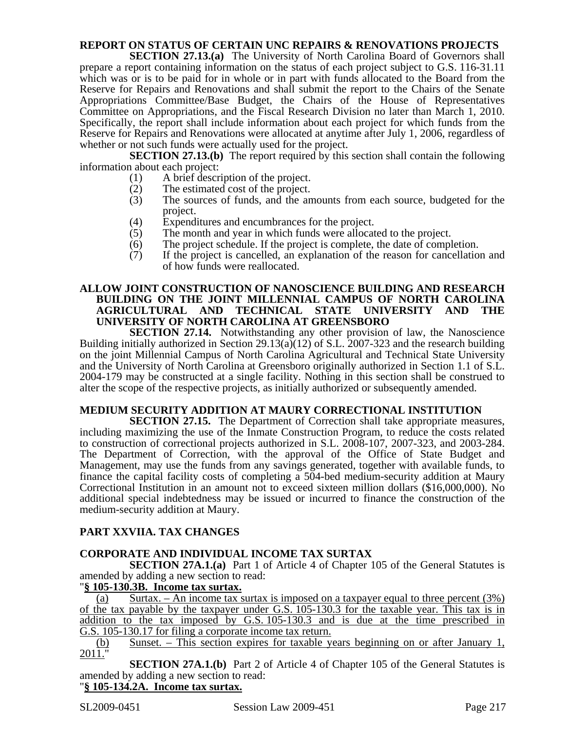# **REPORT ON STATUS OF CERTAIN UNC REPAIRS & RENOVATIONS PROJECTS**

**SECTION 27.13.(a)** The University of North Carolina Board of Governors shall prepare a report containing information on the status of each project subject to G.S. 116-31.11 which was or is to be paid for in whole or in part with funds allocated to the Board from the Reserve for Repairs and Renovations and shall submit the report to the Chairs of the Senate Appropriations Committee/Base Budget, the Chairs of the House of Representatives Committee on Appropriations, and the Fiscal Research Division no later than March 1, 2010. Specifically, the report shall include information about each project for which funds from the Reserve for Repairs and Renovations were allocated at anytime after July 1, 2006, regardless of whether or not such funds were actually used for the project.

**SECTION 27.13.(b)** The report required by this section shall contain the following information about each project:

- (1) A brief description of the project.<br>(2) The estimated cost of the project.
- The estimated cost of the project.
- (3) The sources of funds, and the amounts from each source, budgeted for the project.
- (4) Expenditures and encumbrances for the project.<br>(5) The month and year in which funds were allocat
- The month and year in which funds were allocated to the project.
- (6) The project schedule. If the project is complete, the date of completion.
- (7) If the project is cancelled, an explanation of the reason for cancellation and of how funds were reallocated.

#### **ALLOW JOINT CONSTRUCTION OF NANOSCIENCE BUILDING AND RESEARCH BUILDING ON THE JOINT MILLENNIAL CAMPUS OF NORTH CAROLINA AGRICULTURAL AND TECHNICAL STATE UNIVERSITY AND THE UNIVERSITY OF NORTH CAROLINA AT GREENSBORO**

**SECTION 27.14.** Notwithstanding any other provision of law, the Nanoscience Building initially authorized in Section  $29.13(a)(12)$  of S.L. 2007-323 and the research building on the joint Millennial Campus of North Carolina Agricultural and Technical State University and the University of North Carolina at Greensboro originally authorized in Section 1.1 of S.L. 2004-179 may be constructed at a single facility. Nothing in this section shall be construed to alter the scope of the respective projects, as initially authorized or subsequently amended.

## **MEDIUM SECURITY ADDITION AT MAURY CORRECTIONAL INSTITUTION**

**SECTION 27.15.** The Department of Correction shall take appropriate measures, including maximizing the use of the Inmate Construction Program, to reduce the costs related to construction of correctional projects authorized in S.L. 2008-107, 2007-323, and 2003-284. The Department of Correction, with the approval of the Office of State Budget and Management, may use the funds from any savings generated, together with available funds, to finance the capital facility costs of completing a 504-bed medium-security addition at Maury Correctional Institution in an amount not to exceed sixteen million dollars (\$16,000,000). No additional special indebtedness may be issued or incurred to finance the construction of the medium-security addition at Maury.

## **PART XXVIIA. TAX CHANGES**

## **CORPORATE AND INDIVIDUAL INCOME TAX SURTAX**

**SECTION 27A.1.(a)** Part 1 of Article 4 of Chapter 105 of the General Statutes is amended by adding a new section to read:

#### "**§ 105-130.3B. Income tax surtax.**

(a) Surtax. – An income tax surtax is imposed on a taxpayer equal to three percent  $(3%)$ of the tax payable by the taxpayer under G.S. 105-130.3 for the taxable year. This tax is in addition to the tax imposed by G.S. 105-130.3 and is due at the time prescribed in G.S. 105-130.17 for filing a corporate income tax return.

(b) Sunset. – This section expires for taxable years beginning on or after January 1, 2011."

**SECTION 27A.1.(b)** Part 2 of Article 4 of Chapter 105 of the General Statutes is amended by adding a new section to read:

#### "**§ 105-134.2A. Income tax surtax.**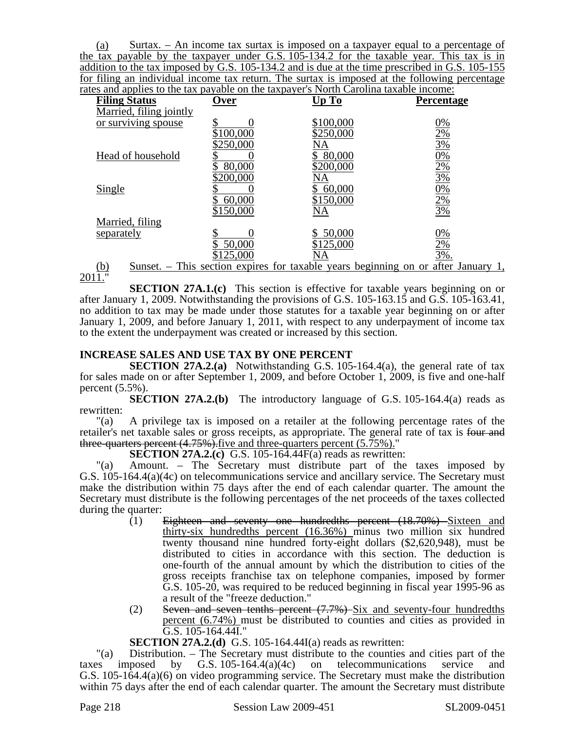(a) Surtax. – An income tax surtax is imposed on a taxpayer equal to a percentage of the tax payable by the taxpayer under G.S. 105-134.2 for the taxable year. This tax is in addition to the tax imposed by G.S. 105-134.2 and is due at the time prescribed in G.S. 105-155 for filing an individual income tax return. The surtax is imposed at the following percentage rates and applies to the tax payable on the taxpayer's North Carolina taxable income:

| $\epsilon$ and applies to the tax payable on the taxpayers from Carolina taxable income. |             |                                                                         |                      |
|------------------------------------------------------------------------------------------|-------------|-------------------------------------------------------------------------|----------------------|
| <b>Filing Status</b>                                                                     | <b>Over</b> | $Up$ To                                                                 | Percentage           |
| Married, filing jointly                                                                  |             |                                                                         |                      |
| or surviving spouse                                                                      |             | \$100,000                                                               | $0\%$                |
|                                                                                          | \$100,000   | \$250,000                                                               | $\frac{2\%}{3\%}$    |
|                                                                                          | \$250,000   | NA                                                                      |                      |
| Head of household                                                                        |             | 80,000                                                                  | $0\%$                |
|                                                                                          | 80,000      | \$200,000                                                               | 2%                   |
|                                                                                          | \$200,000   | NA                                                                      | $\frac{3\%}{2\%}$    |
| <b>Single</b>                                                                            |             | 60,000                                                                  | $0\%$                |
|                                                                                          | 60,000      | \$150,000                                                               | $\frac{2\%}{3\%}$    |
|                                                                                          | \$150,000   | NA                                                                      |                      |
| Married, filing                                                                          |             |                                                                         |                      |
| separately                                                                               |             | 50,000                                                                  | 0%                   |
|                                                                                          | 50,000      | \$125,000                                                               | 2%                   |
|                                                                                          | \$125,000   | NA                                                                      | $\frac{3\%}{3.06}$ . |
| (b)<br>Sunset. $-$                                                                       |             | This section expires for taxable years beginning on or after January 1, |                      |

2011."

**SECTION 27A.1.(c)** This section is effective for taxable years beginning on or after January 1, 2009. Notwithstanding the provisions of G.S. 105-163.15 and G.S. 105-163.41, no addition to tax may be made under those statutes for a taxable year beginning on or after January 1, 2009, and before January 1, 2011, with respect to any underpayment of income tax to the extent the underpayment was created or increased by this section.

## **INCREASE SALES AND USE TAX BY ONE PERCENT**

**SECTION 27A.2.(a)** Notwithstanding G.S. 105-164.4(a), the general rate of tax for sales made on or after September 1, 2009, and before October 1, 2009, is five and one-half percent (5.5%).

**SECTION 27A.2.(b)** The introductory language of G.S. 105-164.4(a) reads as rewritten:

"(a) A privilege tax is imposed on a retailer at the following percentage rates of the retailer's net taxable sales or gross receipts, as appropriate. The general rate of tax is four and three-quarters percent (4.75%). five and three-quarters percent (5.75%)."

**SECTION 27A.2.(c)** G.S. 105-164.44F(a) reads as rewritten:

"(a) Amount. – The Secretary must distribute part of the taxes imposed by G.S. 105-164.4(a)(4c) on telecommunications service and ancillary service. The Secretary must make the distribution within 75 days after the end of each calendar quarter. The amount the Secretary must distribute is the following percentages of the net proceeds of the taxes collected during the quarter:

- (1) Eighteen and seventy one hundredths percent (18.70%) Sixteen and thirty-six hundredths percent (16.36%) minus two million six hundred twenty thousand nine hundred forty-eight dollars (\$2,620,948), must be distributed to cities in accordance with this section. The deduction is one-fourth of the annual amount by which the distribution to cities of the gross receipts franchise tax on telephone companies, imposed by former G.S. 105-20, was required to be reduced beginning in fiscal year 1995-96 as a result of the "freeze deduction."
- (2) Seven and seven tenths percent (7.7%) Six and seventy-four hundredths percent (6.74%) must be distributed to counties and cities as provided in G.S. 105-164.44I."

## **SECTION 27A.2.(d)** G.S. 105-164.44I(a) reads as rewritten:

"(a) Distribution. – The Secretary must distribute to the counties and cities part of the taxes imposed by G.S. 105-164.4(a)(4c) on telecommunications service and G.S. 105-164.4(a)(6) on video programming service. The Secretary must make the distribution within 75 days after the end of each calendar quarter. The amount the Secretary must distribute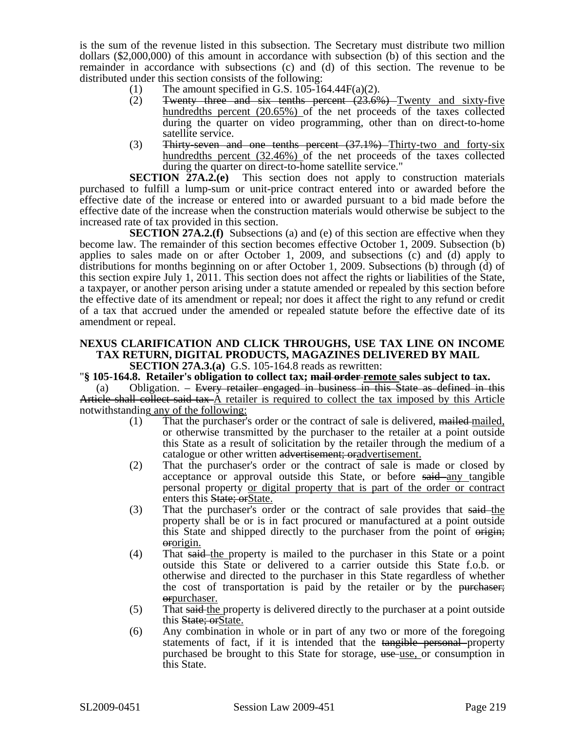is the sum of the revenue listed in this subsection. The Secretary must distribute two million dollars (\$2,000,000) of this amount in accordance with subsection (b) of this section and the remainder in accordance with subsections (c) and (d) of this section. The revenue to be distributed under this section consists of the following:

- $(1)$  The amount specified in G.S. 105-164.44F(a)(2).
- (2) Twenty three and six tenths percent  $(23.6%)$  Twenty and sixty-five hundredths percent (20.65%) of the net proceeds of the taxes collected during the quarter on video programming, other than on direct-to-home satellite service.
- (3) Thirty-seven and one tenths percent  $(37.1\%)$  Thirty-two and forty-six hundredths percent (32.46%) of the net proceeds of the taxes collected during the quarter on direct-to-home satellite service."

**SECTION 27A.2.(e)** This section does not apply to construction materials purchased to fulfill a lump-sum or unit-price contract entered into or awarded before the effective date of the increase or entered into or awarded pursuant to a bid made before the effective date of the increase when the construction materials would otherwise be subject to the increased rate of tax provided in this section.

**SECTION 27A.2.(f)** Subsections (a) and (e) of this section are effective when they become law. The remainder of this section becomes effective October 1, 2009. Subsection (b) applies to sales made on or after October 1, 2009, and subsections (c) and (d) apply to distributions for months beginning on or after October 1, 2009. Subsections (b) through (d) of this section expire July 1, 2011. This section does not affect the rights or liabilities of the State, a taxpayer, or another person arising under a statute amended or repealed by this section before the effective date of its amendment or repeal; nor does it affect the right to any refund or credit of a tax that accrued under the amended or repealed statute before the effective date of its amendment or repeal.

#### **NEXUS CLARIFICATION AND CLICK THROUGHS, USE TAX LINE ON INCOME TAX RETURN, DIGITAL PRODUCTS, MAGAZINES DELIVERED BY MAIL SECTION 27A.3.(a)** G.S. 105-164.8 reads as rewritten:

"**§ 105-164.8. Retailer's obligation to collect tax; mail order remote sales subject to tax.** 

(a) Obligation. – Every retailer engaged in business in this State as defined in this Article shall collect said tax A retailer is required to collect the tax imposed by this Article notwithstanding any of the following:

- $(1)$  That the purchaser's order or the contract of sale is delivered, mailed-mailed, or otherwise transmitted by the purchaser to the retailer at a point outside this State as a result of solicitation by the retailer through the medium of a catalogue or other written advertisement; oradvertisement.
- (2) That the purchaser's order or the contract of sale is made or closed by acceptance or approval outside this State, or before said any tangible personal property or digital property that is part of the order or contract enters this **State**; or State.
- (3) That the purchaser's order or the contract of sale provides that said-the property shall be or is in fact procured or manufactured at a point outside this State and shipped directly to the purchaser from the point of origin; ororigin.
- (4) That said the property is mailed to the purchaser in this State or a point outside this State or delivered to a carrier outside this State f.o.b. or otherwise and directed to the purchaser in this State regardless of whether the cost of transportation is paid by the retailer or by the purchaser; orpurchaser.
- $(5)$  That said-the property is delivered directly to the purchaser at a point outside this State; orState.
- (6) Any combination in whole or in part of any two or more of the foregoing statements of fact, if it is intended that the tangible personal property purchased be brought to this State for storage, use use, or consumption in this State.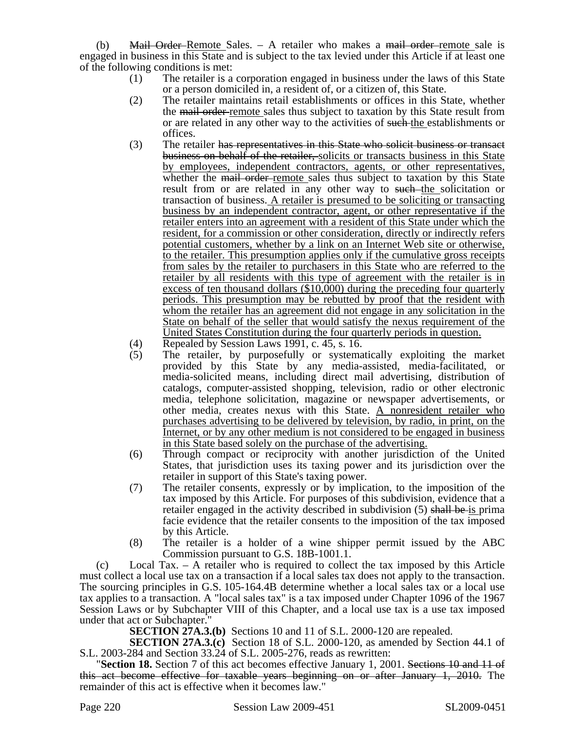(b) Mail Order-Remote Sales.  $-$  A retailer who makes a mail order-remote sale is engaged in business in this State and is subject to the tax levied under this Article if at least one of the following conditions is met:

- (1) The retailer is a corporation engaged in business under the laws of this State or a person domiciled in, a resident of, or a citizen of, this State.
- (2) The retailer maintains retail establishments or offices in this State, whether the mail order remote sales thus subject to taxation by this State result from or are related in any other way to the activities of such the establishments or offices.
- (3) The retailer has representatives in this State who solicit business or transact business on behalf of the retailer, solicits or transacts business in this State by employees, independent contractors, agents, or other representatives, whether the mail order remote sales thus subject to taxation by this State result from or are related in any other way to such the solicitation or transaction of business. A retailer is presumed to be soliciting or transacting business by an independent contractor, agent, or other representative if the retailer enters into an agreement with a resident of this State under which the resident, for a commission or other consideration, directly or indirectly refers potential customers, whether by a link on an Internet Web site or otherwise, to the retailer. This presumption applies only if the cumulative gross receipts from sales by the retailer to purchasers in this State who are referred to the retailer by all residents with this type of agreement with the retailer is in excess of ten thousand dollars (\$10,000) during the preceding four quarterly periods. This presumption may be rebutted by proof that the resident with whom the retailer has an agreement did not engage in any solicitation in the State on behalf of the seller that would satisfy the nexus requirement of the United States Constitution during the four quarterly periods in question.
- (4) Repealed by Session Laws 1991, c. 45, s. 16.<br>(5) The retailer, by purposefully or systema
- The retailer, by purposefully or systematically exploiting the market provided by this State by any media-assisted, media-facilitated, or media-solicited means, including direct mail advertising, distribution of catalogs, computer-assisted shopping, television, radio or other electronic media, telephone solicitation, magazine or newspaper advertisements, or other media, creates nexus with this State. A nonresident retailer who purchases advertising to be delivered by television, by radio, in print, on the Internet, or by any other medium is not considered to be engaged in business in this State based solely on the purchase of the advertising.
- (6) Through compact or reciprocity with another jurisdiction of the United States, that jurisdiction uses its taxing power and its jurisdiction over the retailer in support of this State's taxing power.
- (7) The retailer consents, expressly or by implication, to the imposition of the tax imposed by this Article. For purposes of this subdivision, evidence that a retailer engaged in the activity described in subdivision (5) shall be is prima facie evidence that the retailer consents to the imposition of the tax imposed by this Article.
- (8) The retailer is a holder of a wine shipper permit issued by the ABC Commission pursuant to G.S. 18B-1001.1.

(c) Local Tax. – A retailer who is required to collect the tax imposed by this Article must collect a local use tax on a transaction if a local sales tax does not apply to the transaction. The sourcing principles in G.S. 105-164.4B determine whether a local sales tax or a local use tax applies to a transaction. A "local sales tax" is a tax imposed under Chapter 1096 of the 1967 Session Laws or by Subchapter VIII of this Chapter, and a local use tax is a use tax imposed under that act or Subchapter."

**SECTION 27A.3.(b)** Sections 10 and 11 of S.L. 2000-120 are repealed.

**SECTION 27A.3.(c)** Section 18 of S.L. 2000-120, as amended by Section 44.1 of S.L. 2003-284 and Section 33.24 of S.L. 2005-276, reads as rewritten: "**Section 18.** Section 7 of this act becomes effective January 1, 2001. Sections 10 and 11 of

this act become effective for taxable years beginning on or after January 1, 2010. The remainder of this act is effective when it becomes law."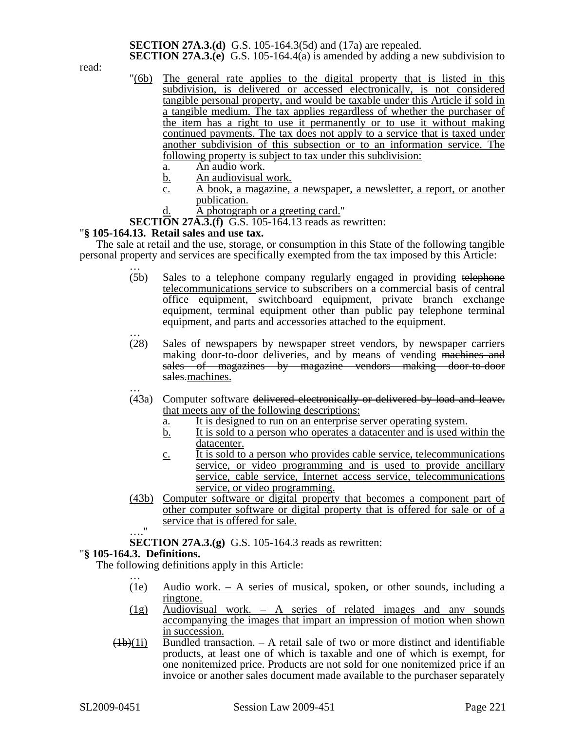**SECTION 27A.3.(d)** G.S. 105-164.3(5d) and (17a) are repealed. **SECTION 27A.3.(e)** G.S. 105-164.4(a) is amended by adding a new subdivision to

read:

- "(6b) The general rate applies to the digital property that is listed in this subdivision, is delivered or accessed electronically, is not considered tangible personal property, and would be taxable under this Article if sold in a tangible medium. The tax applies regardless of whether the purchaser of the item has a right to use it permanently or to use it without making continued payments. The tax does not apply to a service that is taxed under another subdivision of this subsection or to an information service. The following property is subject to tax under this subdivision:
	- a. An audio work.<br>b. An audiovisual
	- An audiovisual work.
	- c. A book, a magazine, a newspaper, a newsletter, a report, or another publication.
	- A photograph or a greeting card."

**SECTION 27A.3.(f)** G.S. 105-164.13 reads as rewritten:

#### "**§ 105-164.13. Retail sales and use tax.**

The sale at retail and the use, storage, or consumption in this State of the following tangible personal property and services are specifically exempted from the tax imposed by this Article:

- … (5b) Sales to a telephone company regularly engaged in providing telephone telecommunications service to subscribers on a commercial basis of central office equipment, switchboard equipment, private branch exchange equipment, terminal equipment other than public pay telephone terminal equipment, and parts and accessories attached to the equipment.
- … (28) Sales of newspapers by newspaper street vendors, by newspaper carriers making door-to-door deliveries, and by means of vending machines and sales of magazines by magazine vendors making door-to-door sales.machines.
- … (43a) Computer software delivered electronically or delivered by load and leave. that meets any of the following descriptions:
	- a. It is designed to run on an enterprise server operating system.
	- b. It is sold to a person who operates a datacenter and is used within the datacenter.
	- c. It is sold to a person who provides cable service, telecommunications service, or video programming and is used to provide ancillary service, cable service, Internet access service, telecommunications service, or video programming.
- (43b) Computer software or digital property that becomes a component part of other computer software or digital property that is offered for sale or of a service that is offered for sale.

…."

**SECTION 27A.3.(g)** G.S. 105-164.3 reads as rewritten:

## "**§ 105-164.3. Definitions.**

The following definitions apply in this Article:

- … (1e) Audio work. – A series of musical, spoken, or other sounds, including a ringtone.
- (1g) Audiovisual work. A series of related images and any sounds accompanying the images that impart an impression of motion when shown in succession.
- $(Hb)(1i)$  Bundled transaction. A retail sale of two or more distinct and identifiable products, at least one of which is taxable and one of which is exempt, for one nonitemized price. Products are not sold for one nonitemized price if an invoice or another sales document made available to the purchaser separately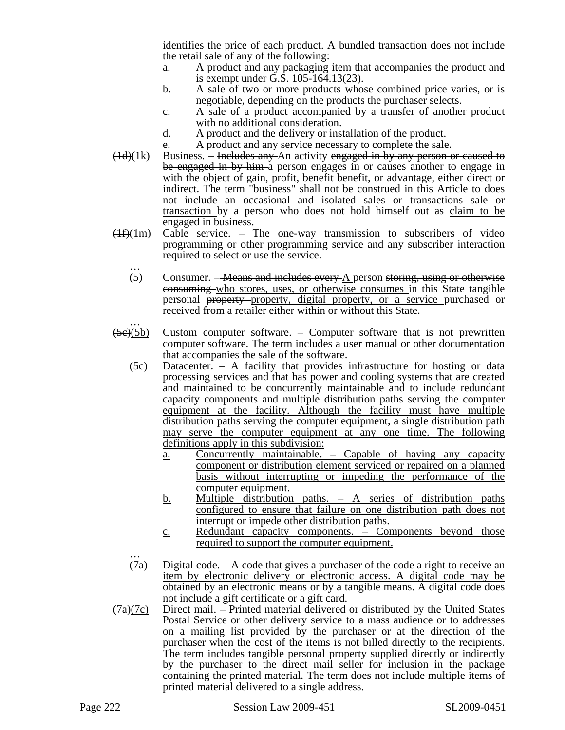identifies the price of each product. A bundled transaction does not include the retail sale of any of the following:

- a. A product and any packaging item that accompanies the product and is exempt under G.S. 105-164.13(23).
- b. A sale of two or more products whose combined price varies, or is negotiable, depending on the products the purchaser selects.
- c. A sale of a product accompanied by a transfer of another product with no additional consideration.
- d. A product and the delivery or installation of the product.
- e. A product and any service necessary to complete the sale.
- $\frac{(\text{1d})(1k)}{\text{d}(\text{d}k)}$  Business. Includes any  $\Delta n$  activity engaged in by any person or caused to be engaged in by him a person engages in or causes another to engage in with the object of gain, profit, benefit benefit, or advantage, either direct or indirect. The term "business" shall not be construed in this Article to does not include an occasional and isolated sales or transactions sale or transaction by a person who does not hold himself out as claim to be engaged in business.
- $(H<sub>1</sub>(1m))$  Cable service. The one-way transmission to subscribers of video programming or other programming service and any subscriber interaction required to select or use the service.
	- … (5) Consumer. – Means and includes every  $\underline{A}$  person storing, using or otherwise consuming who stores, uses, or otherwise consumes in this State tangible personal property property, digital property, or a service purchased or received from a retailer either within or without this State.
- …  $(5e)(5b)$  Custom computer software. – Computer software that is not prewritten computer software. The term includes a user manual or other documentation that accompanies the sale of the software.
	- (5c) Datacenter. A facility that provides infrastructure for hosting or data processing services and that has power and cooling systems that are created and maintained to be concurrently maintainable and to include redundant capacity components and multiple distribution paths serving the computer equipment at the facility. Although the facility must have multiple distribution paths serving the computer equipment, a single distribution path may serve the computer equipment at any one time. The following definitions apply in this subdivision:
		- a. Concurrently maintainable. Capable of having any capacity component or distribution element serviced or repaired on a planned basis without interrupting or impeding the performance of the computer equipment.
		- b. Multiple distribution paths. A series of distribution paths configured to ensure that failure on one distribution path does not interrupt or impede other distribution paths.
		- c. Redundant capacity components. Components beyond those required to support the computer equipment.
	- … (7a) Digital code. – A code that gives a purchaser of the code a right to receive an item by electronic delivery or electronic access. A digital code may be obtained by an electronic means or by a tangible means. A digital code does not include a gift certificate or a gift card.
- $(7a)(7c)$  Direct mail. Printed material delivered or distributed by the United States Postal Service or other delivery service to a mass audience or to addresses on a mailing list provided by the purchaser or at the direction of the purchaser when the cost of the items is not billed directly to the recipients. The term includes tangible personal property supplied directly or indirectly by the purchaser to the direct mail seller for inclusion in the package containing the printed material. The term does not include multiple items of printed material delivered to a single address.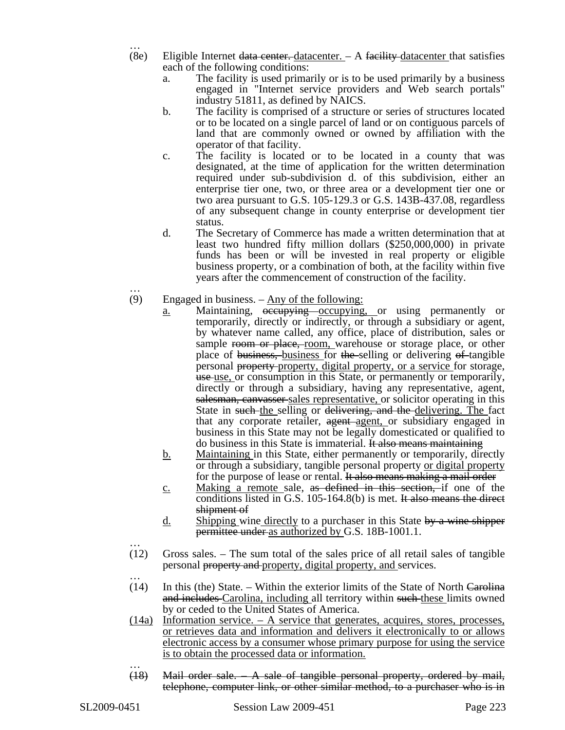- … (8e) Eligible Internet data center. datacenter.  $- A$  facility datacenter that satisfies each of the following conditions:
	- a. The facility is used primarily or is to be used primarily by a business engaged in "Internet service providers and Web search portals" industry 51811, as defined by NAICS.
	- b. The facility is comprised of a structure or series of structures located or to be located on a single parcel of land or on contiguous parcels of land that are commonly owned or owned by affiliation with the operator of that facility.
	- c. The facility is located or to be located in a county that was designated, at the time of application for the written determination required under sub-subdivision d. of this subdivision, either an enterprise tier one, two, or three area or a development tier one or two area pursuant to G.S. 105-129.3 or G.S. 143B-437.08, regardless of any subsequent change in county enterprise or development tier status.
	- d. The Secretary of Commerce has made a written determination that at least two hundred fifty million dollars (\$250,000,000) in private funds has been or will be invested in real property or eligible business property, or a combination of both, at the facility within five years after the commencement of construction of the facility.
- … (9) Engaged in business. – Any of the following:
	- a. Maintaining,  $\overline{occupying}$  occupying, or using permanently or temporarily, directly or indirectly, or through a subsidiary or agent, by whatever name called, any office, place of distribution, sales or sample room or place, room, warehouse or storage place, or other place of business, business for the selling or delivering of tangible personal property-property, digital property, or a service for storage, use use, or consumption in this State, or permanently or temporarily, directly or through a subsidiary, having any representative, agent, salesman, canvasser sales representative, or solicitor operating in this State in such the selling or delivering, and the delivering. The fact that any corporate retailer, agent agent, or subsidiary engaged in business in this State may not be legally domesticated or qualified to do business in this State is immaterial. It also means maintaining
	- b. Maintaining in this State, either permanently or temporarily, directly or through a subsidiary, tangible personal property or digital property for the purpose of lease or rental. It also means making a mail order
	- c. Making a remote sale, as defined in this section, if one of the conditions listed in G.S.  $105-164.8(b)$  is met. It also means the direct shipment of
	- $\underline{d}$ . Shipping wine directly to a purchaser in this State by a wine shipper permittee under as authorized by G.S. 18B-1001.1.
- … (12) Gross sales. – The sum total of the sales price of all retail sales of tangible personal property and property, digital property, and services. …
- $(14)$  In this (the) State. Within the exterior limits of the State of North Carolina and includes Carolina, including all territory within such these limits owned by or ceded to the United States of America.
- (14a) Information service. A service that generates, acquires, stores, processes, or retrieves data and information and delivers it electronically to or allows electronic access by a consumer whose primary purpose for using the service is to obtain the processed data or information.
- … (18) Mail order sale. – A sale of tangible personal property, ordered by mail, telephone, computer link, or other similar method, to a purchaser who is in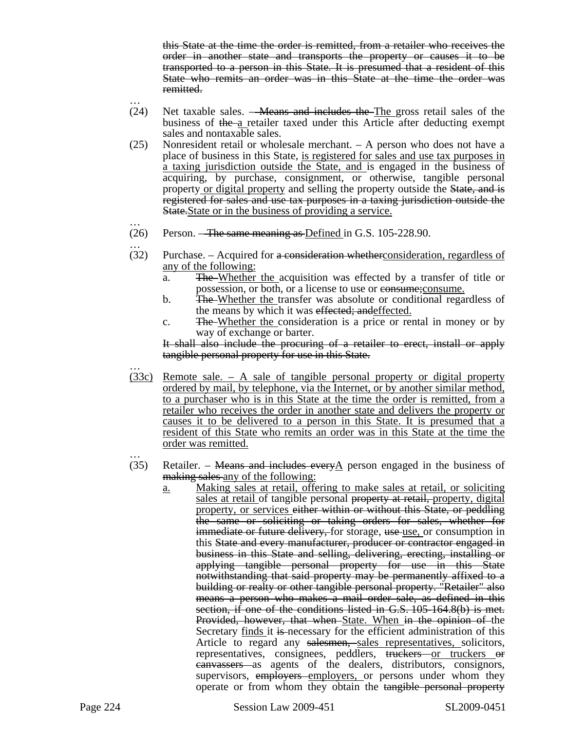this State at the time the order is remitted, from a retailer who receives the order in another state and transports the property or causes it to be transported to a person in this State. It is presumed that a resident of this State who remits an order was in this State at the time the order was remitted.

- …  $(24)$  Net taxable sales.  $-\text{Means}$  and includes the The gross retail sales of the business of the a retailer taxed under this Article after deducting exempt sales and nontaxable sales.
- (25) Nonresident retail or wholesale merchant. A person who does not have a place of business in this State, is registered for sales and use tax purposes in a taxing jurisdiction outside the State, and is engaged in the business of acquiring, by purchase, consignment, or otherwise, tangible personal property or digital property and selling the property outside the State, and is registered for sales and use tax purposes in a taxing jurisdiction outside the **State.** State or in the business of providing a service.
- …  $(26)$  Person. – The same meaning as Defined in G.S. 105-228.90.
- …  $(32)$  Purchase. – Acquired for a consideration whether consideration, regardless of any of the following:
	- a. The Whether the acquisition was effected by a transfer of title or possession, or both, or a license to use or consume; consume.
	- b. The Whether the transfer was absolute or conditional regardless of the means by which it was effected; and effected.
	- c. The Whether the consideration is a price or rental in money or by way of exchange or barter.

It shall also include the procuring of a retailer to erect, install or apply tangible personal property for use in this State.

- … (33c) Remote sale. – A sale of tangible personal property or digital property ordered by mail, by telephone, via the Internet, or by another similar method, to a purchaser who is in this State at the time the order is remitted, from a retailer who receives the order in another state and delivers the property or causes it to be delivered to a person in this State. It is presumed that a resident of this State who remits an order was in this State at the time the order was remitted. …
- (35) Retailer. Means and includes every  $\underline{A}$  person engaged in the business of making sales any of the following:
	- a. Making sales at retail, offering to make sales at retail, or soliciting sales at retail of tangible personal property at retail, property, digital property, or services either within or without this State, or peddling the same or soliciting or taking orders for sales, whether for immediate or future delivery, for storage, use use, or consumption in this State and every manufacturer, producer or contractor engaged in business in this State and selling, delivering, erecting, installing or applying tangible personal property for use in this State notwithstanding that said property may be permanently affixed to a building or realty or other tangible personal property. "Retailer" also means a person who makes a mail order sale, as defined in this section, if one of the conditions listed in G.S. 105-164.8(b) is met. Provided, however, that when State. When in the opinion of the Secretary finds it is necessary for the efficient administration of this Article to regard any salesmen, sales representatives, solicitors, representatives, consignees, peddlers, truckers or truckers or canvassers as agents of the dealers, distributors, consignors, supervisors, employers employers, or persons under whom they operate or from whom they obtain the tangible personal property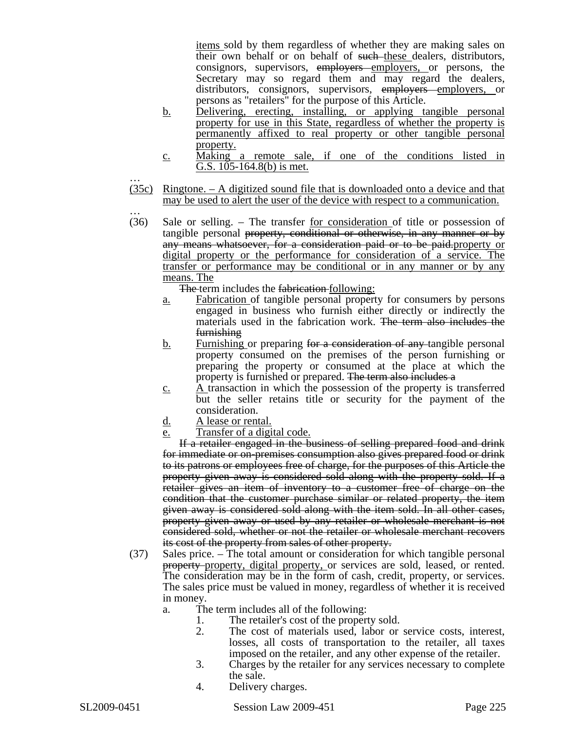items sold by them regardless of whether they are making sales on their own behalf or on behalf of such these dealers, distributors, consignors, supervisors, employers employers, or persons, the Secretary may so regard them and may regard the dealers, distributors, consignors, supervisors, employers employers, or persons as "retailers" for the purpose of this Article.

- b. Delivering, erecting, installing, or applying tangible personal property for use in this State, regardless of whether the property is permanently affixed to real property or other tangible personal property.
- c. Making a remote sale, if one of the conditions listed in G.S. 105-164.8(b) is met.
- … (35c) Ringtone. – A digitized sound file that is downloaded onto a device and that may be used to alert the user of the device with respect to a communication.
- … (36) Sale or selling. – The transfer for consideration of title or possession of tangible personal property, conditional or otherwise, in any manner or by any means whatsoever, for a consideration paid or to be paid.property or digital property or the performance for consideration of a service. The transfer or performance may be conditional or in any manner or by any means. The

The term includes the fabrication following:

- a. Fabrication of tangible personal property for consumers by persons engaged in business who furnish either directly or indirectly the materials used in the fabrication work. The term also includes the furnishing
- b. Furnishing or preparing for a consideration of any tangible personal property consumed on the premises of the person furnishing or preparing the property or consumed at the place at which the property is furnished or prepared. The term also includes a
- $c.$  A transaction in which the possession of the property is transferred but the seller retains title or security for the payment of the consideration.
- d. A lease or rental.
- e. Transfer of a digital code.

If a retailer engaged in the business of selling prepared food and drink for immediate or on-premises consumption also gives prepared food or drink to its patrons or employees free of charge, for the purposes of this Article the property given away is considered sold along with the property sold. If a retailer gives an item of inventory to a customer free of charge on the condition that the customer purchase similar or related property, the item given away is considered sold along with the item sold. In all other cases, property given away or used by any retailer or wholesale merchant is not considered sold, whether or not the retailer or wholesale merchant recovers its cost of the property from sales of other property.

- (37) Sales price. The total amount or consideration for which tangible personal property property, digital property, or services are sold, leased, or rented. The consideration may be in the form of cash, credit, property, or services. The sales price must be valued in money, regardless of whether it is received in money.
	- a. The term includes all of the following:
		- 1. The retailer's cost of the property sold.
		- 2. The cost of materials used, labor or service costs, interest, losses, all costs of transportation to the retailer, all taxes imposed on the retailer, and any other expense of the retailer.
		- 3. Charges by the retailer for any services necessary to complete the sale.
		- 4. Delivery charges.

SL2009-0451 Session Law 2009-451 Page 225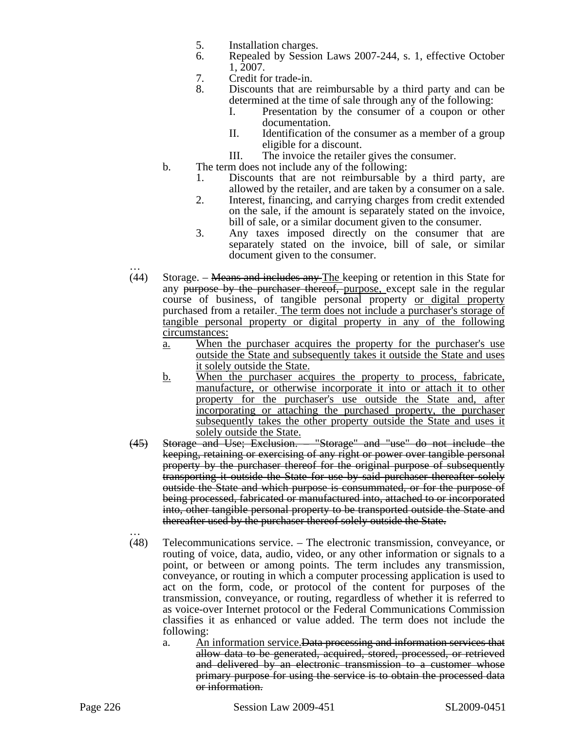- 5. Installation charges.
- 6. Repealed by Session Laws 2007-244, s. 1, effective October 1, 2007.
- 7. Credit for trade-in.
- 8. Discounts that are reimbursable by a third party and can be determined at the time of sale through any of the following:
	- I. Presentation by the consumer of a coupon or other documentation.
	- II. Identification of the consumer as a member of a group eligible for a discount.
	- III. The invoice the retailer gives the consumer.
- b. The term does not include any of the following:
	- 1. Discounts that are not reimbursable by a third party, are allowed by the retailer, and are taken by a consumer on a sale.
	- 2. Interest, financing, and carrying charges from credit extended on the sale, if the amount is separately stated on the invoice, bill of sale, or a similar document given to the consumer.
	- 3. Any taxes imposed directly on the consumer that are separately stated on the invoice, bill of sale, or similar document given to the consumer.
- … (44) Storage. – Means and includes any The keeping or retention in this State for any purpose by the purchaser thereof, purpose, except sale in the regular course of business, of tangible personal property or digital property purchased from a retailer. The term does not include a purchaser's storage of tangible personal property or digital property in any of the following circumstances:
	- a. When the purchaser acquires the property for the purchaser's use outside the State and subsequently takes it outside the State and uses it solely outside the State.
	- b. When the purchaser acquires the property to process, fabricate, manufacture, or otherwise incorporate it into or attach it to other property for the purchaser's use outside the State and, after incorporating or attaching the purchased property, the purchaser subsequently takes the other property outside the State and uses it solely outside the State.
- (45) Storage and Use; Exclusion. "Storage" and "use" do not include the keeping, retaining or exercising of any right or power over tangible personal property by the purchaser thereof for the original purpose of subsequently transporting it outside the State for use by said purchaser thereafter solely outside the State and which purpose is consummated, or for the purpose of being processed, fabricated or manufactured into, attached to or incorporated into, other tangible personal property to be transported outside the State and thereafter used by the purchaser thereof solely outside the State.
- … (48) Telecommunications service. – The electronic transmission, conveyance, or routing of voice, data, audio, video, or any other information or signals to a point, or between or among points. The term includes any transmission, conveyance, or routing in which a computer processing application is used to act on the form, code, or protocol of the content for purposes of the transmission, conveyance, or routing, regardless of whether it is referred to as voice-over Internet protocol or the Federal Communications Commission classifies it as enhanced or value added. The term does not include the following:
	- a. An information service.Data processing and information services that allow data to be generated, acquired, stored, processed, or retrieved and delivered by an electronic transmission to a customer whose primary purpose for using the service is to obtain the processed data or information.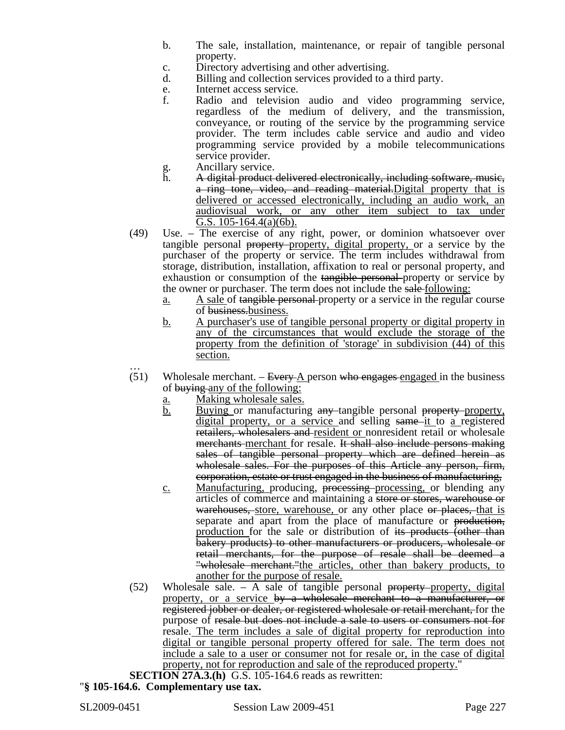- b. The sale, installation, maintenance, or repair of tangible personal property.
- c. Directory advertising and other advertising.
- d. Billing and collection services provided to a third party.
- e. Internet access service.
- f. Radio and television audio and video programming service, regardless of the medium of delivery, and the transmission, conveyance, or routing of the service by the programming service provider. The term includes cable service and audio and video programming service provided by a mobile telecommunications service provider.
- g. Ancillary service.<br>h. A digital product
- h. A digital product delivered electronically, including software, music, a ring tone, video, and reading material. Digital property that is delivered or accessed electronically, including an audio work, an audiovisual work, or any other item subject to tax under G.S. 105-164.4(a)(6b).
- (49) Use. The exercise of any right, power, or dominion whatsoever over tangible personal property-property, digital property, or a service by the purchaser of the property or service. The term includes withdrawal from storage, distribution, installation, affixation to real or personal property, and exhaustion or consumption of the tangible personal property or service by the owner or purchaser. The term does not include the sale following:
	- a. A sale of tangible personal property or a service in the regular course of business. business.
	- b. A purchaser's use of tangible personal property or digital property in any of the circumstances that would exclude the storage of the property from the definition of 'storage' in subdivision (44) of this section.
- … (51) Wholesale merchant. – Every A person who engages engaged in the business of buying any of the following:
	-
	- <u>a.</u> Making wholesale sales.<br>b. Buying or manufacturin Buying or manufacturing any tangible personal property property, digital property, or a service and selling same it to a registered retailers, wholes allers and resident or nonresident retail or wholes ale merchants merchant for resale. It shall also include persons making sales of tangible personal property which are defined herein as wholesale sales. For the purposes of this Article any person, firm, corporation, estate or trust engaged in the business of manufacturing,
	- c. Manufacturing, producing, processing processing, or blending any articles of commerce and maintaining a store or stores, warehouse or warehouses, store, warehouse, or any other place or places, that is separate and apart from the place of manufacture or production, production for the sale or distribution of its products (other than bakery products) to other manufacturers or producers, wholesale or retail merchants, for the purpose of resale shall be deemed a "wholesale merchant."the articles, other than bakery products, to another for the purpose of resale.
- $(52)$  Wholesale sale. A sale of tangible personal property-property, digital property, or a service by a wholesale merchant to a manufacturer, or registered jobber or dealer, or registered wholesale or retail merchant, for the purpose of resale but does not include a sale to users or consumers not for resale. The term includes a sale of digital property for reproduction into digital or tangible personal property offered for sale. The term does not include a sale to a user or consumer not for resale or, in the case of digital property, not for reproduction and sale of the reproduced property."

**SECTION 27A.3.(h)** G.S. 105-164.6 reads as rewritten:

#### "**§ 105-164.6. Complementary use tax.**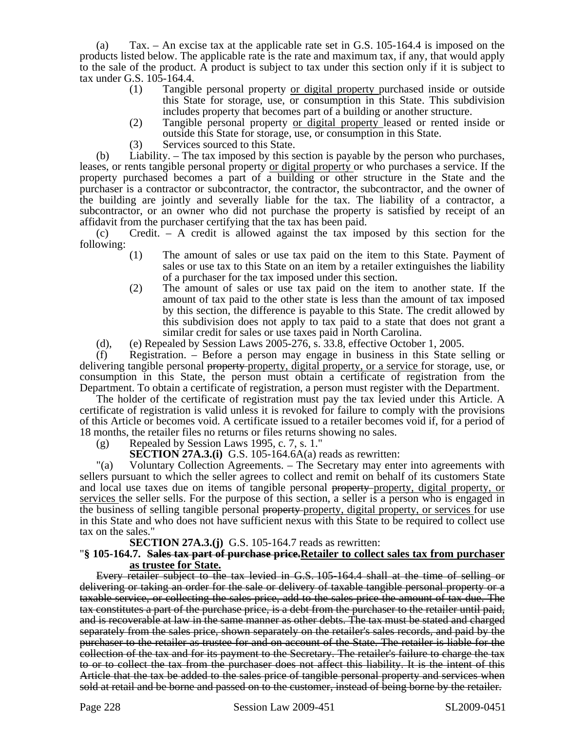(a) Tax. – An excise tax at the applicable rate set in G.S. 105-164.4 is imposed on the products listed below. The applicable rate is the rate and maximum tax, if any, that would apply to the sale of the product. A product is subject to tax under this section only if it is subject to tax under G.S. 105-164.4.

- (1) Tangible personal property or digital property purchased inside or outside this State for storage, use, or consumption in this State. This subdivision includes property that becomes part of a building or another structure.
- (2) Tangible personal property or digital property leased or rented inside or outside this State for storage, use, or consumption in this State.
- (3) Services sourced to this State.

(b) Liability. – The tax imposed by this section is payable by the person who purchases, leases, or rents tangible personal property or digital property or who purchases a service. If the property purchased becomes a part of a building or other structure in the State and the purchaser is a contractor or subcontractor, the contractor, the subcontractor, and the owner of the building are jointly and severally liable for the tax. The liability of a contractor, a subcontractor, or an owner who did not purchase the property is satisfied by receipt of an affidavit from the purchaser certifying that the tax has been paid.

(c) Credit. – A credit is allowed against the tax imposed by this section for the following:

- (1) The amount of sales or use tax paid on the item to this State. Payment of sales or use tax to this State on an item by a retailer extinguishes the liability of a purchaser for the tax imposed under this section.
- (2) The amount of sales or use tax paid on the item to another state. If the amount of tax paid to the other state is less than the amount of tax imposed by this section, the difference is payable to this State. The credit allowed by this subdivision does not apply to tax paid to a state that does not grant a similar credit for sales or use taxes paid in North Carolina.

(d), (e) Repealed by Session Laws 2005-276, s. 33.8, effective October 1, 2005.

(f) Registration. – Before a person may engage in business in this State selling or delivering tangible personal property-property, digital property, or a service for storage, use, or consumption in this State, the person must obtain a certificate of registration from the Department. To obtain a certificate of registration, a person must register with the Department.

The holder of the certificate of registration must pay the tax levied under this Article. A certificate of registration is valid unless it is revoked for failure to comply with the provisions of this Article or becomes void. A certificate issued to a retailer becomes void if, for a period of 18 months, the retailer files no returns or files returns showing no sales.

- (g) Repealed by Session Laws 1995, c. 7, s. 1."
	- **SECTION 27A.3.(i)** G.S. 105-164.6A(a) reads as rewritten:

"(a) Voluntary Collection Agreements. – The Secretary may enter into agreements with sellers pursuant to which the seller agrees to collect and remit on behalf of its customers State and local use taxes due on items of tangible personal property-property, digital property, or services the seller sells. For the purpose of this section, a seller is a person who is engaged in the business of selling tangible personal property property, digital property, or services for use in this State and who does not have sufficient nexus with this State to be required to collect use tax on the sales."

**SECTION 27A.3.(j)** G.S. 105-164.7 reads as rewritten:

#### "**§ 105-164.7. Sales tax part of purchase price.Retailer to collect sales tax from purchaser as trustee for State.**

Every retailer subject to the tax levied in G.S. 105-164.4 shall at the time of selling or delivering or taking an order for the sale or delivery of taxable tangible personal property or a taxable service, or collecting the sales price, add to the sales price the amount of tax due. The tax constitutes a part of the purchase price, is a debt from the purchaser to the retailer until paid, and is recoverable at law in the same manner as other debts. The tax must be stated and charged separately from the sales price, shown separately on the retailer's sales records, and paid by the purchaser to the retailer as trustee for and on account of the State. The retailer is liable for the collection of the tax and for its payment to the Secretary. The retailer's failure to charge the tax to or to collect the tax from the purchaser does not affect this liability. It is the intent of this Article that the tax be added to the sales price of tangible personal property and services when sold at retail and be borne and passed on to the customer, instead of being borne by the retailer.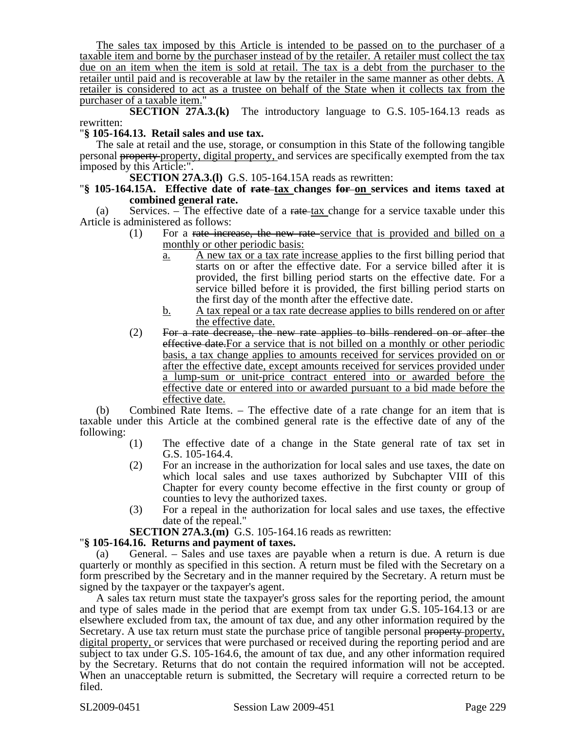The sales tax imposed by this Article is intended to be passed on to the purchaser of a taxable item and borne by the purchaser instead of by the retailer. A retailer must collect the tax due on an item when the item is sold at retail. The tax is a debt from the purchaser to the retailer until paid and is recoverable at law by the retailer in the same manner as other debts. A retailer is considered to act as a trustee on behalf of the State when it collects tax from the purchaser of a taxable item."

**SECTION 27A.3.(k)** The introductory language to G.S. 105-164.13 reads as rewritten:

#### "**§ 105-164.13. Retail sales and use tax.**

The sale at retail and the use, storage, or consumption in this State of the following tangible personal property property, digital property, and services are specifically exempted from the tax imposed by this Article:".

**SECTION 27A.3.(I)** G.S. 105-164.15A reads as rewritten:

#### "**§ 105-164.15A. Effective date of rate tax changes for on services and items taxed at combined general rate.**

(a) Services. – The effective date of a rate tax change for a service taxable under this Article is administered as follows:

- (1) For a rate increase, the new rate service that is provided and billed on a monthly or other periodic basis:
	- a. A new tax or a tax rate increase applies to the first billing period that starts on or after the effective date. For a service billed after it is provided, the first billing period starts on the effective date. For a service billed before it is provided, the first billing period starts on the first day of the month after the effective date.
	- b. A tax repeal or a tax rate decrease applies to bills rendered on or after the effective date.
- (2) For a rate decrease, the new rate applies to bills rendered on or after the effective date.For a service that is not billed on a monthly or other periodic basis, a tax change applies to amounts received for services provided on or after the effective date, except amounts received for services provided under a lump-sum or unit-price contract entered into or awarded before the effective date or entered into or awarded pursuant to a bid made before the effective date.

(b) Combined Rate Items. – The effective date of a rate change for an item that is taxable under this Article at the combined general rate is the effective date of any of the following:

- (1) The effective date of a change in the State general rate of tax set in G.S. 105-164.4.
- (2) For an increase in the authorization for local sales and use taxes, the date on which local sales and use taxes authorized by Subchapter VIII of this Chapter for every county become effective in the first county or group of counties to levy the authorized taxes.
- (3) For a repeal in the authorization for local sales and use taxes, the effective date of the repeal."
- **SECTION 27A.3.(m)** G.S. 105-164.16 reads as rewritten: "§ 105-164.16. Returns and payment of taxes.

(a) General. – Sales and use taxes are payable when a return is due. A return is due quarterly or monthly as specified in this section. A return must be filed with the Secretary on a form prescribed by the Secretary and in the manner required by the Secretary. A return must be signed by the taxpayer or the taxpayer's agent.

A sales tax return must state the taxpayer's gross sales for the reporting period, the amount and type of sales made in the period that are exempt from tax under G.S. 105-164.13 or are elsewhere excluded from tax, the amount of tax due, and any other information required by the Secretary. A use tax return must state the purchase price of tangible personal property-property, digital property, or services that were purchased or received during the reporting period and are subject to tax under G.S. 105-164.6, the amount of tax due, and any other information required by the Secretary. Returns that do not contain the required information will not be accepted. When an unacceptable return is submitted, the Secretary will require a corrected return to be filed.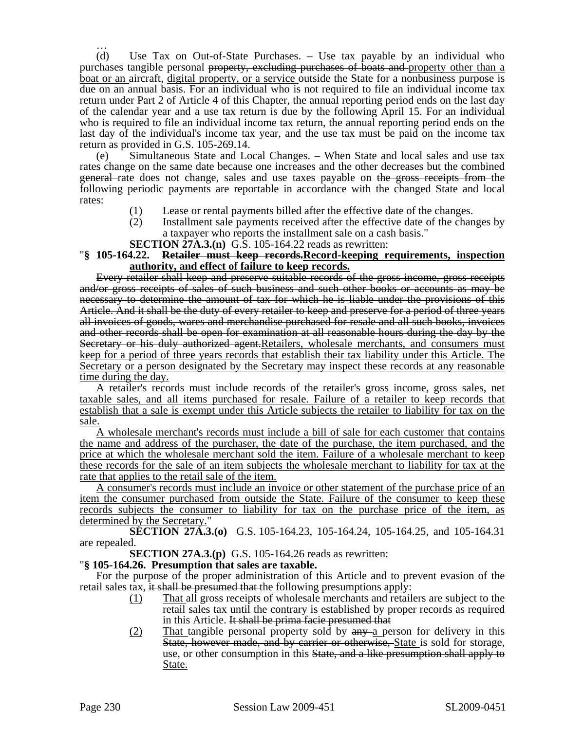… (d) Use Tax on Out-of-State Purchases. – Use tax payable by an individual who purchases tangible personal property, excluding purchases of boats and property other than a boat or an aircraft, digital property, or a service outside the State for a nonbusiness purpose is due on an annual basis. For an individual who is not required to file an individual income tax return under Part 2 of Article 4 of this Chapter, the annual reporting period ends on the last day of the calendar year and a use tax return is due by the following April 15. For an individual who is required to file an individual income tax return, the annual reporting period ends on the last day of the individual's income tax year, and the use tax must be paid on the income tax return as provided in G.S. 105-269.14.

(e) Simultaneous State and Local Changes. – When State and local sales and use tax rates change on the same date because one increases and the other decreases but the combined general rate does not change, sales and use taxes payable on the gross receipts from the following periodic payments are reportable in accordance with the changed State and local rates:

- (1) Lease or rental payments billed after the effective date of the changes.
- (2) Installment sale payments received after the effective date of the changes by a taxpayer who reports the installment sale on a cash basis."
- **SECTION 27A.3.(n)** G.S. 105-164.22 reads as rewritten:

#### "**§ 105-164.22. Retailer must keep records.Record-keeping requirements, inspection authority, and effect of failure to keep records.**

Every retailer shall keep and preserve suitable records of the gross income, gross receipts and/or gross receipts of sales of such business and such other books or accounts as may be necessary to determine the amount of tax for which he is liable under the provisions of this Article. And it shall be the duty of every retailer to keep and preserve for a period of three years all invoices of goods, wares and merchandise purchased for resale and all such books, invoices and other records shall be open for examination at all reasonable hours during the day by the Secretary or his duly authorized agent. Retailers, wholesale merchants, and consumers must keep for a period of three years records that establish their tax liability under this Article. The Secretary or a person designated by the Secretary may inspect these records at any reasonable time during the day.

A retailer's records must include records of the retailer's gross income, gross sales, net taxable sales, and all items purchased for resale. Failure of a retailer to keep records that establish that a sale is exempt under this Article subjects the retailer to liability for tax on the sale.

A wholesale merchant's records must include a bill of sale for each customer that contains the name and address of the purchaser, the date of the purchase, the item purchased, and the price at which the wholesale merchant sold the item. Failure of a wholesale merchant to keep these records for the sale of an item subjects the wholesale merchant to liability for tax at the rate that applies to the retail sale of the item.

A consumer's records must include an invoice or other statement of the purchase price of an item the consumer purchased from outside the State. Failure of the consumer to keep these records subjects the consumer to liability for tax on the purchase price of the item, as determined by the Secretary."

**SECTION 27A.3.(o)** G.S. 105-164.23, 105-164.24, 105-164.25, and 105-164.31 are repealed.

**SECTION 27A.3.(p)** G.S. 105-164.26 reads as rewritten:

#### "**§ 105-164.26. Presumption that sales are taxable.**

For the purpose of the proper administration of this Article and to prevent evasion of the retail sales tax, it shall be presumed that the following presumptions apply:

- (1) That all gross receipts of wholesale merchants and retailers are subject to the retail sales tax until the contrary is established by proper records as required in this Article. It shall be prima facie presumed that
- (2) That tangible personal property sold by  $\frac{any}{n}$  person for delivery in this State, however made, and by carrier or otherwise, State is sold for storage, use, or other consumption in this State, and a like presumption shall apply to State.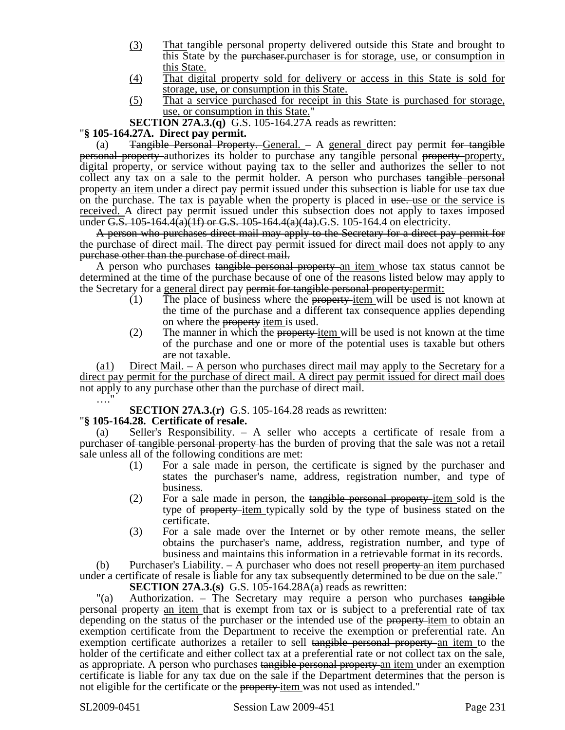- (3) That tangible personal property delivered outside this State and brought to this State by the purchaser.purchaser is for storage, use, or consumption in this State.
- (4) That digital property sold for delivery or access in this State is sold for storage, use, or consumption in this State.
- (5) That a service purchased for receipt in this State is purchased for storage, use, or consumption in this State."
- **SECTION 27A.3.(q)** G.S. 105-164.27A reads as rewritten: "**§ 105-164.27A. Direct pay permit.**

(a) **Tangible Personal Property.** General.  $- A$  general direct pay permit for tangible **personal property** authorizes its holder to purchase any tangible personal property property, digital property, or service without paying tax to the seller and authorizes the seller to not collect any tax on a sale to the permit holder. A person who purchases tangible personal property an item under a direct pay permit issued under this subsection is liable for use tax due on the purchase. The tax is payable when the property is placed in use use or the service is received. A direct pay permit issued under this subsection does not apply to taxes imposed under G.S. 105-164.4(a)(1f) or G.S. 105-164.4(a)(4a). G.S. 105-164.4 on electricity.

A person who purchases direct mail may apply to the Secretary for a direct pay permit for the purchase of direct mail. The direct pay permit issued for direct mail does not apply to any purchase other than the purchase of direct mail.

A person who purchases tangible personal property an item whose tax status cannot be determined at the time of the purchase because of one of the reasons listed below may apply to the Secretary for a general direct pay permit for tangible personal property:permit:

- (1) The place of business where the property item will be used is not known at the time of the purchase and a different tax consequence applies depending on where the property item is used.
- (2) The manner in which the property-item will be used is not known at the time of the purchase and one or more of the potential uses is taxable but others are not taxable.

(a1) Direct Mail. – A person who purchases direct mail may apply to the Secretary for a direct pay permit for the purchase of direct mail. A direct pay permit issued for direct mail does not apply to any purchase other than the purchase of direct mail.

**SECTION 27A.3.(r)** G.S. 105-164.28 reads as rewritten:

## "**§ 105-164.28. Certificate of resale.**

…."

(a) Seller's Responsibility. – A seller who accepts a certificate of resale from a purchaser of tangible personal property has the burden of proving that the sale was not a retail sale unless all of the following conditions are met:

- (1) For a sale made in person, the certificate is signed by the purchaser and states the purchaser's name, address, registration number, and type of business.
- (2) For a sale made in person, the  $t$  tangible personal property item sold is the type of property-item typically sold by the type of business stated on the certificate.
- (3) For a sale made over the Internet or by other remote means, the seller obtains the purchaser's name, address, registration number, and type of business and maintains this information in a retrievable format in its records.

(b) Purchaser's Liability.  $- A$  purchaser who does not resell property an item purchased under a certificate of resale is liable for any tax subsequently determined to be due on the sale." **SECTION 27A.3.(s)** G.S. 105-164.28A(a) reads as rewritten:

"(a) Authorization. – The Secretary may require a person who purchases tangible personal property an item that is exempt from tax or is subject to a preferential rate of tax depending on the status of the purchaser or the intended use of the property-item to obtain an exemption certificate from the Department to receive the exemption or preferential rate. An exemption certificate authorizes a retailer to sell tangible personal property an item to the holder of the certificate and either collect tax at a preferential rate or not collect tax on the sale, as appropriate. A person who purchases tangible personal property an item under an exemption certificate is liable for any tax due on the sale if the Department determines that the person is not eligible for the certificate or the property-item was not used as intended."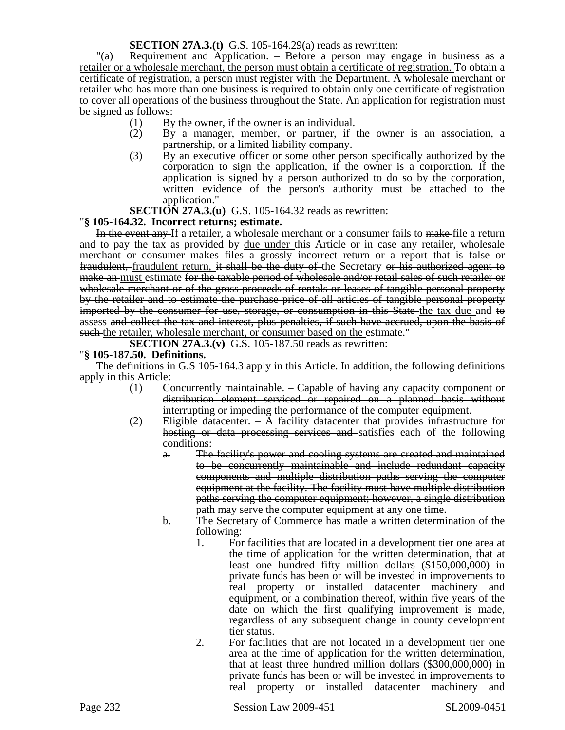**SECTION 27A.3.(t)** G.S. 105-164.29(a) reads as rewritten:

"(a) Requirement and Application. – Before a person may engage in business as a retailer or a wholesale merchant, the person must obtain a certificate of registration. To obtain a certificate of registration, a person must register with the Department. A wholesale merchant or retailer who has more than one business is required to obtain only one certificate of registration to cover all operations of the business throughout the State. An application for registration must be signed as follows:

- (1) By the owner, if the owner is an individual.
- (2) By a manager, member, or partner, if the owner is an association, a partnership, or a limited liability company.
- (3) By an executive officer or some other person specifically authorized by the corporation to sign the application, if the owner is a corporation. If the application is signed by a person authorized to do so by the corporation, written evidence of the person's authority must be attached to the application."
- **SECTION 27A.3.(u)** G.S. 105-164.32 reads as rewritten:

#### "**§ 105-164.32. Incorrect returns; estimate.**

In the event any If a retailer, a wholesale merchant or a consumer fails to make-file a return and to pay the tax as provided by due under this Article or in case any retailer, wholesale merchant or consumer makes files a grossly incorrect return or a report that is false or fraudulent, fraudulent return, it shall be the duty of the Secretary or his authorized agent to make an must estimate for the taxable period of wholesale and/or retail sales of such retailer or wholesale merchant or of the gross proceeds of rentals or leases of tangible personal property by the retailer and to estimate the purchase price of all articles of tangible personal property imported by the consumer for use, storage, or consumption in this State the tax due and to assess and collect the tax and interest, plus penalties, if such have accrued, upon the basis of such the retailer, wholesale merchant, or consumer based on the estimate."

**SECTION 27A.3.(v)** G.S. 105-187.50 reads as rewritten:

#### "**§ 105-187.50. Definitions.**

The definitions in G.S 105-164.3 apply in this Article. In addition, the following definitions apply in this Article:

- (1) Concurrently maintainable. Capable of having any capacity component or distribution element serviced or repaired on a planned basis without interrupting or impeding the performance of the computer equipment.
- (2) Eligible datacenter.  $A$  facility datacenter that provides infrastructure for hosting or data processing services and satisfies each of the following conditions:
	- a. The facility's power and cooling systems are created and maintained to be concurrently maintainable and include redundant capacity components and multiple distribution paths serving the computer equipment at the facility. The facility must have multiple distribution paths serving the computer equipment; however, a single distribution path may serve the computer equipment at any one time.
	- b. The Secretary of Commerce has made a written determination of the following:
		- 1. For facilities that are located in a development tier one area at the time of application for the written determination, that at least one hundred fifty million dollars (\$150,000,000) in private funds has been or will be invested in improvements to real property or installed datacenter machinery and equipment, or a combination thereof, within five years of the date on which the first qualifying improvement is made, regardless of any subsequent change in county development tier status.
		- 2. For facilities that are not located in a development tier one area at the time of application for the written determination, that at least three hundred million dollars (\$300,000,000) in private funds has been or will be invested in improvements to real property or installed datacenter machinery and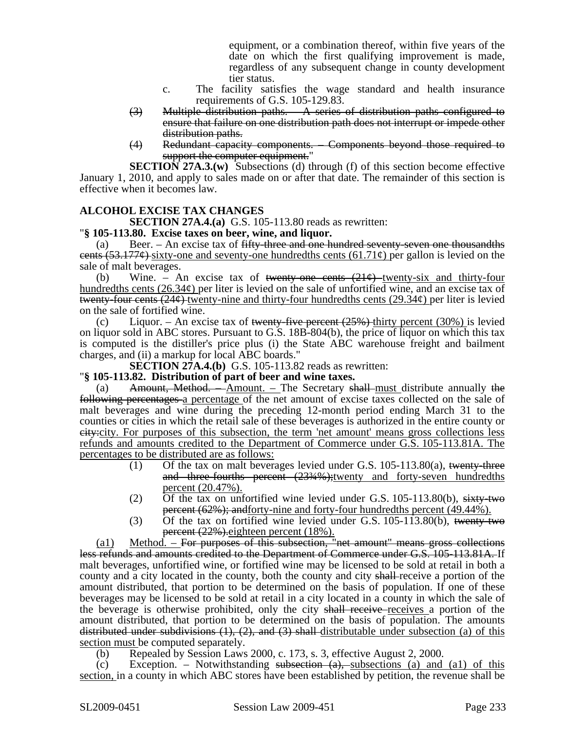equipment, or a combination thereof, within five years of the date on which the first qualifying improvement is made, regardless of any subsequent change in county development tier status.

- c. The facility satisfies the wage standard and health insurance requirements of G.S. 105-129.83.
- $(3)$  Multiple distribution paths.  $-$  A series of distribution paths configured to ensure that failure on one distribution path does not interrupt or impede other distribution paths.
- (4) Redundant capacity components. Components beyond those required to support the computer equipment."

**SECTION 27A.3.(w)** Subsections (d) through (f) of this section become effective January 1, 2010, and apply to sales made on or after that date. The remainder of this section is effective when it becomes law.

## **ALCOHOL EXCISE TAX CHANGES**

**SECTION 27A.4.(a)** G.S. 105-113.80 reads as rewritten:

#### "**§ 105-113.80. Excise taxes on beer, wine, and liquor.**

(a) Beer.  $-$  An excise tax of  $f$ <del>ifty-three and one hundred seventy-seven one thousandths</del> cents (53.177¢) sixty-one and seventy-one hundredths cents (61.71¢) per gallon is levied on the sale of malt beverages.

(b) Wine. – An excise tax of <del>twenty-one cents  $(21¢)$  twenty-six and thirty-four</del> hundredths cents (26.34¢) per liter is levied on the sale of unfortified wine, and an excise tax of twenty-four cents  $(24¢)$  twenty-nine and thirty-four hundredths cents  $(29.34¢)$  per liter is levied on the sale of fortified wine.

(c) Liquor. – An excise tax of twenty-five percent  $(25%)$  thirty percent  $(30%)$  is levied on liquor sold in ABC stores. Pursuant to G.S. 18B-804(b), the price of liquor on which this tax is computed is the distiller's price plus (i) the State ABC warehouse freight and bailment charges, and (ii) a markup for local ABC boards."

**SECTION 27A.4.(b)** G.S. 105-113.82 reads as rewritten:

#### "**§ 105-113.82. Distribution of part of beer and wine taxes.**

(a)  $A$  Amount, Method. - Amount. – The Secretary shall-must distribute annually the following percentages a percentage of the net amount of excise taxes collected on the sale of malt beverages and wine during the preceding 12-month period ending March 31 to the counties or cities in which the retail sale of these beverages is authorized in the entire county or city:city. For purposes of this subsection, the term 'net amount' means gross collections less refunds and amounts credited to the Department of Commerce under G.S. 105-113.81A. The percentages to be distributed are as follows:

- (1) Of the tax on malt beverages levied under G.S. 105-113.80(a), twenty-three and three-fourths percent  $(23\frac{3}{4}\%)$ ; twenty and forty-seven hundredths percent (20.47%).
- (2) Of the tax on unfortified wine levied under G.S. 105-113.80(b), sixty-two percent (62%); andforty-nine and forty-four hundredths percent (49.44%).
- (3) Of the tax on fortified wine levied under G.S.  $105-113.80(b)$ , twenty-two percent (22%).eighteen percent (18%).

(a1) Method. – For purposes of this subsection, "net amount" means gross collections less refunds and amounts credited to the Department of Commerce under G.S. 105-113.81A. If malt beverages, unfortified wine, or fortified wine may be licensed to be sold at retail in both a county and a city located in the county, both the county and city shall-receive a portion of the amount distributed, that portion to be determined on the basis of population. If one of these beverages may be licensed to be sold at retail in a city located in a county in which the sale of the beverage is otherwise prohibited, only the city shall receive receives a portion of the amount distributed, that portion to be determined on the basis of population. The amounts distributed under subdivisions  $(1)$ ,  $(2)$ , and  $(3)$  shall-distributable under subsection (a) of this section must be computed separately.

(b) Repealed by Session Laws 2000, c. 173, s. 3, effective August 2, 2000.

(c) Exception. – Notwithstanding subsection  $(a)$ , subsections (a) and (a1) of this section, in a county in which ABC stores have been established by petition, the revenue shall be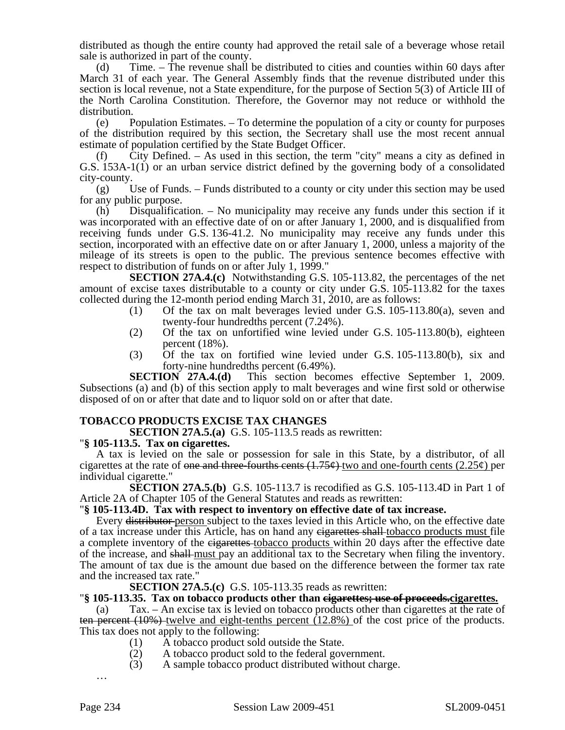distributed as though the entire county had approved the retail sale of a beverage whose retail sale is authorized in part of the county.

(d) Time. – The revenue shall be distributed to cities and counties within 60 days after March 31 of each year. The General Assembly finds that the revenue distributed under this section is local revenue, not a State expenditure, for the purpose of Section 5(3) of Article III of the North Carolina Constitution. Therefore, the Governor may not reduce or withhold the distribution.

(e) Population Estimates. – To determine the population of a city or county for purposes of the distribution required by this section, the Secretary shall use the most recent annual estimate of population certified by the State Budget Officer.

(f) City Defined. – As used in this section, the term "city" means a city as defined in G.S. 153A-1(1) or an urban service district defined by the governing body of a consolidated city-county.

 $(g)$  Use of Funds. – Funds distributed to a county or city under this section may be used for any public purpose.

(h) Disqualification. – No municipality may receive any funds under this section if it was incorporated with an effective date of on or after January 1, 2000, and is disqualified from receiving funds under G.S. 136-41.2. No municipality may receive any funds under this section, incorporated with an effective date on or after January 1, 2000, unless a majority of the mileage of its streets is open to the public. The previous sentence becomes effective with respect to distribution of funds on or after July 1, 1999."

**SECTION 27A.4.(c)** Notwithstanding G.S. 105-113.82, the percentages of the net amount of excise taxes distributable to a county or city under G.S. 105-113.82 for the taxes collected during the 12-month period ending March 31, 2010, are as follows:

- $(1)$  Of the tax on malt beverages levied under G.S. 105-113.80(a), seven and twenty-four hundredths percent (7.24%).
- (2) Of the tax on unfortified wine levied under G.S. 105-113.80(b), eighteen percent (18%).
- (3) Of the tax on fortified wine levied under G.S. 105-113.80(b), six and forty-nine hundredths percent (6.49%).

**SECTION 27A.4.(d)** This section becomes effective September 1, 2009. Subsections (a) and (b) of this section apply to malt beverages and wine first sold or otherwise disposed of on or after that date and to liquor sold on or after that date.

## **TOBACCO PRODUCTS EXCISE TAX CHANGES**

**SECTION 27A.5.(a)** G.S. 105-113.5 reads as rewritten: " $\S$  **105-113.5.** Tax on cigarettes.

A tax is levied on the sale or possession for sale in this State, by a distributor, of all cigarettes at the rate of <del>one and three-fourths cents  $(1.75)$ </del> two and one-fourth cents  $(2.25)$  per individual cigarette."

**SECTION 27A.5.(b)** G.S. 105-113.7 is recodified as G.S. 105-113.4D in Part 1 of Article 2A of Chapter 105 of the General Statutes and reads as rewritten: "**§ 105-113.4D. Tax with respect to inventory on effective date of tax increase.** 

Every distributor person subject to the taxes levied in this Article who, on the effective date of a tax increase under this Article, has on hand any cigarettes shall tobacco products must file a complete inventory of the eigarettes tobacco products within 20 days after the effective date of the increase, and shall must pay an additional tax to the Secretary when filing the inventory. The amount of tax due is the amount due based on the difference between the former tax rate and the increased tax rate."

# **SECTION 27A.5.(c)** G.S. 105-113.35 reads as rewritten:<br>"§ 105-113.35. Tax on tobacco products other than eigarettes; use of proceeds.cigarettes.

(a) Tax. – An excise tax is levied on tobacco products other than cigarettes at the rate of ten percent (10%) twelve and eight-tenths percent (12.8%) of the cost price of the products. This tax does not apply to the following:

- (1) A tobacco product sold outside the State.<br>
(2) A tobacco product sold to the federal gov
- A tobacco product sold to the federal government.
- (3) A sample tobacco product distributed without charge.

…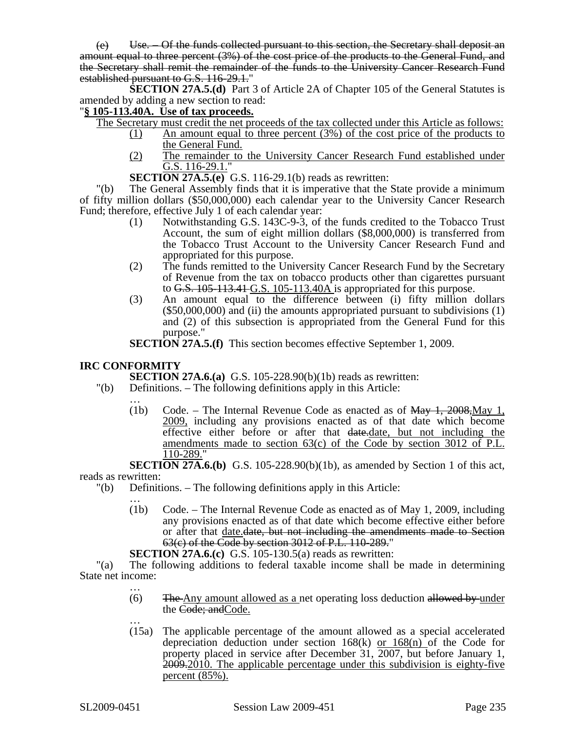(e) Use. – Of the funds collected pursuant to this section, the Secretary shall deposit an amount equal to three percent (3%) of the cost price of the products to the General Fund, and the Secretary shall remit the remainder of the funds to the University Cancer Research Fund established pursuant to G.S. 116-29.1."

**SECTION 27A.5.(d)** Part 3 of Article 2A of Chapter 105 of the General Statutes is amended by adding a new section to read:

#### "**§ 105-113.40A. Use of tax proceeds.**

The Secretary must credit the net proceeds of the tax collected under this Article as follows:

- (1) An amount equal to three percent (3%) of the cost price of the products to the General Fund.
- (2) The remainder to the University Cancer Research Fund established under G.S. 116-29.1."
- **SECTION 27A.5.(e)** G.S. 116-29.1(b) reads as rewritten:

"(b) The General Assembly finds that it is imperative that the State provide a minimum of fifty million dollars (\$50,000,000) each calendar year to the University Cancer Research Fund; therefore, effective July 1 of each calendar year:

- (1) Notwithstanding G.S. 143C-9-3, of the funds credited to the Tobacco Trust Account, the sum of eight million dollars (\$8,000,000) is transferred from the Tobacco Trust Account to the University Cancer Research Fund and appropriated for this purpose.
- (2) The funds remitted to the University Cancer Research Fund by the Secretary of Revenue from the tax on tobacco products other than cigarettes pursuant to G.S. 105-113.41 G.S. 105-113.40A is appropriated for this purpose.
- (3) An amount equal to the difference between (i) fifty million dollars (\$50,000,000) and (ii) the amounts appropriated pursuant to subdivisions (1) and (2) of this subsection is appropriated from the General Fund for this purpose."

**SECTION 27A.5.(f)** This section becomes effective September 1, 2009.

## **IRC CONFORMITY**

**SECTION 27A.6.(a)** G.S. 105-228.90(b)(1b) reads as rewritten:

- "(b) Definitions. The following definitions apply in this Article:
	- … (1b) Code. – The Internal Revenue Code as enacted as of May 1, 2008,May 1, 2009, including any provisions enacted as of that date which become effective either before or after that date.date, but not including the amendments made to section 63(c) of the Code by section 3012 of P.L. 110-289."

**SECTION 27A.6.(b)** G.S. 105-228.90(b)(1b), as amended by Section 1 of this act, reads as rewritten:

- "(b) Definitions. The following definitions apply in this Article:
	- … (1b) Code. – The Internal Revenue Code as enacted as of May 1, 2009, including any provisions enacted as of that date which become effective either before or after that date.date, but not including the amendments made to Section 63(c) of the Code by section 3012 of P.L. 110-289."

**SECTION 27A.6.(c)** G.S. 105-130.5(a) reads as rewritten:

"(a) The following additions to federal taxable income shall be made in determining State net income:

- … (6) The Any amount allowed as a net operating loss deduction allowed by under the Code; and Code.
- (15a) The applicable percentage of the amount allowed as a special accelerated depreciation deduction under section  $168(k)$  or  $168(n)$  of the Code for property placed in service after December 31, 2007, but before January 1, 2009.2010. The applicable percentage under this subdivision is eighty-five percent (85%).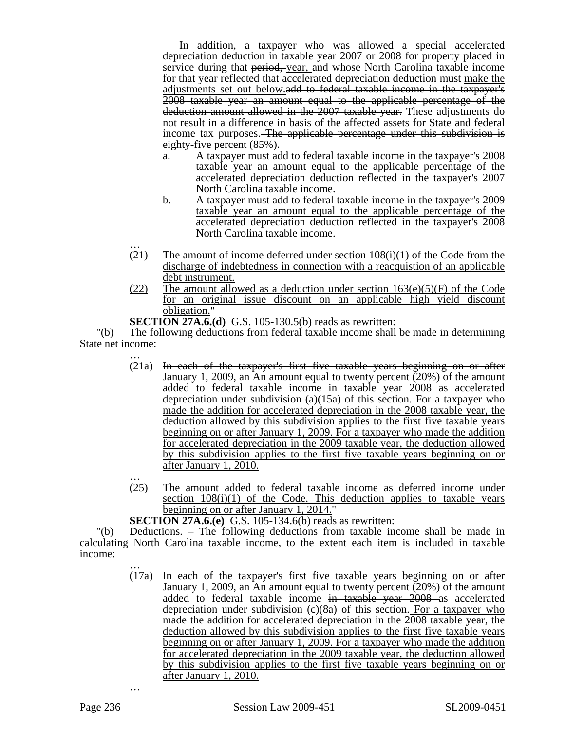In addition, a taxpayer who was allowed a special accelerated depreciation deduction in taxable year 2007 or 2008 for property placed in service during that period, year, and whose North Carolina taxable income for that year reflected that accelerated depreciation deduction must make the adjustments set out below.add to federal taxable income in the taxpayer's 2008 taxable year an amount equal to the applicable percentage of the deduction amount allowed in the 2007 taxable year. These adjustments do not result in a difference in basis of the affected assets for State and federal income tax purposes. The applicable percentage under this subdivision is eighty-five percent (85%).

- a. A taxpayer must add to federal taxable income in the taxpayer's 2008 taxable year an amount equal to the applicable percentage of the accelerated depreciation deduction reflected in the taxpayer's 2007 North Carolina taxable income.
- b. A taxpayer must add to federal taxable income in the taxpayer's 2009 taxable year an amount equal to the applicable percentage of the accelerated depreciation deduction reflected in the taxpayer's 2008 North Carolina taxable income.
- … (21) The amount of income deferred under section 108(i)(1) of the Code from the discharge of indebtedness in connection with a reacquistion of an applicable debt instrument.
- (22) The amount allowed as a deduction under section  $163(e)(5)(F)$  of the Code for an original issue discount on an applicable high yield discount obligation."
- **SECTION 27A.6.(d)** G.S. 105-130.5(b) reads as rewritten:

"(b) The following deductions from federal taxable income shall be made in determining State net income:

- …  $(21a)$  In each of the taxpayer's first five taxable years beginning on or after January 1, 2009, an An amount equal to twenty percent  $(20%)$  of the amount added to federal taxable income in taxable year 2008 as accelerated depreciation under subdivision (a)(15a) of this section. For a taxpayer who made the addition for accelerated depreciation in the 2008 taxable year, the deduction allowed by this subdivision applies to the first five taxable years beginning on or after January 1, 2009. For a taxpayer who made the addition for accelerated depreciation in the 2009 taxable year, the deduction allowed by this subdivision applies to the first five taxable years beginning on or after January 1, 2010. …
- (25) The amount added to federal taxable income as deferred income under section  $108(i)(1)$  of the Code. This deduction applies to taxable years beginning on or after January 1, 2014."
- **SECTION 27A.6.(e)** G.S. 105-134.6(b) reads as rewritten:

"(b) Deductions. – The following deductions from taxable income shall be made in calculating North Carolina taxable income, to the extent each item is included in taxable income: …

(17a) In each of the taxpayer's first five taxable years beginning on or after January 1, 2009, an An amount equal to twenty percent (20%) of the amount added to federal taxable income in taxable year 2008 as accelerated depreciation under subdivision (c)(8a) of this section. For a taxpayer who made the addition for accelerated depreciation in the 2008 taxable year, the deduction allowed by this subdivision applies to the first five taxable years beginning on or after January 1, 2009. For a taxpayer who made the addition for accelerated depreciation in the 2009 taxable year, the deduction allowed by this subdivision applies to the first five taxable years beginning on or after January 1, 2010.

…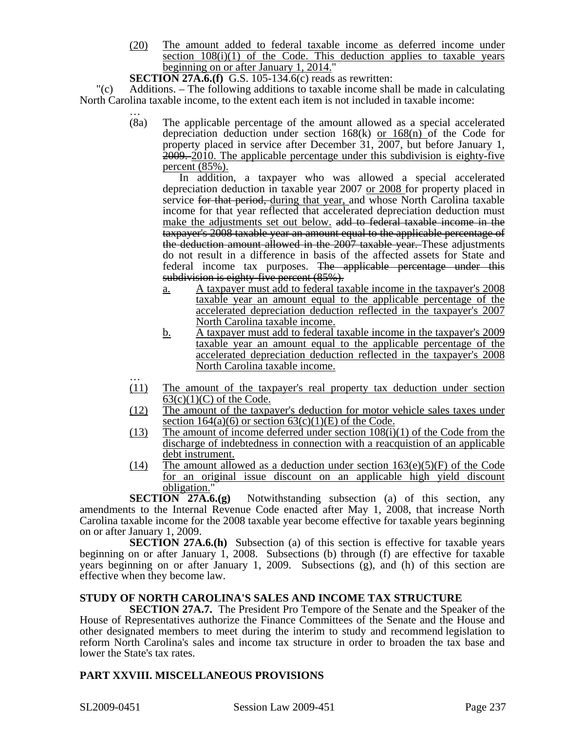- (20) The amount added to federal taxable income as deferred income under section  $108(i)(1)$  of the Code. This deduction applies to taxable years beginning on or after January 1, 2014."
- **SECTION 27A.6.(f)** G.S. 105-134.6(c) reads as rewritten:

"(c) Additions. – The following additions to taxable income shall be made in calculating North Carolina taxable income, to the extent each item is not included in taxable income:

… (8a) The applicable percentage of the amount allowed as a special accelerated depreciation deduction under section 168(k) or 168(n) of the Code for property placed in service after December 31, 2007, but before January 1,  $\frac{2009}{100}$ . The applicable percentage under this subdivision is eighty-five percent (85%).

In addition, a taxpayer who was allowed a special accelerated depreciation deduction in taxable year 2007 or 2008 for property placed in service for that period, during that year, and whose North Carolina taxable income for that year reflected that accelerated depreciation deduction must make the adjustments set out below. add to federal taxable income in the taxpayer's 2008 taxable year an amount equal to the applicable percentage of the deduction amount allowed in the 2007 taxable year. These adjustments do not result in a difference in basis of the affected assets for State and federal income tax purposes. The applicable percentage under this subdivision is eighty-five percent (85%).

- a. A taxpayer must add to federal taxable income in the taxpayer's 2008 taxable year an amount equal to the applicable percentage of the accelerated depreciation deduction reflected in the taxpayer's 2007 North Carolina taxable income.
- b. A taxpayer must add to federal taxable income in the taxpayer's 2009 taxable year an amount equal to the applicable percentage of the accelerated depreciation deduction reflected in the taxpayer's 2008 North Carolina taxable income.
- … (11) The amount of the taxpayer's real property tax deduction under section  $63(c)(1)(C)$  of the Code.
- (12) The amount of the taxpayer's deduction for motor vehicle sales taxes under section  $164(a)(6)$  or section  $63(c)(1)(E)$  of the Code.
- (13) The amount of income deferred under section 108(i)(1) of the Code from the discharge of indebtedness in connection with a reacquistion of an applicable debt instrument.
- (14) The amount allowed as a deduction under section  $163(e)(5)(F)$  of the Code for an original issue discount on an applicable high yield discount obligation."

**SECTION 27A.6.(g)** Notwithstanding subsection (a) of this section, any amendments to the Internal Revenue Code enacted after May 1, 2008, that increase North Carolina taxable income for the 2008 taxable year become effective for taxable years beginning on or after January 1, 2009.

**SECTION 27A.6.(h)** Subsection (a) of this section is effective for taxable years beginning on or after January 1, 2008. Subsections (b) through (f) are effective for taxable years beginning on or after January 1, 2009. Subsections (g), and (h) of this section are effective when they become law.

## **STUDY OF NORTH CAROLINA'S SALES AND INCOME TAX STRUCTURE**

**SECTION 27A.7.** The President Pro Tempore of the Senate and the Speaker of the House of Representatives authorize the Finance Committees of the Senate and the House and other designated members to meet during the interim to study and recommend legislation to reform North Carolina's sales and income tax structure in order to broaden the tax base and lower the State's tax rates.

# **PART XXVIII. MISCELLANEOUS PROVISIONS**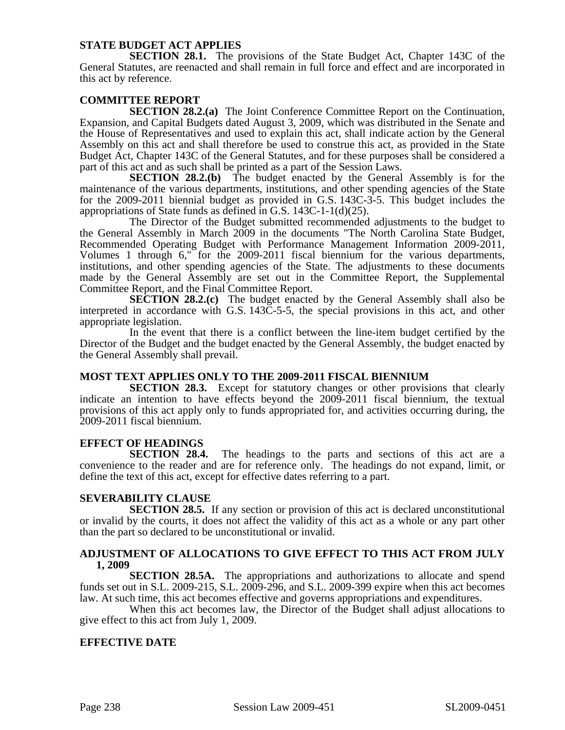#### **STATE BUDGET ACT APPLIES**

**SECTION 28.1.** The provisions of the State Budget Act, Chapter 143C of the General Statutes, are reenacted and shall remain in full force and effect and are incorporated in this act by reference.

#### **COMMITTEE REPORT**

**SECTION 28.2.(a)** The Joint Conference Committee Report on the Continuation, Expansion, and Capital Budgets dated August 3, 2009, which was distributed in the Senate and the House of Representatives and used to explain this act, shall indicate action by the General Assembly on this act and shall therefore be used to construe this act, as provided in the State Budget Act, Chapter 143C of the General Statutes, and for these purposes shall be considered a part of this act and as such shall be printed as a part of the Session Laws.

**SECTION 28.2.(b)** The budget enacted by the General Assembly is for the maintenance of the various departments, institutions, and other spending agencies of the State for the 2009-2011 biennial budget as provided in G.S. 143C-3-5. This budget includes the appropriations of State funds as defined in G.S. 143C-1-1(d)(25).

The Director of the Budget submitted recommended adjustments to the budget to the General Assembly in March 2009 in the documents "The North Carolina State Budget, Recommended Operating Budget with Performance Management Information 2009-2011, Volumes 1 through 6," for the 2009-2011 fiscal biennium for the various departments, institutions, and other spending agencies of the State. The adjustments to these documents made by the General Assembly are set out in the Committee Report, the Supplemental Committee Report, and the Final Committee Report.

**SECTION 28.2.(c)** The budget enacted by the General Assembly shall also be interpreted in accordance with G.S. 143C-5-5, the special provisions in this act, and other appropriate legislation.

In the event that there is a conflict between the line-item budget certified by the Director of the Budget and the budget enacted by the General Assembly, the budget enacted by the General Assembly shall prevail.

#### **MOST TEXT APPLIES ONLY TO THE 2009-2011 FISCAL BIENNIUM**

**SECTION 28.3.** Except for statutory changes or other provisions that clearly indicate an intention to have effects beyond the 2009-2011 fiscal biennium, the textual provisions of this act apply only to funds appropriated for, and activities occurring during, the 2009-2011 fiscal biennium.

# **EFFECT OF HEADINGS**

The headings to the parts and sections of this act are a convenience to the reader and are for reference only. The headings do not expand, limit, or define the text of this act, except for effective dates referring to a part.

#### **SEVERABILITY CLAUSE**

**SECTION 28.5.** If any section or provision of this act is declared unconstitutional or invalid by the courts, it does not affect the validity of this act as a whole or any part other than the part so declared to be unconstitutional or invalid.

#### **ADJUSTMENT OF ALLOCATIONS TO GIVE EFFECT TO THIS ACT FROM JULY 1, 2009**

**SECTION 28.5A.** The appropriations and authorizations to allocate and spend funds set out in S.L. 2009-215, S.L. 2009-296, and S.L. 2009-399 expire when this act becomes law. At such time, this act becomes effective and governs appropriations and expenditures.

When this act becomes law, the Director of the Budget shall adjust allocations to give effect to this act from July 1, 2009.

#### **EFFECTIVE DATE**